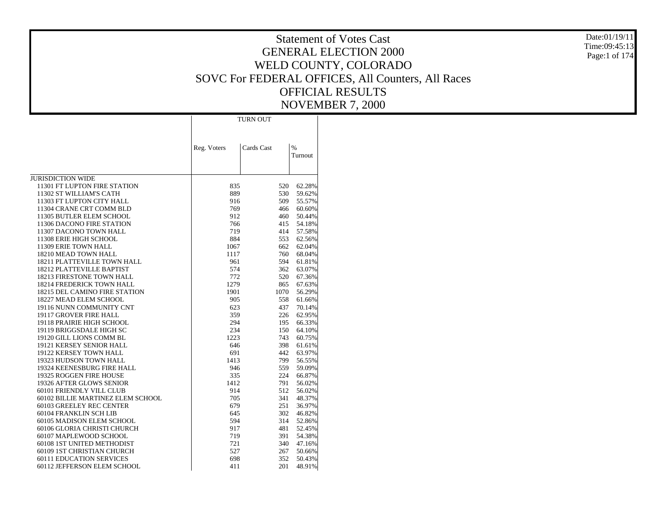Date:01/19/11 Time:09:45:13Page:1 of 174

|                                                      |             | <b>TURN OUT</b> |                          |
|------------------------------------------------------|-------------|-----------------|--------------------------|
|                                                      | Reg. Voters | Cards Cast      | $\frac{9}{6}$<br>Turnout |
| <b>JURISDICTION WIDE</b>                             |             |                 |                          |
| 11301 FT LUPTON FIRE STATION                         | 835         | 520             | 62.28%                   |
| 11302 ST WILLIAM'S CATH                              | 889         | 530             | 59.62%                   |
| 11303 FT LUPTON CITY HALL                            | 916         | 509             | 55.57%                   |
| 11304 CRANE CRT COMM BLD                             | 769         | 466             | 60.60%                   |
| 11305 BUTLER ELEM SCHOOL                             | 912         | 460             | 50.44%                   |
| 11306 DACONO FIRE STATION                            | 766         | 415             | 54.18%                   |
| 11307 DACONO TOWN HALL                               | 719         | 414             | 57.58%                   |
| 11308 ERIE HIGH SCHOOL                               | 884         | 553             | 62.56%                   |
| 11309 ERIE TOWN HALL                                 | 1067        | 662             | 62.04%                   |
| 18210 MEAD TOWN HALL<br>18211 PLATTEVILLE TOWN HALL  | 1117<br>961 | 760<br>594      | 68.04%<br>61.81%         |
| 18212 PLATTEVILLE BAPTIST                            | 574         | 362             | 63.07%                   |
| 18213 FIRESTONE TOWN HALL                            | 772         | 520             | 67.36%                   |
| <b>18214 FREDERICK TOWN HALL</b>                     | 1279        | 865             | 67.63%                   |
| 18215 DEL CAMINO FIRE STATION                        | 1901        | 1070            | 56.29%                   |
| 18227 MEAD ELEM SCHOOL                               | 905         | 558             | 61.66%                   |
| 19116 NUNN COMMUNITY CNT                             | 623         | 437             | 70.14%                   |
| 19117 GROVER FIRE HALL                               | 359         | 226             | 62.95%                   |
| 19118 PRAIRIE HIGH SCHOOL                            | 294         | 195             | 66.33%                   |
| 19119 BRIGGSDALE HIGH SC                             | 234         | 150             | 64.10%                   |
| 19120 GILL LIONS COMM BL                             | 1223        | 743             | 60.75%                   |
| 19121 KERSEY SENIOR HALL                             | 646         | 398             | 61.61%                   |
| 19122 KERSEY TOWN HALL                               | 691         | 442             | 63.97%                   |
| 19323 HUDSON TOWN HALL<br>19324 KEENESBURG FIRE HALL | 1413<br>946 | 799<br>559      | 56.55%<br>59.09%         |
| 19325 ROGGEN FIRE HOUSE                              | 335         | 224             | 66.87%                   |
| 19326 AFTER GLOWS SENIOR                             | 1412        | 791             | 56.02%                   |
| 60101 FRIENDLY VILL CLUB                             | 914         | 512             | 56.02%                   |
| 60102 BILLIE MARTINEZ ELEM SCHOOL                    | 705         | 341             | 48.37%                   |
| 60103 GREELEY REC CENTER                             | 679         | 251             | 36.97%                   |
| 60104 FRANKLIN SCH LIB                               | 645         | 302             | 46.82%                   |
| 60105 MADISON ELEM SCHOOL                            | 594         | 314             | 52.86%                   |
| 60106 GLORIA CHRISTI CHURCH                          | 917         | 481             | 52.45%                   |
| 60107 MAPLEWOOD SCHOOL                               | 719         | 391             | 54.38%                   |
| 60108 1ST UNITED METHODIST                           | 721         | 340             | 47.16%                   |
| 60109 1ST CHRISTIAN CHURCH                           | 527         | 267             | 50.66%                   |
| <b>60111 EDUCATION SERVICES</b>                      | 698         | 352             | 50.43%                   |
| 60112 JEFFERSON ELEM SCHOOL                          | 411         | 201             | 48.91%                   |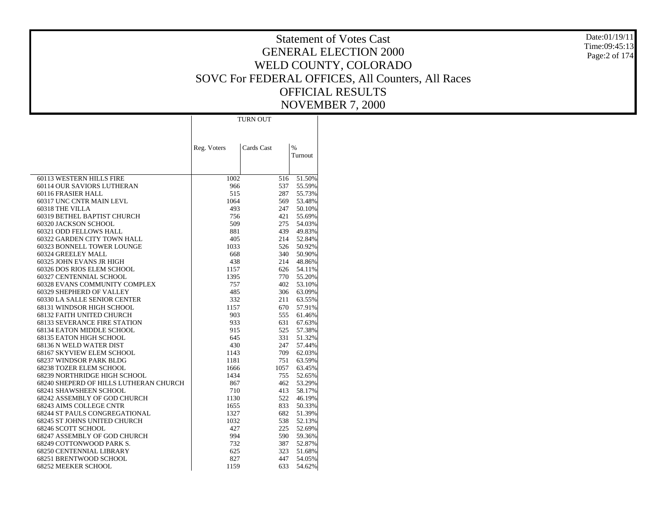Date:01/19/11 Time:09:45:13Page:2 of 174

|                                                                  |             | <b>TURN OUT</b> |                          |
|------------------------------------------------------------------|-------------|-----------------|--------------------------|
|                                                                  |             |                 |                          |
|                                                                  |             |                 |                          |
|                                                                  | Reg. Voters | Cards Cast      | $\frac{0}{6}$<br>Turnout |
|                                                                  |             |                 |                          |
|                                                                  |             |                 |                          |
| 60113 WESTERN HILLS FIRE                                         | 1002        | 516             | 51.50%                   |
| 60114 OUR SAVIORS LUTHERAN                                       | 966         | 537             | 55.59%                   |
| 60116 FRASIER HALL                                               | 515         | 287             | 55.73%                   |
| 60317 UNC CNTR MAIN LEVL                                         | 1064        | 569             | 53.48%                   |
| 60318 THE VILLA                                                  | 493         | 247             | 50.10%                   |
| 60319 BETHEL BAPTIST CHURCH                                      | 756         | 421             | 55.69%                   |
| 60320 JACKSON SCHOOL<br>60321 ODD FELLOWS HALL                   | 509         | 275             | 54.03%                   |
| 60322 GARDEN CITY TOWN HALL                                      | 881<br>405  | 439<br>214      | 49.83%<br>52.84%         |
| 60323 BONNELL TOWER LOUNGE                                       | 1033        | 526             | 50.92%                   |
| 60324 GREELEY MALL                                               | 668         | 340             | 50.90%                   |
| 60325 JOHN EVANS JR HIGH                                         | 438         | 214             | 48.86%                   |
| 60326 DOS RIOS ELEM SCHOOL                                       | 1157        | 626             | 54.11%                   |
| 60327 CENTENNIAL SCHOOL                                          | 1395        | 770             | 55.20%                   |
| 60328 EVANS COMMUNITY COMPLEX                                    | 757         | 402             | 53.10%                   |
| 60329 SHEPHERD OF VALLEY                                         | 485         | 306             | 63.09%                   |
| 60330 LA SALLE SENIOR CENTER                                     | 332         | 211             | 63.55%                   |
| 68131 WINDSOR HIGH SCHOOL                                        | 1157        | 670             | 57.91%                   |
| 68132 FAITH UNITED CHURCH                                        | 903         | 555             | 61.46%                   |
| <b>68133 SEVERANCE FIRE STATION</b>                              | 933         | 631             | 67.63%                   |
| 68134 EATON MIDDLE SCHOOL                                        | 915         | 525             | 57.38%                   |
| 68135 EATON HIGH SCHOOL                                          | 645         | 331             | 51.32%                   |
| 68136 N WELD WATER DIST                                          | 430         | 247             | 57.44%                   |
| 68167 SKYVIEW ELEM SCHOOL                                        | 1143        | 709             | 62.03%                   |
| 68237 WINDSOR PARK BLDG                                          | 1181        | 751             | 63.59%                   |
| 68238 TOZER ELEM SCHOOL                                          | 1666        | 1057            | 63.45%                   |
| 68239 NORTHRIDGE HIGH SCHOOL                                     | 1434        | 755             | 52.65%                   |
| 68240 SHEPERD OF HILLS LUTHERAN CHURCH<br>68241 SHAWSHEEN SCHOOL | 867<br>710  | 462<br>413      | 53.29%<br>58.17%         |
| 68242 ASSEMBLY OF GOD CHURCH                                     | 1130        | 522             | 46.19%                   |
| 68243 AIMS COLLEGE CNTR                                          | 1655        | 833             | 50.33%                   |
| 68244 ST PAULS CONGREGATIONAL                                    | 1327        | 682             | 51.39%                   |
| 68245 ST JOHNS UNITED CHURCH                                     | 1032        | 538             | 52.13%                   |
| 68246 SCOTT SCHOOL                                               | 427         | 225             | 52.69%                   |
| 68247 ASSEMBLY OF GOD CHURCH                                     | 994         | 590             | 59.36%                   |
| 68249 COTTONWOOD PARK S.                                         | 732         | 387             | 52.87%                   |
| 68250 CENTENNIAL LIBRARY                                         | 625         | 323             | 51.68%                   |
| 68251 BRENTWOOD SCHOOL                                           | 827         | 447             | 54.05%                   |
| 68252 MEEKER SCHOOL                                              | 1159        | 633             | 54.62%                   |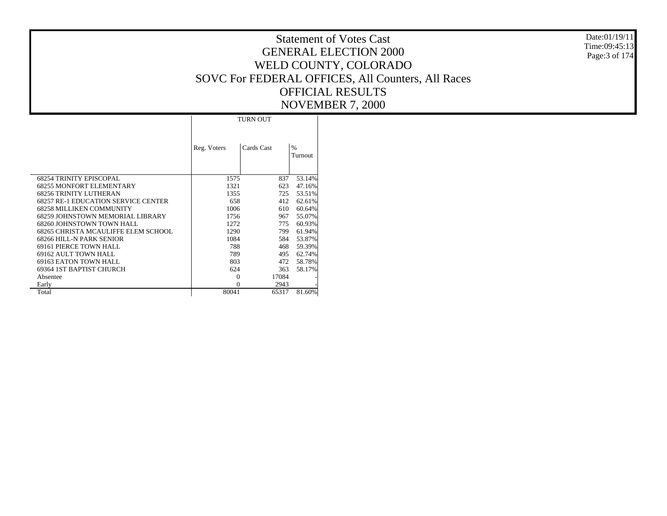|                                     |             |                 | 1 1 V 7 LIVI             |
|-------------------------------------|-------------|-----------------|--------------------------|
|                                     |             | <b>TURN OUT</b> |                          |
|                                     | Reg. Voters | Cards Cast      | $\frac{0}{0}$<br>Turnout |
| <b>68254 TRINITY EPISCOPAL</b>      | 1575        | 837             | 53.14%                   |
| 68255 MONFORT ELEMENTARY            | 1321        | 623             | 47.16%                   |
| 68256 TRINITY LUTHERAN              | 1355        | 725             | 53.51%                   |
| 68257 RE-1 EDUCATION SERVICE CENTER | 658         | 412             | 62.61%                   |
| 68258 MILLIKEN COMMUNITY            | 1006        | 610             | 60.64%                   |
| 68259 JOHNSTOWN MEMORIAL LIBRARY    | 1756        | 967             | 55.07%                   |
| 68260 JOHNSTOWN TOWN HALL           | 1272        | 775             | 60.93%                   |
| 68265 CHRISTA MCAULIFFE ELEM SCHOOL | 1290        | 799             | 61.94%                   |
| 68266 HILL-N PARK SENIOR            | 1084        | 584             | 53.87%                   |
| 69161 PIERCE TOWN HALL              | 788         | 468             | 59.39%                   |
| 69162 AULT TOWN HALL                | 789         | 495             | 62.74%                   |
| 69163 EATON TOWN HALL               | 803         | 472             | 58.78%                   |
| 69364 IST BAPTIST CHURCH            | 624         | 363             | 58.17%                   |
| Absentee                            | $\Omega$    | 17084           |                          |
| Early                               | $\Omega$    | 2943            |                          |
| Total                               | 80041       | 65317           | 81.60%                   |

Date:01/19/11 Time:09:45:13 Page:3 of 174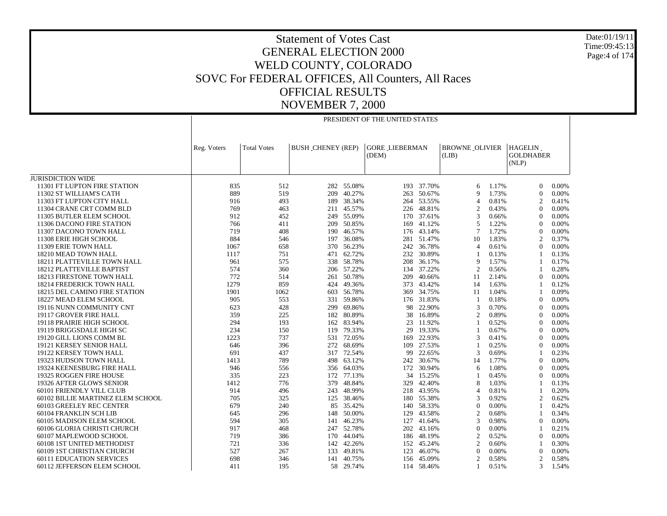Date:01/19/11 Time:09:45:13 Page:4 of 174

|                                      |             | PRESIDENT OF THE UNITED STATES |                          |            |                                |            |                                |       |                                      |          |  |  |
|--------------------------------------|-------------|--------------------------------|--------------------------|------------|--------------------------------|------------|--------------------------------|-------|--------------------------------------|----------|--|--|
|                                      | Reg. Voters | <b>Total Votes</b>             | <b>BUSH_CHENEY (REP)</b> |            | <b>GORE LIEBERMAN</b><br>(DEM) |            | <b>BROWNE OLIVIER</b><br>(LIB) |       | HAGELIN<br><b>GOLDHABER</b><br>(NLP) |          |  |  |
| JURISDICTION WIDE                    |             |                                |                          |            |                                |            |                                |       |                                      |          |  |  |
| 11301 FT LUPTON FIRE STATION         | 835         | 512                            |                          | 282 55.08% | 193                            | 37.70%     | 6                              | 1.17% | $\Omega$                             | 0.00%    |  |  |
| 11302 ST WILLIAM'S CATH              | 889         | 519                            | 209                      | 40.27%     | 263                            | 50.67%     | 9                              | 1.73% | $\theta$                             | 0.00%    |  |  |
| 11303 FT LUPTON CITY HALL            | 916         | 493                            | 189                      | 38.34%     | 264                            | 53.55%     | $\overline{4}$                 | 0.81% | 2                                    | 0.41%    |  |  |
| 11304 CRANE CRT COMM BLD             | 769         | 463                            |                          | 211 45.57% | 226                            | 48.81%     | $\overline{2}$                 | 0.43% | $\Omega$                             | 0.00%    |  |  |
| 11305 BUTLER ELEM SCHOOL             | 912         | 452                            |                          | 249 55.09% | 170                            | 37.61%     | 3                              | 0.66% | $\theta$                             | 0.00%    |  |  |
| 11306 DACONO FIRE STATION            | 766         | 411                            | 209                      | 50.85%     | 169                            | 41.12%     | 5                              | 1.22% | $\Omega$                             | 0.00%    |  |  |
| 11307 DACONO TOWN HALL               | 719         | 408                            |                          | 190 46.57% |                                | 176 43.14% | 7                              | 1.72% | $\theta$                             | 0.00%    |  |  |
| 11308 ERIE HIGH SCHOOL               | 884         | 546                            | 197                      | 36.08%     | 281                            | 51.47%     | 10                             | 1.83% | $\overline{2}$                       | 0.37%    |  |  |
| 11309 ERIE TOWN HALL                 | 1067        | 658                            |                          | 370 56.23% |                                | 242 36.78% | $\overline{4}$                 | 0.61% | $\Omega$                             | 0.00%    |  |  |
| 18210 MEAD TOWN HALL                 | 1117        | 751                            | 471                      | 62.72%     | 232                            | 30.89%     | $\overline{1}$                 | 0.13% | -1                                   | 0.13%    |  |  |
| 18211 PLATTEVILLE TOWN HALL          | 961         | 575                            |                          | 338 58.78% | 208                            | 36.17%     | 9                              | 1.57% | $\mathbf{1}$                         | 0.17%    |  |  |
| 18212 PLATTEVILLE BAPTIST            | 574         | 360                            |                          | 206 57.22% | 134                            | 37.22%     | $\mathcal{P}$                  | 0.56% |                                      | 0.28%    |  |  |
| 18213 FIRESTONE TOWN HALL            | 772         | 514                            | 261                      | 50.78%     | 209                            | 40.66%     | 11                             | 2.14% | $\Omega$                             | 0.00%    |  |  |
| 18214 FREDERICK TOWN HALL            | 1279        | 859                            |                          | 424 49.36% | 373                            | 43.42%     | 14                             | 1.63% |                                      | 0.12%    |  |  |
| <b>18215 DEL CAMINO FIRE STATION</b> | 1901        | 1062                           | 603                      | 56.78%     | 369                            | 34.75%     | 11                             | 1.04% |                                      | 0.09%    |  |  |
| 18227 MEAD ELEM SCHOOL               | 905         | 553                            | 331                      | 59.86%     | 176                            | 31.83%     | -1                             | 0.18% | $\Omega$                             | 0.00%    |  |  |
| 19116 NUNN COMMUNITY CNT             | 623         | 428                            | 299                      | 69.86%     | 98                             | 22.90%     | 3                              | 0.70% | $\theta$                             | 0.00%    |  |  |
| 19117 GROVER FIRE HALL               | 359         | 225                            | 182                      | 80.89%     | 38                             | 16.89%     | $\overline{2}$                 | 0.89% | $\theta$                             | 0.00%    |  |  |
| 19118 PRAIRIE HIGH SCHOOL            | 294         | 193                            |                          | 162 83.94% | 23                             | 11.92%     |                                | 0.52% | $\Omega$                             | 0.00%    |  |  |
| 19119 BRIGGSDALE HIGH SC             | 234         | 150                            | 119                      | 79.33%     | 29                             | 19.33%     | -1                             | 0.67% | $\theta$                             | 0.00%    |  |  |
| 19120 GILL LIONS COMM BL             | 1223        | 737                            | 531                      | 72.05%     | 169                            | 22.93%     | 3                              | 0.41% | $\Omega$                             | 0.00%    |  |  |
| 19121 KERSEY SENIOR HALL             | 646         | 396                            | 272                      | 68.69%     | 109                            | 27.53%     | $\overline{1}$                 | 0.25% | $\Omega$                             | 0.00%    |  |  |
| 19122 KERSEY TOWN HALL               | 691         | 437                            | 317                      | 72.54%     | 99                             | 22.65%     | 3                              | 0.69% |                                      | 0.23%    |  |  |
| 19323 HUDSON TOWN HALL               | 1413        | 789                            |                          | 498 63.12% |                                | 242 30.67% | 14                             | 1.77% | $\Omega$                             | 0.00%    |  |  |
| 19324 KEENESBURG FIRE HALL           | 946         | 556                            | 356                      | 64.03%     | 172                            | 30.94%     | 6                              | 1.08% | $\Omega$                             | 0.00%    |  |  |
| 19325 ROGGEN FIRE HOUSE              | 335         | 223                            | 172                      | 77.13%     | 34                             | 15.25%     | $\overline{1}$                 | 0.45% | $\Omega$                             | 0.00%    |  |  |
| 19326 AFTER GLOWS SENIOR             | 1412        | 776                            | 379                      | 48.84%     | 329                            | 42.40%     | 8                              | 1.03% |                                      | 0.13%    |  |  |
| 60101 FRIENDLY VILL CLUB             | 914         | 496                            | 243                      | 48.99%     | 218                            | 43.95%     | $\overline{4}$                 | 0.81% |                                      | 0.20%    |  |  |
| 60102 BILLIE MARTINEZ ELEM SCHOOL    | 705         | 325                            |                          | 125 38.46% |                                | 180 55.38% | 3                              | 0.92% | 2                                    | 0.62%    |  |  |
| 60103 GREELEY REC CENTER             | 679         | 240                            | 85                       | 35.42%     | 140                            | 58.33%     | $\overline{0}$                 | 0.00% | -1                                   | 0.42%    |  |  |
| 60104 FRANKLIN SCH LIB               | 645         | 296                            | 148                      | 50.00%     | 129                            | 43.58%     | $\overline{2}$                 | 0.68% |                                      | 0.34%    |  |  |
| 60105 MADISON ELEM SCHOOL            | 594         | 305                            | 141                      | 46.23%     | 127                            | 41.64%     | 3                              | 0.98% | $\overline{0}$                       | 0.00%    |  |  |
| 60106 GLORIA CHRISTI CHURCH          | 917         | 468                            | 247                      | 52.78%     | 202                            | 43.16%     | $\Omega$                       | 0.00% |                                      | 0.21%    |  |  |
| 60107 MAPLEWOOD SCHOOL               | 719         | 386                            | 170                      | 44.04%     | 186                            | 48.19%     | $\overline{2}$                 | 0.52% | $\theta$                             | 0.00%    |  |  |
| 60108 1ST UNITED METHODIST           | 721         | 336                            | 142                      | 42.26%     |                                | 152 45.24% | $\overline{2}$                 | 0.60% | -1                                   | 0.30%    |  |  |
| 60109 1ST CHRISTIAN CHURCH           | 527         | 267                            | 133                      | 49.81%     | 123                            | 46.07%     | $\Omega$                       | 0.00% | $\Omega$                             | $0.00\%$ |  |  |
| <b>60111 EDUCATION SERVICES</b>      | 698         | 346                            |                          | 141 40.75% |                                | 156 45.09% | $\overline{2}$                 | 0.58% | 2                                    | 0.58%    |  |  |
| 60112 JEFFERSON ELEM SCHOOL          | 411         | 195                            | 58                       | 29.74%     |                                | 114 58.46% | $\mathbf{1}$                   | 0.51% | 3                                    | 1.54%    |  |  |
|                                      |             |                                |                          |            |                                |            |                                |       |                                      |          |  |  |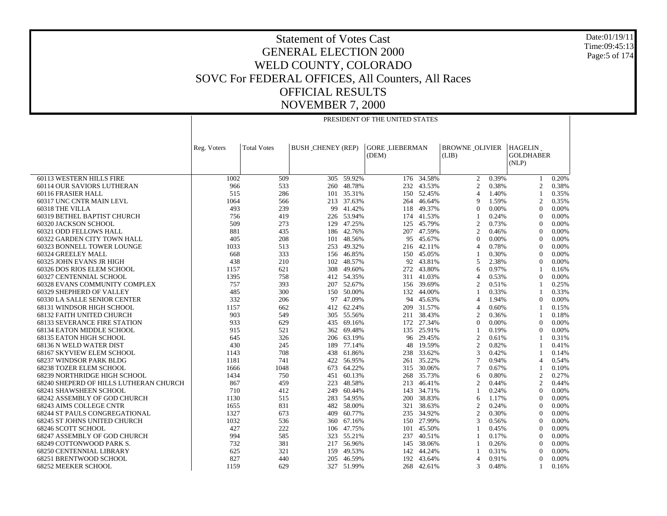Date:01/19/11 Time:09:45:13Page:5 of 174

|                                        | PRESIDENT OF THE UNITED STATES |                    |                          |                 |                                |            |                                |       |                                      |       |
|----------------------------------------|--------------------------------|--------------------|--------------------------|-----------------|--------------------------------|------------|--------------------------------|-------|--------------------------------------|-------|
|                                        |                                |                    |                          |                 |                                |            |                                |       |                                      |       |
|                                        | Reg. Voters                    | <b>Total Votes</b> | <b>BUSH_CHENEY (REP)</b> |                 | <b>GORE LIEBERMAN</b><br>(DEM) |            | <b>BROWNE OLIVIER</b><br>(LIB) |       | HAGELIN<br><b>GOLDHABER</b><br>(NLP) |       |
| 60113 WESTERN HILLS FIRE               | 1002                           | 509                |                          | $305 - 59.92\%$ | 176                            | 34.58%     | 2                              | 0.39% | 1                                    | 0.20% |
| 60114 OUR SAVIORS LUTHERAN             | 966                            | 533                |                          | 260 48.78%      |                                | 232 43.53% | $\overline{2}$                 | 0.38% | 2                                    | 0.38% |
| 60116 FRASIER HALL                     | 515                            | 286                |                          | 101 35.31%      | 150                            | 52.45%     | $\overline{4}$                 | 1.40% | $\mathbf{1}$                         | 0.35% |
| 60317 UNC CNTR MAIN LEVL               | 1064                           | 566                |                          | 213 37.63%      | 264                            | 46.64%     | 9                              | 1.59% | 2                                    | 0.35% |
| 60318 THE VILLA                        | 493                            | 239                | 99                       | 41.42%          | 118                            | 49.37%     | $\theta$                       | 0.00% | $\theta$                             | 0.00% |
| 60319 BETHEL BAPTIST CHURCH            | 756                            | 419                |                          | 226 53.94%      | 174                            | 41.53%     | $\overline{1}$                 | 0.24% | $\Omega$                             | 0.00% |
| 60320 JACKSON SCHOOL                   | 509                            | 273                |                          | 129 47.25%      |                                | 125 45.79% | $\overline{2}$                 | 0.73% | $\theta$                             | 0.00% |
| 60321 ODD FELLOWS HALL                 | 881                            | 435                |                          | 186 42.76%      | 207                            | 47.59%     | 2                              | 0.46% | $\theta$                             | 0.00% |
| 60322 GARDEN CITY TOWN HALL            | 405                            | 208                |                          | 101 48.56%      | 95                             | 45.67%     | $\Omega$                       | 0.00% | $\mathbf{0}$                         | 0.00% |
| 60323 BONNELL TOWER LOUNGE             | 1033                           | 513                | 253                      | 49.32%          | 216                            | 42.11%     | $\overline{4}$                 | 0.78% | $\theta$                             | 0.00% |
| 60324 GREELEY MALL                     | 668                            | 333                |                          | 156 46.85%      | 150                            | 45.05%     | $\overline{1}$                 | 0.30% | $\Omega$                             | 0.00% |
| 60325 JOHN EVANS JR HIGH               | 438                            | 210                | 102                      | 48.57%          |                                | 92 43.81%  | 5                              | 2.38% | $\Omega$                             | 0.00% |
| 60326 DOS RIOS ELEM SCHOOL             | 1157                           | 621                | 308                      | 49.60%          | 272                            | 43.80%     | 6                              | 0.97% | $\overline{1}$                       | 0.16% |
| 60327 CENTENNIAL SCHOOL                | 1395                           | 758                |                          | 412 54.35%      |                                | 311 41.03% | $\overline{4}$                 | 0.53% | $\overline{0}$                       | 0.00% |
| 60328 EVANS COMMUNITY COMPLEX          | 757                            | 393                | 207                      | 52.67%          | 156                            | 39.69%     | $\overline{2}$                 | 0.51% | $\overline{1}$                       | 0.25% |
| 60329 SHEPHERD OF VALLEY               | 485                            | 300                |                          | 150 50.00%      |                                | 132 44.00% | $\overline{1}$                 | 0.33% | $\overline{1}$                       | 0.33% |
| 60330 LA SALLE SENIOR CENTER           | 332                            | 206                | 97                       | 47.09%          | 94                             | 45.63%     | $\overline{4}$                 | 1.94% | $\theta$                             | 0.00% |
| 68131 WINDSOR HIGH SCHOOL              | 1157                           | 662                | 412                      | 62.24%          | 209                            | 31.57%     | $\overline{4}$                 | 0.60% | $\overline{1}$                       | 0.15% |
| <b>68132 FAITH UNITED CHURCH</b>       | 903                            | 549                |                          | 305 55.56%      | 211                            | 38.43%     | $\overline{2}$                 | 0.36% | -1                                   | 0.18% |
| <b>68133 SEVERANCE FIRE STATION</b>    | 933                            | 629                | 435                      | 69.16%          | 172                            | 27.34%     | $\overline{0}$                 | 0.00% | $\mathbf{0}$                         | 0.00% |
| 68134 EATON MIDDLE SCHOOL              | 915                            | 521                |                          | 362 69.48%      |                                | 135 25.91% | $\overline{1}$                 | 0.19% | $\Omega$                             | 0.00% |
| 68135 EATON HIGH SCHOOL                | 645                            | 326                | 206                      | 63.19%          | 96                             | 29.45%     | $\overline{2}$                 | 0.61% | -1                                   | 0.31% |
| 68136 N WELD WATER DIST                | 430                            | 245                | 189                      | 77.14%          | 48                             | 19.59%     | $\overline{2}$                 | 0.82% |                                      | 0.41% |
| 68167 SKYVIEW ELEM SCHOOL              | 1143                           | 708                | 438                      | 61.86%          | 238                            | 33.62%     | 3                              | 0.42% | $\overline{1}$                       | 0.14% |
| 68237 WINDSOR PARK BLDG                | 1181                           | 741                | 422                      | 56.95%          | 261                            | 35.22%     | $\overline{7}$                 | 0.94% | $\overline{4}$                       | 0.54% |
| <b>68238 TOZER ELEM SCHOOL</b>         | 1666                           | 1048               |                          | 673 64.22%      |                                | 315 30.06% | $\overline{7}$                 | 0.67% |                                      | 0.10% |
| 68239 NORTHRIDGE HIGH SCHOOL           | 1434                           | 750                | 451                      | 60.13%          | 268                            | 35.73%     | 6                              | 0.80% | $\boldsymbol{2}$                     | 0.27% |
| 68240 SHEPERD OF HILLS LUTHERAN CHURCH | 867                            | 459                | 223                      | 48.58%          | 213                            | 46.41%     | $\overline{2}$                 | 0.44% | 2                                    | 0.44% |
| <b>68241 SHAWSHEEN SCHOOL</b>          | 710                            | 412                | 249                      | 60.44%          | 143                            | 34.71%     | $\overline{1}$                 | 0.24% | $\theta$                             | 0.00% |
| 68242 ASSEMBLY OF GOD CHURCH           | 1130                           | 515                | 283                      | 54.95%          | 200                            | 38.83%     | 6                              | 1.17% | $\Omega$                             | 0.00% |
| 68243 AIMS COLLEGE CNTR                | 1655                           | 831                |                          | 482 58.00%      | 321                            | 38.63%     | $\overline{2}$                 | 0.24% | $\theta$                             | 0.00% |
| <b>68244 ST PAULS CONGREGATIONAL</b>   | 1327                           | 673                | 409                      | 60.77%          | 235                            | 34.92%     | $\overline{c}$                 | 0.30% | $\Omega$                             | 0.00% |
| 68245 ST JOHNS UNITED CHURCH           | 1032                           | 536                |                          | 360 67.16%      |                                | 150 27.99% | 3                              | 0.56% | $\Omega$                             | 0.00% |
| 68246 SCOTT SCHOOL                     | 427                            | 222                | 106                      | 47.75%          | 101                            | 45.50%     | $\overline{1}$                 | 0.45% | $\theta$                             | 0.00% |
| 68247 ASSEMBLY OF GOD CHURCH           | 994                            | 585                | 323                      | 55.21%          | 237                            | 40.51%     |                                | 0.17% | $\Omega$                             | 0.00% |
| 68249 COTTONWOOD PARK S.               | 732                            | 381                |                          | 217 56.96%      | 145                            | 38.06%     | $\overline{1}$                 | 0.26% | $\theta$                             | 0.00% |
| 68250 CENTENNIAL LIBRARY               | 625                            | 321                | 159                      | 49.53%          | 142                            | 44.24%     | $\mathbf{1}$                   | 0.31% | $\theta$                             | 0.00% |
| 68251 BRENTWOOD SCHOOL                 | 827                            | 440                |                          | 205 46.59%      | 192                            | 43.64%     | $\overline{4}$                 | 0.91% | $\Omega$                             | 0.00% |
| <b>68252 MEEKER SCHOOL</b>             | 1159                           | 629                |                          | 327 51.99%      |                                | 268 42.61% | 3                              | 0.48% | -1                                   | 0.16% |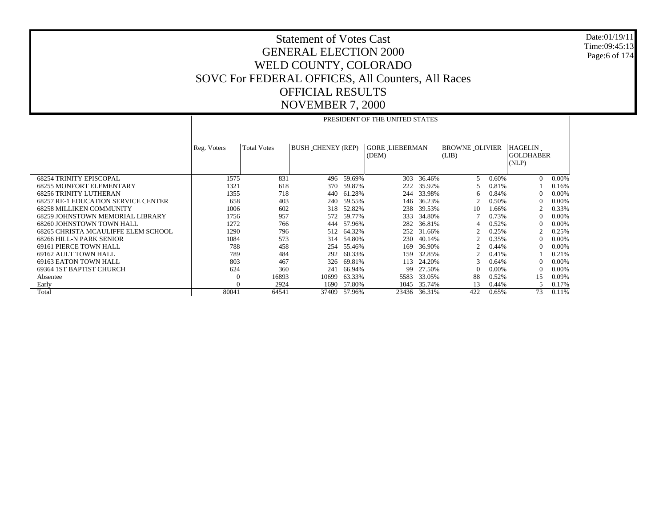Date:01/19/11 Time:09:45:13 Page:6 of 174

|                                            | PRESIDENT OF THE UNITED STATES |                    |                          |              |                       |              |                       |       |                           |       |  |
|--------------------------------------------|--------------------------------|--------------------|--------------------------|--------------|-----------------------|--------------|-----------------------|-------|---------------------------|-------|--|
|                                            |                                |                    |                          |              |                       |              |                       |       |                           |       |  |
|                                            | Reg. Voters                    | <b>Total Votes</b> | <b>BUSH_CHENEY (REP)</b> |              | <b>GORE LIEBERMAN</b> |              | <b>BROWNE OLIVIER</b> |       | <b>HAGELIN</b>            |       |  |
|                                            |                                |                    |                          |              | (DEM)                 |              | (LIB)                 |       | <b>GOLDHABER</b><br>(NLP) |       |  |
|                                            |                                |                    |                          |              |                       |              |                       |       |                           |       |  |
| <b>68254 TRINITY EPISCOPAL</b>             | 1575                           | 831                |                          | 496 59.69%   | 303                   | 36.46%       | .5                    | 0.60% | $\Omega$                  | 0.00% |  |
| <b>68255 MONFORT ELEMENTARY</b>            | 1321                           | 618                | 370                      | 59.87%       | 222                   | 35.92%       |                       | 0.81% |                           | 0.16% |  |
| <b>68256 TRINITY LUTHERAN</b>              | 1355                           | 718                | 440                      | 61.28%       | 244                   | 33.98%       | 6                     | 0.84% | $\left($                  | 0.00% |  |
| <b>68257 RE-1 EDUCATION SERVICE CENTER</b> | 658                            | 403                | 240                      | 59.55%       | 146                   | 36.23%       |                       | 0.50% | $\Omega$                  | 0.00% |  |
| <b>68258 MILLIKEN COMMUNITY</b>            | 1006                           | 602                | 318                      | 52.82%       | 238                   | 39.53%       | 10                    | 1.66% |                           | 0.33% |  |
| 68259 JOHNSTOWN MEMORIAL LIBRARY           | 1756                           | 957                | 572                      | 59.77%       | 333                   | 34.80%       |                       | 0.73% | $\left($                  | 0.00% |  |
| 68260 JOHNSTOWN TOWN HALL                  | 1272                           | 766                |                          | 444 57.96%   | 282                   | 36.81%       |                       | 0.52% | $\Omega$                  | 0.00% |  |
| 68265 CHRISTA MCAULIFFE ELEM SCHOOL        | 1290                           | 796                |                          | 512 64.32%   |                       | 252 31.66%   |                       | 0.25% |                           | 0.25% |  |
| 68266 HILL-N PARK SENIOR                   | 1084                           | 573                |                          | 314 54.80%   | 230                   | 40.14%       |                       | 0.35% | $\Omega$                  | 0.00% |  |
| 69161 PIERCE TOWN HALL                     | 788                            | 458                |                          | 254 55.46%   | 169                   | 36.90%       |                       | 0.44% | $\Omega$                  | 0.00% |  |
| 69162 AULT TOWN HALL                       | 789                            | 484                | 292                      | 60.33%       | 159                   | 32.85%       |                       | 0.41% |                           | 0.21% |  |
| 69163 EATON TOWN HALL                      | 803                            | 467                | 326                      | 69.81%       | 113                   | 24.20%       |                       | 0.64% | $\left($                  | 0.00% |  |
| 69364 IST BAPTIST CHURCH                   | 624                            | 360                | 241                      | 66.94%       | 99                    | 27.50%       | $\Omega$              | 0.00% | $\Omega$                  | 0.00% |  |
| Absentee                                   | $\theta$                       | 16893              | 10699                    | 63.33%       | 5583                  | 33.05%       | 88                    | 0.52% | 15                        | 0.09% |  |
| Early                                      | $\Omega$                       | 2924               | 1690                     | 57.80%       |                       | 1045 35.74%  | 13                    | 0.44% | 5                         | 0.17% |  |
| Total                                      | 80041                          | 64541              |                          | 37409 57.96% |                       | 23436 36.31% | 422                   | 0.65% | 73                        | 0.11% |  |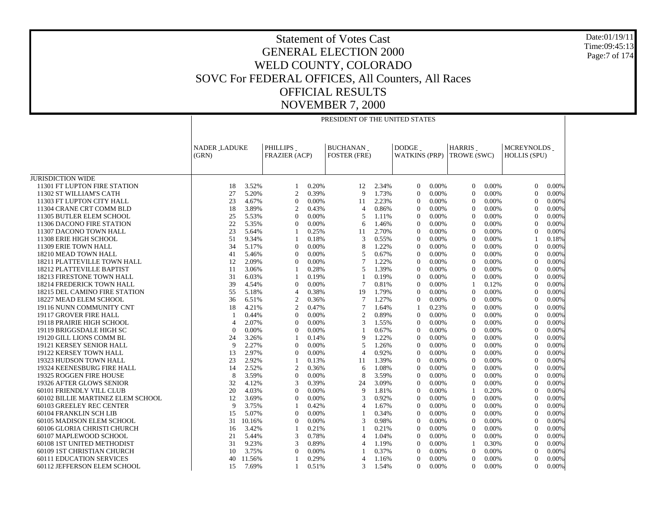|                                   | PRESIDENT OF THE UNITED STATES |                     |                  |                                                                            |                 |       |                                      |          |                  |             |                                    |       |
|-----------------------------------|--------------------------------|---------------------|------------------|----------------------------------------------------------------------------|-----------------|-------|--------------------------------------|----------|------------------|-------------|------------------------------------|-------|
|                                   | (GRN)                          | <b>NADER LADUKE</b> |                  | <b>PHILLIPS</b><br><b>BUCHANAN</b><br>FRAZIER (ACP)<br><b>FOSTER (FRE)</b> |                 |       | <b>DODGE</b><br><b>WATKINS (PRP)</b> |          |                  | TROWE (SWC) | MCREYNOLDS_<br><b>HOLLIS (SPU)</b> |       |
| <b>JURISDICTION WIDE</b>          |                                |                     |                  |                                                                            |                 |       |                                      |          |                  |             |                                    |       |
| 11301 FT LUPTON FIRE STATION      | 18                             | 3.52%               | 1                | 0.20%                                                                      | 12              | 2.34% | $\overline{0}$                       | 0.00%    | $\overline{0}$   | 0.00%       | $\Omega$                           | 0.00% |
| 11302 ST WILLIAM'S CATH           | 27                             | 5.20%               | $\overline{c}$   | 0.39%                                                                      | 9               | 1.73% | $\overline{0}$                       | 0.00%    | $\mathbf{0}$     | 0.00%       | $\Omega$                           | 0.00% |
| 11303 FT LUPTON CITY HALL         | 23                             | 4.67%               | $\mathbf{0}$     | 0.00%                                                                      | 11              | 2.23% | $\theta$                             | 0.00%    | $\mathbf{0}$     | 0.00%       | $\Omega$                           | 0.00% |
| 11304 CRANE CRT COMM BLD          | 18                             | 3.89%               | 2                | 0.43%                                                                      | $\overline{4}$  | 0.86% | $\overline{0}$                       | 0.00%    | $\mathbf{0}$     | 0.00%       | $\Omega$                           | 0.00% |
| 11305 BUTLER ELEM SCHOOL          | 25                             | 5.53%               | $\mathbf{0}$     | 0.00%                                                                      | 5               | 1.11% | $\overline{0}$                       | 0.00%    | $\mathbf{0}$     | 0.00%       | $\Omega$                           | 0.00% |
| 11306 DACONO FIRE STATION         | 22                             | 5.35%               | $\mathbf{0}$     | $0.00\%$                                                                   | 6               | 1.46% | $\theta$                             | 0.00%    | $\mathbf{0}$     | 0.00%       | $\overline{0}$                     | 0.00% |
| 11307 DACONO TOWN HALL            | 23                             | 5.64%               | $\mathbf{1}$     | 0.25%                                                                      | 11              | 2.70% | $\theta$                             | 0.00%    | $\mathbf{0}$     | 0.00%       | $\Omega$                           | 0.00% |
| 11308 ERIE HIGH SCHOOL            | 51                             | 9.34%               | 1                | 0.18%                                                                      | 3               | 0.55% | $\overline{0}$                       | 0.00%    | $\mathbf{0}$     | 0.00%       |                                    | 0.18% |
| 11309 ERIE TOWN HALL              | 34                             | 5.17%               | $\boldsymbol{0}$ | 0.00%                                                                      | 8               | 1.22% | $\mathbf{0}$                         | 0.00%    | $\boldsymbol{0}$ | 0.00%       | $\overline{0}$                     | 0.00% |
| 18210 MEAD TOWN HALL              | 41                             | 5.46%               | $\Omega$         | 0.00%                                                                      | 5               | 0.67% | $\Omega$                             | $0.00\%$ | $\mathbf{0}$     | 0.00%       | $\Omega$                           | 0.00% |
| 18211 PLATTEVILLE TOWN HALL       | 12                             | 2.09%               | $\overline{0}$   | 0.00%                                                                      | 7               | 1.22% | $\mathbf{0}$                         | 0.00%    | $\mathbf{0}$     | 0.00%       | $\Omega$                           | 0.00% |
| 18212 PLATTEVILLE BAPTIST         | 11                             | 3.06%               | 1                | 0.28%                                                                      | 5               | 1.39% | $\mathbf{0}$                         | 0.00%    | $\mathbf{0}$     | 0.00%       | $\overline{0}$                     | 0.00% |
| 18213 FIRESTONE TOWN HALL         | 31                             | 6.03%               | -1               | 0.19%                                                                      | $\mathbf{1}$    | 0.19% | $\overline{0}$                       | 0.00%    | $\Omega$         | 0.00%       | $\Omega$                           | 0.00% |
| 18214 FREDERICK TOWN HALL         | 39                             | 4.54%               | $\mathbf{0}$     | 0.00%                                                                      | 7               | 0.81% | $\overline{0}$                       | 0.00%    | -1               | 0.12%       | $\Omega$                           | 0.00% |
| 18215 DEL CAMINO FIRE STATION     | 55                             | 5.18%               | $\overline{4}$   | 0.38%                                                                      | 19              | 1.79% | $\theta$                             | 0.00%    | $\mathbf{0}$     | 0.00%       | $\theta$                           | 0.00% |
| 18227 MEAD ELEM SCHOOL            | 36                             | 6.51%               | 2                | 0.36%                                                                      | $7\phantom{.0}$ | 1.27% | $\overline{0}$                       | 0.00%    | $\mathbf{0}$     | 0.00%       | $\Omega$                           | 0.00% |
| 19116 NUNN COMMUNITY CNT          | 18                             | 4.21%               | $\overline{c}$   | 0.47%                                                                      | $7\phantom{.0}$ | 1.64% | -1                                   | 0.23%    | $\mathbf{0}$     | 0.00%       | $\Omega$                           | 0.00% |
| 19117 GROVER FIRE HALL            | -1                             | 0.44%               | $\mathbf{0}$     | 0.00%                                                                      | $\overline{2}$  | 0.89% | $\mathbf{0}$                         | 0.00%    | $\mathbf{0}$     | 0.00%       | $\overline{0}$                     | 0.00% |
| 19118 PRAIRIE HIGH SCHOOL         | $\overline{4}$                 | 2.07%               | $\mathbf{0}$     | 0.00%                                                                      | 3               | 1.55% | $\theta$                             | 0.00%    | $\mathbf{0}$     | 0.00%       | $\Omega$                           | 0.00% |
| 19119 BRIGGSDALE HIGH SC          | $\Omega$                       | 0.00%               | $\overline{0}$   | 0.00%                                                                      | -1              | 0.67% | $\overline{0}$                       | 0.00%    | $\mathbf{0}$     | 0.00%       | $\Omega$                           | 0.00% |
| 19120 GILL LIONS COMM BL          | 24                             | 3.26%               | 1                | 0.14%                                                                      | 9               | 1.22% | $\mathbf{0}$                         | 0.00%    | $\boldsymbol{0}$ | 0.00%       | $\overline{0}$                     | 0.00% |
| 19121 KERSEY SENIOR HALL          | 9                              | 2.27%               | $\Omega$         | 0.00%                                                                      | 5               | 1.26% | $\Omega$                             | 0.00%    | $\mathbf{0}$     | 0.00%       | $\Omega$                           | 0.00% |
| 19122 KERSEY TOWN HALL            | 13                             | 2.97%               | $\overline{0}$   | 0.00%                                                                      | $\overline{4}$  | 0.92% | $\mathbf{0}$                         | 0.00%    | $\mathbf{0}$     | 0.00%       | $\Omega$                           | 0.00% |
| 19323 HUDSON TOWN HALL            | 23                             | 2.92%               | 1                | 0.13%                                                                      | 11              | 1.39% | $\mathbf{0}$                         | 0.00%    | $\mathbf{0}$     | 0.00%       | $\overline{0}$                     | 0.00% |
| 19324 KEENESBURG FIRE HALL        | 14                             | 2.52%               | $\overline{c}$   | 0.36%                                                                      | 6               | 1.08% | $\overline{0}$                       | 0.00%    | $\mathbf{0}$     | 0.00%       | $\Omega$                           | 0.00% |
| 19325 ROGGEN FIRE HOUSE           | 8                              | 3.59%               | $\overline{0}$   | 0.00%                                                                      | 8               | 3.59% | $\overline{0}$                       | 0.00%    | $\mathbf{0}$     | 0.00%       | $\Omega$                           | 0.00% |
| 19326 AFTER GLOWS SENIOR          | 32                             | 4.12%               | 3                | 0.39%                                                                      | 24              | 3.09% | $\theta$                             | 0.00%    | $\mathbf{0}$     | 0.00%       | $\Omega$                           | 0.00% |
| 60101 FRIENDLY VILL CLUB          | 20                             | 4.03%               | $\overline{0}$   | 0.00%                                                                      | 9               | 1.81% | $\overline{0}$                       | 0.00%    | 1                | 0.20%       | $\Omega$                           | 0.00% |
| 60102 BILLIE MARTINEZ ELEM SCHOOL | 12                             | 3.69%               | $\mathbf{0}$     | 0.00%                                                                      | 3               | 0.92% | $\overline{0}$                       | 0.00%    | $\Omega$         | 0.00%       | $\Omega$                           | 0.00% |
| 60103 GREELEY REC CENTER          | 9                              | 3.75%               | 1                | 0.42%                                                                      | $\overline{4}$  | 1.67% | $\mathbf{0}$                         | 0.00%    | $\mathbf{0}$     | 0.00%       | $\overline{0}$                     | 0.00% |
| 60104 FRANKLIN SCH LIB            | 15                             | 5.07%               | $\mathbf{0}$     | 0.00%                                                                      | $\overline{1}$  | 0.34% | $\theta$                             | 0.00%    | $\mathbf{0}$     | 0.00%       | $\Omega$                           | 0.00% |
| 60105 MADISON ELEM SCHOOL         | 31                             | 10.16%              | $\overline{0}$   | 0.00%                                                                      | 3               | 0.98% | $\overline{0}$                       | 0.00%    | $\mathbf{0}$     | 0.00%       | $\Omega$                           | 0.00% |
| 60106 GLORIA CHRISTI CHURCH       | 16                             | 3.42%               | 1                | 0.21%                                                                      | $\mathbf{1}$    | 0.21% | $\mathbf{0}$                         | 0.00%    | $\mathbf{0}$     | 0.00%       | $\overline{0}$                     | 0.00% |
| 60107 MAPLEWOOD SCHOOL            | 21                             | 5.44%               | 3                | 0.78%                                                                      | $\overline{4}$  | 1.04% | $\Omega$                             | $0.00\%$ | $\mathbf{0}$     | 0.00%       | $\Omega$                           | 0.00% |
| 60108 1ST UNITED METHODIST        | 31                             | 9.23%               | 3                | 0.89%                                                                      | $\overline{4}$  | 1.19% | $\mathbf{0}$                         | 0.00%    | 1                | 0.30%       | $\theta$                           | 0.00% |
| 60109 1ST CHRISTIAN CHURCH        | 10                             | 3.75%               | $\mathbf{0}$     | 0.00%                                                                      | 1               | 0.37% | $\mathbf{0}$                         | 0.00%    | $\mathbf{0}$     | 0.00%       | $\theta$                           | 0.00% |
| <b>60111 EDUCATION SERVICES</b>   | 40                             | 11.56%              | 1                | 0.29%                                                                      | $\overline{4}$  | 1.16% | $\overline{0}$                       | 0.00%    | $\Omega$         | 0.00%       | $\Omega$                           | 0.00% |
| 60112 JEFFERSON ELEM SCHOOL       | 15                             | 7.69%               | $\mathbf{1}$     | 0.51%                                                                      | 3               | 1.54% | $\overline{0}$                       | 0.00%    | $\mathbf{0}$     | 0.00%       | $\Omega$                           | 0.00% |

Date:01/19/11 Time:09:45:13Page:7 of 174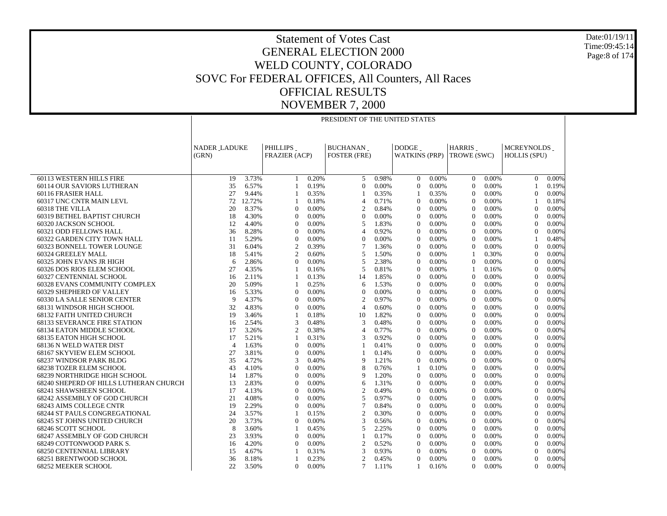Date:01/19/11 Time:09:45:14Page:8 of 174

|                                                                        | PRESIDENT OF THE UNITED STATES |                |                                |                |                                        |                |                                      |                |                       |                |                                   |                |
|------------------------------------------------------------------------|--------------------------------|----------------|--------------------------------|----------------|----------------------------------------|----------------|--------------------------------------|----------------|-----------------------|----------------|-----------------------------------|----------------|
|                                                                        |                                |                |                                |                |                                        |                |                                      |                |                       |                |                                   |                |
|                                                                        |                                |                |                                |                |                                        |                |                                      |                |                       |                |                                   |                |
|                                                                        | <b>NADER LADUKE</b><br>(GRN)   |                | PHILLIPS<br>FRAZIER (ACP)      |                | <b>BUCHANAN</b><br><b>FOSTER (FRE)</b> |                | <b>DODGE</b><br><b>WATKINS (PRP)</b> |                | HARRIS<br>TROWE (SWC) |                | MCREYNOLDS<br><b>HOLLIS (SPU)</b> |                |
|                                                                        |                                |                |                                |                |                                        |                |                                      |                |                       |                |                                   |                |
|                                                                        |                                |                |                                |                |                                        |                |                                      |                |                       |                |                                   |                |
| 60113 WESTERN HILLS FIRE                                               | 19                             | 3.73%          | 1                              | 0.20%          | 5                                      | 0.98%          | $\overline{0}$                       | $0.00\%$       | $\mathbf{0}$          | $0.00\%$       | $\mathbf{0}$                      | 0.00%          |
| 60114 OUR SAVIORS LUTHERAN                                             | 35                             | 6.57%          | 1                              | 0.19%          | $\overline{0}$                         | 0.00%          | $\mathbf{0}$                         | 0.00%          | $\Omega$              | 0.00%          | 1                                 | 0.19%          |
| 60116 FRASIER HALL                                                     | 27                             | 9.44%          | 1                              | 0.35%          |                                        | 0.35%          | 1                                    | 0.35%          | $\mathbf{0}$          | 0.00%          | $\overline{0}$                    | 0.00%          |
| 60317 UNC CNTR MAIN LEVL                                               | 72                             | 12.72%         | $\mathbf{1}$                   | 0.18%          | $\overline{4}$                         | 0.71%          | $\mathbf{0}$                         | 0.00%          | $\theta$              | 0.00%          | $\overline{1}$                    | 0.18%          |
| 60318 THE VILLA                                                        | 20                             | 8.37%          | $\mathbf{0}$                   | 0.00%          | 2                                      | 0.84%          | $\mathbf{0}$                         | 0.00%          | $\theta$              | 0.00%          | $\theta$                          | 0.00%          |
| 60319 BETHEL BAPTIST CHURCH<br>60320 JACKSON SCHOOL                    | 18<br>12                       | 4.30%<br>4.40% | $\mathbf{0}$<br>$\overline{0}$ | 0.00%<br>0.00% | $\overline{0}$<br>5                    | 0.00%<br>1.83% | $\mathbf{0}$<br>$\mathbf{0}$         | 0.00%<br>0.00% | $\Omega$<br>$\theta$  | 0.00%<br>0.00% | $\mathbf{0}$<br>$\overline{0}$    | 0.00%<br>0.00% |
| 60321 ODD FELLOWS HALL                                                 | 36                             | 8.28%          | $\overline{0}$                 | 0.00%          | $\overline{4}$                         | 0.92%          | $\mathbf{0}$                         | 0.00%          | $\Omega$              | 0.00%          | $\mathbf{0}$                      | 0.00%          |
| 60322 GARDEN CITY TOWN HALL                                            | 11                             | 5.29%          | $\mathbf{0}$                   | 0.00%          | $\overline{0}$                         | 0.00%          | $\Omega$                             | 0.00%          | $\theta$              | 0.00%          | $\mathbf{1}$                      | 0.48%          |
| 60323 BONNELL TOWER LOUNGE                                             | 31                             | 6.04%          | $\mathfrak{2}$                 | 0.39%          | 7                                      | 1.36%          | $\mathbf{0}$                         | 0.00%          | $\theta$              | 0.00%          | $\boldsymbol{0}$                  | 0.00%          |
| 60324 GREELEY MALL                                                     | 18                             | 5.41%          | $\overline{2}$                 | 0.60%          | 5                                      | 1.50%          | $\Omega$                             | 0.00%          | -1                    | 0.30%          | $\overline{0}$                    | 0.00%          |
| 60325 JOHN EVANS JR HIGH                                               | 6                              | 2.86%          | $\mathbf{0}$                   | 0.00%          | 5                                      | 2.38%          | $\theta$                             | 0.00%          | $\theta$              | 0.00%          | $\mathbf{0}$                      | 0.00%          |
| 60326 DOS RIOS ELEM SCHOOL                                             | 27                             | 4.35%          | $\mathbf{1}$                   | 0.16%          | 5                                      | 0.81%          | $\overline{0}$                       | 0.00%          | $\overline{1}$        | 0.16%          | $\boldsymbol{0}$                  | 0.00%          |
| 60327 CENTENNIAL SCHOOL                                                | 16                             | 2.11%          | $\mathbf{1}$                   | 0.13%          | 14                                     | 1.85%          | $\Omega$                             | 0.00%          | $\Omega$              | 0.00%          | $\theta$                          | 0.00%          |
| 60328 EVANS COMMUNITY COMPLEX                                          | 20                             | 5.09%          | $\mathbf{1}$                   | 0.25%          | 6                                      | 1.53%          | $\mathbf{0}$                         | 0.00%          | $\Omega$              | 0.00%          | $\mathbf{0}$                      | 0.00%          |
| 60329 SHEPHERD OF VALLEY                                               | 16                             | 5.33%          | $\overline{0}$                 | 0.00%          | $\overline{0}$                         | 0.00%          | $\overline{0}$                       | 0.00%          | $\theta$              | 0.00%          | $\overline{0}$                    | 0.00%          |
| 60330 LA SALLE SENIOR CENTER                                           | 9                              | 4.37%          | $\mathbf{0}$                   | 0.00%          | $\overline{2}$                         | 0.97%          | $\mathbf{0}$                         | 0.00%          | $\theta$              | 0.00%          | $\mathbf{0}$                      | 0.00%          |
| 68131 WINDSOR HIGH SCHOOL                                              | 32                             | 4.83%          | $\mathbf{0}$                   | 0.00%          | 4                                      | 0.60%          | $\mathbf{0}$                         | 0.00%          | $\Omega$              | 0.00%          | $\mathbf{0}$                      | 0.00%          |
| 68132 FAITH UNITED CHURCH                                              | 19                             | 3.46%          | $\mathbf{1}$                   | 0.18%          | 10                                     | 1.82%          | $\boldsymbol{0}$                     | 0.00%          | $\theta$              | 0.00%          | $\boldsymbol{0}$                  | 0.00%          |
| <b>68133 SEVERANCE FIRE STATION</b>                                    | 16                             | 2.54%          | 3                              | 0.48%          | 3                                      | 0.48%          | $\Omega$                             | 0.00%          | $\Omega$              | 0.00%          | $\mathbf{0}$                      | 0.00%          |
| 68134 EATON MIDDLE SCHOOL                                              | 17                             | 3.26%          | $\mathfrak{2}$                 | 0.38%          | $\overline{4}$                         | 0.77%          | $\Omega$                             | 0.00%          | $\Omega$              | 0.00%          | $\mathbf{0}$                      | 0.00%          |
| <b>68135 EATON HIGH SCHOOL</b>                                         | 17                             | 5.21%          | $\mathbf{1}$                   | 0.31%          | 3                                      | 0.92%          | $\overline{0}$                       | 0.00%          | $\theta$              | 0.00%          | $\boldsymbol{0}$                  | 0.00%          |
| 68136 N WELD WATER DIST                                                | $\overline{4}$                 | 1.63%          | $\Omega$                       | 0.00%          |                                        | 0.41%          | $\Omega$                             | 0.00%          | $\Omega$              | 0.00%          | $\Omega$                          | 0.00%          |
| 68167 SKYVIEW ELEM SCHOOL                                              | 27                             | 3.81%          | $\boldsymbol{0}$               | 0.00%          |                                        | 0.14%          | $\mathbf{0}$                         | 0.00%          | $\theta$              | 0.00%          | $\mathbf{0}$                      | 0.00%          |
| 68237 WINDSOR PARK BLDG                                                | 35                             | 4.72%          | 3                              | 0.40%          | 9                                      | 1.21%          | $\mathbf{0}$                         | 0.00%          | $\theta$              | 0.00%          | $\boldsymbol{0}$                  | 0.00%          |
| 68238 TOZER ELEM SCHOOL                                                | 43<br>14                       | 4.10%<br>1.87% | $\overline{0}$<br>$\mathbf{0}$ | 0.00%<br>0.00% | 8                                      | 0.76%<br>1.20% | $\mathbf{1}$<br>$\mathbf{0}$         | 0.10%<br>0.00% | $\Omega$<br>$\Omega$  | 0.00%<br>0.00% | $\theta$<br>$\mathbf{0}$          | 0.00%<br>0.00% |
| 68239 NORTHRIDGE HIGH SCHOOL<br>68240 SHEPERD OF HILLS LUTHERAN CHURCH | 13                             | 2.83%          | $\mathbf{0}$                   | 0.00%          | 9<br>6                                 | 1.31%          | $\mathbf{0}$                         | 0.00%          | $\theta$              | 0.00%          | $\mathbf{0}$                      | 0.00%          |
| <b>68241 SHAWSHEEN SCHOOL</b>                                          | 17                             | 4.13%          | $\mathbf{0}$                   | 0.00%          | $\overline{2}$                         | 0.49%          | $\mathbf{0}$                         | 0.00%          | $\Omega$              | 0.00%          | $\mathbf{0}$                      | 0.00%          |
| 68242 ASSEMBLY OF GOD CHURCH                                           | 21                             | 4.08%          | $\Omega$                       | 0.00%          | 5                                      | 0.97%          | $\Omega$                             | 0.00%          | $\Omega$              | 0.00%          | $\mathbf{0}$                      | 0.00%          |
| 68243 AIMS COLLEGE CNTR                                                | 19                             | 2.29%          | $\boldsymbol{0}$               | 0.00%          | 7                                      | 0.84%          | $\mathbf{0}$                         | 0.00%          | $\theta$              | 0.00%          | $\mathbf{0}$                      | 0.00%          |
| <b>68244 ST PAULS CONGREGATIONAL</b>                                   | 24                             | 3.57%          | $\mathbf{1}$                   | 0.15%          | $\overline{2}$                         | 0.30%          | $\Omega$                             | 0.00%          | $\Omega$              | 0.00%          | $\mathbf{0}$                      | 0.00%          |
| 68245 ST JOHNS UNITED CHURCH                                           | 20                             | 3.73%          | $\Omega$                       | 0.00%          | 3                                      | 0.56%          | $\Omega$                             | 0.00%          | $\theta$              | 0.00%          | $\mathbf{0}$                      | 0.00%          |
| 68246 SCOTT SCHOOL                                                     | 8                              | 3.60%          | $\mathbf{1}$                   | 0.45%          | 5                                      | 2.25%          | $\mathbf{0}$                         | 0.00%          | $\theta$              | 0.00%          | $\boldsymbol{0}$                  | 0.00%          |
| 68247 ASSEMBLY OF GOD CHURCH                                           | 23                             | 3.93%          | $\Omega$                       | 0.00%          |                                        | 0.17%          | $\Omega$                             | 0.00%          | $\Omega$              | 0.00%          | $\Omega$                          | 0.00%          |
| 68249 COTTONWOOD PARK S.                                               | 16                             | 4.20%          | $\mathbf{0}$                   | 0.00%          | 2                                      | 0.52%          | $\theta$                             | 0.00%          | $\theta$              | 0.00%          | $\mathbf{0}$                      | 0.00%          |
| <b>68250 CENTENNIAL LIBRARY</b>                                        | 15                             | 4.67%          | $\mathbf{1}$                   | 0.31%          | 3                                      | 0.93%          | $\mathbf{0}$                         | 0.00%          | $\theta$              | 0.00%          | $\overline{0}$                    | 0.00%          |
| 68251 BRENTWOOD SCHOOL                                                 | 36                             | 8.18%          | 1                              | 0.23%          | 2                                      | 0.45%          | $\Omega$                             | 0.00%          | $\Omega$              | 0.00%          | $\Omega$                          | 0.00%          |
| <b>68252 MEEKER SCHOOL</b>                                             | 22                             | 3.50%          | $\mathbf{0}$                   | 0.00%          | $\tau$                                 | 1.11%          | $\mathbf{1}$                         | 0.16%          | $\mathbf{0}$          | 0.00%          | $\overline{0}$                    | 0.00%          |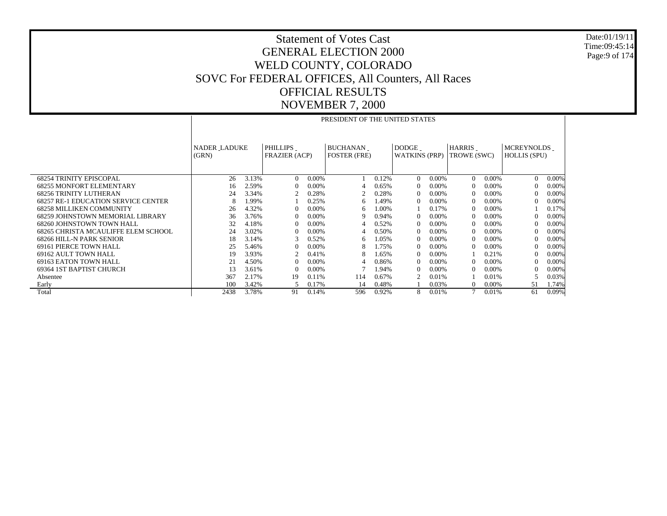Date:01/19/11 Time:09:45:14 Page:9 of 174

|                                            | PRESIDENT OF THE UNITED STATES |                                                                                                          |                      |       |                     |       |                      |          |             |          |                     |          |  |
|--------------------------------------------|--------------------------------|----------------------------------------------------------------------------------------------------------|----------------------|-------|---------------------|-------|----------------------|----------|-------------|----------|---------------------|----------|--|
|                                            |                                |                                                                                                          |                      |       |                     |       |                      |          |             |          |                     |          |  |
|                                            |                                |                                                                                                          |                      |       |                     |       |                      |          |             |          |                     |          |  |
|                                            |                                | <b>DODGE</b><br>PHILLIPS<br><b>BUCHANAN</b><br><b>HARRIS</b><br><b>MCREYNOLDS</b><br><b>NADER LADUKE</b> |                      |       |                     |       |                      |          |             |          |                     |          |  |
|                                            | (GRN)                          |                                                                                                          | <b>FRAZIER (ACP)</b> |       | <b>FOSTER (FRE)</b> |       | <b>WATKINS (PRP)</b> |          | TROWE (SWC) |          | <b>HOLLIS (SPU)</b> |          |  |
|                                            |                                |                                                                                                          |                      |       |                     |       |                      |          |             |          |                     |          |  |
|                                            |                                |                                                                                                          |                      |       |                     |       |                      |          |             |          |                     |          |  |
| <b>68254 TRINITY EPISCOPAL</b>             | 26                             | 3.13%                                                                                                    | $\Omega$             | 0.00% |                     | 0.12% | $\Omega$             | $0.00\%$ | $\Omega$    | $0.00\%$ | $\Omega$            | $0.00\%$ |  |
| <b>68255 MONFORT ELEMENTARY</b>            | 16                             | 2.59%                                                                                                    | $\Omega$             | 0.00% | 4                   | 0.65% | $\Omega$             | $0.00\%$ |             | 0.00%    | $\Omega$            | $0.00\%$ |  |
| <b>68256 TRINITY LUTHERAN</b>              | 24                             | 3.34%                                                                                                    | $\mathfrak{D}$       | 0.28% |                     | 0.28% | $\Omega$             | $0.00\%$ |             | 0.00%    | $\Omega$            | $0.00\%$ |  |
| <b>68257 RE-1 EDUCATION SERVICE CENTER</b> | 8                              | 1.99%                                                                                                    |                      | 0.25% | 6                   | .49%  | $\Omega$             | 0.00%    | $\Omega$    | 0.00%    | $\left($            | $0.00\%$ |  |
| <b>68258 MILLIKEN COMMUNITY</b>            | 26                             | 4.32%                                                                                                    | $\Omega$             | 0.00% | 6                   | .00%  |                      | 0.17%    |             | 0.00%    |                     | 0.17%    |  |
| 68259 JOHNSTOWN MEMORIAL LIBRARY           | 36                             | 3.76%                                                                                                    | $\Omega$             | 0.00% | 9                   | 0.94% | $\Omega$             | $0.00\%$ |             | 0.00%    | $\left($            | $0.00\%$ |  |
| 68260 JOHNSTOWN TOWN HALL                  | 32                             | 4.18%                                                                                                    | $\Omega$             | 0.00% |                     | 0.52% | $\Omega$             | $0.00\%$ | $\Omega$    | 0.00%    | $\Omega$            | $0.00\%$ |  |
| 68265 CHRISTA MCAULIFFE ELEM SCHOOL        | 24                             | 3.02%                                                                                                    |                      | 0.00% | 4                   | 0.50% | $\Omega$             | $0.00\%$ |             | $0.00\%$ | $\Omega$            | $0.00\%$ |  |
| 68266 HILL-N PARK SENIOR                   | 18                             | 3.14%                                                                                                    |                      | 0.52% | 6                   | .05%  | $\Omega$             | $0.00\%$ |             | 0.00%    | $\Omega$            | $0.00\%$ |  |
| <b>69161 PIERCE TOWN HALL</b>              | 25                             | 5.46%                                                                                                    | $\Omega$             | 0.00% | 8                   | 1.75% | $\Omega$             | $0.00\%$ |             | $0.00\%$ | $\left($            | $0.00\%$ |  |
| 69162 AULT TOWN HALL                       | 19                             | 3.93%                                                                                                    |                      | 0.41% | 8                   | .65%  | $\Omega$             | $0.00\%$ |             | 0.21%    | $\Omega$            | $0.00\%$ |  |
| 69163 EATON TOWN HALL                      | 21                             | 4.50%                                                                                                    | 0                    | 0.00% | 4                   | 0.86% | $\Omega$             | $0.00\%$ |             | $0.00\%$ | $\Omega$            | $0.00\%$ |  |
| 69364 IST BAPTIST CHURCH                   | 13                             | 3.61%                                                                                                    | $\Omega$             | 0.00% |                     | 1.94% | $\Omega$             | $0.00\%$ |             | $0.00\%$ | $\Omega$            | $0.00\%$ |  |
| Absentee                                   | 367                            | 2.17%                                                                                                    | 19                   | 0.11% | 114                 | 0.67% |                      | 0.01%    |             | 0.01%    |                     | 0.03%    |  |
| Early                                      | 100                            | 3.42%                                                                                                    | 5                    | 0.17% | 14                  | 0.48% |                      | 0.03%    | $\Omega$    | $0.00\%$ | 51                  | 1.74%    |  |
| Total                                      | 2438                           | 3.78%                                                                                                    | 91                   | 0.14% | 596                 | 0.92% | 8                    | 0.01%    |             | 0.01%    | 61                  | 0.09%    |  |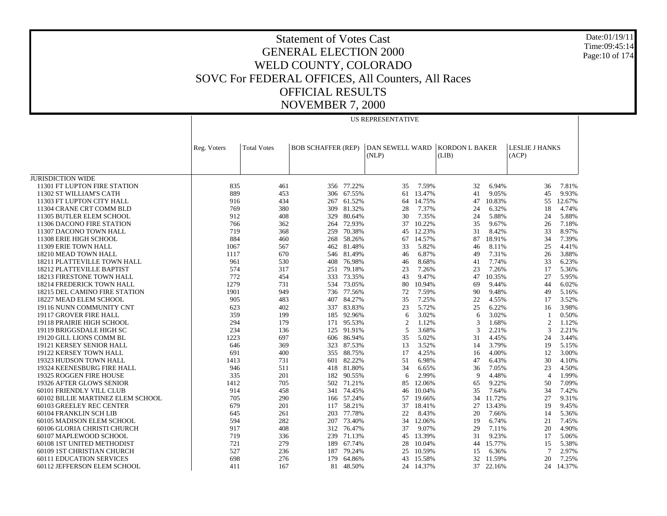US REPRESENTATIVE

JURISDICTION WIDE 11301 FT LUPTON FIRE STATION 11302 ST WILLIAM'S CATH 11303 FT LUPTON CITY HALL 11304 CRANE CRT COMM BLD 11305 BUTLER ELEM SCHOOL 11306 DACONO FIRE STATION 11307 DACONO TOWN HALL 11308 ERIE HIGH SCHOOL 11309 ERIE TOWN HALL 18210 MEAD TOWN HALL 18211 PLATTEVILLE TOWN HALL 18212 PLATTEVILLE BAPTIST 18213 FIRESTONE TOWN HALL 18214 FREDERICK TOWN HALL 18215 DEL CAMINO FIRE STATION 18227 MEAD ELEM SCHOOL 19116 NUNN COMMUNITY CNT 19117 GROVER FIRE HALL 19118 PRAIRIE HIGH SCHOOL 19119 BRIGGSDALE HIGH SC 19120 GILL LIONS COMM BL 19121 KERSEY SENIOR HALL 19122 KERSEY TOWN HALL 19323 HUDSON TOWN HALL 19324 KEENESBURG FIRE HALL 19325 ROGGEN FIRE HOUSE 19326 AFTER GLOWS SENIOR 60101 FRIENDLY VILL CLUB 60102 BILLIE MARTINEZ ELEM SCHOOL 60103 GREELEY REC CENTER 60104 FRANKLIN SCH LIB 60105 MADISON ELEM SCHOOL 60106 GLORIA CHRISTI CHURCH 60107 MAPLEWOOD SCHOOL 60108 1ST UNITED METHODIST 60109 1ST CHRISTIAN CHURCH 60111 EDUCATION SERVICES 60112 JEFFERSON ELEM SCHOOL Reg. Voters Total Votes BOB SCHAFFER (REP) | DAN SEWELL WARD | KORDON L BAKER (NLP) (LIB) LESLIE J HANKS (ACP) 835 461 356 77.22% 35 7.59% 32 6.94% 36 7.81% 889 453 306 67.55% 61 13.47% 41 9.05% 45 9.93% 916 434 267 61.52% 64 14.75% 47 10.83% 55 12.67% 769 380 309 81.32% 28 7.37% 24 6.32% 18 4.74% 912 408 329 80.64% 30 7.35% 24 5.88% 24 5.88% 766 362 264 72.93% 37 10.22% 35 9.67% 26 7.18% 719 368 259 70.38% 45 12.23% 31 8.42% 33 8.97% 884 460 268 58.26% 67 14.57% 87 18.91% 34 7.39% 1067 567 462 81.48% 33 5.82% 46 8.11% 25 4.41% 1117 670 546 81.49% 46 6.87% 49 7.31% 26 3.88% 961 530 408 76.98% 46 8.68% 41 7.74% 33 6.23% 574 317 251 79.18% 23 7.26% 23 7.26% 17 5.36% 772 454 333 73.35% 43 9.47% 47 10.35% 27 5.95% 1279 731 534 73.05% 80 10.94% 69 9.44% 44 6.02% 1901 949 736 77.56% 72 7.59% 90 9.48% 49 5.16% 905 483 407 84.27% 35 7.25% 22 4.55% 17 3.52% 623 402 337 83.83% 23 5.72% 25 6.22% 16 3.98% 359 199 185 92.96% 6 3.02% 6 3.02% 1 0.50% 294 179 171 95.53% 2 1.12% 3 1.68% 2 1.12% 234 136 125 91.91% 5 3.68% 3 2.21% 3 2.21% 1223 697 606 86.94% 35 5.02% 31 4.45% 24 3.44% 646 369 323 87.53% 13 3.52% 14 3.79% 19 5.15% 691 400 355 88.75% 17 4.25% 16 4.00% 12 3.00% 1413 731 601 82.22% 51 6.98% 47 6.43% 30 4.10% 946 511 418 81.80% 34 6.65% 36 7.05% 23 4.50% 335 201 182 90.55% 6 2.99% 9 4.48% 4 1.99% 1412 705 502 71.21% 85 12.06% 65 9.22% 50 7.09% 914 458 341 74.45% 46 10.04% 35 7.64% 34 7.42% 705 290 166 57.24% 57 19.66% 34 11.72% 27 9.31% 679 201 117 58.21% 37 18.41% 27 13.43% 19 9.45% 645 261 203 77.78% 22 8.43% 20 7.66% 14 5.36% 594 282 207 73.40% 34 12.06% 19 6.74% 21 7.45% 917 408 312 76.47% 37 9.07% 29 7.11% 20 4.90% 719 336 239 71.13% 45 13.39% 31 9.23% 17 5.06% 721 279 189 67.74% 28 10.04% 44 15.77% 15 5.38% 527 236 187 79.24% 25 10.59% 15 6.36% 7 2.97% 698 276 179 64.86% 43 15.58% 32 11.59% 20 7.25% 411 167 81 48.50%24 14.37% 37 22.16% 24 14.37%

Date:01/19/11Time:09:45:14Page:10 of 174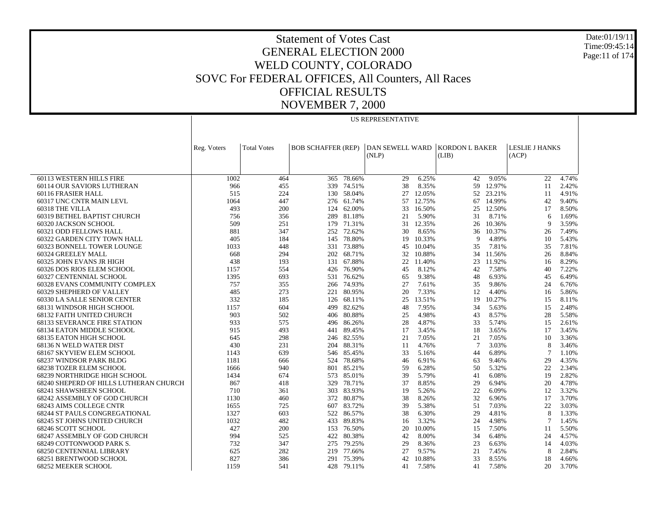Date:01/19/11 Time:09:45:14 Page:11 of 174

### Statement of Votes Cast GENERAL ELECTION 2000 WELD COUNTY, COLORADO SOVC For FEDERAL OFFICES, All Counters, All Races OFFICIAL RESULTS NOVEMBER 7, 2000

|                                                                 |              |                    |                           |                  | <b>US REPRESENTATIVE</b> |                |                       |                |                       |                |
|-----------------------------------------------------------------|--------------|--------------------|---------------------------|------------------|--------------------------|----------------|-----------------------|----------------|-----------------------|----------------|
|                                                                 |              |                    |                           |                  |                          |                |                       |                |                       |                |
|                                                                 |              |                    |                           |                  |                          |                |                       |                |                       |                |
|                                                                 | Reg. Voters  | <b>Total Votes</b> | <b>BOB SCHAFFER (REP)</b> |                  | <b>DAN SEWELL WARD</b>   |                | <b>KORDON L BAKER</b> |                | <b>LESLIE J HANKS</b> |                |
|                                                                 |              |                    |                           |                  | (NLP)                    |                | (LIB)                 |                | (ACP)                 |                |
|                                                                 |              |                    |                           |                  |                          |                |                       |                |                       |                |
|                                                                 |              |                    |                           |                  |                          |                |                       |                |                       |                |
| 60113 WESTERN HILLS FIRE                                        | 1002         | 464                | 365                       | 78.66%           | 29                       | 6.25%          | 42                    | 9.05%          | 22                    | 4.74%          |
| 60114 OUR SAVIORS LUTHERAN                                      | 966          | 455                | 339                       | 74.51%           | 38                       | 8.35%          | 59                    | 12.97%         | 11                    | 2.42%          |
| 60116 FRASIER HALL                                              | 515          | 224                | 130                       | 58.04%           | 27                       | 12.05%         | 52                    | 23.21%         | 11                    | 4.91%          |
| 60317 UNC CNTR MAIN LEVL                                        | 1064         | 447                |                           | 276 61.74%       | 57                       | 12.75%         | 67                    | 14.99%         | 42                    | 9.40%          |
| 60318 THE VILLA                                                 | 493          | 200                | 124                       | 62.00%           | 33                       | 16.50%         | 25                    | 12.50%         | 17                    | 8.50%          |
| 60319 BETHEL BAPTIST CHURCH                                     | 756          | 356                | 289                       | 81.18%           | 21                       | 5.90%          | 31                    | 8.71%          | 6                     | 1.69%          |
| 60320 JACKSON SCHOOL                                            | 509          | 251                |                           | 179 71.31%       | 31                       | 12.35%         | 26                    | 10.36%         | 9                     | 3.59%          |
| 60321 ODD FELLOWS HALL                                          | 881          | 347                | 252                       | 72.62%           | 30                       | 8.65%          | 36                    | 10.37%         | 26                    | 7.49%          |
| 60322 GARDEN CITY TOWN HALL                                     | 405          | 184                | 145                       | 78.80%           | 19                       | 10.33%         | 9                     | 4.89%          | 10                    | 5.43%          |
| 60323 BONNELL TOWER LOUNGE                                      | 1033         | 448                | 331                       | 73.88%           | 45                       | 10.04%         | 35                    | 7.81%          | 35                    | 7.81%          |
| 60324 GREELEY MALL                                              | 668          | 294                | 202                       | 68.71%           | 32                       | 10.88%         | 34                    | 11.56%         | 26                    | 8.84%          |
| 60325 JOHN EVANS JR HIGH                                        | 438          | 193                | 131                       | 67.88%           | 22                       | 11.40%         | 23                    | 11.92%         | 16                    | 8.29%          |
| 60326 DOS RIOS ELEM SCHOOL                                      | 1157         | 554                | 426                       | 76.90%           | 45                       | 8.12%          | 42                    | 7.58%          | 40                    | 7.22%          |
| 60327 CENTENNIAL SCHOOL                                         | 1395         | 693                | 531                       | 76.62%           | 65                       | 9.38%          | 48                    | 6.93%          | 45                    | 6.49%          |
| 60328 EVANS COMMUNITY COMPLEX                                   | 757          | 355                | 266                       | 74.93%           | 27                       | 7.61%          | 35                    | 9.86%          | 24                    | 6.76%          |
| 60329 SHEPHERD OF VALLEY                                        | 485          | 273                | 221                       | 80.95%           | 20                       | 7.33%          | 12                    | 4.40%          | 16                    | 5.86%          |
| 60330 LA SALLE SENIOR CENTER                                    | 332          | 185                | 126                       | 68.11%           | 25                       | 13.51%         | 19                    | 10.27%         | 15                    | 8.11%          |
| 68131 WINDSOR HIGH SCHOOL                                       | 1157         | 604                | 499                       | 82.62%           | 48                       | 7.95%          | 34                    | 5.63%          | 15                    | 2.48%          |
| <b>68132 FAITH UNITED CHURCH</b>                                | 903          | 502                | 406                       | 80.88%           | 25                       | 4.98%          | 43                    | 8.57%          | 28                    | 5.58%          |
| <b>68133 SEVERANCE FIRE STATION</b>                             | 933          | 575                | 496                       | 86.26%           | 28                       | 4.87%          | 33                    | 5.74%          | 15                    | 2.61%          |
| 68134 EATON MIDDLE SCHOOL                                       | 915          | 493                | 441                       | 89.45%           | 17                       | 3.45%          | 18                    | 3.65%          | 17                    | 3.45%          |
| 68135 EATON HIGH SCHOOL                                         | 645          | 298                | 246                       | 82.55%           | 21                       | 7.05%          | 21                    | 7.05%          | 10                    | 3.36%          |
| 68136 N WELD WATER DIST                                         | 430          | 231                | 204                       | 88.31%           | 11                       | 4.76%          | $7\phantom{.0}$       | 3.03%          | 8                     | 3.46%          |
| 68167 SKYVIEW ELEM SCHOOL                                       | 1143         | 639                | 546                       | 85.45%           | 33                       | 5.16%          | 44                    | 6.89%          | 7                     | 1.10%          |
| 68237 WINDSOR PARK BLDG                                         | 1181         | 666                | 524                       | 78.68%           | 46                       | 6.91%          | 63                    | 9.46%          | 29                    | 4.35%          |
| <b>68238 TOZER ELEM SCHOOL</b>                                  | 1666         | 940                | 801                       | 85.21%           | 59                       | 6.28%          | 50                    | 5.32%          | 22                    | 2.34%          |
| 68239 NORTHRIDGE HIGH SCHOOL                                    | 1434         | 674                | 573                       | 85.01%           | 39                       | 5.79%          | 41                    | 6.08%          | 19                    | 2.82%          |
| 68240 SHEPERD OF HILLS LUTHERAN CHURCH                          | 867          | 418                | 329                       | 78.71%           | 37                       | 8.85%          | 29                    | 6.94%          | 20                    | 4.78%          |
| <b>68241 SHAWSHEEN SCHOOL</b>                                   | 710<br>1130  | 361                | 303<br>372                | 83.93%<br>80.87% | 19<br>38                 | 5.26%<br>8.26% | 22<br>32              | 6.09%<br>6.96% | 12<br>17              | 3.32%<br>3.70% |
| 68242 ASSEMBLY OF GOD CHURCH                                    |              | 460                |                           |                  | 39                       | 5.38%          |                       |                |                       | 3.03%          |
| 68243 AIMS COLLEGE CNTR<br><b>68244 ST PAULS CONGREGATIONAL</b> | 1655<br>1327 | 725<br>603         | 607<br>522                | 83.72%<br>86.57% | 38                       | 6.30%          | 51<br>29              | 7.03%<br>4.81% | 22<br>8               | 1.33%          |
| 68245 ST JOHNS UNITED CHURCH                                    | 1032         | 482                |                           | 433 89.83%       | 16                       | 3.32%          | 24                    | 4.98%          | $\overline{7}$        | 1.45%          |
| 68246 SCOTT SCHOOL                                              | 427          | 200                | 153                       | 76.50%           | 20                       | 10.00%         | 15                    | 7.50%          | 11                    | 5.50%          |
| 68247 ASSEMBLY OF GOD CHURCH                                    | 994          | 525                | 422                       | 80.38%           | 42                       | 8.00%          | 34                    | 6.48%          | 24                    | 4.57%          |
| 68249 COTTONWOOD PARK S.                                        | 732          | 347                | 275                       | 79.25%           | 29                       | 8.36%          | 23                    | 6.63%          | 14                    | 4.03%          |
| 68250 CENTENNIAL LIBRARY                                        | 625          | 282                | 219                       | 77.66%           | 27                       | 9.57%          | 21                    | 7.45%          | 8                     | 2.84%          |
| 68251 BRENTWOOD SCHOOL                                          | 827          | 386                |                           | 291 75.39%       | 42                       | 10.88%         | 33                    | 8.55%          | 18                    | 4.66%          |
| 68252 MEEKER SCHOOL                                             | 1159         | 541                | 428                       | 79.11%           | 41                       | 7.58%          | 41                    | 7.58%          | 20                    | 3.70%          |
|                                                                 |              |                    |                           |                  |                          |                |                       |                |                       |                |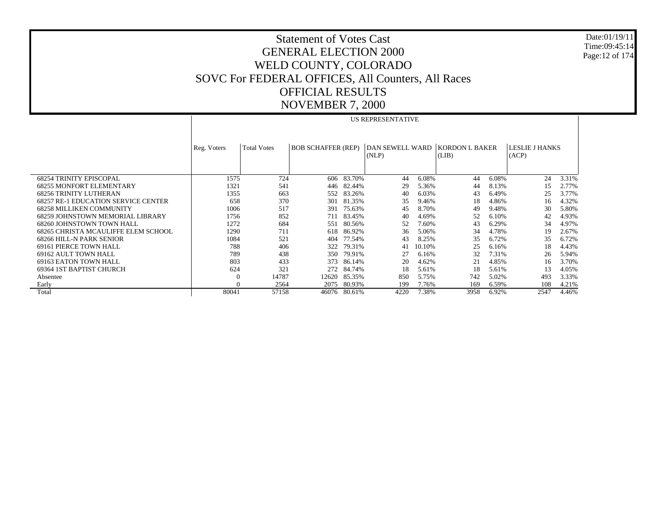Date:01/19/11 Time:09:45:14 Page:12 of 174

|                                            | US REPRESENTATIVE |                    |                           |        |                          |        |                                |       |                         |       |
|--------------------------------------------|-------------------|--------------------|---------------------------|--------|--------------------------|--------|--------------------------------|-------|-------------------------|-------|
|                                            | Reg. Voters       | <b>Total Votes</b> | <b>BOB SCHAFFER (REP)</b> |        | DAN SEWELL WARD<br>(NLP) |        | <b>KORDON L BAKER</b><br>(LIB) |       | LESLIE J HANKS<br>(ACP) |       |
| <b>68254 TRINITY EPISCOPAL</b>             | 1575              | 724                | 606                       | 83.70% | 44                       | 6.08%  | 44                             | 6.08% | 24                      | 3.31% |
| <b>68255 MONFORT ELEMENTARY</b>            | 1321              | 541                | 446                       | 82.44% | 29                       | 5.36%  | 44                             | 8.13% | 15                      | 2.77% |
| <b>68256 TRINITY LUTHERAN</b>              | 1355              | 663                | 552                       | 83.26% | 40                       | 6.03%  | 43                             | 6.49% | 25                      | 3.77% |
| <b>68257 RE-1 EDUCATION SERVICE CENTER</b> | 658               | 370                | 301                       | 81.35% | 35                       | 9.46%  | 18                             | 4.86% | 16                      | 4.32% |
| <b>68258 MILLIKEN COMMUNITY</b>            | 1006              | 517                | 391                       | 75.63% | 45                       | 8.70%  | 49                             | 9.48% | 30                      | 5.80% |
| 68259 JOHNSTOWN MEMORIAL LIBRARY           | 1756              | 852                | 711                       | 83.45% | 40                       | 4.69%  | 52                             | 6.10% | 42                      | 4.93% |
| 68260 JOHNSTOWN TOWN HALL                  | 1272              | 684                | 551                       | 80.56% | 52                       | 7.60%  | 43                             | 6.29% | 34                      | 4.97% |
| 68265 CHRISTA MCAULIFFE ELEM SCHOOL        | 1290              | 711                | 618                       | 86.92% | 36                       | 5.06%  | 34                             | 4.78% | 19                      | 2.67% |
| 68266 HILL-N PARK SENIOR                   | 1084              | 521                | 404                       | 77.54% | 43                       | 8.25%  | 35                             | 6.72% | 35                      | 6.72% |
| <b>69161 PIERCE TOWN HALL</b>              | 788               | 406                | 322                       | 79.31% | 41                       | 10.10% | 25                             | 6.16% | 18                      | 4.43% |
| 69162 AULT TOWN HALL                       | 789               | 438                | 350                       | 79.91% | 27                       | 6.16%  | 32                             | 7.31% | 26                      | 5.94% |
| 69163 EATON TOWN HALL                      | 803               | 433                | 373                       | 86.14% | 20                       | 4.62%  | 21                             | 4.85% | 16                      | 3.70% |
| 69364 IST BAPTIST CHURCH                   | 624               | 321                | 272                       | 84.74% | 18                       | 5.61%  | 18                             | 5.61% | 13                      | 4.05% |
| Absentee                                   | $\theta$          | 14787              | 12620                     | 85.35% | 850                      | 5.75%  | 742                            | 5.02% | 493                     | 3.33% |
| Early                                      | $\Omega$          | 2564               | 2075                      | 80.93% | 199                      | 7.76%  | 169                            | 6.59% | 108                     | 4.21% |
| Total                                      | 80041             | 57158              | 46076                     | 80.61% | 4220                     | 7.38%  | 3958                           | 6.92% | 2547                    | 4.46% |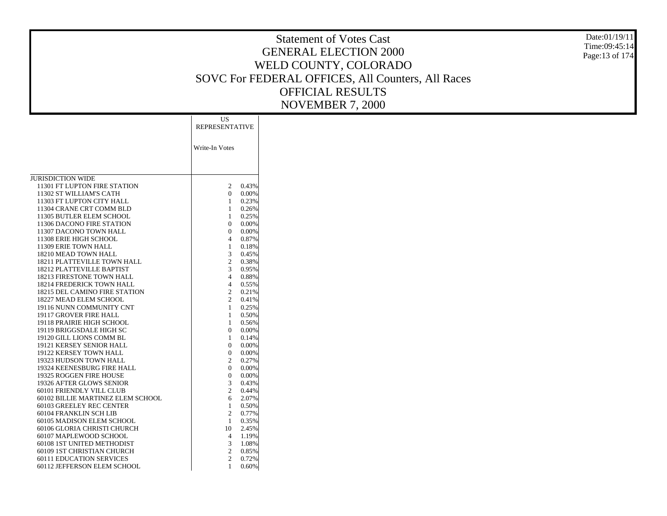Date:01/19/11 Time:09:45:14 Page:13 of 174

|                                                      | US<br><b>REPRESENTATIVE</b>    |                |
|------------------------------------------------------|--------------------------------|----------------|
|                                                      | Write-In Votes                 |                |
| <b>JURISDICTION WIDE</b>                             |                                |                |
| 11301 FT LUPTON FIRE STATION                         | 2                              | 0.43%          |
| 11302 ST WILLIAM'S CATH                              | 0                              | 0.00%          |
| 11303 FT LUPTON CITY HALL                            | $\mathbf{1}$                   | 0.23%          |
| 11304 CRANE CRT COMM BLD<br>11305 BUTLER ELEM SCHOOL | 1<br>$\mathbf{1}$              | 0.26%<br>0.25% |
| 11306 DACONO FIRE STATION                            | 0                              | 0.00%          |
| 11307 DACONO TOWN HALL                               | 0                              | 0.00%          |
| 11308 ERIE HIGH SCHOOL                               | 4                              | 0.87%          |
| 11309 ERIE TOWN HALL                                 | 1                              | 0.18%          |
| 18210 MEAD TOWN HALL                                 | 3                              | 0.45%          |
| 18211 PLATTEVILLE TOWN HALL                          | 2                              | 0.38%          |
| 18212 PLATTEVILLE BAPTIST                            | 3                              | 0.95%          |
| 18213 FIRESTONE TOWN HALL                            | $\overline{4}$                 | 0.88%          |
| 18214 FREDERICK TOWN HALL                            | $\overline{4}$                 | 0.55%          |
| 18215 DEL CAMINO FIRE STATION                        | 2                              | 0.21%          |
| 18227 MEAD ELEM SCHOOL                               | $\overline{c}$                 | 0.41%          |
| 19116 NUNN COMMUNITY CNT<br>19117 GROVER FIRE HALL   | $\mathbf{1}$<br>1              | 0.25%<br>0.50% |
| 19118 PRAIRIE HIGH SCHOOL                            | 1                              | 0.56%          |
| 19119 BRIGGSDALE HIGH SC                             | 0                              | 0.00%          |
| 19120 GILL LIONS COMM BL                             | $\mathbf{1}$                   | 0.14%          |
| 19121 KERSEY SENIOR HALL                             | 0                              | 0.00%          |
| 19122 KERSEY TOWN HALL                               | 0                              | 0.00%          |
| 19323 HUDSON TOWN HALL                               | $\overline{c}$                 | 0.27%          |
| 19324 KEENESBURG FIRE HALL                           | $\Omega$                       | 0.00%          |
| 19325 ROGGEN FIRE HOUSE                              | 0                              | 0.00%          |
| 19326 AFTER GLOWS SENIOR                             | 3                              | 0.43%          |
| 60101 FRIENDLY VILL CLUB                             | $\overline{c}$                 | 0.44%          |
| 60102 BILLIE MARTINEZ ELEM SCHOOL                    | 6                              | 2.07%          |
| 60103 GREELEY REC CENTER<br>60104 FRANKLIN SCH LIB   | $\mathbf{1}$<br>$\overline{c}$ | 0.50%          |
| 60105 MADISON ELEM SCHOOL                            | 1                              | 0.77%<br>0.35% |
| 60106 GLORIA CHRISTI CHURCH                          | 10                             | 2.45%          |
| 60107 MAPLEWOOD SCHOOL                               | 4                              | 1.19%          |
| 60108 1ST UNITED METHODIST                           | 3                              | 1.08%          |
| 60109 1ST CHRISTIAN CHURCH                           | $\mathbf{c}$                   | 0.85%          |
| <b>60111 EDUCATION SERVICES</b>                      | $\overline{c}$                 | 0.72%          |
| 60112 JEFFERSON ELEM SCHOOL                          | 1                              | 0.60%          |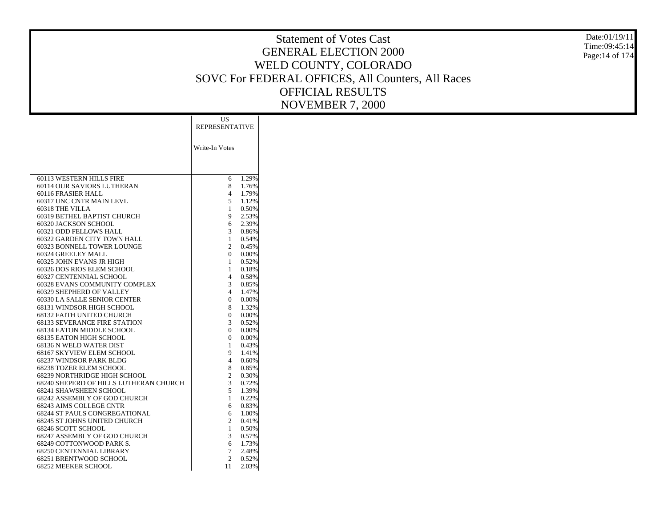Date:01/19/11 Time:09:45:14Page:14 of 174

|                                        | US                    |       |
|----------------------------------------|-----------------------|-------|
|                                        | <b>REPRESENTATIVE</b> |       |
|                                        |                       |       |
|                                        |                       |       |
|                                        | Write-In Votes        |       |
|                                        |                       |       |
|                                        |                       |       |
|                                        |                       |       |
| <b>60113 WESTERN HILLS FIRE</b>        | 6                     | 1.29% |
| 60114 OUR SAVIORS LUTHERAN             | 8                     | 1.76% |
| 60116 FRASIER HALL                     | $\overline{4}$        | 1.79% |
| 60317 UNC CNTR MAIN LEVL               | 5                     | 1.12% |
| 60318 THE VILLA                        | 1                     | 0.50% |
| 60319 BETHEL BAPTIST CHURCH            | 9                     | 2.53% |
| 60320 JACKSON SCHOOL                   | 6                     | 2.39% |
| 60321 ODD FELLOWS HALL                 | 3                     | 0.86% |
| 60322 GARDEN CITY TOWN HALL            | 1                     | 0.54% |
| 60323 BONNELL TOWER LOUNGE             | $\overline{c}$        | 0.45% |
| 60324 GREELEY MALL                     | $\mathbf{0}$          | 0.00% |
| 60325 JOHN EVANS JR HIGH               | $\mathbf{1}$          | 0.52% |
| 60326 DOS RIOS ELEM SCHOOL             | 1                     | 0.18% |
| 60327 CENTENNIAL SCHOOL                | 4                     | 0.58% |
| 60328 EVANS COMMUNITY COMPLEX          | 3                     | 0.85% |
| 60329 SHEPHERD OF VALLEY               | 4                     | 1.47% |
| 60330 LA SALLE SENIOR CENTER           | $\mathbf{0}$          | 0.00% |
| 68131 WINDSOR HIGH SCHOOL              | 8                     | 1.32% |
| 68132 FAITH UNITED CHURCH              | 0                     | 0.00% |
| <b>68133 SEVERANCE FIRE STATION</b>    | 3                     | 0.52% |
| 68134 EATON MIDDLE SCHOOL              | $\mathbf{0}$          | 0.00% |
| 68135 EATON HIGH SCHOOL                | $\mathbf{0}$          | 0.00% |
| 68136 N WELD WATER DIST                | 1                     | 0.43% |
| 68167 SKYVIEW ELEM SCHOOL              | 9                     | 1.41% |
| 68237 WINDSOR PARK BLDG                | 4                     | 0.60% |
| <b>68238 TOZER ELEM SCHOOL</b>         | 8                     | 0.85% |
| 68239 NORTHRIDGE HIGH SCHOOL           | $\overline{c}$        | 0.30% |
| 68240 SHEPERD OF HILLS LUTHERAN CHURCH | 3                     | 0.72% |
| 68241 SHAWSHEEN SCHOOL                 | 5                     | 1.39% |
| 68242 ASSEMBLY OF GOD CHURCH           | $\mathbf{1}$          | 0.22% |
| 68243 AIMS COLLEGE CNTR                | 6                     | 0.83% |
| <b>68244 ST PAULS CONGREGATIONAL</b>   | 6                     | 1.00% |
| 68245 ST JOHNS UNITED CHURCH           | $\overline{c}$        | 0.41% |
| 68246 SCOTT SCHOOL                     | 1                     | 0.50% |
| 68247 ASSEMBLY OF GOD CHURCH           | 3                     | 0.57% |
| 68249 COTTONWOOD PARK S.               | 6                     | 1.73% |
| <b>68250 CENTENNIAL LIBRARY</b>        | 7                     | 2.48% |
| 68251 BRENTWOOD SCHOOL                 | $\overline{c}$        | 0.52% |
| 68252 MEEKER SCHOOL                    | 11                    | 2.03% |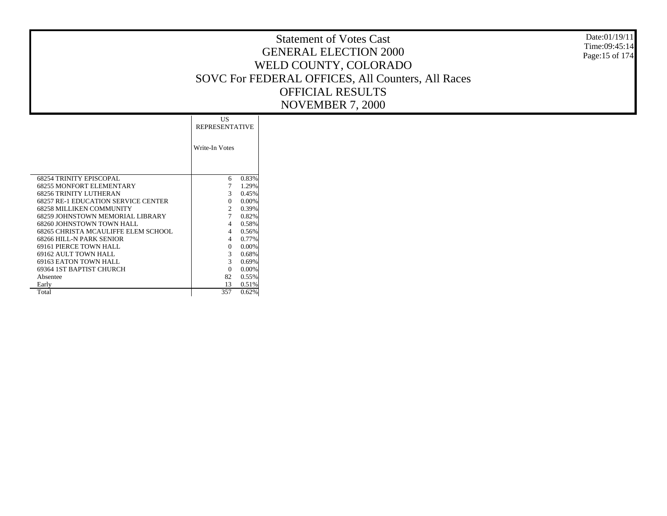Date:01/19/11 Time:09:45:14 Page:15 of 174

|                                     | US.                   |       |  |  |
|-------------------------------------|-----------------------|-------|--|--|
|                                     | <b>REPRESENTATIVE</b> |       |  |  |
|                                     |                       |       |  |  |
|                                     | Write-In Votes        |       |  |  |
|                                     |                       |       |  |  |
|                                     |                       |       |  |  |
|                                     |                       |       |  |  |
| <b>68254 TRINITY EPISCOPAL</b>      | 6                     | 0.83% |  |  |
| 68255 MONFORT ELEMENTARY            | 7                     | 1.29% |  |  |
| 68256 TRINITY LUTHERAN              | 3                     | 0.45% |  |  |
| 68257 RE-1 EDUCATION SERVICE CENTER | $\Omega$              | 0.00% |  |  |
| 68258 MILLIKEN COMMUNITY            | 2                     | 0.39% |  |  |
| 68259 JOHNSTOWN MEMORIAL LIBRARY    | 7                     | 0.82% |  |  |
| 68260 JOHNSTOWN TOWN HALL           | 4                     | 0.58% |  |  |
| 68265 CHRISTA MCAULIFFE ELEM SCHOOL | 4                     | 0.56% |  |  |
| 68266 HILL-N PARK SENIOR            | 4                     | 0.77% |  |  |
| 69161 PIERCE TOWN HALL              | $\Omega$              | 0.00% |  |  |
| 69162 AULT TOWN HALL                | 3                     | 0.68% |  |  |
| 69163 EATON TOWN HALL               | 3                     | 0.69% |  |  |
| 69364 1ST BAPTIST CHURCH            | $\Omega$              | 0.00% |  |  |
| Absentee                            | 82                    | 0.55% |  |  |
| Early                               | 13                    | 0.51% |  |  |
| Total                               | 357                   | 0.62% |  |  |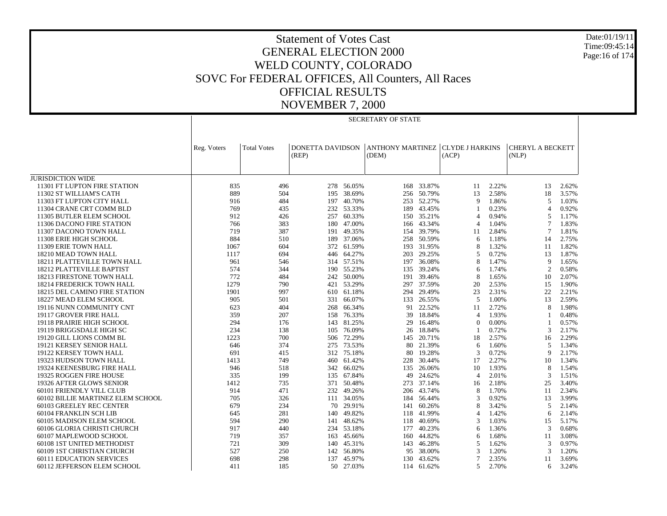JURISDICTION WIDE 11301 FT LUPTON FIRE STATION 11302 ST WILLIAM'S CATH 11303 FT LUPTON CITY HALL 11304 CRANE CRT COMM BLD 11305 BUTLER ELEM SCHOOL 11306 DACONO FIRE STATION 11307 DACONO TOWN HALL 11308 ERIE HIGH SCHOOL 11309 ERIE TOWN HALL 18210 MEAD TOWN HALL 18211 PLATTEVILLE TOWN HALL 18212 PLATTEVILLE BAPTIST 18213 FIRESTONE TOWN HALL 18214 FREDERICK TOWN HALL 18215 DEL CAMINO FIRE STATION 18227 MEAD ELEM SCHOOL 19116 NUNN COMMUNITY CNT 19117 GROVER FIRE HALL 19118 PRAIRIE HIGH SCHOOL 19119 BRIGGSDALE HIGH SC 19120 GILL LIONS COMM BL 19121 KERSEY SENIOR HALL 19122 KERSEY TOWN HALL 19323 HUDSON TOWN HALL 19324 KEENESBURG FIRE HALL 19325 ROGGEN FIRE HOUSE 19326 AFTER GLOWS SENIOR 60101 FRIENDLY VILL CLUB 60102 BILLIE MARTINEZ ELEM SCHOOL 60103 GREELEY REC CENTER 60104 FRANKLIN SCH LIB 60105 MADISON ELEM SCHOOL 60106 GLORIA CHRISTI CHURCH 60107 MAPLEWOOD SCHOOL 60108 1ST UNITED METHODIST 60109 1ST CHRISTIAN CHURCH 60111 EDUCATION SERVICES 60112 JEFFERSON ELEM SCHOOL Reg. Voters | Total Votes | DONETTA DAVIDSON (REP) ANTHONY MARTINEZ(DEM) CLYDE J HARKINS (ACP) CHERYL A BECKETT(NLP) SECRETARY OF STATE835 496 278 56.05% 168 33.87% 11 2.22% 13 2.62% 889 504 195 38.69% 256 50.79% 13 2.58% 18 3.57% 916 484 197 40.70% 253 52.27% 9 1.86% 5 1.03% 769 435 232 53.33% 189 43.45% 1 0.23% 4 0.92% 912 426 257 60.33% 150 35.21% 4 0.94% 5 1.17% 766 383 180 47.00% 166 43.34% 4 1.04% 7 1.83% 719 387 191 49.35% 154 39.79% 11 2.84% 7 1.81% 884 510 189 37.06% 258 50.59% 6 1.18% 14 2.75% 1067 604 372 61.59% 193 31.95% 8 1.32% 11 1.82% 1117 694 446 64.27% 203 29.25% 5 0.72% 13 1.87% 961 546 314 57.51% 197 36.08% 8 1.47% 9 1.65% 574 344 190 55.23% 135 39.24% 6 1.74% 2 0.58% 772 484 242 50.00% 191 39.46% 8 1.65% 10 2.07% 1279 790 421 53.29% 297 37.59% 20 2.53% 15 1.90% 1901 997 610 61.18% 294 29.49% 23 2.31% 22 2.21% 905 501 331 66.07% 133 26.55% 5 1.00% 13 2.59% 623 404 268 66.34% 91 22.52% 11 2.72% 8 1.98% 359 207 158 76.33% 39 18.84% 4 1.93% 1 0.48% 294 176 143 81.25% 29 16.48% 0 0.00% 1 0.57% 234 138 105 76.09% 26 18.84% 1 0.72% 3 2.17% 1223 700 506 72.29% 145 20.71% 18 2.57% 16 2.29% 646 374 275 73.53% 80 21.39% 6 1.60% 5 1.34% 691 415 312 75.18% 80 19.28% 3 0.72% 9 2.17% 1413 749 460 61.42% 228 30.44% 17 2.27% 10 1.34% 946 518 342 66.02% 135 26.06% 10 1.93% 8 1.54% 335 199 135 67.84% 49 24.62% 4 2.01% 3 1.51% 1412 735 371 50.48% 273 37.14% 16 2.18% 25 3.40% 914 471 232 49.26% 206 43.74% 8 1.70% 11 2.34% 705 326 111 34.05% 184 56.44% 3 0.92% 13 3.99% 679 234 70 29.91% 141 60.26% 8 3.42% 5 2.14% 645 281 140 49.82% 118 41.99% 4 1.42% 6 2.14% 594 290 141 48.62% 118 40.69% 3 1.03% 15 5.17% 917 440 234 53.18% 177 40.23% 6 1.36% 3 0.68% 719 357 163 45.66% 160 44.82% 6 1.68% 11 3.08% 721 309 140 45.31% 143 46.28% 5 1.62% 3 0.97% 527 250 142 56.80% 95 38.00% 3 1.20% 3 1.20% 698 298 137 45.97% 130 43.62% 7 2.35% 11 3.69% 411 185 50 27.03%114 61.62% 5 2.70% 6 3.24%

Date:01/19/11Time:09:45:14Page:16 of 174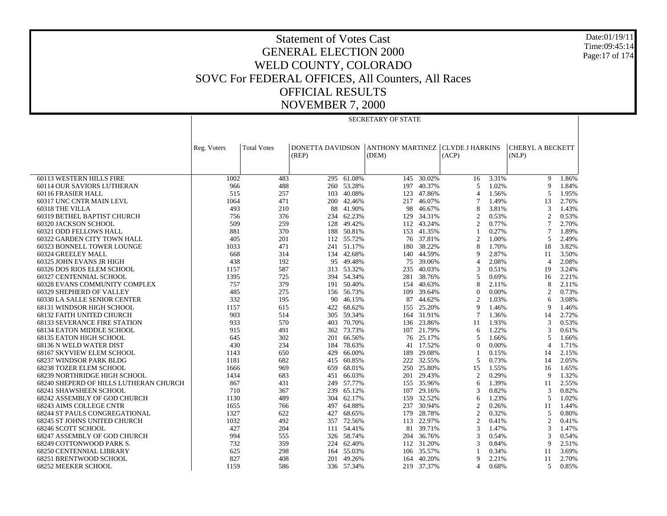Date:01/19/11 Time:09:45:14 Page:17 of 174

#### Statement of Votes Cast GENERAL ELECTION 2000 WELD COUNTY, COLORADO SOVC For FEDERAL OFFICES, All Counters, All Races OFFICIAL RESULTS NOVEMBER 7, 2000

|                                        | SECRETARY OF STATE |                    |                  |            |                         |            |                        |       |                         |       |
|----------------------------------------|--------------------|--------------------|------------------|------------|-------------------------|------------|------------------------|-------|-------------------------|-------|
|                                        |                    |                    |                  |            |                         |            |                        |       |                         |       |
|                                        |                    |                    |                  |            |                         |            |                        |       |                         |       |
|                                        |                    |                    |                  |            |                         |            |                        |       |                         |       |
|                                        | Reg. Voters        | <b>Total Votes</b> | DONETTA DAVIDSON |            | <b>ANTHONY MARTINEZ</b> |            | <b>CLYDE J HARKINS</b> |       | <b>CHERYL A BECKETT</b> |       |
|                                        |                    |                    | (REP)            |            | (DEM)                   |            | (ACP)                  |       | (NLP)                   |       |
|                                        |                    |                    |                  |            |                         |            |                        |       |                         |       |
| 60113 WESTERN HILLS FIRE               | 1002               | 483                | 295              | 61.08%     | 145                     | 30.02%     | 16                     | 3.31% | 9                       | 1.86% |
| 60114 OUR SAVIORS LUTHERAN             | 966                | 488                |                  | 260 53.28% | 197                     | 40.37%     | 5                      | 1.02% | 9                       | 1.84% |
| 60116 FRASIER HALL                     | 515                | 257                | 103              | 40.08%     | 123                     | 47.86%     | $\overline{4}$         | 1.56% | 5                       | 1.95% |
| 60317 UNC CNTR MAIN LEVL               | 1064               | 471                |                  | 200 42.46% | 217                     | 46.07%     | $\overline{7}$         | 1.49% | 13                      | 2.76% |
| 60318 THE VILLA                        | 493                | 210                | 88               | 41.90%     | 98                      | 46.67%     | 8                      | 3.81% | 3                       | 1.43% |
| 60319 BETHEL BAPTIST CHURCH            | 756                | 376                | 234              | 62.23%     | 129                     | 34.31%     | $\overline{2}$         | 0.53% | $\overline{2}$          | 0.53% |
| 60320 JACKSON SCHOOL                   | 509                | 259                | 128              | 49.42%     |                         | 112 43.24% | $\overline{2}$         | 0.77% | $\overline{7}$          | 2.70% |
| 60321 ODD FELLOWS HALL                 | 881                | 370                | 188              | 50.81%     | 153                     | 41.35%     | $\mathbf{1}$           | 0.27% | 7                       | 1.89% |
| 60322 GARDEN CITY TOWN HALL            | 405                | 201                |                  | 112 55.72% |                         | 76 37.81%  | $\overline{2}$         | 1.00% | 5                       | 2.49% |
| 60323 BONNELL TOWER LOUNGE             | 1033               | 471                |                  | 241 51.17% | 180                     | 38.22%     | 8                      | 1.70% | 18                      | 3.82% |
| 60324 GREELEY MALL                     | 668                | 314                | 134              | 42.68%     | 140                     | 44.59%     | 9                      | 2.87% | 11                      | 3.50% |
| 60325 JOHN EVANS JR HIGH               | 438                | 192                | 95               | 49.48%     | 75                      | 39.06%     | $\overline{4}$         | 2.08% | $\overline{4}$          | 2.08% |
| 60326 DOS RIOS ELEM SCHOOL             | 1157               | 587                | 313              | 53.32%     | 235                     | 40.03%     | 3                      | 0.51% | 19                      | 3.24% |
| 60327 CENTENNIAL SCHOOL                | 1395               | 725                |                  | 394 54.34% | 281                     | 38.76%     | 5                      | 0.69% | 16                      | 2.21% |
| 60328 EVANS COMMUNITY COMPLEX          | 757                | 379                | 191              | 50.40%     | 154                     | 40.63%     | 8                      | 2.11% | 8                       | 2.11% |
| 60329 SHEPHERD OF VALLEY               | 485                | 275                |                  | 156 56.73% | 109                     | 39.64%     | $\theta$               | 0.00% | $\overline{2}$          | 0.73% |
| 60330 LA SALLE SENIOR CENTER           | 332                | 195                | 90               | 46.15%     | 87                      | 44.62%     | $\overline{2}$         | 1.03% | 6                       | 3.08% |
| 68131 WINDSOR HIGH SCHOOL              | 1157               | 615                | 422              | 68.62%     | 155                     | 25.20%     | 9                      | 1.46% | 9                       | 1.46% |
| 68132 FAITH UNITED CHURCH              | 903                | 514                | 305              | 59.34%     |                         | 164 31.91% | $\overline{7}$         | 1.36% | 14                      | 2.72% |
| <b>68133 SEVERANCE FIRE STATION</b>    | 933                | 570                | 403              | 70.70%     | 136                     | 23.86%     | 11                     | 1.93% | 3                       | 0.53% |
| 68134 EATON MIDDLE SCHOOL              | 915                | 491                | 362              | 73.73%     |                         | 107 21.79% | 6                      | 1.22% | 3                       | 0.61% |
| 68135 EATON HIGH SCHOOL                | 645                | 302                | 201              | 66.56%     | 76                      | 25.17%     | 5                      | 1.66% | 5                       | 1.66% |
| 68136 N WELD WATER DIST                | 430                | 234                | 184              | 78.63%     | 41                      | 17.52%     | $\overline{0}$         | 0.00% | $\overline{4}$          | 1.71% |
| 68167 SKYVIEW ELEM SCHOOL              | 1143               | 650                | 429              | 66.00%     | 189                     | 29.08%     | $\mathbf{1}$           | 0.15% | 14                      | 2.15% |
| 68237 WINDSOR PARK BLDG                | 1181               | 682                | 415              | 60.85%     | 222                     | 32.55%     | 5                      | 0.73% | 14                      | 2.05% |
| 68238 TOZER ELEM SCHOOL                | 1666               | 969                | 659              | 68.01%     |                         | 250 25.80% | 15                     | 1.55% | 16                      | 1.65% |
| 68239 NORTHRIDGE HIGH SCHOOL           | 1434               | 683                | 451              | 66.03%     | 201                     | 29.43%     | $\overline{2}$         | 0.29% | 9                       | 1.32% |
| 68240 SHEPERD OF HILLS LUTHERAN CHURCH | 867                | 431                |                  | 249 57.77% |                         | 155 35.96% | 6                      | 1.39% | 11                      | 2.55% |
| 68241 SHAWSHEEN SCHOOL                 | 710                | 367                | 239              | 65.12%     | 107                     | 29.16%     | 3                      | 0.82% | 3                       | 0.82% |
| 68242 ASSEMBLY OF GOD CHURCH           | 1130               | 489                | 304              | 62.17%     | 159                     | 32.52%     | 6                      | 1.23% | 5                       | 1.02% |
| 68243 AIMS COLLEGE CNTR                | 1655               | 766                | 497              | 64.88%     | 237                     | 30.94%     | $\overline{2}$         | 0.26% | 11                      | 1.44% |
| <b>68244 ST PAULS CONGREGATIONAL</b>   | 1327               | 622                | 427              | 68.65%     | 179                     | 28.78%     | $\overline{2}$         | 0.32% | 5                       | 0.80% |
| 68245 ST JOHNS UNITED CHURCH           | 1032               | 492                | 357              | 72.56%     | 113                     | 22.97%     | $\overline{2}$         | 0.41% | $\overline{2}$          | 0.41% |
| 68246 SCOTT SCHOOL                     | 427                | 204                |                  | 111 54.41% | 81                      | 39.71%     | 3                      | 1.47% | 3                       | 1.47% |
| 68247 ASSEMBLY OF GOD CHURCH           | 994                | 555                | 326              | 58.74%     | 204                     | 36.76%     | 3                      | 0.54% | $\mathbf{3}$            | 0.54% |
| 68249 COTTONWOOD PARK S.               | 732                | 359                | 224              | 62.40%     |                         | 112 31.20% | 3                      | 0.84% | 9                       | 2.51% |
| <b>68250 CENTENNIAL LIBRARY</b>        | 625                | 298                | 164              | 55.03%     | 106                     | 35.57%     | $\mathbf{1}$           | 0.34% | 11                      | 3.69% |
| 68251 BRENTWOOD SCHOOL                 | 827                | 408                | 201              | 49.26%     | 164                     | 40.20%     | 9                      | 2.21% | 11                      | 2.70% |
| 68252 MEEKER SCHOOL                    | 1159               | 586                |                  | 336 57.34% |                         | 219 37.37% | $\overline{4}$         | 0.68% | 5                       | 0.85% |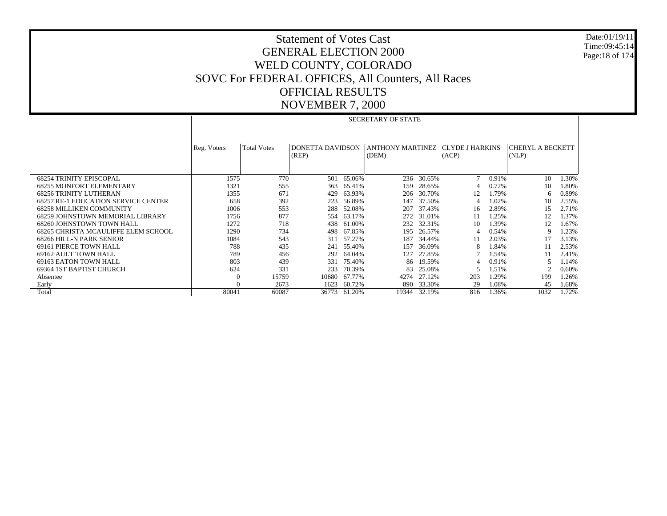Date:01/19/11 Time:09:45:14 Page:18 of 174

|                                            |             | <b>SECRETARY OF STATE</b> |                  |        |                                    |            |       |       |                         |       |  |
|--------------------------------------------|-------------|---------------------------|------------------|--------|------------------------------------|------------|-------|-------|-------------------------|-------|--|
|                                            |             |                           |                  |        |                                    |            |       |       |                         |       |  |
|                                            |             |                           |                  |        |                                    |            |       |       |                         |       |  |
|                                            | Reg. Voters | <b>Total Votes</b>        | DONETTA DAVIDSON |        | ANTHONY MARTINEZ   CLYDE J HARKINS |            |       |       | <b>CHERYL A BECKETT</b> |       |  |
|                                            |             |                           | (REP)            |        | (DEM)                              |            | (ACP) |       | (NLP)                   |       |  |
|                                            |             |                           |                  |        |                                    |            |       |       |                         |       |  |
|                                            |             |                           |                  |        |                                    |            |       |       |                         |       |  |
| <b>68254 TRINITY EPISCOPAL</b>             | 1575        | 770                       | 501              | 65.06% |                                    | 236 30.65% |       | 0.91% | 10                      | 1.30% |  |
| <b>68255 MONFORT ELEMENTARY</b>            | 1321        | 555                       | 363              | 65.41% | 159                                | 28.65%     |       | 0.72% | 10                      | 1.80% |  |
| <b>68256 TRINITY LUTHERAN</b>              | 1355        | 671                       | 429              | 63.93% | 206                                | 30.70%     | 12    | 1.79% | 6                       | 0.89% |  |
| <b>68257 RE-1 EDUCATION SERVICE CENTER</b> | 658         | 392                       | 223              | 56.89% | 147                                | 37.50%     |       | 1.02% | 10                      | 2.55% |  |
| <b>68258 MILLIKEN COMMUNITY</b>            | 1006        | 553                       | 288              | 52.08% | 207                                | 37.43%     | 16    | 2.89% | 15                      | 2.71% |  |
| 68259 JOHNSTOWN MEMORIAL LIBRARY           | 1756        | 877                       | 554              | 63.17% | 272                                | 31.01%     | 11    | 1.25% | 12                      | 1.37% |  |
| 68260 JOHNSTOWN TOWN HALL                  | 1272        | 718                       | 438              | 61.00% | 232                                | 32.31%     | 10    | 1.39% | 12                      | 1.67% |  |
| 68265 CHRISTA MCAULIFFE ELEM SCHOOL        | 1290        | 734                       | 498              | 67.85% | 195                                | 26.57%     |       | 0.54% |                         | 1.23% |  |
| 68266 HILL-N PARK SENIOR                   | 1084        | 543                       | 311              | 57.27% | 187                                | 34.44%     | 11    | 2.03% | 17                      | 3.13% |  |
| 69161 PIERCE TOWN HALL                     | 788         | 435                       | 241              | 55.40% | 157                                | 36.09%     |       | 1.84% | 11                      | 2.53% |  |
| 69162 AULT TOWN HALL                       | 789         | 456                       | 292              | 64.04% | 127                                | 27.85%     |       | 1.54% | 11                      | 2.41% |  |
| 69163 EATON TOWN HALL                      | 803         | 439                       | 331              | 75.40% | 86                                 | 19.59%     | 4     | 0.91% |                         | 1.14% |  |
| 69364 IST BAPTIST CHURCH                   | 624         | 331                       | 233              | 70.39% | 83                                 | 25.08%     |       | 1.51% |                         | 0.60% |  |
| Absentee                                   | $\bf{0}$    | 15759                     | 10680            | 67.77% | 4274                               | 27.12%     | 203   | 1.29% | 199                     | 1.26% |  |
| Early                                      | $\Omega$    | 2673                      | 1623             | 60.72% | 890                                | 33.30%     | 29    | 1.08% | 45                      | 1.68% |  |
| Total                                      | 80041       | 60087                     | 36773            | 61.20% | 19344                              | 32.19%     | 816   | 1.36% | 1032                    | 1.72% |  |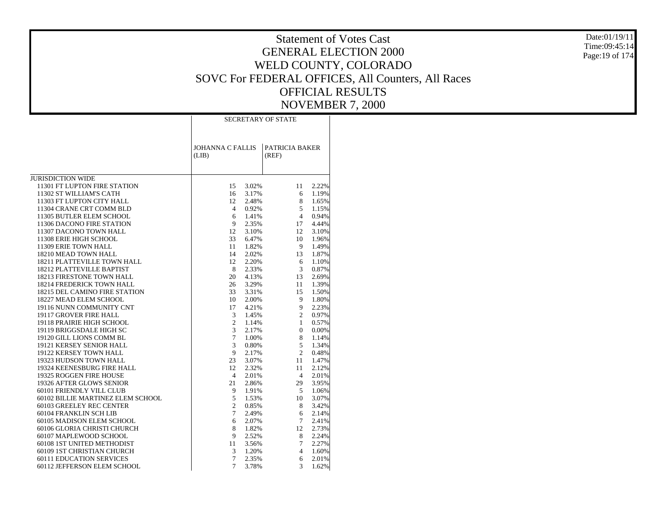Date:01/19/11 Time:09:45:14Page:19 of 174

|                                      |                                  |       | <b>SECRETARY OF STATE</b> |       |
|--------------------------------------|----------------------------------|-------|---------------------------|-------|
|                                      | <b>JOHANNA C FALLIS</b><br>(LIB) |       | PATRICIA BAKER<br>(REF)   |       |
| JURISDICTION WIDE                    |                                  |       |                           |       |
| 11301 FT LUPTON FIRE STATION         | 15                               | 3.02% | 11                        | 2.22% |
| 11302 ST WILLIAM'S CATH              | 16                               | 3.17% | 6                         | 1.19% |
| 11303 FT LUPTON CITY HALL            | 12                               | 2.48% | 8                         | 1.65% |
| 11304 CRANE CRT COMM BLD             | $\overline{4}$                   | 0.92% | 5                         | 1.15% |
| 11305 BUTLER ELEM SCHOOL             | 6                                | 1.41% | $\overline{4}$            | 0.94% |
| 11306 DACONO FIRE STATION            | 9                                | 2.35% | 17                        | 4.44% |
| 11307 DACONO TOWN HALL               | 12                               | 3.10% | 12                        | 3.10% |
| 11308 ERIE HIGH SCHOOL               | 33                               | 6.47% | 10                        | 1.96% |
| 11309 ERIE TOWN HALL                 | 11                               | 1.82% | 9                         | 1.49% |
| 18210 MEAD TOWN HALL                 | 14                               | 2.02% | 13                        | 1.87% |
| 18211 PLATTEVILLE TOWN HALL          | 12                               | 2.20% | 6                         | 1.10% |
| 18212 PLATTEVILLE BAPTIST            | 8                                | 2.33% | 3                         | 0.87% |
| <b>18213 FIRESTONE TOWN HALL</b>     | 20                               | 4.13% | 13                        | 2.69% |
| <b>18214 FREDERICK TOWN HALL</b>     | 26                               | 3.29% | 11                        | 1.39% |
| <b>18215 DEL CAMINO FIRE STATION</b> | 33                               | 3.31% | 15                        | 1.50% |
| 18227 MEAD ELEM SCHOOL               | 10                               | 2.00% | 9                         | 1.80% |
| 19116 NUNN COMMUNITY CNT             | 17                               | 4.21% | 9                         | 2.23% |
| 19117 GROVER FIRE HALL               | 3                                | 1.45% | $\overline{c}$            | 0.97% |
| 19118 PRAIRIE HIGH SCHOOL            | 2                                | 1.14% | $\mathbf{1}$              | 0.57% |
| 19119 BRIGGSDALE HIGH SC             | 3                                | 2.17% | $\boldsymbol{0}$          | 0.00% |
| 19120 GILL LIONS COMM BL             | $\overline{7}$                   | 1.00% | 8                         | 1.14% |
| 19121 KERSEY SENIOR HALL             | 3                                | 0.80% | 5                         | 1.34% |
| 19122 KERSEY TOWN HALL               | 9                                | 2.17% | $\overline{c}$            | 0.48% |
| 19323 HUDSON TOWN HALL               | 23                               | 3.07% | 11                        | 1.47% |
| 19324 KEENESBURG FIRE HALL           | 12                               | 2.32% | 11                        | 2.12% |
| 19325 ROGGEN FIRE HOUSE              | $\overline{4}$                   | 2.01% | 4                         | 2.01% |
| 19326 AFTER GLOWS SENIOR             | 21                               | 2.86% | 29                        | 3.95% |
| 60101 FRIENDLY VILL CLUB             | 9                                | 1.91% | 5                         | 1.06% |
| 60102 BILLIE MARTINEZ ELEM SCHOOL    | 5                                | 1.53% | 10                        | 3.07% |
| 60103 GREELEY REC CENTER             | $\overline{c}$                   | 0.85% | 8                         | 3.42% |
| 60104 FRANKLIN SCH LIB               | $\tau$                           | 2.49% | 6                         | 2.14% |
| 60105 MADISON ELEM SCHOOL            | 6                                | 2.07% | $\tau$                    | 2.41% |
| 60106 GLORIA CHRISTI CHURCH          | 8                                | 1.82% | 12                        | 2.73% |
| 60107 MAPLEWOOD SCHOOL               | 9                                | 2.52% | 8                         | 2.24% |
| 60108 1ST UNITED METHODIST           | 11                               | 3.56% | 7                         | 2.27% |
| 60109 1ST CHRISTIAN CHURCH           | 3                                | 1.20% | 4                         | 1.60% |
| <b>60111 EDUCATION SERVICES</b>      | $\overline{7}$                   | 2.35% | 6                         | 2.01% |
| 60112 JEFFERSON ELEM SCHOOL          | 7                                | 3.78% | 3                         | 1.62% |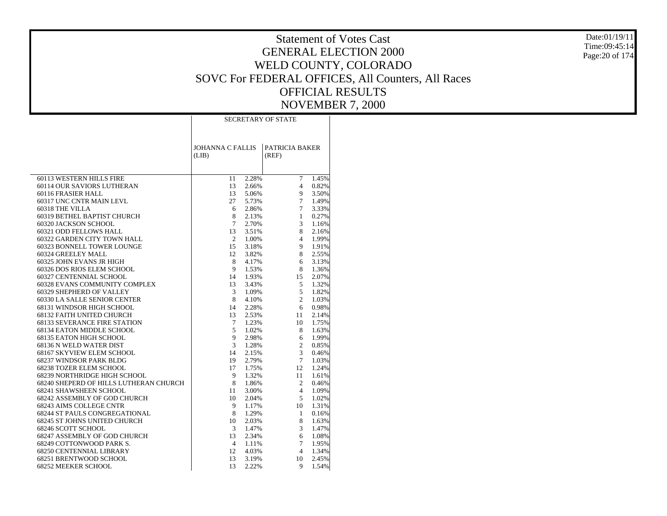Date:01/19/11 Time:09:45:14Page:20 of 174

|                                                          | <b>SECRETARY OF STATE</b>        |                |                         |                |  |  |  |
|----------------------------------------------------------|----------------------------------|----------------|-------------------------|----------------|--|--|--|
|                                                          | <b>JOHANNA C FALLIS</b><br>(LIB) |                | PATRICIA BAKER<br>(REF) |                |  |  |  |
|                                                          |                                  |                |                         |                |  |  |  |
| 60113 WESTERN HILLS FIRE                                 | 11                               | 2.28%          | $\tau$                  | 1.45%          |  |  |  |
| 60114 OUR SAVIORS LUTHERAN                               | 13                               | 2.66%          | 4                       | 0.82%          |  |  |  |
| 60116 FRASIER HALL                                       | 13                               | 5.06%          | 9                       | 3.50%          |  |  |  |
| 60317 UNC CNTR MAIN LEVL                                 | 27                               | 5.73%          | $\overline{7}$          | 1.49%          |  |  |  |
| 60318 THE VILLA                                          | 6                                | 2.86%          | 7                       | 3.33%          |  |  |  |
| 60319 BETHEL BAPTIST CHURCH                              | 8                                | 2.13%          | $\mathbf{1}$            | 0.27%          |  |  |  |
| 60320 JACKSON SCHOOL                                     | $\tau$                           | 2.70%          | 3                       | 1.16%          |  |  |  |
| 60321 ODD FELLOWS HALL                                   | 13                               | 3.51%          | 8                       | 2.16%          |  |  |  |
| 60322 GARDEN CITY TOWN HALL                              | 2                                | 1.00%          | 4                       | 1.99%          |  |  |  |
| 60323 BONNELL TOWER LOUNGE                               | 15                               | 3.18%          | 9                       | 1.91%          |  |  |  |
| 60324 GREELEY MALL                                       | 12                               | 3.82%          | 8                       | 2.55%          |  |  |  |
| 60325 JOHN EVANS JR HIGH                                 | 8                                | 4.17%          | 6                       | 3.13%          |  |  |  |
| 60326 DOS RIOS ELEM SCHOOL                               | 9                                | 1.53%          | 8                       | 1.36%          |  |  |  |
| 60327 CENTENNIAL SCHOOL<br>60328 EVANS COMMUNITY COMPLEX | 14<br>13                         | 1.93%<br>3.43% | 15<br>5                 | 2.07%<br>1.32% |  |  |  |
| 60329 SHEPHERD OF VALLEY                                 | 3                                | 1.09%          | 5                       | 1.82%          |  |  |  |
| 60330 LA SALLE SENIOR CENTER                             | 8                                | 4.10%          | $\overline{2}$          | 1.03%          |  |  |  |
| 68131 WINDSOR HIGH SCHOOL                                | 14                               | 2.28%          | 6                       | 0.98%          |  |  |  |
| 68132 FAITH UNITED CHURCH                                | 13                               | 2.53%          | 11                      | 2.14%          |  |  |  |
| <b>68133 SEVERANCE FIRE STATION</b>                      | $\tau$                           | 1.23%          | 10                      | 1.75%          |  |  |  |
| 68134 EATON MIDDLE SCHOOL                                | 5                                | 1.02%          | 8                       | 1.63%          |  |  |  |
| 68135 EATON HIGH SCHOOL                                  | 9                                | 2.98%          | 6                       | 1.99%          |  |  |  |
| 68136 N WELD WATER DIST                                  | 3                                | 1.28%          | $\overline{c}$          | 0.85%          |  |  |  |
| 68167 SKYVIEW ELEM SCHOOL                                | 14                               | 2.15%          | 3                       | 0.46%          |  |  |  |
| 68237 WINDSOR PARK BLDG                                  | 19                               | 2.79%          | $\overline{7}$          | 1.03%          |  |  |  |
| <b>68238 TOZER ELEM SCHOOL</b>                           | 17                               | 1.75%          | 12                      | 1.24%          |  |  |  |
| 68239 NORTHRIDGE HIGH SCHOOL                             | 9                                | 1.32%          | 11                      | 1.61%          |  |  |  |
| 68240 SHEPERD OF HILLS LUTHERAN CHURCH                   | 8                                | 1.86%          | $\overline{c}$          | 0.46%          |  |  |  |
| 68241 SHAWSHEEN SCHOOL                                   | 11                               | 3.00%          | 4                       | 1.09%          |  |  |  |
| 68242 ASSEMBLY OF GOD CHURCH                             | 10                               | 2.04%          | 5                       | 1.02%          |  |  |  |
| <b>68243 AIMS COLLEGE CNTR</b>                           | 9                                | 1.17%          | 10                      | 1.31%          |  |  |  |
| <b>68244 ST PAULS CONGREGATIONAL</b>                     | 8                                | 1.29%          | $\mathbf{1}$            | 0.16%          |  |  |  |
| 68245 ST JOHNS UNITED CHURCH                             | 10                               | 2.03%          | 8                       | 1.63%          |  |  |  |
| 68246 SCOTT SCHOOL                                       | 3                                | 1.47%          | 3                       | 1.47%          |  |  |  |
| 68247 ASSEMBLY OF GOD CHURCH                             | 13                               | 2.34%          | 6                       | 1.08%          |  |  |  |
| 68249 COTTONWOOD PARK S.                                 | 4                                | 1.11%          | 7                       | 1.95%          |  |  |  |
| <b>68250 CENTENNIAL LIBRARY</b>                          | 12                               | 4.03%          | $\overline{4}$          | 1.34%          |  |  |  |
| 68251 BRENTWOOD SCHOOL                                   | 13                               | 3.19%          | 10                      | 2.45%          |  |  |  |
| 68252 MEEKER SCHOOL                                      | 13                               | 2.22%          | 9                       | 1.54%          |  |  |  |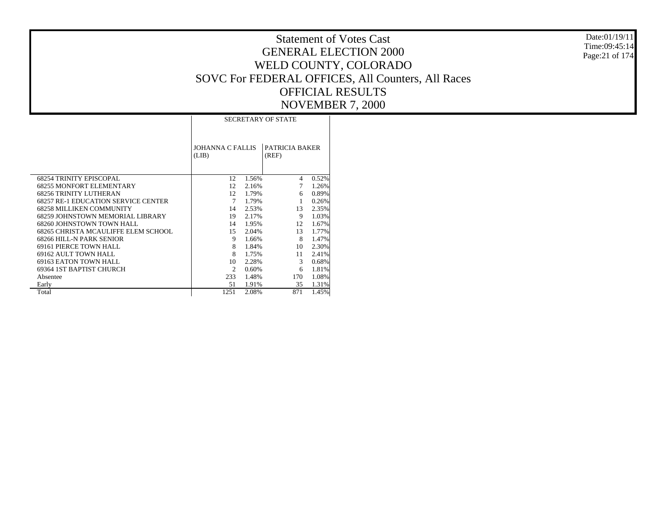|                                            | <b>SECRETARY OF STATE</b> |       |                |       |  |  |  |  |
|--------------------------------------------|---------------------------|-------|----------------|-------|--|--|--|--|
|                                            |                           |       |                |       |  |  |  |  |
|                                            |                           |       |                |       |  |  |  |  |
|                                            |                           |       |                |       |  |  |  |  |
|                                            | <b>JOHANNA C FALLIS</b>   |       | PATRICIA BAKER |       |  |  |  |  |
|                                            | (LIB)                     |       | (REF)          |       |  |  |  |  |
|                                            |                           |       |                |       |  |  |  |  |
|                                            |                           |       |                |       |  |  |  |  |
|                                            |                           |       |                |       |  |  |  |  |
| <b>68254 TRINITY EPISCOPAL</b>             | 12                        | 1.56% | 4              | 0.52% |  |  |  |  |
| <b>68255 MONFORT ELEMENTARY</b>            | 12                        | 2.16% | 7              | 1.26% |  |  |  |  |
| <b>68256 TRINITY LUTHERAN</b>              | 12                        | 1.79% | 6              | 0.89% |  |  |  |  |
| <b>68257 RE-1 EDUCATION SERVICE CENTER</b> | 7                         | 1.79% | 1              | 0.26% |  |  |  |  |
| <b>68258 MILLIKEN COMMUNITY</b>            | 14                        | 2.53% | 13             | 2.35% |  |  |  |  |
| 68259 JOHNSTOWN MEMORIAL LIBRARY           | 19                        | 2.17% | 9              | 1.03% |  |  |  |  |
| 68260 JOHNSTOWN TOWN HALL                  | 14                        | 1.95% | 12.            | 1.67% |  |  |  |  |
| 68265 CHRISTA MCAULIFFE ELEM SCHOOL        | 15                        | 2.04% | 13             | 1.77% |  |  |  |  |
| <b>68266 HILL-N PARK SENIOR</b>            | 9                         | 1.66% | 8              | 1.47% |  |  |  |  |
| <b>69161 PIERCE TOWN HALL</b>              | 8                         | 1.84% | 10             | 2.30% |  |  |  |  |
| 69162 AULT TOWN HALL                       | 8                         | 1.75% | 11             | 2.41% |  |  |  |  |
| 69163 EATON TOWN HALL                      | 10                        | 2.28% | 3              | 0.68% |  |  |  |  |
| 69364 IST BAPTIST CHURCH                   | 2                         | 0.60% | 6              | 1.81% |  |  |  |  |
| Absentee                                   | 233                       | 1.48% | 170            | 1.08% |  |  |  |  |
| Early                                      | 51                        | 1.91% | 35             | 1.31% |  |  |  |  |
| Total                                      | 1251                      | 2.08% | 871            | 1.45% |  |  |  |  |

Date:01/19/11 Time:09:45:14 Page:21 of 174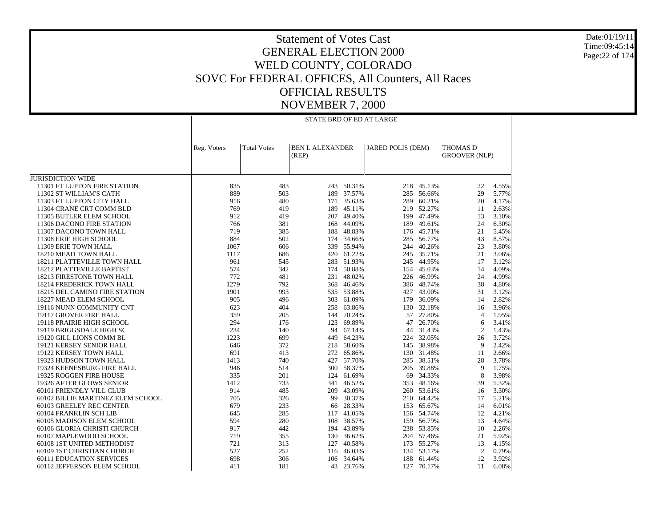Date:01/19/11 Time:09:45:14 Page:22 of 174

|                                                         |              |                    | STATE BRD OF ED AT LARGE        |                  |                   |                          |                                  |                |
|---------------------------------------------------------|--------------|--------------------|---------------------------------|------------------|-------------------|--------------------------|----------------------------------|----------------|
|                                                         | Reg. Voters  | <b>Total Votes</b> | <b>BEN L ALEXANDER</b><br>(REP) |                  | JARED POLIS (DEM) |                          | THOMAS D<br><b>GROOVER (NLP)</b> |                |
| <b>JURISDICTION WIDE</b>                                |              |                    |                                 |                  |                   |                          |                                  |                |
| 11301 FT LUPTON FIRE STATION                            | 835          | 483                |                                 | 243 50.31%       |                   | 218 45.13%               | 22                               | 4.55%          |
| 11302 ST WILLIAM'S CATH                                 | 889          | 503                |                                 | 189 37.57%       | 285               | 56.66%                   | 29                               | 5.77%          |
| 11303 FT LUPTON CITY HALL                               | 916          | 480                | 171                             | 35.63%           | 289               | 60.21%                   | 20                               | 4.17%          |
| 11304 CRANE CRT COMM BLD                                | 769          | 419                |                                 | 189 45.11%       |                   | 219 52.27%               | 11                               | 2.63%          |
| 11305 BUTLER ELEM SCHOOL                                | 912          | 419                | 207                             | 49.40%           | 199               | 47.49%                   | 13                               | 3.10%          |
| 11306 DACONO FIRE STATION                               | 766          | 381                | 168                             | 44.09%           |                   | 189 49.61%               | 24                               | 6.30%          |
| 11307 DACONO TOWN HALL                                  | 719          | 385                | 188                             | 48.83%           |                   | 176 45.71%               | 21                               | 5.45%          |
| 11308 ERIE HIGH SCHOOL                                  | 884          | 502                | 174                             | 34.66%           | 285               | 56.77%                   | 43                               | 8.57%          |
| 11309 ERIE TOWN HALL                                    | 1067         | 606                |                                 | 339 55.94%       |                   | 244 40.26%               | 23                               | 3.80%          |
| 18210 MEAD TOWN HALL                                    | 1117         | 686                |                                 | 420 61.22%       | 245               | 35.71%                   | 21                               | 3.06%          |
| 18211 PLATTEVILLE TOWN HALL                             | 961          | 545                |                                 | 283 51.93%       |                   | 245 44.95%               | 17                               | 3.12%          |
| 18212 PLATTEVILLE BAPTIST                               | 574          | 342                |                                 | 174 50.88%       | 154               | 45.03%                   | 14                               | 4.09%          |
| 18213 FIRESTONE TOWN HALL                               | 772          | 481                | 231                             | 48.02%           |                   | 226 46.99%               | 24                               | 4.99%          |
| <b>18214 FREDERICK TOWN HALL</b>                        | 1279<br>1901 | 792<br>993         | 368                             | 46.46%<br>53.88% |                   | 386 48.74%<br>427 43.00% | 38<br>31                         | 4.80%<br>3.12% |
| 18215 DEL CAMINO FIRE STATION<br>18227 MEAD ELEM SCHOOL | 905          | 496                | 535                             | 303 61.09%       |                   | 179 36.09%               | 14                               | 2.82%          |
| 19116 NUNN COMMUNITY CNT                                | 623          | 404                | 258                             | 63.86%           |                   | 130 32.18%               | 16                               | 3.96%          |
| 19117 GROVER FIRE HALL                                  | 359          | 205                |                                 | 144 70.24%       |                   | 57 27.80%                | $\overline{4}$                   | 1.95%          |
| 19118 PRAIRIE HIGH SCHOOL                               | 294          | 176                | 123                             | 69.89%           | 47                | 26.70%                   | 6                                | 3.41%          |
| 19119 BRIGGSDALE HIGH SC                                | 234          | 140                | 94                              | 67.14%           |                   | 44 31.43%                | 2                                | 1.43%          |
| 19120 GILL LIONS COMM BL                                | 1223         | 699                |                                 | 449 64.23%       |                   | 224 32.05%               | 26                               | 3.72%          |
| 19121 KERSEY SENIOR HALL                                | 646          | 372                | 218                             | 58.60%           | 145               | 38.98%                   | 9                                | 2.42%          |
| 19122 KERSEY TOWN HALL                                  | 691          | 413                |                                 | 272 65.86%       |                   | 130 31.48%               | 11                               | 2.66%          |
| 19323 HUDSON TOWN HALL                                  | 1413         | 740                | 427                             | 57.70%           | 285               | 38.51%                   | 28                               | 3.78%          |
| 19324 KEENESBURG FIRE HALL                              | 946          | 514                |                                 | 300 58.37%       |                   | 205 39.88%               | 9                                | 1.75%          |
| 19325 ROGGEN FIRE HOUSE                                 | 335          | 201                | 124                             | 61.69%           |                   | 69 34.33%                | 8                                | 3.98%          |
| 19326 AFTER GLOWS SENIOR                                | 1412         | 733                | 341                             | 46.52%           |                   | 353 48.16%               | 39                               | 5.32%          |
| 60101 FRIENDLY VILL CLUB                                | 914          | 485                |                                 | 209 43.09%       |                   | 260 53.61%               | 16                               | 3.30%          |
| 60102 BILLIE MARTINEZ ELEM SCHOOL                       | 705          | 326                | 99                              | 30.37%           |                   | 210 64.42%               | 17                               | 5.21%          |
| 60103 GREELEY REC CENTER                                | 679          | 233                | 66                              | 28.33%           |                   | 153 65.67%               | 14                               | 6.01%          |
| 60104 FRANKLIN SCH LIB                                  | 645          | 285                |                                 | 117 41.05%       |                   | 156 54.74%               | 12                               | 4.21%          |
| 60105 MADISON ELEM SCHOOL                               | 594          | 280                | 108                             | 38.57%           | 159               | 56.79%                   | 13                               | 4.64%          |
| 60106 GLORIA CHRISTI CHURCH                             | 917          | 442                |                                 | 194 43.89%       |                   | 238 53.85%               | 10                               | 2.26%          |
| 60107 MAPLEWOOD SCHOOL                                  | 719          | 355                | 130                             | 36.62%           |                   | 204 57.46%               | 21                               | 5.92%          |
| 60108 1ST UNITED METHODIST                              | 721          | 313                | 127                             | 40.58%           |                   | 173 55.27%               | 13                               | 4.15%          |
| 60109 1ST CHRISTIAN CHURCH                              | 527          | 252                | 116                             | 46.03%           |                   | 134 53.17%               | $\overline{2}$                   | 0.79%          |
| <b>60111 EDUCATION SERVICES</b>                         | 698          | 306                |                                 | 106 34.64%       | 188               | 61.44%                   | 12                               | 3.92%          |
| 60112 JEFFERSON ELEM SCHOOL                             | 411          | 181                | 43                              | 23.76%           |                   | 127 70.17%               | 11                               | 6.08%          |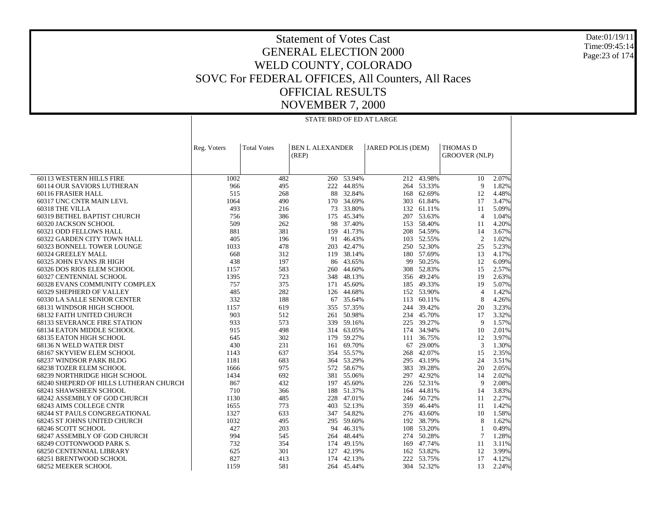Date:01/19/11 Time:09:45:14 Page:23 of 174

#### Statement of Votes Cast GENERAL ELECTION 2000 WELD COUNTY, COLORADO SOVC For FEDERAL OFFICES, All Counters, All Races OFFICIAL RESULTS NOVEMBER 7, 2000

|                                        |             | STATE BRD OF ED AT LARGE |                                 |            |                          |            |                                         |       |  |
|----------------------------------------|-------------|--------------------------|---------------------------------|------------|--------------------------|------------|-----------------------------------------|-------|--|
|                                        |             |                          |                                 |            |                          |            |                                         |       |  |
|                                        |             |                          |                                 |            |                          |            |                                         |       |  |
|                                        | Reg. Voters | <b>Total Votes</b>       | <b>BEN L ALEXANDER</b><br>(REP) |            | <b>JARED POLIS (DEM)</b> |            | <b>THOMAS D</b><br><b>GROOVER (NLP)</b> |       |  |
|                                        |             |                          |                                 |            |                          |            |                                         |       |  |
|                                        |             |                          |                                 |            |                          |            |                                         |       |  |
| 60113 WESTERN HILLS FIRE               | 1002        | 482                      |                                 | 260 53.94% | 212                      | 43.98%     | 10                                      | 2.07% |  |
| 60114 OUR SAVIORS LUTHERAN             | 966         | 495                      | 222                             | 44.85%     |                          | 264 53.33% | 9                                       | 1.82% |  |
| 60116 FRASIER HALL                     | 515         | 268                      | 88                              | 32.84%     | 168                      | 62.69%     | 12                                      | 4.48% |  |
| 60317 UNC CNTR MAIN LEVL               | 1064        | 490                      |                                 | 170 34.69% | 303                      | 61.84%     | 17                                      | 3.47% |  |
| 60318 THE VILLA                        | 493         | 216                      |                                 | 73 33.80%  | 132                      | 61.11%     | 11                                      | 5.09% |  |
| 60319 BETHEL BAPTIST CHURCH            | 756         | 386                      | 175                             | 45.34%     | 207                      | 53.63%     | $\overline{4}$                          | 1.04% |  |
| 60320 JACKSON SCHOOL                   | 509         | 262                      | 98                              | 37.40%     | 153                      | 58.40%     | 11                                      | 4.20% |  |
| 60321 ODD FELLOWS HALL                 | 881         | 381                      | 159                             | 41.73%     | 208                      | 54.59%     | 14                                      | 3.67% |  |
| 60322 GARDEN CITY TOWN HALL            | 405         | 196                      |                                 | 91 46.43%  |                          | 103 52.55% | $\overline{2}$                          | 1.02% |  |
| 60323 BONNELL TOWER LOUNGE             | 1033        | 478                      |                                 | 203 42.47% |                          | 250 52.30% | 25                                      | 5.23% |  |
| 60324 GREELEY MALL                     | 668         | 312                      | 119                             | 38.14%     | 180                      | 57.69%     | 13                                      | 4.17% |  |
| 60325 JOHN EVANS JR HIGH               | 438         | 197                      |                                 | 86 43.65%  |                          | 99 50.25%  | 12                                      | 6.09% |  |
| 60326 DOS RIOS ELEM SCHOOL             | 1157        | 583                      |                                 | 260 44.60% | 308                      | 52.83%     | 15                                      | 2.57% |  |
| 60327 CENTENNIAL SCHOOL                | 1395        | 723                      |                                 | 348 48.13% |                          | 356 49.24% | 19                                      | 2.63% |  |
| 60328 EVANS COMMUNITY COMPLEX          | 757         | 375                      | 171                             | 45.60%     | 185                      | 49.33%     | 19                                      | 5.07% |  |
| 60329 SHEPHERD OF VALLEY               | 485         | 282                      | 126                             | 44.68%     |                          | 152 53.90% | $\overline{4}$                          | 1.42% |  |
| 60330 LA SALLE SENIOR CENTER           | 332         | 188                      |                                 | 67 35.64%  | 113                      | 60.11%     | 8                                       | 4.26% |  |
| 68131 WINDSOR HIGH SCHOOL              | 1157        | 619                      |                                 | 355 57.35% | 244                      | 39.42%     | 20                                      | 3.23% |  |
| <b>68132 FAITH UNITED CHURCH</b>       | 903         | 512                      |                                 | 261 50.98% |                          | 234 45.70% | 17                                      | 3.32% |  |
| <b>68133 SEVERANCE FIRE STATION</b>    | 933         | 573                      | 339                             | 59.16%     | 225                      | 39.27%     | 9                                       | 1.57% |  |
| 68134 EATON MIDDLE SCHOOL              | 915         | 498                      |                                 | 314 63.05% |                          | 174 34.94% | 10                                      | 2.01% |  |
| 68135 EATON HIGH SCHOOL                | 645         | 302                      |                                 | 179 59.27% | 111                      | 36.75%     | 12                                      | 3.97% |  |
| 68136 N WELD WATER DIST                | 430         | 231                      |                                 | 161 69.70% | 67                       | 29.00%     | 3                                       | 1.30% |  |
| 68167 SKYVIEW ELEM SCHOOL              | 1143        | 637                      |                                 | 354 55.57% | 268                      | 42.07%     | 15                                      | 2.35% |  |
| 68237 WINDSOR PARK BLDG                | 1181        | 683                      |                                 | 364 53.29% | 295                      | 43.19%     | 24                                      | 3.51% |  |
| <b>68238 TOZER ELEM SCHOOL</b>         | 1666        | 975                      |                                 | 572 58.67% | 383                      | 39.28%     | 20                                      | 2.05% |  |
| 68239 NORTHRIDGE HIGH SCHOOL           | 1434        | 692                      |                                 | 381 55.06% | 297                      | 42.92%     | 14                                      | 2.02% |  |
| 68240 SHEPERD OF HILLS LUTHERAN CHURCH | 867         | 432                      |                                 | 197 45.60% |                          | 226 52.31% | 9                                       | 2.08% |  |
| 68241 SHAWSHEEN SCHOOL                 | 710         | 366                      |                                 | 188 51.37% |                          | 164 44.81% | 14                                      | 3.83% |  |
| 68242 ASSEMBLY OF GOD CHURCH           | 1130        | 485                      | 228                             | 47.01%     | 246                      | 50.72%     | 11                                      | 2.27% |  |
| 68243 AIMS COLLEGE CNTR                | 1655        | 773                      |                                 | 403 52.13% |                          | 359 46.44% | 11                                      | 1.42% |  |
| <b>68244 ST PAULS CONGREGATIONAL</b>   | 1327        | 633                      |                                 | 347 54.82% |                          | 276 43.60% | 10                                      | 1.58% |  |
| 68245 ST JOHNS UNITED CHURCH           | 1032        | 495                      |                                 | 295 59.60% | 192                      | 38.79%     | 8                                       | 1.62% |  |
| 68246 SCOTT SCHOOL                     | 427         | 203                      |                                 | 94 46.31%  |                          | 108 53.20% | -1                                      | 0.49% |  |
| 68247 ASSEMBLY OF GOD CHURCH           | 994         | 545                      |                                 | 264 48.44% | 274                      | 50.28%     | $7\phantom{.0}$                         | 1.28% |  |
| 68249 COTTONWOOD PARK S.               | 732         | 354                      |                                 | 174 49.15% |                          | 169 47.74% | 11                                      | 3.11% |  |
| <b>68250 CENTENNIAL LIBRARY</b>        | 625         | 301                      | 127                             | 42.19%     |                          | 162 53.82% | 12                                      | 3.99% |  |
| 68251 BRENTWOOD SCHOOL                 | 827         | 413                      |                                 | 174 42.13% |                          | 222 53.75% | 17                                      | 4.12% |  |
| 68252 MEEKER SCHOOL                    | 1159        | 581                      |                                 | 264 45.44% |                          | 304 52.32% | 13                                      | 2.24% |  |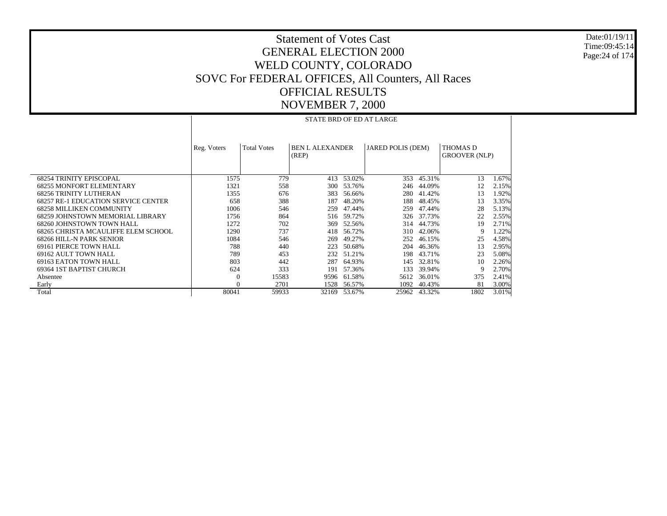Date:01/19/11 Time:09:45:14 Page:24 of 174

|                                            |             | STATE BRD OF ED AT LARGE |                                 |              |                   |        |                                         |       |  |  |  |
|--------------------------------------------|-------------|--------------------------|---------------------------------|--------------|-------------------|--------|-----------------------------------------|-------|--|--|--|
|                                            | Reg. Voters | <b>Total Votes</b>       | <b>BEN L ALEXANDER</b><br>(REP) |              | JARED POLIS (DEM) |        | <b>THOMAS D</b><br><b>GROOVER (NLP)</b> |       |  |  |  |
|                                            |             |                          |                                 |              |                   |        |                                         |       |  |  |  |
| <b>68254 TRINITY EPISCOPAL</b>             | 1575        | 779                      | 413                             | 53.02%       | 353               | 45.31% | 13                                      | 1.67% |  |  |  |
| <b>68255 MONFORT ELEMENTARY</b>            | 1321        | 558                      | 300                             | 53.76%       | 246               | 44.09% | 12                                      | 2.15% |  |  |  |
| <b>68256 TRINITY LUTHERAN</b>              | 1355        | 676                      | 383                             | 56.66%       | 280               | 41.42% | 13                                      | 1.92% |  |  |  |
| <b>68257 RE-1 EDUCATION SERVICE CENTER</b> | 658         | 388                      | 187                             | 48.20%       | 188               | 48.45% | 13                                      | 3.35% |  |  |  |
| <b>68258 MILLIKEN COMMUNITY</b>            | 1006        | 546                      | 259                             | 47.44%       | 259               | 47.44% | 28                                      | 5.13% |  |  |  |
| 68259 JOHNSTOWN MEMORIAL LIBRARY           | 1756        | 864                      | 516                             | 59.72%       | 326               | 37.73% | 22                                      | 2.55% |  |  |  |
| 68260 JOHNSTOWN TOWN HALL                  | 1272        | 702                      | 369                             | 52.56%       | 314               | 44.73% | 19                                      | 2.71% |  |  |  |
| 68265 CHRISTA MCAULIFFE ELEM SCHOOL        | 1290        | 737                      | 418                             | 56.72%       | 310               | 42.06% | Q                                       | 1.22% |  |  |  |
| 68266 HILL-N PARK SENIOR                   | 1084        | 546                      | 269                             | 49.27%       | 252               | 46.15% | 25                                      | 4.58% |  |  |  |
| 69161 PIERCE TOWN HALL                     | 788         | 440                      | 223                             | 50.68%       | 204               | 46.36% | 13                                      | 2.95% |  |  |  |
| 69162 AULT TOWN HALL                       | 789         | 453                      | 232                             | 51.21%       | 198               | 43.71% | 23                                      | 5.08% |  |  |  |
| 69163 EATON TOWN HALL                      | 803         | 442                      | 287                             | 64.93%       | 145               | 32.81% | 10                                      | 2.26% |  |  |  |
| 69364 IST BAPTIST CHURCH                   | 624         | 333                      | 191                             | 57.36%       | 133               | 39.94% | 9                                       | 2.70% |  |  |  |
| Absentee                                   | 0           | 15583                    | 9596                            | 61.58%       | 5612              | 36.01% | 375                                     | 2.41% |  |  |  |
| Early                                      |             | 2701                     | 1528                            | 56.57%       | 1092              | 40.43% | 81                                      | 3.00% |  |  |  |
| Total                                      | 80041       | 59933                    |                                 | 32169 53.67% | 25962             | 43.32% | 1802                                    | 3.01% |  |  |  |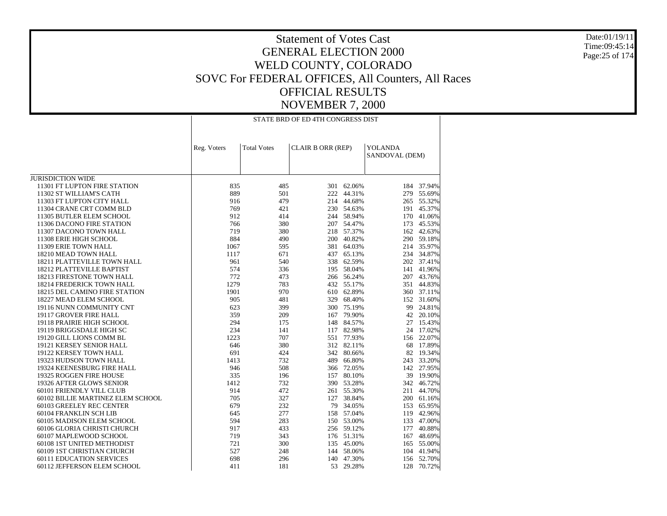Date:01/19/11 Time:09:45:14Page:25 of 174

|                                   |             | STATE BRD OF ED 4TH CONGRESS DIST |                          |            |                                  |            |  |  |  |
|-----------------------------------|-------------|-----------------------------------|--------------------------|------------|----------------------------------|------------|--|--|--|
|                                   | Reg. Voters | <b>Total Votes</b>                | <b>CLAIR B ORR (REP)</b> |            | <b>YOLANDA</b><br>SANDOVAL (DEM) |            |  |  |  |
|                                   |             |                                   |                          |            |                                  |            |  |  |  |
| <b>JURISDICTION WIDE</b>          |             |                                   |                          |            |                                  |            |  |  |  |
| 11301 FT LUPTON FIRE STATION      | 835         | 485                               |                          | 301 62.06% |                                  | 184 37.94% |  |  |  |
| 11302 ST WILLIAM'S CATH           | 889         | 501                               |                          | 222 44.31% |                                  | 279 55.69% |  |  |  |
| 11303 FT LUPTON CITY HALL         | 916         | 479                               |                          | 214 44.68% |                                  | 265 55.32% |  |  |  |
| 11304 CRANE CRT COMM BLD          | 769         | 421                               |                          | 230 54.63% |                                  | 191 45.37% |  |  |  |
| 11305 BUTLER ELEM SCHOOL          | 912         | 414                               |                          | 244 58.94% |                                  | 170 41.06% |  |  |  |
| 11306 DACONO FIRE STATION         | 766         | 380                               |                          | 207 54.47% |                                  | 173 45.53% |  |  |  |
| 11307 DACONO TOWN HALL            | 719         | 380                               |                          | 218 57.37% |                                  | 162 42.63% |  |  |  |
| 11308 ERIE HIGH SCHOOL            | 884         | 490                               |                          | 200 40.82% |                                  | 290 59.18% |  |  |  |
| 11309 ERIE TOWN HALL              | 1067        | 595                               |                          | 381 64.03% |                                  | 214 35.97% |  |  |  |
| 18210 MEAD TOWN HALL              | 1117        | 671                               |                          | 437 65.13% |                                  | 234 34.87% |  |  |  |
| 18211 PLATTEVILLE TOWN HALL       | 961         | 540                               |                          | 338 62.59% |                                  | 202 37.41% |  |  |  |
| 18212 PLATTEVILLE BAPTIST         | 574         | 336                               |                          | 195 58.04% |                                  | 141 41.96% |  |  |  |
| 18213 FIRESTONE TOWN HALL         | 772         | 473                               |                          | 266 56.24% |                                  | 207 43.76% |  |  |  |
| 18214 FREDERICK TOWN HALL         | 1279        | 783                               |                          | 432 55.17% |                                  | 351 44.83% |  |  |  |
| 18215 DEL CAMINO FIRE STATION     | 1901        | 970                               |                          | 610 62.89% |                                  | 360 37.11% |  |  |  |
| 18227 MEAD ELEM SCHOOL            | 905         | 481                               |                          | 329 68.40% |                                  | 152 31.60% |  |  |  |
| 19116 NUNN COMMUNITY CNT          | 623         | 399                               |                          | 300 75.19% |                                  | 99 24.81%  |  |  |  |
| 19117 GROVER FIRE HALL            | 359         | 209                               |                          | 167 79.90% |                                  | 42 20.10%  |  |  |  |
| 19118 PRAIRIE HIGH SCHOOL         | 294         | 175                               |                          | 148 84.57% |                                  | 27 15.43%  |  |  |  |
| 19119 BRIGGSDALE HIGH SC          | 234         | 141                               |                          | 117 82.98% |                                  | 24 17.02%  |  |  |  |
| 19120 GILL LIONS COMM BL          | 1223        | 707                               |                          | 551 77.93% |                                  | 156 22.07% |  |  |  |
| 19121 KERSEY SENIOR HALL          | 646         | 380                               |                          | 312 82.11% |                                  | 68 17.89%  |  |  |  |
| 19122 KERSEY TOWN HALL            | 691         | 424                               |                          | 342 80.66% |                                  | 82 19.34%  |  |  |  |
| 19323 HUDSON TOWN HALL            | 1413        | 732                               |                          | 489 66.80% |                                  | 243 33.20% |  |  |  |
| 19324 KEENESBURG FIRE HALL        | 946         | 508                               |                          | 366 72.05% |                                  | 142 27.95% |  |  |  |
| 19325 ROGGEN FIRE HOUSE           | 335         | 196                               |                          | 157 80.10% |                                  | 39 19.90%  |  |  |  |
| 19326 AFTER GLOWS SENIOR          | 1412        | 732                               |                          | 390 53.28% |                                  | 342 46.72% |  |  |  |
| 60101 FRIENDLY VILL CLUB          | 914         | 472                               |                          | 261 55.30% | 211                              | 44.70%     |  |  |  |
| 60102 BILLIE MARTINEZ ELEM SCHOOL | 705         | 327                               |                          | 127 38.84% |                                  | 200 61.16% |  |  |  |
| 60103 GREELEY REC CENTER          | 679         | 232                               |                          | 79 34.05%  |                                  | 153 65.95% |  |  |  |
| 60104 FRANKLIN SCH LIB            | 645         | 277                               |                          | 158 57.04% |                                  | 119 42.96% |  |  |  |
| 60105 MADISON ELEM SCHOOL         | 594         | 283                               |                          | 150 53.00% |                                  | 133 47.00% |  |  |  |
| 60106 GLORIA CHRISTI CHURCH       | 917         | 433                               |                          | 256 59.12% | 177                              | 40.88%     |  |  |  |
| 60107 MAPLEWOOD SCHOOL            | 719         | 343                               |                          | 176 51.31% |                                  | 167 48.69% |  |  |  |
| 60108 1ST UNITED METHODIST        | 721         | 300                               |                          | 135 45.00% |                                  | 165 55.00% |  |  |  |
| 60109 1ST CHRISTIAN CHURCH        | 527         | 248                               |                          | 144 58.06% | 104                              | 41.94%     |  |  |  |
| <b>60111 EDUCATION SERVICES</b>   | 698         | 296                               |                          | 140 47.30% |                                  | 156 52.70% |  |  |  |
| 60112 JEFFERSON ELEM SCHOOL       | 411         | 181                               |                          | 53 29.28%  | 128                              | 70.72%     |  |  |  |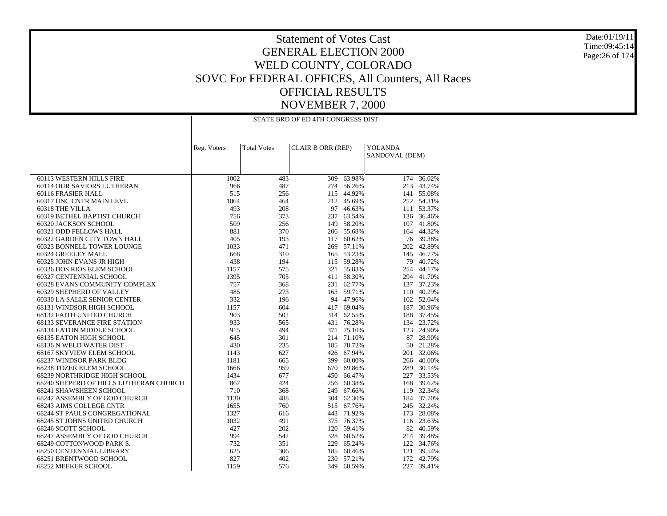Date:01/19/11 Time:09:45:14Page:26 of 174

|                                        |             |                    | STATE BRD OF ED 4TH CONGRESS DIST |            |                                  |            |
|----------------------------------------|-------------|--------------------|-----------------------------------|------------|----------------------------------|------------|
|                                        |             |                    |                                   |            |                                  |            |
|                                        | Reg. Voters | <b>Total Votes</b> | CLAIR B ORR (REP)                 |            | <b>YOLANDA</b><br>SANDOVAL (DEM) |            |
|                                        |             |                    |                                   |            |                                  |            |
| 60113 WESTERN HILLS FIRE               | 1002        | 483                | 309                               | 63.98%     |                                  | 174 36.02% |
| 60114 OUR SAVIORS LUTHERAN             | 966         | 487                |                                   | 274 56.26% |                                  | 213 43.74% |
| 60116 FRASIER HALL                     | 515         | 256                |                                   | 115 44.92% |                                  | 141 55.08% |
| 60317 UNC CNTR MAIN LEVL               | 1064        | 464                |                                   | 212 45.69% |                                  | 252 54.31% |
| 60318 THE VILLA                        | 493         | 208                |                                   | 97 46.63%  |                                  | 111 53.37% |
| 60319 BETHEL BAPTIST CHURCH            | 756         | 373                |                                   | 237 63.54% |                                  | 136 36.46% |
| 60320 JACKSON SCHOOL                   | 509         | 256                |                                   | 149 58.20% |                                  | 107 41.80% |
| 60321 ODD FELLOWS HALL                 | 881         | 370                |                                   | 206 55.68% |                                  | 164 44.32% |
| 60322 GARDEN CITY TOWN HALL            | 405         | 193                |                                   | 117 60.62% |                                  | 76 39.38%  |
| 60323 BONNELL TOWER LOUNGE             | 1033        | 471                |                                   | 269 57.11% |                                  | 202 42.89% |
| 60324 GREELEY MALL                     | 668         | 310                |                                   | 165 53.23% |                                  | 145 46.77% |
| 60325 JOHN EVANS JR HIGH               | 438         | 194                |                                   | 115 59.28% |                                  | 79 40.72%  |
| 60326 DOS RIOS ELEM SCHOOL             | 1157        | 575                |                                   | 321 55.83% |                                  | 254 44.17% |
| 60327 CENTENNIAL SCHOOL                | 1395        | 705                |                                   | 411 58.30% |                                  | 294 41.70% |
| 60328 EVANS COMMUNITY COMPLEX          | 757         | 368                |                                   | 231 62.77% |                                  | 137 37.23% |
| 60329 SHEPHERD OF VALLEY               | 485         | 273                |                                   | 163 59.71% |                                  | 110 40.29% |
| 60330 LA SALLE SENIOR CENTER           | 332         | 196                |                                   | 94 47.96%  |                                  | 102 52.04% |
| 68131 WINDSOR HIGH SCHOOL              | 1157        | 604                |                                   | 417 69.04% |                                  | 187 30.96% |
| 68132 FAITH UNITED CHURCH              | 903         | 502                |                                   | 314 62.55% | 188                              | 37.45%     |
| <b>68133 SEVERANCE FIRE STATION</b>    | 933         | 565                |                                   | 431 76.28% |                                  | 134 23.72% |
| 68134 EATON MIDDLE SCHOOL              | 915         | 494                |                                   | 371 75.10% |                                  | 123 24.90% |
| 68135 EATON HIGH SCHOOL                | 645         | 301                |                                   | 214 71.10% |                                  | 87 28.90%  |
| 68136 N WELD WATER DIST                | 430         | 235                |                                   | 185 78.72% |                                  | 50 21.28%  |
| 68167 SKYVIEW ELEM SCHOOL              | 1143        | 627                |                                   | 426 67.94% | 201                              | 32.06%     |
| 68237 WINDSOR PARK BLDG                | 1181        | 665                |                                   | 399 60.00% |                                  | 266 40.00% |
| 68238 TOZER ELEM SCHOOL                | 1666        | 959                |                                   | 670 69.86% |                                  | 289 30.14% |
| 68239 NORTHRIDGE HIGH SCHOOL           | 1434        | 677                |                                   | 450 66.47% |                                  | 227 33.53% |
| 68240 SHEPERD OF HILLS LUTHERAN CHURCH | 867         | 424                |                                   | 256 60.38% |                                  | 168 39.62% |
| 68241 SHAWSHEEN SCHOOL                 | 710         | 368                |                                   | 249 67.66% |                                  | 119 32.34% |
| 68242 ASSEMBLY OF GOD CHURCH           | 1130        | 488                |                                   | 304 62.30% |                                  | 184 37.70% |
| 68243 AIMS COLLEGE CNTR                | 1655        | 760                |                                   | 515 67.76% |                                  | 245 32.24% |
| 68244 ST PAULS CONGREGATIONAL          | 1327        | 616                |                                   | 443 71.92% |                                  | 173 28.08% |
| 68245 ST JOHNS UNITED CHURCH           | 1032        | 491                |                                   | 375 76.37% |                                  | 116 23.63% |
| 68246 SCOTT SCHOOL                     | 427         | 202                |                                   | 120 59.41% |                                  | 82 40.59%  |
| 68247 ASSEMBLY OF GOD CHURCH           | 994         | 542                |                                   | 328 60.52% |                                  | 214 39.48% |
| 68249 COTTONWOOD PARK S.               | 732         | 351                |                                   | 229 65.24% |                                  | 122 34.76% |
| 68250 CENTENNIAL LIBRARY               | 625         | 306                |                                   | 185 60.46% |                                  | 121 39.54% |
| 68251 BRENTWOOD SCHOOL                 | 827         | 402                |                                   | 230 57.21% |                                  | 172 42.79% |
| 68252 MEEKER SCHOOL                    | 1159        | 576                | 349                               | 60.59%     | 227                              | 39.41%     |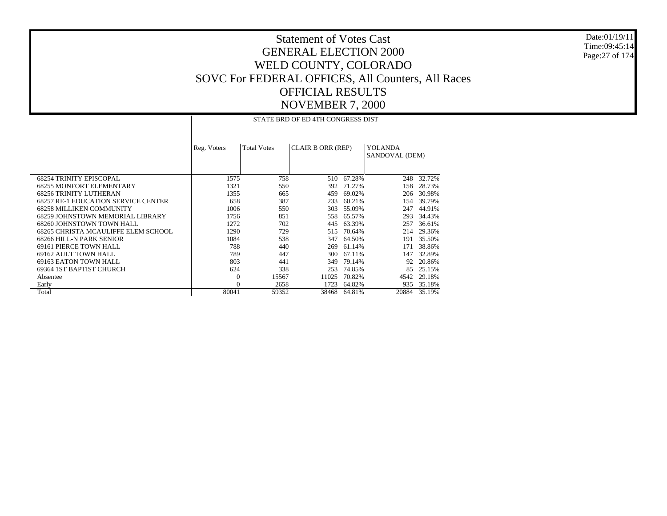Date:01/19/11 Time:09:45:14 Page:27 of 174

|                                            | STATE BRD OF ED 4TH CONGRESS DIST |                    |                          |        |                                  |        |  |  |  |  |
|--------------------------------------------|-----------------------------------|--------------------|--------------------------|--------|----------------------------------|--------|--|--|--|--|
|                                            | Reg. Voters                       | <b>Total Votes</b> | <b>CLAIR B ORR (REP)</b> |        | <b>YOLANDA</b><br>SANDOVAL (DEM) |        |  |  |  |  |
| <b>68254 TRINITY EPISCOPAL</b>             | 1575                              | 758                | 510                      | 67.28% | 248                              | 32.72% |  |  |  |  |
| <b>68255 MONFORT ELEMENTARY</b>            | 1321                              | 550                | 392                      | 71.27% | 158                              | 28.73% |  |  |  |  |
| <b>68256 TRINITY LUTHERAN</b>              | 1355                              | 665                | 459                      | 69.02% | 206                              | 30.98% |  |  |  |  |
| <b>68257 RE-1 EDUCATION SERVICE CENTER</b> | 658                               | 387                | 233                      | 60.21% | 154                              | 39.79% |  |  |  |  |
| <b>68258 MILLIKEN COMMUNITY</b>            | 1006                              | 550                | 303                      | 55.09% | 247                              | 44.91% |  |  |  |  |
| 68259 JOHNSTOWN MEMORIAL LIBRARY           | 1756                              | 851                | 558                      | 65.57% | 293                              | 34.43% |  |  |  |  |
| 68260 JOHNSTOWN TOWN HALL                  | 1272                              | 702                | 445                      | 63.39% | 257                              | 36.61% |  |  |  |  |
| 68265 CHRISTA MCAULIFFE ELEM SCHOOL        | 1290                              | 729                | 515                      | 70.64% | 214                              | 29.36% |  |  |  |  |
| 68266 HILL-N PARK SENIOR                   | 1084                              | 538                | 347                      | 64.50% | 191                              | 35.50% |  |  |  |  |
| 69161 PIERCE TOWN HALL                     | 788                               | 440                | 269                      | 61.14% | 171                              | 38.86% |  |  |  |  |
| 69162 AULT TOWN HALL                       | 789                               | 447                | 300                      | 67.11% | 147                              | 32.89% |  |  |  |  |
| 69163 EATON TOWN HALL                      | 803                               | 441                | 349                      | 79.14% | 92                               | 20.86% |  |  |  |  |
| 69364 IST BAPTIST CHURCH                   | 624                               | 338                | 253                      | 74.85% | 85                               | 25.15% |  |  |  |  |
| Absentee                                   | $\Omega$                          | 15567              | 11025                    | 70.82% | 4542                             | 29.18% |  |  |  |  |
| Early                                      | 0                                 | 2658               | 1723                     | 64.82% | 935                              | 35.18% |  |  |  |  |
| Total                                      | 80041                             | 59352              | 38468                    | 64.81% | 20884                            | 35.19% |  |  |  |  |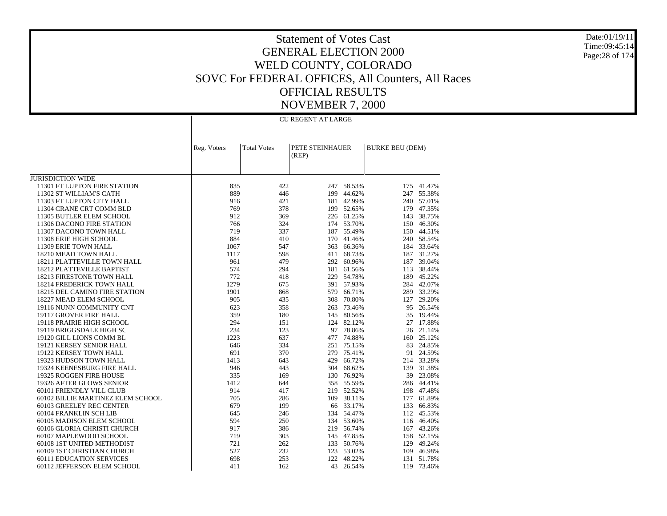Date:01/19/11 Time:09:45:14 Page:28 of 174

## Statement of Votes Cast GENERAL ELECTION 2000 WELD COUNTY, COLORADO SOVC For FEDERAL OFFICES, All Counters, All Races OFFICIAL RESULTS NOVEMBER 7, 2000

CU REGENT AT LARGE

|                                   | Reg. Voters | <b>Total Votes</b> | (REP) | PETE STEINHAUER |     | <b>BURKE BEU (DEM)</b> |
|-----------------------------------|-------------|--------------------|-------|-----------------|-----|------------------------|
|                                   |             |                    |       |                 |     |                        |
| <b>JURISDICTION WIDE</b>          |             |                    |       |                 |     |                        |
| 11301 FT LUPTON FIRE STATION      | 835         | 422                |       | 247 58.53%      | 175 | 41.47%                 |
| 11302 ST WILLIAM'S CATH           | 889         | 446                |       | 199 44.62%      | 247 | 55.38%                 |
| 11303 FT LUPTON CITY HALL         | 916         | 421                |       | 181 42.99%      | 240 | 57.01%                 |
| 11304 CRANE CRT COMM BLD          | 769         | 378                |       | 199 52.65%      | 179 | 47.35%                 |
| 11305 BUTLER ELEM SCHOOL          | 912         | 369                |       | 226 61.25%      | 143 | 38.75%                 |
| 11306 DACONO FIRE STATION         | 766         | 324                |       | 174 53.70%      | 150 | 46.30%                 |
| 11307 DACONO TOWN HALL            | 719         | 337                |       | 187 55.49%      | 150 | 44.51%                 |
| 11308 ERIE HIGH SCHOOL            | 884         | 410                | 170   | 41.46%          | 240 | 58.54%                 |
| 11309 ERIE TOWN HALL              | 1067        | 547                | 363   | 66.36%          | 184 | 33.64%                 |
| 18210 MEAD TOWN HALL              | 1117        | 598                |       | 411 68.73%      | 187 | 31.27%                 |
| 18211 PLATTEVILLE TOWN HALL       | 961         | 479                |       | 292 60.96%      | 187 | 39.04%                 |
| 18212 PLATTEVILLE BAPTIST         | 574         | 294                |       | 181 61.56%      | 113 | 38.44%                 |
| 18213 FIRESTONE TOWN HALL         | 772         | 418                | 229   | 54.78%          | 189 | 45.22%                 |
| 18214 FREDERICK TOWN HALL         | 1279        | 675                |       | 391 57.93%      | 284 | 42.07%                 |
| 18215 DEL CAMINO FIRE STATION     | 1901        | 868                | 579   | 66.71%          | 289 | 33.29%                 |
| 18227 MEAD ELEM SCHOOL            | 905         | 435                | 308   | 70.80%          | 127 | 29.20%                 |
| 19116 NUNN COMMUNITY CNT          | 623         | 358                |       | 263 73.46%      | 95  | 26.54%                 |
| 19117 GROVER FIRE HALL            | 359         | 180                |       | 145 80.56%      | 35  | 19.44%                 |
| 19118 PRAIRIE HIGH SCHOOL         | 294         | 151                |       | 124 82.12%      | 27  | 17.88%                 |
| 19119 BRIGGSDALE HIGH SC          | 234         | 123                | 97    | 78.86%          | 26  | 21.14%                 |
| 19120 GILL LIONS COMM BL          | 1223        | 637                | 477   | 74.88%          | 160 | 25.12%                 |
| 19121 KERSEY SENIOR HALL          | 646         | 334                | 251   | 75.15%          | 83  | 24.85%                 |
| 19122 KERSEY TOWN HALL            | 691         | 370                | 279   | 75.41%          | 91  | 24.59%                 |
| 19323 HUDSON TOWN HALL            | 1413        | 643                | 429   | 66.72%          | 214 | 33.28%                 |
| 19324 KEENESBURG FIRE HALL        | 946         | 443                |       | 304 68.62%      | 139 | 31.38%                 |
| 19325 ROGGEN FIRE HOUSE           | 335         | 169                | 130   | 76.92%          | 39  | 23.08%                 |
| 19326 AFTER GLOWS SENIOR          | 1412        | 644                |       | 358 55.59%      | 286 | 44.41%                 |
| 60101 FRIENDLY VILL CLUB          | 914         | 417                | 219   | 52.52%          | 198 | 47.48%                 |
| 60102 BILLIE MARTINEZ ELEM SCHOOL | 705         | 286                | 109   | 38.11%          | 177 | 61.89%                 |
| 60103 GREELEY REC CENTER          | 679         | 199                |       | 66 33.17%       | 133 | 66.83%                 |
| 60104 FRANKLIN SCH LIB            | 645         | 246                |       | 134 54.47%      | 112 | 45.53%                 |
| 60105 MADISON ELEM SCHOOL         | 594         | 250                |       | 134 53.60%      |     | 116 46.40%             |
| 60106 GLORIA CHRISTI CHURCH       | 917         | 386                |       | 219 56.74%      | 167 | 43.26%                 |
| 60107 MAPLEWOOD SCHOOL            | 719         | 303                |       | 145 47.85%      | 158 | 52.15%                 |
| 60108 1ST UNITED METHODIST        | 721         | 262                |       | 133 50.76%      | 129 | 49.24%                 |
| 60109 1ST CHRISTIAN CHURCH        | 527         | 232                |       | 123 53.02%      | 109 | 46.98%                 |
| 60111 EDUCATION SERVICES          | 698         | 253                | 122   | 48.22%          | 131 | 51.78%                 |
| 60112 JEFFERSON ELEM SCHOOL       | 411         | 162                | 43    | 26.54%          | 119 | 73.46%                 |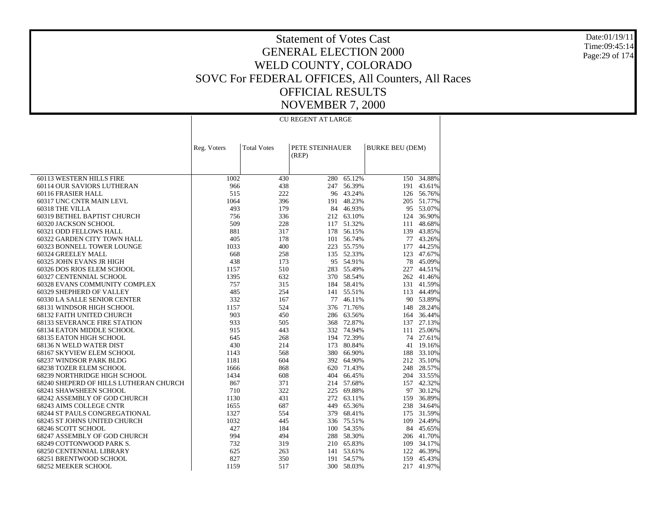Date:01/19/11 Time:09:45:14 Page:29 of 174

## Statement of Votes Cast GENERAL ELECTION 2000 WELD COUNTY, COLORADO SOVC For FEDERAL OFFICES, All Counters, All Races OFFICIAL RESULTS NOVEMBER 7, 2000

CU REGENT AT LARGE

| PETE STEINHAUER<br><b>Total Votes</b><br><b>BURKE BEU (DEM)</b><br>Reg. Voters<br>(REP)<br>60113 WESTERN HILLS FIRE<br>1002<br>280<br>65.12%<br>34.88%<br>430<br>150<br>60114 OUR SAVIORS LUTHERAN<br>966<br>438<br>56.39%<br>43.61%<br>247<br>191<br>60116 FRASIER HALL<br>515<br>222<br>96 43.24%<br>126 56.76%<br>1064<br>396<br>48.23%<br>51.77%<br>60317 UNC CNTR MAIN LEVL<br>205<br>191<br>493<br>179<br>84 46.93%<br>95 53.07%<br>60318 THE VILLA<br>212 63.10%<br>60319 BETHEL BAPTIST CHURCH<br>756<br>336<br>124<br>36.90%<br>509<br>51.32%<br>48.68%<br>60320 JACKSON SCHOOL<br>228<br>117<br>111<br>881<br>317<br>56.15%<br>43.85%<br>60321 ODD FELLOWS HALL<br>178<br>139<br>405<br>101 56.74%<br>43.26%<br>60322 GARDEN CITY TOWN HALL<br>178<br>77<br>1033<br>400<br>223 55.75%<br>44.25%<br>60323 BONNELL TOWER LOUNGE<br>177<br>668<br>135 52.33%<br>47.67%<br>60324 GREELEY MALL<br>258<br>123<br>60325 JOHN EVANS JR HIGH<br>438<br>95 54.91%<br>78<br>45.09%<br>173<br>1157<br>510<br>283 55.49%<br>227<br>44.51%<br>60326 DOS RIOS ELEM SCHOOL<br>1395<br>632<br>370 58.54%<br>41.46%<br>60327 CENTENNIAL SCHOOL<br>262<br>757<br>315<br>184 58.41%<br>41.59%<br>60328 EVANS COMMUNITY COMPLEX<br>131<br>485<br>254<br>55.51%<br>44.49%<br>60329 SHEPHERD OF VALLEY<br>141<br>113<br>332<br>60330 LA SALLE SENIOR CENTER<br>167<br>77<br>46.11%<br>90 53.89%<br>68131 WINDSOR HIGH SCHOOL<br>1157<br>524<br>376<br>71.76%<br>28.24%<br>148<br>903<br>286 63.56%<br>36.44%<br>68132 FAITH UNITED CHURCH<br>450<br>164<br>933<br>505<br>368<br>72.87%<br>137<br>27.13%<br><b>68133 SEVERANCE FIRE STATION</b><br>915<br>443<br>332 74.94%<br>25.06%<br>68134 EATON MIDDLE SCHOOL<br>111<br>68135 EATON HIGH SCHOOL<br>645<br>194 72.39%<br>27.61%<br>268<br>74<br>430<br>173 80.84%<br>68136 N WELD WATER DIST<br>214<br>19.16%<br>41<br>33.10%<br>68167 SKYVIEW ELEM SCHOOL<br>1143<br>568<br>380 66.90%<br>188<br>68237 WINDSOR PARK BLDG<br>1181<br>604<br>392<br>64.90%<br>212<br>35.10%<br><b>68238 TOZER ELEM SCHOOL</b><br>1666<br>868<br>620<br>71.43%<br>248<br>28.57%<br>1434<br>608<br>404<br>66.45%<br>33.55%<br>68239 NORTHRIDGE HIGH SCHOOL<br>204<br>214 57.68%<br>68240 SHEPERD OF HILLS LUTHERAN CHURCH<br>867<br>371<br>157<br>42.32%<br>710<br>322<br>225 69.88%<br>30.12%<br>68241 SHAWSHEEN SCHOOL<br>97<br>36.89%<br>68242 ASSEMBLY OF GOD CHURCH<br>1130<br>431<br>272 63.11%<br>159<br>65.36%<br><b>68243 AIMS COLLEGE CNTR</b><br>1655<br>687<br>449<br>238<br>34.64%<br>68.41%<br><b>68244 ST PAULS CONGREGATIONAL</b><br>1327<br>554<br>379<br>175<br>31.59%<br>1032<br>336 75.51%<br>68245 ST JOHNS UNITED CHURCH<br>445<br>109<br>24.49%<br>427<br>100 54.35%<br>68246 SCOTT SCHOOL<br>184<br>84<br>45.65%<br>994<br>288 58.30%<br>68247 ASSEMBLY OF GOD CHURCH<br>494<br>206 41.70%<br>732<br>319<br>210 65.83%<br>34.17%<br>68249 COTTONWOOD PARK S.<br>109<br>625<br>53.61%<br>46.39%<br>68250 CENTENNIAL LIBRARY<br>263<br>141<br>122<br>827<br>68251 BRENTWOOD SCHOOL<br>350<br>191 54.57%<br>159<br>45.43%<br>1159<br>517<br>300 58.03%<br>217 |                     |  |  |        |
|-------------------------------------------------------------------------------------------------------------------------------------------------------------------------------------------------------------------------------------------------------------------------------------------------------------------------------------------------------------------------------------------------------------------------------------------------------------------------------------------------------------------------------------------------------------------------------------------------------------------------------------------------------------------------------------------------------------------------------------------------------------------------------------------------------------------------------------------------------------------------------------------------------------------------------------------------------------------------------------------------------------------------------------------------------------------------------------------------------------------------------------------------------------------------------------------------------------------------------------------------------------------------------------------------------------------------------------------------------------------------------------------------------------------------------------------------------------------------------------------------------------------------------------------------------------------------------------------------------------------------------------------------------------------------------------------------------------------------------------------------------------------------------------------------------------------------------------------------------------------------------------------------------------------------------------------------------------------------------------------------------------------------------------------------------------------------------------------------------------------------------------------------------------------------------------------------------------------------------------------------------------------------------------------------------------------------------------------------------------------------------------------------------------------------------------------------------------------------------------------------------------------------------------------------------------------------------------------------------------------------------------------------------------------------------------------------------------------------------------------------------------------------------------------------------------------------------------------------------------------------------------------------------------------------------------------------------------------------------------------------------------------------------------------------------------------------------------------------------|---------------------|--|--|--------|
|                                                                                                                                                                                                                                                                                                                                                                                                                                                                                                                                                                                                                                                                                                                                                                                                                                                                                                                                                                                                                                                                                                                                                                                                                                                                                                                                                                                                                                                                                                                                                                                                                                                                                                                                                                                                                                                                                                                                                                                                                                                                                                                                                                                                                                                                                                                                                                                                                                                                                                                                                                                                                                                                                                                                                                                                                                                                                                                                                                                                                                                                                                       |                     |  |  |        |
|                                                                                                                                                                                                                                                                                                                                                                                                                                                                                                                                                                                                                                                                                                                                                                                                                                                                                                                                                                                                                                                                                                                                                                                                                                                                                                                                                                                                                                                                                                                                                                                                                                                                                                                                                                                                                                                                                                                                                                                                                                                                                                                                                                                                                                                                                                                                                                                                                                                                                                                                                                                                                                                                                                                                                                                                                                                                                                                                                                                                                                                                                                       |                     |  |  |        |
|                                                                                                                                                                                                                                                                                                                                                                                                                                                                                                                                                                                                                                                                                                                                                                                                                                                                                                                                                                                                                                                                                                                                                                                                                                                                                                                                                                                                                                                                                                                                                                                                                                                                                                                                                                                                                                                                                                                                                                                                                                                                                                                                                                                                                                                                                                                                                                                                                                                                                                                                                                                                                                                                                                                                                                                                                                                                                                                                                                                                                                                                                                       |                     |  |  |        |
|                                                                                                                                                                                                                                                                                                                                                                                                                                                                                                                                                                                                                                                                                                                                                                                                                                                                                                                                                                                                                                                                                                                                                                                                                                                                                                                                                                                                                                                                                                                                                                                                                                                                                                                                                                                                                                                                                                                                                                                                                                                                                                                                                                                                                                                                                                                                                                                                                                                                                                                                                                                                                                                                                                                                                                                                                                                                                                                                                                                                                                                                                                       |                     |  |  |        |
|                                                                                                                                                                                                                                                                                                                                                                                                                                                                                                                                                                                                                                                                                                                                                                                                                                                                                                                                                                                                                                                                                                                                                                                                                                                                                                                                                                                                                                                                                                                                                                                                                                                                                                                                                                                                                                                                                                                                                                                                                                                                                                                                                                                                                                                                                                                                                                                                                                                                                                                                                                                                                                                                                                                                                                                                                                                                                                                                                                                                                                                                                                       |                     |  |  |        |
|                                                                                                                                                                                                                                                                                                                                                                                                                                                                                                                                                                                                                                                                                                                                                                                                                                                                                                                                                                                                                                                                                                                                                                                                                                                                                                                                                                                                                                                                                                                                                                                                                                                                                                                                                                                                                                                                                                                                                                                                                                                                                                                                                                                                                                                                                                                                                                                                                                                                                                                                                                                                                                                                                                                                                                                                                                                                                                                                                                                                                                                                                                       |                     |  |  |        |
|                                                                                                                                                                                                                                                                                                                                                                                                                                                                                                                                                                                                                                                                                                                                                                                                                                                                                                                                                                                                                                                                                                                                                                                                                                                                                                                                                                                                                                                                                                                                                                                                                                                                                                                                                                                                                                                                                                                                                                                                                                                                                                                                                                                                                                                                                                                                                                                                                                                                                                                                                                                                                                                                                                                                                                                                                                                                                                                                                                                                                                                                                                       |                     |  |  |        |
|                                                                                                                                                                                                                                                                                                                                                                                                                                                                                                                                                                                                                                                                                                                                                                                                                                                                                                                                                                                                                                                                                                                                                                                                                                                                                                                                                                                                                                                                                                                                                                                                                                                                                                                                                                                                                                                                                                                                                                                                                                                                                                                                                                                                                                                                                                                                                                                                                                                                                                                                                                                                                                                                                                                                                                                                                                                                                                                                                                                                                                                                                                       |                     |  |  |        |
|                                                                                                                                                                                                                                                                                                                                                                                                                                                                                                                                                                                                                                                                                                                                                                                                                                                                                                                                                                                                                                                                                                                                                                                                                                                                                                                                                                                                                                                                                                                                                                                                                                                                                                                                                                                                                                                                                                                                                                                                                                                                                                                                                                                                                                                                                                                                                                                                                                                                                                                                                                                                                                                                                                                                                                                                                                                                                                                                                                                                                                                                                                       |                     |  |  |        |
|                                                                                                                                                                                                                                                                                                                                                                                                                                                                                                                                                                                                                                                                                                                                                                                                                                                                                                                                                                                                                                                                                                                                                                                                                                                                                                                                                                                                                                                                                                                                                                                                                                                                                                                                                                                                                                                                                                                                                                                                                                                                                                                                                                                                                                                                                                                                                                                                                                                                                                                                                                                                                                                                                                                                                                                                                                                                                                                                                                                                                                                                                                       |                     |  |  |        |
|                                                                                                                                                                                                                                                                                                                                                                                                                                                                                                                                                                                                                                                                                                                                                                                                                                                                                                                                                                                                                                                                                                                                                                                                                                                                                                                                                                                                                                                                                                                                                                                                                                                                                                                                                                                                                                                                                                                                                                                                                                                                                                                                                                                                                                                                                                                                                                                                                                                                                                                                                                                                                                                                                                                                                                                                                                                                                                                                                                                                                                                                                                       |                     |  |  |        |
|                                                                                                                                                                                                                                                                                                                                                                                                                                                                                                                                                                                                                                                                                                                                                                                                                                                                                                                                                                                                                                                                                                                                                                                                                                                                                                                                                                                                                                                                                                                                                                                                                                                                                                                                                                                                                                                                                                                                                                                                                                                                                                                                                                                                                                                                                                                                                                                                                                                                                                                                                                                                                                                                                                                                                                                                                                                                                                                                                                                                                                                                                                       |                     |  |  |        |
|                                                                                                                                                                                                                                                                                                                                                                                                                                                                                                                                                                                                                                                                                                                                                                                                                                                                                                                                                                                                                                                                                                                                                                                                                                                                                                                                                                                                                                                                                                                                                                                                                                                                                                                                                                                                                                                                                                                                                                                                                                                                                                                                                                                                                                                                                                                                                                                                                                                                                                                                                                                                                                                                                                                                                                                                                                                                                                                                                                                                                                                                                                       |                     |  |  |        |
|                                                                                                                                                                                                                                                                                                                                                                                                                                                                                                                                                                                                                                                                                                                                                                                                                                                                                                                                                                                                                                                                                                                                                                                                                                                                                                                                                                                                                                                                                                                                                                                                                                                                                                                                                                                                                                                                                                                                                                                                                                                                                                                                                                                                                                                                                                                                                                                                                                                                                                                                                                                                                                                                                                                                                                                                                                                                                                                                                                                                                                                                                                       |                     |  |  |        |
|                                                                                                                                                                                                                                                                                                                                                                                                                                                                                                                                                                                                                                                                                                                                                                                                                                                                                                                                                                                                                                                                                                                                                                                                                                                                                                                                                                                                                                                                                                                                                                                                                                                                                                                                                                                                                                                                                                                                                                                                                                                                                                                                                                                                                                                                                                                                                                                                                                                                                                                                                                                                                                                                                                                                                                                                                                                                                                                                                                                                                                                                                                       |                     |  |  |        |
|                                                                                                                                                                                                                                                                                                                                                                                                                                                                                                                                                                                                                                                                                                                                                                                                                                                                                                                                                                                                                                                                                                                                                                                                                                                                                                                                                                                                                                                                                                                                                                                                                                                                                                                                                                                                                                                                                                                                                                                                                                                                                                                                                                                                                                                                                                                                                                                                                                                                                                                                                                                                                                                                                                                                                                                                                                                                                                                                                                                                                                                                                                       |                     |  |  |        |
|                                                                                                                                                                                                                                                                                                                                                                                                                                                                                                                                                                                                                                                                                                                                                                                                                                                                                                                                                                                                                                                                                                                                                                                                                                                                                                                                                                                                                                                                                                                                                                                                                                                                                                                                                                                                                                                                                                                                                                                                                                                                                                                                                                                                                                                                                                                                                                                                                                                                                                                                                                                                                                                                                                                                                                                                                                                                                                                                                                                                                                                                                                       |                     |  |  |        |
|                                                                                                                                                                                                                                                                                                                                                                                                                                                                                                                                                                                                                                                                                                                                                                                                                                                                                                                                                                                                                                                                                                                                                                                                                                                                                                                                                                                                                                                                                                                                                                                                                                                                                                                                                                                                                                                                                                                                                                                                                                                                                                                                                                                                                                                                                                                                                                                                                                                                                                                                                                                                                                                                                                                                                                                                                                                                                                                                                                                                                                                                                                       |                     |  |  |        |
|                                                                                                                                                                                                                                                                                                                                                                                                                                                                                                                                                                                                                                                                                                                                                                                                                                                                                                                                                                                                                                                                                                                                                                                                                                                                                                                                                                                                                                                                                                                                                                                                                                                                                                                                                                                                                                                                                                                                                                                                                                                                                                                                                                                                                                                                                                                                                                                                                                                                                                                                                                                                                                                                                                                                                                                                                                                                                                                                                                                                                                                                                                       |                     |  |  |        |
|                                                                                                                                                                                                                                                                                                                                                                                                                                                                                                                                                                                                                                                                                                                                                                                                                                                                                                                                                                                                                                                                                                                                                                                                                                                                                                                                                                                                                                                                                                                                                                                                                                                                                                                                                                                                                                                                                                                                                                                                                                                                                                                                                                                                                                                                                                                                                                                                                                                                                                                                                                                                                                                                                                                                                                                                                                                                                                                                                                                                                                                                                                       |                     |  |  |        |
|                                                                                                                                                                                                                                                                                                                                                                                                                                                                                                                                                                                                                                                                                                                                                                                                                                                                                                                                                                                                                                                                                                                                                                                                                                                                                                                                                                                                                                                                                                                                                                                                                                                                                                                                                                                                                                                                                                                                                                                                                                                                                                                                                                                                                                                                                                                                                                                                                                                                                                                                                                                                                                                                                                                                                                                                                                                                                                                                                                                                                                                                                                       |                     |  |  |        |
|                                                                                                                                                                                                                                                                                                                                                                                                                                                                                                                                                                                                                                                                                                                                                                                                                                                                                                                                                                                                                                                                                                                                                                                                                                                                                                                                                                                                                                                                                                                                                                                                                                                                                                                                                                                                                                                                                                                                                                                                                                                                                                                                                                                                                                                                                                                                                                                                                                                                                                                                                                                                                                                                                                                                                                                                                                                                                                                                                                                                                                                                                                       |                     |  |  |        |
|                                                                                                                                                                                                                                                                                                                                                                                                                                                                                                                                                                                                                                                                                                                                                                                                                                                                                                                                                                                                                                                                                                                                                                                                                                                                                                                                                                                                                                                                                                                                                                                                                                                                                                                                                                                                                                                                                                                                                                                                                                                                                                                                                                                                                                                                                                                                                                                                                                                                                                                                                                                                                                                                                                                                                                                                                                                                                                                                                                                                                                                                                                       |                     |  |  |        |
|                                                                                                                                                                                                                                                                                                                                                                                                                                                                                                                                                                                                                                                                                                                                                                                                                                                                                                                                                                                                                                                                                                                                                                                                                                                                                                                                                                                                                                                                                                                                                                                                                                                                                                                                                                                                                                                                                                                                                                                                                                                                                                                                                                                                                                                                                                                                                                                                                                                                                                                                                                                                                                                                                                                                                                                                                                                                                                                                                                                                                                                                                                       |                     |  |  |        |
|                                                                                                                                                                                                                                                                                                                                                                                                                                                                                                                                                                                                                                                                                                                                                                                                                                                                                                                                                                                                                                                                                                                                                                                                                                                                                                                                                                                                                                                                                                                                                                                                                                                                                                                                                                                                                                                                                                                                                                                                                                                                                                                                                                                                                                                                                                                                                                                                                                                                                                                                                                                                                                                                                                                                                                                                                                                                                                                                                                                                                                                                                                       |                     |  |  |        |
|                                                                                                                                                                                                                                                                                                                                                                                                                                                                                                                                                                                                                                                                                                                                                                                                                                                                                                                                                                                                                                                                                                                                                                                                                                                                                                                                                                                                                                                                                                                                                                                                                                                                                                                                                                                                                                                                                                                                                                                                                                                                                                                                                                                                                                                                                                                                                                                                                                                                                                                                                                                                                                                                                                                                                                                                                                                                                                                                                                                                                                                                                                       |                     |  |  |        |
|                                                                                                                                                                                                                                                                                                                                                                                                                                                                                                                                                                                                                                                                                                                                                                                                                                                                                                                                                                                                                                                                                                                                                                                                                                                                                                                                                                                                                                                                                                                                                                                                                                                                                                                                                                                                                                                                                                                                                                                                                                                                                                                                                                                                                                                                                                                                                                                                                                                                                                                                                                                                                                                                                                                                                                                                                                                                                                                                                                                                                                                                                                       |                     |  |  |        |
|                                                                                                                                                                                                                                                                                                                                                                                                                                                                                                                                                                                                                                                                                                                                                                                                                                                                                                                                                                                                                                                                                                                                                                                                                                                                                                                                                                                                                                                                                                                                                                                                                                                                                                                                                                                                                                                                                                                                                                                                                                                                                                                                                                                                                                                                                                                                                                                                                                                                                                                                                                                                                                                                                                                                                                                                                                                                                                                                                                                                                                                                                                       |                     |  |  |        |
|                                                                                                                                                                                                                                                                                                                                                                                                                                                                                                                                                                                                                                                                                                                                                                                                                                                                                                                                                                                                                                                                                                                                                                                                                                                                                                                                                                                                                                                                                                                                                                                                                                                                                                                                                                                                                                                                                                                                                                                                                                                                                                                                                                                                                                                                                                                                                                                                                                                                                                                                                                                                                                                                                                                                                                                                                                                                                                                                                                                                                                                                                                       |                     |  |  |        |
|                                                                                                                                                                                                                                                                                                                                                                                                                                                                                                                                                                                                                                                                                                                                                                                                                                                                                                                                                                                                                                                                                                                                                                                                                                                                                                                                                                                                                                                                                                                                                                                                                                                                                                                                                                                                                                                                                                                                                                                                                                                                                                                                                                                                                                                                                                                                                                                                                                                                                                                                                                                                                                                                                                                                                                                                                                                                                                                                                                                                                                                                                                       |                     |  |  |        |
|                                                                                                                                                                                                                                                                                                                                                                                                                                                                                                                                                                                                                                                                                                                                                                                                                                                                                                                                                                                                                                                                                                                                                                                                                                                                                                                                                                                                                                                                                                                                                                                                                                                                                                                                                                                                                                                                                                                                                                                                                                                                                                                                                                                                                                                                                                                                                                                                                                                                                                                                                                                                                                                                                                                                                                                                                                                                                                                                                                                                                                                                                                       |                     |  |  |        |
|                                                                                                                                                                                                                                                                                                                                                                                                                                                                                                                                                                                                                                                                                                                                                                                                                                                                                                                                                                                                                                                                                                                                                                                                                                                                                                                                                                                                                                                                                                                                                                                                                                                                                                                                                                                                                                                                                                                                                                                                                                                                                                                                                                                                                                                                                                                                                                                                                                                                                                                                                                                                                                                                                                                                                                                                                                                                                                                                                                                                                                                                                                       |                     |  |  |        |
|                                                                                                                                                                                                                                                                                                                                                                                                                                                                                                                                                                                                                                                                                                                                                                                                                                                                                                                                                                                                                                                                                                                                                                                                                                                                                                                                                                                                                                                                                                                                                                                                                                                                                                                                                                                                                                                                                                                                                                                                                                                                                                                                                                                                                                                                                                                                                                                                                                                                                                                                                                                                                                                                                                                                                                                                                                                                                                                                                                                                                                                                                                       |                     |  |  |        |
|                                                                                                                                                                                                                                                                                                                                                                                                                                                                                                                                                                                                                                                                                                                                                                                                                                                                                                                                                                                                                                                                                                                                                                                                                                                                                                                                                                                                                                                                                                                                                                                                                                                                                                                                                                                                                                                                                                                                                                                                                                                                                                                                                                                                                                                                                                                                                                                                                                                                                                                                                                                                                                                                                                                                                                                                                                                                                                                                                                                                                                                                                                       |                     |  |  |        |
|                                                                                                                                                                                                                                                                                                                                                                                                                                                                                                                                                                                                                                                                                                                                                                                                                                                                                                                                                                                                                                                                                                                                                                                                                                                                                                                                                                                                                                                                                                                                                                                                                                                                                                                                                                                                                                                                                                                                                                                                                                                                                                                                                                                                                                                                                                                                                                                                                                                                                                                                                                                                                                                                                                                                                                                                                                                                                                                                                                                                                                                                                                       |                     |  |  |        |
|                                                                                                                                                                                                                                                                                                                                                                                                                                                                                                                                                                                                                                                                                                                                                                                                                                                                                                                                                                                                                                                                                                                                                                                                                                                                                                                                                                                                                                                                                                                                                                                                                                                                                                                                                                                                                                                                                                                                                                                                                                                                                                                                                                                                                                                                                                                                                                                                                                                                                                                                                                                                                                                                                                                                                                                                                                                                                                                                                                                                                                                                                                       |                     |  |  |        |
|                                                                                                                                                                                                                                                                                                                                                                                                                                                                                                                                                                                                                                                                                                                                                                                                                                                                                                                                                                                                                                                                                                                                                                                                                                                                                                                                                                                                                                                                                                                                                                                                                                                                                                                                                                                                                                                                                                                                                                                                                                                                                                                                                                                                                                                                                                                                                                                                                                                                                                                                                                                                                                                                                                                                                                                                                                                                                                                                                                                                                                                                                                       |                     |  |  |        |
|                                                                                                                                                                                                                                                                                                                                                                                                                                                                                                                                                                                                                                                                                                                                                                                                                                                                                                                                                                                                                                                                                                                                                                                                                                                                                                                                                                                                                                                                                                                                                                                                                                                                                                                                                                                                                                                                                                                                                                                                                                                                                                                                                                                                                                                                                                                                                                                                                                                                                                                                                                                                                                                                                                                                                                                                                                                                                                                                                                                                                                                                                                       |                     |  |  |        |
|                                                                                                                                                                                                                                                                                                                                                                                                                                                                                                                                                                                                                                                                                                                                                                                                                                                                                                                                                                                                                                                                                                                                                                                                                                                                                                                                                                                                                                                                                                                                                                                                                                                                                                                                                                                                                                                                                                                                                                                                                                                                                                                                                                                                                                                                                                                                                                                                                                                                                                                                                                                                                                                                                                                                                                                                                                                                                                                                                                                                                                                                                                       |                     |  |  |        |
|                                                                                                                                                                                                                                                                                                                                                                                                                                                                                                                                                                                                                                                                                                                                                                                                                                                                                                                                                                                                                                                                                                                                                                                                                                                                                                                                                                                                                                                                                                                                                                                                                                                                                                                                                                                                                                                                                                                                                                                                                                                                                                                                                                                                                                                                                                                                                                                                                                                                                                                                                                                                                                                                                                                                                                                                                                                                                                                                                                                                                                                                                                       |                     |  |  |        |
|                                                                                                                                                                                                                                                                                                                                                                                                                                                                                                                                                                                                                                                                                                                                                                                                                                                                                                                                                                                                                                                                                                                                                                                                                                                                                                                                                                                                                                                                                                                                                                                                                                                                                                                                                                                                                                                                                                                                                                                                                                                                                                                                                                                                                                                                                                                                                                                                                                                                                                                                                                                                                                                                                                                                                                                                                                                                                                                                                                                                                                                                                                       |                     |  |  |        |
|                                                                                                                                                                                                                                                                                                                                                                                                                                                                                                                                                                                                                                                                                                                                                                                                                                                                                                                                                                                                                                                                                                                                                                                                                                                                                                                                                                                                                                                                                                                                                                                                                                                                                                                                                                                                                                                                                                                                                                                                                                                                                                                                                                                                                                                                                                                                                                                                                                                                                                                                                                                                                                                                                                                                                                                                                                                                                                                                                                                                                                                                                                       | 68252 MEEKER SCHOOL |  |  | 41.97% |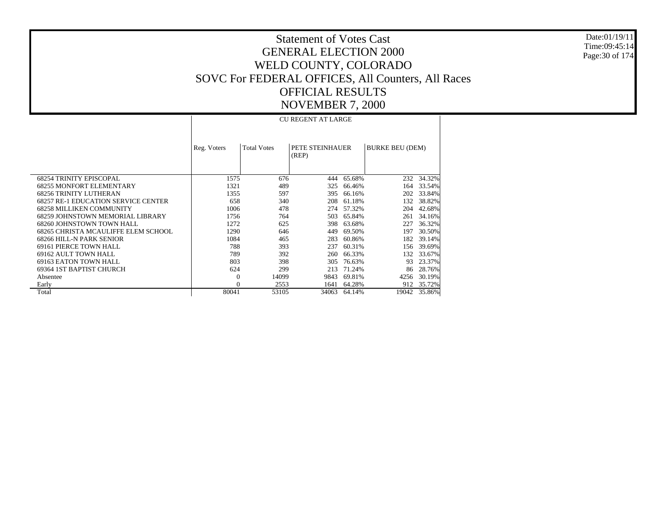Date:01/19/11Time:09:45:14Page:30 of 174

## Statement of Votes CastGENERAL ELECTION 2000WELD COUNTY, COLORADO SOVC For FEDERAL OFFICES, All Counters, All Races OFFICIAL RESULTSNOVEMBER 7, 2000

 68254 TRINITY EPISCOPAL 68255 MONFORT ELEMENTARY 68256 TRINITY LUTHERAN 68257 RE-1 EDUCATION SERVICE CENTER 68258 MILLIKEN COMMUNITY 68259 JOHNSTOWN MEMORIAL LIBRARY 68260 JOHNSTOWN TOWN HALL 68265 CHRISTA MCAULIFFE ELEM SCHOOL 68266 HILL-N PARK SENIOR 69161 PIERCE TOWN HALL 69162 AULT TOWN HALL 69163 EATON TOWN HALL 69364 1ST BAPTIST CHURCH Absentee Early TotalReg. Voters | Total Votes | PETE STEINHAUER (REP) BURKE BEU (DEM) CU REGENT AT LARGE1575 676 444 65.68% $232 - 34.32%$ 1321 489 325 66.46% 164 33.54% 1355 597 395 66.16% 202 33.84% 658 340 208 61.18% 132 38.82% 1006 478 274 57.32% 204 42.68% 1756 764 503 65.84% 261 34.16% 1272 625 398 63.68% 227 36.32% 1290 646 449 69.50% 197 30.50% 1084 465 283 60.86% 182 39.14% 788 393 237 60.31% 156 39.69% 789 392 260 66.33% 132 33.67% 803 398 305 76.63% 93 23.37% 624 299 213 71.24% 86 28.76% 0 14099 9843 69.81% 4256 30.19% 0 2553 1641 64.28% 912 35.72% 80041 53105 34063 64.14%19042 35.86%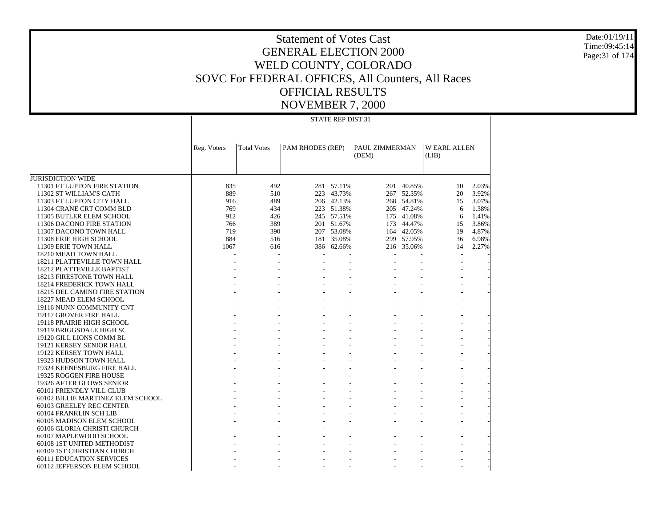Date:01/19/11Time:09:45:14Page:31 of 174

## Statement of Votes CastGENERAL ELECTION 2000WELD COUNTY, COLORADO SOVC For FEDERAL OFFICES, All Counters, All Races OFFICIAL RESULTSNOVEMBER 7, 2000

- - - - - - -

JURISDICTION WIDE 11301 FT LUPTON FIRE STATION 11302 ST WILLIAM'S CATH 11303 FT LUPTON CITY HALL 11304 CRANE CRT COMM BLD 11305 BUTLER ELEM SCHOOL 11306 DACONO FIRE STATION 11307 DACONO TOWN HALL 11308 ERIE HIGH SCHOOL 11309 ERIE TOWN HALL 18210 MEAD TOWN HALL 18211 PLATTEVILLE TOWN HALL 18212 PLATTEVILLE BAPTIST 18213 FIRESTONE TOWN HALL 18214 FREDERICK TOWN HALL 18215 DEL CAMINO FIRE STATION 18227 MEAD ELEM SCHOOL 19116 NUNN COMMUNITY CNT 19117 GROVER FIRE HALL 19118 PRAIRIE HIGH SCHOOL 19119 BRIGGSDALE HIGH SC 19120 GILL LIONS COMM BL 19121 KERSEY SENIOR HALL 19122 KERSEY TOWN HALL 19323 HUDSON TOWN HALL 19324 KEENESBURG FIRE HALL 19325 ROGGEN FIRE HOUSE 19326 AFTER GLOWS SENIOR 60101 FRIENDLY VILL CLUB 60102 BILLIE MARTINEZ ELEM SCHOOL 60103 GREELEY REC CENTER 60104 FRANKLIN SCH LIB 60105 MADISON ELEM SCHOOL 60106 GLORIA CHRISTI CHURCH 60107 MAPLEWOOD SCHOOL 60108 1ST UNITED METHODIST 60109 1ST CHRISTIAN CHURCH 60111 EDUCATION SERVICES 60112 JEFFERSON ELEM SCHOOL Reg. Voters | Total Votes | PAM RHODES (REP) | PAUL ZIMMERMAN (DEM) W EARL ALLEN (LIB) STATE REP DIST 31835 492 281 57.11% 201 40.85% 10 2.03% 889 510 223 43.73% 267 52.35% 20 3.92% 916 489 206 42.13% 268 54.81% 15 3.07% 769 434 223 51.38% 205 47.24% 6 1.38% 912 426 245 57.51% 175 41.08% 6 1.41% 766 389 201 51.67% 173 44.47% 15 3.86% 719 390 207 53.08% 164 42.05% 19 4.87% 884 516 181 35.08% 299 57.95% 36 6.98% 1067 616 386 62.66% 216 35.06% 14 2.27% - - - - - - - - - - - - - - - - - - - - - - - - - - - - - - - - - - - - - - - - - - - - - - - - - - - - - - - - - - - - - - - - - - - - - - - - - - - - - - - - - - - - - - - - - - - - - - - - - - - - - - - - - - - - - - - - - - - - - - - - - - - - - - - - - - - - - - - - - - - - - - - - - - - - - - - - - - - - - - - - - - - - - - - - - - - - - - - - - - - - - - - - - - - - - - - - - - - - -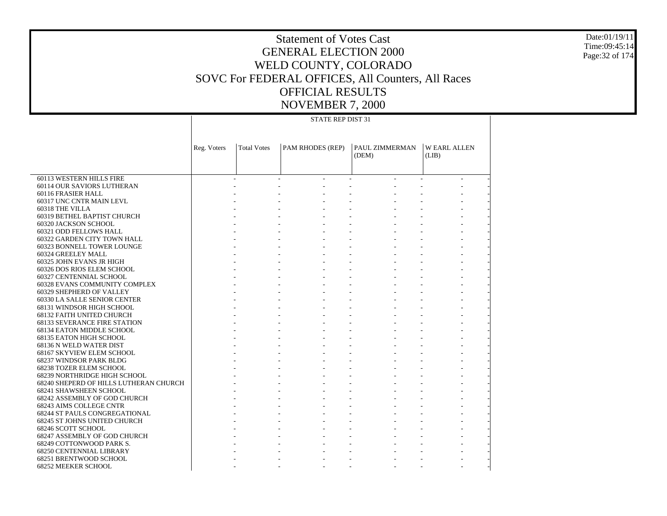Date:01/19/11 Time:09:45:14 Page:32 of 174

|                                                                  | <b>STATE REP DIST 31</b> |                    |                  |                |                    |  |  |  |  |  |
|------------------------------------------------------------------|--------------------------|--------------------|------------------|----------------|--------------------|--|--|--|--|--|
|                                                                  |                          |                    |                  |                |                    |  |  |  |  |  |
|                                                                  |                          |                    |                  |                |                    |  |  |  |  |  |
|                                                                  | Reg. Voters              | <b>Total Votes</b> | PAM RHODES (REP) | PAUL ZIMMERMAN | <b>WEARL ALLEN</b> |  |  |  |  |  |
|                                                                  |                          |                    |                  | (DEM)          | (LIB)              |  |  |  |  |  |
|                                                                  |                          |                    |                  |                |                    |  |  |  |  |  |
| 60113 WESTERN HILLS FIRE                                         |                          |                    |                  |                |                    |  |  |  |  |  |
| 60114 OUR SAVIORS LUTHERAN                                       |                          |                    |                  |                |                    |  |  |  |  |  |
| 60116 FRASIER HALL                                               |                          |                    |                  |                |                    |  |  |  |  |  |
| 60317 UNC CNTR MAIN LEVL                                         |                          |                    |                  |                |                    |  |  |  |  |  |
| 60318 THE VILLA                                                  |                          |                    |                  |                |                    |  |  |  |  |  |
| 60319 BETHEL BAPTIST CHURCH<br>60320 JACKSON SCHOOL              |                          |                    |                  |                |                    |  |  |  |  |  |
| 60321 ODD FELLOWS HALL                                           |                          |                    |                  |                |                    |  |  |  |  |  |
| 60322 GARDEN CITY TOWN HALL                                      |                          |                    |                  |                |                    |  |  |  |  |  |
| 60323 BONNELL TOWER LOUNGE                                       |                          |                    |                  |                |                    |  |  |  |  |  |
| 60324 GREELEY MALL                                               |                          |                    |                  |                |                    |  |  |  |  |  |
| 60325 JOHN EVANS JR HIGH                                         |                          |                    |                  |                |                    |  |  |  |  |  |
| 60326 DOS RIOS ELEM SCHOOL                                       |                          |                    |                  |                |                    |  |  |  |  |  |
| 60327 CENTENNIAL SCHOOL                                          |                          |                    |                  |                |                    |  |  |  |  |  |
| 60328 EVANS COMMUNITY COMPLEX                                    |                          |                    |                  |                |                    |  |  |  |  |  |
| 60329 SHEPHERD OF VALLEY                                         |                          |                    |                  |                |                    |  |  |  |  |  |
| 60330 LA SALLE SENIOR CENTER                                     |                          |                    |                  |                |                    |  |  |  |  |  |
| 68131 WINDSOR HIGH SCHOOL                                        |                          |                    |                  |                |                    |  |  |  |  |  |
| 68132 FAITH UNITED CHURCH<br><b>68133 SEVERANCE FIRE STATION</b> |                          |                    |                  |                |                    |  |  |  |  |  |
| 68134 EATON MIDDLE SCHOOL                                        |                          |                    |                  |                |                    |  |  |  |  |  |
| 68135 EATON HIGH SCHOOL                                          |                          |                    |                  |                |                    |  |  |  |  |  |
| 68136 N WELD WATER DIST                                          |                          |                    |                  |                |                    |  |  |  |  |  |
| 68167 SKYVIEW ELEM SCHOOL                                        |                          |                    |                  |                |                    |  |  |  |  |  |
| 68237 WINDSOR PARK BLDG                                          |                          |                    |                  |                |                    |  |  |  |  |  |
| 68238 TOZER ELEM SCHOOL                                          |                          |                    |                  |                |                    |  |  |  |  |  |
| 68239 NORTHRIDGE HIGH SCHOOL                                     |                          |                    |                  |                |                    |  |  |  |  |  |
| 68240 SHEPERD OF HILLS LUTHERAN CHURCH                           |                          |                    |                  |                |                    |  |  |  |  |  |
| 68241 SHAWSHEEN SCHOOL                                           |                          |                    |                  |                |                    |  |  |  |  |  |
| 68242 ASSEMBLY OF GOD CHURCH                                     |                          |                    |                  |                |                    |  |  |  |  |  |
| 68243 AIMS COLLEGE CNTR                                          |                          |                    |                  |                |                    |  |  |  |  |  |
| <b>68244 ST PAULS CONGREGATIONAL</b>                             |                          |                    |                  |                |                    |  |  |  |  |  |
| 68245 ST JOHNS UNITED CHURCH<br>68246 SCOTT SCHOOL               |                          |                    |                  |                |                    |  |  |  |  |  |
| 68247 ASSEMBLY OF GOD CHURCH                                     |                          |                    |                  |                |                    |  |  |  |  |  |
| 68249 COTTONWOOD PARK S.                                         |                          |                    |                  |                |                    |  |  |  |  |  |
| <b>68250 CENTENNIAL LIBRARY</b>                                  |                          |                    |                  |                |                    |  |  |  |  |  |
| 68251 BRENTWOOD SCHOOL                                           |                          |                    |                  |                |                    |  |  |  |  |  |
| <b>68252 MEEKER SCHOOL</b>                                       |                          |                    |                  |                |                    |  |  |  |  |  |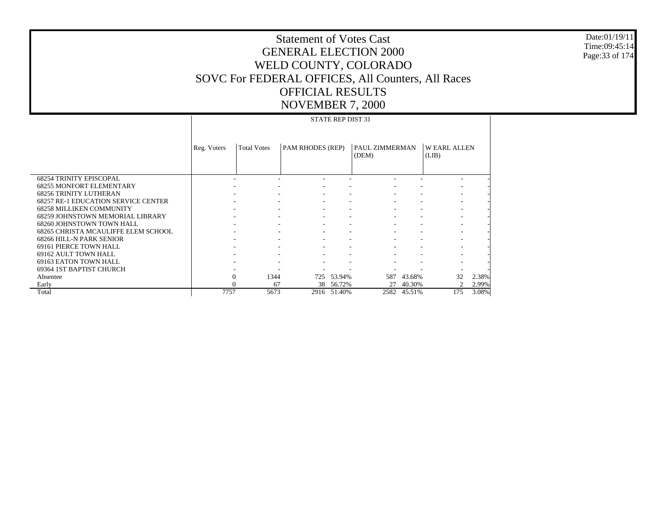Date:01/19/11 Time:09:45:14 Page:33 of 174

|                                            | <b>STATE REP DIST 31</b> |                    |                         |        |                         |        |                             |       |
|--------------------------------------------|--------------------------|--------------------|-------------------------|--------|-------------------------|--------|-----------------------------|-------|
|                                            | Reg. Voters              | <b>Total Votes</b> | <b>PAM RHODES (REP)</b> |        | PAUL ZIMMERMAN<br>(DEM) |        | <b>WEARL ALLEN</b><br>(LIB) |       |
| <b>68254 TRINITY EPISCOPAL</b>             |                          |                    |                         |        |                         |        |                             |       |
| <b>68255 MONFORT ELEMENTARY</b>            |                          |                    |                         |        |                         |        |                             |       |
| <b>68256 TRINITY LUTHERAN</b>              |                          |                    |                         |        |                         |        |                             |       |
| <b>68257 RE-1 EDUCATION SERVICE CENTER</b> |                          |                    |                         |        |                         |        |                             |       |
| <b>68258 MILLIKEN COMMUNITY</b>            |                          |                    |                         |        |                         |        |                             |       |
| <b>68259 JOHNSTOWN MEMORIAL LIBRARY</b>    |                          |                    |                         |        |                         |        |                             |       |
| 68260 JOHNSTOWN TOWN HALL                  |                          |                    |                         |        |                         |        |                             |       |
| 68265 CHRISTA MCAULIFFE ELEM SCHOOL        |                          |                    |                         |        |                         |        |                             |       |
| 68266 HILL-N PARK SENIOR                   |                          |                    |                         |        |                         |        |                             |       |
| 69161 PIERCE TOWN HALL                     |                          |                    |                         |        |                         |        |                             |       |
| 69162 AULT TOWN HALL                       |                          |                    |                         |        |                         |        |                             |       |
| 69163 EATON TOWN HALL                      |                          |                    |                         |        |                         |        |                             |       |
| 69364 1ST BAPTIST CHURCH                   |                          |                    |                         |        |                         |        |                             |       |
| Absentee                                   | $\mathbf{0}$             | 1344               | 725                     | 53.94% | 587                     | 43.68% | 32                          | 2.38% |
| Early                                      |                          | 67                 | 38                      | 56.72% | 27                      | 40.30% | $\overline{c}$              | 2.99% |
| Total                                      | 7757                     | 5673               | 2916                    | 51.40% | 2582                    | 45.51% | 175                         | 3.08% |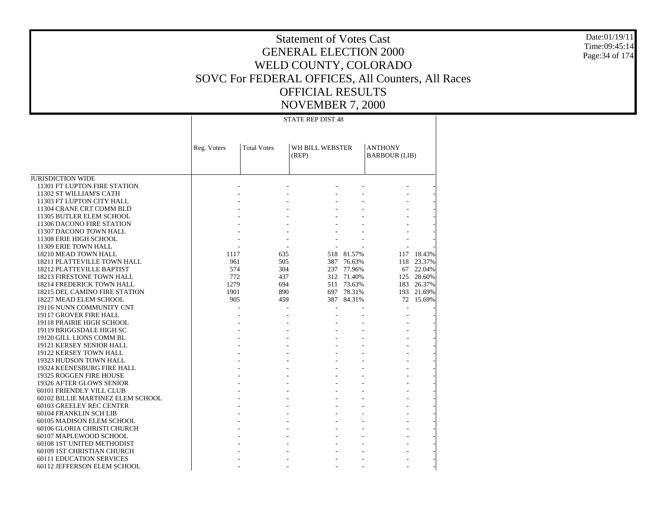Date:01/19/11 Time:09:45:14Page:34 of 174

## Statement of Votes Cast GENERAL ELECTION 2000 WELD COUNTY, COLORADO SOVC For FEDERAL OFFICES, All Counters, All Races OFFICIAL RESULTS NOVEMBER 7, 2000

STATE REP DIST 48

|                                                         | Reg. Voters | <b>Total Votes</b> | WH BILL WEBSTER<br>(REP) |            | <b>ANTHONY</b><br><b>BARBOUR (LIB)</b> |            |
|---------------------------------------------------------|-------------|--------------------|--------------------------|------------|----------------------------------------|------------|
|                                                         |             |                    |                          |            |                                        |            |
| <b>JURISDICTION WIDE</b>                                |             |                    |                          |            |                                        |            |
| 11301 FT LUPTON FIRE STATION<br>11302 ST WILLIAM'S CATH |             |                    |                          |            |                                        |            |
| 11303 FT LUPTON CITY HALL                               |             |                    |                          |            |                                        |            |
| 11304 CRANE CRT COMM BLD                                |             |                    |                          |            |                                        |            |
| 11305 BUTLER ELEM SCHOOL                                |             |                    |                          |            |                                        |            |
| 11306 DACONO FIRE STATION                               |             |                    |                          |            |                                        |            |
| 11307 DACONO TOWN HALL                                  |             |                    |                          |            |                                        |            |
| 11308 ERIE HIGH SCHOOL                                  |             |                    |                          |            |                                        |            |
| 11309 ERIE TOWN HALL                                    |             |                    |                          |            |                                        |            |
| 18210 MEAD TOWN HALL                                    | 1117        | 635                |                          | 518 81.57% |                                        | 117 18.43% |
| 18211 PLATTEVILLE TOWN HALL                             | 961         | 505                |                          | 387 76.63% | 118                                    | 23.37%     |
| 18212 PLATTEVILLE BAPTIST                               | 574         | 304                |                          | 237 77.96% |                                        | 67 22.04%  |
| 18213 FIRESTONE TOWN HALL                               | 772         | 437                |                          | 312 71.40% | 125                                    | 28.60%     |
| 18214 FREDERICK TOWN HALL                               | 1279        | 694                |                          | 511 73.63% | 183                                    | 26.37%     |
| 18215 DEL CAMINO FIRE STATION                           | 1901        | 890                |                          | 697 78.31% |                                        | 193 21.69% |
| 18227 MEAD ELEM SCHOOL                                  | 905         | 459                |                          | 387 84.31% |                                        | 72 15.69%  |
| 19116 NUNN COMMUNITY CNT                                |             |                    |                          |            |                                        |            |
| 19117 GROVER FIRE HALL                                  |             |                    |                          |            |                                        |            |
| 19118 PRAIRIE HIGH SCHOOL                               |             |                    |                          |            |                                        |            |
| 19119 BRIGGSDALE HIGH SC                                |             |                    |                          |            |                                        |            |
| 19120 GILL LIONS COMM BL                                |             |                    |                          |            |                                        |            |
| 19121 KERSEY SENIOR HALL                                |             |                    |                          |            |                                        |            |
| 19122 KERSEY TOWN HALL                                  |             |                    |                          |            |                                        |            |
| 19323 HUDSON TOWN HALL                                  |             |                    |                          |            |                                        |            |
| 19324 KEENESBURG FIRE HALL                              |             |                    |                          |            |                                        |            |
| 19325 ROGGEN FIRE HOUSE                                 |             |                    |                          |            |                                        |            |
| 19326 AFTER GLOWS SENIOR                                |             |                    |                          |            |                                        |            |
| 60101 FRIENDLY VILL CLUB                                |             |                    |                          |            |                                        |            |
| 60102 BILLIE MARTINEZ ELEM SCHOOL                       |             |                    |                          |            |                                        |            |
| 60103 GREELEY REC CENTER                                |             |                    |                          |            |                                        |            |
| 60104 FRANKLIN SCH LIB                                  |             |                    |                          |            |                                        |            |
| 60105 MADISON ELEM SCHOOL                               |             |                    |                          |            |                                        |            |
| 60106 GLORIA CHRISTI CHURCH                             |             |                    |                          |            |                                        |            |
| 60107 MAPLEWOOD SCHOOL                                  |             |                    |                          |            |                                        |            |
| 60108 1ST UNITED METHODIST                              |             |                    |                          |            |                                        |            |
| 60109 1ST CHRISTIAN CHURCH                              |             |                    |                          |            |                                        |            |
| <b>60111 EDUCATION SERVICES</b>                         |             |                    |                          |            |                                        |            |
| 60112 JEFFERSON ELEM SCHOOL                             |             |                    |                          |            |                                        |            |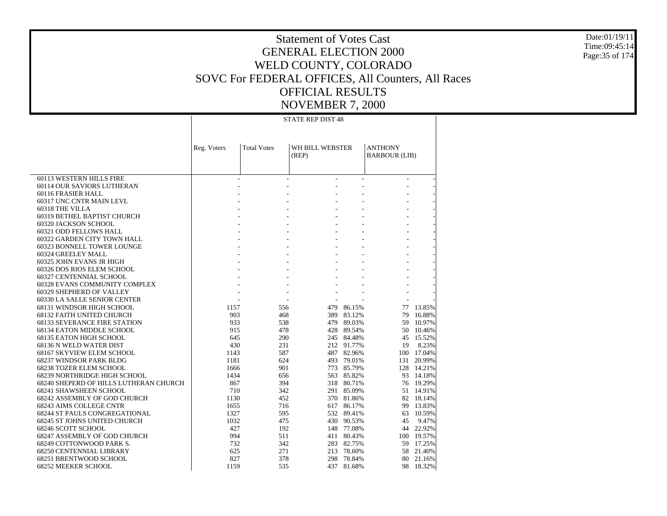Date:01/19/11 Time:09:45:14 Page:35 of 174

## Statement of Votes Cast GENERAL ELECTION 2000 WELD COUNTY, COLORADO SOVC For FEDERAL OFFICES, All Counters, All Races OFFICIAL RESULTS NOVEMBER 7, 2000

STATE REP DIST 48

|                                                          | Reg. Voters | <b>Total Votes</b> | WH BILL WEBSTER |            | <b>ANTHONY</b>       |        |
|----------------------------------------------------------|-------------|--------------------|-----------------|------------|----------------------|--------|
|                                                          |             |                    | (REP)           |            | <b>BARBOUR (LIB)</b> |        |
|                                                          |             |                    |                 |            |                      |        |
|                                                          |             |                    |                 |            |                      |        |
| 60113 WESTERN HILLS FIRE                                 |             |                    |                 |            | $\sim$               |        |
| 60114 OUR SAVIORS LUTHERAN                               |             |                    |                 |            |                      |        |
| 60116 FRASIER HALL                                       |             |                    |                 |            | ÷.                   |        |
| 60317 UNC CNTR MAIN LEVL                                 |             |                    |                 |            |                      |        |
| 60318 THE VILLA                                          |             |                    |                 |            |                      |        |
| 60319 BETHEL BAPTIST CHURCH                              |             |                    |                 |            | $\overline{a}$       |        |
| 60320 JACKSON SCHOOL                                     |             |                    |                 |            |                      |        |
| 60321 ODD FELLOWS HALL                                   |             |                    |                 |            |                      |        |
| 60322 GARDEN CITY TOWN HALL                              |             |                    |                 |            | $\overline{a}$       |        |
| 60323 BONNELL TOWER LOUNGE                               |             |                    |                 |            |                      |        |
| 60324 GREELEY MALL                                       |             |                    |                 |            |                      |        |
| 60325 JOHN EVANS JR HIGH                                 |             |                    |                 |            | $\overline{a}$       |        |
| 60326 DOS RIOS ELEM SCHOOL                               |             |                    |                 |            | ÷,                   |        |
| 60327 CENTENNIAL SCHOOL<br>60328 EVANS COMMUNITY COMPLEX |             |                    |                 |            |                      |        |
| 60329 SHEPHERD OF VALLEY                                 |             |                    |                 |            |                      |        |
| 60330 LA SALLE SENIOR CENTER                             |             |                    |                 |            |                      |        |
| 68131 WINDSOR HIGH SCHOOL                                | 1157        | 556                | 479             | 86.15%     | 77                   | 13.85% |
| 68132 FAITH UNITED CHURCH                                | 903         | 468                | 389             | 83.12%     | 79                   | 16.88% |
| <b>68133 SEVERANCE FIRE STATION</b>                      | 933         | 538                | 479             | 89.03%     | 59                   | 10.97% |
|                                                          | 915         | 478                | 428             | 89.54%     | 50                   | 10.46% |
| 68134 EATON MIDDLE SCHOOL<br>68135 EATON HIGH SCHOOL     | 645         | 290                |                 | 245 84.48% | 45                   | 15.52% |
| 68136 N WELD WATER DIST                                  | 430         | 231                |                 | 212 91.77% | 19                   | 8.23%  |
| 68167 SKYVIEW ELEM SCHOOL                                | 1143        | 587                |                 | 487 82.96% | 100                  | 17.04% |
| 68237 WINDSOR PARK BLDG                                  | 1181        | 624                |                 | 493 79.01% | 131                  | 20.99% |
| <b>68238 TOZER ELEM SCHOOL</b>                           | 1666        | 901                |                 | 773 85.79% | 128                  | 14.21% |
| 68239 NORTHRIDGE HIGH SCHOOL                             | 1434        | 656                |                 | 563 85.82% | 93                   | 14.18% |
| 68240 SHEPERD OF HILLS LUTHERAN CHURCH                   | 867         | 394                |                 | 318 80.71% | 76                   | 19.29% |
| 68241 SHAWSHEEN SCHOOL                                   | 710         | 342                |                 | 291 85.09% | 51                   | 14.91% |
| 68242 ASSEMBLY OF GOD CHURCH                             | 1130        | 452                |                 | 370 81.86% | 82                   | 18.14% |
| 68243 AIMS COLLEGE CNTR                                  | 1655        | 716                | 617             | 86.17%     | 99                   | 13.83% |
| <b>68244 ST PAULS CONGREGATIONAL</b>                     | 1327        | 595                |                 | 532 89.41% | 63                   | 10.59% |
| 68245 ST JOHNS UNITED CHURCH                             | 1032        | 475                | 430             | 90.53%     | 45                   | 9.47%  |
| 68246 SCOTT SCHOOL                                       | 427         | 192                |                 | 148 77.08% | 44                   | 22.92% |
| 68247 ASSEMBLY OF GOD CHURCH                             | 994         | 511                | 411             | 80.43%     | 100                  | 19.57% |
| 68249 COTTONWOOD PARK S.                                 | 732         | 342                |                 | 283 82.75% | 59                   | 17.25% |
| 68250 CENTENNIAL LIBRARY                                 | 625         | 271                |                 | 213 78.60% | 58                   | 21.40% |
| 68251 BRENTWOOD SCHOOL                                   | 827         | 378                | 298             | 78.84%     | 80                   | 21.16% |
| 68252 MEEKER SCHOOL                                      | 1159        | 535                |                 | 437 81.68% | 98                   | 18.32% |
|                                                          |             |                    |                 |            |                      |        |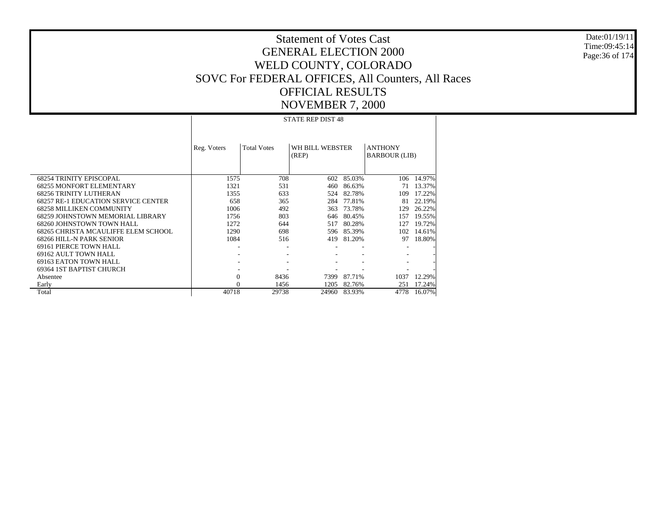Date:01/19/11 Time:09:45:14 Page:36 of 174

## Statement of Votes Cast GENERAL ELECTION 2000 WELD COUNTY, COLORADO SOVC For FEDERAL OFFICES, All Counters, All Races OFFICIAL RESULTS NOVEMBER 7, 2000

STATE REP DIST 48

|                                            | Reg. Voters    | <b>Total Votes</b> | WH BILL WEBSTER<br>(REP) |        | <b>ANTHONY</b><br><b>BARBOUR (LIB)</b> |        |
|--------------------------------------------|----------------|--------------------|--------------------------|--------|----------------------------------------|--------|
| <b>68254 TRINITY EPISCOPAL</b>             | 1575           | 708                | 602                      | 85.03% | 106                                    | 14.97% |
| <b>68255 MONFORT ELEMENTARY</b>            | 1321           | 531                | 460                      | 86.63% | 71                                     | 13.37% |
| <b>68256 TRINITY LUTHERAN</b>              | 1355           | 633                | 524                      | 82.78% | 109                                    | 17.22% |
| <b>68257 RE-1 EDUCATION SERVICE CENTER</b> | 658            | 365                | 284                      | 77.81% | 81                                     | 22.19% |
| <b>68258 MILLIKEN COMMUNITY</b>            | 1006           | 492                | 363                      | 73.78% | 129                                    | 26.22% |
| 68259 JOHNSTOWN MEMORIAL LIBRARY           | 1756           | 803                | 646                      | 80.45% | 157                                    | 19.55% |
| 68260 JOHNSTOWN TOWN HALL                  | 1272           | 644                | 517                      | 80.28% | 127                                    | 19.72% |
| 68265 CHRISTA MCAULIFFE ELEM SCHOOL        | 1290           | 698                | 596                      | 85.39% | 102                                    | 14.61% |
| 68266 HILL-N PARK SENIOR                   | 1084           | 516                | 419                      | 81.20% | 97                                     | 18.80% |
| <b>69161 PIERCE TOWN HALL</b>              | ٠              |                    |                          |        |                                        |        |
| 69162 AULT TOWN HALL                       |                |                    |                          |        |                                        |        |
| 69163 EATON TOWN HALL                      |                |                    |                          |        |                                        |        |
| 69364 IST BAPTIST CHURCH                   |                |                    |                          |        |                                        |        |
| Absentee                                   | $\overline{0}$ | 8436               | 7399                     | 87.71% | 1037                                   | 12.29% |
| Early                                      | $\theta$       | 1456               | 1205                     | 82.76% | 251                                    | 17.24% |
| Total                                      | 40718          | 29738              | 24960                    | 83.93% | 4778                                   | 16.07% |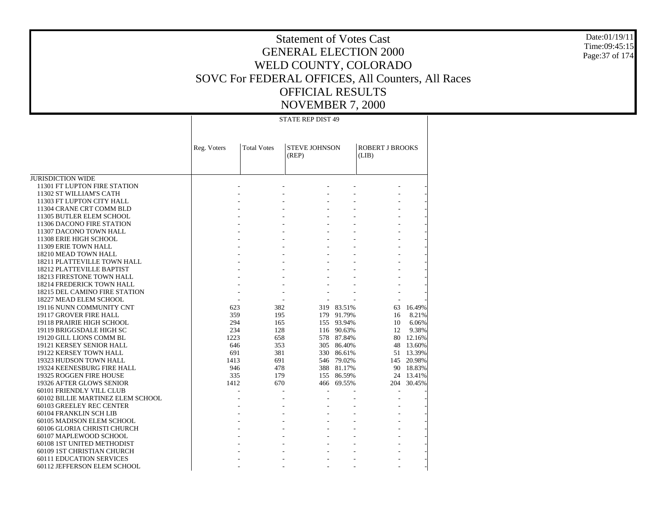Date:01/19/11 Time:09:45:15 Page:37 of 174

## Statement of Votes Cast GENERAL ELECTION 2000 WELD COUNTY, COLORADO SOVC For FEDERAL OFFICES, All Counters, All Races OFFICIAL RESULTS NOVEMBER 7, 2000

STATE REP DIST 49

|                                   | Reg. Voters | <b>Total Votes</b> | <b>STEVE JOHNSON</b><br>(REP) |            | <b>ROBERT J BROOKS</b><br>(LIB) |           |
|-----------------------------------|-------------|--------------------|-------------------------------|------------|---------------------------------|-----------|
|                                   |             |                    |                               |            |                                 |           |
| <b>JURISDICTION WIDE</b>          |             |                    |                               |            |                                 |           |
| 11301 FT LUPTON FIRE STATION      |             |                    |                               |            |                                 |           |
| 11302 ST WILLIAM'S CATH           |             |                    |                               |            |                                 |           |
| 11303 FT LUPTON CITY HALL         |             |                    |                               |            |                                 |           |
| 11304 CRANE CRT COMM BLD          |             |                    |                               |            |                                 |           |
| 11305 BUTLER ELEM SCHOOL          |             |                    |                               |            |                                 |           |
| 11306 DACONO FIRE STATION         |             |                    |                               |            |                                 |           |
| 11307 DACONO TOWN HALL            |             |                    |                               |            |                                 |           |
| 11308 ERIE HIGH SCHOOL            |             |                    |                               |            |                                 |           |
| 11309 ERIE TOWN HALL              |             |                    |                               |            |                                 |           |
| 18210 MEAD TOWN HALL              |             |                    |                               |            |                                 |           |
| 18211 PLATTEVILLE TOWN HALL       |             |                    |                               |            |                                 |           |
| <b>18212 PLATTEVILLE BAPTIST</b>  |             |                    |                               |            |                                 |           |
| 18213 FIRESTONE TOWN HALL         |             |                    |                               |            |                                 |           |
| <b>18214 FREDERICK TOWN HALL</b>  |             |                    |                               |            |                                 |           |
| 18215 DEL CAMINO FIRE STATION     |             |                    |                               |            |                                 |           |
| 18227 MEAD ELEM SCHOOL            |             |                    |                               |            |                                 |           |
| 19116 NUNN COMMUNITY CNT          | 623         | 382                |                               | 319 83.51% | 63                              | 16.49%    |
| 19117 GROVER FIRE HALL            | 359         | 195                |                               | 179 91.79% | 16                              | 8.21%     |
| 19118 PRAIRIE HIGH SCHOOL         | 294         | 165                | 155                           | 93.94%     | 10                              | 6.06%     |
| 19119 BRIGGSDALE HIGH SC          | 234         | 128                |                               | 116 90.63% | 12                              | 9.38%     |
| 19120 GILL LIONS COMM BL          | 1223        | 658                |                               | 578 87.84% |                                 | 80 12.16% |
| 19121 KERSEY SENIOR HALL          | 646         | 353                |                               | 305 86.40% | 48                              | 13.60%    |
| 19122 KERSEY TOWN HALL            | 691         | 381                |                               | 330 86.61% |                                 | 51 13.39% |
| 19323 HUDSON TOWN HALL            | 1413        | 691                |                               | 546 79.02% | 145                             | 20.98%    |
| 19324 KEENESBURG FIRE HALL        | 946         | 478                |                               | 388 81.17% |                                 | 90 18.83% |
| 19325 ROGGEN FIRE HOUSE           | 335         | 179                |                               | 155 86.59% |                                 | 24 13.41% |
| 19326 AFTER GLOWS SENIOR          | 1412        | 670                |                               | 466 69.55% | 204                             | 30.45%    |
| 60101 FRIENDLY VILL CLUB          |             | ÷                  |                               |            | ٠                               |           |
| 60102 BILLIE MARTINEZ ELEM SCHOOL |             |                    |                               |            |                                 |           |
| 60103 GREELEY REC CENTER          |             |                    |                               |            |                                 |           |
| 60104 FRANKLIN SCH LIB            |             |                    |                               |            |                                 |           |
| 60105 MADISON ELEM SCHOOL         |             |                    |                               |            |                                 |           |
| 60106 GLORIA CHRISTI CHURCH       |             |                    |                               |            |                                 |           |
| 60107 MAPLEWOOD SCHOOL            |             |                    |                               |            |                                 |           |
| 60108 1ST UNITED METHODIST        |             |                    |                               |            |                                 |           |
| 60109 1ST CHRISTIAN CHURCH        |             |                    |                               |            |                                 |           |
| <b>60111 EDUCATION SERVICES</b>   |             |                    |                               |            |                                 |           |
| 60112 JEFFERSON ELEM SCHOOL       |             |                    |                               |            |                                 |           |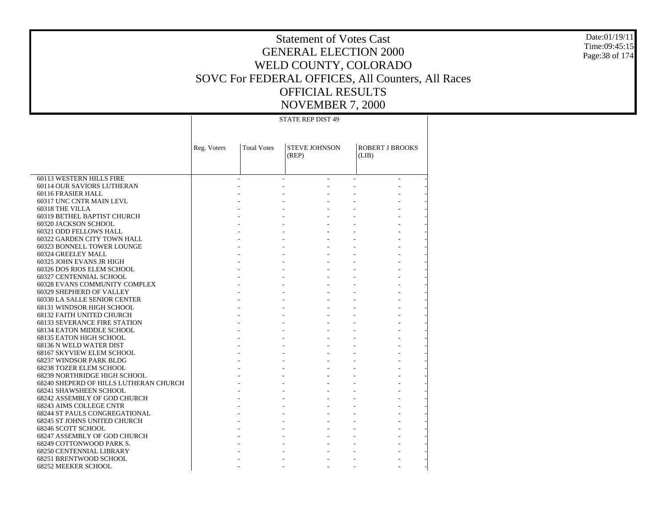Date:01/19/11 Time:09:45:15 Page:38 of 174

# Statement of Votes Cast GENERAL ELECTION 2000 WELD COUNTY, COLORADO SOVC For FEDERAL OFFICES, All Counters, All Races OFFICIAL RESULTS NOVEMBER 7, 2000

STATE REP DIST 49

|                                        | Reg. Voters | <b>Total Votes</b> | <b>STEVE JOHNSON</b><br>(REP) | <b>ROBERT J BROOKS</b><br>(LIB) |  |
|----------------------------------------|-------------|--------------------|-------------------------------|---------------------------------|--|
|                                        |             |                    |                               |                                 |  |
| 60113 WESTERN HILLS FIRE               |             |                    | ÷.                            | $\sim$                          |  |
| 60114 OUR SAVIORS LUTHERAN             |             |                    |                               |                                 |  |
| 60116 FRASIER HALL                     |             |                    |                               |                                 |  |
| 60317 UNC CNTR MAIN LEVL               |             |                    |                               |                                 |  |
| 60318 THE VILLA                        |             |                    |                               |                                 |  |
| 60319 BETHEL BAPTIST CHURCH            |             |                    |                               |                                 |  |
| 60320 JACKSON SCHOOL                   |             |                    |                               |                                 |  |
| 60321 ODD FELLOWS HALL                 |             |                    |                               |                                 |  |
| 60322 GARDEN CITY TOWN HALL            |             |                    |                               |                                 |  |
| 60323 BONNELL TOWER LOUNGE             |             |                    |                               |                                 |  |
| 60324 GREELEY MALL                     |             |                    |                               |                                 |  |
| 60325 JOHN EVANS JR HIGH               |             |                    |                               |                                 |  |
| 60326 DOS RIOS ELEM SCHOOL             |             |                    |                               |                                 |  |
| 60327 CENTENNIAL SCHOOL                |             |                    |                               |                                 |  |
| 60328 EVANS COMMUNITY COMPLEX          |             |                    |                               |                                 |  |
| 60329 SHEPHERD OF VALLEY               |             |                    |                               |                                 |  |
| 60330 LA SALLE SENIOR CENTER           |             |                    |                               |                                 |  |
| 68131 WINDSOR HIGH SCHOOL              |             |                    |                               |                                 |  |
| 68132 FAITH UNITED CHURCH              |             |                    |                               |                                 |  |
| <b>68133 SEVERANCE FIRE STATION</b>    |             |                    |                               |                                 |  |
| 68134 EATON MIDDLE SCHOOL              |             |                    |                               |                                 |  |
| 68135 EATON HIGH SCHOOL                |             |                    |                               |                                 |  |
| 68136 N WELD WATER DIST                |             |                    |                               |                                 |  |
| 68167 SKYVIEW ELEM SCHOOL              |             |                    |                               |                                 |  |
| 68237 WINDSOR PARK BLDG                |             |                    |                               |                                 |  |
| 68238 TOZER ELEM SCHOOL                |             |                    |                               |                                 |  |
| 68239 NORTHRIDGE HIGH SCHOOL           |             |                    |                               |                                 |  |
| 68240 SHEPERD OF HILLS LUTHERAN CHURCH |             |                    |                               |                                 |  |
| 68241 SHAWSHEEN SCHOOL                 |             |                    |                               |                                 |  |
| 68242 ASSEMBLY OF GOD CHURCH           |             |                    |                               |                                 |  |
| 68243 AIMS COLLEGE CNTR                |             |                    |                               |                                 |  |
| <b>68244 ST PAULS CONGREGATIONAL</b>   |             |                    |                               |                                 |  |
| 68245 ST JOHNS UNITED CHURCH           |             |                    |                               |                                 |  |
| 68246 SCOTT SCHOOL                     |             |                    |                               |                                 |  |
| 68247 ASSEMBLY OF GOD CHURCH           |             |                    |                               |                                 |  |
| 68249 COTTONWOOD PARK S.               |             |                    |                               |                                 |  |
| <b>68250 CENTENNIAL LIBRARY</b>        |             |                    |                               |                                 |  |
| 68251 BRENTWOOD SCHOOL                 |             |                    |                               |                                 |  |
| 68252 MEEKER SCHOOL                    |             |                    |                               |                                 |  |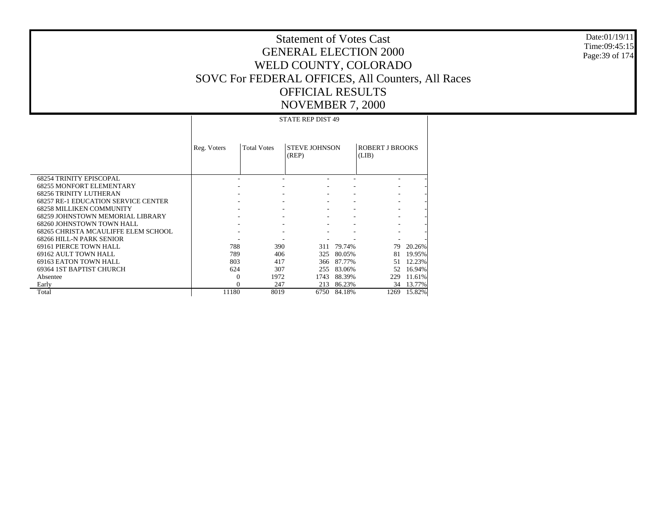Date:01/19/11Time:09:45:15Page:39 of 174

# Statement of Votes CastGENERAL ELECTION 2000WELD COUNTY, COLORADO SOVC For FEDERAL OFFICES, All Counters, All Races OFFICIAL RESULTSNOVEMBER 7, 2000

 68254 TRINITY EPISCOPAL 68255 MONFORT ELEMENTARY 68256 TRINITY LUTHERAN 68257 RE-1 EDUCATION SERVICE CENTER 68258 MILLIKEN COMMUNITY 68259 JOHNSTOWN MEMORIAL LIBRARY 68260 JOHNSTOWN TOWN HALL 68265 CHRISTA MCAULIFFE ELEM SCHOOL 68266 HILL-N PARK SENIOR 69161 PIERCE TOWN HALL 69162 AULT TOWN HALL 69163 EATON TOWN HALL 69364 1ST BAPTIST CHURCH Absentee Early TotalReg. Voters | Total Votes | STEVE JOHNSON (REP) ROBERT J BROOKS (LIB) STATE REP DIST 49 - - - - - - - - - - - - - - - - - - - - - - - - - - - - - - - - - - - - - - - - - - - - - 788 390 311 79.74% 79 20.26% 789 406 325 80.05% 81 19.95% 803 417 366 87.77% 51 12.23% 624 307 255 83.06% 52 16.94% 0 1972 1743 88.39% 229 11.61% 0 247 213 86.23% 34 13.77% 11180 8019 6750 84.18%1269 15.82%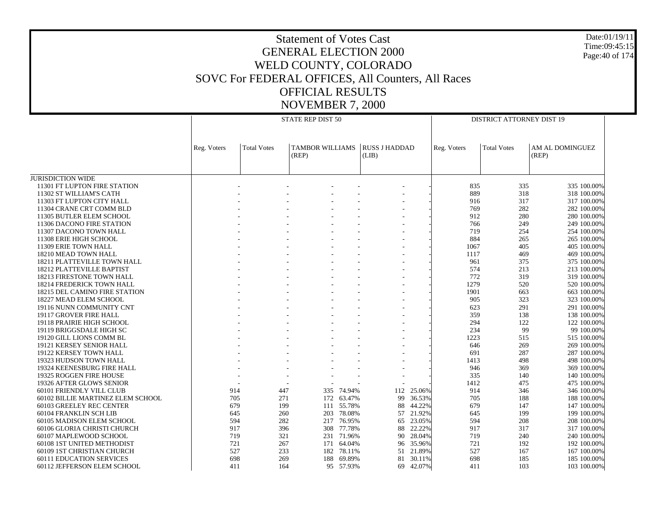#### Date:01/19/11 Time:09:45:15 Page:40 of 174

|                                                               |             |                                 | STATE REP DIST 50               |            |                               | <b>DISTRICT ATTORNEY DIST 19</b> |             |                    |                            |  |
|---------------------------------------------------------------|-------------|---------------------------------|---------------------------------|------------|-------------------------------|----------------------------------|-------------|--------------------|----------------------------|--|
|                                                               | Reg. Voters | <b>Total Votes</b>              | <b>TAMBOR WILLIAMS</b><br>(REP) |            | <b>RUSS J HADDAD</b><br>(LIB) |                                  | Reg. Voters | <b>Total Votes</b> | AM AL DOMINGUEZ<br>(REP)   |  |
|                                                               |             |                                 |                                 |            |                               |                                  |             |                    |                            |  |
| <b>JURISDICTION WIDE</b><br>11301 FT LUPTON FIRE STATION      |             |                                 |                                 |            |                               |                                  | 835         | 335                | 335 100.00%                |  |
| 11302 ST WILLIAM'S CATH                                       |             |                                 |                                 |            |                               |                                  | 889         | 318                | 318 100.00%                |  |
| 11303 FT LUPTON CITY HALL                                     |             |                                 |                                 |            |                               |                                  | 916         | 317                | 317 100.00%                |  |
| 11304 CRANE CRT COMM BLD                                      |             |                                 |                                 |            |                               |                                  | 769         | 282                | 282 100.00%                |  |
| 11305 BUTLER ELEM SCHOOL                                      |             |                                 |                                 |            |                               |                                  | 912         | 280                | 280 100.00%                |  |
| 11306 DACONO FIRE STATION                                     |             |                                 |                                 |            |                               |                                  | 766         | 249                | 249 100.00%                |  |
| 11307 DACONO TOWN HALL                                        |             |                                 |                                 |            |                               |                                  | 719         | 254                | 254 100,00%                |  |
| 11308 ERIE HIGH SCHOOL                                        |             |                                 |                                 |            |                               |                                  | 884         | 265                | 265 100.00%                |  |
| 11309 ERIE TOWN HALL                                          |             |                                 |                                 |            |                               |                                  | 1067        | 405                | 405 100.00%                |  |
| 18210 MEAD TOWN HALL                                          |             |                                 |                                 |            |                               |                                  | 1117        | 469                | 469 100,00%                |  |
| 18211 PLATTEVILLE TOWN HALL                                   |             |                                 |                                 |            |                               |                                  | 961         | 375                | 375 100.00%                |  |
| 18212 PLATTEVILLE BAPTIST                                     |             |                                 |                                 |            |                               |                                  | 574         | 213                | 213 100.00%                |  |
| 18213 FIRESTONE TOWN HALL                                     |             |                                 |                                 |            |                               |                                  | 772         | 319                | 319 100.00%                |  |
| 18214 FREDERICK TOWN HALL                                     |             |                                 |                                 |            |                               |                                  | 1279        | 520                | 520 100.00%                |  |
| 18215 DEL CAMINO FIRE STATION                                 |             |                                 |                                 |            |                               |                                  | 1901        | 663                | 663 100.00%                |  |
| 18227 MEAD ELEM SCHOOL                                        |             |                                 |                                 |            |                               |                                  | 905         | 323                | 323 100.00%                |  |
| 19116 NUNN COMMUNITY CNT                                      |             |                                 |                                 |            |                               |                                  | 623         | 291                | 291 100.00%                |  |
| 19117 GROVER FIRE HALL                                        |             |                                 |                                 |            |                               |                                  | 359         | 138                | 138 100.00%                |  |
| 19118 PRAIRIE HIGH SCHOOL                                     |             |                                 |                                 |            |                               |                                  | 294         | 122                | 122 100.00%                |  |
| 19119 BRIGGSDALE HIGH SC                                      |             |                                 |                                 |            |                               |                                  | 234         | 99                 | 99 100,00%                 |  |
| 19120 GILL LIONS COMM BL                                      |             |                                 |                                 |            |                               |                                  | 1223        | 515                | 515 100.00%                |  |
| 19121 KERSEY SENIOR HALL                                      |             |                                 |                                 |            |                               |                                  | 646         | 269                | 269 100.00%                |  |
| 19122 KERSEY TOWN HALL                                        |             |                                 |                                 |            |                               |                                  | 691         | 287                | 287 100.00%                |  |
| 19323 HUDSON TOWN HALL                                        |             |                                 |                                 |            |                               |                                  | 1413        | 498                | 498 100.00%                |  |
| 19324 KEENESBURG FIRE HALL                                    |             |                                 |                                 |            |                               |                                  | 946         | 369                | 369 100.00%                |  |
| 19325 ROGGEN FIRE HOUSE                                       |             |                                 |                                 |            |                               |                                  | 335         | 140                | 140 100.00%                |  |
| 19326 AFTER GLOWS SENIOR                                      | 914         | $\overline{\phantom{a}}$<br>447 | 335                             | 74.94%     | 112                           | 25.06%                           | 1412<br>914 | 475<br>346         | 475 100,00%                |  |
| 60101 FRIENDLY VILL CLUB<br>60102 BILLIE MARTINEZ ELEM SCHOOL | 705         | 271                             | 172                             | 63.47%     | 99                            | 36.53%                           | 705         | 188                | 346 100.00%<br>188 100.00% |  |
| 60103 GREELEY REC CENTER                                      | 679         | 199                             |                                 | 111 55.78% | 88                            | 44.22%                           | 679         | 147                | 147 100,00%                |  |
| 60104 FRANKLIN SCH LIB                                        | 645         | 260                             | 203                             | 78.08%     | 57                            | 21.92%                           | 645         | 199                | 199 100.00%                |  |
| 60105 MADISON ELEM SCHOOL                                     | 594         | 282                             | 217                             | 76.95%     | 65                            | 23.05%                           | 594         | 208                | 208 100.00%                |  |
| 60106 GLORIA CHRISTI CHURCH                                   | 917         | 396                             | 308                             | 77.78%     | 88                            | 22.22%                           | 917         | 317                | 317 100.00%                |  |
| 60107 MAPLEWOOD SCHOOL                                        | 719         | 321                             |                                 | 231 71.96% | 90                            | 28.04%                           | 719         | 240                | 240 100.00%                |  |
| 60108 1ST UNITED METHODIST                                    | 721         | 267                             |                                 | 171 64.04% | 96                            | 35.96%                           | 721         | 192                | 192 100.00%                |  |
| 60109 1ST CHRISTIAN CHURCH                                    | 527         | 233                             | 182                             | 78.11%     | 51                            | 21.89%                           | 527         | 167                | 167 100.00%                |  |
| 60111 EDUCATION SERVICES                                      | 698         | 269                             | 188                             | 69.89%     | 81                            | 30.11%                           | 698         | 185                | 185 100.00%                |  |
| 60112 JEFFERSON ELEM SCHOOL                                   | 411         | 164                             |                                 | 95 57.93%  | 69                            | 42.07%                           | 411         | 103                | 103 100.00%                |  |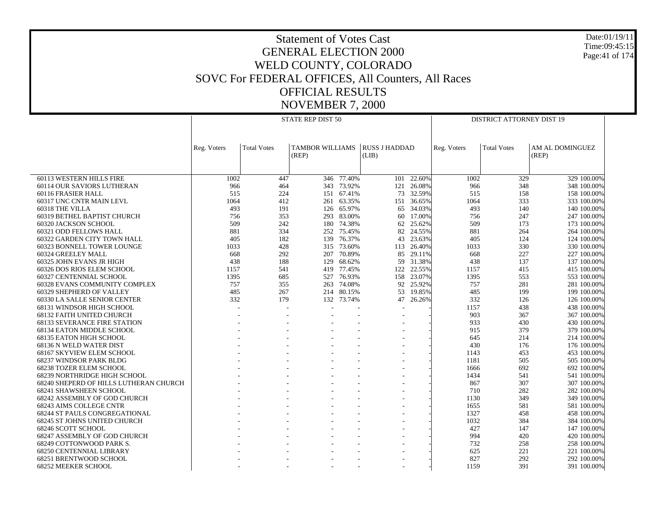Date:01/19/11 Time:09:45:15 Page:41 of 174

|                                                    |             |                    | STATE REP DIST 50               | <b>DISTRICT ATTORNEY DIST 19</b> |                               |            |             |                    |                            |  |  |
|----------------------------------------------------|-------------|--------------------|---------------------------------|----------------------------------|-------------------------------|------------|-------------|--------------------|----------------------------|--|--|
|                                                    |             |                    |                                 |                                  |                               |            |             |                    |                            |  |  |
|                                                    |             |                    |                                 |                                  |                               |            |             |                    |                            |  |  |
|                                                    | Reg. Voters | <b>Total Votes</b> | <b>TAMBOR WILLIAMS</b><br>(REP) |                                  | <b>RUSS J HADDAD</b><br>(LIB) |            | Reg. Voters | <b>Total Votes</b> | AM AL DOMINGUEZ<br>(REP)   |  |  |
|                                                    |             |                    |                                 |                                  |                               |            |             |                    |                            |  |  |
|                                                    |             |                    |                                 |                                  |                               |            |             |                    |                            |  |  |
| 60113 WESTERN HILLS FIRE                           | 1002        | 447                | 346                             | 77.40%                           | 101                           | 22.60%     | 1002        | 329                | 329 100.00%                |  |  |
| 60114 OUR SAVIORS LUTHERAN                         | 966         | 464                |                                 | 343 73.92%                       | 121                           | 26.08%     | 966         | 348                | 348 100.00%                |  |  |
| 60116 FRASIER HALL                                 | 515         | 224                | 151                             | 67.41%                           | 73                            | 32.59%     | 515         | 158                | 158 100,00%                |  |  |
| 60317 UNC CNTR MAIN LEVL                           | 1064        | 412                | 261                             | 63.35%                           |                               | 151 36.65% | 1064        | 333                | 333 100.00%                |  |  |
| 60318 THE VILLA                                    | 493         | 191                | 126                             | 65.97%                           | 65                            | 34.03%     | 493         | 140                | 140 100.00%                |  |  |
| 60319 BETHEL BAPTIST CHURCH                        | 756         | 353                | 293                             | 83.00%                           | 60                            | 17.00%     | 756         | 247                | 247 100,00%                |  |  |
| 60320 JACKSON SCHOOL                               | 509         | 242                |                                 | 180 74.38%                       | 62                            | 25.62%     | 509         | 173                | 173 100.00%                |  |  |
| 60321 ODD FELLOWS HALL                             | 881         | 334                | 252                             | 75.45%                           | 82                            | 24.55%     | 881         | 264                | 264 100.00%                |  |  |
| 60322 GARDEN CITY TOWN HALL                        | 405         | 182                |                                 | 139 76.37%                       | 43                            | 23.63%     | 405         | 124                | 124 100.00%                |  |  |
| 60323 BONNELL TOWER LOUNGE                         | 1033        | 428                | 315                             | 73.60%                           | 113                           | 26.40%     | 1033        | 330                | 330 100.00%                |  |  |
| 60324 GREELEY MALL                                 | 668         | 292                | 207                             | 70.89%                           | 85                            | 29.11%     | 668         | 227                | 227 100,00%                |  |  |
| 60325 JOHN EVANS JR HIGH                           | 438         | 188                | 129                             | 68.62%                           | 59                            | 31.38%     | 438         | 137                | 137 100.00%                |  |  |
| 60326 DOS RIOS ELEM SCHOOL                         | 1157        | 541                |                                 | 419 77.45%                       | 122                           | 22.55%     | 1157        | 415                | 415 100.00%                |  |  |
| 60327 CENTENNIAL SCHOOL                            | 1395        | 685                | 527                             | 76.93%                           |                               | 158 23.07% | 1395        | 553                | 553 100.00%                |  |  |
| 60328 EVANS COMMUNITY COMPLEX                      | 757         | 355                | 263                             | 74.08%                           | 92                            | 25.92%     | 757         | 281                | 281 100.00%                |  |  |
| 60329 SHEPHERD OF VALLEY                           | 485         | 267                |                                 | 214 80.15%                       | 53                            | 19.85%     | 485         | 199                | 199 100.00%                |  |  |
| 60330 LA SALLE SENIOR CENTER                       | 332         | 179                | 132                             | 73.74%                           | 47                            | 26.26%     | 332         | 126                | 126 100.00%                |  |  |
| 68131 WINDSOR HIGH SCHOOL                          |             |                    |                                 |                                  |                               |            | 1157        | 438                | 438 100.00%                |  |  |
| 68132 FAITH UNITED CHURCH                          |             |                    |                                 |                                  |                               |            | 903         | 367                | 367 100.00%                |  |  |
| <b>68133 SEVERANCE FIRE STATION</b>                |             |                    |                                 |                                  |                               |            | 933         | 430                | 430 100.00%                |  |  |
| 68134 EATON MIDDLE SCHOOL                          |             |                    |                                 |                                  |                               |            | 915         | 379                | 379 100.00%                |  |  |
| 68135 EATON HIGH SCHOOL                            |             |                    |                                 |                                  |                               |            | 645         | 214                | 214 100.00%                |  |  |
| 68136 N WELD WATER DIST                            |             |                    |                                 |                                  |                               |            | 430         | 176                | 176 100.00%                |  |  |
| 68167 SKYVIEW ELEM SCHOOL                          |             |                    |                                 |                                  |                               |            | 1143        | 453                | 453 100.00%                |  |  |
| 68237 WINDSOR PARK BLDG                            |             |                    |                                 |                                  |                               |            | 1181        | 505                | 505 100.00%                |  |  |
| 68238 TOZER ELEM SCHOOL                            |             |                    |                                 |                                  |                               |            | 1666        | 692                | 692 100.00%                |  |  |
| 68239 NORTHRIDGE HIGH SCHOOL                       |             |                    |                                 |                                  |                               |            | 1434        | 541                | 541 100,00%                |  |  |
| 68240 SHEPERD OF HILLS LUTHERAN CHURCH             |             |                    |                                 |                                  |                               |            | 867         | 307                | 307 100.00%                |  |  |
| 68241 SHAWSHEEN SCHOOL                             |             |                    |                                 |                                  |                               |            | 710         | 282                | 282 100.00%                |  |  |
| 68242 ASSEMBLY OF GOD CHURCH                       |             |                    |                                 |                                  |                               |            | 1130        | 349                | 349 100.00%                |  |  |
| 68243 AIMS COLLEGE CNTR                            |             |                    |                                 |                                  |                               |            | 1655        | 581                | 581 100.00%                |  |  |
| <b>68244 ST PAULS CONGREGATIONAL</b>               |             |                    |                                 |                                  |                               |            | 1327        | 458                | 458 100.00%                |  |  |
| 68245 ST JOHNS UNITED CHURCH                       |             |                    |                                 |                                  |                               |            | 1032        | 384                | 384 100.00%                |  |  |
|                                                    |             |                    |                                 |                                  |                               |            | 427         | 147                |                            |  |  |
| 68246 SCOTT SCHOOL<br>68247 ASSEMBLY OF GOD CHURCH |             |                    |                                 |                                  |                               |            | 994         | 420                | 147 100.00%<br>420 100.00% |  |  |
|                                                    |             |                    |                                 |                                  |                               |            | 732         |                    |                            |  |  |
| 68249 COTTONWOOD PARK S.                           |             |                    |                                 |                                  |                               |            |             | 258                | 258 100.00%                |  |  |
| <b>68250 CENTENNIAL LIBRARY</b>                    |             |                    |                                 |                                  |                               |            | 625         | 221                | 221 100.00%                |  |  |
| 68251 BRENTWOOD SCHOOL                             |             |                    |                                 |                                  |                               |            | 827         | 292                | 292 100.00%                |  |  |
| <b>68252 MEEKER SCHOOL</b>                         |             |                    |                                 |                                  |                               |            | 1159        | 391                | 391 100.00%                |  |  |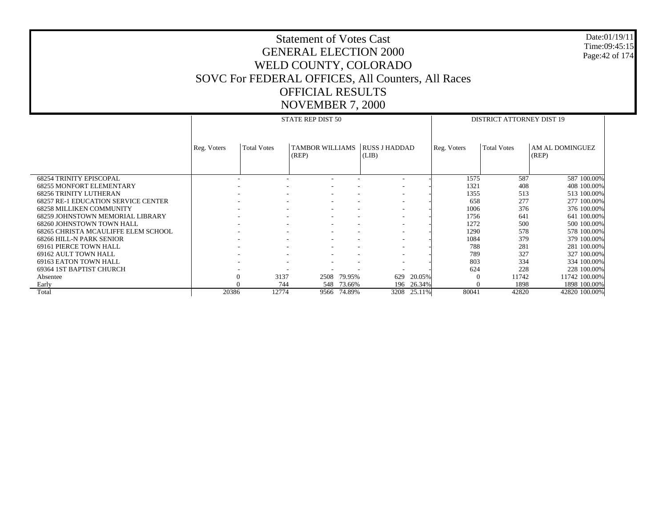#### Date:01/19/11 Time:09:45:15 Page:42 of 174

|                                            |             |                        | STATE REP DIST 50                                    |                          |                          |        | <b>DISTRICT ATTORNEY DIST 19</b> |                    |                 |  |  |
|--------------------------------------------|-------------|------------------------|------------------------------------------------------|--------------------------|--------------------------|--------|----------------------------------|--------------------|-----------------|--|--|
|                                            |             |                        |                                                      |                          |                          |        |                                  |                    |                 |  |  |
|                                            |             |                        |                                                      |                          |                          |        |                                  |                    |                 |  |  |
|                                            | Reg. Voters | <b>Total Votes</b>     | <b>TAMBOR WILLIAMS</b>                               |                          | RUSS J HADDAD            |        | Reg. Voters                      | <b>Total Votes</b> | AM AL DOMINGUEZ |  |  |
|                                            |             |                        | (REP)                                                |                          | (LIB)                    |        |                                  |                    | (REP)           |  |  |
|                                            |             |                        |                                                      |                          |                          |        |                                  |                    |                 |  |  |
|                                            |             |                        |                                                      |                          |                          |        |                                  |                    |                 |  |  |
| <b>68254 TRINITY EPISCOPAL</b>             |             |                        |                                                      |                          | $\overline{\phantom{a}}$ |        | 1575                             | 587                | 587 100.00%     |  |  |
| <b>68255 MONFORT ELEMENTARY</b>            |             |                        |                                                      |                          |                          |        | 1321                             | 408                | 408 100.00%     |  |  |
| <b>68256 TRINITY LUTHERAN</b>              |             |                        | $\overline{\phantom{a}}$                             |                          | $\overline{\phantom{a}}$ |        | 1355                             | 513                | 513 100.00%     |  |  |
| <b>68257 RE-1 EDUCATION SERVICE CENTER</b> |             |                        | $\overline{\phantom{a}}$<br>$\overline{\phantom{a}}$ | $\overline{\phantom{a}}$ | $\overline{\phantom{a}}$ |        | 658                              | 277                | 277 100.00%     |  |  |
| <b>68258 MILLIKEN COMMUNITY</b>            |             |                        | ۰                                                    |                          |                          |        | 1006                             | 376                | 376 100.00%     |  |  |
| <b>68259 JOHNSTOWN MEMORIAL LIBRARY</b>    |             |                        | $\overline{\phantom{a}}$<br>$\overline{\phantom{a}}$ | $\sim$                   | $\overline{\phantom{a}}$ |        | 1756                             | 641                | 641 100.00%     |  |  |
| 68260 JOHNSTOWN TOWN HALL                  |             |                        | $\overline{\phantom{a}}$                             |                          |                          |        | 1272                             | 500                | 500 100.00%     |  |  |
| 68265 CHRISTA MCAULIFFE ELEM SCHOOL        |             |                        | ۰                                                    |                          |                          |        | 1290                             | 578                | 578 100.00%     |  |  |
| <b>68266 HILL-N PARK SENIOR</b>            |             |                        | $\overline{\phantom{a}}$                             |                          | $\overline{\phantom{a}}$ |        | 1084                             | 379                | 379 100.00%     |  |  |
| 69161 PIERCE TOWN HALL                     |             |                        | ۰                                                    |                          | $\overline{\phantom{a}}$ |        | 788                              | 281                | 281 100.00%     |  |  |
| 69162 AULT TOWN HALL                       |             |                        |                                                      |                          |                          |        | 789                              | 327                | 327 100.00%     |  |  |
| 69163 EATON TOWN HALL                      |             |                        | ۰                                                    |                          | $\overline{\phantom{a}}$ |        | 803                              | 334                | 334 100.00%     |  |  |
| 69364 1ST BAPTIST CHURCH                   |             |                        |                                                      |                          |                          |        | 624                              | 228                | 228 100.00%     |  |  |
| Absentee                                   |             | 3137<br>$\overline{0}$ | 2508                                                 | 79.95%                   | 629                      | 20.05% | $\Omega$                         | 11742              | 11742 100.00%   |  |  |
| Early                                      |             | 744<br>$\Omega$        | 548                                                  | 73.66%                   | 196                      | 26.34% | $\Omega$                         | 1898               | 1898 100.00%    |  |  |
| Total                                      | 20386       | 12774                  | 9566                                                 | 74.89%                   | 3208                     | 25.11% | 80041                            | 42820              | 42820 100.00%   |  |  |
|                                            |             |                        |                                                      |                          |                          |        |                                  |                    |                 |  |  |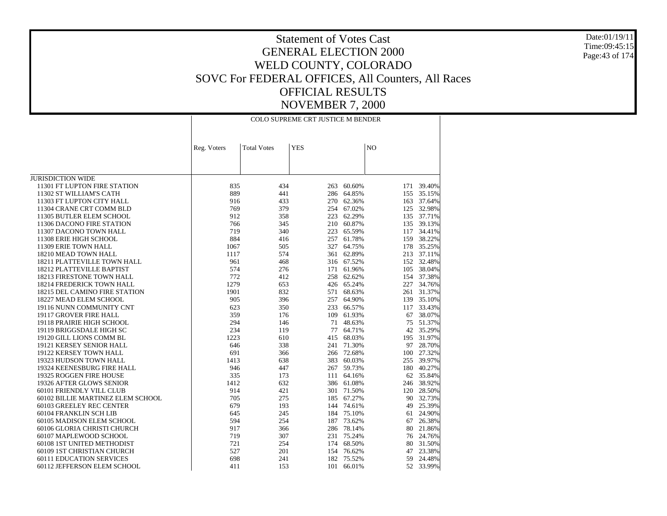Date:01/19/11 Time:09:45:15Page:43 of 174

|                                      | COLO SUPREME CRT JUSTICE M BENDER |                    |            |            |                |            |  |  |
|--------------------------------------|-----------------------------------|--------------------|------------|------------|----------------|------------|--|--|
|                                      | Reg. Voters                       | <b>Total Votes</b> | <b>YES</b> |            | N <sub>O</sub> |            |  |  |
|                                      |                                   |                    |            |            |                |            |  |  |
|                                      |                                   |                    |            |            |                |            |  |  |
|                                      |                                   |                    |            |            |                |            |  |  |
| <b>JURISDICTION WIDE</b>             |                                   |                    |            |            |                |            |  |  |
| 11301 FT LUPTON FIRE STATION         | 835                               | 434                | 263        | 60.60%     | 171            | 39.40%     |  |  |
| 11302 ST WILLIAM'S CATH              | 889                               | 441                | 286        | 64.85%     | 155            | 35.15%     |  |  |
| 11303 FT LUPTON CITY HALL            | 916                               | 433                | 270        | 62.36%     | 163            | 37.64%     |  |  |
| 11304 CRANE CRT COMM BLD             | 769                               | 379                | 254        | 67.02%     | 125            | 32.98%     |  |  |
| 11305 BUTLER ELEM SCHOOL             | 912                               | 358                | 223        | 62.29%     |                | 135 37.71% |  |  |
| 11306 DACONO FIRE STATION            | 766                               | 345                | 210        | 60.87%     |                | 135 39.13% |  |  |
| 11307 DACONO TOWN HALL               | 719                               | 340                | 223        | 65.59%     |                | 117 34.41% |  |  |
| 11308 ERIE HIGH SCHOOL               | 884                               | 416                | 257        | 61.78%     | 159            | 38.22%     |  |  |
| 11309 ERIE TOWN HALL                 | 1067                              | 505                | 327        | 64.75%     | 178            | 35.25%     |  |  |
| 18210 MEAD TOWN HALL                 | 1117                              | 574                |            | 361 62.89% |                | 213 37.11% |  |  |
| 18211 PLATTEVILLE TOWN HALL          | 961                               | 468                |            | 316 67.52% |                | 152 32.48% |  |  |
| 18212 PLATTEVILLE BAPTIST            | 574                               | 276                | 171        | 61.96%     |                | 105 38.04% |  |  |
| 18213 FIRESTONE TOWN HALL            | 772                               | 412                | 258        | 62.62%     |                | 154 37.38% |  |  |
| <b>18214 FREDERICK TOWN HALL</b>     | 1279                              | 653                |            | 426 65.24% | 227            | 34.76%     |  |  |
| <b>18215 DEL CAMINO FIRE STATION</b> | 1901                              | 832                | 571        | 68.63%     | 261            | 31.37%     |  |  |
| 18227 MEAD ELEM SCHOOL               | 905                               | 396                | 257        | 64.90%     |                | 139 35.10% |  |  |
| 19116 NUNN COMMUNITY CNT             | 623                               | 350                | 233        | 66.57%     | 117            | 33.43%     |  |  |
| 19117 GROVER FIRE HALL               | 359                               | 176                |            | 109 61.93% | 67             | 38.07%     |  |  |
| 19118 PRAIRIE HIGH SCHOOL            | 294                               | 146                | 71         | 48.63%     | 75             | 51.37%     |  |  |
| 19119 BRIGGSDALE HIGH SC             | 234                               | 119                | 77         | 64.71%     | 42             | 35.29%     |  |  |
| 19120 GILL LIONS COMM BL             | 1223                              | 610                | 415        | 68.03%     |                | 195 31.97% |  |  |
| 19121 KERSEY SENIOR HALL             | 646                               | 338                | 241        | 71.30%     |                | 97 28.70%  |  |  |
| 19122 KERSEY TOWN HALL               | 691                               | 366                |            | 266 72.68% | 100            | 27.32%     |  |  |
| 19323 HUDSON TOWN HALL               | 1413                              | 638                | 383        | 60.03%     | 255            | 39.97%     |  |  |
| 19324 KEENESBURG FIRE HALL           | 946                               | 447                |            | 267 59.73% |                | 180 40.27% |  |  |
| 19325 ROGGEN FIRE HOUSE              | 335                               | 173                | 111        | 64.16%     |                | 62 35.84%  |  |  |
| 19326 AFTER GLOWS SENIOR             | 1412                              | 632                |            | 386 61.08% |                | 246 38.92% |  |  |
| 60101 FRIENDLY VILL CLUB             | 914                               | 421                | 301        | 71.50%     |                | 120 28.50% |  |  |
| 60102 BILLIE MARTINEZ ELEM SCHOOL    | 705                               | 275                |            | 185 67.27% | 90             | 32.73%     |  |  |
| 60103 GREELEY REC CENTER             | 679                               | 193                |            | 144 74.61% | 49             | 25.39%     |  |  |
| 60104 FRANKLIN SCH LIB               | 645                               | 245                | 184        | 75.10%     | 61             | 24.90%     |  |  |
| 60105 MADISON ELEM SCHOOL            | 594                               | 254                |            | 187 73.62% | 67             | 26.38%     |  |  |
| 60106 GLORIA CHRISTI CHURCH          | 917                               | 366                | 286        | 78.14%     | 80             | 21.86%     |  |  |
| 60107 MAPLEWOOD SCHOOL               | 719                               | 307                | 231        | 75.24%     |                | 76 24.76%  |  |  |
| 60108 1ST UNITED METHODIST           | 721                               | 254                | 174        | 68.50%     | 80             | 31.50%     |  |  |
| 60109 1ST CHRISTIAN CHURCH           | 527                               | 201                | 154        | 76.62%     | 47             | 23.38%     |  |  |
| <b>60111 EDUCATION SERVICES</b>      | 698                               | 241                |            | 182 75.52% | 59             | 24.48%     |  |  |
| 60112 JEFFERSON ELEM SCHOOL          | 411                               | 153                | 101        | 66.01%     | 52             | 33.99%     |  |  |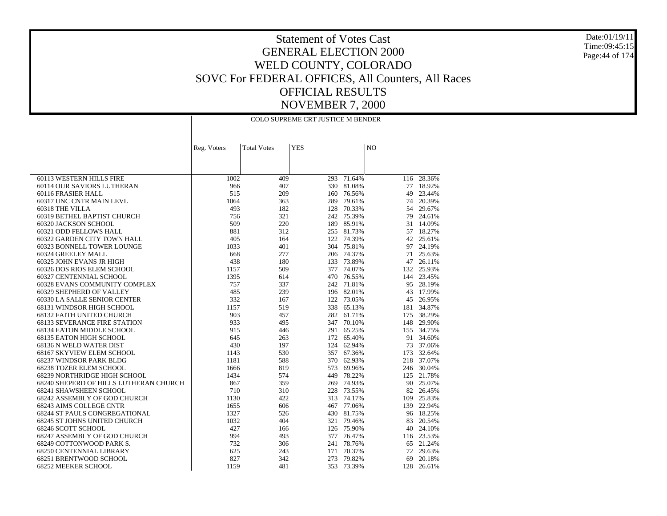Date:01/19/11 Time:09:45:15Page:44 of 174

|                                                    | COLO SUPREME CRT JUSTICE M BENDER |                    |            |                  |                |                  |  |
|----------------------------------------------------|-----------------------------------|--------------------|------------|------------------|----------------|------------------|--|
|                                                    | Reg. Voters                       | <b>Total Votes</b> | <b>YES</b> |                  | N <sub>O</sub> |                  |  |
|                                                    |                                   |                    |            |                  |                |                  |  |
|                                                    |                                   |                    |            |                  |                |                  |  |
| 60113 WESTERN HILLS FIRE                           | 1002                              | 409                | 293        | 71.64%           |                | 116 28.36%       |  |
| 60114 OUR SAVIORS LUTHERAN                         | 966                               | 407                | 330        | 81.08%           | 77             | 18.92%           |  |
| 60116 FRASIER HALL                                 | 515                               | 209                | 160        | 76.56%           | 49             | 23.44%           |  |
| 60317 UNC CNTR MAIN LEVL                           | 1064                              | 363                | 289        | 79.61%           | 74             | 20.39%           |  |
| 60318 THE VILLA                                    | 493                               | 182                | 128        | 70.33%           | 54             | 29.67%           |  |
| 60319 BETHEL BAPTIST CHURCH                        | 756                               | 321                |            | 242 75.39%       | 79             | 24.61%           |  |
| 60320 JACKSON SCHOOL                               | 509                               | 220                | 189        | 85.91%           | 31             | 14.09%           |  |
| 60321 ODD FELLOWS HALL                             | 881                               | 312                |            | 255 81.73%       |                | 57 18.27%        |  |
| 60322 GARDEN CITY TOWN HALL                        | 405                               | 164                |            | 122 74.39%       |                | 42 25.61%        |  |
| 60323 BONNELL TOWER LOUNGE                         | 1033                              | 401                | 304        | 75.81%           | 97             | 24.19%           |  |
| 60324 GREELEY MALL                                 | 668                               | 277                |            | 206 74.37%       |                | 71 25.63%        |  |
| 60325 JOHN EVANS JR HIGH                           | 438                               | 180                | 133        | 73.89%           | 47             | 26.11%           |  |
| 60326 DOS RIOS ELEM SCHOOL                         | 1157                              | 509                |            | 377 74.07%       |                | 132 25.93%       |  |
| 60327 CENTENNIAL SCHOOL                            | 1395                              | 614                | 470        | 76.55%           |                | 144 23.45%       |  |
| 60328 EVANS COMMUNITY COMPLEX                      | 757                               | 337                |            | 242 71.81%       |                | 95 28.19%        |  |
| 60329 SHEPHERD OF VALLEY                           | 485                               | 239                |            | 196 82.01%       | 43             | 17.99%           |  |
| 60330 LA SALLE SENIOR CENTER                       | 332                               | 167                | 122        | 73.05%           | 45             | 26.95%           |  |
| 68131 WINDSOR HIGH SCHOOL                          | 1157                              | 519                | 338        | 65.13%           |                | 181 34.87%       |  |
| 68132 FAITH UNITED CHURCH                          | 903                               | 457                | 282        | 61.71%           | 175            | 38.29%           |  |
| <b>68133 SEVERANCE FIRE STATION</b>                | 933                               | 495                |            | 347 70.10%       | 148            | 29.90%           |  |
| 68134 EATON MIDDLE SCHOOL                          | 915                               | 446                |            | 291 65.25%       |                | 155 34.75%       |  |
| 68135 EATON HIGH SCHOOL                            | 645                               | 263                | 172        | 65.40%           |                | 91 34.60%        |  |
| 68136 N WELD WATER DIST                            | 430                               | 197                | 124        | 62.94%           | 73             | 37.06%           |  |
| 68167 SKYVIEW ELEM SCHOOL                          | 1143                              | 530                | 357        | 67.36%           | 173            | 32.64%           |  |
| 68237 WINDSOR PARK BLDG                            | 1181                              | 588                | 370        | 62.93%           |                | 218 37.07%       |  |
| 68238 TOZER ELEM SCHOOL                            | 1666                              | 819                | 573        | 69.96%           |                | 246 30.04%       |  |
| 68239 NORTHRIDGE HIGH SCHOOL                       | 1434                              | 574                | 449        | 78.22%           |                | 125 21.78%       |  |
| 68240 SHEPERD OF HILLS LUTHERAN CHURCH             | 867                               | 359                | 269        | 74.93%           |                | 90 25.07%        |  |
| 68241 SHAWSHEEN SCHOOL                             | 710                               | 310                | 228        | 73.55%           |                | 82 26.45%        |  |
| 68242 ASSEMBLY OF GOD CHURCH                       | 1130                              | 422                | 313        | 74.17%           | 109            | 25.83%           |  |
| 68243 AIMS COLLEGE CNTR                            | 1655                              | 606                |            | 467 77.06%       |                | 139 22.94%       |  |
| 68244 ST PAULS CONGREGATIONAL                      | 1327                              | 526                | 430        | 81.75%           |                | 96 18.25%        |  |
| 68245 ST JOHNS UNITED CHURCH                       | 1032                              | 404                |            | 321 79.46%       |                | 83 20.54%        |  |
| 68246 SCOTT SCHOOL                                 | 427                               | 166                | 126        | 75.90%           |                | 40 24.10%        |  |
| 68247 ASSEMBLY OF GOD CHURCH                       | 994                               | 493                | 377        | 76.47%           |                | 116 23.53%       |  |
| 68249 COTTONWOOD PARK S.                           | 732                               | 306                | 241        | 78.76%           |                | 65 21.24%        |  |
| 68250 CENTENNIAL LIBRARY<br>68251 BRENTWOOD SCHOOL | 625<br>827                        | 243<br>342         | 171<br>273 | 70.37%<br>79.82% | 72             | 29.63%<br>20.18% |  |
|                                                    | 1159                              |                    |            |                  | 69             |                  |  |
| 68252 MEEKER SCHOOL                                |                                   | 481                | 353        | 73.39%           | 128            | 26.61%           |  |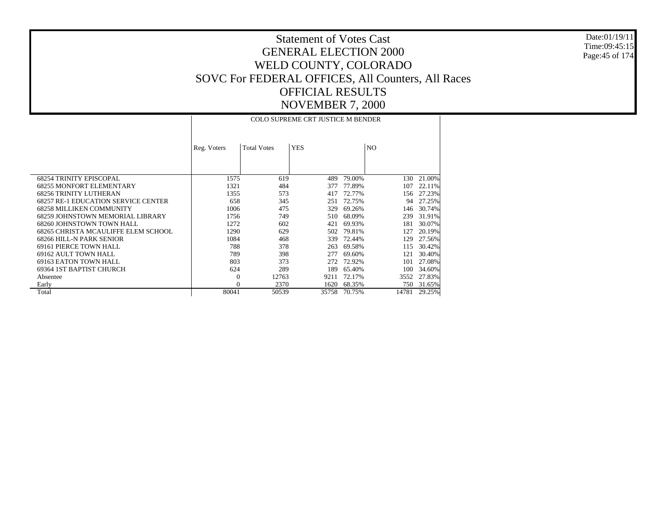Date:01/19/11 Time:09:45:15 Page:45 of 174

|                                            |             |                    | <b>COLO SUPREME CRT JUSTICE M BENDER</b> |        |       |        |
|--------------------------------------------|-------------|--------------------|------------------------------------------|--------|-------|--------|
|                                            | Reg. Voters | <b>Total Votes</b> | <b>YES</b>                               |        | NO.   |        |
| <b>68254 TRINITY EPISCOPAL</b>             | 1575        | 619                | 489                                      | 79.00% | 130   | 21.00% |
| <b>68255 MONFORT ELEMENTARY</b>            | 1321        | 484                | 377                                      | 77.89% | 107   | 22.11% |
| <b>68256 TRINITY LUTHERAN</b>              | 1355        | 573                | 417                                      | 72.77% | 156   | 27.23% |
| <b>68257 RE-1 EDUCATION SERVICE CENTER</b> | 658         | 345                | 251                                      | 72.75% | 94    | 27.25% |
| <b>68258 MILLIKEN COMMUNITY</b>            | 1006        | 475                | 329                                      | 69.26% | 146   | 30.74% |
| 68259 JOHNSTOWN MEMORIAL LIBRARY           | 1756        | 749                | 510                                      | 68.09% | 239   | 31.91% |
| 68260 JOHNSTOWN TOWN HALL                  | 1272        | 602                | 421                                      | 69.93% | 181   | 30.07% |
| 68265 CHRISTA MCAULIFFE ELEM SCHOOL        | 1290        | 629                | 502                                      | 79.81% | 127   | 20.19% |
| 68266 HILL-N PARK SENIOR                   | 1084        | 468                | 339                                      | 72.44% | 129   | 27.56% |
| 69161 PIERCE TOWN HALL                     | 788         | 378                | 263                                      | 69.58% | 115   | 30.42% |
| 69162 AULT TOWN HALL                       | 789         | 398                | 277                                      | 69.60% | 121   | 30.40% |
| 69163 EATON TOWN HALL                      | 803         | 373                | 272                                      | 72.92% | 101   | 27.08% |
| 69364 IST BAPTIST CHURCH                   | 624         | 289                | 189                                      | 65.40% | 100   | 34.60% |
| Absentee                                   | $\Omega$    | 12763              | 9211                                     | 72.17% | 3552  | 27.83% |
| Early                                      | $\Omega$    | 2370               | 1620                                     | 68.35% | 750   | 31.65% |
| Total                                      | 80041       | 50539              | 35758                                    | 70.75% | 14781 | 29.25% |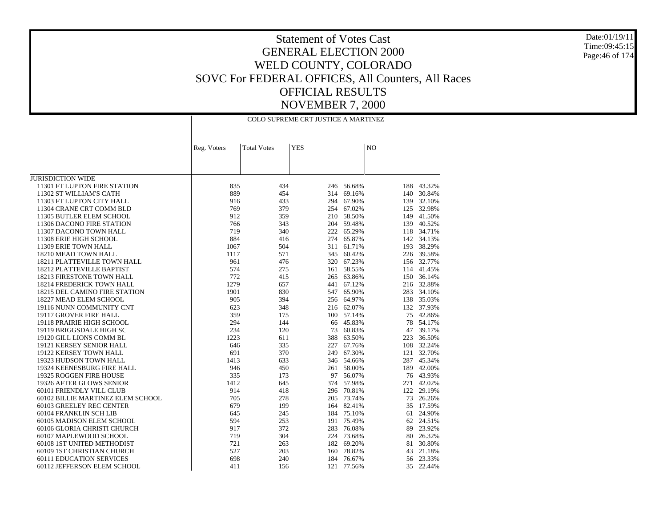Date:01/19/11 Time:09:45:15Page:46 of 174

|                                                               | COLO SUPREME CRT JUSTICE A MARTINEZ |                    |            |                  |                |                  |  |
|---------------------------------------------------------------|-------------------------------------|--------------------|------------|------------------|----------------|------------------|--|
|                                                               | Reg. Voters                         | <b>Total Votes</b> | <b>YES</b> |                  | N <sub>O</sub> |                  |  |
|                                                               |                                     |                    |            |                  |                |                  |  |
|                                                               |                                     |                    |            |                  |                |                  |  |
| <b>JURISDICTION WIDE</b>                                      |                                     |                    |            |                  |                |                  |  |
| 11301 FT LUPTON FIRE STATION                                  | 835                                 | 434                | 246        | 56.68%           | 188            | 43.32%           |  |
| 11302 ST WILLIAM'S CATH                                       | 889                                 | 454                | 314        | 69.16%           | 140            | 30.84%           |  |
| 11303 FT LUPTON CITY HALL                                     | 916                                 | 433                | 294        | 67.90%           | 139            | 32.10%           |  |
| 11304 CRANE CRT COMM BLD                                      | 769                                 | 379                | 254        | 67.02%           | 125            | 32.98%           |  |
| 11305 BUTLER ELEM SCHOOL                                      | 912                                 | 359                | 210        | 58.50%           | 149            | 41.50%           |  |
| 11306 DACONO FIRE STATION                                     | 766                                 | 343                | 204        | 59.48%           | 139            | 40.52%           |  |
| 11307 DACONO TOWN HALL                                        | 719                                 | 340                | 222        | 65.29%           |                | 118 34.71%       |  |
| 11308 ERIE HIGH SCHOOL                                        | 884                                 | 416                | 274        | 65.87%           | 142            | 34.13%           |  |
| 11309 ERIE TOWN HALL                                          | 1067                                | 504                | 311        | 61.71%           | 193            | 38.29%           |  |
| 18210 MEAD TOWN HALL                                          | 1117                                | 571                | 345        | 60.42%           |                | 226 39.58%       |  |
| 18211 PLATTEVILLE TOWN HALL                                   | 961                                 | 476                | 320        | 67.23%           |                | 156 32.77%       |  |
| 18212 PLATTEVILLE BAPTIST                                     | 574                                 | 275                | 161        | 58.55%           |                | 114 41.45%       |  |
| 18213 FIRESTONE TOWN HALL                                     | 772                                 | 415                | 265        | 63.86%           |                | 150 36.14%       |  |
| <b>18214 FREDERICK TOWN HALL</b>                              | 1279                                | 657                | 441        | 67.12%           |                | 216 32.88%       |  |
| 18215 DEL CAMINO FIRE STATION                                 | 1901                                | 830                | 547        | 65.90%           | 283            | 34.10%           |  |
| 18227 MEAD ELEM SCHOOL                                        | 905                                 | 394                | 256        | 64.97%           | 138            | 35.03%           |  |
| 19116 NUNN COMMUNITY CNT                                      | 623                                 | 348                |            | 216 62.07%       |                | 132 37.93%       |  |
| 19117 GROVER FIRE HALL                                        | 359                                 | 175                | 100        | 57.14%           | 75             | 42.86%           |  |
| 19118 PRAIRIE HIGH SCHOOL                                     | 294                                 | 144                | 66         | 45.83%           | 78             | 54.17%           |  |
| 19119 BRIGGSDALE HIGH SC                                      | 234                                 | 120                | 73         | 60.83%           | 47             | 39.17%           |  |
| 19120 GILL LIONS COMM BL                                      | 1223                                | 611                | 388        | 63.50%           | 223            | 36.50%           |  |
| 19121 KERSEY SENIOR HALL                                      | 646                                 | 335                | 227        | 67.76%           | 108            | 32.24%           |  |
| 19122 KERSEY TOWN HALL                                        | 691                                 | 370                | 249        | 67.30%           | 121            | 32.70%           |  |
| 19323 HUDSON TOWN HALL                                        | 1413                                | 633                |            | 346 54.66%       | 287            | 45.34%           |  |
| 19324 KEENESBURG FIRE HALL                                    | 946                                 | 450                | 261        | 58.00%           |                | 189 42.00%       |  |
| 19325 ROGGEN FIRE HOUSE                                       | 335                                 | 173                | 97         | 56.07%           |                | 76 43.93%        |  |
| 19326 AFTER GLOWS SENIOR                                      | 1412                                | 645                | 374        | 57.98%           | 271            | 42.02%           |  |
| 60101 FRIENDLY VILL CLUB                                      | 914                                 | 418                | 296        | 70.81%           | 122            | 29.19%           |  |
| 60102 BILLIE MARTINEZ ELEM SCHOOL                             | 705                                 | 278                | 205        | 73.74%           | 73             | 26.26%           |  |
| 60103 GREELEY REC CENTER                                      | 679                                 | 199                | 164        | 82.41%           | 35             | 17.59%           |  |
| 60104 FRANKLIN SCH LIB                                        | 645                                 | 245                |            | 184 75.10%       | 61             | 24.90%           |  |
| 60105 MADISON ELEM SCHOOL                                     | 594                                 | 253                | 191        | 75.49%           | 62             | 24.51%           |  |
| 60106 GLORIA CHRISTI CHURCH                                   | 917                                 | 372                | 283        | 76.08%           | 89             | 23.92%           |  |
| 60107 MAPLEWOOD SCHOOL                                        | 719                                 | 304                |            | 224 73.68%       | 80             | 26.32%           |  |
| 60108 1ST UNITED METHODIST                                    | 721                                 | 263                | 182        | 69.20%           | 81             | 30.80%           |  |
| 60109 1ST CHRISTIAN CHURCH<br><b>60111 EDUCATION SERVICES</b> | 527<br>698                          | 203<br>240         | 160        | 78.82%<br>76.67% | 43<br>56       | 21.18%<br>23.33% |  |
|                                                               | 411                                 |                    | 184        |                  | 35             | 22.44%           |  |
| 60112 JEFFERSON ELEM SCHOOL                                   |                                     | 156                | 121        | 77.56%           |                |                  |  |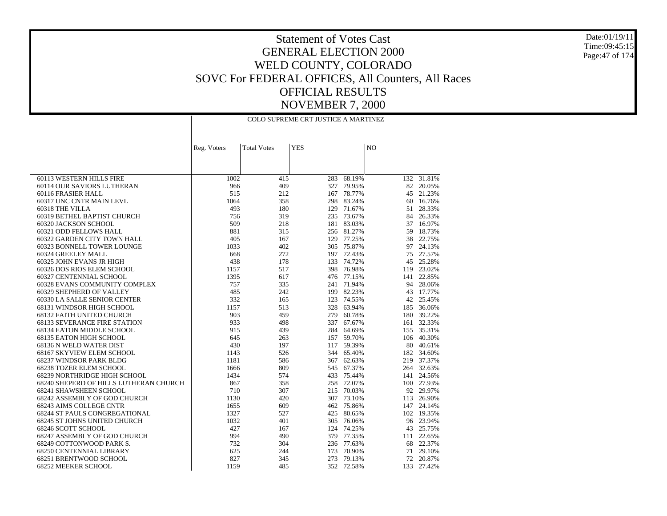Date:01/19/11 Time:09:45:15Page:47 of 174

|                                                    | COLO SUPREME CRT JUSTICE A MARTINEZ |                    |            |                          |     |                  |  |
|----------------------------------------------------|-------------------------------------|--------------------|------------|--------------------------|-----|------------------|--|
|                                                    | Reg. Voters                         | <b>Total Votes</b> | <b>YES</b> |                          | NO  |                  |  |
|                                                    |                                     |                    |            |                          |     |                  |  |
|                                                    |                                     |                    |            |                          |     |                  |  |
| 60113 WESTERN HILLS FIRE                           | 1002                                | 415                | 283        | 68.19%                   |     | 132 31.81%       |  |
| 60114 OUR SAVIORS LUTHERAN                         | 966                                 | 409                | 327        | 79.95%                   | 82  | 20.05%           |  |
| 60116 FRASIER HALL                                 | 515                                 | 212                |            | 167 78.77%               |     | 45 21.23%        |  |
| 60317 UNC CNTR MAIN LEVL                           | 1064                                | 358                |            | 298 83.24%               | 60  | 16.76%           |  |
| 60318 THE VILLA                                    | 493                                 | 180                |            | 129 71.67%               |     | 51 28.33%        |  |
| 60319 BETHEL BAPTIST CHURCH                        | 756                                 | 319                |            | 235 73.67%               |     | 84 26.33%        |  |
| 60320 JACKSON SCHOOL                               | 509                                 | 218                |            | 181 83.03%               | 37  | 16.97%           |  |
| 60321 ODD FELLOWS HALL                             | 881                                 | 315                |            | 256 81.27%               | 59  | 18.73%           |  |
| 60322 GARDEN CITY TOWN HALL                        | 405                                 | 167                |            | 129 77.25%               | 38  | 22.75%           |  |
| 60323 BONNELL TOWER LOUNGE                         | 1033                                | 402                |            | 305 75.87%               |     | 97 24.13%        |  |
| 60324 GREELEY MALL                                 | 668                                 | 272                |            | 197 72.43%               |     | 75 27.57%        |  |
| 60325 JOHN EVANS JR HIGH                           | 438                                 | 178                | 133        | 74.72%                   | 45  | 25.28%           |  |
| 60326 DOS RIOS ELEM SCHOOL                         | 1157                                | 517                |            | 398 76.98%               |     | 119 23.02%       |  |
| 60327 CENTENNIAL SCHOOL                            | 1395                                | 617                |            | 476 77.15%               |     | 141 22.85%       |  |
| 60328 EVANS COMMUNITY COMPLEX                      | 757                                 | 335                | 241        | 71.94%                   |     | 94 28.06%        |  |
| 60329 SHEPHERD OF VALLEY                           | 485                                 | 242                |            | 199 82.23%               |     | 43 17.77%        |  |
| 60330 LA SALLE SENIOR CENTER                       | 332                                 | 165                |            | 123 74.55%               | 42  | 25.45%           |  |
| 68131 WINDSOR HIGH SCHOOL                          | 1157                                | 513                |            | 328 63.94%               |     | 185 36.06%       |  |
| 68132 FAITH UNITED CHURCH                          | 903                                 | 459                |            | 279 60.78%               |     | 180 39.22%       |  |
| <b>68133 SEVERANCE FIRE STATION</b>                | 933                                 | 498                |            | 337 67.67%               |     | 161 32.33%       |  |
| 68134 EATON MIDDLE SCHOOL                          | 915                                 | 439                |            | 284 64.69%               |     | 155 35.31%       |  |
| 68135 EATON HIGH SCHOOL                            | 645                                 | 263                |            | 157 59.70%               |     | 106 40.30%       |  |
| 68136 N WELD WATER DIST                            | 430                                 | 197                |            | 117 59.39%               |     | 80 40.61%        |  |
| 68167 SKYVIEW ELEM SCHOOL                          | 1143                                | 526                |            | 344 65.40%               |     | 182 34.60%       |  |
| 68237 WINDSOR PARK BLDG                            | 1181                                | 586                |            | 367 62.63%               |     | 219 37.37%       |  |
| 68238 TOZER ELEM SCHOOL                            | 1666                                | 809                |            | 545 67.37%               |     | 264 32.63%       |  |
| 68239 NORTHRIDGE HIGH SCHOOL                       | 1434                                | 574                |            | 433 75.44%               |     | 141 24.56%       |  |
| 68240 SHEPERD OF HILLS LUTHERAN CHURCH             | 867                                 | 358                |            | 258 72.07%               |     | 100 27.93%       |  |
| 68241 SHAWSHEEN SCHOOL                             | 710                                 | 307                |            | 215 70.03%               |     | 92 29.97%        |  |
| 68242 ASSEMBLY OF GOD CHURCH                       | 1130                                | 420                |            | 307 73.10%               | 113 | 26.90%           |  |
| 68243 AIMS COLLEGE CNTR                            | 1655                                | 609                |            | 462 75.86%               |     | 147 24.14%       |  |
| 68244 ST PAULS CONGREGATIONAL                      | 1327                                | 527                |            | 425 80.65%               |     | 102 19.35%       |  |
| 68245 ST JOHNS UNITED CHURCH                       | 1032                                | 401                |            | 305 76.06%               |     | 96 23.94%        |  |
| 68246 SCOTT SCHOOL<br>68247 ASSEMBLY OF GOD CHURCH | 427<br>994                          | 167<br>490         |            | 124 74.25%<br>379 77.35% | 43  | 25.75%<br>22.65% |  |
|                                                    |                                     |                    |            |                          | 111 |                  |  |
| 68249 COTTONWOOD PARK S.                           | 732                                 | 304                |            | 236 77.63%               | 68  | 22.37%           |  |
| 68250 CENTENNIAL LIBRARY                           | 625                                 | 244                | 173        | 70.90%                   | 71  | 29.10%           |  |
| 68251 BRENTWOOD SCHOOL                             | 827                                 | 345                | 273        | 79.13%                   | 72  | 20.87%           |  |
| 68252 MEEKER SCHOOL                                | 1159                                | 485                |            | 352 72.58%               | 133 | 27.42%           |  |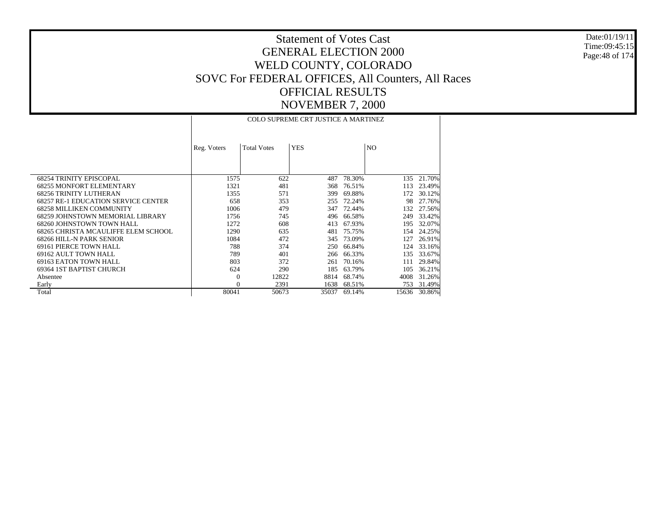Date:01/19/11 Time:09:45:15 Page:48 of 174

|                                            |             |                    | <b>COLO SUPREME CRT JUSTICE A MARTINEZ</b> |        |                |        |
|--------------------------------------------|-------------|--------------------|--------------------------------------------|--------|----------------|--------|
|                                            | Reg. Voters | <b>Total Votes</b> | <b>YES</b>                                 |        | N <sub>O</sub> |        |
| <b>68254 TRINITY EPISCOPAL</b>             | 1575        | 622                | 487                                        | 78.30% | 135            | 21.70% |
| <b>68255 MONFORT ELEMENTARY</b>            | 1321        | 481                | 368                                        | 76.51% | 113            | 23.49% |
| <b>68256 TRINITY LUTHERAN</b>              | 1355        | 571                | 399                                        | 69.88% |                | 30.12% |
| <b>68257 RE-1 EDUCATION SERVICE CENTER</b> | 658         | 353                | 255                                        | 72.24% | 98             | 27.76% |
| <b>68258 MILLIKEN COMMUNITY</b>            | 1006        | 479                | 347                                        | 72.44% | 132            | 27.56% |
| 68259 JOHNSTOWN MEMORIAL LIBRARY           | 1756        | 745                | 496                                        | 66.58% | 249            | 33.42% |
| 68260 JOHNSTOWN TOWN HALL                  | 1272        | 608                | 413                                        | 67.93% | 195            | 32.07% |
| 68265 CHRISTA MCAULIFFE ELEM SCHOOL        | 1290        | 635                | 481                                        | 75.75% | 154            | 24.25% |
| 68266 HILL-N PARK SENIOR                   | 1084        | 472                | 345                                        | 73.09% | 127            | 26.91% |
| <b>69161 PIERCE TOWN HALL</b>              | 788         | 374                | 250                                        | 66.84% | 124            | 33.16% |
| 69162 AULT TOWN HALL                       | 789         | 401                | 266                                        | 66.33% | 135            | 33.67% |
| 69163 EATON TOWN HALL                      | 803         | 372                | 261                                        | 70.16% | 111            | 29.84% |
| 69364 1ST BAPTIST CHURCH                   | 624         | 290                | 185                                        | 63.79% | 105            | 36.21% |
| Absentee                                   | $\Omega$    | 12822              | 8814                                       | 68.74% | 4008           | 31.26% |
| Early                                      | $\Omega$    | 2391               | 1638                                       | 68.51% | 753            | 31.49% |
| Total                                      | 80041       | 50673              | 35037                                      | 69.14% | 15636          | 30.86% |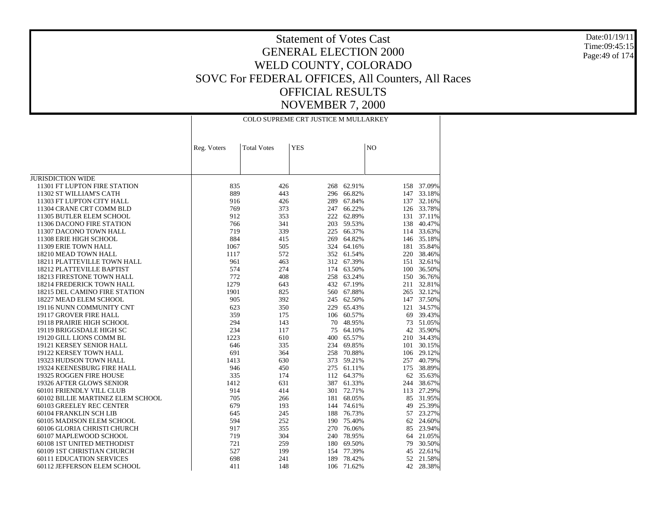Date:01/19/11 Time:09:45:15Page:49 of 174

|                                   | COLO SUPREME CRT JUSTICE M MULLARKEY |                    |            |            |                |            |
|-----------------------------------|--------------------------------------|--------------------|------------|------------|----------------|------------|
|                                   | Reg. Voters                          | <b>Total Votes</b> | <b>YES</b> |            | N <sub>O</sub> |            |
|                                   |                                      |                    |            |            |                |            |
| <b>JURISDICTION WIDE</b>          |                                      |                    |            |            |                |            |
| 11301 FT LUPTON FIRE STATION      | 835                                  | 426                | 268        | 62.91%     |                | 158 37.09% |
| 11302 ST WILLIAM'S CATH           | 889                                  | 443                |            | 296 66.82% |                | 147 33.18% |
| 11303 FT LUPTON CITY HALL         | 916                                  | 426                | 289        | 67.84%     |                | 137 32.16% |
| 11304 CRANE CRT COMM BLD          | 769                                  | 373                | 247        | 66.22%     |                | 126 33.78% |
| 11305 BUTLER ELEM SCHOOL          | 912                                  | 353                | 222        | 62.89%     |                | 131 37.11% |
| 11306 DACONO FIRE STATION         | 766                                  | 341                |            | 203 59.53% | 138            | 40.47%     |
| 11307 DACONO TOWN HALL            | 719                                  | 339                | 225        | 66.37%     |                | 114 33.63% |
| 11308 ERIE HIGH SCHOOL            | 884                                  | 415                |            | 269 64.82% |                | 146 35.18% |
| 11309 ERIE TOWN HALL              | 1067                                 | 505                |            | 324 64.16% |                | 181 35.84% |
| 18210 MEAD TOWN HALL              | 1117                                 | 572                |            | 352 61.54% |                | 220 38.46% |
| 18211 PLATTEVILLE TOWN HALL       | 961                                  | 463                |            | 312 67.39% |                | 151 32.61% |
| 18212 PLATTEVILLE BAPTIST         | 574                                  | 274                |            | 174 63.50% |                | 100 36.50% |
| 18213 FIRESTONE TOWN HALL         | 772                                  | 408                |            | 258 63.24% |                | 150 36.76% |
| <b>18214 FREDERICK TOWN HALL</b>  | 1279                                 | 643                |            | 432 67.19% |                | 211 32.81% |
| 18215 DEL CAMINO FIRE STATION     | 1901                                 | 825                |            | 560 67.88% |                | 265 32.12% |
| 18227 MEAD ELEM SCHOOL            | 905                                  | 392                |            | 245 62.50% |                | 147 37.50% |
| 19116 NUNN COMMUNITY CNT          | 623                                  | 350                | 229        | 65.43%     |                | 121 34.57% |
| 19117 GROVER FIRE HALL            | 359                                  | 175                |            | 106 60.57% | 69             | 39.43%     |
| 19118 PRAIRIE HIGH SCHOOL         | 294                                  | 143                | 70         | 48.95%     |                | 73 51.05%  |
| 19119 BRIGGSDALE HIGH SC          | 234                                  | 117                | 75         | 64.10%     |                | 42 35.90%  |
| 19120 GILL LIONS COMM BL          | 1223                                 | 610                | 400        | 65.57%     |                | 210 34.43% |
| 19121 KERSEY SENIOR HALL          | 646                                  | 335                | 234        | 69.85%     |                | 101 30.15% |
| 19122 KERSEY TOWN HALL            | 691                                  | 364                |            | 258 70.88% |                | 106 29.12% |
| 19323 HUDSON TOWN HALL            | 1413                                 | 630                |            | 373 59.21% |                | 257 40.79% |
| 19324 KEENESBURG FIRE HALL        | 946                                  | 450                |            | 275 61.11% |                | 175 38.89% |
| 19325 ROGGEN FIRE HOUSE           | 335                                  | 174                |            | 112 64.37% |                | 62 35.63%  |
| 19326 AFTER GLOWS SENIOR          | 1412                                 | 631                | 387        | 61.33%     |                | 244 38.67% |
| 60101 FRIENDLY VILL CLUB          | 914                                  | 414                |            | 301 72.71% |                | 113 27.29% |
| 60102 BILLIE MARTINEZ ELEM SCHOOL | 705                                  | 266                |            | 181 68.05% | 85             | 31.95%     |
| 60103 GREELEY REC CENTER          | 679                                  | 193                |            | 144 74.61% | 49             | 25.39%     |
| 60104 FRANKLIN SCH LIB            | 645                                  | 245                | 188        | 76.73%     |                | 57 23.27%  |
| 60105 MADISON ELEM SCHOOL         | 594                                  | 252                |            | 190 75.40% |                | 62 24.60%  |
| 60106 GLORIA CHRISTI CHURCH       | 917                                  | 355                |            | 270 76.06% |                | 85 23.94%  |
| 60107 MAPLEWOOD SCHOOL            | 719                                  | 304                |            | 240 78.95% | 64             | 21.05%     |
| 60108 1ST UNITED METHODIST        | 721                                  | 259                |            | 180 69.50% | 79             | 30.50%     |
| 60109 1ST CHRISTIAN CHURCH        | 527                                  | 199                |            | 154 77.39% | 45             | 22.61%     |
| <b>60111 EDUCATION SERVICES</b>   | 698                                  | 241                | 189        | 78.42%     |                | 52 21.58%  |
| 60112 JEFFERSON ELEM SCHOOL       | 411                                  | 148                | 106        | 71.62%     | 42             | 28.38%     |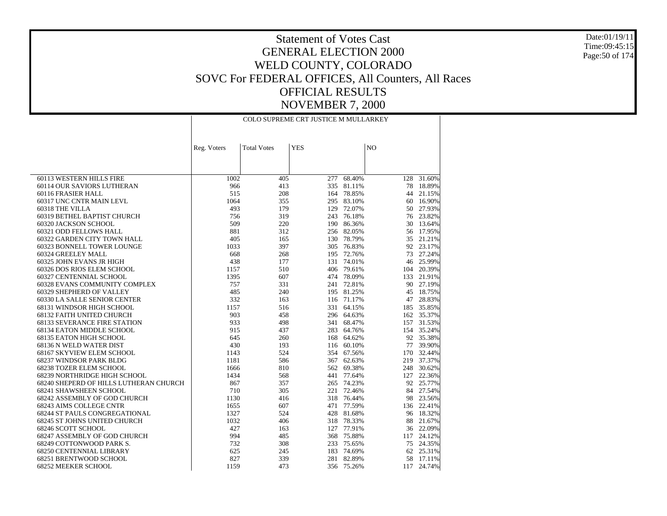Date:01/19/11 Time:09:45:15Page:50 of 174

|                                        | COLO SUPREME CRT JUSTICE M MULLARKEY |                    |            |                          |                |            |
|----------------------------------------|--------------------------------------|--------------------|------------|--------------------------|----------------|------------|
|                                        | Reg. Voters                          | <b>Total Votes</b> | <b>YES</b> |                          | N <sub>O</sub> |            |
|                                        |                                      |                    |            |                          |                |            |
|                                        |                                      |                    |            |                          |                |            |
| 60113 WESTERN HILLS FIRE               |                                      |                    |            |                          |                | 128 31.60% |
| 60114 OUR SAVIORS LUTHERAN             | 1002<br>966                          | 405<br>413         |            | 277 68.40%<br>335 81.11% | 78             | 18.89%     |
| 60116 FRASIER HALL                     | 515                                  | 208                |            | 164 78.85%               |                | 44 21.15%  |
| 60317 UNC CNTR MAIN LEVL               | 1064                                 | 355                |            | 295 83.10%               |                | 60 16.90%  |
| 60318 THE VILLA                        | 493                                  | 179                |            | 129 72.07%               |                | 50 27.93%  |
| 60319 BETHEL BAPTIST CHURCH            | 756                                  | 319                |            | 243 76.18%               |                | 76 23.82%  |
| 60320 JACKSON SCHOOL                   | 509                                  | 220                |            | 190 86.36%               | 30             | 13.64%     |
| 60321 ODD FELLOWS HALL                 | 881                                  | 312                |            | 256 82.05%               |                | 56 17.95%  |
| 60322 GARDEN CITY TOWN HALL            | 405                                  | 165                |            | 130 78.79%               | 35             | 21.21%     |
| 60323 BONNELL TOWER LOUNGE             | 1033                                 | 397                |            | 305 76.83%               |                | 92 23.17%  |
| 60324 GREELEY MALL                     | 668                                  | 268                |            | 195 72.76%               |                | 73 27.24%  |
| 60325 JOHN EVANS JR HIGH               | 438                                  | 177                | 131        | 74.01%                   |                | 46 25.99%  |
| 60326 DOS RIOS ELEM SCHOOL             | 1157                                 | 510                |            | 406 79.61%               |                | 104 20.39% |
| 60327 CENTENNIAL SCHOOL                | 1395                                 | 607                |            | 474 78.09%               |                | 133 21.91% |
| 60328 EVANS COMMUNITY COMPLEX          | 757                                  | 331                | 241        | 72.81%                   |                | 90 27.19%  |
| 60329 SHEPHERD OF VALLEY               | 485                                  | 240                |            | 195 81.25%               |                | 45 18.75%  |
| 60330 LA SALLE SENIOR CENTER           | 332                                  | 163                |            | 116 71.17%               | 47             | 28.83%     |
| 68131 WINDSOR HIGH SCHOOL              | 1157                                 | 516                |            | 331 64.15%               |                | 185 35.85% |
| 68132 FAITH UNITED CHURCH              | 903                                  | 458                |            | 296 64.63%               |                | 162 35.37% |
| <b>68133 SEVERANCE FIRE STATION</b>    | 933                                  | 498                |            | 341 68.47%               |                | 157 31.53% |
| 68134 EATON MIDDLE SCHOOL              | 915                                  | 437                |            | 283 64.76%               |                | 154 35.24% |
| 68135 EATON HIGH SCHOOL                | 645                                  | 260                |            | 168 64.62%               |                | 92 35.38%  |
| 68136 N WELD WATER DIST                | 430                                  | 193                |            | 116 60.10%               |                | 77 39.90%  |
| 68167 SKYVIEW ELEM SCHOOL              | 1143                                 | 524                |            | 354 67.56%               |                | 170 32.44% |
| 68237 WINDSOR PARK BLDG                | 1181                                 | 586                |            | 367 62.63%               |                | 219 37.37% |
| 68238 TOZER ELEM SCHOOL                | 1666                                 | 810                |            | 562 69.38%               |                | 248 30.62% |
| 68239 NORTHRIDGE HIGH SCHOOL           | 1434                                 | 568                | 441        | 77.64%                   |                | 127 22.36% |
| 68240 SHEPERD OF HILLS LUTHERAN CHURCH | 867                                  | 357                |            | 265 74.23%               |                | 92 25.77%  |
| 68241 SHAWSHEEN SCHOOL                 | 710                                  | 305                | 221        | 72.46%                   |                | 84 27.54%  |
| 68242 ASSEMBLY OF GOD CHURCH           | 1130                                 | 416                | 318        | 76.44%                   |                | 98 23.56%  |
| 68243 AIMS COLLEGE CNTR                | 1655                                 | 607                |            | 471 77.59%               |                | 136 22.41% |
| 68244 ST PAULS CONGREGATIONAL          | 1327                                 | 524                |            | 428 81.68%               | 96             | 18.32%     |
| 68245 ST JOHNS UNITED CHURCH           | 1032                                 | 406                |            | 318 78.33%               |                | 88 21.67%  |
| 68246 SCOTT SCHOOL                     | 427                                  | 163                | 127        | 77.91%                   |                | 36 22.09%  |
| 68247 ASSEMBLY OF GOD CHURCH           | 994                                  | 485                | 368        | 75.88%                   |                | 117 24.12% |
| 68249 COTTONWOOD PARK S.               | 732                                  | 308                |            | 233 75.65%               |                | 75 24.35%  |
| 68250 CENTENNIAL LIBRARY               | 625                                  | 245                |            | 183 74.69%               |                | 62 25.31%  |
| 68251 BRENTWOOD SCHOOL                 | 827                                  | 339                |            | 281 82.89%               |                | 58 17.11%  |
| 68252 MEEKER SCHOOL                    | 1159                                 | 473                |            | 356 75.26%               |                | 117 24.74% |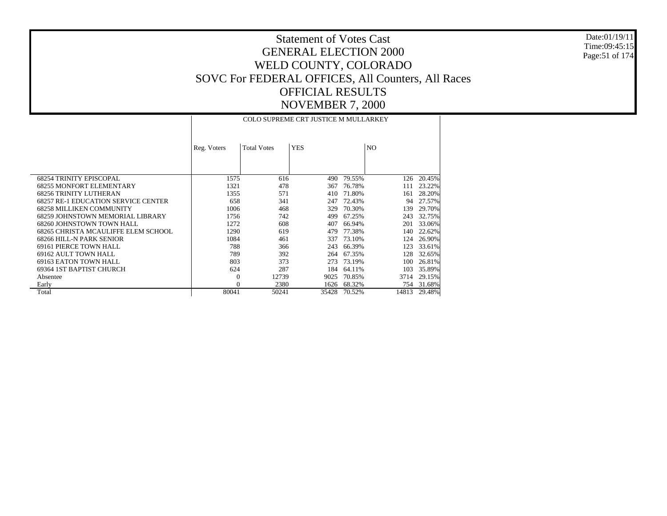Date:01/19/11 Time:09:45:15 Page:51 of 174

|                                            | COLO SUPREME CRT JUSTICE M MULLARKEY |                    |            |        |                |        |  |
|--------------------------------------------|--------------------------------------|--------------------|------------|--------|----------------|--------|--|
|                                            | Reg. Voters                          | <b>Total Votes</b> | <b>YES</b> |        | N <sub>O</sub> |        |  |
| <b>68254 TRINITY EPISCOPAL</b>             | 1575                                 | 616                | 490        | 79.55% | 126            | 20.45% |  |
| <b>68255 MONFORT ELEMENTARY</b>            | 1321                                 | 478                | 367        | 76.78% | 111            | 23.22% |  |
| <b>68256 TRINITY LUTHERAN</b>              | 1355                                 | 571                | 410        | 71.80% | 161            | 28.20% |  |
| <b>68257 RE-1 EDUCATION SERVICE CENTER</b> | 658                                  | 341                | 247        | 72.43% | 94             | 27.57% |  |
| <b>68258 MILLIKEN COMMUNITY</b>            | 1006                                 | 468                | 329        | 70.30% | 139            | 29.70% |  |
| 68259 JOHNSTOWN MEMORIAL LIBRARY           | 1756                                 | 742                | 499        | 67.25% | 243            | 32.75% |  |
| 68260 JOHNSTOWN TOWN HALL                  | 1272                                 | 608                | 407        | 66.94% | 201            | 33.06% |  |
| 68265 CHRISTA MCAULIFFE ELEM SCHOOL        | 1290                                 | 619                | 479        | 77.38% | 140            | 22.62% |  |
| 68266 HILL-N PARK SENIOR                   | 1084                                 | 461                | 337        | 73.10% | 124            | 26.90% |  |
| 69161 PIERCE TOWN HALL                     | 788                                  | 366                | 243        | 66.39% | 123            | 33.61% |  |
| 69162 AULT TOWN HALL                       | 789                                  | 392                | 264        | 67.35% | 128            | 32.65% |  |
| 69163 EATON TOWN HALL                      | 803                                  | 373                | 273        | 73.19% | 100            | 26.81% |  |
| 69364 IST BAPTIST CHURCH                   | 624                                  | 287                | 184        | 64.11% | 103            | 35.89% |  |
| Absentee                                   | $\Omega$                             | 12739              | 9025       | 70.85% | 3714           | 29.15% |  |
| Early                                      | $\theta$                             | 2380               | 1626       | 68.32% | 754            | 31.68% |  |
| Total                                      | 80041                                | 50241              | 35428      | 70.52% | 14813          | 29.48% |  |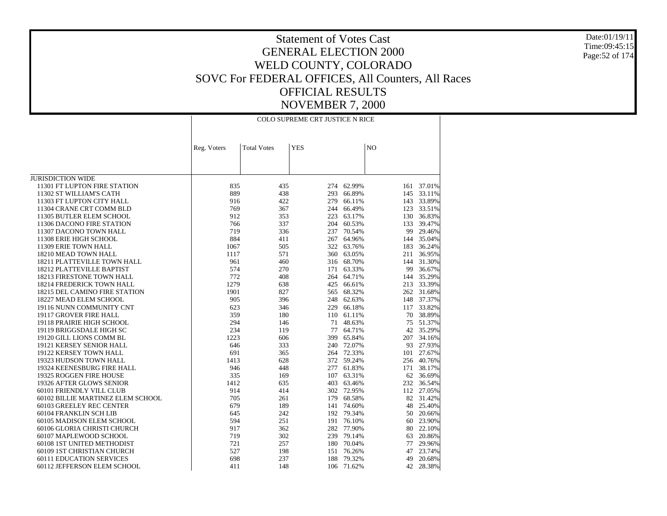Date:01/19/11 Time:09:45:15Page:52 of 174

|                                   | COLO SUPREME CRT JUSTICE N RICE |                    |            |            |     |            |
|-----------------------------------|---------------------------------|--------------------|------------|------------|-----|------------|
|                                   | Reg. Voters                     | <b>Total Votes</b> | <b>YES</b> |            | NO  |            |
|                                   |                                 |                    |            |            |     |            |
| <b>JURISDICTION WIDE</b>          |                                 |                    |            |            |     |            |
| 11301 FT LUPTON FIRE STATION      | 835                             | 435                | 274        | 62.99%     |     | 161 37.01% |
| 11302 ST WILLIAM'S CATH           | 889                             | 438                | 293        | 66.89%     |     | 145 33.11% |
| 11303 FT LUPTON CITY HALL         | 916                             | 422                | 279        | 66.11%     |     | 143 33.89% |
| 11304 CRANE CRT COMM BLD          | 769                             | 367                | 244        | 66.49%     | 123 | 33.51%     |
| 11305 BUTLER ELEM SCHOOL          | 912                             | 353                | 223        | 63.17%     |     | 130 36.83% |
| 11306 DACONO FIRE STATION         | 766                             | 337                | 204        | 60.53%     |     | 133 39.47% |
| 11307 DACONO TOWN HALL            | 719                             | 336                | 237        | 70.54%     | 99  | 29.46%     |
| 11308 ERIE HIGH SCHOOL            | 884                             | 411                | 267        | 64.96%     |     | 144 35.04% |
| 11309 ERIE TOWN HALL              | 1067                            | 505                | 322        | 63.76%     | 183 | 36.24%     |
| 18210 MEAD TOWN HALL              | 1117                            | 571                | 360        | 63.05%     | 211 | 36.95%     |
| 18211 PLATTEVILLE TOWN HALL       | 961                             | 460                | 316        | 68.70%     |     | 144 31.30% |
| 18212 PLATTEVILLE BAPTIST         | 574                             | 270                | 171        | 63.33%     | 99  | 36.67%     |
| 18213 FIRESTONE TOWN HALL         | 772                             | 408                | 264        | 64.71%     | 144 | 35.29%     |
| 18214 FREDERICK TOWN HALL         | 1279                            | 638                | 425        | 66.61%     |     | 213 33.39% |
| 18215 DEL CAMINO FIRE STATION     | 1901                            | 827                | 565        | 68.32%     |     | 262 31.68% |
| 18227 MEAD ELEM SCHOOL            | 905                             | 396                | 248        | 62.63%     |     | 148 37.37% |
| 19116 NUNN COMMUNITY CNT          | 623                             | 346                | 229        | 66.18%     |     | 117 33.82% |
| 19117 GROVER FIRE HALL            | 359                             | 180                | 110        | 61.11%     | 70  | 38.89%     |
| 19118 PRAIRIE HIGH SCHOOL         | 294                             | 146                | 71         | 48.63%     | 75  | 51.37%     |
| 19119 BRIGGSDALE HIGH SC          | 234                             | 119                | 77         | 64.71%     |     | 42 35.29%  |
| 19120 GILL LIONS COMM BL          | 1223                            | 606                | 399        | 65.84%     |     | 207 34.16% |
| 19121 KERSEY SENIOR HALL          | 646                             | 333                | 240        | 72.07%     |     | 93 27.93%  |
| 19122 KERSEY TOWN HALL            | 691                             | 365                | 264        | 72.33%     |     | 101 27.67% |
| 19323 HUDSON TOWN HALL            | 1413                            | 628                | 372        | 59.24%     |     | 256 40.76% |
| 19324 KEENESBURG FIRE HALL        | 946                             | 448                | 277        | 61.83%     |     | 171 38.17% |
| 19325 ROGGEN FIRE HOUSE           | 335                             | 169                | 107        | 63.31%     |     | 62 36.69%  |
| 19326 AFTER GLOWS SENIOR          | 1412                            | 635                | 403        | 63.46%     |     | 232 36.54% |
| 60101 FRIENDLY VILL CLUB          | 914                             | 414                |            | 302 72.95% |     | 112 27.05% |
| 60102 BILLIE MARTINEZ ELEM SCHOOL | 705                             | 261                | 179        | 68.58%     |     | 82 31.42%  |
| 60103 GREELEY REC CENTER          | 679                             | 189                | 141        | 74.60%     | 48  | 25.40%     |
| 60104 FRANKLIN SCH LIB            | 645                             | 242                | 192        | 79.34%     |     | 50 20.66%  |
| 60105 MADISON ELEM SCHOOL         | 594                             | 251                | 191        | 76.10%     | 60  | 23.90%     |
| 60106 GLORIA CHRISTI CHURCH       | 917                             | 362                | 282        | 77.90%     | 80  | 22.10%     |
| 60107 MAPLEWOOD SCHOOL            | 719                             | 302                |            | 239 79.14% | 63  | 20.86%     |
| 60108 1ST UNITED METHODIST        | 721                             | 257                |            | 180 70.04% | 77  | 29.96%     |
| 60109 1ST CHRISTIAN CHURCH        | 527                             | 198                | 151        | 76.26%     | 47  | 23.74%     |
| <b>60111 EDUCATION SERVICES</b>   | 698                             | 237                | 188        | 79.32%     | 49  | 20.68%     |
| 60112 JEFFERSON ELEM SCHOOL       | 411                             | 148                | 106        | 71.62%     | 42  | 28.38%     |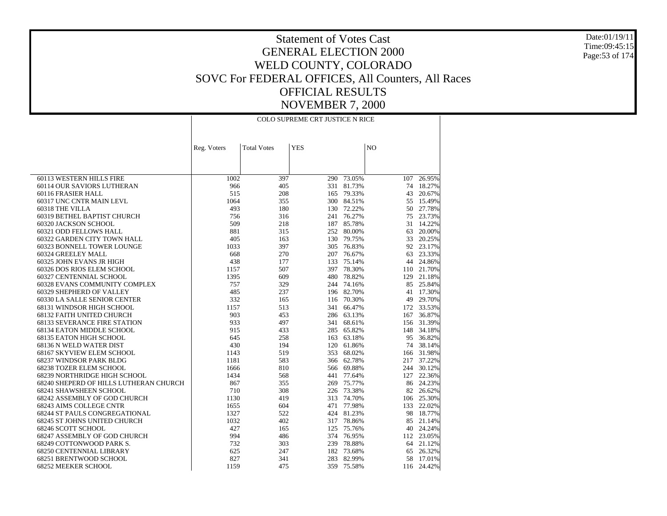Date:01/19/11 Time:09:45:15Page:53 of 174

| <b>Total Votes</b><br><b>YES</b><br>N <sub>O</sub><br>Reg. Voters<br>60113 WESTERN HILLS FIRE<br>73.05%<br>1002<br>397<br>290<br>107<br>26.95%<br>60114 OUR SAVIORS LUTHERAN<br>966<br>405<br>331<br>81.73%<br>74<br>18.27%<br>515<br>60116 FRASIER HALL<br>208<br>165<br>79.33%<br>43<br>20.67%<br>60317 UNC CNTR MAIN LEVL<br>1064<br>355<br>300<br>84.51%<br>15.49%<br>55<br>493<br>72.22%<br>27.78%<br>60318 THE VILLA<br>180<br>50<br>130<br>60319 BETHEL BAPTIST CHURCH<br>756<br>316<br>76.27%<br>75<br>23.73%<br>241<br>60320 JACKSON SCHOOL<br>509<br>218<br>187<br>85.78%<br>31<br>14.22%<br>881<br>20.00%<br>60321 ODD FELLOWS HALL<br>315<br>252<br>80.00%<br>63<br>405<br>163<br>130<br>79.75%<br>33<br>20.25%<br>60322 GARDEN CITY TOWN HALL<br>397<br>23.17%<br>60323 BONNELL TOWER LOUNGE<br>1033<br>76.83%<br>92<br>305<br>60324 GREELEY MALL<br>668<br>270<br>207<br>76.67%<br>23.33%<br>63<br>60325 JOHN EVANS JR HIGH<br>438<br>177<br>133<br>75.14%<br>24.86%<br>44<br>507<br>78.30%<br>110 21.70%<br>60326 DOS RIOS ELEM SCHOOL<br>1157<br>397<br>1395<br>609<br>480<br>78.82%<br>129<br>21.18%<br>60327 CENTENNIAL SCHOOL<br>757<br>85 25.84%<br>60328 EVANS COMMUNITY COMPLEX<br>329<br>244<br>74.16%<br>485<br>60329 SHEPHERD OF VALLEY<br>237<br>196 82.70%<br>41<br>17.30%<br>332<br>29.70%<br>60330 LA SALLE SENIOR CENTER<br>165<br>70.30%<br>116<br>49<br>1157<br>513<br>66.47%<br>172 33.53%<br>68131 WINDSOR HIGH SCHOOL<br>341<br>903<br>453<br>286<br>63.13%<br>36.87%<br>68132 FAITH UNITED CHURCH<br>167 | COLO SUPREME CRT JUSTICE N RICE |  |  |  |  |  |
|----------------------------------------------------------------------------------------------------------------------------------------------------------------------------------------------------------------------------------------------------------------------------------------------------------------------------------------------------------------------------------------------------------------------------------------------------------------------------------------------------------------------------------------------------------------------------------------------------------------------------------------------------------------------------------------------------------------------------------------------------------------------------------------------------------------------------------------------------------------------------------------------------------------------------------------------------------------------------------------------------------------------------------------------------------------------------------------------------------------------------------------------------------------------------------------------------------------------------------------------------------------------------------------------------------------------------------------------------------------------------------------------------------------------------------------------------------------------------------------------------------------------------------------------|---------------------------------|--|--|--|--|--|
|                                                                                                                                                                                                                                                                                                                                                                                                                                                                                                                                                                                                                                                                                                                                                                                                                                                                                                                                                                                                                                                                                                                                                                                                                                                                                                                                                                                                                                                                                                                                              |                                 |  |  |  |  |  |
|                                                                                                                                                                                                                                                                                                                                                                                                                                                                                                                                                                                                                                                                                                                                                                                                                                                                                                                                                                                                                                                                                                                                                                                                                                                                                                                                                                                                                                                                                                                                              |                                 |  |  |  |  |  |
|                                                                                                                                                                                                                                                                                                                                                                                                                                                                                                                                                                                                                                                                                                                                                                                                                                                                                                                                                                                                                                                                                                                                                                                                                                                                                                                                                                                                                                                                                                                                              |                                 |  |  |  |  |  |
|                                                                                                                                                                                                                                                                                                                                                                                                                                                                                                                                                                                                                                                                                                                                                                                                                                                                                                                                                                                                                                                                                                                                                                                                                                                                                                                                                                                                                                                                                                                                              |                                 |  |  |  |  |  |
|                                                                                                                                                                                                                                                                                                                                                                                                                                                                                                                                                                                                                                                                                                                                                                                                                                                                                                                                                                                                                                                                                                                                                                                                                                                                                                                                                                                                                                                                                                                                              |                                 |  |  |  |  |  |
|                                                                                                                                                                                                                                                                                                                                                                                                                                                                                                                                                                                                                                                                                                                                                                                                                                                                                                                                                                                                                                                                                                                                                                                                                                                                                                                                                                                                                                                                                                                                              |                                 |  |  |  |  |  |
|                                                                                                                                                                                                                                                                                                                                                                                                                                                                                                                                                                                                                                                                                                                                                                                                                                                                                                                                                                                                                                                                                                                                                                                                                                                                                                                                                                                                                                                                                                                                              |                                 |  |  |  |  |  |
|                                                                                                                                                                                                                                                                                                                                                                                                                                                                                                                                                                                                                                                                                                                                                                                                                                                                                                                                                                                                                                                                                                                                                                                                                                                                                                                                                                                                                                                                                                                                              |                                 |  |  |  |  |  |
|                                                                                                                                                                                                                                                                                                                                                                                                                                                                                                                                                                                                                                                                                                                                                                                                                                                                                                                                                                                                                                                                                                                                                                                                                                                                                                                                                                                                                                                                                                                                              |                                 |  |  |  |  |  |
|                                                                                                                                                                                                                                                                                                                                                                                                                                                                                                                                                                                                                                                                                                                                                                                                                                                                                                                                                                                                                                                                                                                                                                                                                                                                                                                                                                                                                                                                                                                                              |                                 |  |  |  |  |  |
|                                                                                                                                                                                                                                                                                                                                                                                                                                                                                                                                                                                                                                                                                                                                                                                                                                                                                                                                                                                                                                                                                                                                                                                                                                                                                                                                                                                                                                                                                                                                              |                                 |  |  |  |  |  |
|                                                                                                                                                                                                                                                                                                                                                                                                                                                                                                                                                                                                                                                                                                                                                                                                                                                                                                                                                                                                                                                                                                                                                                                                                                                                                                                                                                                                                                                                                                                                              |                                 |  |  |  |  |  |
|                                                                                                                                                                                                                                                                                                                                                                                                                                                                                                                                                                                                                                                                                                                                                                                                                                                                                                                                                                                                                                                                                                                                                                                                                                                                                                                                                                                                                                                                                                                                              |                                 |  |  |  |  |  |
|                                                                                                                                                                                                                                                                                                                                                                                                                                                                                                                                                                                                                                                                                                                                                                                                                                                                                                                                                                                                                                                                                                                                                                                                                                                                                                                                                                                                                                                                                                                                              |                                 |  |  |  |  |  |
|                                                                                                                                                                                                                                                                                                                                                                                                                                                                                                                                                                                                                                                                                                                                                                                                                                                                                                                                                                                                                                                                                                                                                                                                                                                                                                                                                                                                                                                                                                                                              |                                 |  |  |  |  |  |
|                                                                                                                                                                                                                                                                                                                                                                                                                                                                                                                                                                                                                                                                                                                                                                                                                                                                                                                                                                                                                                                                                                                                                                                                                                                                                                                                                                                                                                                                                                                                              |                                 |  |  |  |  |  |
|                                                                                                                                                                                                                                                                                                                                                                                                                                                                                                                                                                                                                                                                                                                                                                                                                                                                                                                                                                                                                                                                                                                                                                                                                                                                                                                                                                                                                                                                                                                                              |                                 |  |  |  |  |  |
|                                                                                                                                                                                                                                                                                                                                                                                                                                                                                                                                                                                                                                                                                                                                                                                                                                                                                                                                                                                                                                                                                                                                                                                                                                                                                                                                                                                                                                                                                                                                              |                                 |  |  |  |  |  |
|                                                                                                                                                                                                                                                                                                                                                                                                                                                                                                                                                                                                                                                                                                                                                                                                                                                                                                                                                                                                                                                                                                                                                                                                                                                                                                                                                                                                                                                                                                                                              |                                 |  |  |  |  |  |
|                                                                                                                                                                                                                                                                                                                                                                                                                                                                                                                                                                                                                                                                                                                                                                                                                                                                                                                                                                                                                                                                                                                                                                                                                                                                                                                                                                                                                                                                                                                                              |                                 |  |  |  |  |  |
|                                                                                                                                                                                                                                                                                                                                                                                                                                                                                                                                                                                                                                                                                                                                                                                                                                                                                                                                                                                                                                                                                                                                                                                                                                                                                                                                                                                                                                                                                                                                              |                                 |  |  |  |  |  |
|                                                                                                                                                                                                                                                                                                                                                                                                                                                                                                                                                                                                                                                                                                                                                                                                                                                                                                                                                                                                                                                                                                                                                                                                                                                                                                                                                                                                                                                                                                                                              |                                 |  |  |  |  |  |
|                                                                                                                                                                                                                                                                                                                                                                                                                                                                                                                                                                                                                                                                                                                                                                                                                                                                                                                                                                                                                                                                                                                                                                                                                                                                                                                                                                                                                                                                                                                                              |                                 |  |  |  |  |  |
| 933<br>497<br>68.61%<br>31.39%<br><b>68133 SEVERANCE FIRE STATION</b><br>341<br>156                                                                                                                                                                                                                                                                                                                                                                                                                                                                                                                                                                                                                                                                                                                                                                                                                                                                                                                                                                                                                                                                                                                                                                                                                                                                                                                                                                                                                                                          |                                 |  |  |  |  |  |
| 68134 EATON MIDDLE SCHOOL<br>915<br>433<br>285<br>65.82%<br>148<br>34.18%                                                                                                                                                                                                                                                                                                                                                                                                                                                                                                                                                                                                                                                                                                                                                                                                                                                                                                                                                                                                                                                                                                                                                                                                                                                                                                                                                                                                                                                                    |                                 |  |  |  |  |  |
| 258<br>68135 EATON HIGH SCHOOL<br>645<br>163<br>63.18%<br>95<br>36.82%                                                                                                                                                                                                                                                                                                                                                                                                                                                                                                                                                                                                                                                                                                                                                                                                                                                                                                                                                                                                                                                                                                                                                                                                                                                                                                                                                                                                                                                                       |                                 |  |  |  |  |  |
| 430<br>61.86%<br>38.14%<br>68136 N WELD WATER DIST<br>194<br>120<br>74                                                                                                                                                                                                                                                                                                                                                                                                                                                                                                                                                                                                                                                                                                                                                                                                                                                                                                                                                                                                                                                                                                                                                                                                                                                                                                                                                                                                                                                                       |                                 |  |  |  |  |  |
| 68167 SKYVIEW ELEM SCHOOL<br>1143<br>519<br>353<br>68.02%<br>31.98%<br>166                                                                                                                                                                                                                                                                                                                                                                                                                                                                                                                                                                                                                                                                                                                                                                                                                                                                                                                                                                                                                                                                                                                                                                                                                                                                                                                                                                                                                                                                   |                                 |  |  |  |  |  |
| 1181<br>583<br>217 37.22%<br>68237 WINDSOR PARK BLDG<br>62.78%<br>366<br>30.12%                                                                                                                                                                                                                                                                                                                                                                                                                                                                                                                                                                                                                                                                                                                                                                                                                                                                                                                                                                                                                                                                                                                                                                                                                                                                                                                                                                                                                                                              |                                 |  |  |  |  |  |
| 68238 TOZER ELEM SCHOOL<br>1666<br>810<br>69.88%<br>244<br>566<br>22.36%<br>441                                                                                                                                                                                                                                                                                                                                                                                                                                                                                                                                                                                                                                                                                                                                                                                                                                                                                                                                                                                                                                                                                                                                                                                                                                                                                                                                                                                                                                                              |                                 |  |  |  |  |  |
| 68239 NORTHRIDGE HIGH SCHOOL<br>1434<br>568<br>77.64%<br>127<br>68240 SHEPERD OF HILLS LUTHERAN CHURCH<br>867<br>355<br>75.77%<br>86 24.23%<br>269                                                                                                                                                                                                                                                                                                                                                                                                                                                                                                                                                                                                                                                                                                                                                                                                                                                                                                                                                                                                                                                                                                                                                                                                                                                                                                                                                                                           |                                 |  |  |  |  |  |
| 68241 SHAWSHEEN SCHOOL<br>710<br>308<br>226<br>73.38%<br>82 26.62%                                                                                                                                                                                                                                                                                                                                                                                                                                                                                                                                                                                                                                                                                                                                                                                                                                                                                                                                                                                                                                                                                                                                                                                                                                                                                                                                                                                                                                                                           |                                 |  |  |  |  |  |
| 419<br>74.70%<br>106 25.30%<br>68242 ASSEMBLY OF GOD CHURCH<br>1130<br>313                                                                                                                                                                                                                                                                                                                                                                                                                                                                                                                                                                                                                                                                                                                                                                                                                                                                                                                                                                                                                                                                                                                                                                                                                                                                                                                                                                                                                                                                   |                                 |  |  |  |  |  |
| 604<br>77.98%<br>133 22.02%<br>68243 AIMS COLLEGE CNTR<br>1655<br>471                                                                                                                                                                                                                                                                                                                                                                                                                                                                                                                                                                                                                                                                                                                                                                                                                                                                                                                                                                                                                                                                                                                                                                                                                                                                                                                                                                                                                                                                        |                                 |  |  |  |  |  |
| 1327<br>522<br>81.23%<br>68244 ST PAULS CONGREGATIONAL<br>424<br>98<br>18.77%                                                                                                                                                                                                                                                                                                                                                                                                                                                                                                                                                                                                                                                                                                                                                                                                                                                                                                                                                                                                                                                                                                                                                                                                                                                                                                                                                                                                                                                                |                                 |  |  |  |  |  |
| 68245 ST JOHNS UNITED CHURCH<br>1032<br>402<br>317<br>78.86%<br>21.14%<br>85                                                                                                                                                                                                                                                                                                                                                                                                                                                                                                                                                                                                                                                                                                                                                                                                                                                                                                                                                                                                                                                                                                                                                                                                                                                                                                                                                                                                                                                                 |                                 |  |  |  |  |  |
| 68246 SCOTT SCHOOL<br>427<br>165<br>125<br>75.76%<br>40<br>24.24%                                                                                                                                                                                                                                                                                                                                                                                                                                                                                                                                                                                                                                                                                                                                                                                                                                                                                                                                                                                                                                                                                                                                                                                                                                                                                                                                                                                                                                                                            |                                 |  |  |  |  |  |
| 994<br>486<br>112 23.05%<br>68247 ASSEMBLY OF GOD CHURCH<br>374<br>76.95%                                                                                                                                                                                                                                                                                                                                                                                                                                                                                                                                                                                                                                                                                                                                                                                                                                                                                                                                                                                                                                                                                                                                                                                                                                                                                                                                                                                                                                                                    |                                 |  |  |  |  |  |
| 732<br>303<br>239<br>78.88%<br>64 21.12%<br>68249 COTTONWOOD PARK S.                                                                                                                                                                                                                                                                                                                                                                                                                                                                                                                                                                                                                                                                                                                                                                                                                                                                                                                                                                                                                                                                                                                                                                                                                                                                                                                                                                                                                                                                         |                                 |  |  |  |  |  |
| 182<br>73.68%<br>68250 CENTENNIAL LIBRARY<br>625<br>247<br>26.32%<br>65                                                                                                                                                                                                                                                                                                                                                                                                                                                                                                                                                                                                                                                                                                                                                                                                                                                                                                                                                                                                                                                                                                                                                                                                                                                                                                                                                                                                                                                                      |                                 |  |  |  |  |  |
| 827<br>68251 BRENTWOOD SCHOOL<br>341<br>283<br>82.99%<br>17.01%<br>58                                                                                                                                                                                                                                                                                                                                                                                                                                                                                                                                                                                                                                                                                                                                                                                                                                                                                                                                                                                                                                                                                                                                                                                                                                                                                                                                                                                                                                                                        |                                 |  |  |  |  |  |
| 1159<br>68252 MEEKER SCHOOL<br>475<br>359<br>75.58%<br>24.42%<br>116                                                                                                                                                                                                                                                                                                                                                                                                                                                                                                                                                                                                                                                                                                                                                                                                                                                                                                                                                                                                                                                                                                                                                                                                                                                                                                                                                                                                                                                                         |                                 |  |  |  |  |  |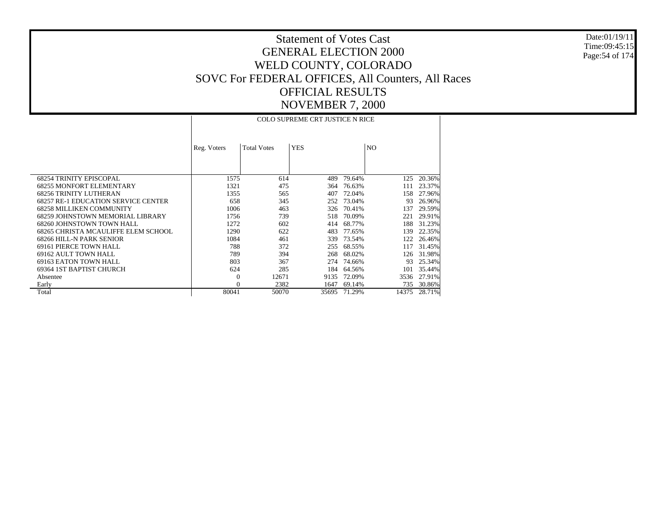Date:01/19/11 Time:09:45:15 Page:54 of 174

|                                            |             |                    | <b>COLO SUPREME CRT JUSTICE N RICE</b> |        |       |        |
|--------------------------------------------|-------------|--------------------|----------------------------------------|--------|-------|--------|
|                                            | Reg. Voters | <b>Total Votes</b> | <b>YES</b>                             |        | NO.   |        |
| <b>68254 TRINITY EPISCOPAL</b>             | 1575        | 614                | 489                                    | 79.64% | 125   | 20.36% |
| <b>68255 MONFORT ELEMENTARY</b>            | 1321        | 475                | 364                                    | 76.63% | 111   | 23.37% |
| <b>68256 TRINITY LUTHERAN</b>              | 1355        | 565                | 407                                    | 72.04% | 158   | 27.96% |
| <b>68257 RE-1 EDUCATION SERVICE CENTER</b> | 658         | 345                | 252                                    | 73.04% | 93    | 26.96% |
| <b>68258 MILLIKEN COMMUNITY</b>            | 1006        | 463                | 326                                    | 70.41% | 137   | 29.59% |
| 68259 JOHNSTOWN MEMORIAL LIBRARY           | 1756        | 739                | 518                                    | 70.09% | 221   | 29.91% |
| 68260 JOHNSTOWN TOWN HALL                  | 1272        | 602                | 414                                    | 68.77% | 188   | 31.23% |
| 68265 CHRISTA MCAULIFFE ELEM SCHOOL        | 1290        | 622                | 483                                    | 77.65% | 139   | 22.35% |
| 68266 HILL-N PARK SENIOR                   | 1084        | 461                | 339                                    | 73.54% | 122   | 26.46% |
| 69161 PIERCE TOWN HALL                     | 788         | 372                | 255                                    | 68.55% | 117   | 31.45% |
| 69162 AULT TOWN HALL                       | 789         | 394                | 268                                    | 68.02% | 126   | 31.98% |
| 69163 EATON TOWN HALL                      | 803         | 367                | 274                                    | 74.66% | 93    | 25.34% |
| 69364 IST BAPTIST CHURCH                   | 624         | 285                | 184                                    | 64.56% | 101   | 35.44% |
| Absentee                                   | $\theta$    | 12671              | 9135                                   | 72.09% | 3536  | 27.91% |
| Early                                      | $\Omega$    | 2382               | 1647                                   | 69.14% | 735   | 30.86% |
| Total                                      | 80041       | 50070              | 35695                                  | 71.29% | 14375 | 28.71% |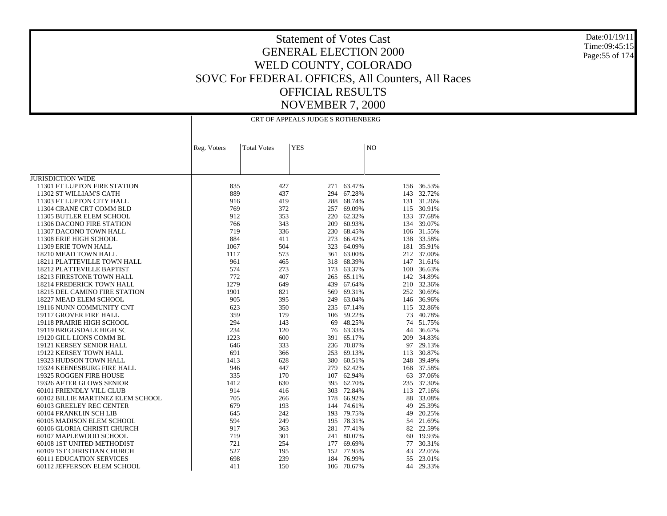Date:01/19/11 Time:09:45:15Page:55 of 174

|                                   | CRT OF APPEALS JUDGE S ROTHENBERG |                    |            |            |                |            |
|-----------------------------------|-----------------------------------|--------------------|------------|------------|----------------|------------|
|                                   |                                   |                    |            |            |                |            |
|                                   | Reg. Voters                       | <b>Total Votes</b> | <b>YES</b> |            | N <sub>O</sub> |            |
|                                   |                                   |                    |            |            |                |            |
| <b>JURISDICTION WIDE</b>          |                                   |                    |            |            |                |            |
| 11301 FT LUPTON FIRE STATION      | 835                               | 427                | 271        | 63.47%     | 156            | 36.53%     |
| 11302 ST WILLIAM'S CATH           | 889                               | 437                | 294        | 67.28%     | 143            | 32.72%     |
| 11303 FT LUPTON CITY HALL         | 916                               | 419                | 288        | 68.74%     |                | 131 31.26% |
| 11304 CRANE CRT COMM BLD          | 769                               | 372                | 257        | 69.09%     | 115            | 30.91%     |
| 11305 BUTLER ELEM SCHOOL          | 912                               | 353                | 220        | 62.32%     |                | 133 37.68% |
| 11306 DACONO FIRE STATION         | 766                               | 343                | 209        | 60.93%     |                | 134 39.07% |
| 11307 DACONO TOWN HALL            | 719                               | 336                | 230        | 68.45%     |                | 106 31.55% |
| 11308 ERIE HIGH SCHOOL            | 884                               | 411                | 273        | 66.42%     |                | 138 33.58% |
| 11309 ERIE TOWN HALL              | 1067                              | 504                | 323        | 64.09%     |                | 181 35.91% |
| 18210 MEAD TOWN HALL              | 1117                              | 573                | 361        | 63.00%     |                | 212 37.00% |
| 18211 PLATTEVILLE TOWN HALL       | 961                               | 465                | 318        | 68.39%     |                | 147 31.61% |
| 18212 PLATTEVILLE BAPTIST         | 574                               | 273                | 173        | 63.37%     | 100            | 36.63%     |
| 18213 FIRESTONE TOWN HALL         | 772                               | 407                | 265        | 65.11%     |                | 142 34.89% |
| 18214 FREDERICK TOWN HALL         | 1279                              | 649                | 439        | 67.64%     |                | 210 32.36% |
| 18215 DEL CAMINO FIRE STATION     | 1901                              | 821                | 569        | 69.31%     |                | 252 30.69% |
| 18227 MEAD ELEM SCHOOL            | 905                               | 395                | 249        | 63.04%     |                | 146 36.96% |
| 19116 NUNN COMMUNITY CNT          | 623                               | 350                | 235        | 67.14%     |                | 115 32.86% |
| 19117 GROVER FIRE HALL            | 359                               | 179                |            | 106 59.22% | 73             | 40.78%     |
| 19118 PRAIRIE HIGH SCHOOL         | 294                               | 143                | 69         | 48.25%     | 74             | 51.75%     |
| 19119 BRIGGSDALE HIGH SC          | 234                               | 120                | 76         | 63.33%     | 44             | 36.67%     |
| 19120 GILL LIONS COMM BL          | 1223                              | 600                | 391        | 65.17%     | 209            | 34.83%     |
| 19121 KERSEY SENIOR HALL          | 646                               | 333                | 236        | 70.87%     |                | 97 29.13%  |
| 19122 KERSEY TOWN HALL            | 691                               | 366                | 253        | 69.13%     | 113            | 30.87%     |
| 19323 HUDSON TOWN HALL            | 1413                              | 628                |            | 380 60.51% | 248            | 39.49%     |
| 19324 KEENESBURG FIRE HALL        | 946                               | 447                | 279        | 62.42%     |                | 168 37.58% |
| 19325 ROGGEN FIRE HOUSE           | 335                               | 170                | 107        | 62.94%     | 63             | 37.06%     |
| 19326 AFTER GLOWS SENIOR          | 1412                              | 630                | 395        | 62.70%     | 235            | 37.30%     |
| 60101 FRIENDLY VILL CLUB          | 914                               | 416                | 303        | 72.84%     | 113            | 27.16%     |
| 60102 BILLIE MARTINEZ ELEM SCHOOL | 705                               | 266                | 178        | 66.92%     | 88             | 33.08%     |
| 60103 GREELEY REC CENTER          | 679                               | 193                | 144        | 74.61%     | 49             | 25.39%     |
| 60104 FRANKLIN SCH LIB            | 645                               | 242                | 193        | 79.75%     | 49             | 20.25%     |
| 60105 MADISON ELEM SCHOOL         | 594                               | 249                | 195        | 78.31%     |                | 54 21.69%  |
| 60106 GLORIA CHRISTI CHURCH       | 917                               | 363                | 281        | 77.41%     |                | 82 22.59%  |
| 60107 MAPLEWOOD SCHOOL            | 719                               | 301                | 241        | 80.07%     | 60             | 19.93%     |
| 60108 1ST UNITED METHODIST        | 721                               | 254                | 177        | 69.69%     | 77             | 30.31%     |
| 60109 1ST CHRISTIAN CHURCH        | 527                               | 195                | 152        | 77.95%     | 43             | 22.05%     |
| <b>60111 EDUCATION SERVICES</b>   | 698                               | 239                | 184        | 76.99%     | 55             | 23.01%     |
| 60112 JEFFERSON ELEM SCHOOL       | 411                               | 150                | 106        | 70.67%     | 44             | 29.33%     |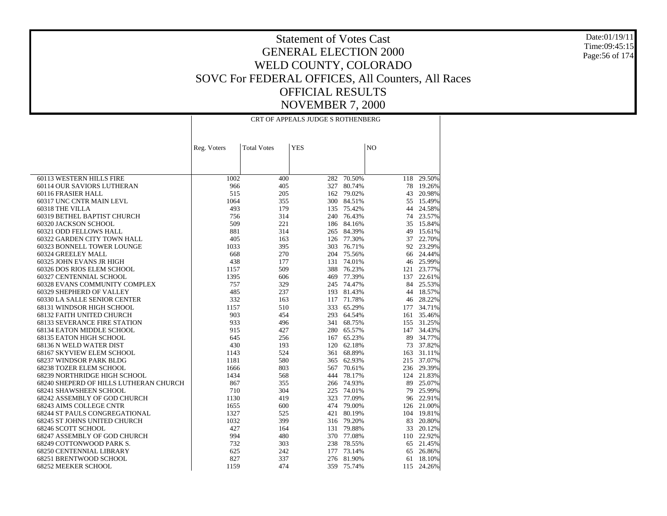Date:01/19/11 Time:09:45:15Page:56 of 174

| <b>Total Votes</b><br><b>YES</b><br>N <sub>O</sub><br>Reg. Voters                                                       |  |
|-------------------------------------------------------------------------------------------------------------------------|--|
|                                                                                                                         |  |
|                                                                                                                         |  |
|                                                                                                                         |  |
|                                                                                                                         |  |
| 60113 WESTERN HILLS FIRE<br>1002<br>282 70.50%<br>118 29.50%<br>400                                                     |  |
| 80.74%<br>78<br>60114 OUR SAVIORS LUTHERAN<br>966<br>405<br>327<br>19.26%                                               |  |
| 60116 FRASIER HALL<br>515<br>205<br>162 79.02%<br>43 20.98%                                                             |  |
| 60317 UNC CNTR MAIN LEVL<br>1064<br>355<br>300 84.51%<br>55<br>15.49%                                                   |  |
| 493<br>179<br>135 75.42%<br>44 24.58%<br>60318 THE VILLA                                                                |  |
| 60319 BETHEL BAPTIST CHURCH<br>314<br>240 76.43%<br>74 23.57%<br>756                                                    |  |
| 60320 JACKSON SCHOOL<br>509<br>221<br>186 84.16%<br>35 15.84%                                                           |  |
| 314<br>60321 ODD FELLOWS HALL<br>881<br>265 84.39%<br>49<br>15.61%                                                      |  |
| 405<br>22.70%<br>60322 GARDEN CITY TOWN HALL<br>163<br>126 77.30%<br>37                                                 |  |
| 92 23.29%<br>60323 BONNELL TOWER LOUNGE<br>1033<br>395<br>303<br>76.71%                                                 |  |
| 270<br>60324 GREELEY MALL<br>668<br>204 75.56%<br>66 24.44%                                                             |  |
| 60325 JOHN EVANS JR HIGH<br>438<br>177<br>131 74.01%<br>46 25.99%                                                       |  |
| 60326 DOS RIOS ELEM SCHOOL<br>509<br>388 76.23%<br>121 23.77%<br>1157                                                   |  |
| 1395<br>606<br>469 77.39%<br>137<br>22.61%<br>60327 CENTENNIAL SCHOOL                                                   |  |
| 329<br>84 25.53%<br>60328 EVANS COMMUNITY COMPLEX<br>757<br>245 74.47%                                                  |  |
| 485<br>237<br>193 81.43%<br>44 18.57%<br>60329 SHEPHERD OF VALLEY                                                       |  |
| 332<br>60330 LA SALLE SENIOR CENTER<br>163<br>117 71.78%<br>28.22%<br>46                                                |  |
| 68131 WINDSOR HIGH SCHOOL<br>1157<br>510<br>333 65.29%<br>177 34.71%                                                    |  |
| 903<br>35.46%<br>68132 FAITH UNITED CHURCH<br>454<br>293 64.54%<br>161                                                  |  |
| 933<br>496<br>341 68.75%<br>31.25%<br><b>68133 SEVERANCE FIRE STATION</b><br>155                                        |  |
| 915<br>427<br>280 65.57%<br>147 34.43%<br>68134 EATON MIDDLE SCHOOL                                                     |  |
| 167 65.23%<br>34.77%<br>68135 EATON HIGH SCHOOL<br>645<br>256<br>89                                                     |  |
| 68136 N WELD WATER DIST<br>430<br>193<br>120 62.18%<br>73 37.82%                                                        |  |
| 524<br>361 68.89%<br>163<br>31.11%<br>68167 SKYVIEW ELEM SCHOOL<br>1143                                                 |  |
| 215 37.07%<br>68237 WINDSOR PARK BLDG<br>580<br>365 62.93%<br>1181                                                      |  |
| 803<br>236 29.39%<br>68238 TOZER ELEM SCHOOL<br>567 70.61%<br>1666                                                      |  |
| 568<br>78.17%<br>124 21.83%<br>68239 NORTHRIDGE HIGH SCHOOL<br>1434<br>444                                              |  |
| 68240 SHEPERD OF HILLS LUTHERAN CHURCH<br>867<br>355<br>266 74.93%<br>89 25.07%<br>710<br>304<br>74.01%<br>79<br>25.99% |  |
| 68241 SHAWSHEEN SCHOOL<br>225<br>323 77.09%<br>96 22.91%                                                                |  |
| 68242 ASSEMBLY OF GOD CHURCH<br>1130<br>419<br>600<br>474 79.00%<br>126 21.00%<br>68243 AIMS COLLEGE CNTR<br>1655       |  |
| 68244 ST PAULS CONGREGATIONAL<br>1327<br>525<br>421 80.19%<br>104 19.81%                                                |  |
| 68245 ST JOHNS UNITED CHURCH<br>1032<br>399<br>316 79.20%<br>83 20.80%                                                  |  |
| 427<br>33<br>68246 SCOTT SCHOOL<br>164<br>79.88%<br>20.12%<br>131                                                       |  |
| 994<br>480<br>370 77.08%<br>110 22.92%<br>68247 ASSEMBLY OF GOD CHURCH                                                  |  |
| 68249 COTTONWOOD PARK S.<br>732<br>303<br>238 78.55%<br>65 21.45%                                                       |  |
| 177 73.14%<br>68250 CENTENNIAL LIBRARY<br>625<br>242<br>65<br>26.86%                                                    |  |
| 68251 BRENTWOOD SCHOOL<br>827<br>337<br>276 81.90%<br>18.10%<br>61                                                      |  |
| 1159<br>359 75.74%<br>115 24.26%<br><b>68252 MEEKER SCHOOL</b><br>474                                                   |  |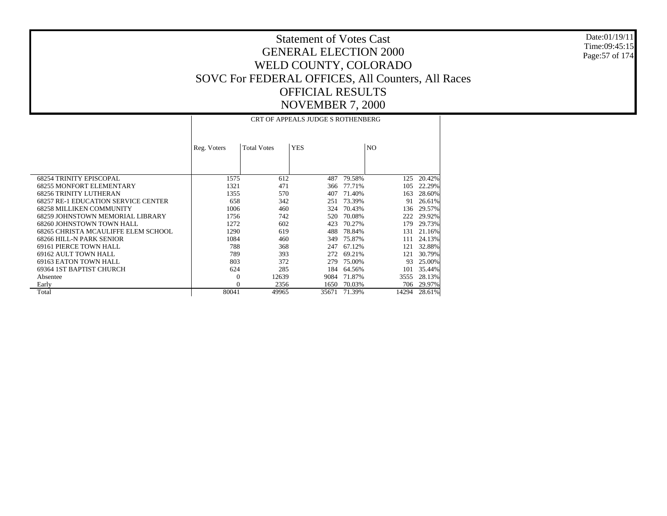Date:01/19/11 Time:09:45:15 Page:57 of 174

|                                            |             |                    | <b>CRT OF APPEALS JUDGE S ROTHENBERG</b> |        |       |        |  |  |  |
|--------------------------------------------|-------------|--------------------|------------------------------------------|--------|-------|--------|--|--|--|
|                                            | Reg. Voters | <b>Total Votes</b> | <b>YES</b>                               |        | NO.   |        |  |  |  |
| <b>68254 TRINITY EPISCOPAL</b>             | 1575        | 612                | 487                                      | 79.58% | 125   | 20.42% |  |  |  |
| <b>68255 MONFORT ELEMENTARY</b>            | 1321        | 471                | 366                                      | 77.71% | 105   | 22.29% |  |  |  |
| <b>68256 TRINITY LUTHERAN</b>              | 1355        | 570                | 407                                      | 71.40% | 163   | 28.60% |  |  |  |
| <b>68257 RE-1 EDUCATION SERVICE CENTER</b> | 658         | 342                | 251                                      | 73.39% | 91    | 26.61% |  |  |  |
| <b>68258 MILLIKEN COMMUNITY</b>            | 1006        | 460                | 324                                      | 70.43% | 136   | 29.57% |  |  |  |
| 68259 JOHNSTOWN MEMORIAL LIBRARY           | 1756        | 742                | 520                                      | 70.08% | 222   | 29.92% |  |  |  |
| 68260 JOHNSTOWN TOWN HALL                  | 1272        | 602                | 423                                      | 70.27% | 179   | 29.73% |  |  |  |
| 68265 CHRISTA MCAULIFFE ELEM SCHOOL        | 1290        | 619                | 488                                      | 78.84% | 131   | 21.16% |  |  |  |
| 68266 HILL-N PARK SENIOR                   | 1084        | 460                | 349                                      | 75.87% | 111   | 24.13% |  |  |  |
| 69161 PIERCE TOWN HALL                     | 788         | 368                | 247                                      | 67.12% | 121   | 32.88% |  |  |  |
| 69162 AULT TOWN HALL                       | 789         | 393                | 272                                      | 69.21% | 121   | 30.79% |  |  |  |
| 69163 EATON TOWN HALL                      | 803         | 372                | 279                                      | 75.00% | 93    | 25.00% |  |  |  |
| 69364 IST BAPTIST CHURCH                   | 624         | 285                | 184                                      | 64.56% | 101   | 35.44% |  |  |  |
| Absentee                                   | $\Omega$    | 12639              | 9084                                     | 71.87% | 3555  | 28.13% |  |  |  |
| Early                                      | $\Omega$    | 2356               | 1650                                     | 70.03% | 706   | 29.97% |  |  |  |
| Total                                      | 80041       | 49965              | 35671                                    | 71.39% | 14294 | 28.61% |  |  |  |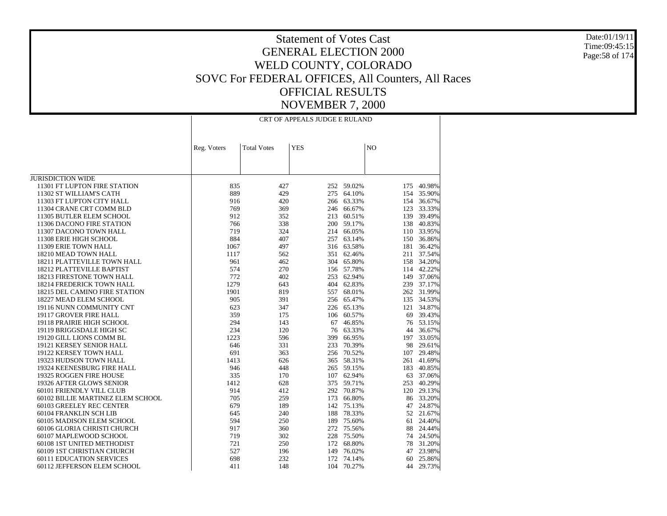Date:01/19/11 Time:09:45:15Page:58 of 174

|                                   | CRT OF APPEALS JUDGE E RULAND |                    |            |            |     |            |
|-----------------------------------|-------------------------------|--------------------|------------|------------|-----|------------|
|                                   |                               |                    |            |            |     |            |
|                                   | Reg. Voters                   | <b>Total Votes</b> | <b>YES</b> |            | NO  |            |
|                                   |                               |                    |            |            |     |            |
|                                   |                               |                    |            |            |     |            |
| <b>JURISDICTION WIDE</b>          |                               |                    |            |            |     |            |
| 11301 FT LUPTON FIRE STATION      | 835                           | 427                |            | 252 59.02% | 175 | 40.98%     |
| 11302 ST WILLIAM'S CATH           | 889                           | 429                | 275        | 64.10%     | 154 | 35.90%     |
| 11303 FT LUPTON CITY HALL         | 916                           | 420                | 266        | 63.33%     | 154 | 36.67%     |
| 11304 CRANE CRT COMM BLD          | 769                           | 369                | 246        | 66.67%     | 123 | 33.33%     |
| 11305 BUTLER ELEM SCHOOL          | 912                           | 352                | 213        | 60.51%     |     | 139 39.49% |
| 11306 DACONO FIRE STATION         | 766                           | 338                |            | 200 59.17% |     | 138 40.83% |
| 11307 DACONO TOWN HALL            | 719                           | 324                | 214        | 66.05%     | 110 | 33.95%     |
| 11308 ERIE HIGH SCHOOL            | 884                           | 407                | 257        | 63.14%     |     | 150 36.86% |
| 11309 ERIE TOWN HALL              | 1067                          | 497                | 316        | 63.58%     | 181 | 36.42%     |
| 18210 MEAD TOWN HALL              | 1117                          | 562                |            | 351 62.46% |     | 211 37.54% |
| 18211 PLATTEVILLE TOWN HALL       | 961                           | 462                | 304        | 65.80%     |     | 158 34.20% |
| 18212 PLATTEVILLE BAPTIST         | 574                           | 270                |            | 156 57.78% |     | 114 42.22% |
| 18213 FIRESTONE TOWN HALL         | 772                           | 402                |            | 253 62.94% |     | 149 37.06% |
| 18214 FREDERICK TOWN HALL         | 1279                          | 643                | 404        | 62.83%     |     | 239 37.17% |
| 18215 DEL CAMINO FIRE STATION     | 1901                          | 819                | 557        | 68.01%     |     | 262 31.99% |
| 18227 MEAD ELEM SCHOOL            | 905                           | 391                | 256        | 65.47%     |     | 135 34.53% |
| 19116 NUNN COMMUNITY CNT          | 623                           | 347                | 226        | 65.13%     |     | 121 34.87% |
| 19117 GROVER FIRE HALL            | 359                           | 175                | 106        | 60.57%     | 69  | 39.43%     |
| 19118 PRAIRIE HIGH SCHOOL         | 294                           | 143                | 67         | 46.85%     |     | 76 53.15%  |
| 19119 BRIGGSDALE HIGH SC          | 234                           | 120                | 76         | 63.33%     | 44  | 36.67%     |
| 19120 GILL LIONS COMM BL          | 1223                          | 596                | 399        | 66.95%     | 197 | 33.05%     |
| 19121 KERSEY SENIOR HALL          | 646                           | 331                | 233        | 70.39%     |     | 98 29.61%  |
| 19122 KERSEY TOWN HALL            | 691                           | 363                | 256        | 70.52%     | 107 | 29.48%     |
| 19323 HUDSON TOWN HALL            | 1413                          | 626                | 365        | 58.31%     | 261 | 41.69%     |
| 19324 KEENESBURG FIRE HALL        | 946                           | 448                |            | 265 59.15% | 183 | 40.85%     |
| 19325 ROGGEN FIRE HOUSE           | 335                           | 170                | 107        | 62.94%     |     | 63 37.06%  |
| 19326 AFTER GLOWS SENIOR          | 1412                          | 628                |            | 375 59.71% | 253 | 40.29%     |
| 60101 FRIENDLY VILL CLUB          | 914                           | 412                |            | 292 70.87% | 120 | 29.13%     |
| 60102 BILLIE MARTINEZ ELEM SCHOOL | 705                           | 259                | 173        | 66.80%     |     | 86 33.20%  |
| 60103 GREELEY REC CENTER          | 679                           | 189                | 142        | 75.13%     | 47  | 24.87%     |
| 60104 FRANKLIN SCH LIB            | 645                           | 240                | 188        | 78.33%     | 52  | 21.67%     |
| 60105 MADISON ELEM SCHOOL         | 594                           | 250                | 189        | 75.60%     | 61  | 24.40%     |
| 60106 GLORIA CHRISTI CHURCH       | 917                           | 360                |            | 272 75.56% | 88  | 24.44%     |
| 60107 MAPLEWOOD SCHOOL            | 719                           | 302                | 228        | 75.50%     | 74  | 24.50%     |
| 60108 1ST UNITED METHODIST        | 721                           | 250                | 172        | 68.80%     | 78  | 31.20%     |
| 60109 1ST CHRISTIAN CHURCH        | 527                           | 196                | 149        | 76.02%     | 47  | 23.98%     |
| <b>60111 EDUCATION SERVICES</b>   | 698                           | 232                | 172        | 74.14%     | 60  | 25.86%     |
| 60112 JEFFERSON ELEM SCHOOL       | 411                           | 148                | 104        | 70.27%     | 44  | 29.73%     |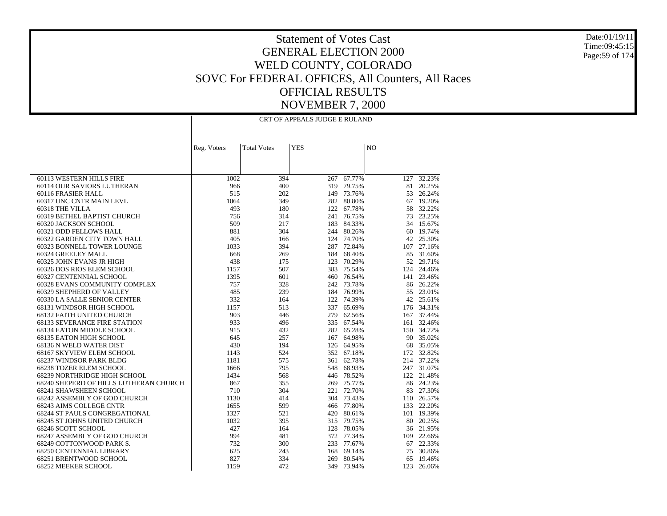Date:01/19/11 Time:09:45:15Page:59 of 174

|                                        | CRT OF APPEALS JUDGE E RULAND |                    |            |            |     |            |
|----------------------------------------|-------------------------------|--------------------|------------|------------|-----|------------|
|                                        | Reg. Voters                   | <b>Total Votes</b> | <b>YES</b> |            | NO  |            |
|                                        |                               |                    |            |            |     |            |
|                                        |                               |                    |            |            |     |            |
| 60113 WESTERN HILLS FIRE               | 1002                          | 394                | 267        | 67.77%     | 127 | 32.23%     |
| 60114 OUR SAVIORS LUTHERAN             | 966                           | 400                | 319        | 79.75%     | 81  | 20.25%     |
| 60116 FRASIER HALL                     | 515                           | 202                |            | 149 73.76% |     | 53 26.24%  |
| 60317 UNC CNTR MAIN LEVL               | 1064                          | 349                | 282        | 80.80%     | 67  | 19.20%     |
| 60318 THE VILLA                        | 493                           | 180                |            | 122 67.78% | 58  | 32.22%     |
| 60319 BETHEL BAPTIST CHURCH            | 756                           | 314                | 241        | 76.75%     | 73  | 23.25%     |
| 60320 JACKSON SCHOOL                   | 509                           | 217                | 183        | 84.33%     | 34  | 15.67%     |
| 60321 ODD FELLOWS HALL                 | 881                           | 304                |            | 244 80.26% | 60  | 19.74%     |
| 60322 GARDEN CITY TOWN HALL            | 405                           | 166                |            | 124 74.70% |     | 42 25.30%  |
| 60323 BONNELL TOWER LOUNGE             | 1033                          | 394                |            | 287 72.84% | 107 | 27.16%     |
| 60324 GREELEY MALL                     | 668                           | 269                |            | 184 68.40% | 85  | 31.60%     |
| 60325 JOHN EVANS JR HIGH               | 438                           | 175                | 123        | 70.29%     |     | 52 29.71%  |
| 60326 DOS RIOS ELEM SCHOOL             | 1157                          | 507                | 383        | 75.54%     | 124 | 24.46%     |
| 60327 CENTENNIAL SCHOOL                | 1395                          | 601                | 460        | 76.54%     |     | 141 23.46% |
| 60328 EVANS COMMUNITY COMPLEX          | 757                           | 328                |            | 242 73.78% |     | 86 26.22%  |
| 60329 SHEPHERD OF VALLEY               | 485                           | 239                |            | 184 76.99% | 55  | 23.01%     |
| 60330 LA SALLE SENIOR CENTER           | 332                           | 164                | 122        | 74.39%     | 42  | 25.61%     |
| 68131 WINDSOR HIGH SCHOOL              | 1157                          | 513                | 337        | 65.69%     |     | 176 34.31% |
| 68132 FAITH UNITED CHURCH              | 903                           | 446                | 279        | 62.56%     | 167 | 37.44%     |
| <b>68133 SEVERANCE FIRE STATION</b>    | 933                           | 496                |            | 335 67.54% | 161 | 32.46%     |
| 68134 EATON MIDDLE SCHOOL              | 915                           | 432                |            | 282 65.28% |     | 150 34.72% |
| 68135 EATON HIGH SCHOOL                | 645                           | 257                | 167        | 64.98%     |     | 90 35.02%  |
| 68136 N WELD WATER DIST                | 430                           | 194                | 126        | 64.95%     | 68  | 35.05%     |
| 68167 SKYVIEW ELEM SCHOOL              | 1143                          | 524                |            | 352 67.18% |     | 172 32.82% |
| 68237 WINDSOR PARK BLDG                | 1181                          | 575                | 361        | 62.78%     |     | 214 37.22% |
| 68238 TOZER ELEM SCHOOL                | 1666                          | 795                | 548        | 68.93%     |     | 247 31.07% |
| 68239 NORTHRIDGE HIGH SCHOOL           | 1434                          | 568                | 446        | 78.52%     |     | 122 21.48% |
| 68240 SHEPERD OF HILLS LUTHERAN CHURCH | 867                           | 355                | 269        | 75.77%     |     | 86 24.23%  |
| 68241 SHAWSHEEN SCHOOL                 | 710                           | 304                |            | 221 72.70% |     | 83 27.30%  |
| 68242 ASSEMBLY OF GOD CHURCH           | 1130                          | 414                |            | 304 73.43% |     | 110 26.57% |
| 68243 AIMS COLLEGE CNTR                | 1655                          | 599                |            | 466 77.80% |     | 133 22.20% |
| 68244 ST PAULS CONGREGATIONAL          | 1327                          | 521                | 420        | 80.61%     |     | 101 19.39% |
| 68245 ST JOHNS UNITED CHURCH           | 1032                          | 395                |            | 315 79.75% |     | 80 20.25%  |
| 68246 SCOTT SCHOOL                     | 427                           | 164                | 128        | 78.05%     |     | 36 21.95%  |
| 68247 ASSEMBLY OF GOD CHURCH           | 994                           | 481                | 372        | 77.34%     |     | 109 22.66% |
| 68249 COTTONWOOD PARK S.               | 732                           | 300                |            | 233 77.67% | 67  | 22.33%     |
| <b>68250 CENTENNIAL LIBRARY</b>        | 625                           | 243                | 168        | 69.14%     | 75  | 30.86%     |
| 68251 BRENTWOOD SCHOOL                 | 827                           | 334                | 269        | 80.54%     | 65  | 19.46%     |
| 68252 MEEKER SCHOOL                    | 1159                          | 472                | 349        | 73.94%     | 123 | 26.06%     |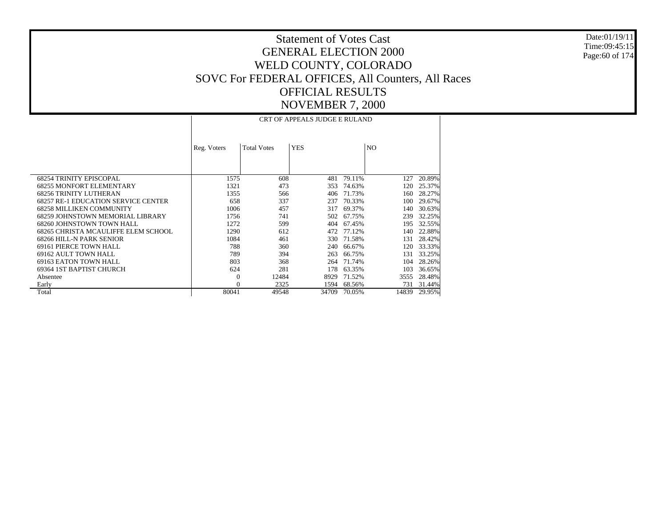Date:01/19/11 Time:09:45:15 Page:60 of 174

|                                            | CRT OF APPEALS JUDGE E RULAND |                    |            |        |       |        |  |
|--------------------------------------------|-------------------------------|--------------------|------------|--------|-------|--------|--|
|                                            | Reg. Voters                   | <b>Total Votes</b> | <b>YES</b> |        | NO.   |        |  |
| <b>68254 TRINITY EPISCOPAL</b>             | 1575                          | 608                | 481        | 79.11% | 127   | 20.89% |  |
| <b>68255 MONFORT ELEMENTARY</b>            | 1321                          | 473                | 353        | 74.63% | 120   | 25.37% |  |
| <b>68256 TRINITY LUTHERAN</b>              | 1355                          | 566                | 406        | 71.73% | 160   | 28.27% |  |
| <b>68257 RE-1 EDUCATION SERVICE CENTER</b> | 658                           | 337                | 237        | 70.33% | 100   | 29.67% |  |
| <b>68258 MILLIKEN COMMUNITY</b>            | 1006                          | 457                | 317        | 69.37% | 140   | 30.63% |  |
| 68259 JOHNSTOWN MEMORIAL LIBRARY           | 1756                          | 741                | 502        | 67.75% | 239   | 32.25% |  |
| 68260 JOHNSTOWN TOWN HALL                  | 1272                          | 599                | 404        | 67.45% | 195   | 32.55% |  |
| 68265 CHRISTA MCAULIFFE ELEM SCHOOL        | 1290                          | 612                | 472        | 77.12% | 140   | 22.88% |  |
| 68266 HILL-N PARK SENIOR                   | 1084                          | 461                | 330        | 71.58% | 131   | 28.42% |  |
| 69161 PIERCE TOWN HALL                     | 788                           | 360                | 240        | 66.67% | 120   | 33.33% |  |
| 69162 AULT TOWN HALL                       | 789                           | 394                | 263        | 66.75% | 131   | 33.25% |  |
| 69163 EATON TOWN HALL                      | 803                           | 368                | 264        | 71.74% | 104   | 28.26% |  |
| 69364 IST BAPTIST CHURCH                   | 624                           | 281                | 178        | 63.35% | 103   | 36.65% |  |
| Absentee                                   | $\theta$                      | 12484              | 8929       | 71.52% | 3555  | 28.48% |  |
| Early                                      | $\Omega$                      | 2325               | 1594       | 68.56% | 731   | 31.44% |  |
| Total                                      | 80041                         | 49548              | 34709      | 70.05% | 14839 | 29.95% |  |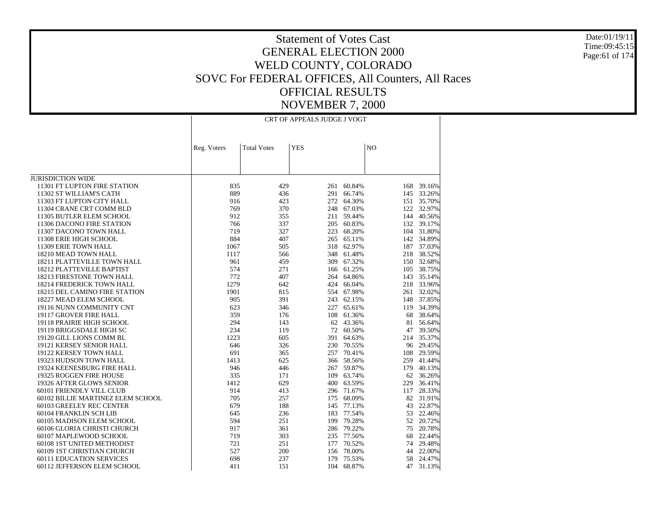Date:01/19/11 Time:09:45:15Page:61 of 174

|                                      | CRT OF APPEALS JUDGE J VOGT |                    |            |            |                |            |
|--------------------------------------|-----------------------------|--------------------|------------|------------|----------------|------------|
|                                      | Reg. Voters                 | <b>Total Votes</b> | <b>YES</b> |            | N <sub>O</sub> |            |
|                                      |                             |                    |            |            |                |            |
|                                      |                             |                    |            |            |                |            |
|                                      |                             |                    |            |            |                |            |
| <b>JURISDICTION WIDE</b>             |                             |                    |            |            |                |            |
| 11301 FT LUPTON FIRE STATION         | 835                         | 429                | 261        | 60.84%     | 168            | 39.16%     |
| 11302 ST WILLIAM'S CATH              | 889                         | 436                | 291        | 66.74%     | 145            | 33.26%     |
| 11303 FT LUPTON CITY HALL            | 916                         | 423                | 272        | 64.30%     | 151            | 35.70%     |
| 11304 CRANE CRT COMM BLD             | 769                         | 370                | 248        | 67.03%     | 122            | 32.97%     |
| 11305 BUTLER ELEM SCHOOL             | 912                         | 355                | 211        | 59.44%     | 144            | 40.56%     |
| 11306 DACONO FIRE STATION            | 766                         | 337                | 205        | 60.83%     |                | 132 39.17% |
| 11307 DACONO TOWN HALL               | 719                         | 327                | 223        | 68.20%     |                | 104 31.80% |
| 11308 ERIE HIGH SCHOOL               | 884                         | 407                | 265        | 65.11%     | 142            | 34.89%     |
| 11309 ERIE TOWN HALL                 | 1067                        | 505                |            | 318 62.97% | 187            | 37.03%     |
| 18210 MEAD TOWN HALL                 | 1117                        | 566                |            | 348 61.48% | 218            | 38.52%     |
| 18211 PLATTEVILLE TOWN HALL          | 961                         | 459                | 309        | 67.32%     | 150            | 32.68%     |
| 18212 PLATTEVILLE BAPTIST            | 574                         | 271                | 166        | 61.25%     |                | 105 38.75% |
| 18213 FIRESTONE TOWN HALL            | 772                         | 407                |            | 264 64.86% | 143            | 35.14%     |
| <b>18214 FREDERICK TOWN HALL</b>     | 1279                        | 642                |            | 424 66.04% |                | 218 33.96% |
| <b>18215 DEL CAMINO FIRE STATION</b> | 1901                        | 815                |            | 554 67.98% |                | 261 32.02% |
| 18227 MEAD ELEM SCHOOL               | 905                         | 391                | 243        | 62.15%     |                | 148 37.85% |
| 19116 NUNN COMMUNITY CNT             | 623                         | 346                | 227        | 65.61%     |                | 119 34.39% |
| 19117 GROVER FIRE HALL               | 359                         | 176                | 108        | 61.36%     | 68             | 38.64%     |
| 19118 PRAIRIE HIGH SCHOOL            | 294                         | 143                | 62         | 43.36%     | 81             | 56.64%     |
| 19119 BRIGGSDALE HIGH SC             | 234                         | 119                | 72         | 60.50%     | 47             | 39.50%     |
| 19120 GILL LIONS COMM BL             | 1223                        | 605                | 391        | 64.63%     | 214            | 35.37%     |
| 19121 KERSEY SENIOR HALL             | 646                         | 326                | 230        | 70.55%     |                | 96 29.45%  |
| 19122 KERSEY TOWN HALL               | 691                         | 365                | 257        | 70.41%     | 108            | 29.59%     |
| 19323 HUDSON TOWN HALL               | 1413                        | 625                |            | 366 58.56% | 259            | 41.44%     |
| 19324 KEENESBURG FIRE HALL           | 946                         | 446                | 267        | 59.87%     | 179            | 40.13%     |
| 19325 ROGGEN FIRE HOUSE              | 335                         | 171                | 109        | 63.74%     |                | 62 36.26%  |
| 19326 AFTER GLOWS SENIOR             | 1412                        | 629                | 400        | 63.59%     | 229            | 36.41%     |
| 60101 FRIENDLY VILL CLUB             | 914                         | 413                | 296        | 71.67%     | 117            | 28.33%     |
| 60102 BILLIE MARTINEZ ELEM SCHOOL    | 705                         | 257                | 175        | 68.09%     | 82             | 31.91%     |
| 60103 GREELEY REC CENTER             | 679                         | 188                | 145        | 77.13%     | 43             | 22.87%     |
| 60104 FRANKLIN SCH LIB               | 645                         | 236                | 183        | 77.54%     | 53             | 22.46%     |
| 60105 MADISON ELEM SCHOOL            | 594                         | 251                |            | 199 79.28% | 52             | 20.72%     |
| 60106 GLORIA CHRISTI CHURCH          | 917                         | 361                | 286        | 79.22%     | 75             | 20.78%     |
| 60107 MAPLEWOOD SCHOOL               | 719                         | 303                |            | 235 77.56% | 68             | 22.44%     |
| 60108 1ST UNITED METHODIST           | 721                         | 251                | 177        | 70.52%     | 74             | 29.48%     |
| 60109 1ST CHRISTIAN CHURCH           | 527                         | 200                | 156        | 78.00%     | 44             | 22.00%     |
| <b>60111 EDUCATION SERVICES</b>      | 698                         | 237                | 179        | 75.53%     | 58             | 24.47%     |
| 60112 JEFFERSON ELEM SCHOOL          | 411                         | 151                | 104        | 68.87%     | 47             | 31.13%     |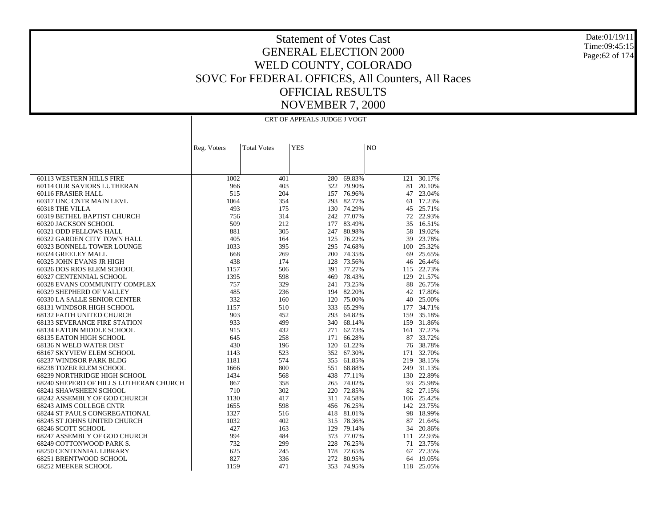Date:01/19/11 Time:09:45:15Page:62 of 174

|                                        | CRT OF APPEALS JUDGE J VOGT |                    |            |            |                |            |  |  |  |
|----------------------------------------|-----------------------------|--------------------|------------|------------|----------------|------------|--|--|--|
|                                        |                             |                    |            |            |                |            |  |  |  |
|                                        | Reg. Voters                 | <b>Total Votes</b> | <b>YES</b> |            | N <sub>O</sub> |            |  |  |  |
|                                        |                             |                    |            |            |                |            |  |  |  |
| 60113 WESTERN HILLS FIRE               | 1002                        | 401                |            | 280 69.83% | 121            | 30.17%     |  |  |  |
| 60114 OUR SAVIORS LUTHERAN             | 966                         | 403                | 322        | 79.90%     | 81             | 20.10%     |  |  |  |
| 60116 FRASIER HALL                     | 515                         | 204                |            | 157 76.96% | 47             | 23.04%     |  |  |  |
| 60317 UNC CNTR MAIN LEVL               | 1064                        | 354                | 293        | 82.77%     |                | 61 17.23%  |  |  |  |
| 60318 THE VILLA                        | 493                         | 175                |            | 130 74.29% | 45             | 25.71%     |  |  |  |
| 60319 BETHEL BAPTIST CHURCH            | 756                         | 314                |            | 242 77.07% | 72             | 22.93%     |  |  |  |
| 60320 JACKSON SCHOOL                   | 509                         | 212                | 177        | 83.49%     | 35             | 16.51%     |  |  |  |
| 60321 ODD FELLOWS HALL                 | 881                         | 305                | 247        | 80.98%     | 58             | 19.02%     |  |  |  |
| 60322 GARDEN CITY TOWN HALL            | 405                         | 164                | 125        | 76.22%     | 39             | 23.78%     |  |  |  |
| 60323 BONNELL TOWER LOUNGE             | 1033                        | 395                | 295        | 74.68%     | 100            | 25.32%     |  |  |  |
| 60324 GREELEY MALL                     | 668                         | 269                |            | 200 74.35% | 69             | 25.65%     |  |  |  |
| 60325 JOHN EVANS JR HIGH               | 438                         | 174                | 128        | 73.56%     | 46             | 26.44%     |  |  |  |
| 60326 DOS RIOS ELEM SCHOOL             | 1157                        | 506                | 391        | 77.27%     |                | 115 22.73% |  |  |  |
| 60327 CENTENNIAL SCHOOL                | 1395                        | 598                | 469        | 78.43%     | 129            | 21.57%     |  |  |  |
| 60328 EVANS COMMUNITY COMPLEX          | 757                         | 329                |            | 241 73.25% | 88             | 26.75%     |  |  |  |
| 60329 SHEPHERD OF VALLEY               | 485                         | 236                |            | 194 82.20% |                | 42 17.80%  |  |  |  |
| 60330 LA SALLE SENIOR CENTER           | 332                         | 160                | 120        | 75.00%     | 40             | 25.00%     |  |  |  |
| 68131 WINDSOR HIGH SCHOOL              | 1157                        | 510                | 333        | 65.29%     | 177            | 34.71%     |  |  |  |
| 68132 FAITH UNITED CHURCH              | 903                         | 452                | 293        | 64.82%     | 159            | 35.18%     |  |  |  |
| <b>68133 SEVERANCE FIRE STATION</b>    | 933                         | 499                |            | 340 68.14% |                | 159 31.86% |  |  |  |
| 68134 EATON MIDDLE SCHOOL              | 915                         | 432                | 271        | 62.73%     |                | 161 37.27% |  |  |  |
| 68135 EATON HIGH SCHOOL                | 645                         | 258                | 171        | 66.28%     |                | 87 33.72%  |  |  |  |
| 68136 N WELD WATER DIST                | 430                         | 196                | 120        | 61.22%     |                | 76 38.78%  |  |  |  |
| 68167 SKYVIEW ELEM SCHOOL              | 1143                        | 523                |            | 352 67.30% | 171            | 32.70%     |  |  |  |
| 68237 WINDSOR PARK BLDG                | 1181                        | 574                | 355        | 61.85%     | 219            | 38.15%     |  |  |  |
| 68238 TOZER ELEM SCHOOL                | 1666                        | 800                | 551        | 68.88%     |                | 249 31.13% |  |  |  |
| 68239 NORTHRIDGE HIGH SCHOOL           | 1434                        | 568                | 438        | 77.11%     |                | 130 22.89% |  |  |  |
| 68240 SHEPERD OF HILLS LUTHERAN CHURCH | 867                         | 358                |            | 265 74.02% |                | 93 25.98%  |  |  |  |
| 68241 SHAWSHEEN SCHOOL                 | 710                         | 302                | 220        | 72.85%     |                | 82 27.15%  |  |  |  |
| 68242 ASSEMBLY OF GOD CHURCH           | 1130                        | 417                | 311        | 74.58%     |                | 106 25.42% |  |  |  |
| 68243 AIMS COLLEGE CNTR                | 1655                        | 598                |            | 456 76.25% |                | 142 23.75% |  |  |  |
| 68244 ST PAULS CONGREGATIONAL          | 1327                        | 516                | 418        | 81.01%     | 98             | 18.99%     |  |  |  |
| 68245 ST JOHNS UNITED CHURCH           | 1032                        | 402                |            | 315 78.36% |                | 87 21.64%  |  |  |  |
| 68246 SCOTT SCHOOL                     | 427                         | 163                | 129        | 79.14%     | 34             | 20.86%     |  |  |  |
| 68247 ASSEMBLY OF GOD CHURCH           | 994                         | 484                | 373        | 77.07%     | 111            | 22.93%     |  |  |  |
| 68249 COTTONWOOD PARK S.               | 732                         | 299                | 228        | 76.25%     |                | 71 23.75%  |  |  |  |
| <b>68250 CENTENNIAL LIBRARY</b>        | 625                         | 245                | 178        | 72.65%     | 67             | 27.35%     |  |  |  |
| 68251 BRENTWOOD SCHOOL                 | 827                         | 336                | 272        | 80.95%     | 64             | 19.05%     |  |  |  |
| <b>68252 MEEKER SCHOOL</b>             | 1159                        | 471                | 353        | 74.95%     |                | 118 25.05% |  |  |  |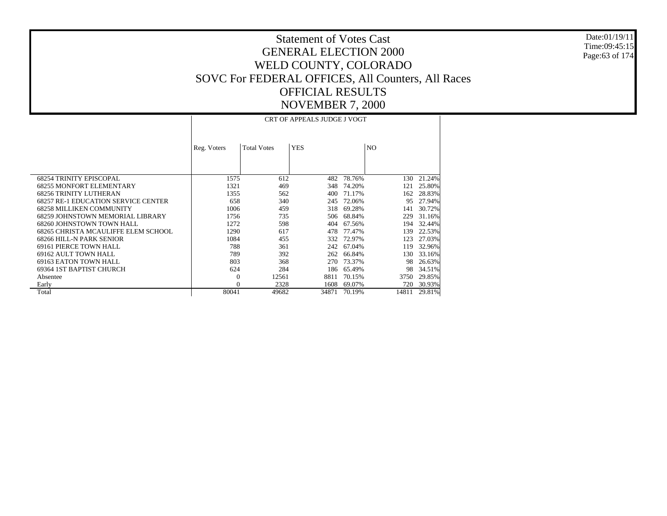Date:01/19/11 Time:09:45:15 Page:63 of 174

|                                            |             |                    | <b>CRT OF APPEALS JUDGE J VOGT</b> |        |       |        |
|--------------------------------------------|-------------|--------------------|------------------------------------|--------|-------|--------|
|                                            | Reg. Voters | <b>Total Votes</b> | <b>YES</b>                         |        | NO.   |        |
| <b>68254 TRINITY EPISCOPAL</b>             | 1575        | 612                | 482                                | 78.76% | 130   | 21.24% |
| <b>68255 MONFORT ELEMENTARY</b>            | 1321        | 469                | 348                                | 74.20% | 121   | 25.80% |
| <b>68256 TRINITY LUTHERAN</b>              | 1355        | 562                | 400                                | 71.17% | 162   | 28.83% |
| <b>68257 RE-1 EDUCATION SERVICE CENTER</b> | 658         | 340                | 245                                | 72.06% | 95    | 27.94% |
| <b>68258 MILLIKEN COMMUNITY</b>            | 1006        | 459                | 318                                | 69.28% | 141   | 30.72% |
| 68259 JOHNSTOWN MEMORIAL LIBRARY           | 1756        | 735                | 506                                | 68.84% | 229   | 31.16% |
| 68260 JOHNSTOWN TOWN HALL                  | 1272        | 598                | 404                                | 67.56% | 194   | 32.44% |
| 68265 CHRISTA MCAULIFFE ELEM SCHOOL        | 1290        | 617                | 478                                | 77.47% | 139   | 22.53% |
| 68266 HILL-N PARK SENIOR                   | 1084        | 455                | 332                                | 72.97% | 123   | 27.03% |
| 69161 PIERCE TOWN HALL                     | 788         | 361                | 242                                | 67.04% | 119   | 32.96% |
| 69162 AULT TOWN HALL                       | 789         | 392                | 262                                | 66.84% | 130   | 33.16% |
| 69163 EATON TOWN HALL                      | 803         | 368                | 270                                | 73.37% | 98    | 26.63% |
| 69364 IST BAPTIST CHURCH                   | 624         | 284                | 186                                | 65.49% | 98    | 34.51% |
| Absentee                                   | $\Omega$    | 12561              | 8811                               | 70.15% | 3750  | 29.85% |
| Early                                      | $\Omega$    | 2328               | 1608                               | 69.07% | 720   | 30.93% |
| Total                                      | 80041       | 49682              | 34871                              | 70.19% | 14811 | 29.81% |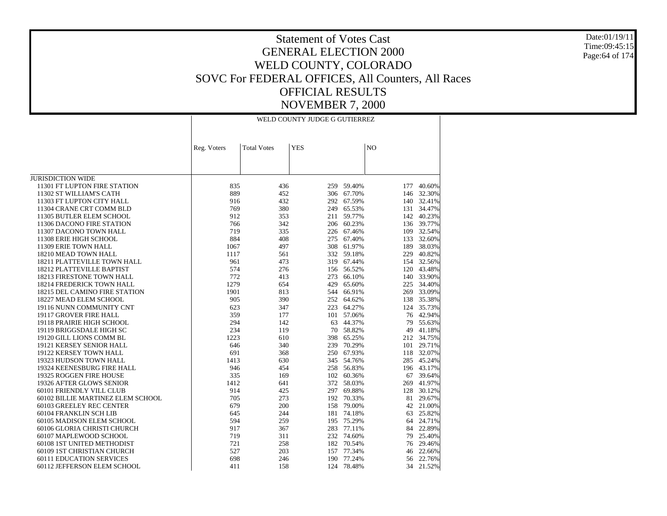Date:01/19/11 Time:09:45:15 Page:64 of 174

|                                   | WELD COUNTY JUDGE G GUTIERREZ |                    |            |            |                |            |  |  |  |
|-----------------------------------|-------------------------------|--------------------|------------|------------|----------------|------------|--|--|--|
|                                   | Reg. Voters                   | <b>Total Votes</b> | <b>YES</b> |            | N <sub>O</sub> |            |  |  |  |
|                                   |                               |                    |            |            |                |            |  |  |  |
|                                   |                               |                    |            |            |                |            |  |  |  |
|                                   |                               |                    |            |            |                |            |  |  |  |
| <b>JURISDICTION WIDE</b>          |                               |                    |            |            |                |            |  |  |  |
| 11301 FT LUPTON FIRE STATION      | 835                           | 436                | 259        | 59.40%     | 177            | 40.60%     |  |  |  |
| 11302 ST WILLIAM'S CATH           | 889                           | 452                |            | 306 67.70% | 146            | 32.30%     |  |  |  |
| 11303 FT LUPTON CITY HALL         | 916                           | 432                | 292        | 67.59%     |                | 140 32.41% |  |  |  |
| 11304 CRANE CRT COMM BLD          | 769                           | 380                | 249        | 65.53%     | 131            | 34.47%     |  |  |  |
| 11305 BUTLER ELEM SCHOOL          | 912                           | 353                | 211        | 59.77%     |                | 142 40.23% |  |  |  |
| 11306 DACONO FIRE STATION         | 766                           | 342                | 206        | 60.23%     |                | 136 39.77% |  |  |  |
| 11307 DACONO TOWN HALL            | 719                           | 335                |            | 226 67.46% |                | 109 32.54% |  |  |  |
| 11308 ERIE HIGH SCHOOL            | 884                           | 408                | 275        | 67.40%     |                | 133 32.60% |  |  |  |
| 11309 ERIE TOWN HALL              | 1067                          | 497                | 308        | 61.97%     |                | 189 38.03% |  |  |  |
| 18210 MEAD TOWN HALL              | 1117                          | 561                |            | 332 59.18% |                | 229 40.82% |  |  |  |
| 18211 PLATTEVILLE TOWN HALL       | 961                           | 473                |            | 319 67.44% |                | 154 32.56% |  |  |  |
| 18212 PLATTEVILLE BAPTIST         | 574                           | 276                |            | 156 56.52% |                | 120 43.48% |  |  |  |
| 18213 FIRESTONE TOWN HALL         | 772                           | 413                | 273        | 66.10%     |                | 140 33.90% |  |  |  |
| 18214 FREDERICK TOWN HALL         | 1279                          | 654                | 429        | 65.60%     |                | 225 34.40% |  |  |  |
| 18215 DEL CAMINO FIRE STATION     | 1901                          | 813                | 544        | 66.91%     |                | 269 33.09% |  |  |  |
| 18227 MEAD ELEM SCHOOL            | 905                           | 390                |            | 252 64.62% |                | 138 35.38% |  |  |  |
| 19116 NUNN COMMUNITY CNT          | 623                           | 347                |            | 223 64.27% |                | 124 35.73% |  |  |  |
| 19117 GROVER FIRE HALL            | 359                           | 177                | 101        | 57.06%     |                | 76 42.94%  |  |  |  |
| 19118 PRAIRIE HIGH SCHOOL         | 294                           | 142                | 63         | 44.37%     | 79             | 55.63%     |  |  |  |
| 19119 BRIGGSDALE HIGH SC          | 234                           | 119                | 70         | 58.82%     | 49             | 41.18%     |  |  |  |
| 19120 GILL LIONS COMM BL          | 1223                          | 610                | 398        | 65.25%     |                | 212 34.75% |  |  |  |
| 19121 KERSEY SENIOR HALL          | 646                           | 340                | 239        | 70.29%     | 101            | 29.71%     |  |  |  |
| 19122 KERSEY TOWN HALL            | 691                           | 368                |            | 250 67.93% |                | 118 32.07% |  |  |  |
| 19323 HUDSON TOWN HALL            | 1413                          | 630                |            | 345 54.76% |                | 285 45.24% |  |  |  |
| 19324 KEENESBURG FIRE HALL        | 946                           | 454                | 258        | 56.83%     |                | 196 43.17% |  |  |  |
| 19325 ROGGEN FIRE HOUSE           | 335                           | 169                | 102        | 60.36%     |                | 67 39.64%  |  |  |  |
| 19326 AFTER GLOWS SENIOR          | 1412                          | 641                | 372        | 58.03%     | 269            | 41.97%     |  |  |  |
| 60101 FRIENDLY VILL CLUB          | 914                           | 425                | 297        | 69.88%     | 128            | 30.12%     |  |  |  |
| 60102 BILLIE MARTINEZ ELEM SCHOOL | 705                           | 273                | 192        | 70.33%     | 81             | 29.67%     |  |  |  |
| 60103 GREELEY REC CENTER          | 679                           | 200                | 158        | 79.00%     |                | 42 21.00%  |  |  |  |
| 60104 FRANKLIN SCH LIB            | 645                           | 244                | 181        | 74.18%     | 63             | 25.82%     |  |  |  |
| 60105 MADISON ELEM SCHOOL         | 594                           | 259                | 195        | 75.29%     |                | 64 24.71%  |  |  |  |
| 60106 GLORIA CHRISTI CHURCH       | 917                           | 367                |            | 283 77.11% | 84             | 22.89%     |  |  |  |
| 60107 MAPLEWOOD SCHOOL            | 719                           | 311                |            | 232 74.60% | 79             | 25.40%     |  |  |  |
| 60108 1ST UNITED METHODIST        | 721                           | 258                |            | 182 70.54% | 76             | 29.46%     |  |  |  |
| 60109 1ST CHRISTIAN CHURCH        | 527                           | 203                | 157        | 77.34%     | 46             | 22.66%     |  |  |  |
| <b>60111 EDUCATION SERVICES</b>   | 698                           | 246                | 190        | 77.24%     | 56             | 22.76%     |  |  |  |
| 60112 JEFFERSON ELEM SCHOOL       | 411                           | 158                | 124        | 78.48%     | 34             | 21.52%     |  |  |  |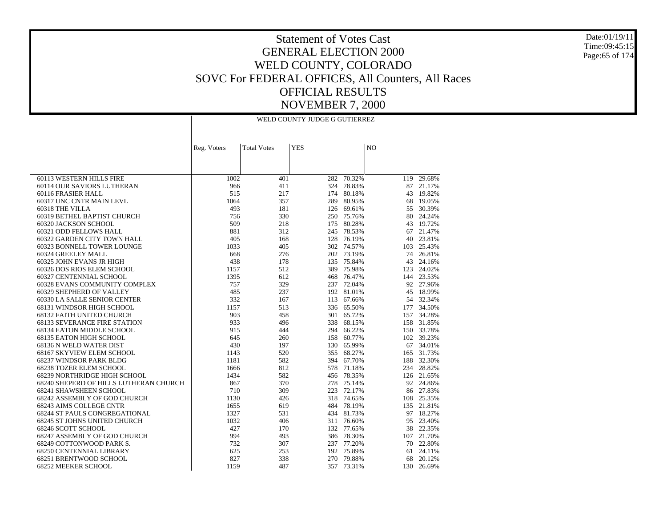Date:01/19/11 Time:09:45:15Page:65 of 174

|                                        | WELD COUNTY JUDGE G GUTIERREZ |                    |            |            |     |            |  |  |  |
|----------------------------------------|-------------------------------|--------------------|------------|------------|-----|------------|--|--|--|
|                                        |                               | <b>Total Votes</b> | <b>YES</b> |            | NO  |            |  |  |  |
|                                        | Reg. Voters                   |                    |            |            |     |            |  |  |  |
|                                        |                               |                    |            |            |     |            |  |  |  |
|                                        |                               |                    |            |            |     |            |  |  |  |
| 60113 WESTERN HILLS FIRE               | 1002                          | 401                | 282        | 70.32%     |     | 119 29.68% |  |  |  |
| 60114 OUR SAVIORS LUTHERAN             | 966                           | 411                | 324        | 78.83%     | 87  | 21.17%     |  |  |  |
| 60116 FRASIER HALL                     | 515                           | 217                | 174        | 80.18%     |     | 43 19.82%  |  |  |  |
| 60317 UNC CNTR MAIN LEVL               | 1064                          | 357                | 289        | 80.95%     | 68  | 19.05%     |  |  |  |
| 60318 THE VILLA                        | 493                           | 181                |            | 126 69.61% | 55  | 30.39%     |  |  |  |
| 60319 BETHEL BAPTIST CHURCH            | 756                           | 330                |            | 250 75.76% | 80  | 24.24%     |  |  |  |
| 60320 JACKSON SCHOOL                   | 509                           | 218                | 175        | 80.28%     | 43  | 19.72%     |  |  |  |
| 60321 ODD FELLOWS HALL                 | 881                           | 312                | 245        | 78.53%     | 67  | 21.47%     |  |  |  |
| 60322 GARDEN CITY TOWN HALL            | 405                           | 168                | 128        | 76.19%     | 40  | 23.81%     |  |  |  |
| 60323 BONNELL TOWER LOUNGE             | 1033                          | 405                |            | 302 74.57% | 103 | 25.43%     |  |  |  |
| 60324 GREELEY MALL                     | 668                           | 276                |            | 202 73.19% | 74  | 26.81%     |  |  |  |
| 60325 JOHN EVANS JR HIGH               | 438                           | 178                | 135        | 75.84%     | 43  | 24.16%     |  |  |  |
| 60326 DOS RIOS ELEM SCHOOL             | 1157                          | 512                | 389        | 75.98%     | 123 | 24.02%     |  |  |  |
| 60327 CENTENNIAL SCHOOL                | 1395                          | 612                | 468        | 76.47%     |     | 144 23.53% |  |  |  |
| 60328 EVANS COMMUNITY COMPLEX          | 757                           | 329                |            | 237 72.04% |     | 92 27.96%  |  |  |  |
| 60329 SHEPHERD OF VALLEY               | 485                           | 237                |            | 192 81.01% | 45  | 18.99%     |  |  |  |
| 60330 LA SALLE SENIOR CENTER           | 332                           | 167                | 113        | 67.66%     | 54  | 32.34%     |  |  |  |
| 68131 WINDSOR HIGH SCHOOL              | 1157                          | 513                | 336        | 65.50%     | 177 | 34.50%     |  |  |  |
| 68132 FAITH UNITED CHURCH              | 903                           | 458                | 301        | 65.72%     | 157 | 34.28%     |  |  |  |
| <b>68133 SEVERANCE FIRE STATION</b>    | 933                           | 496                | 338        | 68.15%     |     | 158 31.85% |  |  |  |
| 68134 EATON MIDDLE SCHOOL              | 915                           | 444                | 294        | 66.22%     |     | 150 33.78% |  |  |  |
| 68135 EATON HIGH SCHOOL                | 645                           | 260                | 158        | 60.77%     |     | 102 39.23% |  |  |  |
| 68136 N WELD WATER DIST                | 430                           | 197                | 130        | 65.99%     |     | 67 34.01%  |  |  |  |
| 68167 SKYVIEW ELEM SCHOOL              | 1143                          | 520                | 355        | 68.27%     | 165 | 31.73%     |  |  |  |
| 68237 WINDSOR PARK BLDG                | 1181                          | 582                | 394        | 67.70%     |     | 188 32.30% |  |  |  |
| 68238 TOZER ELEM SCHOOL                | 1666                          | 812                |            | 578 71.18% | 234 | 28.82%     |  |  |  |
| 68239 NORTHRIDGE HIGH SCHOOL           | 1434                          | 582                | 456        | 78.35%     |     | 126 21.65% |  |  |  |
| 68240 SHEPERD OF HILLS LUTHERAN CHURCH | 867                           | 370                |            | 278 75.14% |     | 92 24.86%  |  |  |  |
| 68241 SHAWSHEEN SCHOOL                 | 710                           | 309                | 223        | 72.17%     |     | 86 27.83%  |  |  |  |
| 68242 ASSEMBLY OF GOD CHURCH           | 1130                          | 426                | 318        | 74.65%     |     | 108 25.35% |  |  |  |
| 68243 AIMS COLLEGE CNTR                | 1655                          | 619                |            | 484 78.19% |     | 135 21.81% |  |  |  |
| 68244 ST PAULS CONGREGATIONAL          | 1327                          | 531                | 434        | 81.73%     | 97  | 18.27%     |  |  |  |
| 68245 ST JOHNS UNITED CHURCH           | 1032                          | 406                |            | 311 76.60% |     | 95 23.40%  |  |  |  |
| 68246 SCOTT SCHOOL                     | 427                           | 170                |            | 132 77.65% | 38  | 22.35%     |  |  |  |
| 68247 ASSEMBLY OF GOD CHURCH           | 994                           | 493                |            | 386 78.30% |     | 107 21.70% |  |  |  |
| 68249 COTTONWOOD PARK S.               | 732                           | 307                |            | 237 77.20% |     | 70 22.80%  |  |  |  |
| <b>68250 CENTENNIAL LIBRARY</b>        | 625                           | 253                |            | 192 75.89% | 61  | 24.11%     |  |  |  |
| 68251 BRENTWOOD SCHOOL                 | 827                           | 338                | 270        | 79.88%     | 68  | 20.12%     |  |  |  |
| 68252 MEEKER SCHOOL                    | 1159                          | 487                | 357        | 73.31%     | 130 | 26.69%     |  |  |  |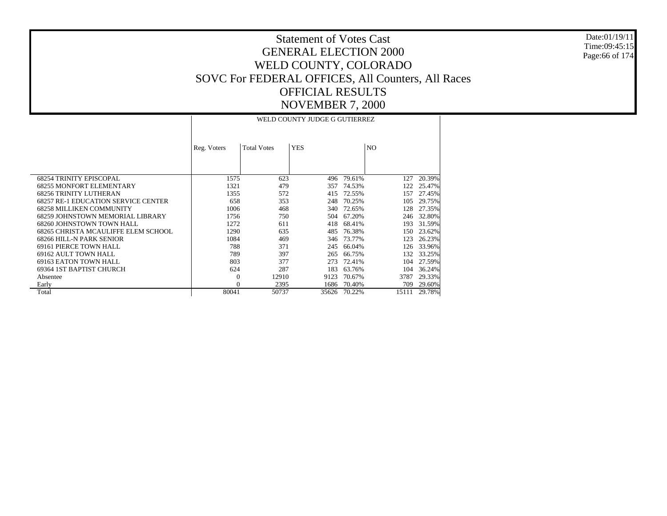Date:01/19/11 Time:09:45:15 Page:66 of 174

|                                            |             |                    | WELD COUNTY JUDGE G GUTIERREZ |              |       |        |
|--------------------------------------------|-------------|--------------------|-------------------------------|--------------|-------|--------|
|                                            | Reg. Voters | <b>Total Votes</b> | <b>YES</b>                    |              | NO.   |        |
| <b>68254 TRINITY EPISCOPAL</b>             | 1575        | 623                | 496                           | 79.61%       | 127   | 20.39% |
| <b>68255 MONFORT ELEMENTARY</b>            | 1321        | 479                | 357                           | 74.53%       | 122   | 25.47% |
| <b>68256 TRINITY LUTHERAN</b>              | 1355        | 572                | 415                           | 72.55%       | 157   | 27.45% |
| <b>68257 RE-1 EDUCATION SERVICE CENTER</b> | 658         | 353                | 248                           | 70.25%       | 105   | 29.75% |
| <b>68258 MILLIKEN COMMUNITY</b>            | 1006        | 468                | 340                           | 72.65%       | 128   | 27.35% |
| 68259 JOHNSTOWN MEMORIAL LIBRARY           | 1756        | 750                | 504                           | 67.20%       | 246   | 32.80% |
| 68260 JOHNSTOWN TOWN HALL                  | 1272        | 611                | 418                           | 68.41%       | 193   | 31.59% |
| 68265 CHRISTA MCAULIFFE ELEM SCHOOL        | 1290        | 635                | 485                           | 76.38%       | 150   | 23.62% |
| 68266 HILL-N PARK SENIOR                   | 1084        | 469                | 346                           | 73.77%       | 123   | 26.23% |
| 69161 PIERCE TOWN HALL                     | 788         | 371                | 245                           | 66.04%       | 126   | 33.96% |
| 69162 AULT TOWN HALL                       | 789         | 397                | 265                           | 66.75%       | 132   | 33.25% |
| 69163 EATON TOWN HALL                      | 803         | 377                | 273                           | 72.41%       | 104   | 27.59% |
| 69364 IST BAPTIST CHURCH                   | 624         | 287                | 183                           | 63.76%       | 104   | 36.24% |
| Absentee                                   | $\theta$    | 12910              | 9123                          | 70.67%       | 3787  | 29.33% |
| Early                                      | $\Omega$    | 2395               | 1686                          | 70.40%       | 709   | 29.60% |
| Total                                      | 80041       | 50737              |                               | 35626 70.22% | 15111 | 29.78% |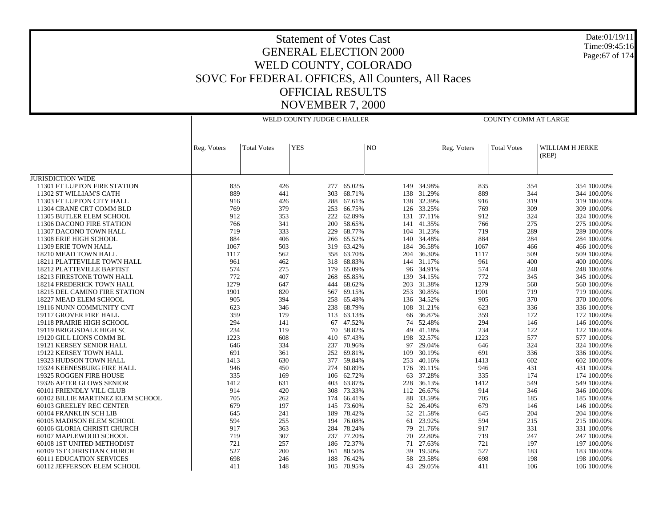#### Date:01/19/11 Time:09:45:16 Page:67 of 174

|                                   |             | WELD COUNTY JUDGE C HALLER |            |            |     |            |             | COUNTY COMM AT LARGE |                          |  |  |
|-----------------------------------|-------------|----------------------------|------------|------------|-----|------------|-------------|----------------------|--------------------------|--|--|
|                                   | Reg. Voters | <b>Total Votes</b>         | <b>YES</b> |            | NO  |            | Reg. Voters | <b>Total Votes</b>   | WILLIAM H JERKE<br>(REP) |  |  |
| <b>JURISDICTION WIDE</b>          |             |                            |            |            |     |            |             |                      |                          |  |  |
| 11301 FT LUPTON FIRE STATION      | 835         | 426                        | 277        | 65.02%     |     | 149 34.98% | 835         | 354                  | 354 100.00%              |  |  |
| 11302 ST WILLIAM'S CATH           | 889         | 441                        | 303        | 68.71%     |     | 138 31.29% | 889         | 344                  | 344 100.00%              |  |  |
| 11303 FT LUPTON CITY HALL         | 916         | 426                        | 288        | 67.61%     | 138 | 32.39%     | 916         | 319                  | 319 100,00%              |  |  |
| 11304 CRANE CRT COMM BLD          | 769         | 379                        |            | 253 66.75% | 126 | 33.25%     | 769         | 309                  | 309 100.00%              |  |  |
| 11305 BUTLER ELEM SCHOOL          | 912         | 353                        | 222        | 62.89%     | 131 | 37.11%     | 912         | 324                  | 324 100.00%              |  |  |
| 11306 DACONO FIRE STATION         | 766         | 341                        | 200        | 58.65%     | 141 | 41.35%     | 766         | 275                  | 275 100.00%              |  |  |
| 11307 DACONO TOWN HALL            | 719         | 333                        | 229        | 68.77%     | 104 | 31.23%     | 719         | 289                  | 289 100.00%              |  |  |
| 11308 ERIE HIGH SCHOOL            | 884         | 406                        | 266        | 65.52%     | 140 | 34.48%     | 884         | 284                  | 284 100.00%              |  |  |
| 11309 ERIE TOWN HALL              | 1067        | 503                        |            | 319 63.42% | 184 | 36.58%     | 1067        | 466                  | 466 100.00%              |  |  |
| 18210 MEAD TOWN HALL              | 1117        | 562                        | 358        | 63.70%     | 204 | 36.30%     | 1117        | 509                  | 509 100,00%              |  |  |
| 18211 PLATTEVILLE TOWN HALL       | 961         | 462                        |            | 318 68.83% | 144 | 31.17%     | 961         | 400                  | 400 100.00%              |  |  |
| 18212 PLATTEVILLE BAPTIST         | 574         | 275                        | 179        | 65.09%     | 96  | 34.91%     | 574         | 248                  | 248 100.00%              |  |  |
| <b>18213 FIRESTONE TOWN HALL</b>  | 772         | 407                        | 268        | 65.85%     | 139 | 34.15%     | 772         | 345                  | 345 100.00%              |  |  |
| 18214 FREDERICK TOWN HALL         | 1279        | 647                        | 444        | 68.62%     | 203 | 31.38%     | 1279        | 560                  | 560 100.00%              |  |  |
| 18215 DEL CAMINO FIRE STATION     | 1901        | 820                        | 567        | 69.15%     | 253 | 30.85%     | 1901        | 719                  | 719 100.00%              |  |  |
| 18227 MEAD ELEM SCHOOL            | 905         | 394                        |            | 258 65.48% | 136 | 34.52%     | 905         | 370                  | 370 100,00%              |  |  |
| 19116 NUNN COMMUNITY CNT          | 623         | 346                        | 238        | 68.79%     | 108 | 31.21%     | 623         | 336                  | 336 100.00%              |  |  |
| 19117 GROVER FIRE HALL            | 359         | 179                        |            | 113 63.13% | 66  | 36.87%     | 359         | 172                  | 172 100.00%              |  |  |
| 19118 PRAIRIE HIGH SCHOOL         | 294         | 141                        | 67         | 47.52%     | 74  | 52.48%     | 294         | 146                  | 146 100.00%              |  |  |
| 19119 BRIGGSDALE HIGH SC          | 234         | 119                        | 70         | 58.82%     | 49  | 41.18%     | 234         | 122                  | 122 100,00%              |  |  |
| 19120 GILL LIONS COMM BL          | 1223        | 608                        |            | 410 67.43% | 198 | 32.57%     | 1223        | 577                  | 577 100.00%              |  |  |
| 19121 KERSEY SENIOR HALL          | 646         | 334                        | 237        | 70.96%     | 97  | 29.04%     | 646         | 324                  | 324 100.00%              |  |  |
| 19122 KERSEY TOWN HALL            | 691         | 361                        |            | 252 69.81% | 109 | 30.19%     | 691         | 336                  | 336 100.00%              |  |  |
| 19323 HUDSON TOWN HALL            | 1413        | 630                        | 377        | 59.84%     | 253 | 40.16%     | 1413        | 602                  | 602 100.00%              |  |  |
| 19324 KEENESBURG FIRE HALL        | 946         | 450                        |            | 274 60.89% | 176 | 39.11%     | 946         | 431                  | 431 100.00%              |  |  |
| 19325 ROGGEN FIRE HOUSE           | 335         | 169                        |            | 106 62.72% | 63  | 37.28%     | 335         | 174                  | 174 100,00%              |  |  |
| 19326 AFTER GLOWS SENIOR          | 1412        | 631                        | 403        | 63.87%     | 228 | 36.13%     | 1412        | 549                  | 549 100.00%              |  |  |
| 60101 FRIENDLY VILL CLUB          | 914         | 420                        |            | 308 73.33% | 112 | 26.67%     | 914         | 346                  | 346 100.00%              |  |  |
| 60102 BILLIE MARTINEZ ELEM SCHOOL | 705         | 262                        | 174        | 66.41%     | 88  | 33.59%     | 705         | 185                  | 185 100,00%              |  |  |
| 60103 GREELEY REC CENTER          | 679         | 197                        |            | 145 73.60% | 52  | 26.40%     | 679         | 146                  | 146 100.00%              |  |  |
| 60104 FRANKLIN SCH LIB            | 645         | 241                        | 189        | 78.42%     | 52  | 21.58%     | 645         | 204                  | 204 100.00%              |  |  |
| 60105 MADISON ELEM SCHOOL         | 594         | 255                        | 194        | 76.08%     | 61  | 23.92%     | 594         | 215                  | 215 100.00%              |  |  |
| 60106 GLORIA CHRISTI CHURCH       | 917         | 363                        |            | 284 78.24% | 79  | 21.76%     | 917         | 331                  | 331 100.00%              |  |  |
| 60107 MAPLEWOOD SCHOOL            | 719         | 307                        | 237        | 77.20%     | 70  | 22.80%     | 719         | 247                  | 247 100.00%              |  |  |
| 60108 1ST UNITED METHODIST        | 721         | 257                        |            | 186 72.37% | 71  | 27.63%     | 721         | 197                  | 197 100.00%              |  |  |
| 60109 1ST CHRISTIAN CHURCH        | 527         | 200                        | 161        | 80.50%     | 39  | 19.50%     | 527         | 183                  | 183 100.00%              |  |  |
| <b>60111 EDUCATION SERVICES</b>   | 698         | 246                        | 188        | 76.42%     | 58  | 23.58%     | 698         | 198                  | 198 100.00%              |  |  |
| 60112 JEFFERSON ELEM SCHOOL       | 411         | 148                        |            | 105 70.95% | 43  | 29.05%     | 411         | 106                  | 106 100.00%              |  |  |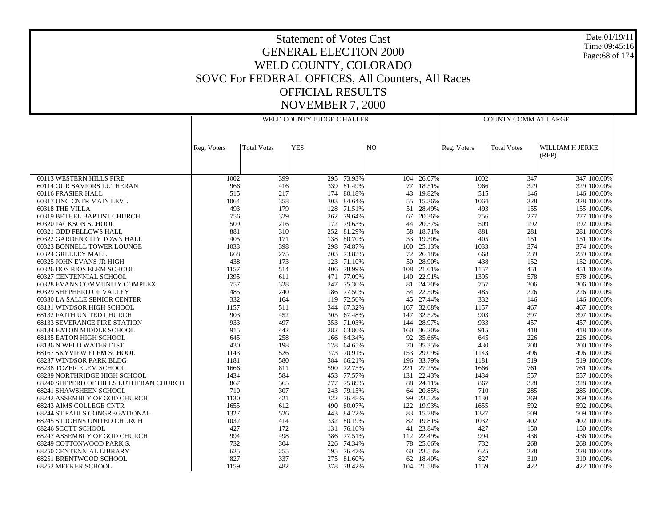Date:01/19/11 Time:09:45:16 Page:68 of 174

|                                                | WELD COUNTY JUDGE C HALLER |                    |            |                      |           |                  | <b>COUNTY COMM AT LARGE</b> |                    |                            |  |  |
|------------------------------------------------|----------------------------|--------------------|------------|----------------------|-----------|------------------|-----------------------------|--------------------|----------------------------|--|--|
|                                                |                            |                    |            |                      |           |                  |                             |                    |                            |  |  |
|                                                |                            |                    |            |                      |           |                  |                             |                    |                            |  |  |
|                                                | Reg. Voters                | <b>Total Votes</b> | <b>YES</b> |                      | NO.       |                  | Reg. Voters                 | <b>Total Votes</b> | WILLIAM H JERKE            |  |  |
|                                                |                            |                    |            |                      |           |                  |                             |                    | (REP)                      |  |  |
|                                                |                            |                    |            |                      |           |                  |                             |                    |                            |  |  |
|                                                |                            |                    |            |                      |           |                  |                             |                    |                            |  |  |
| 60113 WESTERN HILLS FIRE                       | 1002                       | 399                |            | 295 73.93%           | 104       | 26.07%           | 1002                        | 347                | 347 100.00%                |  |  |
| <b>60114 OUR SAVIORS LUTHERAN</b>              | 966                        | 416                |            | 339 81.49%           | 77        | 18.51%           | 966                         | 329                | 329 100.00%                |  |  |
| 60116 FRASIER HALL                             | 515                        | 217                | 174        | 80.18%               | 43        | 19.82%           | 515                         | 146                | 146 100.00%                |  |  |
| 60317 UNC CNTR MAIN LEVL                       | 1064                       | 358                |            | 303 84.64%           | 55        | 15.36%           | 1064                        | 328                | 328 100.00%                |  |  |
| 60318 THE VILLA                                | 493                        | 179                |            | 128 71.51%           | 51        | 28.49%           | 493                         | 155                | 155 100.00%                |  |  |
| 60319 BETHEL BAPTIST CHURCH                    | 756                        | 329                | 262        | 79.64%               | 67        | 20.36%           | 756                         | 277                | 277 100.00%                |  |  |
| 60320 JACKSON SCHOOL                           | 509                        | 216                | 172        | 79.63%               | 44        | 20.37%           | 509                         | 192                | 192 100.00%                |  |  |
| 60321 ODD FELLOWS HALL                         | 881                        | 310                |            | 252 81.29%           | 58        | 18.71%           | 881                         | 281                | 281 100.00%                |  |  |
| 60322 GARDEN CITY TOWN HALL                    | 405<br>1033                | 171<br>398         | 298        | 138 80.70%<br>74.87% | 33<br>100 | 19.30%<br>25.13% | 405<br>1033                 | 151<br>374         | 151 100.00%<br>374 100.00% |  |  |
| 60323 BONNELL TOWER LOUNGE                     | 668                        | 275                |            | 73.82%               | 72        | 26.18%           | 668                         | 239                |                            |  |  |
| 60324 GREELEY MALL<br>60325 JOHN EVANS JR HIGH | 438                        | 173                | 203        | 123 71.10%           | 50        | 28.90%           | 438                         | 152                | 239 100.00%<br>152 100.00% |  |  |
| 60326 DOS RIOS ELEM SCHOOL                     | 1157                       | 514                | 406        | 78.99%               | 108       | 21.01%           | 1157                        | 451                | 451 100.00%                |  |  |
| 60327 CENTENNIAL SCHOOL                        | 1395                       | 611                |            | 471 77.09%           | 140       | 22.91%           | 1395                        | 578                | 578 100.00%                |  |  |
| 60328 EVANS COMMUNITY COMPLEX                  | 757                        | 328                | 247        | 75.30%               | 81        | 24.70%           | 757                         | 306                | 306 100.00%                |  |  |
| 60329 SHEPHERD OF VALLEY                       | 485                        | 240                | 186        | 77.50%               | 54        | 22.50%           | 485                         | 226                | 226 100.00%                |  |  |
| 60330 LA SALLE SENIOR CENTER                   | 332                        | 164                |            | 119 72.56%           | 45        | 27.44%           | 332                         | 146                | 146 100.00%                |  |  |
| 68131 WINDSOR HIGH SCHOOL                      | 1157                       | 511                |            | 344 67.32%           | 167       | 32.68%           | 1157                        | 467                | 467 100.00%                |  |  |
| <b>68132 FAITH UNITED CHURCH</b>               | 903                        | 452                |            | 305 67.48%           | 147       | 32.52%           | 903                         | 397                | 397 100.00%                |  |  |
| <b>68133 SEVERANCE FIRE STATION</b>            | 933                        | 497                |            | 353 71.03%           | 144       | 28.97%           | 933                         | 457                | 457 100.00%                |  |  |
| 68134 EATON MIDDLE SCHOOL                      | 915                        | 442                |            | 282 63.80%           | 160       | 36.20%           | 915                         | 418                | 418 100.00%                |  |  |
| <b>68135 EATON HIGH SCHOOL</b>                 | 645                        | 258                | 166        | 64.34%               | 92        | 35.66%           | 645                         | 226                | 226 100.00%                |  |  |
| 68136 N WELD WATER DIST                        | 430                        | 198                | 128        | 64.65%               | 70        | 35.35%           | 430                         | 200                | 200 100.00%                |  |  |
| 68167 SKYVIEW ELEM SCHOOL                      | 1143                       | 526                |            | 373 70.91%           | 153       | 29.09%           | 1143                        | 496                | 496 100.00%                |  |  |
| 68237 WINDSOR PARK BLDG                        | 1181                       | 580                | 384        | 66.21%               | 196       | 33.79%           | 1181                        | 519                | 519 100.00%                |  |  |
| 68238 TOZER ELEM SCHOOL                        | 1666                       | 811                |            | 590 72.75%           | 221       | 27.25%           | 1666                        | 761                | 761 100.00%                |  |  |
| 68239 NORTHRIDGE HIGH SCHOOL                   | 1434                       | 584                |            | 453 77.57%           | 131       | 22.43%           | 1434                        | 557                | 557 100.00%                |  |  |
| 68240 SHEPERD OF HILLS LUTHERAN CHURCH         | 867                        | 365                | 277        | 75.89%               | 88        | 24.11%           | 867                         | 328                | 328 100.00%                |  |  |
| 68241 SHAWSHEEN SCHOOL                         | 710                        | 307                |            | 243 79.15%           | 64        | 20.85%           | 710                         | 285                | 285 100.00%                |  |  |
| 68242 ASSEMBLY OF GOD CHURCH                   | 1130                       | 421                | 322        | 76.48%               | 99        | 23.52%           | 1130                        | 369                | 369 100.00%                |  |  |
| 68243 AIMS COLLEGE CNTR                        | 1655                       | 612                | 490        | 80.07%               | 122       | 19.93%           | 1655                        | 592                | 592 100.00%                |  |  |
| <b>68244 ST PAULS CONGREGATIONAL</b>           | 1327                       | 526                | 443        | 84.22%               | 83        | 15.78%           | 1327                        | 509                | 509 100.00%                |  |  |
| 68245 ST JOHNS UNITED CHURCH                   | 1032                       | 414                |            | 332 80.19%           | 82        | 19.81%           | 1032                        | 402                | 402 100.00%                |  |  |
| 68246 SCOTT SCHOOL                             | 427                        | 172                | 131        | 76.16%               | 41        | 23.84%           | 427                         | 150                | 150 100.00%                |  |  |
| 68247 ASSEMBLY OF GOD CHURCH                   | 994                        | 498                | 386        | 77.51%               | 112       | 22.49%           | 994                         | 436                | 436 100.00%                |  |  |
| 68249 COTTONWOOD PARK S.                       | 732                        | 304                |            | 226 74.34%           | 78        | 25.66%           | 732                         | 268                | 268 100.00%                |  |  |
| <b>68250 CENTENNIAL LIBRARY</b>                | 625                        | 255                | 195        | 76.47%               | 60        | 23.53%           | 625                         | 228                | 228 100.00%                |  |  |
| 68251 BRENTWOOD SCHOOL                         | 827                        | 337                |            | 275 81.60%           | 62        | 18.40%           | 827                         | 310                | 310 100.00%                |  |  |
| <b>68252 MEEKER SCHOOL</b>                     | 1159                       | 482                |            | 378 78.42%           |           | 104 21.58%       | 1159                        | 422                | 422 100.00%                |  |  |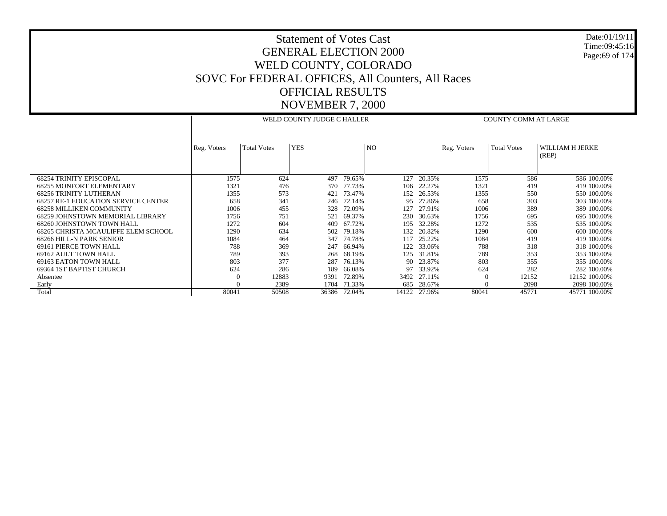Date:01/19/11 Time:09:45:16 Page:69 of 174

|                                            |             |                    | WELD COUNTY JUDGE C HALLER | <b>COUNTY COMM AT LARGE</b> |                |        |             |                    |                          |
|--------------------------------------------|-------------|--------------------|----------------------------|-----------------------------|----------------|--------|-------------|--------------------|--------------------------|
|                                            | Reg. Voters | <b>Total Votes</b> | <b>YES</b>                 |                             | N <sub>O</sub> |        | Reg. Voters | <b>Total Votes</b> | WILLIAM H JERKE<br>(REP) |
| <b>68254 TRINITY EPISCOPAL</b>             | 1575        | 624                | 497                        | 79.65%                      | 127            | 20.35% | 1575        | 586                | 586 100.00%              |
| <b>68255 MONFORT ELEMENTARY</b>            | 1321        | 476                | 370                        | 77.73%                      | 106            | 22.27% | 1321        | 419                | 419 100.00%              |
| <b>68256 TRINITY LUTHERAN</b>              | 1355        | 573                | 421                        | 73.47%                      | 152            | 26.53% | 1355        | 550                | 550 100.00%              |
| <b>68257 RE-1 EDUCATION SERVICE CENTER</b> | 658         | 341                | 246                        | 72.14%                      | 95             | 27.86% | 658         | 303                | 303 100.00%              |
| <b>68258 MILLIKEN COMMUNITY</b>            | 1006        | 455                | 328                        | 72.09%                      | 127            | 27.91% | 1006        | 389                | 389 100.00%              |
| 68259 JOHNSTOWN MEMORIAL LIBRARY           | 1756        | 751                | 521                        | 69.37%                      | 230            | 30.63% | 1756        | 695                | 695 100.00%              |
| 68260 JOHNSTOWN TOWN HALL                  | 1272        | 604                | 409                        | 67.72%                      | 195            | 32.28% | 1272        | 535                | 535 100.00%              |
| 68265 CHRISTA MCAULIFFE ELEM SCHOOL        | 1290        | 634                | 502                        | 79.18%                      | 132            | 20.82% | 1290        | 600                | 600 100.00%              |
| 68266 HILL-N PARK SENIOR                   | 1084        | 464                | 347                        | 74.78%                      | 117            | 25.22% | 1084        | 419                | 419 100.00%              |
| 69161 PIERCE TOWN HALL                     | 788         | 369                | 247                        | 66.94%                      | 122            | 33.06% | 788         | 318                | 318 100,00%              |
| 69162 AULT TOWN HALL                       | 789         | 393                | 268                        | 68.19%                      | 125            | 31.81% | 789         | 353                | 353 100.00%              |
| 69163 EATON TOWN HALL                      | 803         | 377                | 287                        | 76.13%                      | 90             | 23.87% | 803         | 355                | 355 100.00%              |
| 69364 IST BAPTIST CHURCH                   | 624         | 286                | 189                        | 66.08%                      | 97             | 33.92% | 624         | 282                | 282 100,00%              |
| Absentee                                   | $\theta$    | 12883              | 9391                       | 72.89%                      | 3492           | 27.11% | $\Omega$    | 12152              | 12152 100.00%            |
| Early                                      | $\Omega$    | 2389               | 1704                       | 71.33%                      | 685            | 28.67% | $\Omega$    | 2098               | 2098 100.00%             |
| Total                                      | 80041       | 50508              | 36386                      | 72.04%                      | 14122          | 27.96% | 80041       | 45771              | 45771 100.00%            |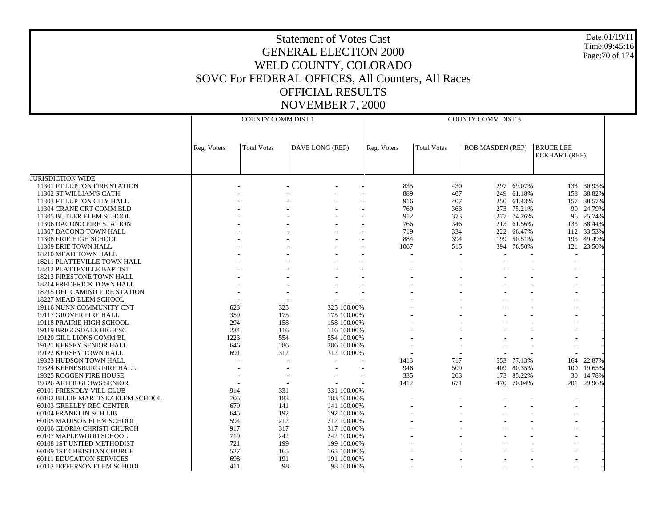Date:01/19/11 Time:09:45:16 Page:70 of 174

|                                                               |             | <b>COUNTY COMM DIST 1</b> |                 |                          | <b>COUNTY COMM DIST 3</b> |                         |                          |                                          |            |  |  |
|---------------------------------------------------------------|-------------|---------------------------|-----------------|--------------------------|---------------------------|-------------------------|--------------------------|------------------------------------------|------------|--|--|
|                                                               | Reg. Voters | <b>Total Votes</b>        | DAVE LONG (REP) | Reg. Voters              | <b>Total Votes</b>        | <b>ROB MASDEN (REP)</b> |                          | <b>BRUCE LEE</b><br><b>ECKHART</b> (REF) |            |  |  |
| <b>JURISDICTION WIDE</b>                                      |             |                           |                 |                          |                           |                         |                          |                                          |            |  |  |
| 11301 FT LUPTON FIRE STATION                                  |             |                           |                 | 835                      | 430                       |                         | 297 69.07%               |                                          | 133 30.93% |  |  |
| 11302 ST WILLIAM'S CATH                                       |             |                           |                 | 889                      | 407                       |                         | 249 61.18%               | 158                                      | 38.82%     |  |  |
| 11303 FT LUPTON CITY HALL                                     |             |                           |                 | 916                      | 407                       | 250                     | 61.43%                   | 157                                      | 38.57%     |  |  |
| 11304 CRANE CRT COMM BLD                                      |             |                           |                 | 769                      | 363                       |                         | 273 75.21%               | 90                                       | 24.79%     |  |  |
| 11305 BUTLER ELEM SCHOOL                                      |             |                           |                 | 912                      | 373                       | 277                     | 74.26%                   | 96                                       | 25.74%     |  |  |
| 11306 DACONO FIRE STATION                                     |             |                           |                 | 766                      | 346                       |                         | 213 61.56%               |                                          | 133 38.44% |  |  |
| 11307 DACONO TOWN HALL                                        |             |                           |                 | 719                      | 334                       |                         | 222 66.47%               |                                          | 112 33.53% |  |  |
| 11308 ERIE HIGH SCHOOL                                        |             |                           |                 | 884                      | 394                       | 199                     | 50.51%                   | 195                                      | 49.49%     |  |  |
| 11309 ERIE TOWN HALL                                          |             |                           |                 | 1067                     | 515                       |                         | 394 76.50%               | 121                                      | 23.50%     |  |  |
| 18210 MEAD TOWN HALL                                          |             |                           |                 | $\overline{a}$           | $\overline{\phantom{a}}$  |                         |                          |                                          |            |  |  |
| 18211 PLATTEVILLE TOWN HALL                                   |             |                           |                 |                          |                           |                         |                          |                                          |            |  |  |
| 18212 PLATTEVILLE BAPTIST                                     |             |                           |                 |                          |                           |                         |                          |                                          |            |  |  |
| 18213 FIRESTONE TOWN HALL                                     |             |                           |                 |                          |                           |                         |                          |                                          |            |  |  |
| <b>18214 FREDERICK TOWN HALL</b>                              |             |                           |                 |                          |                           |                         |                          |                                          |            |  |  |
| <b>18215 DEL CAMINO FIRE STATION</b>                          |             |                           |                 |                          |                           |                         |                          |                                          |            |  |  |
| 18227 MEAD ELEM SCHOOL                                        |             |                           |                 |                          |                           |                         |                          |                                          |            |  |  |
| 19116 NUNN COMMUNITY CNT                                      | 623         | 325                       | 325 100,00%     |                          |                           |                         |                          |                                          |            |  |  |
| 19117 GROVER FIRE HALL                                        | 359         | 175                       | 175 100.00%     |                          |                           |                         |                          |                                          |            |  |  |
| 19118 PRAIRIE HIGH SCHOOL                                     | 294         | 158                       | 158 100.00%     |                          |                           |                         |                          |                                          |            |  |  |
| 19119 BRIGGSDALE HIGH SC                                      | 234         | 116                       | 116 100.00%     |                          |                           |                         |                          |                                          |            |  |  |
| 19120 GILL LIONS COMM BL                                      | 1223        | 554                       | 554 100.00%     |                          |                           |                         |                          |                                          |            |  |  |
| 19121 KERSEY SENIOR HALL                                      | 646         | 286                       | 286 100.00%     |                          |                           |                         |                          |                                          |            |  |  |
| 19122 KERSEY TOWN HALL                                        | 691         | 312                       | 312 100.00%     | $\overline{\phantom{a}}$ | $\overline{\phantom{a}}$  | $\sim$                  |                          |                                          |            |  |  |
| 19323 HUDSON TOWN HALL                                        |             |                           |                 | 1413                     | 717                       |                         | 553 77.13%               | 164                                      | 22.87%     |  |  |
| 19324 KEENESBURG FIRE HALL                                    |             |                           |                 | 946                      | 509                       |                         | 409 80.35%               |                                          | 100 19.65% |  |  |
| 19325 ROGGEN FIRE HOUSE                                       |             |                           |                 | 335                      | 203                       |                         | 173 85.22%<br>470 70.04% | 30                                       | 14.78%     |  |  |
| 19326 AFTER GLOWS SENIOR                                      |             | 331                       | 331 100.00%     | 1412                     | 671<br>$\overline{a}$     |                         |                          | 201                                      | 29.96%     |  |  |
| 60101 FRIENDLY VILL CLUB<br>60102 BILLIE MARTINEZ ELEM SCHOOL | 914<br>705  | 183                       | 183 100.00%     | $\overline{a}$           |                           |                         |                          |                                          |            |  |  |
| 60103 GREELEY REC CENTER                                      | 679         | 141                       | 141 100.00%     |                          |                           |                         |                          |                                          |            |  |  |
| 60104 FRANKLIN SCH LIB                                        | 645         | 192                       | 192 100.00%     |                          |                           |                         |                          |                                          |            |  |  |
| 60105 MADISON ELEM SCHOOL                                     | 594         | 212                       | 212 100.00%     |                          |                           |                         |                          |                                          |            |  |  |
| 60106 GLORIA CHRISTI CHURCH                                   | 917         | 317                       | 317 100.00%     |                          |                           |                         |                          |                                          |            |  |  |
| 60107 MAPLEWOOD SCHOOL                                        | 719         | 242                       | 242 100.00%     |                          |                           |                         |                          |                                          |            |  |  |
| 60108 1ST UNITED METHODIST                                    | 721         | 199                       | 199 100.00%     |                          |                           |                         |                          |                                          |            |  |  |
| 60109 1ST CHRISTIAN CHURCH                                    | 527         | 165                       | 165 100.00%     |                          |                           |                         |                          |                                          |            |  |  |
| <b>60111 EDUCATION SERVICES</b>                               | 698         | 191                       | 191 100.00%     |                          |                           |                         |                          |                                          |            |  |  |
| 60112 JEFFERSON ELEM SCHOOL                                   | 411         | 98                        | 98 100.00%      |                          |                           |                         |                          |                                          |            |  |  |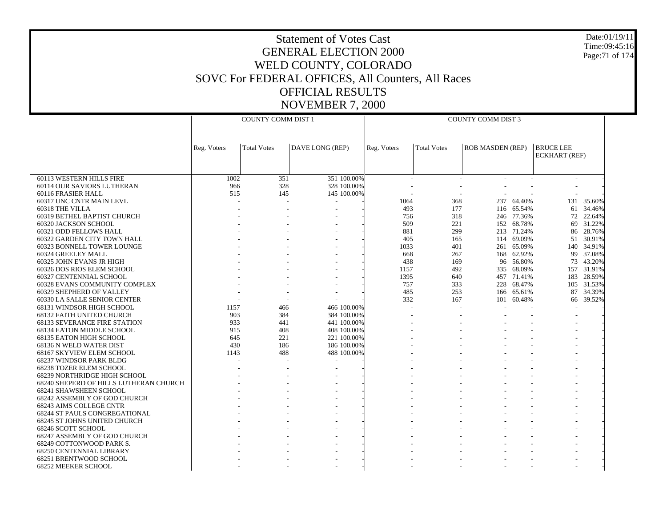Date:01/19/11 Time:09:45:16 Page:71 of 174

| <b>COUNTY COMM DIST 1</b><br><b>COUNTY COMM DIST 3</b><br><b>BRUCE LEE</b><br>DAVE LONG (REP)<br><b>ROB MASDEN (REP)</b><br>Reg. Voters<br><b>Total Votes</b><br>Reg. Voters<br><b>Total Votes</b><br><b>ECKHART</b> (REF)<br>351<br>351 100.00%<br>60113 WESTERN HILLS FIRE<br>1002 |  |
|--------------------------------------------------------------------------------------------------------------------------------------------------------------------------------------------------------------------------------------------------------------------------------------|--|
|                                                                                                                                                                                                                                                                                      |  |
|                                                                                                                                                                                                                                                                                      |  |
|                                                                                                                                                                                                                                                                                      |  |
|                                                                                                                                                                                                                                                                                      |  |
|                                                                                                                                                                                                                                                                                      |  |
|                                                                                                                                                                                                                                                                                      |  |
|                                                                                                                                                                                                                                                                                      |  |
| 328<br>328 100.00%<br>60114 OUR SAVIORS LUTHERAN<br>966                                                                                                                                                                                                                              |  |
| 515<br>145<br>145 100.00%<br>60116 FRASIER HALL                                                                                                                                                                                                                                      |  |
| 64.40%<br>131 35.60%<br>60317 UNC CNTR MAIN LEVL<br>1064<br>368<br>237                                                                                                                                                                                                               |  |
| 60318 THE VILLA<br>493<br>177<br>116 65.54%<br>61 34.46%                                                                                                                                                                                                                             |  |
| 60319 BETHEL BAPTIST CHURCH<br>756<br>318<br>77.36%<br>72<br>22.64%<br>246                                                                                                                                                                                                           |  |
| 509<br>221<br>152 68.78%<br>69 31.22%<br>60320 JACKSON SCHOOL                                                                                                                                                                                                                        |  |
| 299<br>60321 ODD FELLOWS HALL<br>881<br>213 71.24%<br>86 28.76%                                                                                                                                                                                                                      |  |
| 60322 GARDEN CITY TOWN HALL<br>405<br>114<br>69.09%<br>51<br>30.91%<br>165                                                                                                                                                                                                           |  |
| 1033<br>401<br>140 34.91%<br>60323 BONNELL TOWER LOUNGE<br>261 65.09%                                                                                                                                                                                                                |  |
| 60324 GREELEY MALL<br>668<br>267<br>62.92%<br>99<br>37.08%<br>168                                                                                                                                                                                                                    |  |
| 60325 JOHN EVANS JR HIGH<br>438<br>96 56.80%<br>73 43.20%<br>169                                                                                                                                                                                                                     |  |
| 492<br>68.09%<br>157 31.91%<br>60326 DOS RIOS ELEM SCHOOL<br>1157<br>335                                                                                                                                                                                                             |  |
| 60327 CENTENNIAL SCHOOL<br>1395<br>640<br>457 71.41%<br>183 28.59%                                                                                                                                                                                                                   |  |
| 757<br>333<br>228<br>68.47%<br>105 31.53%<br>60328 EVANS COMMUNITY COMPLEX                                                                                                                                                                                                           |  |
| 87<br>60329 SHEPHERD OF VALLEY<br>485<br>253<br>65.61%<br>34.39%<br>166                                                                                                                                                                                                              |  |
| 332<br>60330 LA SALLE SENIOR CENTER<br>167<br>101 60.48%<br>66 39.52%                                                                                                                                                                                                                |  |
| 466 100,00%<br>68131 WINDSOR HIGH SCHOOL<br>1157<br>466                                                                                                                                                                                                                              |  |
| <b>68132 FAITH UNITED CHURCH</b><br>903<br>384<br>384 100.00%                                                                                                                                                                                                                        |  |
| 933<br>441 100.00%<br><b>68133 SEVERANCE FIRE STATION</b><br>441                                                                                                                                                                                                                     |  |
| 408<br>408 100.00%<br><b>68134 EATON MIDDLE SCHOOL</b><br>915                                                                                                                                                                                                                        |  |
| 645<br>221 100.00%<br>68135 EATON HIGH SCHOOL<br>221                                                                                                                                                                                                                                 |  |
| 430<br>186<br>186 100.00%<br>68136 N WELD WATER DIST                                                                                                                                                                                                                                 |  |
| 68167 SKYVIEW ELEM SCHOOL<br>1143<br>488<br>488 100,00%                                                                                                                                                                                                                              |  |
| 68237 WINDSOR PARK BLDG                                                                                                                                                                                                                                                              |  |
| <b>68238 TOZER ELEM SCHOOL</b>                                                                                                                                                                                                                                                       |  |
| 68239 NORTHRIDGE HIGH SCHOOL                                                                                                                                                                                                                                                         |  |
| 68240 SHEPERD OF HILLS LUTHERAN CHURCH                                                                                                                                                                                                                                               |  |
| 68241 SHAWSHEEN SCHOOL                                                                                                                                                                                                                                                               |  |
| 68242 ASSEMBLY OF GOD CHURCH                                                                                                                                                                                                                                                         |  |
| 68243 AIMS COLLEGE CNTR                                                                                                                                                                                                                                                              |  |
| <b>68244 ST PAULS CONGREGATIONAL</b>                                                                                                                                                                                                                                                 |  |
| 68245 ST JOHNS UNITED CHURCH                                                                                                                                                                                                                                                         |  |
| 68246 SCOTT SCHOOL<br>68247 ASSEMBLY OF GOD CHURCH                                                                                                                                                                                                                                   |  |
| 68249 COTTONWOOD PARK S.                                                                                                                                                                                                                                                             |  |
| <b>68250 CENTENNIAL LIBRARY</b>                                                                                                                                                                                                                                                      |  |
| 68251 BRENTWOOD SCHOOL                                                                                                                                                                                                                                                               |  |
| 68252 MEEKER SCHOOL                                                                                                                                                                                                                                                                  |  |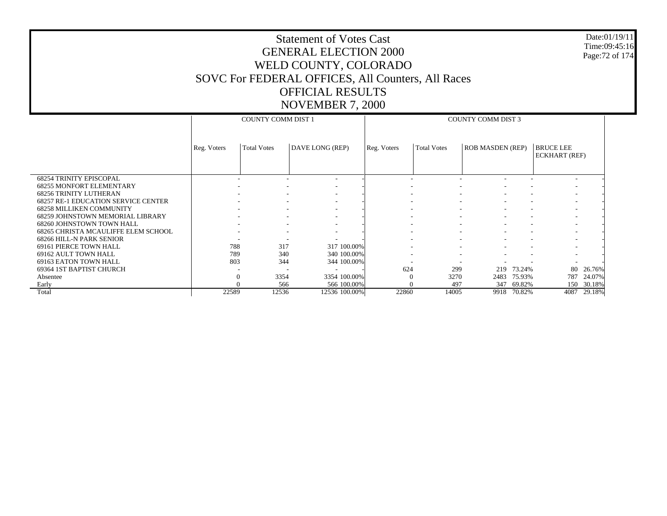#### Date:01/19/11 Time:09:45:16 Page:72 of 174

|                                                    |             | <b>COUNTY COMM DIST 1</b> |                          | <b>COUNTY COMM DIST 3</b> |                          |                         |                                   |        |  |
|----------------------------------------------------|-------------|---------------------------|--------------------------|---------------------------|--------------------------|-------------------------|-----------------------------------|--------|--|
|                                                    |             |                           |                          |                           |                          |                         |                                   |        |  |
|                                                    | Reg. Voters | <b>Total Votes</b>        | DAVE LONG (REP)          | Reg. Voters               | <b>Total Votes</b>       | <b>ROB MASDEN (REP)</b> | <b>BRUCE LEE</b><br>ECKHART (REF) |        |  |
| <b>68254 TRINITY EPISCOPAL</b>                     |             |                           | $\overline{\phantom{a}}$ |                           |                          |                         |                                   |        |  |
| <b>68255 MONFORT ELEMENTARY</b>                    |             | ۰                         | $\overline{\phantom{a}}$ |                           | $\overline{\phantom{a}}$ | ۰                       | $\overline{\phantom{a}}$          |        |  |
| <b>68256 TRINITY LUTHERAN</b>                      |             |                           | $\overline{\phantom{a}}$ |                           | ٠                        |                         |                                   |        |  |
| <b>68257 RE-1 EDUCATION SERVICE CENTER</b>         |             | ۰                         | ٠                        |                           | ۰                        |                         |                                   |        |  |
| <b>68258 MILLIKEN COMMUNITY</b>                    |             |                           | ٠                        |                           | ٠                        |                         |                                   |        |  |
| 68259 JOHNSTOWN MEMORIAL LIBRARY                   |             | ۰                         | $\overline{\phantom{a}}$ |                           | ۰                        | ٠                       |                                   |        |  |
| 68260 JOHNSTOWN TOWN HALL                          |             |                           |                          |                           |                          |                         |                                   |        |  |
| 68265 CHRISTA MCAULIFFE ELEM SCHOOL                |             | ۰                         | ٠                        | ٠                         | ۰                        | ۰                       |                                   |        |  |
| 68266 HILL-N PARK SENIOR<br>69161 PIERCE TOWN HALL | 788         | 317                       | 317 100.00%              |                           |                          |                         |                                   |        |  |
| 69162 AULT TOWN HALL                               | 789         | 340                       | 340 100.00%              |                           |                          |                         |                                   |        |  |
| 69163 EATON TOWN HALL                              | 803         | 344                       | 344 100.00%              |                           |                          |                         |                                   |        |  |
| 69364 1ST BAPTIST CHURCH                           |             |                           |                          | 624                       | 299                      | 73.24%<br>219           | 80                                | 26.76% |  |
| Absentee                                           | $\theta$    | 3354                      | 3354 100.00%             | $\Omega$                  | 3270                     | 2483<br>75.93%          | 787                               | 24.07% |  |
| Early                                              |             | 566                       | 566 100.00%              |                           | 497                      | 347<br>69.82%           | 150                               | 30.18% |  |
| Total                                              | 22589       | 12536                     | 12536 100.00%            | 22860                     | 14005                    | 70.82%<br>9918          | 4087                              | 29.18% |  |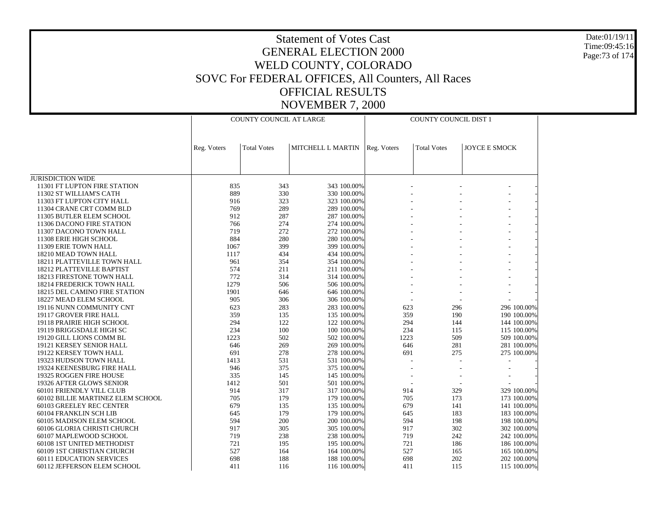Date:01/19/11 Time:09:45:16 Page:73 of 174

|                                                     |             | COUNTY COUNCIL AT LARGE |                            |                          | COUNTY COUNCIL DIST 1 |                      |  |
|-----------------------------------------------------|-------------|-------------------------|----------------------------|--------------------------|-----------------------|----------------------|--|
|                                                     | Reg. Voters | <b>Total Votes</b>      | MITCHELL L MARTIN          | Reg. Voters              | <b>Total Votes</b>    | <b>JOYCE E SMOCK</b> |  |
|                                                     |             |                         |                            |                          |                       |                      |  |
| <b>JURISDICTION WIDE</b>                            |             |                         |                            |                          |                       |                      |  |
| 11301 FT LUPTON FIRE STATION                        | 835         | 343                     | 343 100.00%                |                          |                       |                      |  |
| 11302 ST WILLIAM'S CATH                             | 889         | 330                     | 330 100.00%                |                          |                       |                      |  |
| 11303 FT LUPTON CITY HALL                           | 916         | 323                     | 323 100.00%                |                          |                       |                      |  |
| 11304 CRANE CRT COMM BLD                            | 769         | 289                     | 289 100.00%                |                          |                       |                      |  |
| 11305 BUTLER ELEM SCHOOL                            | 912         | 287                     | 287 100.00%                |                          |                       |                      |  |
| 11306 DACONO FIRE STATION                           | 766         | 274                     | 274 100.00%                |                          |                       |                      |  |
| 11307 DACONO TOWN HALL                              | 719         | 272                     | 272 100.00%                |                          |                       |                      |  |
| 11308 ERIE HIGH SCHOOL                              | 884         | 280                     | 280 100.00%                |                          |                       |                      |  |
| 11309 ERIE TOWN HALL                                | 1067        | 399                     | 399 100.00%                |                          |                       |                      |  |
| 18210 MEAD TOWN HALL<br>18211 PLATTEVILLE TOWN HALL | 1117<br>961 | 434<br>354              | 434 100.00%<br>354 100.00% |                          |                       |                      |  |
| 18212 PLATTEVILLE BAPTIST                           | 574         | 211                     | 211 100.00%                |                          |                       |                      |  |
| <b>18213 FIRESTONE TOWN HALL</b>                    | 772         | 314                     | 314 100.00%                |                          |                       |                      |  |
| <b>18214 FREDERICK TOWN HALL</b>                    | 1279        | 506                     | 506 100.00%                |                          |                       |                      |  |
| 18215 DEL CAMINO FIRE STATION                       | 1901        | 646                     | 646 100.00%                |                          |                       |                      |  |
| 18227 MEAD ELEM SCHOOL                              | 905         | 306                     | 306 100.00%                |                          |                       |                      |  |
| 19116 NUNN COMMUNITY CNT                            | 623         | 283                     | 283 100.00%                | 623                      | 296                   | 296 100.00%          |  |
| 19117 GROVER FIRE HALL                              | 359         | 135                     | 135 100.00%                | 359                      | 190                   | 190 100.00%          |  |
| 19118 PRAIRIE HIGH SCHOOL                           | 294         | 122                     | 122 100.00%                | 294                      | 144                   | 144 100.00%          |  |
| 19119 BRIGGSDALE HIGH SC                            | 234         | 100                     | 100 100 00%                | 234                      | 115                   | 115 100.00%          |  |
| 19120 GILL LIONS COMM BL                            | 1223        | 502                     | 502 100.00%                | 1223                     | 509                   | 509 100.00%          |  |
| 19121 KERSEY SENIOR HALL                            | 646         | 269                     | 269 100.00%                | 646                      | 281                   | 281 100.00%          |  |
| 19122 KERSEY TOWN HALL                              | 691         | 278                     | 278 100.00%                | 691                      | 275                   | 275 100.00%          |  |
| 19323 HUDSON TOWN HALL                              | 1413        | 531                     | 531 100.00%                |                          |                       |                      |  |
| 19324 KEENESBURG FIRE HALL                          | 946         | 375                     | 375 100.00%                | $\overline{\phantom{a}}$ |                       |                      |  |
| 19325 ROGGEN FIRE HOUSE                             | 335         | 145                     | 145 100.00%                |                          |                       |                      |  |
| 19326 AFTER GLOWS SENIOR                            | 1412        | 501                     | 501 100.00%                | $\overline{a}$           |                       |                      |  |
| 60101 FRIENDLY VILL CLUB                            | 914         | 317                     | 317 100.00%                | 914                      | 329                   | 329 100.00%          |  |
| 60102 BILLIE MARTINEZ ELEM SCHOOL                   | 705         | 179                     | 179 100.00%                | 705                      | 173                   | 173 100.00%          |  |
| 60103 GREELEY REC CENTER                            | 679         | 135                     | 135 100.00%                | 679                      | 141                   | 141 100.00%          |  |
| 60104 FRANKLIN SCH LIB                              | 645         | 179                     | 179 100.00%                | 645                      | 183                   | 183 100.00%          |  |
| 60105 MADISON ELEM SCHOOL                           | 594         | 200                     | 200 100.00%                | 594                      | 198                   | 198 100.00%          |  |
| 60106 GLORIA CHRISTI CHURCH                         | 917         | 305                     | 305 100.00%                | 917                      | 302                   | 302 100.00%          |  |
| 60107 MAPLEWOOD SCHOOL                              | 719         | 238                     | 238 100.00%                | 719                      | 242                   | 242 100.00%          |  |
| 60108 1ST UNITED METHODIST                          | 721         | 195                     | 195 100.00%                | 721                      | 186                   | 186 100.00%          |  |
| 60109 1ST CHRISTIAN CHURCH                          | 527         | 164                     | 164 100.00%                | 527                      | 165                   | 165 100.00%          |  |
| <b>60111 EDUCATION SERVICES</b>                     | 698         | 188                     | 188 100.00%                | 698                      | 202                   | 202 100.00%          |  |
| 60112 JEFFERSON ELEM SCHOOL                         | 411         | 116                     | 116 100.00%                | 411                      | 115                   | 115 100.00%          |  |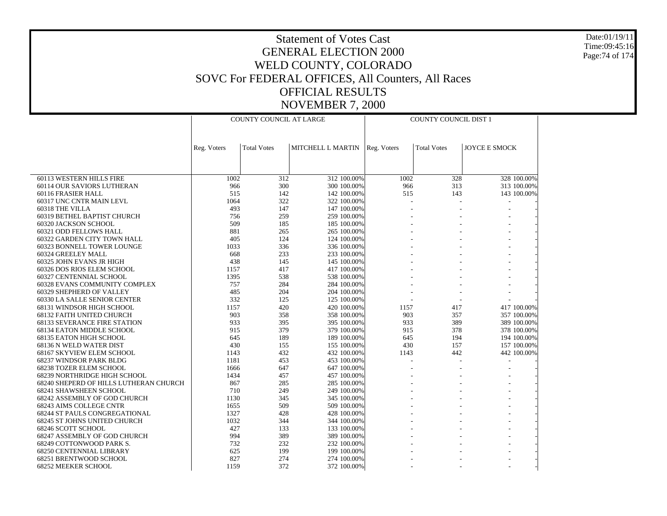Date:01/19/11 Time:09:45:16 Page:74 of 174

|                                                     |             | COUNTY COUNCIL AT LARGE |                            |             | COUNTY COUNCIL DIST 1 |                      |
|-----------------------------------------------------|-------------|-------------------------|----------------------------|-------------|-----------------------|----------------------|
|                                                     |             |                         |                            |             |                       |                      |
|                                                     | Reg. Voters | <b>Total Votes</b>      | MITCHELL L MARTIN          | Reg. Voters | <b>Total Votes</b>    | <b>JOYCE E SMOCK</b> |
|                                                     |             |                         |                            |             |                       |                      |
|                                                     |             |                         |                            |             |                       |                      |
|                                                     |             |                         |                            |             |                       |                      |
| 60113 WESTERN HILLS FIRE                            | 1002        | 312                     | 312 100.00%                | 1002        | 328                   | 328 100.00%          |
| 60114 OUR SAVIORS LUTHERAN                          | 966         | 300                     | 300 100.00%                | 966         | 313                   | 313 100.00%          |
| 60116 FRASIER HALL                                  | 515         | 142                     | 142 100.00%                | 515         | 143                   | 143 100.00%          |
| 60317 UNC CNTR MAIN LEVL                            | 1064        | 322                     | 322 100.00%                |             |                       |                      |
| 60318 THE VILLA                                     | 493<br>756  | 147<br>259              | 147 100.00%<br>259 100.00% |             |                       |                      |
| 60319 BETHEL BAPTIST CHURCH<br>60320 JACKSON SCHOOL | 509         | 185                     | 185 100.00%                |             |                       |                      |
| 60321 ODD FELLOWS HALL                              | 881         | 265                     | 265 100.00%                |             |                       |                      |
| 60322 GARDEN CITY TOWN HALL                         | 405         | 124                     | 124 100.00%                |             |                       |                      |
| 60323 BONNELL TOWER LOUNGE                          | 1033        | 336                     | 336 100.00%                |             |                       |                      |
| 60324 GREELEY MALL                                  | 668         | 233                     | 233 100.00%                |             |                       |                      |
| 60325 JOHN EVANS JR HIGH                            | 438         | 145                     | 145 100.00%                |             |                       |                      |
| 60326 DOS RIOS ELEM SCHOOL                          | 1157        | 417                     | 417 100.00%                |             |                       |                      |
| 60327 CENTENNIAL SCHOOL                             | 1395        | 538                     | 538 100.00%                |             |                       |                      |
| 60328 EVANS COMMUNITY COMPLEX                       | 757         | 284                     | 284 100.00%                |             |                       |                      |
| 60329 SHEPHERD OF VALLEY                            | 485         | 204                     | 204 100.00%                |             |                       |                      |
| 60330 LA SALLE SENIOR CENTER                        | 332         | 125                     | 125 100.00%                |             |                       |                      |
| 68131 WINDSOR HIGH SCHOOL                           | 1157        | 420                     | 420 100.00%                | 1157        | 417                   | 417 100.00%          |
| 68132 FAITH UNITED CHURCH                           | 903         | 358                     | 358 100.00%                | 903         | 357                   | 357 100.00%          |
| <b>68133 SEVERANCE FIRE STATION</b>                 | 933         | 395                     | 395 100.00%                | 933         | 389                   | 389 100.00%          |
| <b>68134 EATON MIDDLE SCHOOL</b>                    | 915         | 379                     | 379 100.00%                | 915         | 378                   | 378 100.00%          |
| 68135 EATON HIGH SCHOOL                             | 645         | 189                     | 189 100.00%                | 645         | 194                   | 194 100.00%          |
| 68136 N WELD WATER DIST                             | 430         | 155                     | 155 100.00%                | 430         | 157                   | 157 100.00%          |
| 68167 SKYVIEW ELEM SCHOOL                           | 1143        | 432                     | 432 100.00%                | 1143        | 442                   | 442 100.00%          |
| 68237 WINDSOR PARK BLDG                             | 1181        | 453                     | 453 100.00%                |             |                       |                      |
| 68238 TOZER ELEM SCHOOL                             | 1666        | 647                     | 647 100.00%                |             |                       |                      |
| 68239 NORTHRIDGE HIGH SCHOOL                        | 1434        | 457                     | 457 100.00%                |             |                       |                      |
| 68240 SHEPERD OF HILLS LUTHERAN CHURCH              | 867         | 285                     | 285 100.00%                |             |                       |                      |
| 68241 SHAWSHEEN SCHOOL                              | 710         | 249                     | 249 100.00%                |             |                       |                      |
| 68242 ASSEMBLY OF GOD CHURCH                        | 1130        | 345                     | 345 100.00%                |             |                       |                      |
| 68243 AIMS COLLEGE CNTR                             | 1655        | 509                     | 509 100.00%                |             |                       |                      |
| <b>68244 ST PAULS CONGREGATIONAL</b>                | 1327        | 428                     | 428 100.00%                |             |                       |                      |
| 68245 ST JOHNS UNITED CHURCH                        | 1032        | 344                     | 344 100.00%                |             |                       |                      |
| 68246 SCOTT SCHOOL                                  | 427         | 133                     | 133 100.00%                |             |                       |                      |
| 68247 ASSEMBLY OF GOD CHURCH                        | 994         | 389                     | 389 100.00%                |             |                       |                      |
| 68249 COTTONWOOD PARK S.                            | 732         | 232                     | 232 100.00%                |             |                       |                      |
| <b>68250 CENTENNIAL LIBRARY</b>                     | 625         | 199                     | 199 100.00%                |             |                       |                      |
| 68251 BRENTWOOD SCHOOL                              | 827         | 274                     | 274 100.00%                |             |                       |                      |
| 68252 MEEKER SCHOOL                                 | 1159        | 372                     | 372 100.00%                |             |                       |                      |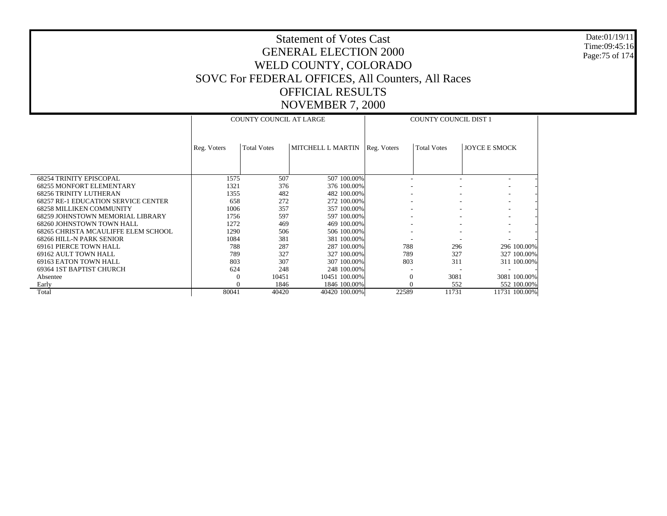#### Date:01/19/11 Time:09:45:16 Page:75 of 174

|                                            |              | <b>COUNTY COUNCIL AT LARGE</b> |                   |             | <b>COUNTY COUNCIL DIST 1</b> |                      |
|--------------------------------------------|--------------|--------------------------------|-------------------|-------------|------------------------------|----------------------|
|                                            | Reg. Voters  | <b>Total Votes</b>             | MITCHELL L MARTIN | Reg. Voters | <b>Total Votes</b>           | <b>JOYCE E SMOCK</b> |
| <b>68254 TRINITY EPISCOPAL</b>             | 1575         | 507                            | 507 100.00%       |             |                              |                      |
| <b>68255 MONFORT ELEMENTARY</b>            | 1321         | 376                            | 376 100.00%       |             |                              |                      |
| <b>68256 TRINITY LUTHERAN</b>              | 1355         | 482                            | 482 100.00%       |             |                              |                      |
| <b>68257 RE-1 EDUCATION SERVICE CENTER</b> | 658          | 272                            | 272 100.00%       |             |                              |                      |
| <b>68258 MILLIKEN COMMUNITY</b>            | 1006         | 357                            | 357 100.00%       |             |                              |                      |
| <b>68259 JOHNSTOWN MEMORIAL LIBRARY</b>    | 1756         | 597                            | 597 100.00%       |             |                              |                      |
| 68260 JOHNSTOWN TOWN HALL                  | 1272         | 469                            | 469 100.00%       |             |                              |                      |
| 68265 CHRISTA MCAULIFFE ELEM SCHOOL        | 1290         | 506                            | 506 100.00%       |             |                              |                      |
| 68266 HILL-N PARK SENIOR                   | 1084         | 381                            | 381 100.00%       |             |                              |                      |
| 69161 PIERCE TOWN HALL                     | 788          | 287                            | 287 100.00%       | 788         | 296                          | 296 100.00%          |
| 69162 AULT TOWN HALL                       | 789          | 327                            | 327 100.00%       | 789         | 327                          | 327 100.00%          |
| 69163 EATON TOWN HALL                      | 803          | 307                            | 307 100.00%       | 803         | 311                          | 311 100.00%          |
| 69364 IST BAPTIST CHURCH                   | 624          | 248                            | 248 100.00%       |             |                              |                      |
| Absentee                                   | $\mathbf{0}$ | 10451                          | 10451 100.00%     | $\Omega$    | 3081                         | 3081 100.00%         |
| Early                                      |              | 1846                           | 1846 100.00%      | $\Omega$    | 552                          | 552 100.00%          |
| Total                                      | 80041        | 40420                          | 40420 100.00%     | 22589       | 11731                        | 11731 100.00%        |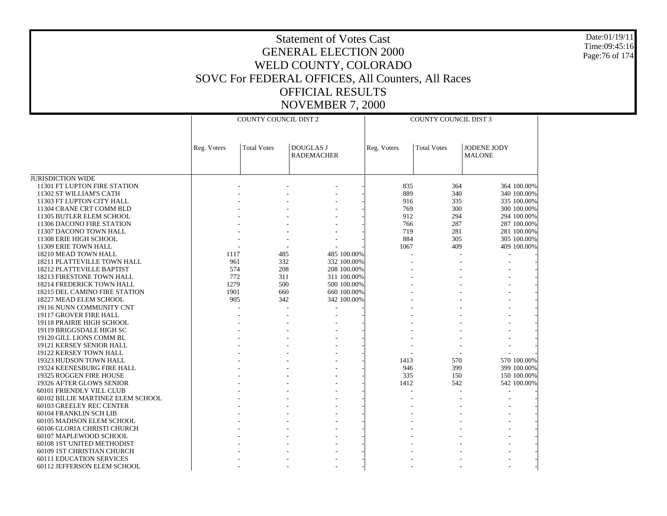Date:01/19/11 Time:09:45:16 Page:76 of 174

| <b>DOUGLAS J</b><br>JODENE JODY<br><b>Total Votes</b><br><b>Total Votes</b><br>Reg. Voters<br>Reg. Voters<br><b>RADEMACHER</b><br><b>MALONE</b><br><b>JURISDICTION WIDE</b><br>11301 FT LUPTON FIRE STATION<br>835<br>364 100.00%<br>364<br>889<br>340<br>340 100.00%<br>11302 ST WILLIAM'S CATH |  |
|--------------------------------------------------------------------------------------------------------------------------------------------------------------------------------------------------------------------------------------------------------------------------------------------------|--|
|                                                                                                                                                                                                                                                                                                  |  |
|                                                                                                                                                                                                                                                                                                  |  |
|                                                                                                                                                                                                                                                                                                  |  |
|                                                                                                                                                                                                                                                                                                  |  |
| 11303 FT LUPTON CITY HALL<br>916<br>335<br>335 100.00%                                                                                                                                                                                                                                           |  |
| 769<br>300<br>11304 CRANE CRT COMM BLD<br>300 100.00%                                                                                                                                                                                                                                            |  |
| 912<br>294<br>11305 BUTLER ELEM SCHOOL<br>294 100.00%                                                                                                                                                                                                                                            |  |
| 766<br>11306 DACONO FIRE STATION<br>287<br>287 100.00%                                                                                                                                                                                                                                           |  |
| 11307 DACONO TOWN HALL<br>719<br>281<br>281 100.00%                                                                                                                                                                                                                                              |  |
| 884<br>11308 ERIE HIGH SCHOOL<br>305<br>305 100.00%                                                                                                                                                                                                                                              |  |
| 11309 ERIE TOWN HALL<br>1067<br>409<br>409 100.00%                                                                                                                                                                                                                                               |  |
| 485<br>485 100.00%<br>18210 MEAD TOWN HALL<br>1117                                                                                                                                                                                                                                               |  |
| 332<br>18211 PLATTEVILLE TOWN HALL<br>961<br>332 100.00%                                                                                                                                                                                                                                         |  |
| 574<br>18212 PLATTEVILLE BAPTIST<br>208<br>208 100.00%                                                                                                                                                                                                                                           |  |
| 18213 FIRESTONE TOWN HALL<br>772<br>311<br>311 100.00%                                                                                                                                                                                                                                           |  |
| 1279<br>500<br>500 100.00%<br>18214 FREDERICK TOWN HALL                                                                                                                                                                                                                                          |  |
| <b>18215 DEL CAMINO FIRE STATION</b><br>1901<br>660<br>660 100.00%                                                                                                                                                                                                                               |  |
| 905<br>342<br>342 100.00%<br>18227 MEAD ELEM SCHOOL                                                                                                                                                                                                                                              |  |
| 19116 NUNN COMMUNITY CNT                                                                                                                                                                                                                                                                         |  |
| 19117 GROVER FIRE HALL                                                                                                                                                                                                                                                                           |  |
| 19118 PRAIRIE HIGH SCHOOL                                                                                                                                                                                                                                                                        |  |
| 19119 BRIGGSDALE HIGH SC                                                                                                                                                                                                                                                                         |  |
| 19120 GILL LIONS COMM BL                                                                                                                                                                                                                                                                         |  |
| 19121 KERSEY SENIOR HALL                                                                                                                                                                                                                                                                         |  |
| 19122 KERSEY TOWN HALL                                                                                                                                                                                                                                                                           |  |
| 570 100.00%<br>19323 HUDSON TOWN HALL<br>1413<br>570                                                                                                                                                                                                                                             |  |
| 19324 KEENESBURG FIRE HALL<br>946<br>399<br>399 100.00%                                                                                                                                                                                                                                          |  |
| 335<br>19325 ROGGEN FIRE HOUSE<br>150<br>150 100.00%                                                                                                                                                                                                                                             |  |
| 19326 AFTER GLOWS SENIOR<br>1412<br>542<br>542 100.00%                                                                                                                                                                                                                                           |  |
| 60101 FRIENDLY VILL CLUB                                                                                                                                                                                                                                                                         |  |
| 60102 BILLIE MARTINEZ ELEM SCHOOL                                                                                                                                                                                                                                                                |  |
| 60103 GREELEY REC CENTER<br>60104 FRANKLIN SCH LIB                                                                                                                                                                                                                                               |  |
| 60105 MADISON ELEM SCHOOL                                                                                                                                                                                                                                                                        |  |
| 60106 GLORIA CHRISTI CHURCH                                                                                                                                                                                                                                                                      |  |
| 60107 MAPLEWOOD SCHOOL                                                                                                                                                                                                                                                                           |  |
| 60108 1ST UNITED METHODIST                                                                                                                                                                                                                                                                       |  |
| 60109 1ST CHRISTIAN CHURCH                                                                                                                                                                                                                                                                       |  |
| <b>60111 EDUCATION SERVICES</b>                                                                                                                                                                                                                                                                  |  |
| 60112 JEFFERSON ELEM SCHOOL                                                                                                                                                                                                                                                                      |  |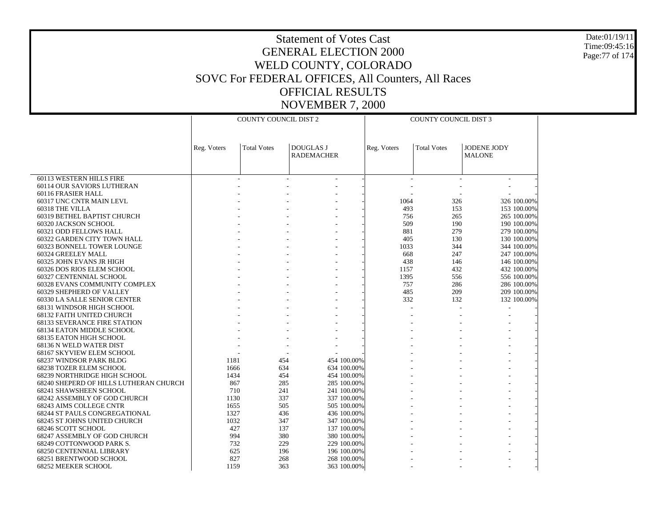Date:01/19/11 Time:09:45:16 Page:77 of 174

|                                        |             | COUNTY COUNCIL DIST 2 |                                       |             | COUNTY COUNCIL DIST 3 |                                     |
|----------------------------------------|-------------|-----------------------|---------------------------------------|-------------|-----------------------|-------------------------------------|
|                                        |             |                       |                                       |             |                       |                                     |
|                                        |             |                       |                                       |             |                       |                                     |
|                                        | Reg. Voters | <b>Total Votes</b>    | <b>DOUGLAS J</b><br><b>RADEMACHER</b> | Reg. Voters | <b>Total Votes</b>    | <b>JODENE JODY</b><br><b>MALONE</b> |
|                                        |             |                       |                                       |             |                       |                                     |
|                                        |             |                       |                                       |             |                       |                                     |
| 60113 WESTERN HILLS FIRE               |             |                       |                                       |             |                       |                                     |
| 60114 OUR SAVIORS LUTHERAN             |             |                       |                                       |             |                       |                                     |
| 60116 FRASIER HALL                     |             |                       |                                       |             |                       |                                     |
| 60317 UNC CNTR MAIN LEVL               |             |                       |                                       | 1064        | 326                   | 326 100.00%                         |
| 60318 THE VILLA                        |             |                       |                                       | 493         | 153                   | 153 100.00%                         |
| 60319 BETHEL BAPTIST CHURCH            |             |                       |                                       | 756         | 265                   | 265 100.00%                         |
| 60320 JACKSON SCHOOL                   |             |                       |                                       | 509         | 190                   | 190 100.00%                         |
| 60321 ODD FELLOWS HALL                 |             |                       |                                       | 881         | 279                   | 279 100.00%                         |
| 60322 GARDEN CITY TOWN HALL            |             |                       |                                       | 405         | 130                   | 130 100.00%                         |
| 60323 BONNELL TOWER LOUNGE             |             |                       |                                       | 1033        | 344                   | 344 100.00%                         |
| 60324 GREELEY MALL                     |             |                       |                                       | 668         | 247                   | 247 100.00%                         |
| 60325 JOHN EVANS JR HIGH               |             |                       |                                       | 438         | 146                   | 146 100.00%                         |
| 60326 DOS RIOS ELEM SCHOOL             |             |                       |                                       | 1157        | 432                   | 432 100.00%                         |
| 60327 CENTENNIAL SCHOOL                |             |                       |                                       | 1395        | 556                   | 556 100.00%                         |
| 60328 EVANS COMMUNITY COMPLEX          |             |                       |                                       | 757         | 286                   | 286 100.00%                         |
| 60329 SHEPHERD OF VALLEY               |             |                       |                                       | 485         | 209                   | 209 100.00%                         |
| 60330 LA SALLE SENIOR CENTER           |             |                       |                                       | 332         | 132                   | 132 100.00%                         |
| 68131 WINDSOR HIGH SCHOOL              |             |                       |                                       |             |                       |                                     |
| 68132 FAITH UNITED CHURCH              |             |                       |                                       |             |                       |                                     |
| <b>68133 SEVERANCE FIRE STATION</b>    |             |                       |                                       |             |                       |                                     |
| 68134 EATON MIDDLE SCHOOL              |             |                       |                                       |             |                       |                                     |
| 68135 EATON HIGH SCHOOL                |             |                       |                                       |             |                       |                                     |
| 68136 N WELD WATER DIST                |             |                       |                                       |             |                       |                                     |
| 68167 SKYVIEW ELEM SCHOOL              |             |                       |                                       |             |                       |                                     |
| 68237 WINDSOR PARK BLDG                | 1181        | 454                   | 454 100.00%                           |             |                       |                                     |
| 68238 TOZER ELEM SCHOOL                | 1666        | 634                   | 634 100.00%                           |             |                       |                                     |
| 68239 NORTHRIDGE HIGH SCHOOL           | 1434        | 454                   | 454 100.00%                           |             |                       |                                     |
| 68240 SHEPERD OF HILLS LUTHERAN CHURCH | 867         | 285                   | 285 100.00%                           |             |                       |                                     |
| 68241 SHAWSHEEN SCHOOL                 | 710         | 241                   | 241 100.00%                           |             |                       |                                     |
| 68242 ASSEMBLY OF GOD CHURCH           | 1130        | 337                   | 337 100.00%                           |             |                       |                                     |
| <b>68243 AIMS COLLEGE CNTR</b>         | 1655        | 505                   | 505 100.00%                           |             |                       |                                     |
| 68244 ST PAULS CONGREGATIONAL          | 1327        | 436                   | 436 100.00%                           |             |                       |                                     |
| 68245 ST JOHNS UNITED CHURCH           | 1032        | 347                   | 347 100.00%                           |             |                       |                                     |
| 68246 SCOTT SCHOOL                     | 427         | 137                   | 137 100.00%                           |             |                       |                                     |
| 68247 ASSEMBLY OF GOD CHURCH           | 994         | 380                   | 380 100.00%                           |             |                       |                                     |
| 68249 COTTONWOOD PARK S.               | 732         | 229                   | 229 100.00%                           |             |                       |                                     |
| 68250 CENTENNIAL LIBRARY               | 625         | 196                   | 196 100.00%                           |             |                       |                                     |
| 68251 BRENTWOOD SCHOOL                 | 827         | 268                   | 268 100.00%                           |             |                       |                                     |
| <b>68252 MEEKER SCHOOL</b>             | 1159        | 363                   | 363 100.00%                           |             |                       |                                     |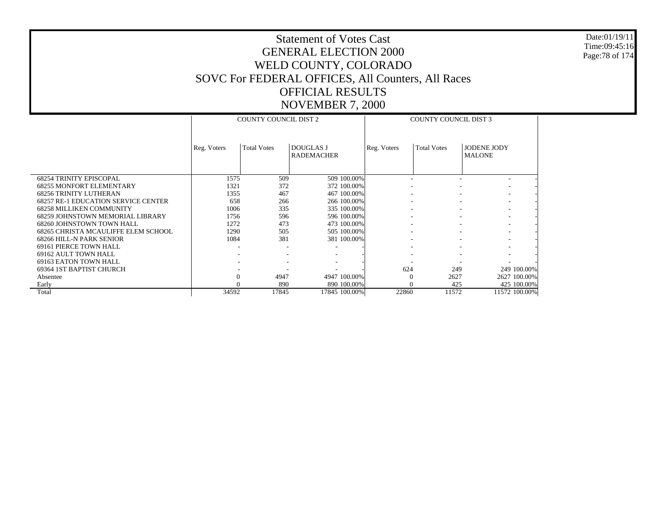Date:01/19/11 Time:09:45:16 Page:78 of 174

|                                            |              | <b>COUNTY COUNCIL DIST 2</b> |                                       |             | <b>COUNTY COUNCIL DIST 3</b> |                                     |
|--------------------------------------------|--------------|------------------------------|---------------------------------------|-------------|------------------------------|-------------------------------------|
|                                            | Reg. Voters  | <b>Total Votes</b>           | <b>DOUGLAS J</b><br><b>RADEMACHER</b> | Reg. Voters | <b>Total Votes</b>           | <b>JODENE JODY</b><br><b>MALONE</b> |
| <b>68254 TRINITY EPISCOPAL</b>             | 1575         | 509                          | 509 100.00%                           |             |                              | ٠                                   |
| <b>68255 MONFORT ELEMENTARY</b>            | 1321         | 372                          | 372 100.00%                           |             |                              |                                     |
| <b>68256 TRINITY LUTHERAN</b>              | 1355         | 467                          | 467 100.00%                           |             |                              |                                     |
| <b>68257 RE-1 EDUCATION SERVICE CENTER</b> | 658          | 266                          | 266 100.00%                           |             |                              | $\overline{\phantom{a}}$            |
| <b>68258 MILLIKEN COMMUNITY</b>            | 1006         | 335                          | 335 100.00%                           |             |                              | ۰.                                  |
| 68259 JOHNSTOWN MEMORIAL LIBRARY           | 1756         | 596                          | 596 100.00%                           |             |                              | $\overline{\phantom{a}}$            |
| 68260 JOHNSTOWN TOWN HALL                  | 1272         | 473                          | 473 100.00%                           |             |                              | $\overline{\phantom{a}}$            |
| 68265 CHRISTA MCAULIFFE ELEM SCHOOL        | 1290         | 505                          | 505 100.00%                           |             |                              | $\overline{\phantom{a}}$            |
| 68266 HILL-N PARK SENIOR                   | 1084         | 381                          | 381 100.00%                           |             |                              | $\overline{\phantom{a}}$            |
| 69161 PIERCE TOWN HALL                     | ٠            |                              |                                       |             |                              |                                     |
| 69162 AULT TOWN HALL                       |              |                              |                                       |             |                              |                                     |
| 69163 EATON TOWN HALL                      |              |                              |                                       |             |                              |                                     |
| 69364 IST BAPTIST CHURCH                   |              |                              |                                       | 624         | 249                          | 249 100.00%                         |
| Absentee                                   | $\mathbf{0}$ | 4947                         | 4947 100.00%                          | $\Omega$    | 2627                         | 2627 100.00%                        |
| Early                                      |              | 890                          | 890 100.00%                           |             | 425                          | 425 100.00%                         |
| Total                                      | 34592        | 17845                        | 17845 100.00%                         | 22860       | 11572                        | 11572 100.00%                       |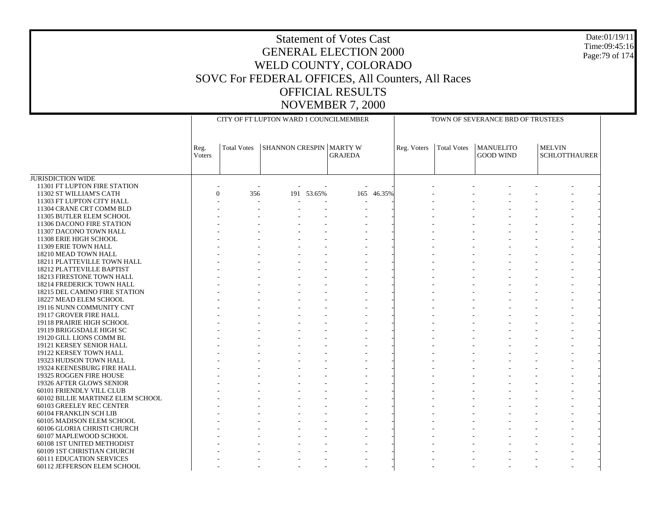#### Date:01/19/11 Time:09:45:16 Page:79 of 174

|                                                       |                |                       |                                |            | CITY OF FT LUPTON WARD 1 COUNCILMEMBER |            | TOWN OF SEVERANCE BRD OF TRUSTEES |             |                                      |                                       |  |  |
|-------------------------------------------------------|----------------|-----------------------|--------------------------------|------------|----------------------------------------|------------|-----------------------------------|-------------|--------------------------------------|---------------------------------------|--|--|
|                                                       | Reg.<br>Voters | <b>Total Votes</b>    | <b>SHANNON CRESPIN MARTY W</b> |            | <b>GRAJEDA</b>                         |            | Reg. Voters                       | Total Votes | <b>MANUELITO</b><br><b>GOOD WIND</b> | <b>MELVIN</b><br><b>SCHLOTTHAURER</b> |  |  |
| <b>JURISDICTION WIDE</b>                              |                |                       |                                |            |                                        |            |                                   |             |                                      |                                       |  |  |
| 11301 FT LUPTON FIRE STATION                          |                |                       |                                |            |                                        |            |                                   |             |                                      |                                       |  |  |
| 11302 ST WILLIAM'S CATH                               |                | $\overline{0}$<br>356 |                                | 191 53.65% |                                        | 165 46.35% |                                   |             |                                      |                                       |  |  |
| 11303 FT LUPTON CITY HALL                             |                | $\sim$                |                                |            |                                        |            |                                   |             |                                      |                                       |  |  |
| 11304 CRANE CRT COMM BLD                              |                |                       |                                |            |                                        |            |                                   |             |                                      |                                       |  |  |
| 11305 BUTLER ELEM SCHOOL                              |                |                       |                                |            |                                        |            |                                   |             |                                      |                                       |  |  |
| 11306 DACONO FIRE STATION                             |                |                       |                                |            |                                        |            |                                   |             |                                      |                                       |  |  |
| 11307 DACONO TOWN HALL                                |                |                       |                                |            |                                        |            |                                   |             |                                      |                                       |  |  |
| 11308 ERIE HIGH SCHOOL                                |                |                       |                                |            |                                        |            |                                   |             |                                      |                                       |  |  |
| 11309 ERIE TOWN HALL                                  |                |                       |                                |            |                                        |            |                                   |             |                                      |                                       |  |  |
| 18210 MEAD TOWN HALL                                  |                |                       |                                |            |                                        |            |                                   |             |                                      |                                       |  |  |
| 18211 PLATTEVILLE TOWN HALL                           |                |                       |                                |            |                                        |            |                                   |             |                                      |                                       |  |  |
| 18212 PLATTEVILLE BAPTIST                             |                |                       |                                |            |                                        |            |                                   |             |                                      |                                       |  |  |
| 18213 FIRESTONE TOWN HALL                             |                |                       |                                |            |                                        |            |                                   |             |                                      |                                       |  |  |
| 18214 FREDERICK TOWN HALL                             |                |                       |                                |            |                                        |            |                                   |             |                                      |                                       |  |  |
| 18215 DEL CAMINO FIRE STATION                         |                |                       |                                |            |                                        |            |                                   |             |                                      |                                       |  |  |
| 18227 MEAD ELEM SCHOOL                                |                |                       |                                |            |                                        |            |                                   |             |                                      |                                       |  |  |
| 19116 NUNN COMMUNITY CNT                              |                |                       |                                |            |                                        |            |                                   |             |                                      |                                       |  |  |
| 19117 GROVER FIRE HALL                                |                |                       |                                |            |                                        |            |                                   |             |                                      |                                       |  |  |
| 19118 PRAIRIE HIGH SCHOOL                             |                |                       |                                |            |                                        |            |                                   |             |                                      |                                       |  |  |
| 19119 BRIGGSDALE HIGH SC                              |                |                       |                                |            |                                        |            |                                   |             |                                      |                                       |  |  |
| 19120 GILL LIONS COMM BL                              |                |                       |                                |            |                                        |            |                                   |             |                                      |                                       |  |  |
| 19121 KERSEY SENIOR HALL                              |                |                       |                                |            |                                        |            |                                   |             |                                      |                                       |  |  |
| 19122 KERSEY TOWN HALL                                |                |                       |                                |            |                                        |            |                                   |             |                                      |                                       |  |  |
| 19323 HUDSON TOWN HALL                                |                |                       |                                |            |                                        |            |                                   |             |                                      |                                       |  |  |
| 19324 KEENESBURG FIRE HALL<br>19325 ROGGEN FIRE HOUSE |                |                       |                                |            |                                        |            |                                   |             |                                      |                                       |  |  |
| 19326 AFTER GLOWS SENIOR                              |                |                       |                                |            |                                        |            |                                   |             |                                      |                                       |  |  |
| 60101 FRIENDLY VILL CLUB                              |                |                       |                                |            |                                        |            |                                   |             |                                      |                                       |  |  |
| 60102 BILLIE MARTINEZ ELEM SCHOOL                     |                |                       |                                |            |                                        |            |                                   |             |                                      |                                       |  |  |
| 60103 GREELEY REC CENTER                              |                |                       |                                |            |                                        |            |                                   |             |                                      |                                       |  |  |
| 60104 FRANKLIN SCH LIB                                |                |                       |                                |            |                                        |            |                                   |             |                                      |                                       |  |  |
| 60105 MADISON ELEM SCHOOL                             |                |                       |                                |            |                                        |            |                                   |             |                                      |                                       |  |  |
| 60106 GLORIA CHRISTI CHURCH                           |                |                       |                                |            |                                        |            |                                   |             |                                      |                                       |  |  |
| 60107 MAPLEWOOD SCHOOL                                |                |                       |                                |            |                                        |            |                                   |             |                                      |                                       |  |  |
| 60108 1ST UNITED METHODIST                            |                |                       |                                |            |                                        |            |                                   |             |                                      |                                       |  |  |
| 60109 1ST CHRISTIAN CHURCH                            |                |                       |                                |            |                                        |            |                                   |             |                                      |                                       |  |  |
| <b>60111 EDUCATION SERVICES</b>                       |                |                       |                                |            |                                        |            |                                   |             |                                      |                                       |  |  |
| 60112 JEFFERSON ELEM SCHOOL                           |                |                       |                                |            |                                        |            |                                   |             |                                      |                                       |  |  |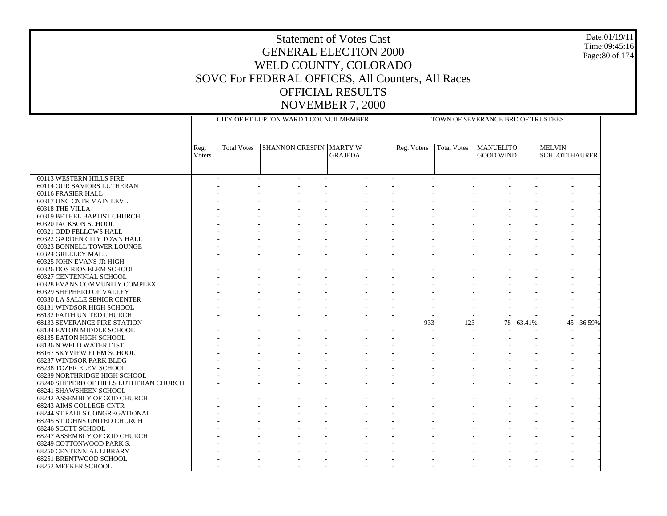#### Date:01/19/11 Time:09:45:16 Page:80 of 174

|                                                           |                |                    | CITY OF FT LUPTON WARD 1 COUNCILMEMBER |                | TOWN OF SEVERANCE BRD OF TRUSTEES |                    |                                      |           |                                       |           |
|-----------------------------------------------------------|----------------|--------------------|----------------------------------------|----------------|-----------------------------------|--------------------|--------------------------------------|-----------|---------------------------------------|-----------|
|                                                           |                |                    |                                        |                |                                   |                    |                                      |           |                                       |           |
|                                                           | Reg.<br>Voters | <b>Total Votes</b> | <b>SHANNON CRESPIN   MARTY W</b>       | <b>GRAJEDA</b> | Reg. Voters                       | <b>Total Votes</b> | <b>MANUELITO</b><br><b>GOOD WIND</b> |           | <b>MELVIN</b><br><b>SCHLOTTHAURER</b> |           |
|                                                           |                |                    |                                        |                |                                   |                    |                                      |           |                                       |           |
| 60113 WESTERN HILLS FIRE                                  |                |                    |                                        |                |                                   |                    |                                      |           |                                       |           |
| 60114 OUR SAVIORS LUTHERAN                                |                |                    |                                        |                |                                   |                    |                                      |           |                                       |           |
| 60116 FRASIER HALL                                        |                |                    |                                        |                |                                   |                    |                                      |           |                                       |           |
| 60317 UNC CNTR MAIN LEVL                                  |                |                    |                                        |                |                                   |                    |                                      |           |                                       |           |
| 60318 THE VILLA                                           |                |                    |                                        |                |                                   |                    |                                      |           |                                       |           |
| 60319 BETHEL BAPTIST CHURCH                               |                |                    |                                        |                |                                   |                    |                                      |           |                                       |           |
| 60320 JACKSON SCHOOL                                      |                |                    |                                        |                |                                   |                    |                                      |           |                                       |           |
| 60321 ODD FELLOWS HALL                                    |                |                    |                                        |                |                                   |                    |                                      |           |                                       |           |
| 60322 GARDEN CITY TOWN HALL                               |                |                    |                                        |                |                                   |                    |                                      |           |                                       |           |
| 60323 BONNELL TOWER LOUNGE                                |                |                    |                                        |                |                                   |                    |                                      |           |                                       |           |
| 60324 GREELEY MALL                                        |                |                    |                                        |                |                                   |                    |                                      |           |                                       |           |
| 60325 JOHN EVANS JR HIGH                                  |                |                    |                                        |                |                                   |                    |                                      |           |                                       |           |
| 60326 DOS RIOS ELEM SCHOOL                                |                |                    |                                        |                |                                   |                    |                                      |           |                                       |           |
| 60327 CENTENNIAL SCHOOL                                   |                |                    |                                        |                |                                   |                    |                                      |           |                                       |           |
| 60328 EVANS COMMUNITY COMPLEX<br>60329 SHEPHERD OF VALLEY |                |                    |                                        |                |                                   |                    |                                      |           |                                       |           |
|                                                           |                |                    |                                        |                |                                   |                    |                                      |           |                                       |           |
| 60330 LA SALLE SENIOR CENTER<br>68131 WINDSOR HIGH SCHOOL |                |                    |                                        |                |                                   |                    |                                      |           |                                       |           |
| 68132 FAITH UNITED CHURCH                                 |                |                    |                                        |                |                                   |                    |                                      |           |                                       |           |
| <b>68133 SEVERANCE FIRE STATION</b>                       |                |                    |                                        |                | 933                               | 123                |                                      | 78 63.41% |                                       | 45 36.59% |
| 68134 EATON MIDDLE SCHOOL                                 |                |                    |                                        |                |                                   | $\sim$             |                                      |           |                                       |           |
| 68135 EATON HIGH SCHOOL                                   |                |                    |                                        |                |                                   |                    |                                      |           |                                       |           |
| 68136 N WELD WATER DIST                                   |                |                    |                                        |                |                                   |                    |                                      |           |                                       |           |
| 68167 SKYVIEW ELEM SCHOOL                                 |                |                    |                                        |                |                                   |                    |                                      |           |                                       |           |
| 68237 WINDSOR PARK BLDG                                   |                |                    |                                        |                |                                   |                    |                                      |           |                                       |           |
| 68238 TOZER ELEM SCHOOL                                   |                |                    |                                        |                |                                   |                    |                                      |           |                                       |           |
| 68239 NORTHRIDGE HIGH SCHOOL                              |                |                    |                                        |                |                                   |                    |                                      |           |                                       |           |
| 68240 SHEPERD OF HILLS LUTHERAN CHURCH                    |                |                    |                                        |                |                                   |                    |                                      |           |                                       |           |
| 68241 SHAWSHEEN SCHOOL                                    |                |                    |                                        |                |                                   |                    |                                      |           |                                       |           |
| 68242 ASSEMBLY OF GOD CHURCH                              |                |                    |                                        |                |                                   |                    |                                      |           |                                       |           |
| 68243 AIMS COLLEGE CNTR                                   |                |                    |                                        |                |                                   |                    |                                      |           |                                       |           |
| <b>68244 ST PAULS CONGREGATIONAL</b>                      |                |                    |                                        |                |                                   |                    |                                      |           |                                       |           |
| 68245 ST JOHNS UNITED CHURCH                              |                |                    |                                        |                |                                   |                    |                                      |           |                                       |           |
| 68246 SCOTT SCHOOL                                        |                |                    |                                        |                |                                   |                    |                                      |           |                                       |           |
| 68247 ASSEMBLY OF GOD CHURCH                              |                |                    |                                        |                |                                   |                    |                                      |           |                                       |           |
| 68249 COTTONWOOD PARK S.                                  |                |                    |                                        |                |                                   |                    |                                      |           |                                       |           |
| 68250 CENTENNIAL LIBRARY                                  |                |                    |                                        |                |                                   |                    |                                      |           |                                       |           |
| 68251 BRENTWOOD SCHOOL                                    |                |                    |                                        |                |                                   |                    |                                      |           |                                       |           |
| 68252 MEEKER SCHOOL                                       |                |                    |                                        |                |                                   |                    |                                      |           |                                       |           |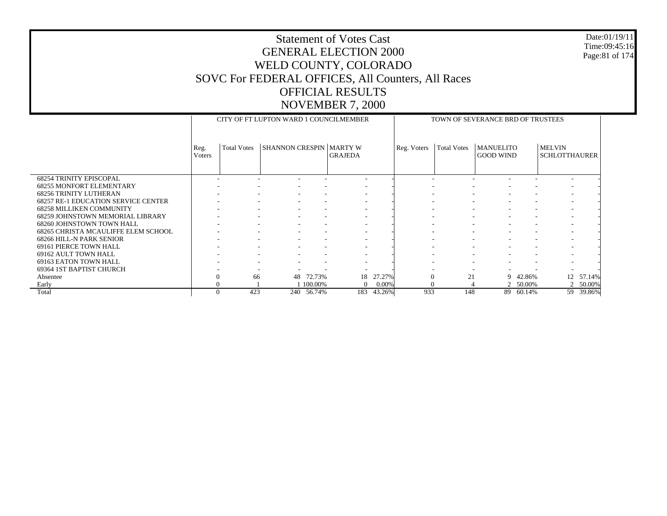#### Date:01/19/11 Time:09:45:16 Page:81 of 174

|                                            |                |                          | CITY OF FT LUPTON WARD 1 COUNCILMEMBER |            |                          |        |             | TOWN OF SEVERANCE BRD OF TRUSTEES |                                      |          |                                       |           |
|--------------------------------------------|----------------|--------------------------|----------------------------------------|------------|--------------------------|--------|-------------|-----------------------------------|--------------------------------------|----------|---------------------------------------|-----------|
|                                            | Reg.<br>Voters | <b>Total Votes</b>       | <b>SHANNON CRESPIN   MARTY W</b>       |            | <b>GRAJEDA</b>           |        | Reg. Voters | <b>Total Votes</b>                | <b>MANUELITO</b><br><b>GOOD WIND</b> |          | <b>MELVIN</b><br><b>SCHLOTTHAURER</b> |           |
| <b>68254 TRINITY EPISCOPAL</b>             |                |                          |                                        |            |                          |        |             |                                   |                                      |          |                                       |           |
| <b>68255 MONFORT ELEMENTARY</b>            |                |                          |                                        |            |                          |        |             |                                   |                                      |          |                                       |           |
| <b>68256 TRINITY LUTHERAN</b>              |                |                          |                                        |            | $\overline{\phantom{a}}$ |        |             |                                   |                                      |          |                                       |           |
| <b>68257 RE-1 EDUCATION SERVICE CENTER</b> |                |                          |                                        |            | $\overline{\phantom{a}}$ |        |             |                                   |                                      |          |                                       |           |
| <b>68258 MILLIKEN COMMUNITY</b>            |                |                          |                                        |            | $\overline{\phantom{a}}$ |        |             |                                   |                                      |          |                                       |           |
| 68259 JOHNSTOWN MEMORIAL LIBRARY           |                |                          |                                        |            | $\overline{\phantom{a}}$ |        |             | $\overline{\phantom{a}}$          |                                      | ۰        |                                       |           |
| 68260 JOHNSTOWN TOWN HALL                  |                | ۰                        |                                        |            | $\overline{\phantom{a}}$ |        |             |                                   | $\overline{\phantom{a}}$             |          |                                       |           |
| 68265 CHRISTA MCAULIFFE ELEM SCHOOL        |                |                          |                                        |            | $\overline{\phantom{a}}$ |        |             |                                   | $\overline{\phantom{a}}$             |          |                                       |           |
| 68266 HILL-N PARK SENIOR                   |                |                          |                                        |            |                          |        |             |                                   |                                      |          |                                       |           |
| 69161 PIERCE TOWN HALL                     |                | $\overline{\phantom{a}}$ |                                        |            | $\sim$                   |        |             |                                   | $\overline{\phantom{a}}$<br>٠        | ۰        |                                       |           |
| 69162 AULT TOWN HALL                       |                |                          |                                        |            | $\overline{\phantom{a}}$ |        |             |                                   |                                      |          |                                       |           |
| 69163 EATON TOWN HALL                      |                |                          |                                        |            |                          |        |             |                                   |                                      |          |                                       |           |
| 69364 1ST BAPTIST CHURCH                   |                |                          |                                        |            |                          |        |             |                                   |                                      |          |                                       |           |
| Absentee                                   |                | 66                       | 48                                     | 72.73%     | 18                       | 27.27% | $\Omega$    | 21                                |                                      | 9 42.86% |                                       | 12 57.14% |
| Early                                      | $\Omega$       |                          |                                        | 100.00%    | $\overline{0}$           | 0.00%  |             |                                   |                                      | 2 50.00% | $\mathbf{2}$                          | 50.00%    |
| Total                                      | $\Omega$       | 423                      |                                        | 240 56.74% | 183                      | 43.26% | 933         | 148                               | 89                                   | 60.14%   | 59                                    | 39.86%    |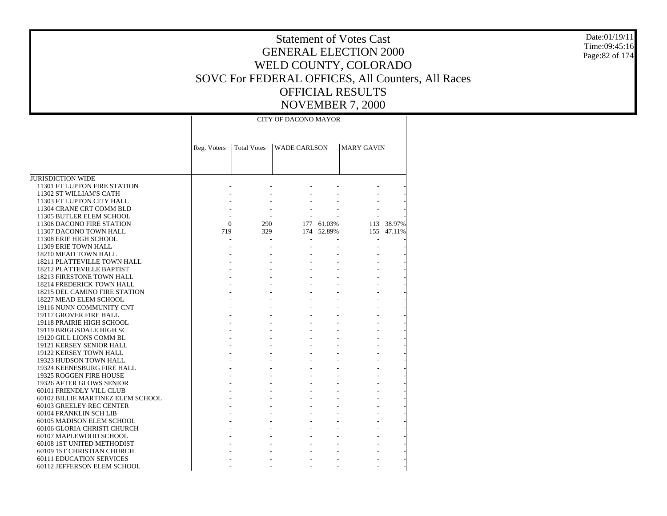11301 FT LUPTON FIRE STATIONReg. Voters | Total Votes | WADE CARLSON | MARY GAVIN CITY OF DACONO MAYOR - - - - - - - - - - - - - - - - - - - - - - - - -  $\Omega$  290 177 61.03% 113 38.97% 719 329 174 52.89% 155 47.11% - - - - - - - - - - - - - - - - - - - - - - - - - - - - - - - - - - - - - - - - - - - - - - - - - - - - - - -

- - - - -

 18211 PLATTEVILLE TOWN HALL 18212 PLATTEVILLE BAPTIST 18213 FIRESTONE TOWN HALL 18214 FREDERICK TOWN HALL 18215 DEL CAMINO FIRE STATION 18227 MEAD ELEM SCHOOL 19116 NUNN COMMUNITY CNT 19117 GROVER FIRE HALL 19118 PRAIRIE HIGH SCHOOL 19119 BRIGGSDALE HIGH SC 19120 GILL LIONS COMM BL 19121 KERSEY SENIOR HALL 19122 KERSEY TOWN HALL 19323 HUDSON TOWN HALL 19324 KEENESBURG FIRE HALL 19325 ROGGEN FIRE HOUSE 19326 AFTER GLOWS SENIOR 60101 FRIENDLY VILL CLUB 60102 BILLIE MARTINEZ ELEM SCHOOL 60103 GREELEY REC CENTER 60104 FRANKLIN SCH LIB 60105 MADISON ELEM SCHOOL 60106 GLORIA CHRISTI CHURCH 60107 MAPLEWOOD SCHOOL 60108 1ST UNITED METHODIST 60109 1ST CHRISTIAN CHURCH 60111 EDUCATION SERVICES - - - - - - - - - - - - - - - - - - - - - - - - - - - - - - - - - - - - - - - - - - - - - - - - - - - - - - - - - - - - - - - - - - - - - - - - - - - - - - - - - - - - - - - - - - - - - - -

JURISDICTION WIDE

 11302 ST WILLIAM'S CATH 11303 FT LUPTON CITY HALL 11304 CRANE CRT COMM BLD 11305 BUTLER ELEM SCHOOL 11306 DACONO FIRE STATION 11307 DACONO TOWN HALL 11308 ERIE HIGH SCHOOL 11309 ERIE TOWN HALL 18210 MEAD TOWN HALL

60112 JEFFERSON ELEM SCHOOL

Date:01/19/11Time:09:45:16Page:82 of 174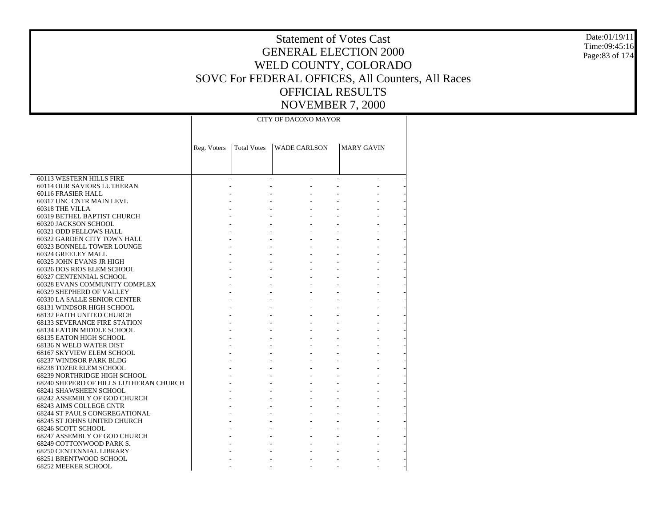- - - - -

 60113 WESTERN HILLS FIRE 60114 OUR SAVIORS LUTHERAN 60116 FRASIER HALL 60317 UNC CNTR MAIN LEVL 60318 THE VILLA 60319 BETHEL BAPTIST CHURCH 60320 JACKSON SCHOOL 60321 ODD FELLOWS HALL 60322 GARDEN CITY TOWN HALL 60323 BONNELL TOWER LOUNGE 60324 GREELEY MALL 60325 JOHN EVANS JR HIGH 60326 DOS RIOS ELEM SCHOOL 60327 CENTENNIAL SCHOOL 60328 EVANS COMMUNITY COMPLEX 60329 SHEPHERD OF VALLEY 60330 LA SALLE SENIOR CENTER 68131 WINDSOR HIGH SCHOOL 68132 FAITH UNITED CHURCH 68133 SEVERANCE FIRE STATION 68134 EATON MIDDLE SCHOOL 68135 EATON HIGH SCHOOL 68136 N WELD WATER DIST 68167 SKYVIEW ELEM SCHOOL 68237 WINDSOR PARK BLDG 68238 TOZER ELEM SCHOOL 68239 NORTHRIDGE HIGH SCHOOL 68240 SHEPERD OF HILLS LUTHERAN CHURCH 68241 SHAWSHEEN SCHOOL 68242 ASSEMBLY OF GOD CHURCH 68243 AIMS COLLEGE CNTR 68244 ST PAULS CONGREGATIONAL 68245 ST JOHNS UNITED CHURCH 68246 SCOTT SCHOOL 68247 ASSEMBLY OF GOD CHURCH 68249 COTTONWOOD PARK S. 68250 CENTENNIAL LIBRARY 68251 BRENTWOOD SCHOOLReg. Voters | Total Votes | WADE CARLSON | MARY GAVIN CITY OF DACONO MAYOR - - - - - - - - - - - - - - - - - - - - - - - - - - - - - - - - - - - - - - - - - - - - - - - - - - - - - - - - - - - - - - - - - - - - - - - - - - - - - - - - - - - - - - - - - - - - - - - - - - - - - - - - - - - - - - - - - - - - - - - - - - - - - - - - - - - - - - - - - - - - - - - - - - - - - - - - - - - - - - - - - - - - - - - - - - - - - - - - - - - - - - - - - - - - - -

68252 MEEKER SCHOOL

Date:01/19/11Time:09:45:16Page:83 of 174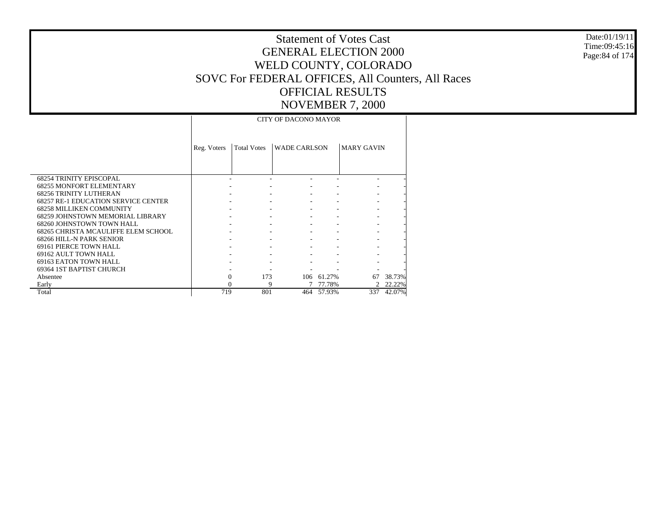68254 TRINITY EPISCOPAL 68255 MONFORT ELEMENTARY 68256 TRINITY LUTHERAN 68257 RE-1 EDUCATION SERVICE CENTER 68258 MILLIKEN COMMUNITY 68259 JOHNSTOWN MEMORIAL LIBRARY 68260 JOHNSTOWN TOWN HALL 68265 CHRISTA MCAULIFFE ELEM SCHOOL 68266 HILL-N PARK SENIOR 69161 PIERCE TOWN HALL 69162 AULT TOWN HALL 69163 EATON TOWN HALL 69364 1ST BAPTIST CHURCH Absentee Early Total Reg. Voters | Total Votes | WADE CARLSON | MARY GAVIN CITY OF DACONO MAYOR - - - - - - - - - - - - - - - - - - - - - - - - - - - - - - - - - - - - - - - - - - - - - - - - - - - - - - - - - - - - - - - - - 0 173 106 61.27% 67 38.73% 0 9 7 77.78% 2 22.22% 719 801 464 57.93%337 42.07%

Date:01/19/11Time:09:45:16Page:84 of 174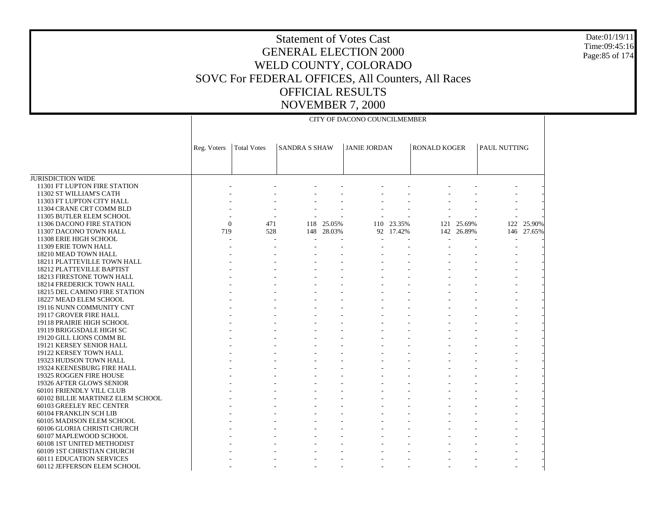JURISDICTION WIDE 11301 FT LUPTON FIRE STATION 11302 ST WILLIAM'S CATH 11303 FT LUPTON CITY HALL 11304 CRANE CRT COMM BLD 11305 BUTLER ELEM SCHOOL 11306 DACONO FIRE STATION 11307 DACONO TOWN HALL 11308 ERIE HIGH SCHOOL 11309 ERIE TOWN HALL 18210 MEAD TOWN HALL 18211 PLATTEVILLE TOWN HALL 18212 PLATTEVILLE BAPTIST 18213 FIRESTONE TOWN HALL 18214 FREDERICK TOWN HALL 18215 DEL CAMINO FIRE STATION 18227 MEAD ELEM SCHOOL 19116 NUNN COMMUNITY CNT 19117 GROVER FIRE HALL 19118 PRAIRIE HIGH SCHOOL 19119 BRIGGSDALE HIGH SC 19120 GILL LIONS COMM BL 19121 KERSEY SENIOR HALL 19122 KERSEY TOWN HALL 19323 HUDSON TOWN HALL 19324 KEENESBURG FIRE HALL 19325 ROGGEN FIRE HOUSE 19326 AFTER GLOWS SENIOR 60101 FRIENDLY VILL CLUB 60102 BILLIE MARTINEZ ELEM SCHOOL 60103 GREELEY REC CENTER 60104 FRANKLIN SCH LIB 60105 MADISON ELEM SCHOOL 60106 GLORIA CHRISTI CHURCH 60107 MAPLEWOOD SCHOOL 60108 1ST UNITED METHODIST 60109 1ST CHRISTIAN CHURCH 60111 EDUCATION SERVICES 60112 JEFFERSON ELEM SCHOOL Reg. Voters | Total Votes | SANDRA S SHAW | JANIE JORDAN | RONALD KOGER | PAUL NUTTING CITY OF DACONO COUNCILMEMBER - - - - - - - - - - - - - - - - - - - - - - - - - - - - - - - - - - - - - - - - - - - - -  $\theta$  471 118 25.05% 110 23.35% 121 25.69% 122 25.90% 719 528 148 28.03% 92 17.42% 142 26.89% 146 27.65% - - - - - - - - - - - - - - - - - - - - - - - - - - - - - - - - - - - - - - - - - - - - - - - - - - - - - - - - - - - - - - - - - - - - - - - - - - - - - - - - - - - - - - - - - - - - - - - - - - - - - - - - - - - - - - - - - - - - - - - - - - - - - - - - - - - - - - - - - - - - - - - - - - - - - - - - - - - - - - - - - - - - - - - - - - - - - - - - - - - - - - - - - - - - - - - - - - - - - - - - - - - - - - - - - - - - - - - - - - - - - - - - - - - - - - - - - - - - - - - - - - - - - - - - - - - - - - - - - - - - - - - - - - - - - - - - - - - - - - -

Date:01/19/11Time:09:45:16Page:85 of 174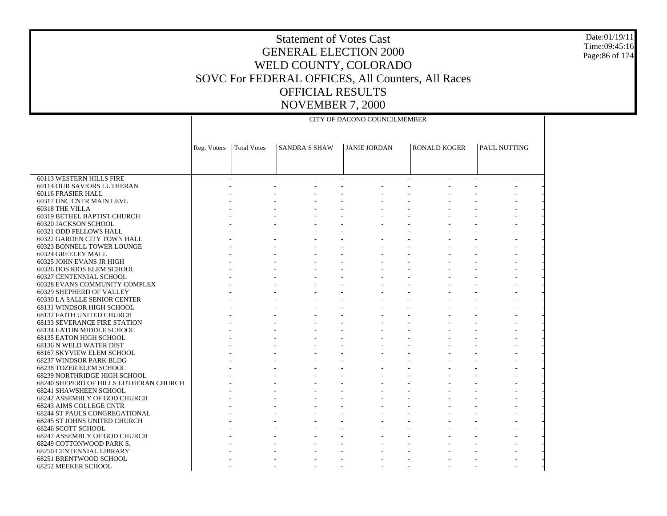#### Date:01/19/11 Time:09:45:16 Page:86 of 174

|                                                           |             |                    |                      | CITY OF DACONO COUNCILMEMBER |                     |              |
|-----------------------------------------------------------|-------------|--------------------|----------------------|------------------------------|---------------------|--------------|
|                                                           |             |                    |                      |                              |                     |              |
|                                                           |             |                    |                      |                              |                     |              |
|                                                           | Reg. Voters | <b>Total Votes</b> | <b>SANDRA S SHAW</b> | <b>JANIE JORDAN</b>          | <b>RONALD KOGER</b> | PAUL NUTTING |
|                                                           |             |                    |                      |                              |                     |              |
|                                                           |             |                    |                      |                              |                     |              |
| 60113 WESTERN HILLS FIRE                                  |             | $\mathcal{L}$      | $\sim$<br>$\sim$     | $\sim$ $^{-1}$<br>$\sim$     | $\sim$              | $\sim$       |
| 60114 OUR SAVIORS LUTHERAN                                |             |                    |                      |                              |                     |              |
| 60116 FRASIER HALL                                        |             |                    |                      |                              |                     |              |
| 60317 UNC CNTR MAIN LEVL                                  |             |                    |                      |                              |                     |              |
| 60318 THE VILLA                                           |             |                    |                      |                              |                     |              |
| 60319 BETHEL BAPTIST CHURCH                               |             |                    |                      |                              |                     |              |
| 60320 JACKSON SCHOOL                                      |             |                    |                      |                              |                     |              |
| 60321 ODD FELLOWS HALL                                    |             |                    |                      |                              |                     |              |
| 60322 GARDEN CITY TOWN HALL                               |             |                    |                      |                              |                     |              |
| 60323 BONNELL TOWER LOUNGE                                |             |                    |                      |                              |                     |              |
| 60324 GREELEY MALL                                        |             |                    |                      |                              |                     |              |
| 60325 JOHN EVANS JR HIGH                                  |             |                    |                      |                              |                     |              |
| 60326 DOS RIOS ELEM SCHOOL                                |             |                    |                      |                              |                     |              |
| 60327 CENTENNIAL SCHOOL                                   |             |                    |                      |                              |                     |              |
| 60328 EVANS COMMUNITY COMPLEX                             |             |                    |                      |                              |                     |              |
| 60329 SHEPHERD OF VALLEY                                  |             |                    |                      |                              |                     |              |
| 60330 LA SALLE SENIOR CENTER                              |             |                    |                      |                              |                     |              |
| 68131 WINDSOR HIGH SCHOOL                                 |             |                    |                      |                              |                     |              |
| 68132 FAITH UNITED CHURCH                                 |             |                    |                      |                              |                     |              |
| <b>68133 SEVERANCE FIRE STATION</b>                       |             |                    |                      |                              |                     |              |
| 68134 EATON MIDDLE SCHOOL                                 |             |                    |                      |                              |                     |              |
| 68135 EATON HIGH SCHOOL                                   |             |                    |                      |                              |                     |              |
| 68136 N WELD WATER DIST                                   |             |                    |                      |                              |                     |              |
| 68167 SKYVIEW ELEM SCHOOL                                 |             |                    |                      |                              |                     |              |
| 68237 WINDSOR PARK BLDG                                   |             |                    |                      |                              |                     |              |
| 68238 TOZER ELEM SCHOOL                                   |             |                    |                      |                              |                     |              |
| 68239 NORTHRIDGE HIGH SCHOOL                              |             |                    |                      |                              |                     |              |
| 68240 SHEPERD OF HILLS LUTHERAN CHURCH                    |             |                    |                      |                              |                     |              |
| 68241 SHAWSHEEN SCHOOL                                    |             |                    |                      |                              |                     |              |
| 68242 ASSEMBLY OF GOD CHURCH                              |             |                    |                      |                              |                     |              |
| 68243 AIMS COLLEGE CNTR                                   |             |                    |                      |                              |                     |              |
| <b>68244 ST PAULS CONGREGATIONAL</b>                      |             |                    |                      |                              |                     |              |
| 68245 ST JOHNS UNITED CHURCH                              |             |                    |                      |                              |                     |              |
| 68246 SCOTT SCHOOL                                        |             |                    |                      |                              |                     |              |
| 68247 ASSEMBLY OF GOD CHURCH                              |             |                    |                      |                              |                     |              |
| 68249 COTTONWOOD PARK S.                                  |             |                    |                      |                              |                     |              |
| <b>68250 CENTENNIAL LIBRARY</b><br>68251 BRENTWOOD SCHOOL |             |                    |                      |                              |                     |              |
|                                                           |             |                    |                      |                              |                     |              |
| 68252 MEEKER SCHOOL                                       |             |                    |                      |                              |                     |              |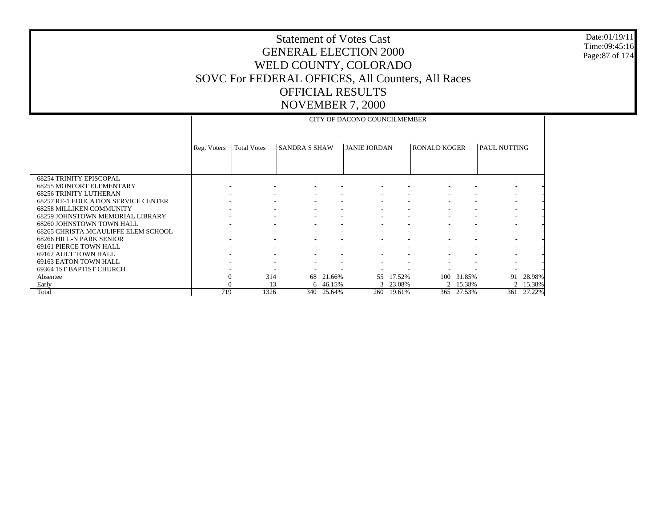#### Date:01/19/11 Time:09:45:16 Page:87 of 174

|                                            |              |                    |                          |        | CITY OF DACONO COUNCILMEMBER |          |                     |          |                     |        |
|--------------------------------------------|--------------|--------------------|--------------------------|--------|------------------------------|----------|---------------------|----------|---------------------|--------|
|                                            |              |                    |                          |        |                              |          |                     |          |                     |        |
|                                            |              |                    |                          |        |                              |          |                     |          |                     |        |
|                                            | Reg. Voters  | <b>Total Votes</b> | <b>SANDRA S SHAW</b>     |        | <b>JANIE JORDAN</b>          |          | <b>RONALD KOGER</b> |          | <b>PAUL NUTTING</b> |        |
|                                            |              |                    |                          |        |                              |          |                     |          |                     |        |
|                                            |              |                    |                          |        |                              |          |                     |          |                     |        |
| <b>68254 TRINITY EPISCOPAL</b>             |              |                    |                          |        |                              |          |                     |          |                     |        |
| <b>68255 MONFORT ELEMENTARY</b>            |              |                    |                          |        |                              |          |                     |          |                     |        |
| <b>68256 TRINITY LUTHERAN</b>              |              |                    |                          |        |                              |          |                     |          |                     |        |
| <b>68257 RE-1 EDUCATION SERVICE CENTER</b> |              |                    |                          |        |                              |          |                     |          |                     |        |
| <b>68258 MILLIKEN COMMUNITY</b>            |              |                    | ۰<br>۰                   |        |                              |          |                     |          |                     |        |
| <b>68259 JOHNSTOWN MEMORIAL LIBRARY</b>    |              |                    |                          |        |                              |          |                     |          |                     |        |
| 68260 JOHNSTOWN TOWN HALL                  |              |                    |                          |        |                              |          |                     |          |                     |        |
| 68265 CHRISTA MCAULIFFE ELEM SCHOOL        |              |                    | ٠                        |        |                              |          |                     |          |                     |        |
| 68266 HILL-N PARK SENIOR                   |              |                    | $\overline{\phantom{a}}$ |        |                              |          |                     |          |                     |        |
| 69161 PIERCE TOWN HALL                     |              |                    |                          |        |                              |          |                     |          |                     |        |
| 69162 AULT TOWN HALL                       |              |                    |                          |        |                              |          |                     |          |                     |        |
| 69163 EATON TOWN HALL                      |              |                    | ٠<br>۰                   |        |                              |          |                     |          |                     |        |
| 69364 1ST BAPTIST CHURCH                   |              |                    |                          |        |                              |          |                     |          |                     |        |
| Absentee                                   | $\mathbf{0}$ | 314                | 68                       | 21.66% | 55                           | 17.52%   | 100                 | 31.85%   | 91                  | 28.98% |
| Early                                      |              | 13                 | 6                        | 46.15% |                              | 3 23.08% |                     | 2 15.38% | 2                   | 15.38% |
| Total                                      | 719          | 1326               | 340                      | 25.64% | 260                          | 19.61%   | 365                 | 27.53%   | 361                 | 27.22% |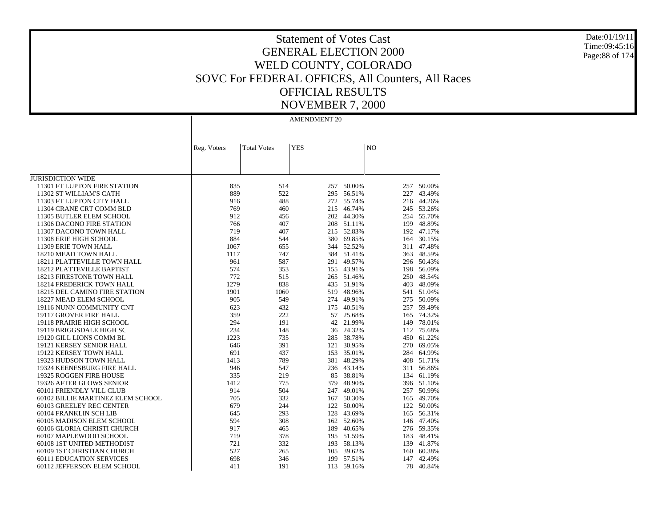Date:01/19/11 Time:09:45:16 Page:88 of 174

### Statement of Votes Cast GENERAL ELECTION 2000 WELD COUNTY, COLORADO SOVC For FEDERAL OFFICES, All Counters, All Races OFFICIAL RESULTS NOVEMBER 7, 2000

|                                      | Reg. Voters | <b>Total Votes</b> | <b>YES</b> |                  | N <sub>O</sub> |                  |
|--------------------------------------|-------------|--------------------|------------|------------------|----------------|------------------|
|                                      |             |                    |            |                  |                |                  |
|                                      |             |                    |            |                  |                |                  |
|                                      |             |                    |            |                  |                |                  |
| <b>JURISDICTION WIDE</b>             |             |                    |            |                  |                |                  |
| 11301 FT LUPTON FIRE STATION         | 835<br>889  | 514<br>522         | 257        | 50.00%<br>56.51% | 257<br>227     | 50.00%<br>43.49% |
| 11302 ST WILLIAM'S CATH              |             | 488                | 295        |                  |                |                  |
| 11303 FT LUPTON CITY HALL            | 916<br>769  |                    | 272        | 55.74%<br>46.74% | 216            | 44.26%           |
| 11304 CRANE CRT COMM BLD             |             | 460                | 215        |                  |                | 245 53.26%       |
| 11305 BUTLER ELEM SCHOOL             | 912         | 456                | 202        | 44.30%           |                | 254 55.70%       |
| 11306 DACONO FIRE STATION            | 766         | 407                | 208        | 51.11%           | 199            | 48.89%           |
| 11307 DACONO TOWN HALL               | 719         | 407                | 215        | 52.83%           |                | 192 47.17%       |
| 11308 ERIE HIGH SCHOOL               | 884         | 544                |            | 380 69.85%       |                | 164 30.15%       |
| 11309 ERIE TOWN HALL                 | 1067        | 655                | 344        | 52.52%           | 311            | 47.48%           |
| 18210 MEAD TOWN HALL                 | 1117        | 747                | 384        | 51.41%           | 363            | 48.59%           |
| 18211 PLATTEVILLE TOWN HALL          | 961         | 587                | 291        | 49.57%           |                | 296 50.43%       |
| 18212 PLATTEVILLE BAPTIST            | 574         | 353                | 155        | 43.91%           |                | 198 56.09%       |
| 18213 FIRESTONE TOWN HALL            | 772         | 515                | 265        | 51.46%           | 250            | 48.54%           |
| 18214 FREDERICK TOWN HALL            | 1279        | 838                | 435        | 51.91%           | 403            | 48.09%           |
| <b>18215 DEL CAMINO FIRE STATION</b> | 1901        | 1060               | 519        | 48.96%           |                | 541 51.04%       |
| 18227 MEAD ELEM SCHOOL               | 905         | 549                | 274        | 49.91%           | 275            | 50.09%           |
| 19116 NUNN COMMUNITY CNT             | 623         | 432                | 175        | 40.51%           | 257            | 59.49%           |
| 19117 GROVER FIRE HALL               | 359         | 222                | 57         | 25.68%           | 165            | 74.32%           |
| 19118 PRAIRIE HIGH SCHOOL            | 294         | 191                | 42         | 21.99%           | 149            | 78.01%           |
| 19119 BRIGGSDALE HIGH SC             | 234         | 148                | 36         | 24.32%           | 112            | 75.68%           |
| 19120 GILL LIONS COMM BL             | 1223        | 735                | 285        | 38.78%           | 450            | 61.22%           |
| 19121 KERSEY SENIOR HALL             | 646         | 391                | 121        | 30.95%           | 270            | 69.05%           |
| 19122 KERSEY TOWN HALL               | 691         | 437                | 153        | 35.01%           | 284            | 64.99%           |
| 19323 HUDSON TOWN HALL               | 1413        | 789                | 381        | 48.29%           | 408            | 51.71%           |
| 19324 KEENESBURG FIRE HALL           | 946         | 547                | 236        | 43.14%           |                | 311 56.86%       |
| 19325 ROGGEN FIRE HOUSE              | 335         | 219                | 85         | 38.81%           | 134            | 61.19%           |
| 19326 AFTER GLOWS SENIOR             | 1412        | 775                | 379        | 48.90%           |                | 396 51.10%       |
| 60101 FRIENDLY VILL CLUB             | 914         | 504                | 247        | 49.01%           |                | 257 50.99%       |
| 60102 BILLIE MARTINEZ ELEM SCHOOL    | 705         | 332                | 167        | 50.30%           | 165            | 49.70%           |
| 60103 GREELEY REC CENTER             | 679         | 244                | 122        | 50.00%           | 122            | 50.00%           |
| 60104 FRANKLIN SCH LIB               | 645         | 293                | 128        | 43.69%           |                | 165 56.31%       |
| 60105 MADISON ELEM SCHOOL            | 594         | 308                | 162        | 52.60%           | 146            | 47.40%           |
| 60106 GLORIA CHRISTI CHURCH          | 917         | 465                | 189        | 40.65%           |                | 276 59.35%       |
| 60107 MAPLEWOOD SCHOOL               | 719         | 378                | 195        | 51.59%           | 183            | 48.41%           |
| 60108 1ST UNITED METHODIST           | 721         | 332                | 193        | 58.13%           | 139            | 41.87%           |
| 60109 1ST CHRISTIAN CHURCH           | 527         | 265                | 105        | 39.62%           | 160            | 60.38%           |
| <b>60111 EDUCATION SERVICES</b>      | 698         | 346                | 199        | 57.51%           | 147            | 42.49%           |
| 60112 JEFFERSON ELEM SCHOOL          | 411         | 191                | 113        | 59.16%           | 78             | 40.84%           |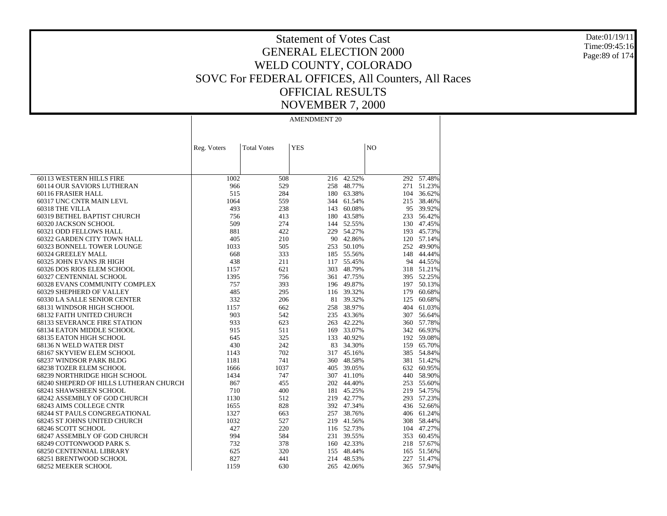Date:01/19/11 Time:09:45:16 Page:89 of 174

### Statement of Votes Cast GENERAL ELECTION 2000 WELD COUNTY, COLORADO SOVC For FEDERAL OFFICES, All Counters, All Races OFFICIAL RESULTS NOVEMBER 7, 2000

|                                        |             | <b>Total Votes</b> | <b>YES</b> |            | N <sub>O</sub> |                 |
|----------------------------------------|-------------|--------------------|------------|------------|----------------|-----------------|
|                                        | Reg. Voters |                    |            |            |                |                 |
|                                        |             |                    |            |            |                |                 |
|                                        |             |                    |            |            |                |                 |
| 60113 WESTERN HILLS FIRE               | 1002        | 508                | 216        | 42.52%     |                | $292 - 57.48\%$ |
| 60114 OUR SAVIORS LUTHERAN             | 966         | 529                | 258        | 48.77%     |                | 271 51.23%      |
| 60116 FRASIER HALL                     | 515         | 284                | 180        | 63.38%     |                | 104 36.62%      |
| 60317 UNC CNTR MAIN LEVL               | 1064        | 559                | 344        | 61.54%     |                | 215 38.46%      |
| 60318 THE VILLA                        | 493         | 238                | 143        | 60.08%     |                | 95 39.92%       |
| 60319 BETHEL BAPTIST CHURCH            | 756         | 413                | 180        | 43.58%     |                | 233 56.42%      |
| 60320 JACKSON SCHOOL                   | 509         | 274                |            | 144 52.55% |                | 130 47.45%      |
| 60321 ODD FELLOWS HALL                 | 881         | 422                |            | 229 54.27% |                | 193 45.73%      |
| 60322 GARDEN CITY TOWN HALL            | 405         | 210                | 90         | 42.86%     |                | 120 57.14%      |
| 60323 BONNELL TOWER LOUNGE             | 1033        | 505                |            | 253 50.10% |                | 252 49.90%      |
| 60324 GREELEY MALL                     | 668         | 333                |            | 185 55.56% |                | 148 44.44%      |
| 60325 JOHN EVANS JR HIGH               | 438         | 211                |            | 117 55.45% |                | 94 44.55%       |
| 60326 DOS RIOS ELEM SCHOOL             | 1157        | 621                | 303        | 48.79%     |                | 318 51.21%      |
| 60327 CENTENNIAL SCHOOL                | 1395        | 756                |            | 361 47.75% |                | 395 52.25%      |
| 60328 EVANS COMMUNITY COMPLEX          | 757         | 393                |            | 196 49.87% |                | 197 50.13%      |
| 60329 SHEPHERD OF VALLEY               | 485         | 295                |            | 116 39.32% | 179            | 60.68%          |
| 60330 LA SALLE SENIOR CENTER           | 332         | 206                | 81         | 39.32%     | 125            | 60.68%          |
| 68131 WINDSOR HIGH SCHOOL              | 1157        | 662                |            | 258 38.97% |                | 404 61.03%      |
| <b>68132 FAITH UNITED CHURCH</b>       | 903         | 542                |            | 235 43.36% |                | 307 56.64%      |
| <b>68133 SEVERANCE FIRE STATION</b>    | 933         | 623                | 263        | 42.22%     |                | 360 57.78%      |
| 68134 EATON MIDDLE SCHOOL              | 915         | 511                |            | 169 33.07% |                | 342 66.93%      |
| <b>68135 EATON HIGH SCHOOL</b>         | 645         | 325                | 133        | 40.92%     |                | 192 59.08%      |
| 68136 N WELD WATER DIST                | 430         | 242                | 83         | 34.30%     |                | 159 65.70%      |
| 68167 SKYVIEW ELEM SCHOOL              | 1143        | 702                |            | 317 45.16% |                | 385 54.84%      |
| 68237 WINDSOR PARK BLDG                | 1181        | 741                | 360        | 48.58%     |                | 381 51.42%      |
| <b>68238 TOZER ELEM SCHOOL</b>         | 1666        | 1037               | 405        | 39.05%     |                | 632 60.95%      |
| 68239 NORTHRIDGE HIGH SCHOOL           | 1434        | 747                |            | 307 41.10% |                | 440 58.90%      |
| 68240 SHEPERD OF HILLS LUTHERAN CHURCH | 867         | 455                | 202        | 44.40%     |                | 253 55.60%      |
| 68241 SHAWSHEEN SCHOOL                 | 710         | 400                |            | 181 45.25% |                | 219 54.75%      |
| 68242 ASSEMBLY OF GOD CHURCH           | 1130        | 512                |            | 219 42.77% |                | 293 57.23%      |
| <b>68243 AIMS COLLEGE CNTR</b>         | 1655        | 828                |            | 392 47.34% |                | 436 52.66%      |
| 68244 ST PAULS CONGREGATIONAL          | 1327        | 663                | 257        | 38.76%     |                | 406 61.24%      |
| 68245 ST JOHNS UNITED CHURCH           | 1032        | 527                |            | 219 41.56% |                | 308 58.44%      |
| 68246 SCOTT SCHOOL                     | 427         | 220                |            | 116 52.73% |                | 104 47.27%      |
| 68247 ASSEMBLY OF GOD CHURCH           | 994         | 584                |            | 231 39.55% |                | 353 60.45%      |
| 68249 COTTONWOOD PARK S.               | 732         | 378                |            | 160 42.33% |                | 218 57.67%      |
| 68250 CENTENNIAL LIBRARY               | 625         | 320                |            | 155 48.44% |                | 165 51.56%      |
| 68251 BRENTWOOD SCHOOL                 | 827         | 441                | 214        | 48.53%     | 227            | 51.47%          |
| 68252 MEEKER SCHOOL                    | 1159        | 630                | 265        | 42.06%     | 365            | 57.94%          |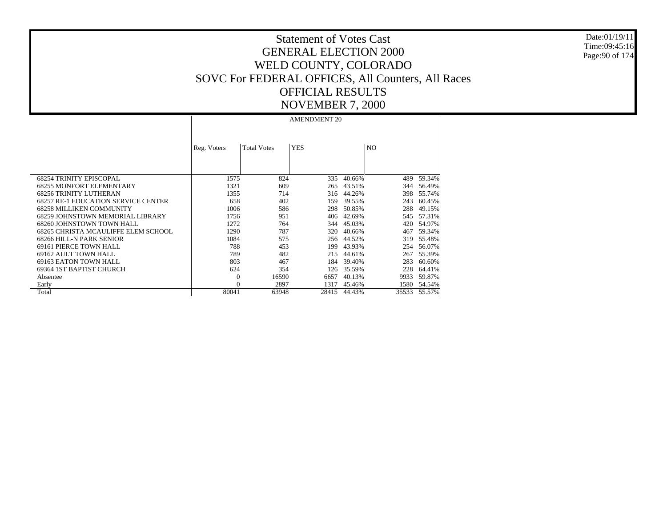Date:01/19/11 Time:09:45:16 Page:90 of 174

# Statement of Votes Cast GENERAL ELECTION 2000 WELD COUNTY, COLORADO SOVC For FEDERAL OFFICES, All Counters, All Races OFFICIAL RESULTS NOVEMBER 7, 2000

|                                            | Reg. Voters | <b>Total Votes</b> | <b>YES</b> |        | N <sub>O</sub> |        |
|--------------------------------------------|-------------|--------------------|------------|--------|----------------|--------|
| <b>68254 TRINITY EPISCOPAL</b>             | 1575        | 824                | 335        | 40.66% | 489            | 59.34% |
| <b>68255 MONFORT ELEMENTARY</b>            | 1321        | 609                | 265        | 43.51% | 344            | 56.49% |
| <b>68256 TRINITY LUTHERAN</b>              | 1355        | 714                | 316        | 44.26% | 398            | 55.74% |
| <b>68257 RE-1 EDUCATION SERVICE CENTER</b> | 658         | 402                | 159        | 39.55% | 243            | 60.45% |
| <b>68258 MILLIKEN COMMUNITY</b>            | 1006        | 586                | 298        | 50.85% | 288            | 49.15% |
| 68259 JOHNSTOWN MEMORIAL LIBRARY           | 1756        | 951                | 406        | 42.69% | 545            | 57.31% |
| 68260 JOHNSTOWN TOWN HALL                  | 1272        | 764                | 344        | 45.03% | 420            | 54.97% |
| 68265 CHRISTA MCAULIFFE ELEM SCHOOL        | 1290        | 787                | 320        | 40.66% | 467            | 59.34% |
| 68266 HILL-N PARK SENIOR                   | 1084        | 575                | 256        | 44.52% | 319            | 55.48% |
| 69161 PIERCE TOWN HALL                     | 788         | 453                | 199        | 43.93% | 254            | 56.07% |
| 69162 AULT TOWN HALL                       | 789         | 482                | 215        | 44.61% | 267            | 55.39% |
| 69163 EATON TOWN HALL                      | 803         | 467                | 184        | 39.40% | 283            | 60.60% |
| 69364 IST BAPTIST CHURCH                   | 624         | 354                | 126        | 35.59% | 228            | 64.41% |
| Absentee                                   | $\Omega$    | 16590              | 6657       | 40.13% | 9933           | 59.87% |
| Early                                      | $\Omega$    | 2897               | 1317       | 45.46% | 1580           | 54.54% |
| Total                                      | 80041       | 63948              | 28415      | 44.43% | 35533          | 55.57% |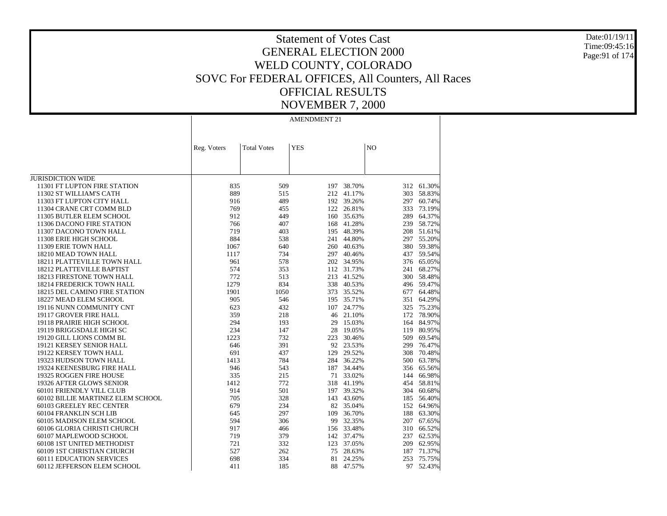Date:01/19/11 Time:09:45:16 Page:91 of 174

# Statement of Votes Cast GENERAL ELECTION 2000 WELD COUNTY, COLORADO SOVC For FEDERAL OFFICES, All Counters, All Races OFFICIAL RESULTS NOVEMBER 7, 2000

|                                   | Reg. Voters | <b>Total Votes</b> | <b>YES</b> |        | NO  |            |
|-----------------------------------|-------------|--------------------|------------|--------|-----|------------|
|                                   |             |                    |            |        |     |            |
|                                   |             |                    |            |        |     |            |
|                                   |             |                    |            |        |     |            |
| <b>JURISDICTION WIDE</b>          |             |                    |            |        |     |            |
| 11301 FT LUPTON FIRE STATION      | 835         | 509                | 197        | 38.70% |     | 312 61.30% |
| 11302 ST WILLIAM'S CATH           | 889         | 515                | 212        | 41.17% | 303 | 58.83%     |
| 11303 FT LUPTON CITY HALL         | 916         | 489                | 192        | 39.26% | 297 | 60.74%     |
| 11304 CRANE CRT COMM BLD          | 769         | 455                | 122        | 26.81% | 333 | 73.19%     |
| 11305 BUTLER ELEM SCHOOL          | 912         | 449                | 160        | 35.63% | 289 | 64.37%     |
| 11306 DACONO FIRE STATION         | 766         | 407                | 168        | 41.28% | 239 | 58.72%     |
| 11307 DACONO TOWN HALL            | 719         | 403                | 195        | 48.39% | 208 | 51.61%     |
| 11308 ERIE HIGH SCHOOL            | 884         | 538                | 241        | 44.80% |     | 297 55.20% |
| 11309 ERIE TOWN HALL              | 1067        | 640                | 260        | 40.63% |     | 380 59.38% |
| 18210 MEAD TOWN HALL              | 1117        | 734                | 297        | 40.46% | 437 | 59.54%     |
| 18211 PLATTEVILLE TOWN HALL       | 961         | 578                | 202        | 34.95% |     | 376 65.05% |
| 18212 PLATTEVILLE BAPTIST         | 574         | 353                | 112        | 31.73% | 241 | 68.27%     |
| 18213 FIRESTONE TOWN HALL         | 772         | 513                | 213        | 41.52% | 300 | 58.48%     |
| 18214 FREDERICK TOWN HALL         | 1279        | 834                | 338        | 40.53% |     | 496 59.47% |
| 18215 DEL CAMINO FIRE STATION     | 1901        | 1050               | 373        | 35.52% | 677 | 64.48%     |
| 18227 MEAD ELEM SCHOOL            | 905         | 546                | 195        | 35.71% | 351 | 64.29%     |
| 19116 NUNN COMMUNITY CNT          | 623         | 432                | 107        | 24.77% | 325 | 75.23%     |
| 19117 GROVER FIRE HALL            | 359         | 218                | 46         | 21.10% |     | 172 78.90% |
| 19118 PRAIRIE HIGH SCHOOL         | 294         | 193                | 29         | 15.03% | 164 | 84.97%     |
| 19119 BRIGGSDALE HIGH SC          | 234         | 147                | 28         | 19.05% | 119 | 80.95%     |
| 19120 GILL LIONS COMM BL          | 1223        | 732                | 223        | 30.46% | 509 | 69.54%     |
| 19121 KERSEY SENIOR HALL          | 646         | 391                | 92         | 23.53% | 299 | 76.47%     |
| 19122 KERSEY TOWN HALL            | 691         | 437                | 129        | 29.52% | 308 | 70.48%     |
| 19323 HUDSON TOWN HALL            | 1413        | 784                | 284        | 36.22% | 500 | 63.78%     |
| 19324 KEENESBURG FIRE HALL        | 946         | 543                | 187        | 34.44% | 356 | 65.56%     |
| 19325 ROGGEN FIRE HOUSE           | 335         | 215                | 71         | 33.02% | 144 | 66.98%     |
| 19326 AFTER GLOWS SENIOR          | 1412        | 772                | 318        | 41.19% | 454 | 58.81%     |
| 60101 FRIENDLY VILL CLUB          | 914         | 501                | 197        | 39.32% |     | 304 60.68% |
| 60102 BILLIE MARTINEZ ELEM SCHOOL | 705         | 328                | 143        | 43.60% | 185 | 56.40%     |
| 60103 GREELEY REC CENTER          | 679         | 234                | 82         | 35.04% |     | 152 64.96% |
| 60104 FRANKLIN SCH LIB            | 645         | 297                | 109        | 36.70% | 188 | 63.30%     |
| 60105 MADISON ELEM SCHOOL         | 594         | 306                | 99         | 32.35% | 207 | 67.65%     |
| 60106 GLORIA CHRISTI CHURCH       | 917         | 466                | 156        | 33.48% | 310 | 66.52%     |
| 60107 MAPLEWOOD SCHOOL            | 719         | 379                | 142        | 37.47% | 237 | 62.53%     |
| 60108 1ST UNITED METHODIST        | 721         | 332                | 123        | 37.05% | 209 | 62.95%     |
| 60109 1ST CHRISTIAN CHURCH        | 527         | 262                | 75         | 28.63% | 187 | 71.37%     |
| 60111 EDUCATION SERVICES          | 698         | 334                | 81         | 24.25% | 253 | 75.75%     |
| 60112 JEFFERSON ELEM SCHOOL       | 411         | 185                | 88         | 47.57% | 97  | 52.43%     |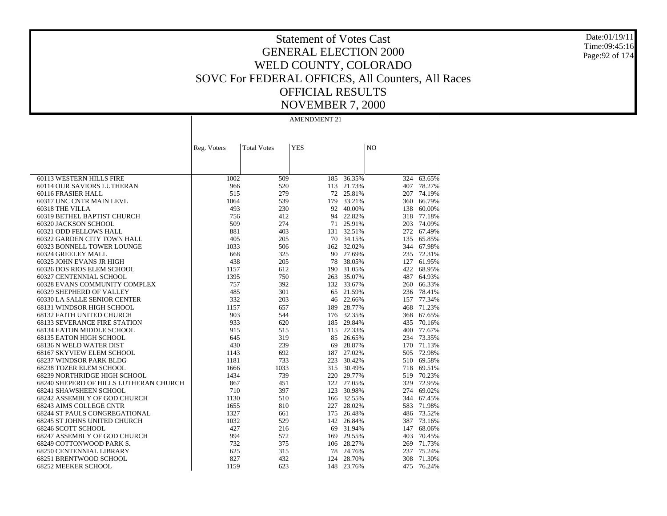Date:01/19/11 Time:09:45:16 Page:92 of 174

# Statement of Votes Cast GENERAL ELECTION 2000 WELD COUNTY, COLORADO SOVC For FEDERAL OFFICES, All Counters, All Races OFFICIAL RESULTS NOVEMBER 7, 2000

|                                        | Reg. Voters | <b>Total Votes</b> | <b>YES</b> |            | N <sub>O</sub> |            |
|----------------------------------------|-------------|--------------------|------------|------------|----------------|------------|
|                                        |             |                    |            |            |                |            |
|                                        |             |                    |            |            |                |            |
|                                        |             |                    |            |            |                |            |
| 60113 WESTERN HILLS FIRE               | 1002        | 509                | 185        | 36.35%     | 324            | 63.65%     |
| 60114 OUR SAVIORS LUTHERAN             | 966         | 520                | 113        | 21.73%     |                | 407 78.27% |
| 60116 FRASIER HALL                     | 515         | 279                | 72         | 25.81%     | 207            | 74.19%     |
| 60317 UNC CNTR MAIN LEVL               | 1064        | 539                | 179        | 33.21%     | 360            | 66.79%     |
| 60318 THE VILLA                        | 493         | 230                | 92         | 40.00%     | 138            | 60.00%     |
| 60319 BETHEL BAPTIST CHURCH            | 756         | 412                | 94         | 22.82%     | 318            | 77.18%     |
| 60320 JACKSON SCHOOL                   | 509         | 274                | 71         | 25.91%     |                | 203 74.09% |
| 60321 ODD FELLOWS HALL                 | 881         | 403                |            | 131 32.51% |                | 272 67.49% |
| 60322 GARDEN CITY TOWN HALL            | 405         | 205                | 70         | 34.15%     |                | 135 65.85% |
| 60323 BONNELL TOWER LOUNGE             | 1033        | 506                | 162        | 32.02%     |                | 344 67.98% |
| 60324 GREELEY MALL                     | 668         | 325                |            | 90 27.69%  |                | 235 72.31% |
| 60325 JOHN EVANS JR HIGH               | 438         | 205                | 78         | 38.05%     | 127            | 61.95%     |
| 60326 DOS RIOS ELEM SCHOOL             | 1157        | 612                | 190        | 31.05%     |                | 422 68.95% |
| 60327 CENTENNIAL SCHOOL                | 1395        | 750                | 263        | 35.07%     |                | 487 64.93% |
| 60328 EVANS COMMUNITY COMPLEX          | 757         | 392                |            | 132 33.67% |                | 260 66.33% |
| 60329 SHEPHERD OF VALLEY               | 485         | 301                | 65         | 21.59%     |                | 236 78.41% |
| 60330 LA SALLE SENIOR CENTER           | 332         | 203                | 46         | 22.66%     |                | 157 77.34% |
| 68131 WINDSOR HIGH SCHOOL              | 1157        | 657                | 189        | 28.77%     |                | 468 71.23% |
| <b>68132 FAITH UNITED CHURCH</b>       | 903         | 544                |            | 176 32.35% | 368            | 67.65%     |
| <b>68133 SEVERANCE FIRE STATION</b>    | 933         | 620                | 185        | 29.84%     | 435            | 70.16%     |
| 68134 EATON MIDDLE SCHOOL              | 915         | 515                | 115        | 22.33%     |                | 400 77.67% |
| 68135 EATON HIGH SCHOOL                | 645         | 319                | 85         | 26.65%     |                | 234 73.35% |
| 68136 N WELD WATER DIST                | 430         | 239                | 69         | 28.87%     |                | 170 71.13% |
| 68167 SKYVIEW ELEM SCHOOL              | 1143        | 692                | 187        | 27.02%     | 505            | 72.98%     |
| 68237 WINDSOR PARK BLDG                | 1181        | 733                | 223        | 30.42%     | 510            | 69.58%     |
| 68238 TOZER ELEM SCHOOL                | 1666        | 1033               | 315        | 30.49%     |                | 718 69.51% |
| 68239 NORTHRIDGE HIGH SCHOOL           | 1434        | 739                |            | 220 29.77% |                | 519 70.23% |
| 68240 SHEPERD OF HILLS LUTHERAN CHURCH | 867         | 451                |            | 122 27.05% |                | 329 72.95% |
| 68241 SHAWSHEEN SCHOOL                 | 710         | 397                | 123        | 30.98%     |                | 274 69.02% |
| 68242 ASSEMBLY OF GOD CHURCH           | 1130        | 510                |            | 166 32.55% |                | 344 67.45% |
| 68243 AIMS COLLEGE CNTR                | 1655        | 810                | 227        | 28.02%     |                | 583 71.98% |
| <b>68244 ST PAULS CONGREGATIONAL</b>   | 1327        | 661                | 175        | 26.48%     |                | 486 73.52% |
| 68245 ST JOHNS UNITED CHURCH           | 1032        | 529                |            | 142 26.84% | 387            | 73.16%     |
| 68246 SCOTT SCHOOL                     | 427         | 216                | 69         | 31.94%     | 147            | 68.06%     |
| 68247 ASSEMBLY OF GOD CHURCH           | 994         | 572                | 169        | 29.55%     | 403            | 70.45%     |
| 68249 COTTONWOOD PARK S.               | 732         | 375                |            | 106 28.27% |                | 269 71.73% |
| <b>68250 CENTENNIAL LIBRARY</b>        | 625         | 315                | 78         | 24.76%     | 237            | 75.24%     |
| 68251 BRENTWOOD SCHOOL                 | 827         | 432                | 124        | 28.70%     | 308            | 71.30%     |
| 68252 MEEKER SCHOOL                    | 1159        | 623                | 148        | 23.76%     | 475            | 76.24%     |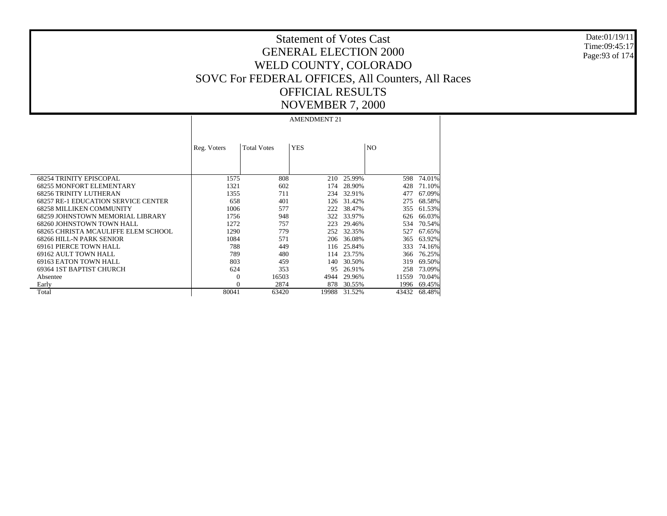Date:01/19/11 Time:09:45:17 Page:93 of 174

# Statement of Votes Cast GENERAL ELECTION 2000 WELD COUNTY, COLORADO SOVC For FEDERAL OFFICES, All Counters, All Races OFFICIAL RESULTS NOVEMBER 7, 2000

|                                            | Reg. Voters | <b>Total Votes</b> | <b>YES</b> |            | N <sub>O</sub> |        |
|--------------------------------------------|-------------|--------------------|------------|------------|----------------|--------|
|                                            |             |                    |            |            |                |        |
|                                            |             |                    |            |            |                |        |
| <b>68254 TRINITY EPISCOPAL</b>             | 1575        | 808                |            | 210 25.99% | 598            | 74.01% |
| <b>68255 MONFORT ELEMENTARY</b>            | 1321        | 602                | 174        | 28.90%     | 428            | 71.10% |
| <b>68256 TRINITY LUTHERAN</b>              | 1355        | 711                | 234        | 32.91%     | 477            | 67.09% |
| <b>68257 RE-1 EDUCATION SERVICE CENTER</b> | 658         | 401                | 126        | 31.42%     | 275            | 68.58% |
| <b>68258 MILLIKEN COMMUNITY</b>            | 1006        | 577                | 222        | 38.47%     | 355            | 61.53% |
| 68259 JOHNSTOWN MEMORIAL LIBRARY           | 1756        | 948                | 322        | 33.97%     | 626            | 66.03% |
| 68260 JOHNSTOWN TOWN HALL                  | 1272        | 757                | 223        | 29.46%     | 534            | 70.54% |
| 68265 CHRISTA MCAULIFFE ELEM SCHOOL        | 1290        | 779                | 252        | 32.35%     | 527            | 67.65% |
| 68266 HILL-N PARK SENIOR                   | 1084        | 571                | 206        | 36.08%     | 365            | 63.92% |
| 69161 PIERCE TOWN HALL                     | 788         | 449                | 116        | 25.84%     | 333            | 74.16% |
| 69162 AULT TOWN HALL                       | 789         | 480                | 114        | 23.75%     | 366            | 76.25% |
| 69163 EATON TOWN HALL                      | 803         | 459                | 140.       | 30.50%     | 319            | 69.50% |
| 69364 IST BAPTIST CHURCH                   | 624         | 353                | 95         | 26.91%     | 258            | 73.09% |
| Absentee                                   | $\Omega$    | 16503              | 4944       | 29.96%     | 11559          | 70.04% |
| Early                                      | $\Omega$    | 2874               | 878        | 30.55%     | 1996           | 69.45% |
| Total                                      | 80041       | 63420              | 19988      | 31.52%     | 43432          | 68.48% |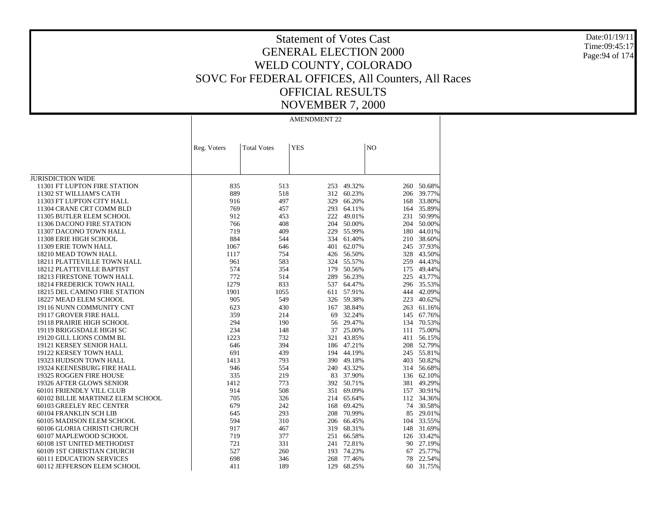Date:01/19/11 Time:09:45:17 Page:94 of 174

# Statement of Votes Cast GENERAL ELECTION 2000 WELD COUNTY, COLORADO SOVC For FEDERAL OFFICES, All Counters, All Races OFFICIAL RESULTS NOVEMBER 7, 2000

|                                   | Reg. Voters | <b>Total Votes</b> | <b>YES</b> |            | $\rm NO$ |            |
|-----------------------------------|-------------|--------------------|------------|------------|----------|------------|
|                                   |             |                    |            |            |          |            |
|                                   |             |                    |            |            |          |            |
|                                   |             |                    |            |            |          |            |
| <b>JURISDICTION WIDE</b>          |             |                    |            |            |          |            |
| 11301 FT LUPTON FIRE STATION      | 835         | 513                | 253        | 49.32%     | 260      | 50.68%     |
| 11302 ST WILLIAM'S CATH           | 889         | 518                | 312        | 60.23%     | 206      | 39.77%     |
| 11303 FT LUPTON CITY HALL         | 916         | 497                | 329        | 66.20%     | 168      | 33.80%     |
| 11304 CRANE CRT COMM BLD          | 769         | 457                | 293        | 64.11%     | 164      | 35.89%     |
| 11305 BUTLER ELEM SCHOOL          | 912         | 453                | 222        | 49.01%     | 231      | 50.99%     |
| 11306 DACONO FIRE STATION         | 766         | 408                | 204        | 50.00%     | 204      | 50.00%     |
| 11307 DACONO TOWN HALL            | 719         | 409                | 229        | 55.99%     | 180      | 44.01%     |
| 11308 ERIE HIGH SCHOOL            | 884         | 544                | 334        | 61.40%     |          | 210 38.60% |
| 11309 ERIE TOWN HALL              | 1067        | 646                | 401        | 62.07%     | 245      | 37.93%     |
| 18210 MEAD TOWN HALL              | 1117        | 754                | 426        | 56.50%     | 328      | 43.50%     |
| 18211 PLATTEVILLE TOWN HALL       | 961         | 583                | 324        | 55.57%     | 259      | 44.43%     |
| 18212 PLATTEVILLE BAPTIST         | 574         | 354                | 179        | 50.56%     | 175      | 49.44%     |
| <b>18213 FIRESTONE TOWN HALL</b>  | 772         | 514                | 289        | 56.23%     |          | 225 43.77% |
| 18214 FREDERICK TOWN HALL         | 1279        | 833                | 537        | 64.47%     |          | 296 35.53% |
| 18215 DEL CAMINO FIRE STATION     | 1901        | 1055               | 611        | 57.91%     | 444      | 42.09%     |
| 18227 MEAD ELEM SCHOOL            | 905         | 549                | 326        | 59.38%     | 223      | 40.62%     |
| 19116 NUNN COMMUNITY CNT          | 623         | 430                | 167        | 38.84%     |          | 263 61.16% |
| 19117 GROVER FIRE HALL            | 359         | 214                | 69         | 32.24%     | 145      | 67.76%     |
| 19118 PRAIRIE HIGH SCHOOL         | 294         | 190                | 56         | 29.47%     |          | 134 70.53% |
| 19119 BRIGGSDALE HIGH SC          | 234         | 148                | 37         | 25.00%     | 111      | 75.00%     |
| 19120 GILL LIONS COMM BL          | 1223        | 732                | 321        | 43.85%     | 411      | 56.15%     |
| 19121 KERSEY SENIOR HALL          | 646         | 394                |            | 186 47.21% | 208      | 52.79%     |
| 19122 KERSEY TOWN HALL            | 691         | 439                | 194        | 44.19%     |          | 245 55.81% |
| 19323 HUDSON TOWN HALL            | 1413        | 793                |            | 390 49.18% |          | 403 50.82% |
| 19324 KEENESBURG FIRE HALL        | 946         | 554                |            | 240 43.32% |          | 314 56.68% |
| 19325 ROGGEN FIRE HOUSE           | 335         | 219                | 83         | 37.90%     |          | 136 62.10% |
| 19326 AFTER GLOWS SENIOR          | 1412        | 773                | 392        | 50.71%     | 381      | 49.29%     |
| 60101 FRIENDLY VILL CLUB          | 914         | 508                | 351        | 69.09%     | 157      | 30.91%     |
| 60102 BILLIE MARTINEZ ELEM SCHOOL | 705         | 326                | 214        | 65.64%     | 112      | 34.36%     |
| 60103 GREELEY REC CENTER          | 679         | 242                | 168        | 69.42%     | 74       | 30.58%     |
| 60104 FRANKLIN SCH LIB            | 645         | 293                | 208        | 70.99%     | 85       | 29.01%     |
| 60105 MADISON ELEM SCHOOL         | 594         | 310                | 206        | 66.45%     | 104      | 33.55%     |
| 60106 GLORIA CHRISTI CHURCH       | 917         | 467                | 319        | 68.31%     | 148      | 31.69%     |
| 60107 MAPLEWOOD SCHOOL            | 719         | 377                | 251        | 66.58%     |          | 126 33.42% |
| 60108 1ST UNITED METHODIST        | 721         | 331                | 241        | 72.81%     | 90       | 27.19%     |
| 60109 1ST CHRISTIAN CHURCH        | 527         | 260                | 193        | 74.23%     | 67       | 25.77%     |
| <b>60111 EDUCATION SERVICES</b>   | 698         | 346                | 268        | 77.46%     | 78       | 22.54%     |
| 60112 JEFFERSON ELEM SCHOOL       | 411         | 189                | 129        | 68.25%     | 60       | 31.75%     |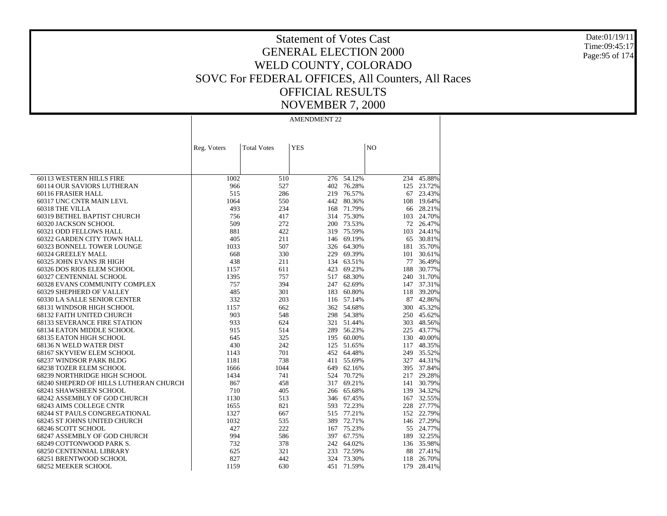Date:01/19/11 Time:09:45:17 Page:95 of 174

# Statement of Votes Cast GENERAL ELECTION 2000 WELD COUNTY, COLORADO SOVC For FEDERAL OFFICES, All Counters, All Races OFFICIAL RESULTS NOVEMBER 7, 2000

|                                        | Reg. Voters | <b>Total Votes</b> | <b>YES</b> |            | N <sub>O</sub> |            |
|----------------------------------------|-------------|--------------------|------------|------------|----------------|------------|
|                                        |             |                    |            |            |                |            |
|                                        |             |                    |            |            |                |            |
|                                        |             |                    |            |            |                |            |
| 60113 WESTERN HILLS FIRE               | 1002        | 510                | 276        | $-54.12%$  | 234            | 45.88%     |
| 60114 OUR SAVIORS LUTHERAN             | 966         | 527                |            | 402 76.28% |                | 125 23.72% |
| 60116 FRASIER HALL                     | 515         | 286                |            | 219 76.57% |                | 67 23.43%  |
| 60317 UNC CNTR MAIN LEVL               | 1064        | 550                | 442        | 80.36%     | 108            | 19.64%     |
| 60318 THE VILLA                        | 493         | 234                |            | 168 71.79% |                | 66 28.21%  |
| 60319 BETHEL BAPTIST CHURCH            | 756         | 417                |            | 314 75.30% |                | 103 24.70% |
| 60320 JACKSON SCHOOL                   | 509         | 272                | 200        | 73.53%     |                | 72 26.47%  |
| 60321 ODD FELLOWS HALL                 | 881         | 422                |            | 319 75.59% | 103            | 24.41%     |
| 60322 GARDEN CITY TOWN HALL            | 405         | 211                |            | 146 69.19% | 65             | 30.81%     |
| 60323 BONNELL TOWER LOUNGE             | 1033        | 507                |            | 326 64.30% |                | 181 35.70% |
| 60324 GREELEY MALL                     | 668         | 330                | 229        | 69.39%     |                | 101 30.61% |
| 60325 JOHN EVANS JR HIGH               | 438         | 211                |            | 134 63.51% | 77             | 36.49%     |
| 60326 DOS RIOS ELEM SCHOOL             | 1157        | 611                |            | 423 69.23% | 188            | 30.77%     |
| 60327 CENTENNIAL SCHOOL                | 1395        | 757                |            | 517 68.30% |                | 240 31.70% |
| 60328 EVANS COMMUNITY COMPLEX          | 757         | 394                | 247        | 62.69%     |                | 147 37.31% |
| 60329 SHEPHERD OF VALLEY               | 485         | 301                |            | 183 60.80% | 118            | 39.20%     |
| 60330 LA SALLE SENIOR CENTER           | 332         | 203                |            | 116 57.14% |                | 87 42.86%  |
| 68131 WINDSOR HIGH SCHOOL              | 1157        | 662                |            | 362 54.68% |                | 300 45.32% |
| <b>68132 FAITH UNITED CHURCH</b>       | 903         | 548                |            | 298 54.38% |                | 250 45.62% |
| <b>68133 SEVERANCE FIRE STATION</b>    | 933         | 624                |            | 321 51.44% | 303            | 48.56%     |
| 68134 EATON MIDDLE SCHOOL              | 915         | 514                |            | 289 56.23% |                | 225 43.77% |
| <b>68135 EATON HIGH SCHOOL</b>         | 645         | 325                |            | 195 60.00% |                | 130 40.00% |
| 68136 N WELD WATER DIST                | 430         | 242                | 125        | 51.65%     | 117            | 48.35%     |
| 68167 SKYVIEW ELEM SCHOOL              | 1143        | 701                |            | 452 64.48% |                | 249 35.52% |
| 68237 WINDSOR PARK BLDG                | 1181        | 738                | 411        | 55.69%     |                | 327 44.31% |
| <b>68238 TOZER ELEM SCHOOL</b>         | 1666        | 1044               |            | 649 62.16% |                | 395 37.84% |
| 68239 NORTHRIDGE HIGH SCHOOL           | 1434        | 741                | 524        | 70.72%     |                | 217 29.28% |
| 68240 SHEPERD OF HILLS LUTHERAN CHURCH | 867         | 458                | 317        | 69.21%     |                | 141 30.79% |
| 68241 SHAWSHEEN SCHOOL                 | 710         | 405                |            | 266 65.68% |                | 139 34.32% |
| 68242 ASSEMBLY OF GOD CHURCH           | 1130        | 513                |            | 346 67.45% |                | 167 32.55% |
| <b>68243 AIMS COLLEGE CNTR</b>         | 1655        | 821                | 593        | 72.23%     |                | 228 27.77% |
| 68244 ST PAULS CONGREGATIONAL          | 1327        | 667                |            | 515 77.21% |                | 152 22.79% |
| 68245 ST JOHNS UNITED CHURCH           | 1032        | 535                |            | 389 72.71% |                | 146 27.29% |
| 68246 SCOTT SCHOOL                     | 427         | 222                |            | 167 75.23% |                | 55 24.77%  |
| 68247 ASSEMBLY OF GOD CHURCH           | 994         | 586                |            | 397 67.75% |                | 189 32.25% |
| 68249 COTTONWOOD PARK S.               | 732         | 378                |            | 242 64.02% |                | 136 35.98% |
| 68250 CENTENNIAL LIBRARY               | 625         | 321                | 233        | 72.59%     |                | 88 27.41%  |
| 68251 BRENTWOOD SCHOOL                 | 827         | 442                | 324        | 73.30%     | 118            | 26.70%     |
| 68252 MEEKER SCHOOL                    | 1159        | 630                | 451        | 71.59%     | 179            | 28.41%     |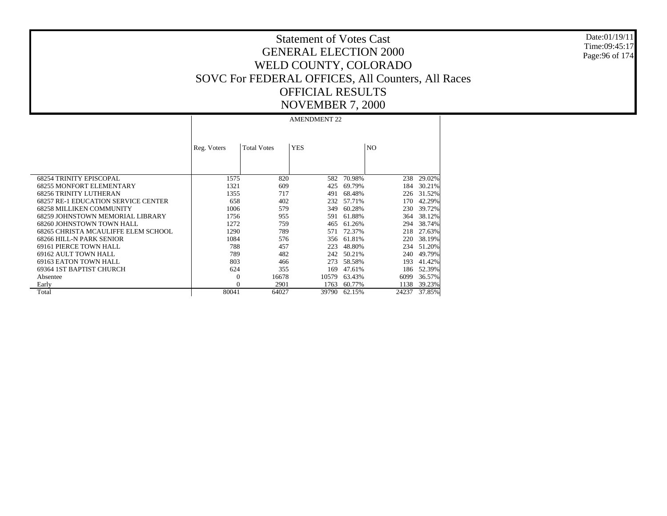Date:01/19/11 Time:09:45:17 Page:96 of 174

# Statement of Votes Cast GENERAL ELECTION 2000 WELD COUNTY, COLORADO SOVC For FEDERAL OFFICES, All Counters, All Races OFFICIAL RESULTS NOVEMBER 7, 2000

|                                            | Reg. Voters | <b>Total Votes</b> | <b>YES</b> |        | N <sub>O</sub> |        |
|--------------------------------------------|-------------|--------------------|------------|--------|----------------|--------|
|                                            |             |                    |            |        |                |        |
|                                            |             |                    |            |        |                |        |
| <b>68254 TRINITY EPISCOPAL</b>             | 1575        | 820                | 582        | 70.98% | 238            | 29.02% |
| <b>68255 MONFORT ELEMENTARY</b>            | 1321        | 609                | 425        | 69.79% | 184            | 30.21% |
| <b>68256 TRINITY LUTHERAN</b>              | 1355        | 717                | 491        | 68.48% | 226            | 31.52% |
| <b>68257 RE-1 EDUCATION SERVICE CENTER</b> | 658         | 402                | 232        | 57.71% | 170            | 42.29% |
| <b>68258 MILLIKEN COMMUNITY</b>            | 1006        | 579                | 349        | 60.28% | 230            | 39.72% |
| 68259 JOHNSTOWN MEMORIAL LIBRARY           | 1756        | 955                | 591        | 61.88% | 364            | 38.12% |
| 68260 JOHNSTOWN TOWN HALL                  | 1272        | 759                | 465        | 61.26% | 294            | 38.74% |
| 68265 CHRISTA MCAULIFFE ELEM SCHOOL        | 1290        | 789                | 571        | 72.37% | 218            | 27.63% |
| 68266 HILL-N PARK SENIOR                   | 1084        | 576                | 356        | 61.81% | 220            | 38.19% |
| 69161 PIERCE TOWN HALL                     | 788         | 457                | 223        | 48.80% | 234            | 51.20% |
| 69162 AULT TOWN HALL                       | 789         | 482                | 242        | 50.21% | 240            | 49.79% |
| 69163 EATON TOWN HALL                      | 803         | 466                | 273        | 58.58% | 193            | 41.42% |
| 69364 IST BAPTIST CHURCH                   | 624         | 355                | 169        | 47.61% | 186            | 52.39% |
| Absentee                                   | $\Omega$    | 16678              | 10579      | 63.43% | 6099           | 36.57% |
| Early                                      | $\Omega$    | 2901               | 1763       | 60.77% | 1138           | 39.23% |
| Total                                      | 80041       | 64027              | 39790      | 62.15% | 24237          | 37.85% |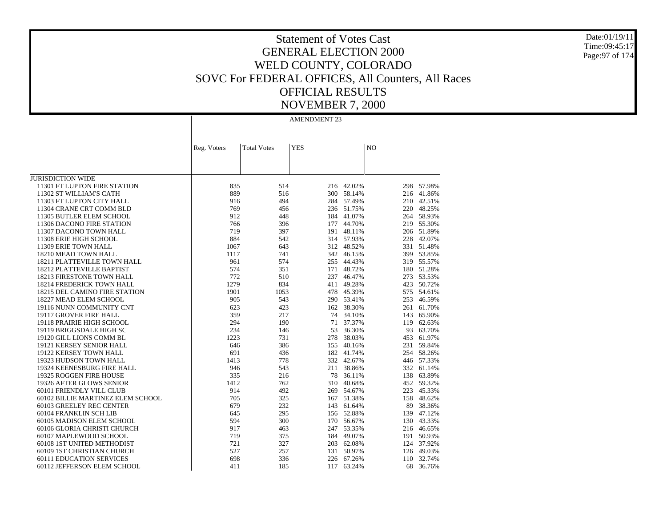Date:01/19/11 Time:09:45:17 Page:97 of 174

# Statement of Votes Cast GENERAL ELECTION 2000 WELD COUNTY, COLORADO SOVC For FEDERAL OFFICES, All Counters, All Races OFFICIAL RESULTS NOVEMBER 7, 2000

|                                   | Reg. Voters | <b>Total Votes</b> | <b>YES</b> |            | N <sub>O</sub> |            |
|-----------------------------------|-------------|--------------------|------------|------------|----------------|------------|
|                                   |             |                    |            |            |                |            |
|                                   |             |                    |            |            |                |            |
|                                   |             |                    |            |            |                |            |
| <b>JURISDICTION WIDE</b>          |             |                    |            |            |                |            |
| 11301 FT LUPTON FIRE STATION      | 835         | 514                | 216        | 42.02%     | 298            | 57.98%     |
| 11302 ST WILLIAM'S CATH           | 889         | 516                | 300        | 58.14%     | 216            | 41.86%     |
| 11303 FT LUPTON CITY HALL         | 916         | 494                | 284        | 57.49%     | 210            | 42.51%     |
| 11304 CRANE CRT COMM BLD          | 769         | 456                | 236        | 51.75%     | 220            | 48.25%     |
| 11305 BUTLER ELEM SCHOOL          | 912         | 448                | 184        | 41.07%     |                | 264 58.93% |
| 11306 DACONO FIRE STATION         | 766         | 396                | 177        | 44.70%     |                | 219 55.30% |
| 11307 DACONO TOWN HALL            | 719         | 397                | 191        | 48.11%     |                | 206 51.89% |
| 11308 ERIE HIGH SCHOOL            | 884         | 542                |            | 314 57.93% | 228            | 42.07%     |
| 11309 ERIE TOWN HALL              | 1067        | 643                | 312        | 48.52%     |                | 331 51.48% |
| 18210 MEAD TOWN HALL              | 1117        | 741                | 342        | 46.15%     |                | 399 53.85% |
| 18211 PLATTEVILLE TOWN HALL       | 961         | 574                | 255        | 44.43%     |                | 319 55.57% |
| 18212 PLATTEVILLE BAPTIST         | 574         | 351                | 171        | 48.72%     |                | 180 51.28% |
| 18213 FIRESTONE TOWN HALL         | 772         | 510                | 237        | 46.47%     | 273            | 53.53%     |
| 18214 FREDERICK TOWN HALL         | 1279        | 834                | 411        | 49.28%     | 423            | 50.72%     |
| 18215 DEL CAMINO FIRE STATION     | 1901        | 1053               | 478        | 45.39%     |                | 575 54.61% |
| 18227 MEAD ELEM SCHOOL            | 905         | 543                |            | 290 53.41% | 253            | 46.59%     |
| 19116 NUNN COMMUNITY CNT          | 623         | 423                | 162        | 38.30%     |                | 261 61.70% |
| 19117 GROVER FIRE HALL            | 359         | 217                | 74         | 34.10%     |                | 143 65.90% |
| 19118 PRAIRIE HIGH SCHOOL         | 294         | 190                | 71         | 37.37%     | 119            | 62.63%     |
| 19119 BRIGGSDALE HIGH SC          | 234         | 146                | 53         | 36.30%     | 93             | 63.70%     |
| 19120 GILL LIONS COMM BL          | 1223        | 731                | 278        | 38.03%     | 453            | 61.97%     |
| 19121 KERSEY SENIOR HALL          | 646         | 386                | 155        | 40.16%     | 231            | 59.84%     |
| 19122 KERSEY TOWN HALL            | 691         | 436                | 182        | 41.74%     |                | 254 58.26% |
| 19323 HUDSON TOWN HALL            | 1413        | 778                |            | 332 42.67% |                | 446 57.33% |
| 19324 KEENESBURG FIRE HALL        | 946         | 543                | 211        | 38.86%     |                | 332 61.14% |
| 19325 ROGGEN FIRE HOUSE           | 335         | 216                | 78         | 36.11%     |                | 138 63.89% |
| 19326 AFTER GLOWS SENIOR          | 1412        | 762                | 310        | 40.68%     |                | 452 59.32% |
| 60101 FRIENDLY VILL CLUB          | 914         | 492                |            | 269 54.67% | 223            | 45.33%     |
| 60102 BILLIE MARTINEZ ELEM SCHOOL | 705         | 325                | 167        | 51.38%     | 158            | 48.62%     |
| 60103 GREELEY REC CENTER          | 679         | 232                | 143        | 61.64%     | 89             | 38.36%     |
| 60104 FRANKLIN SCH LIB            | 645         | 295                |            | 156 52.88% | 139            | 47.12%     |
| 60105 MADISON ELEM SCHOOL         | 594         | 300                | 170        | 56.67%     | 130            | 43.33%     |
| 60106 GLORIA CHRISTI CHURCH       | 917         | 463                | 247        | 53.35%     |                | 216 46.65% |
| 60107 MAPLEWOOD SCHOOL            | 719         | 375                | 184        | 49.07%     |                | 191 50.93% |
| 60108 1ST UNITED METHODIST        | 721         | 327                | 203        | 62.08%     |                | 124 37.92% |
| 60109 1ST CHRISTIAN CHURCH        | 527         | 257                | 131        | 50.97%     | 126            | 49.03%     |
| <b>60111 EDUCATION SERVICES</b>   | 698         | 336                | 226        | 67.26%     | 110            | 32.74%     |
| 60112 JEFFERSON ELEM SCHOOL       | 411         | 185                | 117        | 63.24%     | 68             | 36.76%     |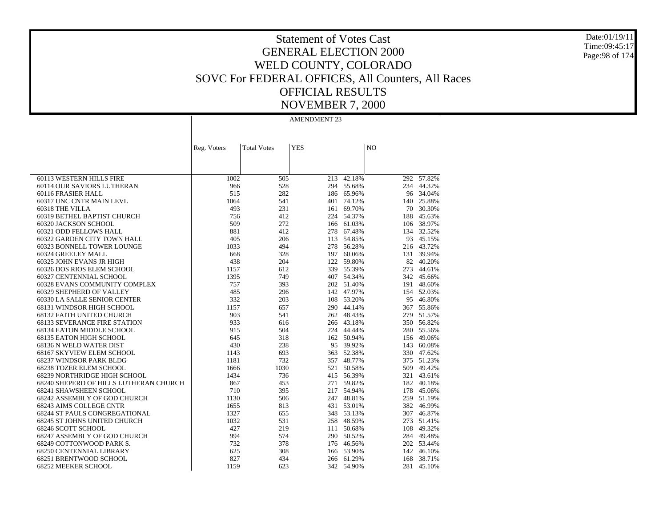Date:01/19/11 Time:09:45:17 Page:98 of 174

# Statement of Votes Cast GENERAL ELECTION 2000 WELD COUNTY, COLORADO SOVC For FEDERAL OFFICES, All Counters, All Races OFFICIAL RESULTS NOVEMBER 7, 2000

|                                        | Reg. Voters | <b>Total Votes</b> | <b>YES</b> |            | N <sub>O</sub> |            |
|----------------------------------------|-------------|--------------------|------------|------------|----------------|------------|
|                                        |             |                    |            |            |                |            |
|                                        |             |                    |            |            |                |            |
|                                        |             |                    |            |            |                |            |
| 60113 WESTERN HILLS FIRE               | 1002        | 505                | 213        | 42.18%     |                | 292 57.82% |
| 60114 OUR SAVIORS LUTHERAN             | 966         | 528                |            | 294 55.68% |                | 234 44.32% |
| 60116 FRASIER HALL                     | 515         | 282                |            | 186 65.96% |                | 96 34.04%  |
| 60317 UNC CNTR MAIN LEVL               | 1064        | 541                | 401        | 74.12%     | 140            | 25.88%     |
| 60318 THE VILLA                        | 493         | 231                | 161        | 69.70%     | 70             | 30.30%     |
| 60319 BETHEL BAPTIST CHURCH            | 756         | 412                |            | 224 54.37% |                | 188 45.63% |
| 60320 JACKSON SCHOOL                   | 509         | 272                |            | 166 61.03% |                | 106 38.97% |
| 60321 ODD FELLOWS HALL                 | 881         | 412                | 278        | 67.48%     |                | 134 32.52% |
| 60322 GARDEN CITY TOWN HALL            | 405         | 206                | 113        | 54.85%     |                | 93 45.15%  |
| 60323 BONNELL TOWER LOUNGE             | 1033        | 494                | 278        | 56.28%     |                | 216 43.72% |
| 60324 GREELEY MALL                     | 668         | 328                | 197        | 60.06%     |                | 131 39.94% |
| 60325 JOHN EVANS JR HIGH               | 438         | 204                |            | 122 59.80% |                | 82 40.20%  |
| 60326 DOS RIOS ELEM SCHOOL             | 1157        | 612                | 339        | 55.39%     |                | 273 44.61% |
| 60327 CENTENNIAL SCHOOL                | 1395        | 749                |            | 407 54.34% |                | 342 45.66% |
| 60328 EVANS COMMUNITY COMPLEX          | 757         | 393                |            | 202 51.40% |                | 191 48.60% |
| 60329 SHEPHERD OF VALLEY               | 485         | 296                |            | 142 47.97% |                | 154 52.03% |
| 60330 LA SALLE SENIOR CENTER           | 332         | 203                | 108        | 53.20%     |                | 95 46.80%  |
| 68131 WINDSOR HIGH SCHOOL              | 1157        | 657                |            | 290 44.14% |                | 367 55.86% |
| 68132 FAITH UNITED CHURCH              | 903         | 541                | 262        | 48.43%     | 279            | 51.57%     |
| <b>68133 SEVERANCE FIRE STATION</b>    | 933         | 616                |            | 266 43.18% |                | 350 56.82% |
| 68134 EATON MIDDLE SCHOOL              | 915         | 504                | 224        | 44.44%     |                | 280 55.56% |
| 68135 EATON HIGH SCHOOL                | 645         | 318                | 162        | 50.94%     | 156            | 49.06%     |
| 68136 N WELD WATER DIST                | 430         | 238                |            | 95 39.92%  | 143            | 60.08%     |
| 68167 SKYVIEW ELEM SCHOOL              | 1143        | 693                | 363        | 52.38%     |                | 330 47.62% |
| 68237 WINDSOR PARK BLDG                | 1181        | 732                | 357        | 48.77%     |                | 375 51.23% |
| 68238 TOZER ELEM SCHOOL                | 1666        | 1030               | 521        | 50.58%     |                | 509 49.42% |
| 68239 NORTHRIDGE HIGH SCHOOL           | 1434        | 736                | 415        | 56.39%     |                | 321 43.61% |
| 68240 SHEPERD OF HILLS LUTHERAN CHURCH | 867         | 453                | 271        | 59.82%     |                | 182 40.18% |
| 68241 SHAWSHEEN SCHOOL                 | 710         | 395                |            | 217 54.94% |                | 178 45.06% |
| 68242 ASSEMBLY OF GOD CHURCH           | 1130        | 506                |            | 247 48.81% |                | 259 51.19% |
| <b>68243 AIMS COLLEGE CNTR</b>         | 1655        | 813                |            | 431 53.01% |                | 382 46.99% |
| <b>68244 ST PAULS CONGREGATIONAL</b>   | 1327        | 655                |            | 348 53.13% |                | 307 46.87% |
| 68245 ST JOHNS UNITED CHURCH           | 1032        | 531                | 258        | 48.59%     |                | 273 51.41% |
| 68246 SCOTT SCHOOL                     | 427         | 219                | 111        | 50.68%     | 108            | 49.32%     |
| 68247 ASSEMBLY OF GOD CHURCH           | 994         | 574                |            | 290 50.52% |                | 284 49.48% |
| 68249 COTTONWOOD PARK S.               | 732         | 378                |            | 176 46.56% |                | 202 53.44% |
| 68250 CENTENNIAL LIBRARY               | 625         | 308                | 166        | 53.90%     |                | 142 46.10% |
| 68251 BRENTWOOD SCHOOL                 | 827         | 434                | 266        | 61.29%     | 168            | 38.71%     |
| 68252 MEEKER SCHOOL                    | 1159        | 623                |            | 342 54.90% | 281            | 45.10%     |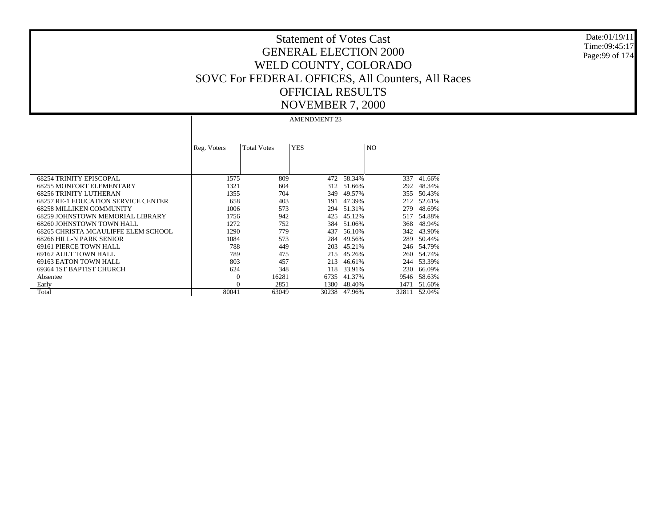Date:01/19/11 Time:09:45:17 Page:99 of 174

# Statement of Votes Cast GENERAL ELECTION 2000 WELD COUNTY, COLORADO SOVC For FEDERAL OFFICES, All Counters, All Races OFFICIAL RESULTS NOVEMBER 7, 2000

|                                            | Reg. Voters | <b>Total Votes</b> | <b>YES</b> |        | N <sub>O</sub> |        |
|--------------------------------------------|-------------|--------------------|------------|--------|----------------|--------|
| <b>68254 TRINITY EPISCOPAL</b>             | 1575        | 809                | 472        | 58.34% | 337            | 41.66% |
| <b>68255 MONFORT ELEMENTARY</b>            | 1321        | 604                | 312        | 51.66% | 292            | 48.34% |
| <b>68256 TRINITY LUTHERAN</b>              | 1355        | 704                | 349        | 49.57% | 355            | 50.43% |
| <b>68257 RE-1 EDUCATION SERVICE CENTER</b> | 658         | 403                | 191        | 47.39% | 212            | 52.61% |
| <b>68258 MILLIKEN COMMUNITY</b>            | 1006        | 573                | 294        | 51.31% | 279            | 48.69% |
| 68259 JOHNSTOWN MEMORIAL LIBRARY           | 1756        | 942                | 425        | 45.12% | 517            | 54.88% |
| 68260 JOHNSTOWN TOWN HALL                  | 1272        | 752                | 384        | 51.06% | 368            | 48.94% |
| 68265 CHRISTA MCAULIFFE ELEM SCHOOL        | 1290        | 779                | 437        | 56.10% | 342            | 43.90% |
| 68266 HILL-N PARK SENIOR                   | 1084        | 573                | 284        | 49.56% | 289            | 50.44% |
| 69161 PIERCE TOWN HALL                     | 788         | 449                | 203        | 45.21% | 246            | 54.79% |
| 69162 AULT TOWN HALL                       | 789         | 475                | 215        | 45.26% | 260            | 54.74% |
| 69163 EATON TOWN HALL                      | 803         | 457                | 213        | 46.61% | 244            | 53.39% |
| 69364 IST BAPTIST CHURCH                   | 624         | 348                | 118        | 33.91% | 230            | 66.09% |
| Absentee                                   | $\Omega$    | 16281              | 6735       | 41.37% | 9546           | 58.63% |
| Early                                      |             | 2851               | 1380       | 48.40% | 1471           | 51.60% |
| Total                                      | 80041       | 63049              | 30238      | 47.96% | 32811          | 52.04% |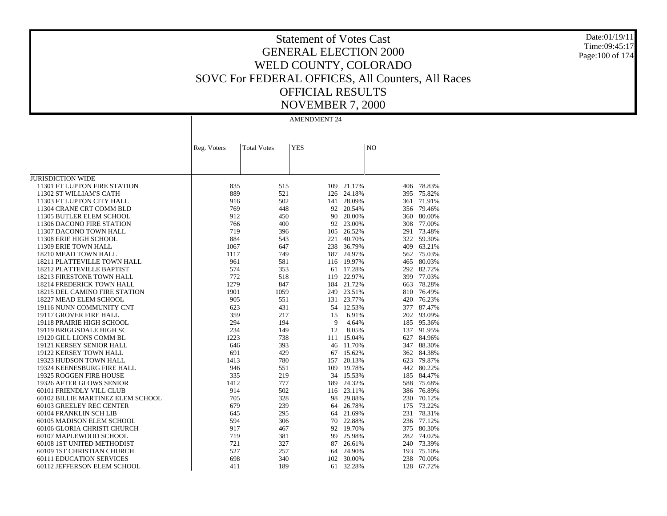Date:01/19/11 Time:09:45:17 Page:100 of 174

# Statement of Votes Cast GENERAL ELECTION 2000 WELD COUNTY, COLORADO SOVC For FEDERAL OFFICES, All Counters, All Races OFFICIAL RESULTS NOVEMBER 7, 2000

|                                   | Reg. Voters | <b>Total Votes</b> | <b>YES</b> |            | N <sub>O</sub> |            |
|-----------------------------------|-------------|--------------------|------------|------------|----------------|------------|
|                                   |             |                    |            |            |                |            |
|                                   |             |                    |            |            |                |            |
|                                   |             |                    |            |            |                |            |
| <b>JURISDICTION WIDE</b>          |             |                    |            |            |                |            |
| 11301 FT LUPTON FIRE STATION      | 835         | 515                | 109        | 21.17%     | 406            | 78.83%     |
| 11302 ST WILLIAM'S CATH           | 889         | 521                | 126        | 24.18%     | 395            | 75.82%     |
| 11303 FT LUPTON CITY HALL         | 916         | 502                | 141        | 28.09%     | 361            | 71.91%     |
| 11304 CRANE CRT COMM BLD          | 769         | 448                | 92         | 20.54%     | 356            | 79.46%     |
| 11305 BUTLER ELEM SCHOOL          | 912         | 450                | 90         | 20.00%     | 360            | 80.00%     |
| 11306 DACONO FIRE STATION         | 766         | 400                | 92         | 23.00%     | 308            | 77.00%     |
| 11307 DACONO TOWN HALL            | 719         | 396                | 105        | 26.52%     | 291            | 73.48%     |
| 11308 ERIE HIGH SCHOOL            | 884         | 543                | 221        | 40.70%     |                | 322 59.30% |
| 11309 ERIE TOWN HALL              | 1067        | 647                | 238        | 36.79%     | 409            | 63.21%     |
| 18210 MEAD TOWN HALL              | 1117        | 749                | 187        | 24.97%     |                | 562 75.03% |
| 18211 PLATTEVILLE TOWN HALL       | 961         | 581                |            | 116 19.97% | 465            | 80.03%     |
| 18212 PLATTEVILLE BAPTIST         | 574         | 353                | 61         | 17.28%     |                | 292 82.72% |
| 18213 FIRESTONE TOWN HALL         | 772         | 518                | 119        | 22.97%     | 399            | 77.03%     |
| 18214 FREDERICK TOWN HALL         | 1279        | 847                | 184        | 21.72%     | 663            | 78.28%     |
| 18215 DEL CAMINO FIRE STATION     | 1901        | 1059               | 249        | 23.51%     |                | 810 76.49% |
| 18227 MEAD ELEM SCHOOL            | 905         | 551                | 131        | 23.77%     | 420            | 76.23%     |
| 19116 NUNN COMMUNITY CNT          | 623         | 431                | 54         | 12.53%     |                | 377 87.47% |
| 19117 GROVER FIRE HALL            | 359         | 217                | 15         | 6.91%      |                | 202 93.09% |
| 19118 PRAIRIE HIGH SCHOOL         | 294         | 194                | 9          | 4.64%      | 185            | 95.36%     |
| 19119 BRIGGSDALE HIGH SC          | 234         | 149                | 12         | 8.05%      | 137            | 91.95%     |
| 19120 GILL LIONS COMM BL          | 1223        | 738                | 111        | 15.04%     | 627            | 84.96%     |
| 19121 KERSEY SENIOR HALL          | 646         | 393                | 46         | 11.70%     | 347            | 88.30%     |
| 19122 KERSEY TOWN HALL            | 691         | 429                | 67         | 15.62%     |                | 362 84.38% |
| 19323 HUDSON TOWN HALL            | 1413        | 780                | 157        | 20.13%     | 623            | 79.87%     |
| 19324 KEENESBURG FIRE HALL        | 946         | 551                | 109        | 19.78%     | 442            | 80.22%     |
| 19325 ROGGEN FIRE HOUSE           | 335         | 219                | 34         | 15.53%     |                | 185 84.47% |
| 19326 AFTER GLOWS SENIOR          | 1412        | 777                | 189        | 24.32%     | 588            | 75.68%     |
| 60101 FRIENDLY VILL CLUB          | 914         | 502                |            | 116 23.11% |                | 386 76.89% |
| 60102 BILLIE MARTINEZ ELEM SCHOOL | 705         | 328                | 98         | 29.88%     | 230            | 70.12%     |
| 60103 GREELEY REC CENTER          | 679         | 239                | 64         | 26.78%     | 175            | 73.22%     |
| 60104 FRANKLIN SCH LIB            | 645         | 295                | 64         | 21.69%     | 231            | 78.31%     |
| 60105 MADISON ELEM SCHOOL         | 594         | 306                | 70         | 22.88%     | 236            | 77.12%     |
| 60106 GLORIA CHRISTI CHURCH       | 917         | 467                | 92         | 19.70%     | 375            | 80.30%     |
| 60107 MAPLEWOOD SCHOOL            | 719         | 381                | 99         | 25.98%     |                | 282 74.02% |
| 60108 1ST UNITED METHODIST        | 721         | 327                | 87         | 26.61%     |                | 240 73.39% |
| 60109 1ST CHRISTIAN CHURCH        | 527         | 257                | 64         | 24.90%     | 193            | 75.10%     |
| <b>60111 EDUCATION SERVICES</b>   | 698         | 340                | 102        | 30.00%     | 238            | 70.00%     |
| 60112 JEFFERSON ELEM SCHOOL       | 411         | 189                | 61         | 32.28%     | 128            | 67.72%     |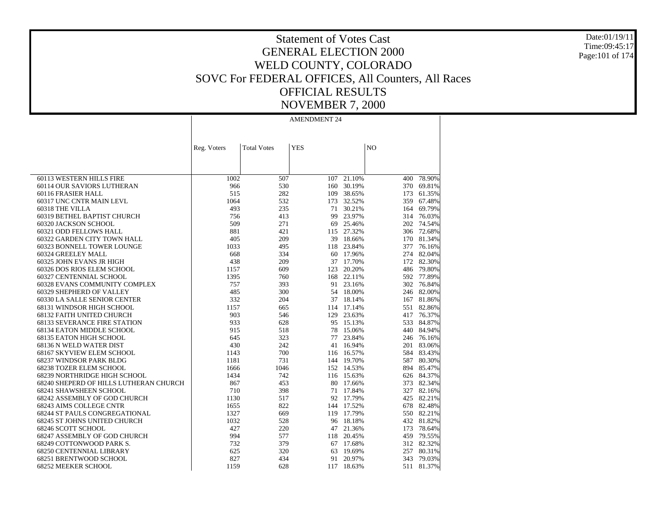Date:01/19/11 Time:09:45:17 Page:101 of 174

# Statement of Votes Cast GENERAL ELECTION 2000 WELD COUNTY, COLORADO SOVC For FEDERAL OFFICES, All Counters, All Races OFFICIAL RESULTS NOVEMBER 7, 2000

|                                        | Reg. Voters | <b>Total Votes</b> | <b>YES</b> |            | N <sub>O</sub> |            |
|----------------------------------------|-------------|--------------------|------------|------------|----------------|------------|
|                                        |             |                    |            |            |                |            |
|                                        |             |                    |            |            |                |            |
|                                        |             |                    |            |            |                |            |
| 60113 WESTERN HILLS FIRE               | 1002        | 507                | 107        | 21.10%     | 400            | 78.90%     |
| 60114 OUR SAVIORS LUTHERAN             | 966         | 530                | 160        | 30.19%     |                | 370 69.81% |
| 60116 FRASIER HALL                     | 515         | 282                | 109        | 38.65%     |                | 173 61.35% |
| 60317 UNC CNTR MAIN LEVL               | 1064        | 532                | 173        | 32.52%     |                | 359 67.48% |
| 60318 THE VILLA                        | 493         | 235                | 71         | 30.21%     |                | 164 69.79% |
| 60319 BETHEL BAPTIST CHURCH            | 756         | 413                | 99         | 23.97%     |                | 314 76.03% |
| 60320 JACKSON SCHOOL                   | 509         | 271                | 69         | 25.46%     |                | 202 74.54% |
| 60321 ODD FELLOWS HALL                 | 881         | 421                | 115        | 27.32%     |                | 306 72.68% |
| 60322 GARDEN CITY TOWN HALL            | 405         | 209                | 39         | 18.66%     |                | 170 81.34% |
| 60323 BONNELL TOWER LOUNGE             | 1033        | 495                | 118        | 23.84%     | 377            | 76.16%     |
| 60324 GREELEY MALL                     | 668         | 334                |            | 60 17.96%  |                | 274 82.04% |
| 60325 JOHN EVANS JR HIGH               | 438         | 209                |            | 37 17.70%  |                | 172 82.30% |
| 60326 DOS RIOS ELEM SCHOOL             | 1157        | 609                | 123        | 20.20%     |                | 486 79.80% |
| 60327 CENTENNIAL SCHOOL                | 1395        | 760                | 168        | 22.11%     |                | 592 77.89% |
| 60328 EVANS COMMUNITY COMPLEX          | 757         | 393                | 91         | 23.16%     |                | 302 76.84% |
| 60329 SHEPHERD OF VALLEY               | 485         | 300                | 54         | 18.00%     |                | 246 82.00% |
| 60330 LA SALLE SENIOR CENTER           | 332         | 204                |            | 37 18.14%  |                | 167 81.86% |
| 68131 WINDSOR HIGH SCHOOL              | 1157        | 665                |            | 114 17.14% |                | 551 82.86% |
| <b>68132 FAITH UNITED CHURCH</b>       | 903         | 546                | 129        | 23.63%     |                | 417 76.37% |
| <b>68133 SEVERANCE FIRE STATION</b>    | 933         | 628                | 95         | 15.13%     |                | 533 84.87% |
| 68134 EATON MIDDLE SCHOOL              | 915         | 518                | 78         | 15.06%     |                | 440 84.94% |
| 68135 EATON HIGH SCHOOL                | 645         | 323                | 77         | 23.84%     |                | 246 76.16% |
| 68136 N WELD WATER DIST                | 430         | 242                | 41         | 16.94%     |                | 201 83.06% |
| 68167 SKYVIEW ELEM SCHOOL              | 1143        | 700                |            | 116 16.57% |                | 584 83.43% |
| 68237 WINDSOR PARK BLDG                | 1181        | 731                |            | 144 19.70% |                | 587 80.30% |
| 68238 TOZER ELEM SCHOOL                | 1666        | 1046               |            | 152 14.53% |                | 894 85.47% |
| 68239 NORTHRIDGE HIGH SCHOOL           | 1434        | 742                | 116        | 15.63%     |                | 626 84.37% |
| 68240 SHEPERD OF HILLS LUTHERAN CHURCH | 867         | 453                | 80         | 17.66%     |                | 373 82.34% |
| 68241 SHAWSHEEN SCHOOL                 | 710         | 398                | 71         | 17.84%     |                | 327 82.16% |
| 68242 ASSEMBLY OF GOD CHURCH           | 1130        | 517                |            | 92 17.79%  |                | 425 82.21% |
| 68243 AIMS COLLEGE CNTR                | 1655        | 822                | 144        | 17.52%     |                | 678 82.48% |
| <b>68244 ST PAULS CONGREGATIONAL</b>   | 1327        | 669                |            | 119 17.79% |                | 550 82.21% |
| 68245 ST JOHNS UNITED CHURCH           | 1032        | 528                | 96         | 18.18%     |                | 432 81.82% |
| 68246 SCOTT SCHOOL                     | 427         | 220                | 47         | 21.36%     |                | 173 78.64% |
| 68247 ASSEMBLY OF GOD CHURCH           | 994         | 577                | 118        | 20.45%     |                | 459 79.55% |
| 68249 COTTONWOOD PARK S.               | 732         | 379                | 67         | 17.68%     |                | 312 82.32% |
| 68250 CENTENNIAL LIBRARY               | 625         | 320                | 63         | 19.69%     |                | 257 80.31% |
| 68251 BRENTWOOD SCHOOL                 | 827         | 434                | 91         | 20.97%     | 343            | 79.03%     |
| 68252 MEEKER SCHOOL                    | 1159        | 628                | 117        | 18.63%     | 511            | 81.37%     |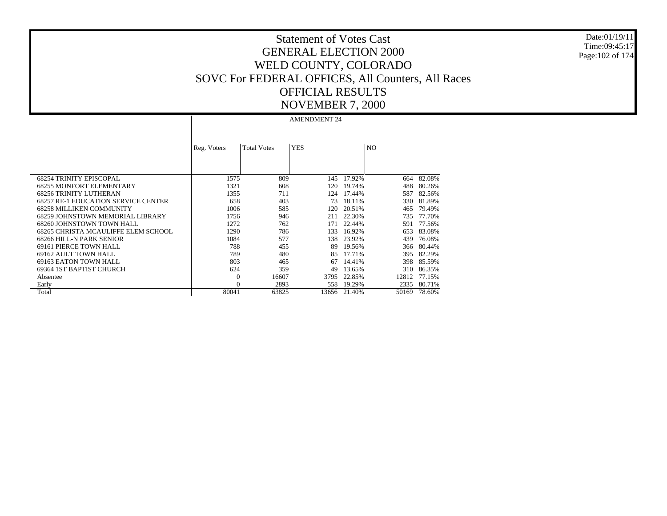Date:01/19/11 Time:09:45:17 Page:102 of 174

# Statement of Votes Cast GENERAL ELECTION 2000 WELD COUNTY, COLORADO SOVC For FEDERAL OFFICES, All Counters, All Races OFFICIAL RESULTS NOVEMBER 7, 2000

|                                            | Reg. Voters | <b>Total Votes</b> | <b>YES</b> |        | N <sub>O</sub> |        |
|--------------------------------------------|-------------|--------------------|------------|--------|----------------|--------|
| <b>68254 TRINITY EPISCOPAL</b>             | 1575        | 809                | 145        | 17.92% | 664            | 82.08% |
| <b>68255 MONFORT ELEMENTARY</b>            | 1321        | 608                | 120        | 19.74% | 488            | 80.26% |
| <b>68256 TRINITY LUTHERAN</b>              | 1355        | 711                | 124        | 17.44% | 587            | 82.56% |
| <b>68257 RE-1 EDUCATION SERVICE CENTER</b> | 658         | 403                | 73         | 18.11% | 330            | 81.89% |
| <b>68258 MILLIKEN COMMUNITY</b>            | 1006        | 585                | 120        | 20.51% | 465            | 79.49% |
| 68259 JOHNSTOWN MEMORIAL LIBRARY           | 1756        | 946                | 211        | 22.30% | 735            | 77.70% |
| 68260 JOHNSTOWN TOWN HALL                  | 1272        | 762                | 171        | 22.44% | 591            | 77.56% |
| 68265 CHRISTA MCAULIFFE ELEM SCHOOL        | 1290        | 786                | 133        | 16.92% | 653            | 83.08% |
| 68266 HILL-N PARK SENIOR                   | 1084        | 577                | 138.       | 23.92% | 439            | 76.08% |
| 69161 PIERCE TOWN HALL                     | 788         | 455                | 89         | 19.56% | 366            | 80.44% |
| 69162 AULT TOWN HALL                       | 789         | 480                | 85         | 17.71% | 395            | 82.29% |
| 69163 EATON TOWN HALL                      | 803         | 465                | 67         | 14.41% | 398            | 85.59% |
| 69364 IST BAPTIST CHURCH                   | 624         | 359                | 49         | 13.65% | 310            | 86.35% |
| Absentee                                   | $\Omega$    | 16607              | 3795       | 22.85% | 12812          | 77.15% |
| Early                                      |             | 2893               | 558        | 19.29% | 2335           | 80.71% |
| Total                                      | 80041       | 63825              | 13656      | 21.40% | 50169          | 78.60% |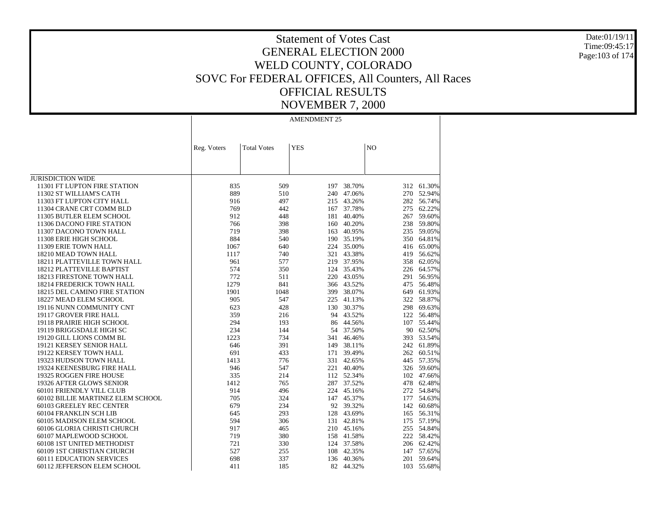Date:01/19/11 Time:09:45:17 Page:103 of 174

### Statement of Votes Cast GENERAL ELECTION 2000 WELD COUNTY, COLORADO SOVC For FEDERAL OFFICES, All Counters, All Races OFFICIAL RESULTS NOVEMBER 7, 2000

|                                   | Reg. Voters | <b>Total Votes</b> | <b>YES</b> |            | N <sub>O</sub> |            |
|-----------------------------------|-------------|--------------------|------------|------------|----------------|------------|
|                                   |             |                    |            |            |                |            |
|                                   |             |                    |            |            |                |            |
|                                   |             |                    |            |            |                |            |
| <b>JURISDICTION WIDE</b>          |             |                    |            |            |                |            |
| 11301 FT LUPTON FIRE STATION      | 835         | 509                | 197        | 38.70%     | 312            | 61.30%     |
| 11302 ST WILLIAM'S CATH           | 889         | 510                | 240        | 47.06%     | 270            | 52.94%     |
| 11303 FT LUPTON CITY HALL         | 916         | 497                | 215        | 43.26%     | 282            | 56.74%     |
| 11304 CRANE CRT COMM BLD          | 769         | 442                | 167        | 37.78%     | 275            | 62.22%     |
| 11305 BUTLER ELEM SCHOOL          | 912         | 448                | 181        | 40.40%     | 267            | 59.60%     |
| 11306 DACONO FIRE STATION         | 766         | 398                |            | 160 40.20% | 238            | 59.80%     |
| 11307 DACONO TOWN HALL            | 719         | 398                | 163        | 40.95%     | 235            | 59.05%     |
| 11308 ERIE HIGH SCHOOL            | 884         | 540                |            | 190 35.19% | 350            | 64.81%     |
| 11309 ERIE TOWN HALL              | 1067        | 640                | 224        | 35.00%     | 416            | 65.00%     |
| 18210 MEAD TOWN HALL              | 1117        | 740                | 321        | 43.38%     | 419            | 56.62%     |
| 18211 PLATTEVILLE TOWN HALL       | 961         | 577                | 219        | 37.95%     | 358            | 62.05%     |
| 18212 PLATTEVILLE BAPTIST         | 574         | 350                | 124        | 35.43%     |                | 226 64.57% |
| 18213 FIRESTONE TOWN HALL         | 772         | 511                | 220        | 43.05%     | 291            | 56.95%     |
| 18214 FREDERICK TOWN HALL         | 1279        | 841                | 366        | 43.52%     | 475            | 56.48%     |
| 18215 DEL CAMINO FIRE STATION     | 1901        | 1048               | 399        | 38.07%     | 649            | 61.93%     |
| 18227 MEAD ELEM SCHOOL            | 905         | 547                | 225        | 41.13%     | 322            | 58.87%     |
| 19116 NUNN COMMUNITY CNT          | 623         | 428                | 130        | 30.37%     | 298            | 69.63%     |
| 19117 GROVER FIRE HALL            | 359         | 216                | 94         | 43.52%     | 122            | 56.48%     |
| 19118 PRAIRIE HIGH SCHOOL         | 294         | 193                | 86         | 44.56%     | 107            | 55.44%     |
| 19119 BRIGGSDALE HIGH SC          | 234         | 144                | 54         | 37.50%     | 90             | 62.50%     |
| 19120 GILL LIONS COMM BL          | 1223        | 734                | 341        | 46.46%     | 393            | 53.54%     |
| 19121 KERSEY SENIOR HALL          | 646         | 391                | 149        | 38.11%     | 242            | 61.89%     |
| 19122 KERSEY TOWN HALL            | 691         | 433                | 171        | 39.49%     | 262            | 60.51%     |
| 19323 HUDSON TOWN HALL            | 1413        | 776                | 331        | 42.65%     | 445            | 57.35%     |
| 19324 KEENESBURG FIRE HALL        | 946         | 547                | 221        | 40.40%     |                | 326 59.60% |
| 19325 ROGGEN FIRE HOUSE           | 335         | 214                |            | 112 52.34% | 102            | 47.66%     |
| 19326 AFTER GLOWS SENIOR          | 1412        | 765                | 287        | 37.52%     | 478            | 62.48%     |
| 60101 FRIENDLY VILL CLUB          | 914         | 496                | 224        | 45.16%     |                | 272 54.84% |
| 60102 BILLIE MARTINEZ ELEM SCHOOL | 705         | 324                | 147        | 45.37%     | 177            | 54.63%     |
| 60103 GREELEY REC CENTER          | 679         | 234                |            | 92 39.32%  | 142            | 60.68%     |
| 60104 FRANKLIN SCH LIB            | 645         | 293                | 128        | 43.69%     | 165            | 56.31%     |
| 60105 MADISON ELEM SCHOOL         | 594         | 306                | 131        | 42.81%     | 175            | 57.19%     |
| 60106 GLORIA CHRISTI CHURCH       | 917         | 465                | 210        | 45.16%     | 255            | 54.84%     |
| 60107 MAPLEWOOD SCHOOL            | 719         | 380                |            | 158 41.58% |                | 222 58.42% |
| 60108 1ST UNITED METHODIST        | 721         | 330                | 124        | 37.58%     | 206            | 62.42%     |
| 60109 1ST CHRISTIAN CHURCH        | 527         | 255                | 108        | 42.35%     | 147            | 57.65%     |
| <b>60111 EDUCATION SERVICES</b>   | 698         | 337                | 136        | 40.36%     | 201            | 59.64%     |
| 60112 JEFFERSON ELEM SCHOOL       | 411         | 185                |            | 82 44.32%  | 103            | 55.68%     |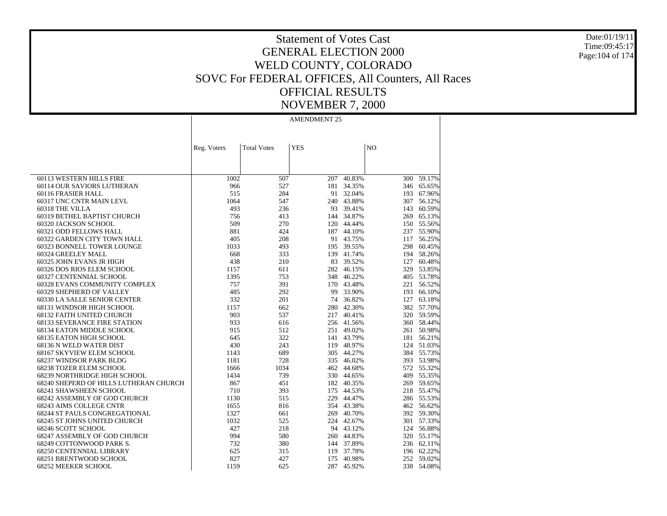Date:01/19/11 Time:09:45:17 Page:104 of 174

# Statement of Votes Cast GENERAL ELECTION 2000 WELD COUNTY, COLORADO SOVC For FEDERAL OFFICES, All Counters, All Races OFFICIAL RESULTS NOVEMBER 7, 2000

|                                        | Reg. Voters | <b>Total Votes</b> | <b>YES</b> |            | NO  |            |
|----------------------------------------|-------------|--------------------|------------|------------|-----|------------|
|                                        |             |                    |            |            |     |            |
|                                        |             |                    |            |            |     |            |
|                                        |             |                    |            |            |     |            |
| 60113 WESTERN HILLS FIRE               | 1002        | 507                | 207        | 40.83%     | 300 | 59.17%     |
| 60114 OUR SAVIORS LUTHERAN             | 966         | 527                |            | 181 34.35% |     | 346 65.65% |
| 60116 FRASIER HALL                     | 515         | 284                |            | 91 32.04%  |     | 193 67.96% |
| 60317 UNC CNTR MAIN LEVL               | 1064        | 547                |            | 240 43.88% |     | 307 56.12% |
| 60318 THE VILLA                        | 493         | 236                | 93         | 39.41%     |     | 143 60.59% |
| 60319 BETHEL BAPTIST CHURCH            | 756         | 413                |            | 144 34.87% |     | 269 65.13% |
| 60320 JACKSON SCHOOL                   | 509         | 270                | 120        | 44.44%     |     | 150 55.56% |
| 60321 ODD FELLOWS HALL                 | 881         | 424                | 187        | 44.10%     |     | 237 55.90% |
| 60322 GARDEN CITY TOWN HALL            | 405         | 208                |            | 91 43.75%  |     | 117 56.25% |
| 60323 BONNELL TOWER LOUNGE             | 1033        | 493                |            | 195 39.55% |     | 298 60.45% |
| 60324 GREELEY MALL                     | 668         | 333                |            | 139 41.74% |     | 194 58.26% |
| 60325 JOHN EVANS JR HIGH               | 438         | 210                | 83         | 39.52%     |     | 127 60.48% |
| 60326 DOS RIOS ELEM SCHOOL             | 1157        | 611                |            | 282 46.15% |     | 329 53.85% |
| 60327 CENTENNIAL SCHOOL                | 1395        | 753                | 348        | 46.22%     |     | 405 53.78% |
| 60328 EVANS COMMUNITY COMPLEX          | 757         | 391                | 170        | 43.48%     |     | 221 56.52% |
| 60329 SHEPHERD OF VALLEY               | 485         | 292                | 99         | 33.90%     |     | 193 66.10% |
| 60330 LA SALLE SENIOR CENTER           | 332         | 201                | 74         | 36.82%     |     | 127 63.18% |
| 68131 WINDSOR HIGH SCHOOL              | 1157        | 662                |            | 280 42.30% |     | 382 57.70% |
| <b>68132 FAITH UNITED CHURCH</b>       | 903         | 537                |            | 217 40.41% |     | 320 59.59% |
| <b>68133 SEVERANCE FIRE STATION</b>    | 933         | 616                |            | 256 41.56% |     | 360 58.44% |
| 68134 EATON MIDDLE SCHOOL              | 915         | 512                |            | 251 49.02% |     | 261 50.98% |
| 68135 EATON HIGH SCHOOL                | 645         | 322                |            | 141 43.79% |     | 181 56.21% |
| 68136 N WELD WATER DIST                | 430         | 243                |            | 119 48.97% |     | 124 51.03% |
| 68167 SKYVIEW ELEM SCHOOL              | 1143        | 689                |            | 305 44.27% |     | 384 55.73% |
| 68237 WINDSOR PARK BLDG                | 1181        | 728                |            | 335 46.02% |     | 393 53.98% |
| 68238 TOZER ELEM SCHOOL                | 1666        | 1034               | 462        | 44.68%     |     | 572 55.32% |
| 68239 NORTHRIDGE HIGH SCHOOL           | 1434        | 739                |            | 330 44.65% |     | 409 55.35% |
| 68240 SHEPERD OF HILLS LUTHERAN CHURCH | 867         | 451                |            | 182 40.35% |     | 269 59.65% |
| 68241 SHAWSHEEN SCHOOL                 | 710         | 393                |            | 175 44.53% |     | 218 55.47% |
| 68242 ASSEMBLY OF GOD CHURCH           | 1130        | 515                |            | 229 44.47% |     | 286 55.53% |
| 68243 AIMS COLLEGE CNTR                | 1655        | 816                |            | 354 43.38% |     | 462 56.62% |
| <b>68244 ST PAULS CONGREGATIONAL</b>   | 1327        | 661                | 269        | 40.70%     |     | 392 59.30% |
| 68245 ST JOHNS UNITED CHURCH           | 1032        | 525                |            | 224 42.67% |     | 301 57.33% |
| 68246 SCOTT SCHOOL                     | 427         | 218                |            | 94 43.12%  |     | 124 56.88% |
| 68247 ASSEMBLY OF GOD CHURCH           | 994         | 580                |            | 260 44.83% |     | 320 55.17% |
| 68249 COTTONWOOD PARK S.               | 732         | 380                |            | 144 37.89% |     | 236 62.11% |
| 68250 CENTENNIAL LIBRARY               | 625         | 315                | 119        | 37.78%     |     | 196 62.22% |
| 68251 BRENTWOOD SCHOOL                 | 827         | 427                | 175        | 40.98%     |     | 252 59.02% |
| 68252 MEEKER SCHOOL                    | 1159        | 625                | 287        | 45.92%     | 338 | 54.08%     |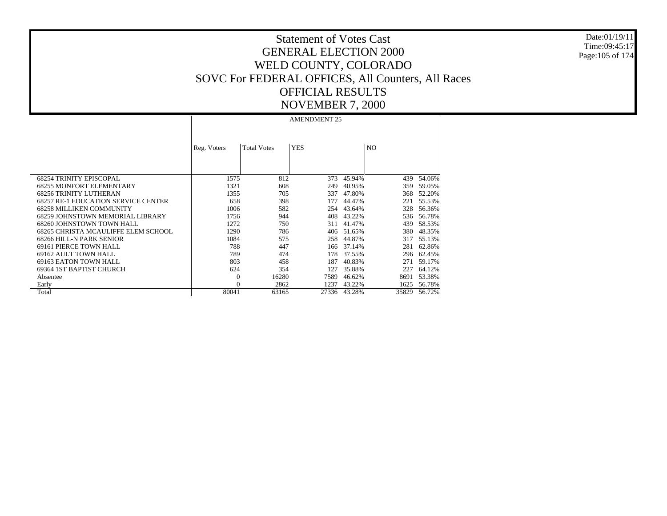Date:01/19/11 Time:09:45:17 Page:105 of 174

# Statement of Votes Cast GENERAL ELECTION 2000 WELD COUNTY, COLORADO SOVC For FEDERAL OFFICES, All Counters, All Races OFFICIAL RESULTS NOVEMBER 7, 2000

|                                            | Reg. Voters | <b>Total Votes</b> | <b>YES</b> |        | N <sub>O</sub> |        |
|--------------------------------------------|-------------|--------------------|------------|--------|----------------|--------|
| <b>68254 TRINITY EPISCOPAL</b>             | 1575        | 812                | 373        | 45.94% | 439            | 54.06% |
| <b>68255 MONFORT ELEMENTARY</b>            | 1321        | 608                | 249        | 40.95% | 359            | 59.05% |
| <b>68256 TRINITY LUTHERAN</b>              | 1355        | 705                | 337        | 47.80% | 368            | 52.20% |
| <b>68257 RE-1 EDUCATION SERVICE CENTER</b> | 658         | 398                | 177        | 44.47% | 221            | 55.53% |
| <b>68258 MILLIKEN COMMUNITY</b>            | 1006        | 582                | 254        | 43.64% | 328            | 56.36% |
| 68259 JOHNSTOWN MEMORIAL LIBRARY           | 1756        | 944                | 408        | 43.22% | 536            | 56.78% |
| 68260 JOHNSTOWN TOWN HALL                  | 1272        | 750                | 311        | 41.47% | 439            | 58.53% |
| 68265 CHRISTA MCAULIFFE ELEM SCHOOL        | 1290        | 786                | 406        | 51.65% | 380            | 48.35% |
| 68266 HILL-N PARK SENIOR                   | 1084        | 575                | 258        | 44.87% | 317            | 55.13% |
| 69161 PIERCE TOWN HALL                     | 788         | 447                | 166        | 37.14% | 281            | 62.86% |
| 69162 AULT TOWN HALL                       | 789         | 474                | 178        | 37.55% | 296            | 62.45% |
| 69163 EATON TOWN HALL                      | 803         | 458                | 187        | 40.83% | 271            | 59.17% |
| 69364 IST BAPTIST CHURCH                   | 624         | 354                | 127        | 35.88% | 227            | 64.12% |
| Absentee                                   | $\Omega$    | 16280              | 7589       | 46.62% | 8691           | 53.38% |
| Early                                      |             | 2862               | 1237       | 43.22% | 1625           | 56.78% |
| Total                                      | 80041       | 63165              | 27336      | 43.28% | 35829          | 56.72% |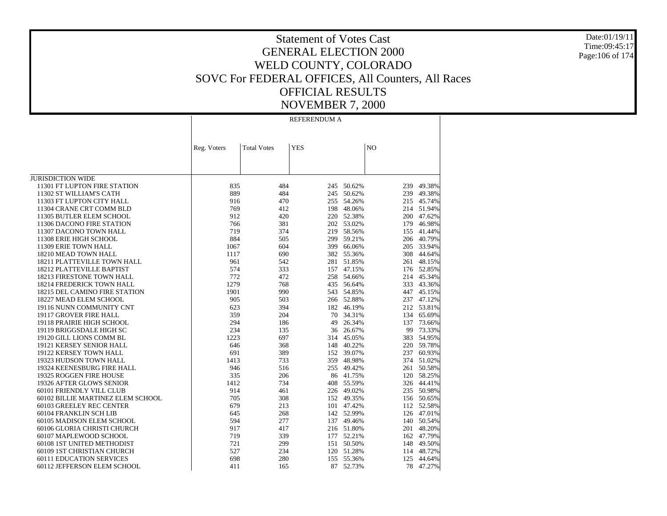Date:01/19/11 Time:09:45:17 Page:106 of 174

# Statement of Votes Cast GENERAL ELECTION 2000 WELD COUNTY, COLORADO SOVC For FEDERAL OFFICES, All Counters, All Races OFFICIAL RESULTS NOVEMBER 7, 2000

REFERENDUM A

|                                   | Reg. Voters | <b>Total Votes</b> | <b>YES</b> |            | N <sub>O</sub> |            |
|-----------------------------------|-------------|--------------------|------------|------------|----------------|------------|
|                                   |             |                    |            |            |                |            |
|                                   |             |                    |            |            |                |            |
|                                   |             |                    |            |            |                |            |
| <b>JURISDICTION WIDE</b>          |             |                    |            |            |                |            |
| 11301 FT LUPTON FIRE STATION      | 835         | 484                | 245        | 50.62%     | 239            | 49.38%     |
| 11302 ST WILLIAM'S CATH           | 889         | 484                | 245        | 50.62%     | 239            | 49.38%     |
| 11303 FT LUPTON CITY HALL         | 916         | 470                | 255        | 54.26%     |                | 215 45.74% |
| 11304 CRANE CRT COMM BLD          | 769         | 412                | 198        | 48.06%     |                | 214 51.94% |
| 11305 BUTLER ELEM SCHOOL          | 912         | 420                | 220        | 52.38%     | 200            | 47.62%     |
| 11306 DACONO FIRE STATION         | 766         | 381                | 202        | 53.02%     | 179            | 46.98%     |
| 11307 DACONO TOWN HALL            | 719         | 374                | 219        | 58.56%     | 155            | 41.44%     |
| 11308 ERIE HIGH SCHOOL            | 884         | 505                | 299        | 59.21%     | 206            | 40.79%     |
| 11309 ERIE TOWN HALL              | 1067        | 604                | 399        | 66.06%     |                | 205 33.94% |
| 18210 MEAD TOWN HALL              | 1117        | 690                | 382        | 55.36%     | 308            | 44.64%     |
| 18211 PLATTEVILLE TOWN HALL       | 961         | 542                | 281        | 51.85%     | 261            | 48.15%     |
| 18212 PLATTEVILLE BAPTIST         | 574         | 333                | 157        | 47.15%     |                | 176 52.85% |
| 18213 FIRESTONE TOWN HALL         | 772         | 472                | 258        | 54.66%     | 214            | 45.34%     |
| 18214 FREDERICK TOWN HALL         | 1279        | 768                |            | 435 56.64% |                | 333 43.36% |
| 18215 DEL CAMINO FIRE STATION     | 1901        | 990                | 543        | 54.85%     | 447            | 45.15%     |
| 18227 MEAD ELEM SCHOOL            | 905         | 503                | 266        | 52.88%     |                | 237 47.12% |
| 19116 NUNN COMMUNITY CNT          | 623         | 394                | 182        | 46.19%     |                | 212 53.81% |
| 19117 GROVER FIRE HALL            | 359         | 204                | 70         | 34.31%     |                | 134 65.69% |
| 19118 PRAIRIE HIGH SCHOOL         | 294         | 186                | 49         | 26.34%     | 137            | 73.66%     |
| 19119 BRIGGSDALE HIGH SC          | 234         | 135                | 36         | 26.67%     | 99             | 73.33%     |
| 19120 GILL LIONS COMM BL          | 1223        | 697                | 314        | 45.05%     | 383            | 54.95%     |
| 19121 KERSEY SENIOR HALL          | 646         | 368                | 148        | 40.22%     |                | 220 59.78% |
| 19122 KERSEY TOWN HALL            | 691         | 389                | 152        | 39.07%     | 237            | 60.93%     |
| 19323 HUDSON TOWN HALL            | 1413        | 733                | 359        | 48.98%     | 374            | 51.02%     |
| 19324 KEENESBURG FIRE HALL        | 946         | 516                | 255        | 49.42%     |                | 261 50.58% |
| 19325 ROGGEN FIRE HOUSE           | 335         | 206                |            | 86 41.75%  | 120            | 58.25%     |
| 19326 AFTER GLOWS SENIOR          | 1412        | 734                | 408        | 55.59%     | 326            | 44.41%     |
| 60101 FRIENDLY VILL CLUB          | 914         | 461                |            | 226 49.02% |                | 235 50.98% |
| 60102 BILLIE MARTINEZ ELEM SCHOOL | 705         | 308                |            | 152 49.35% |                | 156 50.65% |
| 60103 GREELEY REC CENTER          | 679         | 213                |            | 101 47.42% |                | 112 52.58% |
| 60104 FRANKLIN SCH LIB            | 645         | 268                |            | 142 52.99% |                | 126 47.01% |
| 60105 MADISON ELEM SCHOOL         | 594         | 277                | 137        | 49.46%     |                | 140 50.54% |
| 60106 GLORIA CHRISTI CHURCH       | 917         | 417                |            | 216 51.80% | 201            | 48.20%     |
| 60107 MAPLEWOOD SCHOOL            | 719         | 339                |            | 177 52.21% |                | 162 47.79% |
| 60108 1ST UNITED METHODIST        | 721         | 299                | 151        | 50.50%     | 148            | 49.50%     |
| 60109 1ST CHRISTIAN CHURCH        | 527         | 234                | 120        | 51.28%     | 114            | 48.72%     |
| <b>60111 EDUCATION SERVICES</b>   | 698         | 280                | 155        | 55.36%     | 125            | 44.64%     |
| 60112 JEFFERSON ELEM SCHOOL       | 411         | 165                | 87         | 52.73%     | 78             | 47.27%     |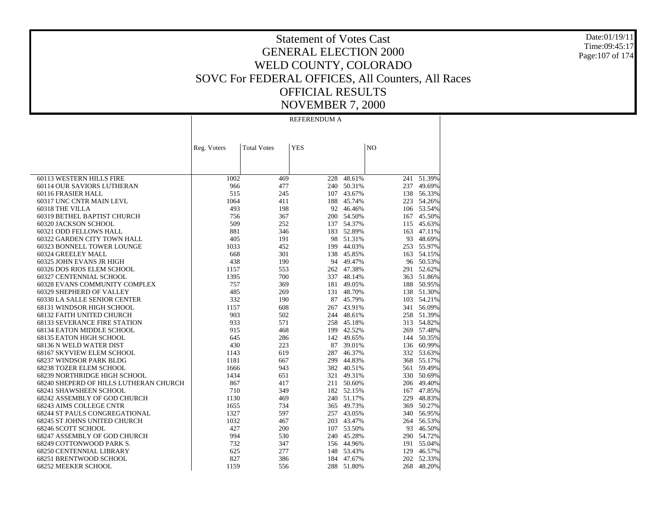Date:01/19/11 Time:09:45:17 Page:107 of 174

# Statement of Votes Cast GENERAL ELECTION 2000 WELD COUNTY, COLORADO SOVC For FEDERAL OFFICES, All Counters, All Races OFFICIAL RESULTS NOVEMBER 7, 2000

REFERENDUM A

|                                        | Reg. Voters | <b>Total Votes</b> | <b>YES</b> |            | N <sub>O</sub> |            |
|----------------------------------------|-------------|--------------------|------------|------------|----------------|------------|
|                                        |             |                    |            |            |                |            |
|                                        |             |                    |            |            |                |            |
|                                        |             |                    |            |            |                |            |
| 60113 WESTERN HILLS FIRE               | 1002        | 469                | 228        | 48.61%     |                | 241 51.39% |
| 60114 OUR SAVIORS LUTHERAN             | 966         | 477                | 240        | 50.31%     |                | 237 49.69% |
| 60116 FRASIER HALL                     | 515         | 245                |            | 107 43.67% |                | 138 56.33% |
| 60317 UNC CNTR MAIN LEVL               | 1064        | 411                | 188        | 45.74%     |                | 223 54.26% |
| 60318 THE VILLA                        | 493         | 198                |            | 92 46.46%  |                | 106 53.54% |
| 60319 BETHEL BAPTIST CHURCH            | 756         | 367                |            | 200 54.50% |                | 167 45.50% |
| 60320 JACKSON SCHOOL                   | 509         | 252                |            | 137 54.37% |                | 115 45.63% |
| 60321 ODD FELLOWS HALL                 | 881         | 346                | 183        | 52.89%     | 163            | 47.11%     |
| 60322 GARDEN CITY TOWN HALL            | 405         | 191                | 98         | 51.31%     |                | 93 48.69%  |
| 60323 BONNELL TOWER LOUNGE             | 1033        | 452                | 199        | 44.03%     |                | 253 55.97% |
| 60324 GREELEY MALL                     | 668         | 301                | 138        | 45.85%     |                | 163 54.15% |
| 60325 JOHN EVANS JR HIGH               | 438         | 190                |            | 94 49.47%  |                | 96 50.53%  |
| 60326 DOS RIOS ELEM SCHOOL             | 1157        | 553                |            | 262 47.38% |                | 291 52.62% |
| 60327 CENTENNIAL SCHOOL                | 1395        | 700                |            | 337 48.14% |                | 363 51.86% |
| 60328 EVANS COMMUNITY COMPLEX          | 757         | 369                | 181        | 49.05%     | 188            | 50.95%     |
| 60329 SHEPHERD OF VALLEY               | 485         | 269                | 131        | 48.70%     |                | 138 51.30% |
| 60330 LA SALLE SENIOR CENTER           | 332         | 190                |            | 87 45.79%  |                | 103 54.21% |
| 68131 WINDSOR HIGH SCHOOL              | 1157        | 608                |            | 267 43.91% |                | 341 56.09% |
| <b>68132 FAITH UNITED CHURCH</b>       | 903         | 502                |            | 244 48.61% |                | 258 51.39% |
| <b>68133 SEVERANCE FIRE STATION</b>    | 933         | 571                |            | 258 45.18% |                | 313 54.82% |
| 68134 EATON MIDDLE SCHOOL              | 915         | 468                | 199        | 42.52%     |                | 269 57.48% |
| 68135 EATON HIGH SCHOOL                | 645         | 286                |            | 142 49.65% |                | 144 50.35% |
| 68136 N WELD WATER DIST                | 430         | 223                |            | 87 39.01%  |                | 136 60.99% |
| 68167 SKYVIEW ELEM SCHOOL              | 1143        | 619                |            | 287 46.37% |                | 332 53.63% |
| 68237 WINDSOR PARK BLDG                | 1181        | 667                | 299        | 44.83%     |                | 368 55.17% |
| 68238 TOZER ELEM SCHOOL                | 1666        | 943                |            | 382 40.51% |                | 561 59.49% |
| 68239 NORTHRIDGE HIGH SCHOOL           | 1434        | 651                |            | 321 49.31% |                | 330 50.69% |
| 68240 SHEPERD OF HILLS LUTHERAN CHURCH | 867         | 417                |            | 211 50.60% |                | 206 49.40% |
| 68241 SHAWSHEEN SCHOOL                 | 710         | 349                |            | 182 52.15% |                | 167 47.85% |
| 68242 ASSEMBLY OF GOD CHURCH           | 1130        | 469                |            | 240 51.17% |                | 229 48.83% |
| 68243 AIMS COLLEGE CNTR                | 1655        | 734                |            | 365 49.73% | 369            | 50.27%     |
| <b>68244 ST PAULS CONGREGATIONAL</b>   | 1327        | 597                |            | 257 43.05% | 340            | 56.95%     |
| 68245 ST JOHNS UNITED CHURCH           | 1032        | 467                |            | 203 43.47% |                | 264 56.53% |
| 68246 SCOTT SCHOOL                     | 427         | 200                |            | 107 53.50% |                | 93 46.50%  |
| 68247 ASSEMBLY OF GOD CHURCH           | 994         | 530                |            | 240 45.28% |                | 290 54.72% |
| 68249 COTTONWOOD PARK S.               | 732         | 347                |            | 156 44.96% |                | 191 55.04% |
| <b>68250 CENTENNIAL LIBRARY</b>        | 625         | 277                | 148        | 53.43%     | 129            | 46.57%     |
| 68251 BRENTWOOD SCHOOL                 | 827         | 386                |            | 184 47.67% | 202            | 52.33%     |
| 68252 MEEKER SCHOOL                    | 1159        | 556                | 288        | 51.80%     | 268            | 48.20%     |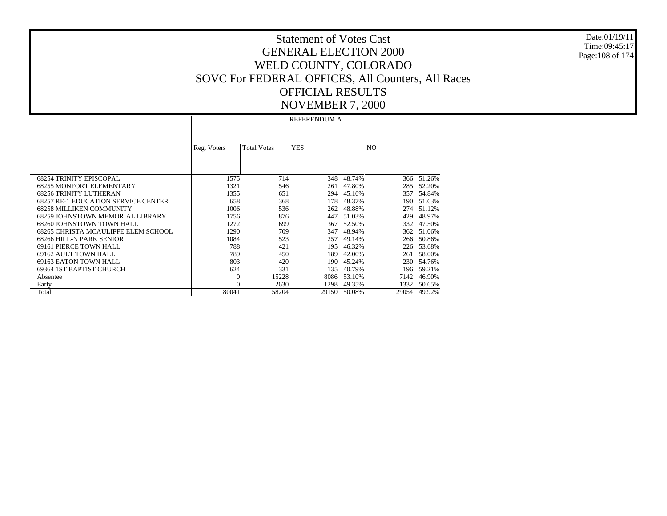Date:01/19/11Time:09:45:17Page:108 of 174

# Statement of Votes CastGENERAL ELECTION 2000WELD COUNTY, COLORADO SOVC For FEDERAL OFFICES, All Counters, All Races OFFICIAL RESULTSNOVEMBER 7, 2000

 68254 TRINITY EPISCOPAL 68255 MONFORT ELEMENTARY 68256 TRINITY LUTHERAN 68257 RE-1 EDUCATION SERVICE CENTER 68258 MILLIKEN COMMUNITY 68259 JOHNSTOWN MEMORIAL LIBRARY 68260 JOHNSTOWN TOWN HALL 68265 CHRISTA MCAULIFFE ELEM SCHOOL 68266 HILL-N PARK SENIOR 69161 PIERCE TOWN HALL 69162 AULT TOWN HALL 69163 EATON TOWN HALL 69364 1ST BAPTIST CHURCH Absentee Early TotalReg. Voters | Total Votes | YES | NO REFERENDUM A1575 714 348 48.74% $366 - 51.26%$ 1321 546 261 47.80% 285 52.20% 1355 651 294 45.16% 357 54.84% 658 368 178 48.37% 190 51.63% 1006 536 262 48.88% 274 51.12% 1756 876 447 51.03% 429 48.97% 1272 699 367 52.50% 332 47.50% 1290 709 347 48.94% 362 51.06% 1084 523 257 49.14% 266 50.86% 788 421 195 46.32% 226 53.68% 789 450 189 42.00% 261 58.00% 803 420 190 45.24% 230 54.76% 624 331 135 40.79% 196 59.21% 0 15228 8086 53.10% 7142 46.90% 0 2630 1298 49.35% 1332 50.65% 80041 58204 29150 50.08%29054 49.92%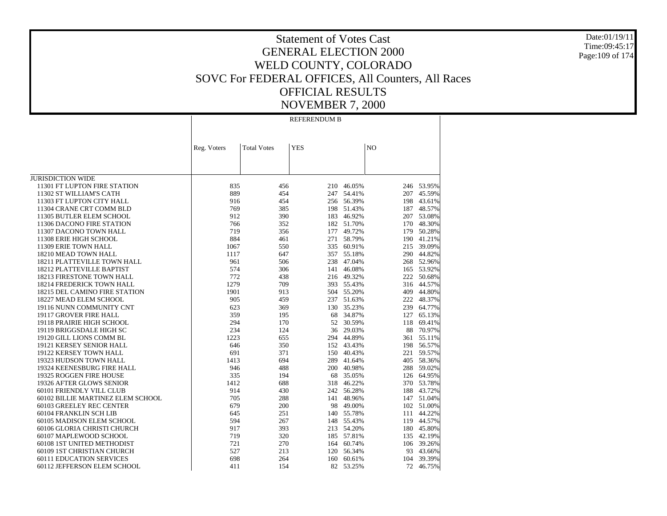Date:01/19/11 Time:09:45:17 Page:109 of 174

### Statement of Votes Cast GENERAL ELECTION 2000 WELD COUNTY, COLORADO SOVC For FEDERAL OFFICES, All Counters, All Races OFFICIAL RESULTS NOVEMBER 7, 2000

REFERENDUM B

|                                   | Reg. Voters | <b>Total Votes</b> | <b>YES</b> |            | N <sub>O</sub> |            |
|-----------------------------------|-------------|--------------------|------------|------------|----------------|------------|
|                                   |             |                    |            |            |                |            |
|                                   |             |                    |            |            |                |            |
|                                   |             |                    |            |            |                |            |
| <b>JURISDICTION WIDE</b>          |             |                    |            |            |                |            |
| 11301 FT LUPTON FIRE STATION      | 835         | 456                | 210        | 46.05%     |                | 246 53.95% |
| 11302 ST WILLIAM'S CATH           | 889         | 454                | 247        | 54.41%     | 207            | 45.59%     |
| 11303 FT LUPTON CITY HALL         | 916         | 454                | 256        | 56.39%     | 198            | 43.61%     |
| 11304 CRANE CRT COMM BLD          | 769         | 385                | 198        | 51.43%     |                | 187 48.57% |
| 11305 BUTLER ELEM SCHOOL          | 912         | 390                | 183        | 46.92%     |                | 207 53.08% |
| 11306 DACONO FIRE STATION         | 766         | 352                | 182        | 51.70%     |                | 170 48.30% |
| 11307 DACONO TOWN HALL            | 719         | 356                | 177        | 49.72%     | 179            | 50.28%     |
| 11308 ERIE HIGH SCHOOL            | 884         | 461                | 271        | 58.79%     |                | 190 41.21% |
| 11309 ERIE TOWN HALL              | 1067        | 550                | 335        | 60.91%     |                | 215 39.09% |
| 18210 MEAD TOWN HALL              | 1117        | 647                | 357        | 55.18%     |                | 290 44.82% |
| 18211 PLATTEVILLE TOWN HALL       | 961         | 506                | 238        | 47.04%     |                | 268 52.96% |
| 18212 PLATTEVILLE BAPTIST         | 574         | 306                | 141        | 46.08%     |                | 165 53.92% |
| 18213 FIRESTONE TOWN HALL         | 772         | 438                |            | 216 49.32% |                | 222 50.68% |
| 18214 FREDERICK TOWN HALL         | 1279        | 709                |            | 393 55.43% |                | 316 44.57% |
| 18215 DEL CAMINO FIRE STATION     | 1901        | 913                | 504        | 55.20%     | 409            | 44.80%     |
| 18227 MEAD ELEM SCHOOL            | 905         | 459                | 237        | 51.63%     |                | 222 48.37% |
| 19116 NUNN COMMUNITY CNT          | 623         | 369                | 130        | 35.23%     | 239            | 64.77%     |
| 19117 GROVER FIRE HALL            | 359         | 195                | 68         | 34.87%     | 127            | 65.13%     |
| 19118 PRAIRIE HIGH SCHOOL         | 294         | 170                | 52         | 30.59%     | 118            | 69.41%     |
| 19119 BRIGGSDALE HIGH SC          | 234         | 124                | 36         | 29.03%     | 88             | 70.97%     |
| 19120 GILL LIONS COMM BL          | 1223        | 655                | 294        | 44.89%     |                | 361 55.11% |
| 19121 KERSEY SENIOR HALL          | 646         | 350                | 152        | 43.43%     | 198            | 56.57%     |
| 19122 KERSEY TOWN HALL            | 691         | 371                | 150        | 40.43%     |                | 221 59.57% |
| 19323 HUDSON TOWN HALL            | 1413        | 694                | 289        | 41.64%     |                | 405 58.36% |
| 19324 KEENESBURG FIRE HALL        | 946         | 488                | 200        | 40.98%     |                | 288 59.02% |
| 19325 ROGGEN FIRE HOUSE           | 335         | 194                | 68         | 35.05%     |                | 126 64.95% |
| 19326 AFTER GLOWS SENIOR          | 1412        | 688                | 318        | 46.22%     |                | 370 53.78% |
| 60101 FRIENDLY VILL CLUB          | 914         | 430                |            | 242 56.28% |                | 188 43.72% |
| 60102 BILLIE MARTINEZ ELEM SCHOOL | 705         | 288                | 141        | 48.96%     |                | 147 51.04% |
| 60103 GREELEY REC CENTER          | 679         | 200                | 98         | 49.00%     |                | 102 51.00% |
| 60104 FRANKLIN SCH LIB            | 645         | 251                | 140        | 55.78%     |                | 111 44.22% |
| 60105 MADISON ELEM SCHOOL         | 594         | 267                | 148        | 55.43%     |                | 119 44.57% |
| 60106 GLORIA CHRISTI CHURCH       | 917         | 393                | 213        | 54.20%     |                | 180 45.80% |
| 60107 MAPLEWOOD SCHOOL            | 719         | 320                |            | 185 57.81% |                | 135 42.19% |
| 60108 1ST UNITED METHODIST        | 721         | 270                | 164        | 60.74%     |                | 106 39.26% |
| 60109 1ST CHRISTIAN CHURCH        | 527         | 213                | 120        | 56.34%     | 93             | 43.66%     |
| <b>60111 EDUCATION SERVICES</b>   | 698         | 264                | 160        | 60.61%     | 104            | 39.39%     |
| 60112 JEFFERSON ELEM SCHOOL       | 411         | 154                | 82         | 53.25%     | 72             | 46.75%     |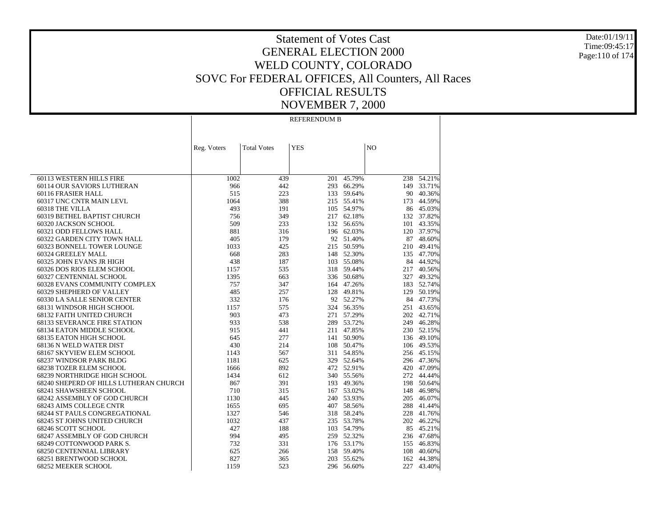Date:01/19/11Time:09:45:17Page:110 of 174

# Statement of Votes CastGENERAL ELECTION 2000WELD COUNTY, COLORADO SOVC For FEDERAL OFFICES, All Counters, All Races OFFICIAL RESULTSNOVEMBER 7, 2000

 60113 WESTERN HILLS FIRE 60114 OUR SAVIORS LUTHERAN 60116 FRASIER HALL 60317 UNC CNTR MAIN LEVL 60318 THE VILLA 60319 BETHEL BAPTIST CHURCH 60320 JACKSON SCHOOL 60321 ODD FELLOWS HALL 60322 GARDEN CITY TOWN HALL 60323 BONNELL TOWER LOUNGE 60324 GREELEY MALL 60325 JOHN EVANS JR HIGH 60326 DOS RIOS ELEM SCHOOL 60327 CENTENNIAL SCHOOL 60328 EVANS COMMUNITY COMPLEX 60329 SHEPHERD OF VALLEY 60330 LA SALLE SENIOR CENTER 68131 WINDSOR HIGH SCHOOL 68132 FAITH UNITED CHURCH 68133 SEVERANCE FIRE STATION 68134 EATON MIDDLE SCHOOL 68135 EATON HIGH SCHOOL 68136 N WELD WATER DIST 68167 SKYVIEW ELEM SCHOOL 68237 WINDSOR PARK BLDG 68238 TOZER ELEM SCHOOL 68239 NORTHRIDGE HIGH SCHOOL 68240 SHEPERD OF HILLS LUTHERAN CHURCH 68241 SHAWSHEEN SCHOOL 68242 ASSEMBLY OF GOD CHURCH 68243 AIMS COLLEGE CNTR 68244 ST PAULS CONGREGATIONAL 68245 ST JOHNS UNITED CHURCH 68246 SCOTT SCHOOL 68247 ASSEMBLY OF GOD CHURCH 68249 COTTONWOOD PARK S. 68250 CENTENNIAL LIBRARY 68251 BRENTWOOD SCHOOL 68252 MEEKER SCHOOL Reg. Voters | Total Votes | YES | NO REFERENDUM B1002439 201 45.79%  $238 - 54.21%$ 966 442 293 66.29% 149 33.71% 515 223 133 59.64% 90 40.36% 1064 388 215 55.41% 173 44.59% 493 191 105 54.97% 86 45.03% 756 349 217 62.18% 132 37.82% 509 233 132 56.65% 101 43.35% 881 316 196 62.03% 120 37.97% 405 179 92 51.40% 87 48.60% 1033 425 215 50.59% 210 49.41% 668 283 148 52.30% 135 47.70% 438 187 103 55.08% 84 44.92% 1157 535 318 59.44% 217 40.56% 1395 663 336 50.68% 327 49.32% 757 347 164 47.26% 183 52.74% 485 257 128 49.81% 129 50.19% 332 176 92 52.27% 84 47.73% 1157 575 324 56.35% 251 43.65% 903 473 271 57.29% 202 42.71% 933 538 289 53.72% 249 46.28% 915 441 211 47.85% 230 52.15% 645 277 141 50.90% 136 49.10% 430 214 108 50.47% 106 49.53% 1143 567 311 54.85% 256 45.15% 1181 625 329 52.64%296 47.36% 1666 892 472 52.91% 420 47.09% 1434 612 340 55.56% 272 44.44% 867 391 193 49.36% 198 50.64% 710 315 167 53.02% 148 46.98% 1130 445 240 53.93% 205 46.07% 1655 695 407 58.56% 288 41.44% 1327 546 318 58.24% 228 41.76% 1032 437 235 53.78% 202 46.22% 427 188 103 54.79% 85 45.21% 994 495 259 52.32%236 47.68% 732 331 176 53.17% 155 46.83% 625 266 158 59.40% 108 40.60% 827 365 203 55.62% 162 44.38% 1159 523 296 56.60%227 43.40%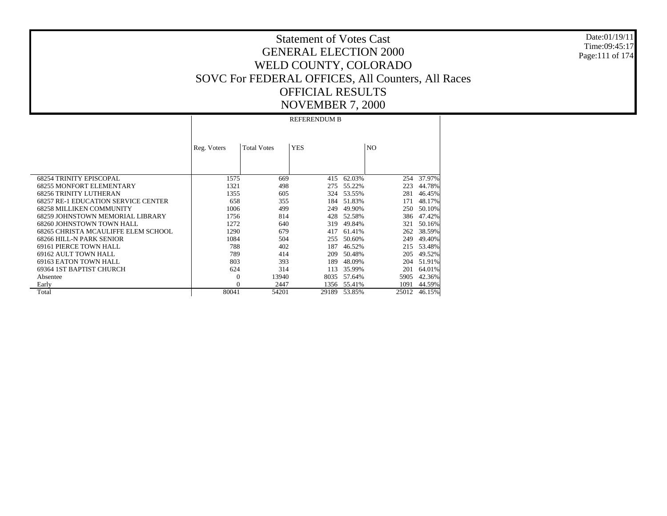Date:01/19/11Time:09:45:17Page:111 of 174

# Statement of Votes CastGENERAL ELECTION 2000WELD COUNTY, COLORADO SOVC For FEDERAL OFFICES, All Counters, All Races OFFICIAL RESULTSNOVEMBER 7, 2000

 68254 TRINITY EPISCOPAL 68255 MONFORT ELEMENTARY 68256 TRINITY LUTHERAN 68257 RE-1 EDUCATION SERVICE CENTER 68258 MILLIKEN COMMUNITY 68259 JOHNSTOWN MEMORIAL LIBRARY 68260 JOHNSTOWN TOWN HALL 68265 CHRISTA MCAULIFFE ELEM SCHOOL 68266 HILL-N PARK SENIOR 69161 PIERCE TOWN HALL 69162 AULT TOWN HALL 69163 EATON TOWN HALL 69364 1ST BAPTIST CHURCH Absentee Early TotalReg. Voters | Total Votes | YES | NO REFERENDUM B1575 $\overline{669}$   $\overline{415}$   $\overline{62.03\%}$  $254 - 37.97%$ 1321 498 275 55.22% 223 44.78% 1355 605 324 53.55% 281 46.45% 658 355 184 51.83% 171 48.17% 1006 499 249 49.90% 250 50.10% 1756 814 428 52.58% 386 47.42% 1272 640 319 49.84% 321 50.16% 1290 679 417 61.41% 262 38.59% 1084 504 255 50.60% 249 49.40% 788 402 187 46.52% 215 53.48% 789 414 209 50.48% 205 49.52% 803 393 189 48.09% 204 51.91% 624 314 113 35.99% 201 64.01% 0 13940 8035 57.64% 5905 42.36% 0 2447 1356 55.41% 1091 44.59% 80041 54201 29189 53.85%25012 46.15%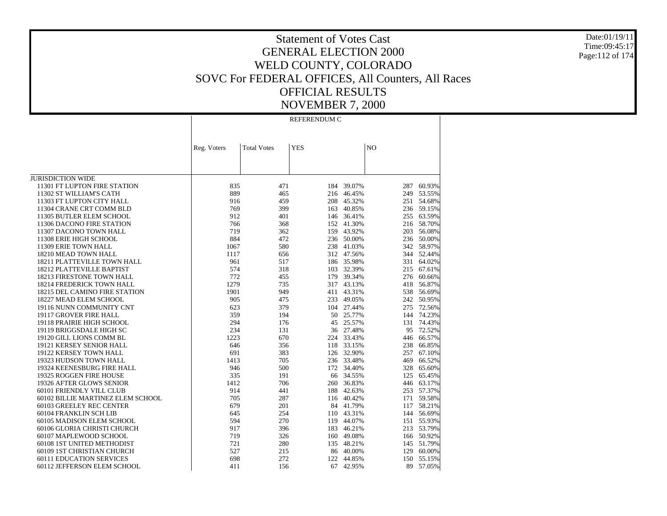Date:01/19/11 Time:09:45:17 Page:112 of 174

## Statement of Votes Cast GENERAL ELECTION 2000 WELD COUNTY, COLORADO SOVC For FEDERAL OFFICES, All Counters, All Races OFFICIAL RESULTS NOVEMBER 7, 2000

REFERENDUM C

|                                   | Reg. Voters | <b>Total Votes</b> | <b>YES</b> |            | N <sub>O</sub> |            |
|-----------------------------------|-------------|--------------------|------------|------------|----------------|------------|
|                                   |             |                    |            |            |                |            |
|                                   |             |                    |            |            |                |            |
|                                   |             |                    |            |            |                |            |
| <b>JURISDICTION WIDE</b>          |             |                    |            |            |                |            |
| 11301 FT LUPTON FIRE STATION      | 835         | 471                | 184        | 39.07%     | 287            | 60.93%     |
| 11302 ST WILLIAM'S CATH           | 889         | 465                | 216        | 46.45%     | 249            | 53.55%     |
| 11303 FT LUPTON CITY HALL         | 916         | 459                | 208        | 45.32%     | 251            | 54.68%     |
| 11304 CRANE CRT COMM BLD          | 769         | 399                | 163        | 40.85%     | 236            | 59.15%     |
| 11305 BUTLER ELEM SCHOOL          | 912         | 401                | 146        | 36.41%     | 255            | 63.59%     |
| 11306 DACONO FIRE STATION         | 766         | 368                | 152        | 41.30%     |                | 216 58.70% |
| 11307 DACONO TOWN HALL            | 719         | 362                | 159        | 43.92%     | 203            | 56.08%     |
| 11308 ERIE HIGH SCHOOL            | 884         | 472                |            | 236 50.00% |                | 236 50.00% |
| 11309 ERIE TOWN HALL              | 1067        | 580                |            | 238 41.03% | 342            | 58.97%     |
| 18210 MEAD TOWN HALL              | 1117        | 656                | 312        | 47.56%     | 344            | 52.44%     |
| 18211 PLATTEVILLE TOWN HALL       | 961         | 517                |            | 186 35.98% |                | 331 64.02% |
| 18212 PLATTEVILLE BAPTIST         | 574         | 318                | 103        | 32.39%     | 215            | 67.61%     |
| <b>18213 FIRESTONE TOWN HALL</b>  | 772         | 455                | 179        | 39.34%     | 276            | 60.66%     |
| 18214 FREDERICK TOWN HALL         | 1279        | 735                | 317        | 43.13%     | 418            | 56.87%     |
| 18215 DEL CAMINO FIRE STATION     | 1901        | 949                | 411        | 43.31%     | 538            | 56.69%     |
| 18227 MEAD ELEM SCHOOL            | 905         | 475                | 233        | 49.05%     | 242            | 50.95%     |
| 19116 NUNN COMMUNITY CNT          | 623         | 379                |            | 104 27.44% | 275            | 72.56%     |
| 19117 GROVER FIRE HALL            | 359         | 194                | 50         | 25.77%     |                | 144 74.23% |
| 19118 PRAIRIE HIGH SCHOOL         | 294         | 176                | 45         | 25.57%     | 131            | 74.43%     |
| 19119 BRIGGSDALE HIGH SC          | 234         | 131                | 36         | 27.48%     | 95             | 72.52%     |
| 19120 GILL LIONS COMM BL          | 1223        | 670                | 224        | 33.43%     | 446            | 66.57%     |
| 19121 KERSEY SENIOR HALL          | 646         | 356                | 118        | 33.15%     | 238            | 66.85%     |
| 19122 KERSEY TOWN HALL            | 691         | 383                | 126        | 32.90%     | 257            | 67.10%     |
| 19323 HUDSON TOWN HALL            | 1413        | 705                | 236        | 33.48%     | 469            | 66.52%     |
| 19324 KEENESBURG FIRE HALL        | 946         | 500                |            | 172 34.40% | 328            | 65.60%     |
| 19325 ROGGEN FIRE HOUSE           | 335         | 191                | 66         | 34.55%     | 125            | 65.45%     |
| 19326 AFTER GLOWS SENIOR          | 1412        | 706                | 260        | 36.83%     | 446            | 63.17%     |
| 60101 FRIENDLY VILL CLUB          | 914         | 441                | 188        | 42.63%     |                | 253 57.37% |
| 60102 BILLIE MARTINEZ ELEM SCHOOL | 705         | 287                | 116        | 40.42%     | 171            | 59.58%     |
| 60103 GREELEY REC CENTER          | 679         | 201                | 84         | 41.79%     | 117            | 58.21%     |
| 60104 FRANKLIN SCH LIB            | 645         | 254                | 110        | 43.31%     |                | 144 56.69% |
| 60105 MADISON ELEM SCHOOL         | 594         | 270                | 119        | 44.07%     |                | 151 55.93% |
| 60106 GLORIA CHRISTI CHURCH       | 917         | 396                | 183        | 46.21%     |                | 213 53.79% |
| 60107 MAPLEWOOD SCHOOL            | 719         | 326                | 160        | 49.08%     |                | 166 50.92% |
| 60108 1ST UNITED METHODIST        | 721         | 280                | 135        | 48.21%     | 145            | 51.79%     |
| 60109 1ST CHRISTIAN CHURCH        | 527         | 215                | 86         | 40.00%     | 129            | 60.00%     |
| <b>60111 EDUCATION SERVICES</b>   | 698         | 272                | 122        | 44.85%     | 150            | 55.15%     |
| 60112 JEFFERSON ELEM SCHOOL       | 411         | 156                | 67         | 42.95%     | 89             | 57.05%     |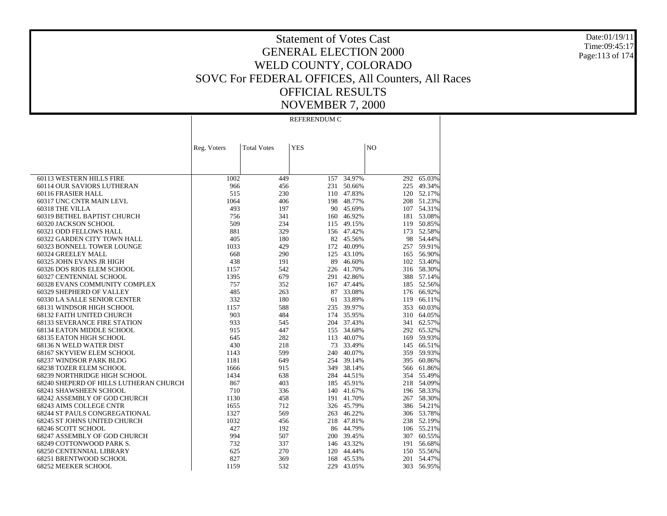Date:01/19/11 Time:09:45:17 Page:113 of 174

## Statement of Votes Cast GENERAL ELECTION 2000 WELD COUNTY, COLORADO SOVC For FEDERAL OFFICES, All Counters, All Races OFFICIAL RESULTS NOVEMBER 7, 2000

REFERENDUM C

|                                        | Reg. Voters | <b>Total Votes</b> | <b>YES</b> |            | N <sub>O</sub> |                 |
|----------------------------------------|-------------|--------------------|------------|------------|----------------|-----------------|
|                                        |             |                    |            |            |                |                 |
|                                        |             |                    |            |            |                |                 |
|                                        |             |                    |            |            |                |                 |
| 60113 WESTERN HILLS FIRE               | 1002        | 449                | 157        | 34.97%     |                | $292 - 65.03\%$ |
| 60114 OUR SAVIORS LUTHERAN             | 966         | 456                | 231        | 50.66%     | 225            | 49.34%          |
| 60116 FRASIER HALL                     | 515         | 230                |            | 110 47.83% |                | 120 52.17%      |
| 60317 UNC CNTR MAIN LEVL               | 1064        | 406                | 198        | 48.77%     |                | 208 51.23%      |
| 60318 THE VILLA                        | 493         | 197                | 90         | 45.69%     |                | 107 54.31%      |
| 60319 BETHEL BAPTIST CHURCH            | 756         | 341                |            | 160 46.92% |                | 181 53.08%      |
| 60320 JACKSON SCHOOL                   | 509         | 234                | 115        | 49.15%     | 119            | 50.85%          |
| 60321 ODD FELLOWS HALL                 | 881         | 329                |            | 156 47.42% |                | 173 52.58%      |
| 60322 GARDEN CITY TOWN HALL            | 405         | 180                |            | 82 45.56%  |                | 98 54.44%       |
| 60323 BONNELL TOWER LOUNGE             | 1033        | 429                | 172        | 40.09%     |                | 257 59.91%      |
| 60324 GREELEY MALL                     | 668         | 290                | 125        | 43.10%     |                | 165 56.90%      |
| 60325 JOHN EVANS JR HIGH               | 438         | 191                | 89         | 46.60%     |                | 102 53.40%      |
| 60326 DOS RIOS ELEM SCHOOL             | 1157        | 542                |            | 226 41.70% |                | 316 58.30%      |
| 60327 CENTENNIAL SCHOOL                | 1395        | 679                | 291        | 42.86%     |                | 388 57.14%      |
| 60328 EVANS COMMUNITY COMPLEX          | 757         | 352                | 167        | 47.44%     |                | 185 52.56%      |
| 60329 SHEPHERD OF VALLEY               | 485         | 263                | 87         | 33.08%     |                | 176 66.92%      |
| 60330 LA SALLE SENIOR CENTER           | 332         | 180                | 61         | 33.89%     | 119            | 66.11%          |
| 68131 WINDSOR HIGH SCHOOL              | 1157        | 588                | 235        | 39.97%     |                | 353 60.03%      |
| <b>68132 FAITH UNITED CHURCH</b>       | 903         | 484                | 174        | 35.95%     |                | 310 64.05%      |
| <b>68133 SEVERANCE FIRE STATION</b>    | 933         | 545                | 204        | 37.43%     | 341            | 62.57%          |
| 68134 EATON MIDDLE SCHOOL              | 915         | 447                | 155        | 34.68%     |                | 292 65.32%      |
| 68135 EATON HIGH SCHOOL                | 645         | 282                | 113        | 40.07%     | 169            | 59.93%          |
| 68136 N WELD WATER DIST                | 430         | 218                | 73         | 33.49%     |                | 145 66.51%      |
| 68167 SKYVIEW ELEM SCHOOL              | 1143        | 599                | 240        | 40.07%     |                | 359 59.93%      |
| 68237 WINDSOR PARK BLDG                | 1181        | 649                | 254        | 39.14%     |                | 395 60.86%      |
| <b>68238 TOZER ELEM SCHOOL</b>         | 1666        | 915                | 349        | 38.14%     |                | 566 61.86%      |
| 68239 NORTHRIDGE HIGH SCHOOL           | 1434        | 638                |            | 284 44.51% |                | 354 55.49%      |
| 68240 SHEPERD OF HILLS LUTHERAN CHURCH | 867         | 403                |            | 185 45.91% |                | 218 54.09%      |
| 68241 SHAWSHEEN SCHOOL                 | 710         | 336                | 140        | 41.67%     |                | 196 58.33%      |
| 68242 ASSEMBLY OF GOD CHURCH           | 1130        | 458                |            | 191 41.70% |                | 267 58.30%      |
| <b>68243 AIMS COLLEGE CNTR</b>         | 1655        | 712                |            | 326 45.79% |                | 386 54.21%      |
| 68244 ST PAULS CONGREGATIONAL          | 1327        | 569                | 263        | 46.22%     |                | 306 53.78%      |
| 68245 ST JOHNS UNITED CHURCH           | 1032        | 456                |            | 218 47.81% |                | 238 52.19%      |
| 68246 SCOTT SCHOOL                     | 427         | 192                |            | 86 44.79%  |                | 106 55.21%      |
| 68247 ASSEMBLY OF GOD CHURCH           | 994         | 507                | 200        | 39.45%     |                | 307 60.55%      |
| 68249 COTTONWOOD PARK S.               | 732         | 337                |            | 146 43.32% |                | 191 56.68%      |
| 68250 CENTENNIAL LIBRARY               | 625         | 270                | 120        | 44.44%     |                | 150 55.56%      |
| 68251 BRENTWOOD SCHOOL                 | 827         | 369                | 168        | 45.53%     |                | 201 54.47%      |
| 68252 MEEKER SCHOOL                    | 1159        | 532                | 229        | 43.05%     |                | 303 56.95%      |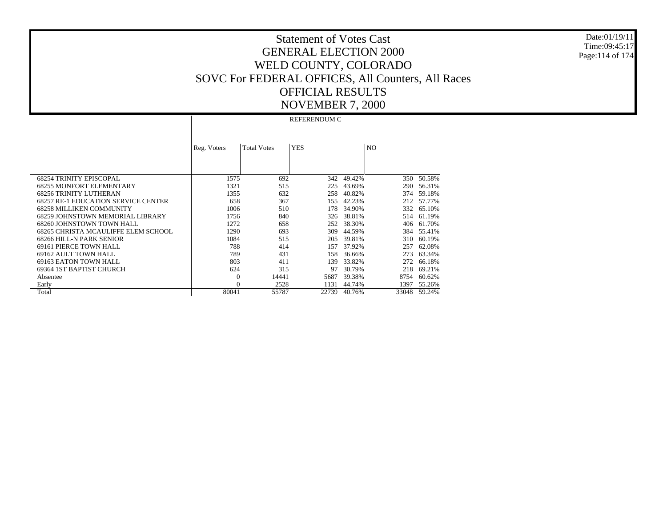Date:01/19/11Time:09:45:17Page:114 of 174

# Statement of Votes CastGENERAL ELECTION 2000WELD COUNTY, COLORADO SOVC For FEDERAL OFFICES, All Counters, All Races OFFICIAL RESULTSNOVEMBER 7, 2000

 68254 TRINITY EPISCOPAL 68255 MONFORT ELEMENTARY 68256 TRINITY LUTHERAN 68257 RE-1 EDUCATION SERVICE CENTER 68258 MILLIKEN COMMUNITY 68259 JOHNSTOWN MEMORIAL LIBRARY 68260 JOHNSTOWN TOWN HALL 68265 CHRISTA MCAULIFFE ELEM SCHOOL 68266 HILL-N PARK SENIOR 69161 PIERCE TOWN HALL 69162 AULT TOWN HALL 69163 EATON TOWN HALL 69364 1ST BAPTIST CHURCH Absentee Early TotalReg. Voters | Total Votes | YES | NO REFERENDUM C1575 692 342 49.42% $350 - 50.58%$ 1321 515 225 43.69% 290 56.31% 1355 632 258 40.82% 374 59.18% 658 367 155 42.23% 212 57.77% 1006 510 178 34.90% 332 65.10% 1756 840 326 38.81% 514 61.19% 1272 658 252 38.30% 406 61.70% 1290 693 309 44.59% 384 55.41% 1084 515 205 39.81% 310 60.19% 788 414 157 37.92% 257 62.08% 789 431 158 36.66% 273 63.34% 803 411 139 33.82% 272 66.18% 624 315 97 30.79% 218 69.21% 0 14441 5687 39.38% 8754 60.62% 0 2528 1131 44.74% 1397 55.26% 80041 55787 22739 40.76%33048 59.24%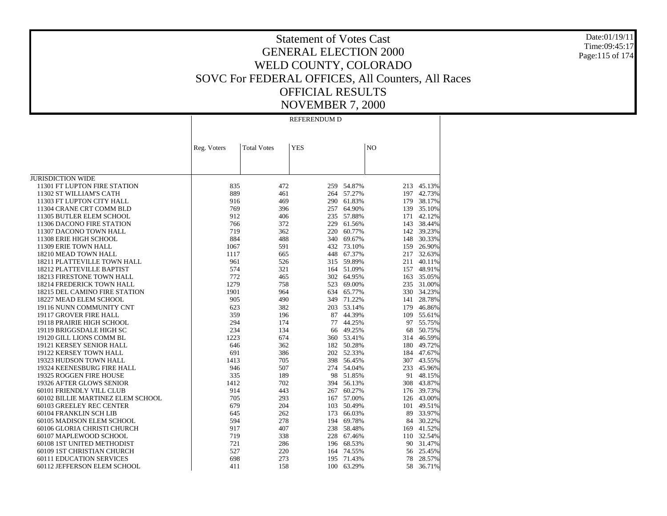Date:01/19/11 Time:09:45:17 Page:115 of 174

### Statement of Votes Cast GENERAL ELECTION 2000 WELD COUNTY, COLORADO SOVC For FEDERAL OFFICES, All Counters, All Races OFFICIAL RESULTS NOVEMBER 7, 2000

REFERENDUM D

|                                                          | Reg. Voters | <b>Total Votes</b> | <b>YES</b> |        | NO         |            |
|----------------------------------------------------------|-------------|--------------------|------------|--------|------------|------------|
|                                                          |             |                    |            |        |            |            |
|                                                          |             |                    |            |        |            |            |
|                                                          |             |                    |            |        |            |            |
| <b>JURISDICTION WIDE</b><br>11301 FT LUPTON FIRE STATION | 835         | 472                |            | 54.87% |            | 45.13%     |
| 11302 ST WILLIAM'S CATH                                  | 889         | 461                | 259<br>264 | 57.27% | 213<br>197 | 42.73%     |
| 11303 FT LUPTON CITY HALL                                | 916         | 469                | 290        | 61.83% | 179        | 38.17%     |
| 11304 CRANE CRT COMM BLD                                 | 769         | 396                | 257        | 64.90% | 139        | 35.10%     |
| 11305 BUTLER ELEM SCHOOL                                 | 912         | 406                | 235        | 57.88% |            | 171 42.12% |
| 11306 DACONO FIRE STATION                                | 766         | 372                | 229        | 61.56% | 143        | 38.44%     |
| 11307 DACONO TOWN HALL                                   | 719         | 362                | 220        | 60.77% |            | 142 39.23% |
| 11308 ERIE HIGH SCHOOL                                   | 884         | 488                | 340        | 69.67% |            | 148 30.33% |
| 11309 ERIE TOWN HALL                                     | 1067        | 591                | 432        | 73.10% | 159        | 26.90%     |
| 18210 MEAD TOWN HALL                                     | 1117        | 665                | 448        | 67.37% | 217        | 32.63%     |
| 18211 PLATTEVILLE TOWN HALL                              | 961         | 526                | 315        | 59.89% | 211        | 40.11%     |
| <b>18212 PLATTEVILLE BAPTIST</b>                         | 574         | 321                | 164        | 51.09% | 157        | 48.91%     |
| 18213 FIRESTONE TOWN HALL                                | 772         | 465                | 302        | 64.95% | 163        | 35.05%     |
| 18214 FREDERICK TOWN HALL                                | 1279        | 758                | 523        | 69.00% | 235        | 31.00%     |
| 18215 DEL CAMINO FIRE STATION                            | 1901        | 964                | 634        | 65.77% |            | 330 34.23% |
| 18227 MEAD ELEM SCHOOL                                   | 905         | 490                | 349        | 71.22% | 141        | 28.78%     |
| 19116 NUNN COMMUNITY CNT                                 | 623         | 382                | 203        | 53.14% | 179        | 46.86%     |
| 19117 GROVER FIRE HALL                                   | 359         | 196                | 87         | 44.39% | 109        | 55.61%     |
| 19118 PRAIRIE HIGH SCHOOL                                | 294         | 174                | 77         | 44.25% | 97         | 55.75%     |
| 19119 BRIGGSDALE HIGH SC                                 | 234         | 134                | 66         | 49.25% | 68         | 50.75%     |
| 19120 GILL LIONS COMM BL                                 | 1223        | 674                | 360        | 53.41% | 314        | 46.59%     |
| 19121 KERSEY SENIOR HALL                                 | 646         | 362                | 182        | 50.28% |            | 180 49.72% |
| 19122 KERSEY TOWN HALL                                   | 691         | 386                | 202        | 52.33% |            | 184 47.67% |
| 19323 HUDSON TOWN HALL                                   | 1413        | 705                | 398        | 56.45% |            | 307 43.55% |
| 19324 KEENESBURG FIRE HALL                               | 946         | 507                | 274        | 54.04% | 233        | 45.96%     |
| 19325 ROGGEN FIRE HOUSE                                  | 335         | 189                | 98         | 51.85% | 91         | 48.15%     |
| 19326 AFTER GLOWS SENIOR                                 | 1412        | 702                | 394        | 56.13% | 308        | 43.87%     |
| 60101 FRIENDLY VILL CLUB                                 | 914         | 443                | 267        | 60.27% |            | 176 39.73% |
| 60102 BILLIE MARTINEZ ELEM SCHOOL                        | 705         | 293                | 167        | 57.00% |            | 126 43.00% |
| 60103 GREELEY REC CENTER                                 | 679         | 204                | 103        | 50.49% | 101        | 49.51%     |
| 60104 FRANKLIN SCH LIB                                   | 645         | 262                | 173        | 66.03% | 89         | 33.97%     |
| 60105 MADISON ELEM SCHOOL                                | 594         | 278                | 194        | 69.78% |            | 84 30.22%  |
| 60106 GLORIA CHRISTI CHURCH                              | 917         | 407                | 238        | 58.48% | 169        | 41.52%     |
| 60107 MAPLEWOOD SCHOOL                                   | 719         | 338                | 228        | 67.46% |            | 110 32.54% |
| 60108 1ST UNITED METHODIST                               | 721         | 286                | 196        | 68.53% | 90         | 31.47%     |
| 60109 1ST CHRISTIAN CHURCH                               | 527         | 220                | 164        | 74.55% | 56         | 25.45%     |
| <b>60111 EDUCATION SERVICES</b>                          | 698         | 273                | 195        | 71.43% | 78         | 28.57%     |
| 60112 JEFFERSON ELEM SCHOOL                              | 411         | 158                | 100        | 63.29% | 58         | 36.71%     |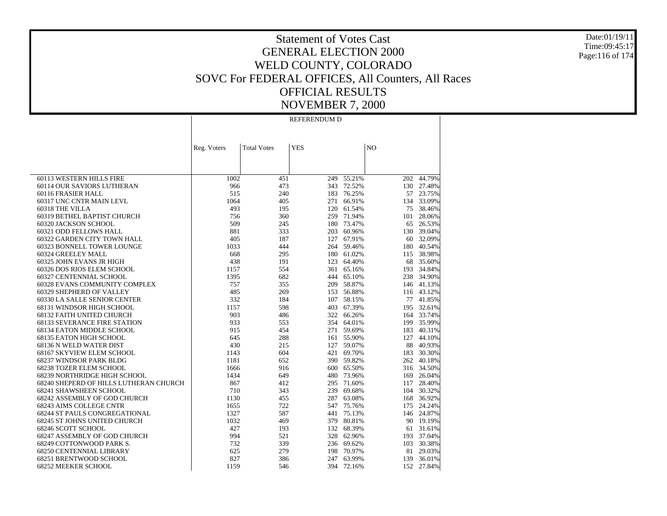Date:01/19/11 Time:09:45:17 Page:116 of 174

### Statement of Votes Cast GENERAL ELECTION 2000 WELD COUNTY, COLORADO SOVC For FEDERAL OFFICES, All Counters, All Races OFFICIAL RESULTS NOVEMBER 7, 2000

REFERENDUM D

|                                        | Reg. Voters | <b>Total Votes</b> | <b>YES</b> |        | N <sub>O</sub> |            |
|----------------------------------------|-------------|--------------------|------------|--------|----------------|------------|
|                                        |             |                    |            |        |                |            |
|                                        |             |                    |            |        |                |            |
|                                        |             |                    |            |        |                |            |
| 60113 WESTERN HILLS FIRE               | 1002        | 451                | 249        | 55.21% | 202            | 44.79%     |
| 60114 OUR SAVIORS LUTHERAN             | 966         | 473                | 343        | 72.52% |                | 130 27.48% |
| 60116 FRASIER HALL                     | 515         | 240                | 183        | 76.25% |                | 57 23.75%  |
| 60317 UNC CNTR MAIN LEVL               | 1064        | 405                | 271        | 66.91% | 134            | 33.09%     |
| 60318 THE VILLA                        | 493         | 195                | 120        | 61.54% | 75             | 38.46%     |
| 60319 BETHEL BAPTIST CHURCH            | 756         | 360                | 259        | 71.94% | 101            | 28.06%     |
| 60320 JACKSON SCHOOL                   | 509         | 245                | 180        | 73.47% |                | 65 26.53%  |
| 60321 ODD FELLOWS HALL                 | 881         | 333                | 203        | 60.96% |                | 130 39.04% |
| 60322 GARDEN CITY TOWN HALL            | 405         | 187                | 127        | 67.91% |                | 60 32.09%  |
| 60323 BONNELL TOWER LOUNGE             | 1033        | 444                | 264        | 59.46% | 180            | 40.54%     |
| 60324 GREELEY MALL                     | 668         | 295                | 180        | 61.02% | 115            | 38.98%     |
| 60325 JOHN EVANS JR HIGH               | 438         | 191                | 123        | 64.40% | 68             | 35.60%     |
| 60326 DOS RIOS ELEM SCHOOL             | 1157        | 554                | 361        | 65.16% | 193            | 34.84%     |
| 60327 CENTENNIAL SCHOOL                | 1395        | 682                | 444        | 65.10% |                | 238 34.90% |
| 60328 EVANS COMMUNITY COMPLEX          | 757         | 355                | 209        | 58.87% |                | 146 41.13% |
| 60329 SHEPHERD OF VALLEY               | 485         | 269                | 153        | 56.88% |                | 116 43.12% |
| 60330 LA SALLE SENIOR CENTER           | 332         | 184                | 107        | 58.15% |                | 77 41.85%  |
| 68131 WINDSOR HIGH SCHOOL              | 1157        | 598                | 403        | 67.39% |                | 195 32.61% |
| <b>68132 FAITH UNITED CHURCH</b>       | 903         | 486                | 322        | 66.26% |                | 164 33.74% |
| <b>68133 SEVERANCE FIRE STATION</b>    | 933         | 553                | 354        | 64.01% | 199            | 35.99%     |
| 68134 EATON MIDDLE SCHOOL              | 915         | 454                | 271        | 59.69% | 183            | 40.31%     |
| <b>68135 EATON HIGH SCHOOL</b>         | 645         | 288                | 161        | 55.90% | 127            | 44.10%     |
| 68136 N WELD WATER DIST                | 430         | 215                | 127        | 59.07% | 88             | 40.93%     |
| 68167 SKYVIEW ELEM SCHOOL              | 1143        | 604                | 421        | 69.70% |                | 183 30.30% |
| 68237 WINDSOR PARK BLDG                | 1181        | 652                | 390        | 59.82% |                | 262 40.18% |
| <b>68238 TOZER ELEM SCHOOL</b>         | 1666        | 916                | 600        | 65.50% |                | 316 34.50% |
| 68239 NORTHRIDGE HIGH SCHOOL           | 1434        | 649                | 480        | 73.96% |                | 169 26.04% |
| 68240 SHEPERD OF HILLS LUTHERAN CHURCH | 867         | 412                | 295        | 71.60% | 117            | 28.40%     |
| 68241 SHAWSHEEN SCHOOL                 | 710         | 343                | 239        | 69.68% |                | 104 30.32% |
| 68242 ASSEMBLY OF GOD CHURCH           | 1130        | 455                | 287        | 63.08% |                | 168 36.92% |
| 68243 AIMS COLLEGE CNTR                | 1655        | 722                | 547        | 75.76% | 175            | 24.24%     |
| <b>68244 ST PAULS CONGREGATIONAL</b>   | 1327        | 587                | 441        | 75.13% |                | 146 24.87% |
| 68245 ST JOHNS UNITED CHURCH           | 1032        | 469                | 379        | 80.81% |                | 90 19.19%  |
| 68246 SCOTT SCHOOL                     | 427         | 193                | 132        | 68.39% | 61             | 31.61%     |
| 68247 ASSEMBLY OF GOD CHURCH           | 994         | 521                | 328        | 62.96% | 193            | 37.04%     |
| 68249 COTTONWOOD PARK S.               | 732         | 339                | 236        | 69.62% |                | 103 30.38% |
| <b>68250 CENTENNIAL LIBRARY</b>        | 625         | 279                | 198        | 70.97% | 81             | 29.03%     |
| 68251 BRENTWOOD SCHOOL                 | 827         | 386                | 247        | 63.99% | 139            | 36.01%     |
| 68252 MEEKER SCHOOL                    | 1159        | 546                | 394        | 72.16% |                | 152 27.84% |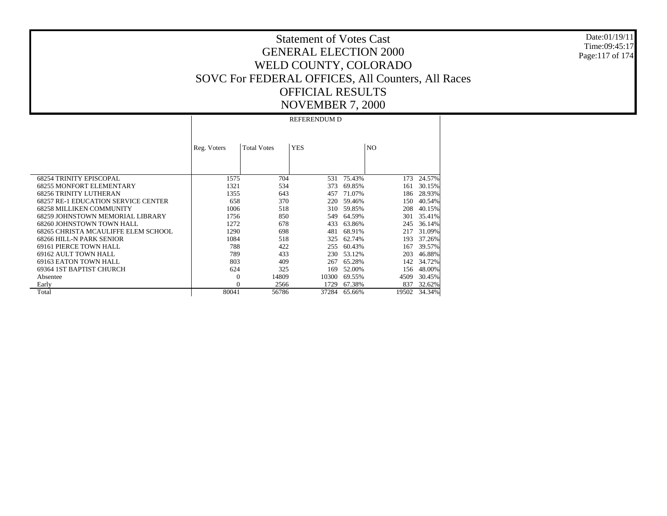Date:01/19/11Time:09:45:17Page:117 of 174

# Statement of Votes CastGENERAL ELECTION 2000WELD COUNTY, COLORADO SOVC For FEDERAL OFFICES, All Counters, All Races OFFICIAL RESULTSNOVEMBER 7, 2000

 68254 TRINITY EPISCOPAL 68255 MONFORT ELEMENTARY 68256 TRINITY LUTHERAN 68257 RE-1 EDUCATION SERVICE CENTER 68258 MILLIKEN COMMUNITY 68259 JOHNSTOWN MEMORIAL LIBRARY 68260 JOHNSTOWN TOWN HALL 68265 CHRISTA MCAULIFFE ELEM SCHOOL 68266 HILL-N PARK SENIOR 69161 PIERCE TOWN HALL 69162 AULT TOWN HALL 69163 EATON TOWN HALL 69364 1ST BAPTIST CHURCH Absentee Early TotalReg. Voters | Total Votes | YES | NO REFERENDUM D1575 704 531 75.43% $173 - 24.57%$ 1321 534 373 69.85% 161 30.15% 1355 643 457 71.07% 186 28.93% 658 370 220 59.46% 150 40.54% 1006 518 310 59.85% 208 40.15% 1756 850 549 64.59% 301 35.41% 1272 678 433 63.86% 245 36.14% 1290 698 481 68.91% 217 31.09% 1084 518 325 62.74% 193 37.26% 788 422 255 60.43% 167 39.57% 789 433 230 53.12% 203 46.88% 803 409 267 65.28% 142 34.72% 624 325 169 52.00% 156 48.00% 0 14809 10300 69.55% 4509 30.45% 0 2566 1729 67.38% 837 32.62% 80041 56786 37284 65.66%19502 34.34%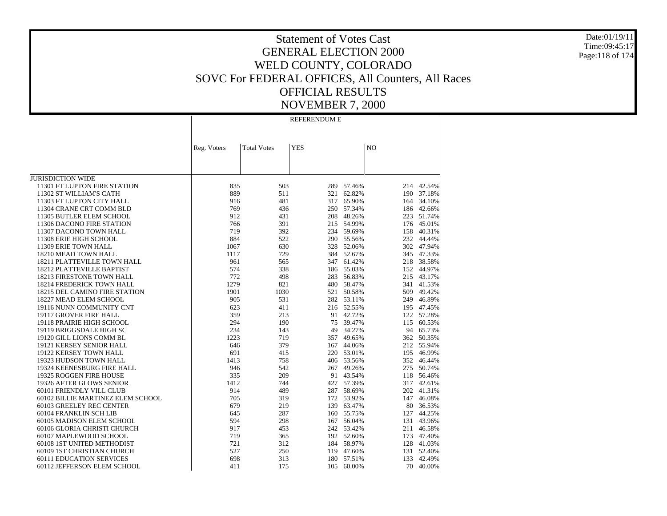Date:01/19/11 Time:09:45:17 Page:118 of 174

#### Statement of Votes Cast GENERAL ELECTION 2000 WELD COUNTY, COLORADO SOVC For FEDERAL OFFICES, All Counters, All Races OFFICIAL RESULTS NOVEMBER 7, 2000

REFERENDUM E

|                                   | Reg. Voters | <b>Total Votes</b> | <b>YES</b> |            | N <sub>O</sub> |            |
|-----------------------------------|-------------|--------------------|------------|------------|----------------|------------|
|                                   |             |                    |            |            |                |            |
|                                   |             |                    |            |            |                |            |
| <b>JURISDICTION WIDE</b>          |             |                    |            |            |                |            |
| 11301 FT LUPTON FIRE STATION      | 835         | 503                | 289        | 57.46%     | 214            | 42.54%     |
| 11302 ST WILLIAM'S CATH           | 889         | 511                | 321        | 62.82%     | 190            | 37.18%     |
| 11303 FT LUPTON CITY HALL         | 916         | 481                | 317        | 65.90%     | 164            | 34.10%     |
| 11304 CRANE CRT COMM BLD          | 769         | 436                | 250        | 57.34%     |                | 186 42.66% |
| 11305 BUTLER ELEM SCHOOL          | 912         | 431                |            | 208 48.26% |                | 223 51.74% |
| 11306 DACONO FIRE STATION         | 766         | 391                |            | 215 54.99% |                | 176 45.01% |
| 11307 DACONO TOWN HALL            | 719         | 392                | 234        | 59.69%     | 158            | 40.31%     |
| 11308 ERIE HIGH SCHOOL            | 884         | 522                |            | 290 55.56% |                | 232 44.44% |
| 11309 ERIE TOWN HALL              | 1067        | 630                | 328        | 52.06%     |                | 302 47.94% |
| 18210 MEAD TOWN HALL              | 1117        | 729                | 384        | 52.67%     |                | 345 47.33% |
| 18211 PLATTEVILLE TOWN HALL       | 961         | 565                |            | 347 61.42% |                | 218 38.58% |
| 18212 PLATTEVILLE BAPTIST         | 574         | 338                | 186        | 55.03%     |                | 152 44.97% |
| 18213 FIRESTONE TOWN HALL         | 772         | 498                | 283        | 56.83%     |                | 215 43.17% |
| 18214 FREDERICK TOWN HALL         | 1279        | 821                |            | 480 58.47% | 341            | 41.53%     |
| 18215 DEL CAMINO FIRE STATION     | 1901        | 1030               | 521        | 50.58%     | 509            | 49.42%     |
| 18227 MEAD ELEM SCHOOL            | 905         | 531                | 282        | 53.11%     |                | 249 46.89% |
| 19116 NUNN COMMUNITY CNT          | 623         | 411                |            | 216 52.55% |                | 195 47.45% |
| 19117 GROVER FIRE HALL            | 359         | 213                | 91         | 42.72%     |                | 122 57.28% |
| 19118 PRAIRIE HIGH SCHOOL         | 294         | 190                | 75         | 39.47%     | 115            | 60.53%     |
| 19119 BRIGGSDALE HIGH SC          | 234         | 143                | 49         | 34.27%     | 94             | 65.73%     |
| 19120 GILL LIONS COMM BL          | 1223        | 719                | 357        | 49.65%     |                | 362 50.35% |
| 19121 KERSEY SENIOR HALL          | 646         | 379                | 167        | 44.06%     |                | 212 55.94% |
| 19122 KERSEY TOWN HALL            | 691         | 415                | 220        | 53.01%     |                | 195 46.99% |
| 19323 HUDSON TOWN HALL            | 1413        | 758                | 406        | 53.56%     |                | 352 46.44% |
| 19324 KEENESBURG FIRE HALL        | 946         | 542                | 267        | 49.26%     |                | 275 50.74% |
| 19325 ROGGEN FIRE HOUSE           | 335         | 209                | 91         | 43.54%     | 118            | 56.46%     |
| 19326 AFTER GLOWS SENIOR          | 1412        | 744                | 427        | 57.39%     | 317            | 42.61%     |
| 60101 FRIENDLY VILL CLUB          | 914         | 489                | 287        | 58.69%     |                | 202 41.31% |
| 60102 BILLIE MARTINEZ ELEM SCHOOL | 705         | 319                | 172        | 53.92%     | 147            | 46.08%     |
| 60103 GREELEY REC CENTER          | 679         | 219                | 139        | 63.47%     | 80             | 36.53%     |
| 60104 FRANKLIN SCH LIB            | 645         | 287                | 160        | 55.75%     | 127            | 44.25%     |
| 60105 MADISON ELEM SCHOOL         | 594         | 298                | 167        | 56.04%     | 131            | 43.96%     |
| 60106 GLORIA CHRISTI CHURCH       | 917         | 453                | 242        | 53.42%     | 211            | 46.58%     |
| 60107 MAPLEWOOD SCHOOL            | 719         | 365                |            | 192 52.60% |                | 173 47.40% |
| 60108 1ST UNITED METHODIST        | 721         | 312                | 184        | 58.97%     | 128            | 41.03%     |
| 60109 1ST CHRISTIAN CHURCH        | 527         | 250                | 119        | 47.60%     | 131            | 52.40%     |
| <b>60111 EDUCATION SERVICES</b>   | 698         | 313                |            | 180 57.51% | 133            | 42.49%     |
| 60112 JEFFERSON ELEM SCHOOL       | 411         | 175                | 105        | 60.00%     | 70             | 40.00%     |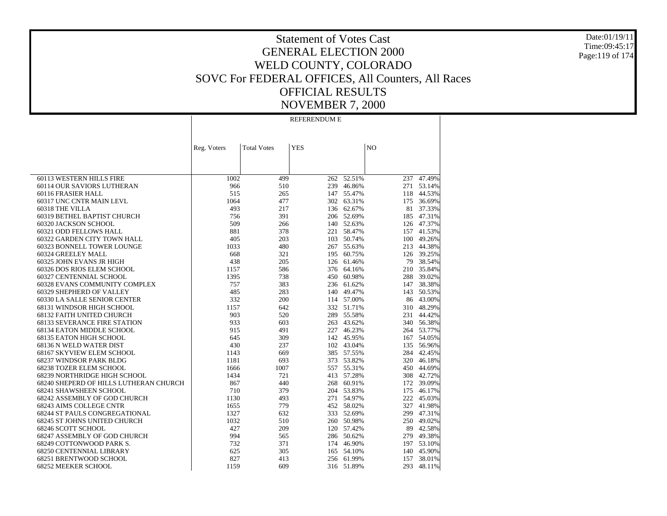Date:01/19/11 Time:09:45:17 Page:119 of 174

### Statement of Votes Cast GENERAL ELECTION 2000 WELD COUNTY, COLORADO SOVC For FEDERAL OFFICES, All Counters, All Races OFFICIAL RESULTS NOVEMBER 7, 2000

REFERENDUM E

|                                        | Reg. Voters | <b>Total Votes</b> | <b>YES</b> |            | NO  |            |
|----------------------------------------|-------------|--------------------|------------|------------|-----|------------|
|                                        |             |                    |            |            |     |            |
|                                        |             |                    |            |            |     |            |
|                                        |             |                    |            |            |     |            |
| 60113 WESTERN HILLS FIRE               | 1002        | 499                | 262        | 52.51%     | 237 | 47.49%     |
| 60114 OUR SAVIORS LUTHERAN             | 966         | 510                |            | 239 46.86% |     | 271 53.14% |
| 60116 FRASIER HALL                     | 515         | 265                |            | 147 55.47% |     | 118 44.53% |
| 60317 UNC CNTR MAIN LEVL               | 1064        | 477                | 302        | 63.31%     | 175 | 36.69%     |
| 60318 THE VILLA                        | 493         | 217                |            | 136 62.67% |     | 81 37.33%  |
| 60319 BETHEL BAPTIST CHURCH            | 756         | 391                |            | 206 52.69% |     | 185 47.31% |
| 60320 JACKSON SCHOOL                   | 509         | 266                |            | 140 52.63% |     | 126 47.37% |
| 60321 ODD FELLOWS HALL                 | 881         | 378                | 221        | 58.47%     |     | 157 41.53% |
| 60322 GARDEN CITY TOWN HALL            | 405         | 203                | 103        | 50.74%     |     | 100 49.26% |
| 60323 BONNELL TOWER LOUNGE             | 1033        | 480                |            | 267 55.63% | 213 | 44.38%     |
| 60324 GREELEY MALL                     | 668         | 321                | 195        | 60.75%     |     | 126 39.25% |
| 60325 JOHN EVANS JR HIGH               | 438         | 205                | 126        | 61.46%     |     | 79 38.54%  |
| 60326 DOS RIOS ELEM SCHOOL             | 1157        | 586                |            | 376 64.16% |     | 210 35.84% |
| 60327 CENTENNIAL SCHOOL                | 1395        | 738                | 450        | 60.98%     |     | 288 39.02% |
| 60328 EVANS COMMUNITY COMPLEX          | 757         | 383                | 236        | 61.62%     | 147 | 38.38%     |
| 60329 SHEPHERD OF VALLEY               | 485         | 283                | 140        | 49.47%     | 143 | 50.53%     |
| 60330 LA SALLE SENIOR CENTER           | 332         | 200                |            | 114 57.00% |     | 86 43.00%  |
| 68131 WINDSOR HIGH SCHOOL              | 1157        | 642                |            | 332 51.71% |     | 310 48.29% |
| 68132 FAITH UNITED CHURCH              | 903         | 520                | 289        | 55.58%     | 231 | 44.42%     |
| <b>68133 SEVERANCE FIRE STATION</b>    | 933         | 603                | 263        | 43.62%     |     | 340 56.38% |
| 68134 EATON MIDDLE SCHOOL              | 915         | 491                | 227        | 46.23%     |     | 264 53.77% |
| 68135 EATON HIGH SCHOOL                | 645         | 309                |            | 142 45.95% |     | 167 54.05% |
| 68136 N WELD WATER DIST                | 430         | 237                |            | 102 43.04% |     | 135 56.96% |
| 68167 SKYVIEW ELEM SCHOOL              | 1143        | 669                |            | 385 57.55% |     | 284 42.45% |
| 68237 WINDSOR PARK BLDG                | 1181        | 693                | 373        | 53.82%     |     | 320 46.18% |
| 68238 TOZER ELEM SCHOOL                | 1666        | 1007               | 557        | 55.31%     | 450 | 44.69%     |
| 68239 NORTHRIDGE HIGH SCHOOL           | 1434        | 721                | 413        | 57.28%     |     | 308 42.72% |
| 68240 SHEPERD OF HILLS LUTHERAN CHURCH | 867         | 440                | 268        | 60.91%     |     | 172 39.09% |
| 68241 SHAWSHEEN SCHOOL                 | 710         | 379                | 204        | 53.83%     | 175 | 46.17%     |
| 68242 ASSEMBLY OF GOD CHURCH           | 1130        | 493                |            | 271 54.97% | 222 | 45.03%     |
| 68243 AIMS COLLEGE CNTR                | 1655        | 779                |            | 452 58.02% | 327 | 41.98%     |
| 68244 ST PAULS CONGREGATIONAL          | 1327        | 632                |            | 333 52.69% | 299 | 47.31%     |
| 68245 ST JOHNS UNITED CHURCH           | 1032        | 510                |            | 260 50.98% | 250 | 49.02%     |
| 68246 SCOTT SCHOOL                     | 427         | 209                |            | 120 57.42% |     | 89 42.58%  |
| 68247 ASSEMBLY OF GOD CHURCH           | 994         | 565                |            | 286 50.62% |     | 279 49.38% |
| 68249 COTTONWOOD PARK S.               | 732         | 371                | 174        | 46.90%     |     | 197 53.10% |
| 68250 CENTENNIAL LIBRARY               | 625         | 305                | 165        | 54.10%     | 140 | 45.90%     |
| 68251 BRENTWOOD SCHOOL                 | 827         | 413                |            | 256 61.99% | 157 | 38.01%     |
| 68252 MEEKER SCHOOL                    | 1159        | 609                |            | 316 51.89% | 293 | 48.11%     |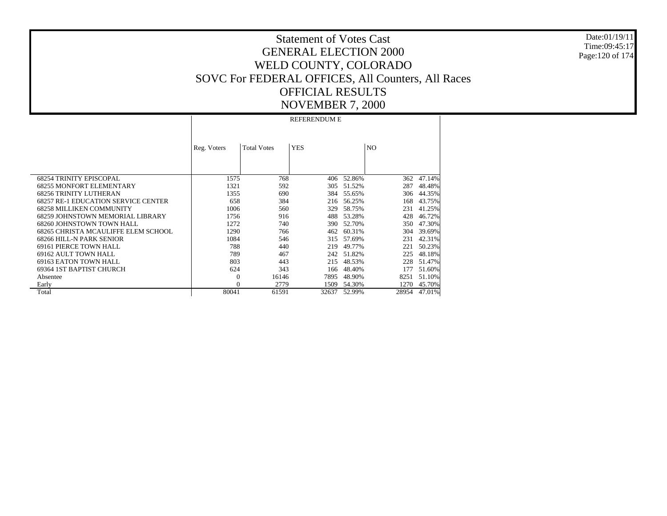Date:01/19/11Time:09:45:17Page:120 of 174

# Statement of Votes CastGENERAL ELECTION 2000WELD COUNTY, COLORADO SOVC For FEDERAL OFFICES, All Counters, All Races OFFICIAL RESULTSNOVEMBER 7, 2000

 68254 TRINITY EPISCOPAL 68255 MONFORT ELEMENTARY 68256 TRINITY LUTHERAN 68257 RE-1 EDUCATION SERVICE CENTER 68258 MILLIKEN COMMUNITY 68259 JOHNSTOWN MEMORIAL LIBRARY 68260 JOHNSTOWN TOWN HALL 68265 CHRISTA MCAULIFFE ELEM SCHOOL 68266 HILL-N PARK SENIOR 69161 PIERCE TOWN HALL 69162 AULT TOWN HALL 69163 EATON TOWN HALL 69364 1ST BAPTIST CHURCH Absentee Early TotalReg. Voters | Total Votes | YES | NO REFERENDUM E1575 768 406 52.86% $362 - 47.14%$ 1321 592 305 51.52% 287 48.48% 1355 690 384 55.65% 306 44.35% 658 384 216 56.25% 168 43.75% 1006 560 329 58.75% 231 41.25% 1756 916 488 53.28% 428 46.72% 1272 740 390 52.70% 350 47.30% 1290 766 462 60.31% 304 39.69% 1084 546 315 57.69% 231 42.31% 788 440 219 49.77% 221 50.23% 789 467 242 51.82% 225 48.18% 803 443 215 48.53% 228 51.47% 624 343 166 48.40% 177 51.60% 0 16146 7895 48.90% 8251 51.10% 0 2779 1509 54.30% 1270 45.70% 80041 61591 32637 52.99%28954 47.01%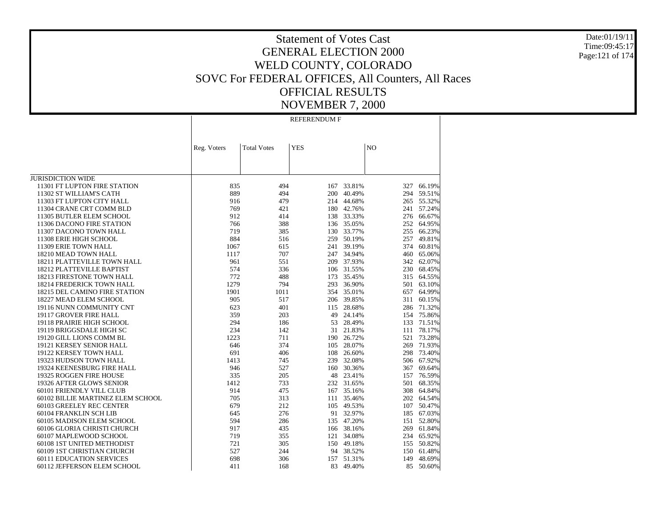Date:01/19/11 Time:09:45:17 Page:121 of 174

### Statement of Votes Cast GENERAL ELECTION 2000 WELD COUNTY, COLORADO SOVC For FEDERAL OFFICES, All Counters, All Races OFFICIAL RESULTS NOVEMBER 7, 2000

REFERENDUM F

|                                   | Reg. Voters | <b>Total Votes</b> | <b>YES</b> |           | N <sub>O</sub> |            |
|-----------------------------------|-------------|--------------------|------------|-----------|----------------|------------|
|                                   |             |                    |            |           |                |            |
|                                   |             |                    |            |           |                |            |
|                                   |             |                    |            |           |                |            |
| <b>JURISDICTION WIDE</b>          |             |                    |            |           |                |            |
| 11301 FT LUPTON FIRE STATION      | 835         | 494                | 167        | 33.81%    | 327            | 66.19%     |
| 11302 ST WILLIAM'S CATH           | 889         | 494                | 200        | 40.49%    | 294            | 59.51%     |
| 11303 FT LUPTON CITY HALL         | 916         | 479                | 214        | 44.68%    | 265            | 55.32%     |
| 11304 CRANE CRT COMM BLD          | 769         | 421                | 180        | 42.76%    | 241            | 57.24%     |
| 11305 BUTLER ELEM SCHOOL          | 912         | 414                | 138        | 33.33%    | 276            | 66.67%     |
| 11306 DACONO FIRE STATION         | 766         | 388                | 136        | 35.05%    | 252            | 64.95%     |
| 11307 DACONO TOWN HALL            | 719         | 385                | 130        | 33.77%    | 255            | 66.23%     |
| 11308 ERIE HIGH SCHOOL            | 884         | 516                | 259        | 50.19%    | 257            | 49.81%     |
| 11309 ERIE TOWN HALL              | 1067        | 615                | 241        | 39.19%    | 374            | 60.81%     |
| 18210 MEAD TOWN HALL              | 1117        | 707                | 247        | 34.94%    | 460            | 65.06%     |
| 18211 PLATTEVILLE TOWN HALL       | 961         | 551                | 209        | 37.93%    | 342            | 62.07%     |
| 18212 PLATTEVILLE BAPTIST         | 574         | 336                | 106        | 31.55%    | 230            | 68.45%     |
| 18213 FIRESTONE TOWN HALL         | 772         | 488                | 173        | 35.45%    |                | 315 64.55% |
| 18214 FREDERICK TOWN HALL         | 1279        | 794                | 293        | 36.90%    | 501            | 63.10%     |
| 18215 DEL CAMINO FIRE STATION     | 1901        | 1011               | 354        | 35.01%    | 657            | 64.99%     |
| 18227 MEAD ELEM SCHOOL            | 905         | 517                | 206        | 39.85%    | 311            | 60.15%     |
| 19116 NUNN COMMUNITY CNT          | 623         | 401                | 115        | 28.68%    |                | 286 71.32% |
| 19117 GROVER FIRE HALL            | 359         | 203                | 49         | 24.14%    |                | 154 75.86% |
| 19118 PRAIRIE HIGH SCHOOL         | 294         | 186                | 53         | 28.49%    | 133            | 71.51%     |
| 19119 BRIGGSDALE HIGH SC          | 234         | 142                | 31         | 21.83%    | 111            | 78.17%     |
| 19120 GILL LIONS COMM BL          | 1223        | 711                | 190        | 26.72%    | 521            | 73.28%     |
| 19121 KERSEY SENIOR HALL          | 646         | 374                | 105        | 28.07%    | 269            | 71.93%     |
| 19122 KERSEY TOWN HALL            | 691         | 406                | 108        | 26.60%    | 298            | 73.40%     |
| 19323 HUDSON TOWN HALL            | 1413        | 745                | 239        | 32.08%    | 506            | 67.92%     |
| 19324 KEENESBURG FIRE HALL        | 946         | 527                | 160        | 30.36%    | 367            | 69.64%     |
| 19325 ROGGEN FIRE HOUSE           | 335         | 205                | 48         | 23.41%    | 157            | 76.59%     |
| 19326 AFTER GLOWS SENIOR          | 1412        | 733                | 232        | 31.65%    | 501            | 68.35%     |
| 60101 FRIENDLY VILL CLUB          | 914         | 475                | 167        | 35.16%    |                | 308 64.84% |
| 60102 BILLIE MARTINEZ ELEM SCHOOL | 705         | 313                | 111        | 35.46%    |                | 202 64.54% |
| 60103 GREELEY REC CENTER          | 679         | 212                | 105        | 49.53%    | 107            | 50.47%     |
| 60104 FRANKLIN SCH LIB            | 645         | 276                | 91         | 32.97%    | 185            | 67.03%     |
| 60105 MADISON ELEM SCHOOL         | 594         | 286                | 135        | 47.20%    | 151            | 52.80%     |
| 60106 GLORIA CHRISTI CHURCH       | 917         | 435                | 166        | 38.16%    | 269            | 61.84%     |
| 60107 MAPLEWOOD SCHOOL            | 719         | 355                | 121        | 34.08%    |                | 234 65.92% |
| 60108 1ST UNITED METHODIST        | 721         | 305                | 150        | 49.18%    | 155            | 50.82%     |
| 60109 1ST CHRISTIAN CHURCH        | 527         | 244                |            | 94 38.52% | 150            | 61.48%     |
| <b>60111 EDUCATION SERVICES</b>   | 698         | 306                | 157        | 51.31%    | 149            | 48.69%     |
| 60112 JEFFERSON ELEM SCHOOL       | 411         | 168                | 83         | 49.40%    | 85             | 50.60%     |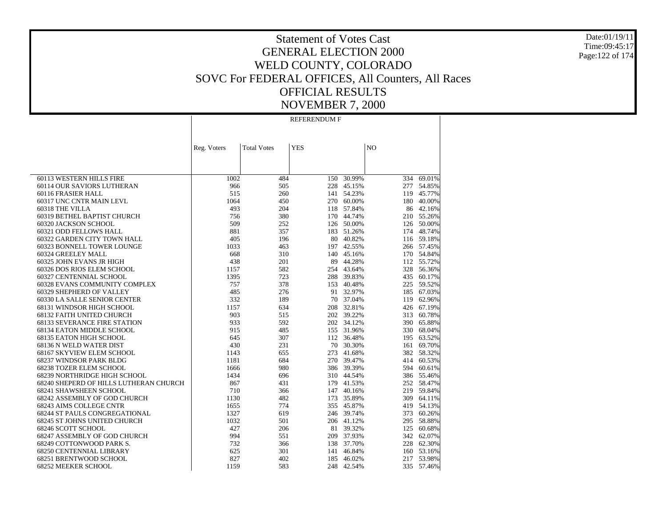Date:01/19/11 Time:09:45:17 Page:122 of 174

### Statement of Votes Cast GENERAL ELECTION 2000 WELD COUNTY, COLORADO SOVC For FEDERAL OFFICES, All Counters, All Races OFFICIAL RESULTS NOVEMBER 7, 2000

REFERENDUM F

|                                        | Reg. Voters | <b>Total Votes</b> | <b>YES</b> |            | NO  |            |
|----------------------------------------|-------------|--------------------|------------|------------|-----|------------|
|                                        |             |                    |            |            |     |            |
|                                        |             |                    |            |            |     |            |
|                                        |             |                    |            |            |     |            |
| 60113 WESTERN HILLS FIRE               | 1002        | 484                | 150        | 30.99%     | 334 | 69.01%     |
| 60114 OUR SAVIORS LUTHERAN             | 966         | 505                | 228        | 45.15%     | 277 | 54.85%     |
| 60116 FRASIER HALL                     | 515         | 260                |            | 141 54.23% | 119 | 45.77%     |
| 60317 UNC CNTR MAIN LEVL               | 1064        | 450                |            | 270 60.00% | 180 | 40.00%     |
| 60318 THE VILLA                        | 493         | 204                | 118        | 57.84%     |     | 86 42.16%  |
| 60319 BETHEL BAPTIST CHURCH            | 756         | 380                | 170        | 44.74%     |     | 210 55.26% |
| 60320 JACKSON SCHOOL                   | 509         | 252                |            | 126 50.00% |     | 126 50.00% |
| 60321 ODD FELLOWS HALL                 | 881         | 357                | 183        | 51.26%     |     | 174 48.74% |
| 60322 GARDEN CITY TOWN HALL            | 405         | 196                | 80         | 40.82%     |     | 116 59.18% |
| 60323 BONNELL TOWER LOUNGE             | 1033        | 463                |            | 197 42.55% |     | 266 57.45% |
| 60324 GREELEY MALL                     | 668         | 310                | 140        | 45.16%     |     | 170 54.84% |
| 60325 JOHN EVANS JR HIGH               | 438         | 201                | 89         | 44.28%     |     | 112 55.72% |
| 60326 DOS RIOS ELEM SCHOOL             | 1157        | 582                |            | 254 43.64% |     | 328 56.36% |
| 60327 CENTENNIAL SCHOOL                | 1395        | 723                | 288        | 39.83%     |     | 435 60.17% |
| 60328 EVANS COMMUNITY COMPLEX          | 757         | 378                | 153        | 40.48%     |     | 225 59.52% |
| 60329 SHEPHERD OF VALLEY               | 485         | 276                | 91         | 32.97%     |     | 185 67.03% |
| 60330 LA SALLE SENIOR CENTER           | 332         | 189                | 70         | 37.04%     |     | 119 62.96% |
| 68131 WINDSOR HIGH SCHOOL              | 1157        | 634                | 208        | 32.81%     |     | 426 67.19% |
| 68132 FAITH UNITED CHURCH              | 903         | 515                |            | 202 39.22% | 313 | 60.78%     |
| <b>68133 SEVERANCE FIRE STATION</b>    | 933         | 592                | 202        | 34.12%     |     | 390 65.88% |
| 68134 EATON MIDDLE SCHOOL              | 915         | 485                | 155        | 31.96%     |     | 330 68.04% |
| 68135 EATON HIGH SCHOOL                | 645         | 307                |            | 112 36.48% | 195 | 63.52%     |
| 68136 N WELD WATER DIST                | 430         | 231                | 70         | 30.30%     |     | 161 69.70% |
| 68167 SKYVIEW ELEM SCHOOL              | 1143        | 655                | 273        | 41.68%     |     | 382 58.32% |
| 68237 WINDSOR PARK BLDG                | 1181        | 684                | 270        | 39.47%     |     | 414 60.53% |
| 68238 TOZER ELEM SCHOOL                | 1666        | 980                |            | 386 39.39% | 594 | 60.61%     |
| 68239 NORTHRIDGE HIGH SCHOOL           | 1434        | 696                |            | 310 44.54% |     | 386 55.46% |
| 68240 SHEPERD OF HILLS LUTHERAN CHURCH | 867         | 431                |            | 179 41.53% |     | 252 58.47% |
| 68241 SHAWSHEEN SCHOOL                 | 710         | 366                |            | 147 40.16% |     | 219 59.84% |
| 68242 ASSEMBLY OF GOD CHURCH           | 1130        | 482                | 173        | 35.89%     |     | 309 64.11% |
| 68243 AIMS COLLEGE CNTR                | 1655        | 774                |            | 355 45.87% |     | 419 54.13% |
| <b>68244 ST PAULS CONGREGATIONAL</b>   | 1327        | 619                |            | 246 39.74% | 373 | 60.26%     |
| 68245 ST JOHNS UNITED CHURCH           | 1032        | 501                |            | 206 41.12% |     | 295 58.88% |
| 68246 SCOTT SCHOOL                     | 427         | 206                | 81         | 39.32%     |     | 125 60.68% |
| 68247 ASSEMBLY OF GOD CHURCH           | 994         | 551                | 209        | 37.93%     |     | 342 62.07% |
| 68249 COTTONWOOD PARK S.               | 732         | 366                | 138        | 37.70%     |     | 228 62.30% |
| 68250 CENTENNIAL LIBRARY               | 625         | 301                | 141        | 46.84%     |     | 160 53.16% |
| 68251 BRENTWOOD SCHOOL                 | 827         | 402                | 185        | 46.02%     | 217 | 53.98%     |
| 68252 MEEKER SCHOOL                    | 1159        | 583                | 248        | 42.54%     | 335 | 57.46%     |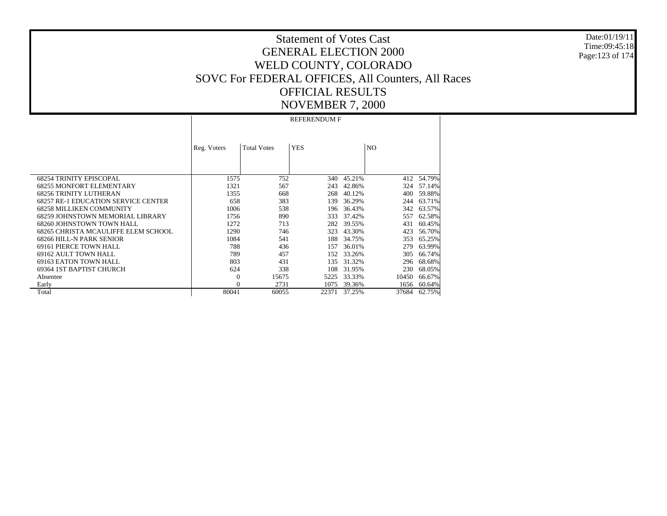Date:01/19/11Time:09:45:18Page:123 of 174

# Statement of Votes CastGENERAL ELECTION 2000WELD COUNTY, COLORADO SOVC For FEDERAL OFFICES, All Counters, All Races OFFICIAL RESULTSNOVEMBER 7, 2000

 68254 TRINITY EPISCOPAL 68255 MONFORT ELEMENTARY 68256 TRINITY LUTHERAN 68257 RE-1 EDUCATION SERVICE CENTER 68258 MILLIKEN COMMUNITY 68259 JOHNSTOWN MEMORIAL LIBRARY 68260 JOHNSTOWN TOWN HALL 68265 CHRISTA MCAULIFFE ELEM SCHOOL 68266 HILL-N PARK SENIOR 69161 PIERCE TOWN HALL 69162 AULT TOWN HALL 69163 EATON TOWN HALL 69364 1ST BAPTIST CHURCH Absentee Early TotalReg. Voters | Total Votes | YES | NO REFERENDUM F1575 752 340 45.21% $412 - 54.79%$ 1321 567 243 42.86% 324 57.14% 1355 668 268 40.12% 400 59.88% 658 383 139 36.29% 244 63.71% 1006 538 196 36.43% 342 63.57% 1756 890 333 37.42% 557 62.58% 1272 713 282 39.55% 431 60.45% 1290 746 323 43.30% 423 56.70% 1084 541 188 34.75% 353 65.25% 788 436 157 36.01% 279 63.99% 789 457 152 33.26% 305 66.74% 803 431 135 31.32% 296 68.68% 624 338 108 31.95% 230 68.05% 0 15675 5225 33.33% 10450 66.67% 0 2731 1075 39.36% 1656 60.64% 80041 60055 22371 37.25%37684 62.75%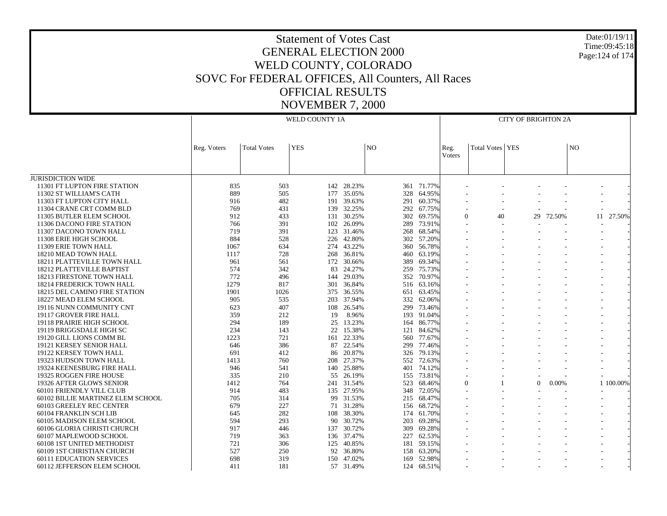| <b>Statement of Votes Cast</b>                    |
|---------------------------------------------------|
| <b>GENERAL ELECTION 2000</b>                      |
| WELD COUNTY, COLORADO                             |
| SOVC For FEDERAL OFFICES, All Counters, All Races |
| <b>OFFICIAL RESULTS</b>                           |
| <b>NOVEMBER 7, 2000</b>                           |

Date:01/19/11Time:09:45:18Page:124 of 174

JURISDICTION WIDE 11301 FT LUPTON FIRE STATION 11302 ST WILLIAM'S CATH 11303 FT LUPTON CITY HALL 11304 CRANE CRT COMM BLD 11305 BUTLER ELEM SCHOOL 11306 DACONO FIRE STATION 11307 DACONO TOWN HALL 11308 ERIE HIGH SCHOOL 11309 ERIE TOWN HALL 18210 MEAD TOWN HALL 18211 PLATTEVILLE TOWN HALL 18212 PLATTEVILLE BAPTIST 18213 FIRESTONE TOWN HALL 18214 FREDERICK TOWN HALL 18215 DEL CAMINO FIRE STATION 18227 MEAD ELEM SCHOOL 19116 NUNN COMMUNITY CNT 19117 GROVER FIRE HALL 19118 PRAIRIE HIGH SCHOOL 19119 BRIGGSDALE HIGH SC 19120 GILL LIONS COMM BL 19121 KERSEY SENIOR HALL 19122 KERSEY TOWN HALL 19323 HUDSON TOWN HALL 19324 KEENESBURG FIRE HALL 19325 ROGGEN FIRE HOUSE 19326 AFTER GLOWS SENIOR 60101 FRIENDLY VILL CLUB 60102 BILLIE MARTINEZ ELEM SCHOOL 60103 GREELEY REC CENTER 60104 FRANKLIN SCH LIB 60105 MADISON ELEM SCHOOL 60106 GLORIA CHRISTI CHURCH 60107 MAPLEWOOD SCHOOL 60108 1ST UNITED METHODIST 60109 1ST CHRISTIAN CHURCH 60111 EDUCATION SERVICES 60112 JEFFERSON ELEM SCHOOL Reg. Voters | Total Votes | YES | NO WELD COUNTY 1AReg. VotersTotal Votes YES NOCITY OF BRIGHTON 2A835 503 142 28.23%361 71.77% 889 505 177 35.05% 328 64.95% - - - - - - 916 482 191 39.63% $\%$  291 60.37% - - - - - - - - -769 431 139 32.25% 292 67.75% - - - - - - 912 433 131 30.25% 302 69.75% 0 40 29 72.50% 11 27.50% 766 391 102 26.09% 289 73.91% - - - - - - 719 391 123 31.46% 268 68.54% - - - - - - 884 528 226 42.80% 302 57.20% - - - - - - 1067 634 274 43.22% 360 56.78% - - - - - - 1117 728 268 36.81% $\%$  460 63.19% - - - - - - - - -961 561 172 30.66% 389 69.34% - - - - - - 574 342 83 24.27% 259 75.73% - - - - - - 772 496 144 29.03% 352 70.97% - - - - - - 1279 817 301 36.84% $\%$  516 63.16% - - - - - - - - -1901 1026 375 36.55% 651 63.45% - - - - - - 905 535 203 37.94% 332 62.06% - - - - - - 623 407 108 26.54% 299 73.46% - - - - - - 359 212 19 8.96% 193 91.04% - - - - - - 294 189 25 13.23%% 164 86.77% - - - - - - - - - -234 143 22 15.38% $\%$  121 84.62% - - - - - - - - -1223 721 161 22.33% 560 77.67% - - - - - - 646 386 87 22.54% 299 77.46% - - - - - - 691 412 86 20.87% 326 79.13% - - - - - - 1413 760 208 27.37% 552 72.63% - - - - - - 946 541 140 25.88% 401 74.12% - - - - - - 335 210 55 26.19%% 155 73.81% - - - - - - - - - - -1412 764 241 31.54% 523 68.46% 0 1 0 0.00% 1 100.00% 914 483 135 27.95% 348 72.05% - - - - - - 705 314 99 31.53% 215 68.47% - - - - - - 679 227 71 31.28% 156 68.72% - - - - - - 645 282 108 38.30% 174 61.70% - - - - - - 594 293 90 30.72% 203 69.28% - - - - - - 917 446 137 30.72% 309 69.28% - - - - - - 719 363 136 37.47% 227 62.53% - - - - - - 721 306 125 40.85% 181 59.15% - - - - - - 527 250 92 36.80% 158 63.20% - - - - - - 698 319 150 47.02% 169 52.98% - - - - - - 411 181 57 31.49% $\%$  124 68.51% - - - - - - - - -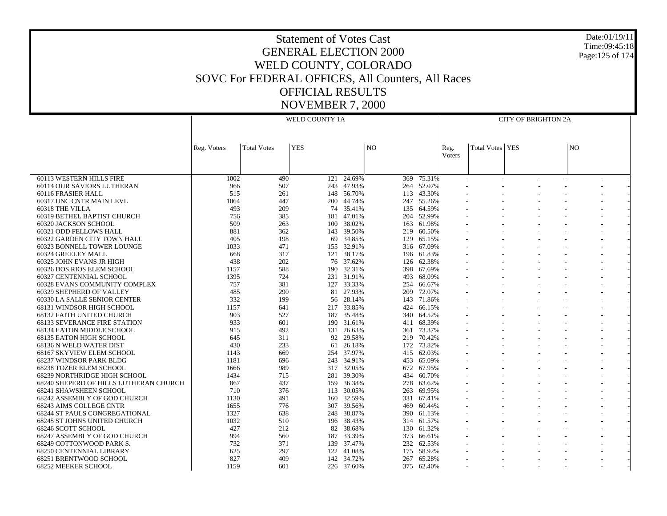| <b>Statement of Votes Cast</b>                    |
|---------------------------------------------------|
| <b>GENERAL ELECTION 2000</b>                      |
| WELD COUNTY, COLORADO                             |
| SOVC For FEDERAL OFFICES, All Counters, All Races |
| <b>OFFICIAL RESULTS</b>                           |
| <b>NOVEMBER 7, 2000</b>                           |

 60113 WESTERN HILLS FIRE 60114 OUR SAVIORS LUTHERAN 60116 FRASIER HALL 60317 UNC CNTR MAIN LEVL 60318 THE VILLA 60319 BETHEL BAPTIST CHURCH 60320 JACKSON SCHOOL 60321 ODD FELLOWS HALL 60322 GARDEN CITY TOWN HALL 60323 BONNELL TOWER LOUNGE 60324 GREELEY MALL 60325 JOHN EVANS JR HIGH 60326 DOS RIOS ELEM SCHOOL 60327 CENTENNIAL SCHOOL 60328 EVANS COMMUNITY COMPLEX 60329 SHEPHERD OF VALLEY 60330 LA SALLE SENIOR CENTER 68131 WINDSOR HIGH SCHOOL 68132 FAITH UNITED CHURCH 68133 SEVERANCE FIRE STATION 68134 EATON MIDDLE SCHOOL 68135 EATON HIGH SCHOOL 68136 N WELD WATER DIST 68167 SKYVIEW ELEM SCHOOL 68237 WINDSOR PARK BLDG 68238 TOZER ELEM SCHOOL 68239 NORTHRIDGE HIGH SCHOOL 68240 SHEPERD OF HILLS LUTHERAN CHURCH 68241 SHAWSHEEN SCHOOL 68242 ASSEMBLY OF GOD CHURCH 68243 AIMS COLLEGE CNTR 68244 ST PAULS CONGREGATIONAL 68245 ST JOHNS UNITED CHURCH 68246 SCOTT SCHOOL 68247 ASSEMBLY OF GOD CHURCH 68249 COTTONWOOD PARK S. 68250 CENTENNIAL LIBRARY 68251 BRENTWOOD SCHOOL 68252 MEEKER SCHOOL Reg. Voters | Total Votes | YES | NO WELD COUNTY 1AReg. VotersTotal Votes YES NOCITY OF BRIGHTON 2A1002 $\frac{1}{490}$  121 24.69% % 369 75.31% - - - - - - - - - -966 507 243 47.93% 264 52.07% - - - - - - 515 261 148 56.70%113 43.30% 1064 447 200 44.74%247 55.269 493 209 74 35.41% 135 64.59% - - - - - - 756 385 181 47.01% 204 52.99% - - - - - - 509 263 100 38.02%% 163 61.98% - - - - - - - - - -881 362 143 39.50% $\%$  219 60.50% - - - - - - - - -405 198 69 34.85% 129 65.15% - - - - - - 1033 471 155 32.91%% 316 67.09% - - - - - - - - - -668 317 121 38.17% 196 61.83% - - - - - - 438 202 76 37.62% 126 62.38% - - - - - - 1157 588 190 32.31% 398 67.69% - - - - - - 1395 724 231 31.91% 493 68.09% - - - - - - 757 381 127 33.33% 254 66.67% - - - - - - 485 290 81 27.93% 209 72.07% - - - - - - 332 199 56 28.14% 143 71.86% - - - - - - 1157 641 217 33.85% 424 66.15% - - - - - - 903 527 187 35.48% 340 64.52% - - - - - - 933 601 190 31.61% 411 68.39% - - - - - - 915 492 131 26.63% 361 73.37% - - - - - - 645 311 92 29.58% 219 70.42% - - - - - - 430 233 61 26.18% 172 73.82% - - - - - - 1143 669 254 37.97% $\%$  415 62.03% - - - - - - - - -1181 696 243 34.91% 453 65.09% - - - - - - 1666 989 317 32.05% 672 67.95% - - - - - - 1434 715 281 39.30% 434 60.70% - - - - - - 867 437 159 36.38% 278 63.62% - - - - - - 710 376 113 30.05% 263 69.95% - - - - - - 1130 491 160 32.59% 331 67.41% - - - - - - 1655 776 307 39.56% 469 60.44% - - - - - - 1327 638 248 38.87% 390 61.13% - - - - - - 1032 510 196 38.43%314 61.579 427 212 82 38.68% $\%$  130 61.32% - - - - - - - - -994 560 187 33.39% 373 66.61% - - - - - - 732 371 139 37.47% 232 62.53% - - - - - - 625 297 122 41.08% 175 58.92% - - - - - - 827 409 142 34.72% 267 65.28% - - - - - - 1159 601 226 37.60% $\%$  375 62.40% - - - - - - - - - -

Date:01/19/11Time:09:45:18Page:125 of 174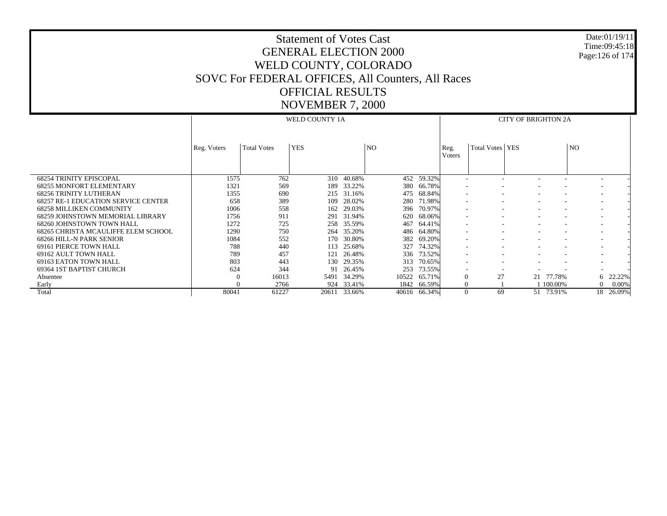| <b>Statement of Votes Cast</b>                    |
|---------------------------------------------------|
| <b>GENERAL ELECTION 2000</b>                      |
| WELD COUNTY, COLORADO                             |
| SOVC For FEDERAL OFFICES, All Counters, All Races |
| <b>OFFICIAL RESULTS</b>                           |
| <b>NOVEMBER 7, 2000</b>                           |

Date:01/19/11Time:09:45:18 Page:126 of 174

 68254 TRINITY EPISCOPAL 68255 MONFORT ELEMENTARY 68256 TRINITY LUTHERAN 68257 RE-1 EDUCATION SERVICE CENTER 68258 MILLIKEN COMMUNITY 68259 JOHNSTOWN MEMORIAL LIBRARY 68260 JOHNSTOWN TOWN HALL 68265 CHRISTA MCAULIFFE ELEM SCHOOL 68266 HILL-N PARK SENIOR 69161 PIERCE TOWN HALL 69162 AULT TOWN HALL 69163 EATON TOWN HALL 69364 1ST BAPTIST CHURCH Absentee Early Total Reg. Voters | Total Votes | YES | NO WELD COUNTY 1AReg. VotersTotal Votes YES NOCITY OF BRIGHTON 2A1575 762 310 40.68% 452 59.32% - - - - - - 1321 569 189 33.22% 380 66.78% - - - - - - 1355 690 215 31.16%475 68.84% 658 389 109 28.02%280 71.98% 1006 558 162 29.03% 396 70.97% - - - - - - 1756 911 291 31.94%% 620 68.06% - - - - - - - - - - -1272 725 258 35.59%467 64.41% 1290 750 264 35.20%486 64.80% 1084 552 170 30.80%382 69.20% 788 440 113 25.68% 327 74.32% - - - - - - 789 457 121 26.48%336 73.52% 803 443 130 29.35% 313 70.65% - - - - - - 624 344 91 26.45% 253 73.55% - - - - - - 0 16013 5491 34.29% 10522 65.71% 0 27 21 77.78% 6 22.22% 0 2766 924 33.41%1842 66.59% 0 1 1 100.00% 0 0.00%<br> $\frac{1}{10616}$  66.34% 0 69 51 73.91% 18 26.09% 80041 61227 20611 33.66%40616 66.34% 0 69 51 73.91% 18 26.09%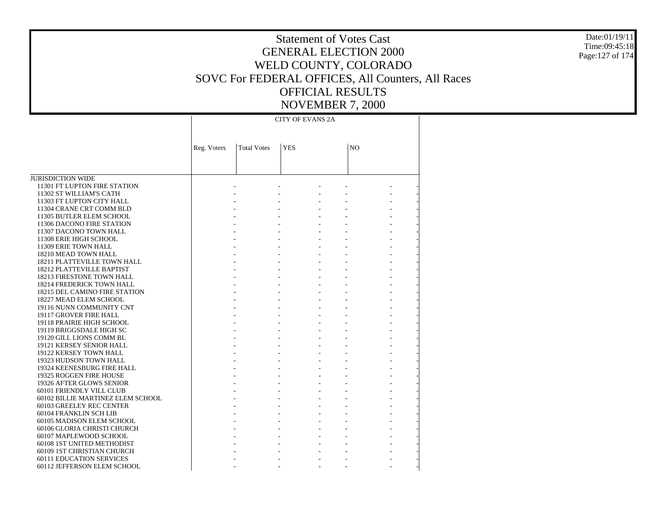Statement of Votes Cast GENERAL ELECTION 2000 WELD COUNTY, COLORADO SOVC For FEDERAL OFFICES, All Counters, All Races OFFICIAL RESULTS NOVEMBER 7, 2000

Date:01/19/11 Time:09:45:18 Page:127 of 174

CITY OF EVANS 2A

|                                                  | Reg. Voters | <b>Total Votes</b> | <b>YES</b> | N <sub>O</sub> |  |
|--------------------------------------------------|-------------|--------------------|------------|----------------|--|
|                                                  |             |                    |            |                |  |
|                                                  |             |                    |            |                |  |
| <b>JURISDICTION WIDE</b>                         |             |                    |            |                |  |
|                                                  |             |                    |            |                |  |
| 11301 FT LUPTON FIRE STATION                     |             |                    |            |                |  |
| 11302 ST WILLIAM'S CATH                          |             |                    |            |                |  |
| 11303 FT LUPTON CITY HALL                        |             |                    |            |                |  |
| 11304 CRANE CRT COMM BLD                         |             |                    |            |                |  |
| 11305 BUTLER ELEM SCHOOL                         |             |                    |            |                |  |
| 11306 DACONO FIRE STATION                        |             |                    |            |                |  |
| 11307 DACONO TOWN HALL<br>11308 ERIE HIGH SCHOOL |             |                    |            |                |  |
| 11309 ERIE TOWN HALL                             |             |                    |            |                |  |
| 18210 MEAD TOWN HALL                             |             |                    |            |                |  |
| 18211 PLATTEVILLE TOWN HALL                      |             |                    |            |                |  |
| 18212 PLATTEVILLE BAPTIST                        |             |                    |            |                |  |
| 18213 FIRESTONE TOWN HALL                        |             |                    |            |                |  |
| 18214 FREDERICK TOWN HALL                        |             |                    |            |                |  |
| <b>18215 DEL CAMINO FIRE STATION</b>             |             |                    |            |                |  |
| 18227 MEAD ELEM SCHOOL                           |             |                    |            |                |  |
| 19116 NUNN COMMUNITY CNT                         |             |                    |            |                |  |
| 19117 GROVER FIRE HALL                           |             |                    |            |                |  |
| 19118 PRAIRIE HIGH SCHOOL                        |             |                    |            |                |  |
| 19119 BRIGGSDALE HIGH SC                         |             |                    |            |                |  |
| 19120 GILL LIONS COMM BL                         |             |                    |            |                |  |
| 19121 KERSEY SENIOR HALL                         |             |                    |            |                |  |
| 19122 KERSEY TOWN HALL                           |             |                    |            |                |  |
| 19323 HUDSON TOWN HALL                           |             |                    |            |                |  |
| 19324 KEENESBURG FIRE HALL                       |             |                    |            |                |  |
| 19325 ROGGEN FIRE HOUSE                          |             |                    |            |                |  |
| 19326 AFTER GLOWS SENIOR                         |             |                    |            |                |  |
| 60101 FRIENDLY VILL CLUB                         |             |                    |            |                |  |
| 60102 BILLIE MARTINEZ ELEM SCHOOL                |             |                    |            |                |  |
| 60103 GREELEY REC CENTER                         |             |                    |            |                |  |
| 60104 FRANKLIN SCH LIB                           |             |                    |            |                |  |
| 60105 MADISON ELEM SCHOOL                        |             |                    |            |                |  |
| 60106 GLORIA CHRISTI CHURCH                      |             |                    |            |                |  |
| 60107 MAPLEWOOD SCHOOL                           |             |                    |            |                |  |
| 60108 1ST UNITED METHODIST                       |             |                    |            |                |  |
| 60109 1ST CHRISTIAN CHURCH                       |             |                    |            |                |  |
| <b>60111 EDUCATION SERVICES</b>                  |             |                    |            |                |  |
| 60112 JEFFERSON ELEM SCHOOL                      |             |                    |            |                |  |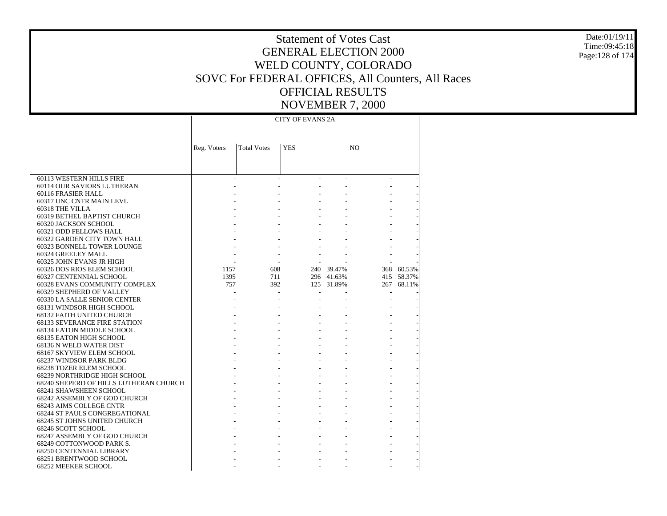Date:01/19/11 Time:09:45:18 Page:128 of 174

### Statement of Votes Cast GENERAL ELECTION 2000 WELD COUNTY, COLORADO SOVC For FEDERAL OFFICES, All Counters, All Races OFFICIAL RESULTS NOVEMBER 7, 2000

CITY OF EVANS 2A

|                                                | Reg. Voters | <b>Total Votes</b> | <b>YES</b> |            | N <sub>O</sub> |            |
|------------------------------------------------|-------------|--------------------|------------|------------|----------------|------------|
|                                                |             |                    |            |            |                |            |
|                                                |             |                    |            |            |                |            |
|                                                |             |                    |            |            |                |            |
| 60113 WESTERN HILLS FIRE                       |             |                    |            |            |                |            |
| 60114 OUR SAVIORS LUTHERAN                     |             |                    |            |            |                |            |
| 60116 FRASIER HALL                             |             |                    |            |            |                |            |
| 60317 UNC CNTR MAIN LEVL                       |             |                    |            |            |                |            |
| 60318 THE VILLA                                |             |                    |            |            |                |            |
| 60319 BETHEL BAPTIST CHURCH                    |             |                    |            |            |                |            |
| 60320 JACKSON SCHOOL                           |             |                    |            |            |                |            |
| 60321 ODD FELLOWS HALL                         |             |                    |            |            |                |            |
| 60322 GARDEN CITY TOWN HALL                    |             |                    |            |            |                |            |
| 60323 BONNELL TOWER LOUNGE                     |             |                    |            |            |                |            |
| 60324 GREELEY MALL<br>60325 JOHN EVANS JR HIGH |             |                    |            |            |                |            |
| 60326 DOS RIOS ELEM SCHOOL                     | 1157        | 608                |            | 240 39.47% |                | 368 60.53% |
| 60327 CENTENNIAL SCHOOL                        | 1395        | 711                |            | 296 41.63% |                | 415 58.37% |
| 60328 EVANS COMMUNITY COMPLEX                  | 757         | 392                |            | 125 31.89% | 267            | 68.11%     |
| 60329 SHEPHERD OF VALLEY                       |             |                    |            |            |                |            |
| 60330 LA SALLE SENIOR CENTER                   |             |                    |            |            |                |            |
| 68131 WINDSOR HIGH SCHOOL                      |             |                    |            |            |                |            |
| 68132 FAITH UNITED CHURCH                      |             |                    |            |            |                |            |
| <b>68133 SEVERANCE FIRE STATION</b>            |             |                    |            |            |                |            |
| 68134 EATON MIDDLE SCHOOL                      |             |                    |            |            |                |            |
| 68135 EATON HIGH SCHOOL                        |             |                    |            |            |                |            |
| 68136 N WELD WATER DIST                        |             |                    |            |            |                |            |
| 68167 SKYVIEW ELEM SCHOOL                      |             |                    |            |            |                |            |
| 68237 WINDSOR PARK BLDG                        |             |                    |            |            |                |            |
| <b>68238 TOZER ELEM SCHOOL</b>                 |             |                    |            |            |                |            |
| 68239 NORTHRIDGE HIGH SCHOOL                   |             |                    |            |            |                |            |
| 68240 SHEPERD OF HILLS LUTHERAN CHURCH         |             |                    |            |            |                |            |
| 68241 SHAWSHEEN SCHOOL                         |             |                    |            |            |                |            |
| 68242 ASSEMBLY OF GOD CHURCH                   |             |                    |            |            |                |            |
| 68243 AIMS COLLEGE CNTR                        |             |                    |            |            |                |            |
| <b>68244 ST PAULS CONGREGATIONAL</b>           |             |                    |            |            |                |            |
| 68245 ST JOHNS UNITED CHURCH                   |             |                    |            |            |                |            |
| 68246 SCOTT SCHOOL                             |             |                    |            |            |                |            |
| 68247 ASSEMBLY OF GOD CHURCH                   |             |                    |            |            |                |            |
| 68249 COTTONWOOD PARK S.                       |             |                    |            |            |                |            |
| 68250 CENTENNIAL LIBRARY                       |             |                    |            |            |                |            |
| 68251 BRENTWOOD SCHOOL                         |             |                    |            |            |                |            |
| 68252 MEEKER SCHOOL                            |             |                    |            |            |                |            |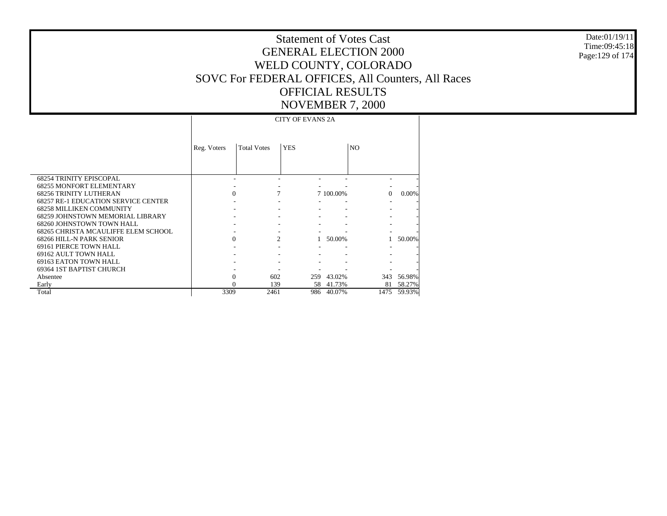Date:01/19/11Time:09:45:18Page:129 of 174

# Statement of Votes CastGENERAL ELECTION 2000WELD COUNTY, COLORADO SOVC For FEDERAL OFFICES, All Counters, All Races OFFICIAL RESULTSNOVEMBER 7, 2000

 68254 TRINITY EPISCOPAL 68255 MONFORT ELEMENTARY 68256 TRINITY LUTHERAN 68257 RE-1 EDUCATION SERVICE CENTER 68258 MILLIKEN COMMUNITY 68259 JOHNSTOWN MEMORIAL LIBRARY 68260 JOHNSTOWN TOWN HALL 68265 CHRISTA MCAULIFFE ELEM SCHOOL 68266 HILL-N PARK SENIOR 69161 PIERCE TOWN HALL 69162 AULT TOWN HALL 69163 EATON TOWN HALL 69364 1ST BAPTIST CHURCH Absentee Early Total Reg. Voters | Total Votes | YES | NO CITY OF EVANS 2A - - - - - - - - - - - 0 7 7 100.00% 0 0.00% - - - - - - - - - - - - - - - - - - - - - - - - - 0 2 1 50.00% 1 50.00% - - - - - - - - - - - - - - - - - - - - 0 602 259 43.02% 343 56.98% 0 139 58 41.73% 81 58.27% 3309 2461 986 40.07%1475 59.93%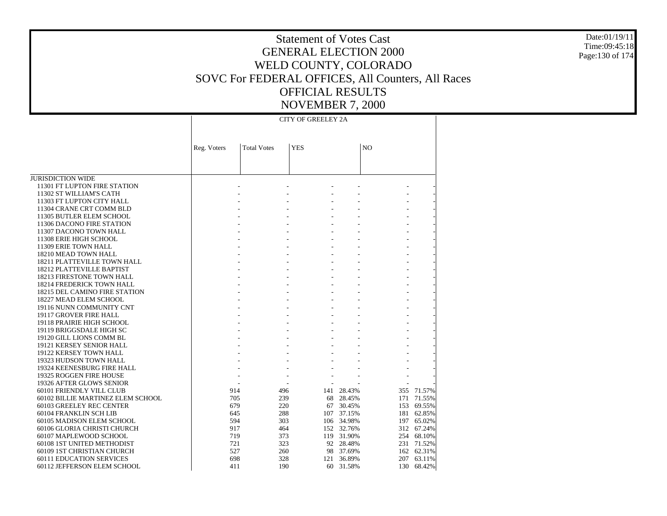Date:01/19/11 Time:09:45:18 Page:130 of 174

### Statement of Votes Cast GENERAL ELECTION 2000 WELD COUNTY, COLORADO SOVC For FEDERAL OFFICES, All Counters, All Races OFFICIAL RESULTS NOVEMBER 7, 2000

CITY OF GREELEY 2A

|                                   | Reg. Voters | <b>Total Votes</b> | <b>YES</b> |     |            | N <sub>O</sub> |        |
|-----------------------------------|-------------|--------------------|------------|-----|------------|----------------|--------|
|                                   |             |                    |            |     |            |                |        |
|                                   |             |                    |            |     |            |                |        |
|                                   |             |                    |            |     |            |                |        |
| <b>JURISDICTION WIDE</b>          |             |                    |            |     |            |                |        |
| 11301 FT LUPTON FIRE STATION      |             |                    |            |     |            |                |        |
| 11302 ST WILLIAM'S CATH           |             |                    |            |     |            |                |        |
| 11303 FT LUPTON CITY HALL         |             |                    |            |     |            |                |        |
| 11304 CRANE CRT COMM BLD          |             |                    |            |     |            |                |        |
| 11305 BUTLER ELEM SCHOOL          |             |                    |            |     |            |                |        |
| 11306 DACONO FIRE STATION         |             |                    |            |     |            |                |        |
| 11307 DACONO TOWN HALL            |             |                    |            |     |            |                |        |
| 11308 ERIE HIGH SCHOOL            |             |                    |            |     |            |                |        |
| 11309 ERIE TOWN HALL              |             |                    |            |     |            |                |        |
| 18210 MEAD TOWN HALL              |             |                    |            |     |            |                |        |
| 18211 PLATTEVILLE TOWN HALL       |             |                    |            |     |            |                |        |
| 18212 PLATTEVILLE BAPTIST         |             |                    |            |     |            |                |        |
| 18213 FIRESTONE TOWN HALL         |             |                    |            |     |            |                |        |
| 18214 FREDERICK TOWN HALL         |             |                    |            |     |            |                |        |
| 18215 DEL CAMINO FIRE STATION     |             |                    |            |     |            |                |        |
| 18227 MEAD ELEM SCHOOL            |             |                    |            |     |            |                |        |
| 19116 NUNN COMMUNITY CNT          |             |                    |            |     |            |                |        |
| 19117 GROVER FIRE HALL            |             |                    |            |     |            |                |        |
| 19118 PRAIRIE HIGH SCHOOL         |             |                    |            |     |            |                |        |
| 19119 BRIGGSDALE HIGH SC          |             |                    |            |     |            |                |        |
| 19120 GILL LIONS COMM BL          |             |                    |            |     |            |                |        |
| 19121 KERSEY SENIOR HALL          |             |                    |            |     |            |                |        |
| 19122 KERSEY TOWN HALL            |             |                    |            |     |            |                |        |
| 19323 HUDSON TOWN HALL            |             |                    |            |     |            |                |        |
| 19324 KEENESBURG FIRE HALL        |             |                    |            |     |            |                |        |
| 19325 ROGGEN FIRE HOUSE           |             |                    |            |     |            |                |        |
| 19326 AFTER GLOWS SENIOR          |             |                    |            |     |            |                |        |
| 60101 FRIENDLY VILL CLUB          |             | 914                | 496        | 141 | 28.43%     | 355            | 71.57% |
| 60102 BILLIE MARTINEZ ELEM SCHOOL |             | 705                | 239        | 68  | 28.45%     | 171            | 71.55% |
| 60103 GREELEY REC CENTER          |             | 679                | 220        | 67  | 30.45%     | 153            | 69.55% |
| 60104 FRANKLIN SCH LIB            |             | 645                | 288        | 107 | 37.15%     | 181            | 62.85% |
| 60105 MADISON ELEM SCHOOL         |             | 594                | 303        | 106 | 34.98%     | 197            | 65.02% |
| 60106 GLORIA CHRISTI CHURCH       |             | 917                | 464        | 152 | 32.76%     | 312            | 67.24% |
| 60107 MAPLEWOOD SCHOOL            |             | 719                | 373        |     | 119 31.90% | 254            | 68.10% |
| 60108 1ST UNITED METHODIST        |             | 721                | 323        |     | 92 28.48%  | 231            | 71.52% |
| 60109 1ST CHRISTIAN CHURCH        |             | 527                | 260        | 98  | 37.69%     | 162            | 62.31% |
| <b>60111 EDUCATION SERVICES</b>   |             | 698                | 328        | 121 | 36.89%     | 207            | 63.11% |
| 60112 JEFFERSON ELEM SCHOOL       |             | 411                | 190        | 60  | 31.58%     | 130            | 68.42% |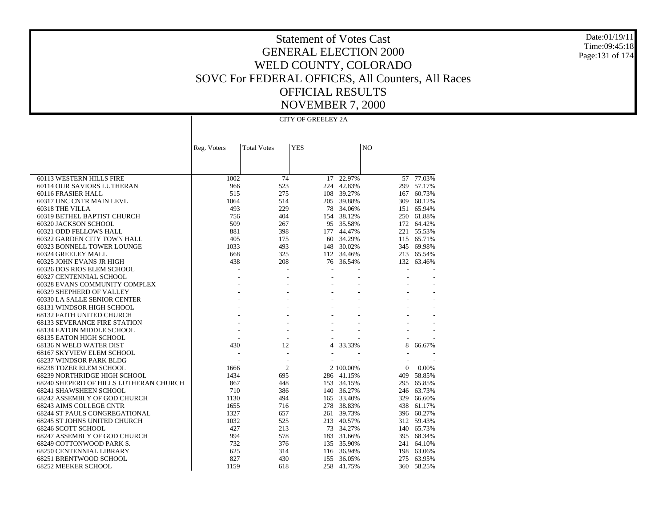Date:01/19/11Time:09:45:18Page:131 of 174

# Statement of Votes CastGENERAL ELECTION 2000WELD COUNTY, COLORADO SOVC For FEDERAL OFFICES, All Counters, All Races OFFICIAL RESULTSNOVEMBER 7, 2000

 60113 WESTERN HILLS FIRE 60114 OUR SAVIORS LUTHERAN 60116 FRASIER HALL 60317 UNC CNTR MAIN LEVL 60318 THE VILLA 60319 BETHEL BAPTIST CHURCH 60320 JACKSON SCHOOL 60321 ODD FELLOWS HALL 60322 GARDEN CITY TOWN HALL 60323 BONNELL TOWER LOUNGE 60324 GREELEY MALL 60325 JOHN EVANS JR HIGH 60326 DOS RIOS ELEM SCHOOL 60327 CENTENNIAL SCHOOL 60328 EVANS COMMUNITY COMPLEX 60329 SHEPHERD OF VALLEY 60330 LA SALLE SENIOR CENTER 68131 WINDSOR HIGH SCHOOL 68132 FAITH UNITED CHURCH 68133 SEVERANCE FIRE STATION 68134 EATON MIDDLE SCHOOL 68135 EATON HIGH SCHOOL 68136 N WELD WATER DIST 68167 SKYVIEW ELEM SCHOOL 68237 WINDSOR PARK BLDG 68238 TOZER ELEM SCHOOL 68239 NORTHRIDGE HIGH SCHOOL 68240 SHEPERD OF HILLS LUTHERAN CHURCH 68241 SHAWSHEEN SCHOOL 68242 ASSEMBLY OF GOD CHURCH 68243 AIMS COLLEGE CNTR 68244 ST PAULS CONGREGATIONAL 68245 ST JOHNS UNITED CHURCH 68246 SCOTT SCHOOL 68247 ASSEMBLY OF GOD CHURCH 68249 COTTONWOOD PARK S. 68250 CENTENNIAL LIBRARY 68251 BRENTWOOD SCHOOL 68252 MEEKER SCHOOL Reg. Voters | Total Votes | YES | NO CITY OF GREELEY 2A1002 74 17 22.97% 57 77.03% 966 523 224 42.83% 299 57.17% 515 275 108 39.27% 167 60.73% 1064 514 205 39.88% 309 60.12% 493 229 78 34.06% 151 65.94% 756 404 154 38.12% 250 61.88% 509 267 95 35.58% 172 64.42% 881 398 177 44.47% 221 55.53% 405 175 60 34.29% 115 65.71% 1033 493 148 30.02% 345 69.98% 668 325 112 34.46% 213 65.54% 438 208 76 36.54% 132 63.46% - - - - - - - - - - - - - - - - - - - - - - - - - - - - - - - - - - - - - - - - - - - - - - - - - - - - 430 12 4 33.33% 8 66.67% - - - - - - - - - - 1666 2 2 100.00% 0 0.00% 1434 695 286 41.15% 409 58.85% 867 448 153 34.15% 295 65.85% 710 386 140 36.27% 246 63.73% 1130 494 165 33.40% 329 66.60% 1655 716 278 38.83% 438 61.17% 1327 657 261 39.73% 396 60.27% 1032 525 213 40.57% 312 59.43% 427 213 73 34.27% 140 65.73% 994 578 183 31.66% 395 68.34% 732 376 135 35.90% 241 64.10% 625 314 116 36.94% 198 63.06% 827 430 155 36.05% 275 63.95% 1159 618 258 41.75%360 58.25%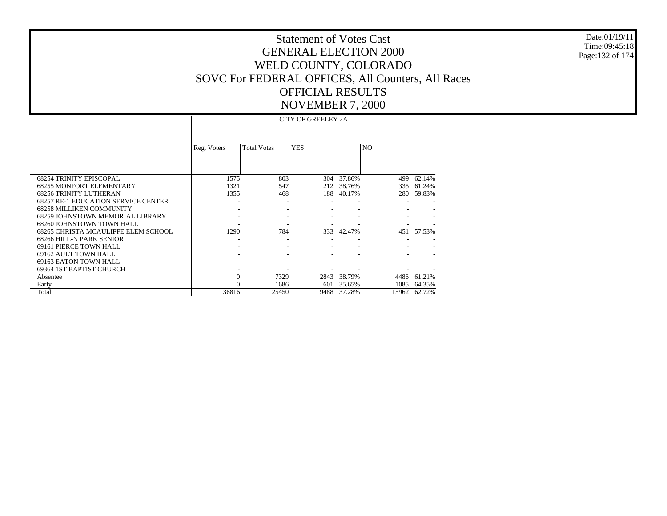Date:01/19/11 Time:09:45:18 Page:132 of 174

|                                            |             |                    | <b>CITY OF GREELEY 2A</b> |        |                |        |
|--------------------------------------------|-------------|--------------------|---------------------------|--------|----------------|--------|
|                                            |             |                    |                           |        |                |        |
|                                            | Reg. Voters | <b>Total Votes</b> | <b>YES</b>                |        | N <sub>O</sub> |        |
|                                            |             |                    |                           |        |                |        |
|                                            |             |                    |                           |        |                |        |
| <b>68254 TRINITY EPISCOPAL</b>             | 1575        | 803                | 304                       | 37.86% | 499            | 62.14% |
| <b>68255 MONFORT ELEMENTARY</b>            | 1321        | 547                | 212                       | 38.76% | 335            | 61.24% |
| <b>68256 TRINITY LUTHERAN</b>              | 1355        | 468                | 188                       | 40.17% | 280            | 59.83% |
| <b>68257 RE-1 EDUCATION SERVICE CENTER</b> |             |                    |                           |        |                |        |
| <b>68258 MILLIKEN COMMUNITY</b>            |             |                    |                           |        |                |        |
| 68259 JOHNSTOWN MEMORIAL LIBRARY           |             |                    |                           |        |                |        |
| 68260 JOHNSTOWN TOWN HALL                  |             |                    |                           |        |                |        |
| 68265 CHRISTA MCAULIFFE ELEM SCHOOL        | 1290        | 784                | 333                       | 42.47% | 451            | 57.53% |
| 68266 HILL-N PARK SENIOR                   |             |                    |                           |        |                |        |
| 69161 PIERCE TOWN HALL                     |             |                    |                           |        |                |        |
| 69162 AULT TOWN HALL                       |             |                    |                           |        |                |        |
| 69163 EATON TOWN HALL                      |             |                    |                           |        |                |        |
| 69364 1ST BAPTIST CHURCH                   |             |                    |                           |        |                |        |
| Absentee                                   | $\Omega$    | 7329               | 2843                      | 38.79% | 4486           | 61.21% |
| Early                                      |             | 1686               | 601                       | 35.65% | 1085           | 64.35% |
| Total                                      | 36816       | 25450              | 9488                      | 37.28% | 15962          | 62.72% |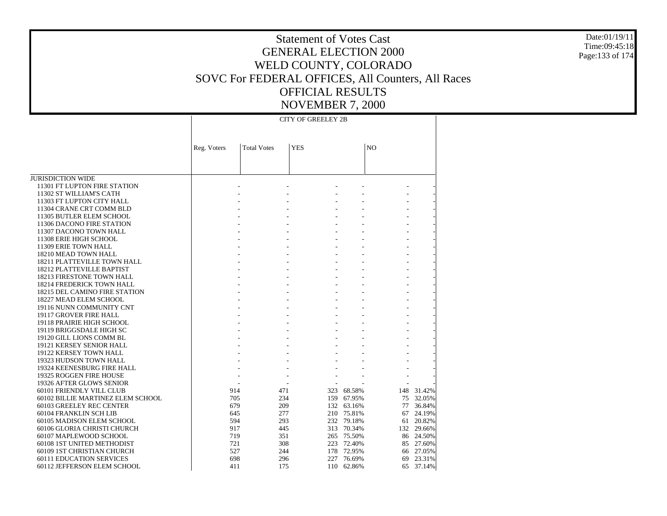Date:01/19/11 Time:09:45:18 Page:133 of 174

### Statement of Votes Cast GENERAL ELECTION 2000 WELD COUNTY, COLORADO SOVC For FEDERAL OFFICES, All Counters, All Races OFFICIAL RESULTS NOVEMBER 7, 2000

CITY OF GREELEY 2B

|                                   | Reg. Voters | <b>Total Votes</b> | <b>YES</b> |            | N <sub>O</sub> |        |
|-----------------------------------|-------------|--------------------|------------|------------|----------------|--------|
|                                   |             |                    |            |            |                |        |
| <b>JURISDICTION WIDE</b>          |             |                    |            |            |                |        |
| 11301 FT LUPTON FIRE STATION      |             |                    |            |            |                |        |
| 11302 ST WILLIAM'S CATH           |             |                    |            |            |                |        |
| 11303 FT LUPTON CITY HALL         |             |                    |            |            |                |        |
| 11304 CRANE CRT COMM BLD          |             |                    |            |            |                |        |
| 11305 BUTLER ELEM SCHOOL          |             |                    |            |            |                |        |
| 11306 DACONO FIRE STATION         |             |                    |            |            |                |        |
| 11307 DACONO TOWN HALL            |             |                    |            |            |                |        |
| 11308 ERIE HIGH SCHOOL            |             |                    |            |            |                |        |
| 11309 ERIE TOWN HALL              |             |                    |            |            |                |        |
| 18210 MEAD TOWN HALL              |             |                    |            |            |                |        |
| 18211 PLATTEVILLE TOWN HALL       |             |                    |            |            |                |        |
| 18212 PLATTEVILLE BAPTIST         |             |                    |            |            |                |        |
| 18213 FIRESTONE TOWN HALL         |             |                    |            |            |                |        |
| 18214 FREDERICK TOWN HALL         |             |                    |            |            |                |        |
| 18215 DEL CAMINO FIRE STATION     |             |                    |            |            |                |        |
| 18227 MEAD ELEM SCHOOL            |             |                    |            |            |                |        |
| 19116 NUNN COMMUNITY CNT          |             |                    |            |            |                |        |
| 19117 GROVER FIRE HALL            |             |                    |            |            |                |        |
| 19118 PRAIRIE HIGH SCHOOL         |             |                    |            |            |                |        |
| 19119 BRIGGSDALE HIGH SC          |             |                    |            |            |                |        |
| 19120 GILL LIONS COMM BL          |             |                    |            |            |                |        |
| 19121 KERSEY SENIOR HALL          |             |                    |            |            |                |        |
| 19122 KERSEY TOWN HALL            |             |                    |            |            |                |        |
| 19323 HUDSON TOWN HALL            |             |                    |            |            |                |        |
| 19324 KEENESBURG FIRE HALL        |             |                    |            |            |                |        |
| 19325 ROGGEN FIRE HOUSE           |             |                    |            |            |                |        |
| 19326 AFTER GLOWS SENIOR          |             |                    |            |            |                |        |
| 60101 FRIENDLY VILL CLUB          |             | 914                | 471        | 323 68.58% | 148            | 31.42% |
| 60102 BILLIE MARTINEZ ELEM SCHOOL |             | 705                | 234        | 159 67.95% | 75             | 32.05% |
| 60103 GREELEY REC CENTER          |             | 679                | 209        | 132 63.16% | 77             | 36.84% |
| 60104 FRANKLIN SCH LIB            |             | 645                | 277<br>210 | 75.81%     | 67             | 24.19% |
| 60105 MADISON ELEM SCHOOL         |             | 594                | 293        | 232 79.18% | 61             | 20.82% |
| 60106 GLORIA CHRISTI CHURCH       |             | 917                | 445        | 313 70.34% | 132            | 29.66% |
| 60107 MAPLEWOOD SCHOOL            |             | 719                | 351        | 265 75.50% | 86             | 24.50% |
| 60108 1ST UNITED METHODIST        |             | 721                | 308        | 223 72.40% | 85             | 27.60% |
| 60109 1ST CHRISTIAN CHURCH        |             | 527                | 178<br>244 | 72.95%     | 66             | 27.05% |
| <b>60111 EDUCATION SERVICES</b>   |             | 698                | 296<br>227 | 76.69%     | 69             | 23.31% |
| 60112 JEFFERSON ELEM SCHOOL       |             | 411                | 175<br>110 | 62.86%     | 65             | 37.14% |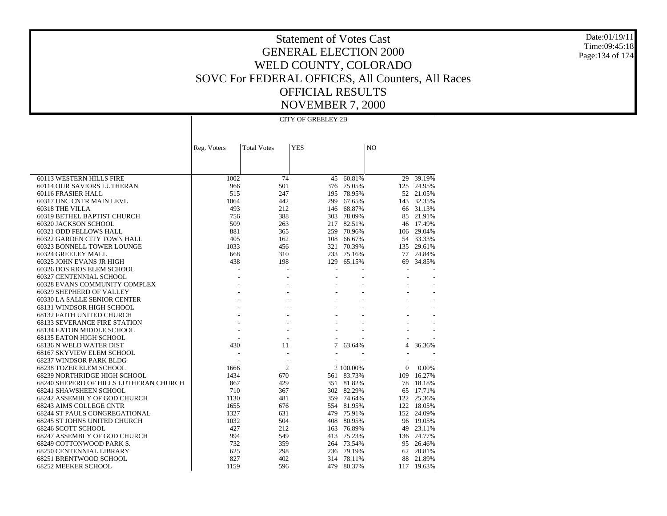Date:01/19/11Time:09:45:18Page:134 of 174

# Statement of Votes CastGENERAL ELECTION 2000WELD COUNTY, COLORADO SOVC For FEDERAL OFFICES, All Counters, All Races OFFICIAL RESULTSNOVEMBER 7, 2000

 60113 WESTERN HILLS FIRE 60114 OUR SAVIORS LUTHERAN 60116 FRASIER HALL 60317 UNC CNTR MAIN LEVL 60318 THE VILLA 60319 BETHEL BAPTIST CHURCH 60320 JACKSON SCHOOL 60321 ODD FELLOWS HALL 60322 GARDEN CITY TOWN HALL 60323 BONNELL TOWER LOUNGE 60324 GREELEY MALL 60325 JOHN EVANS JR HIGH 60326 DOS RIOS ELEM SCHOOL 60327 CENTENNIAL SCHOOL 60328 EVANS COMMUNITY COMPLEX 60329 SHEPHERD OF VALLEY 60330 LA SALLE SENIOR CENTER 68131 WINDSOR HIGH SCHOOL 68132 FAITH UNITED CHURCH 68133 SEVERANCE FIRE STATION 68134 EATON MIDDLE SCHOOL 68135 EATON HIGH SCHOOL 68136 N WELD WATER DIST 68167 SKYVIEW ELEM SCHOOL 68237 WINDSOR PARK BLDG 68238 TOZER ELEM SCHOOL 68239 NORTHRIDGE HIGH SCHOOL 68240 SHEPERD OF HILLS LUTHERAN CHURCH 68241 SHAWSHEEN SCHOOL 68242 ASSEMBLY OF GOD CHURCH 68243 AIMS COLLEGE CNTR 68244 ST PAULS CONGREGATIONAL 68245 ST JOHNS UNITED CHURCH 68246 SCOTT SCHOOL 68247 ASSEMBLY OF GOD CHURCH 68249 COTTONWOOD PARK S. 68250 CENTENNIAL LIBRARY 68251 BRENTWOOD SCHOOL 68252 MEEKER SCHOOL Reg. Voters | Total Votes | YES | NO CITY OF GREELEY 2B1002 $\frac{1}{74}$   $\frac{45}{60.81\%}$  29 39.19% 966 501 376 75.05% 125 24.95% 515 247 195 78.95% 52 21.05% 1064 442 299 67.65% 143 32.35% 493 212 146 68.87% 66 31.13% 756 388 303 78.09% 85 21.91% 509 263 217 82.51% 46 17.49% 881 365 259 70.96% 106 29.04% 405 162 108 66.67% 54 33.33% 1033 456 321 70.39% 135 29.61% 668 310 233 75.16% 77 24.84% 438 198 129 65.15% 69 34.85% - - - - - - - - - - - - - - - - - - - - - - - - - - - - - - - - - - - - - - - - - - - - - - - - - - - 430 11 7 63.64% 4 36.36% - - - - - - - - - - 1666 2 2 100.00% 0 0.00% 1434 670 561 83.73% 109 16.27% 867 429 351 81.82% 78 18.18% 710 367 302 82.29% 65 17.71% 1130 481 359 74.64% 122 25.36% 1655 676 554 81.95% 122 18.05% 1327 631 479 75.91% 152 24.09% 1032 504 408 80.95% 96 19.05% 427 212 163 76.89% 49 23.11% 994 549 413 75.23% 136 24.77% 732 359 264 73.54% 95 26.46% 625 298 236 79.19% 62 20.81% 827 402 314 78.11% 88 21.89% 1159 596 479 80.37%117 19.63%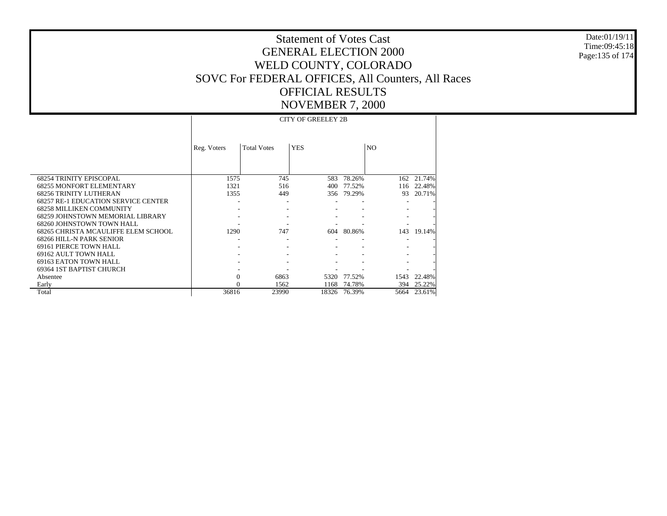Date:01/19/11 Time:09:45:18 Page:135 of 174

|                                            |             |                    | <b>CITY OF GREELEY 2B</b> |        |                |        |
|--------------------------------------------|-------------|--------------------|---------------------------|--------|----------------|--------|
|                                            |             |                    |                           |        |                |        |
|                                            |             |                    |                           |        |                |        |
|                                            | Reg. Voters | <b>Total Votes</b> | <b>YES</b>                |        | N <sub>O</sub> |        |
|                                            |             |                    |                           |        |                |        |
|                                            |             |                    |                           |        |                |        |
| <b>68254 TRINITY EPISCOPAL</b>             | 1575        | 745                | 583                       | 78.26% | 162            | 21.74% |
| <b>68255 MONFORT ELEMENTARY</b>            | 1321        | 516                | 400                       | 77.52% | 116            | 22.48% |
| <b>68256 TRINITY LUTHERAN</b>              | 1355        | 449                | 356                       | 79.29% | 93             | 20.71% |
| <b>68257 RE-1 EDUCATION SERVICE CENTER</b> |             |                    |                           |        |                |        |
| <b>68258 MILLIKEN COMMUNITY</b>            |             |                    |                           |        |                |        |
| 68259 JOHNSTOWN MEMORIAL LIBRARY           |             |                    |                           |        |                |        |
| 68260 JOHNSTOWN TOWN HALL                  |             |                    |                           |        |                |        |
| 68265 CHRISTA MCAULIFFE ELEM SCHOOL        | 1290        | 747                | 604                       | 80.86% | 143            | 19.14% |
| 68266 HILL-N PARK SENIOR                   |             |                    |                           |        |                |        |
| 69161 PIERCE TOWN HALL                     |             |                    |                           |        |                |        |
| 69162 AULT TOWN HALL                       |             |                    |                           |        |                |        |
| 69163 EATON TOWN HALL                      |             |                    |                           |        |                |        |
| 69364 1ST BAPTIST CHURCH                   |             |                    |                           |        |                |        |
| Absentee                                   | 0           | 6863               | 5320                      | 77.52% | 1543           | 22.48% |
| Early                                      |             | 1562               | 1168                      | 74.78% | 394            | 25.22% |
| Total                                      | 36816       | 23990              | 18326                     | 76.39% | 5664           | 23.61% |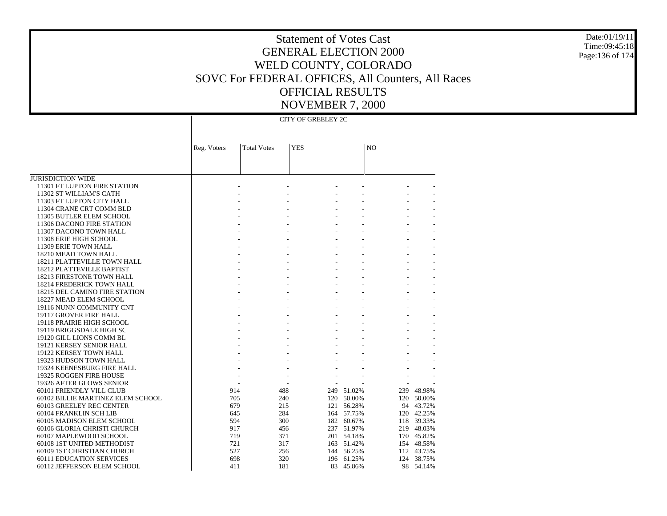Date:01/19/11 Time:09:45:18 Page:136 of 174

### Statement of Votes Cast GENERAL ELECTION 2000 WELD COUNTY, COLORADO SOVC For FEDERAL OFFICES, All Counters, All Races OFFICIAL RESULTS NOVEMBER 7, 2000

CITY OF GREELEY 2C

|                                   | Reg. Voters | <b>Total Votes</b> | <b>YES</b> |     |            | NO        |        |
|-----------------------------------|-------------|--------------------|------------|-----|------------|-----------|--------|
|                                   |             |                    |            |     |            |           |        |
| <b>JURISDICTION WIDE</b>          |             |                    |            |     |            |           |        |
| 11301 FT LUPTON FIRE STATION      |             |                    |            |     |            |           |        |
| 11302 ST WILLIAM'S CATH           |             |                    |            |     |            |           |        |
| 11303 FT LUPTON CITY HALL         |             |                    |            |     |            |           |        |
| 11304 CRANE CRT COMM BLD          |             |                    |            |     |            |           |        |
| 11305 BUTLER ELEM SCHOOL          |             |                    |            |     |            |           |        |
| 11306 DACONO FIRE STATION         |             |                    |            |     |            |           |        |
| 11307 DACONO TOWN HALL            |             |                    |            |     |            |           |        |
| 11308 ERIE HIGH SCHOOL            |             |                    |            |     |            |           |        |
| 11309 ERIE TOWN HALL              |             |                    |            |     |            |           |        |
| 18210 MEAD TOWN HALL              |             |                    |            |     |            |           |        |
| 18211 PLATTEVILLE TOWN HALL       |             |                    |            |     |            |           |        |
| 18212 PLATTEVILLE BAPTIST         |             |                    |            |     |            |           |        |
| 18213 FIRESTONE TOWN HALL         |             |                    |            |     |            |           |        |
| 18214 FREDERICK TOWN HALL         |             |                    |            |     |            |           |        |
| 18215 DEL CAMINO FIRE STATION     |             |                    |            |     |            |           |        |
| 18227 MEAD ELEM SCHOOL            |             |                    |            |     |            |           |        |
| 19116 NUNN COMMUNITY CNT          |             |                    |            |     |            |           |        |
| 19117 GROVER FIRE HALL            |             |                    |            |     |            |           |        |
| 19118 PRAIRIE HIGH SCHOOL         |             |                    |            |     |            |           |        |
| 19119 BRIGGSDALE HIGH SC          |             |                    |            |     |            |           |        |
| 19120 GILL LIONS COMM BL          |             |                    |            |     |            |           |        |
| 19121 KERSEY SENIOR HALL          |             |                    |            |     |            |           |        |
| 19122 KERSEY TOWN HALL            |             |                    |            |     |            |           |        |
| 19323 HUDSON TOWN HALL            |             |                    |            |     |            |           |        |
| 19324 KEENESBURG FIRE HALL        |             |                    |            |     |            |           |        |
| 19325 ROGGEN FIRE HOUSE           |             |                    |            |     |            |           |        |
| 19326 AFTER GLOWS SENIOR          |             |                    |            |     |            |           |        |
| 60101 FRIENDLY VILL CLUB          |             | 914                | 488        |     | 249 51.02% | 239       | 48.98% |
| 60102 BILLIE MARTINEZ ELEM SCHOOL |             | 705                | 240        |     | 120 50.00% | 120       | 50.00% |
| 60103 GREELEY REC CENTER          |             | 679                | 215        | 121 | 56.28%     | 94        | 43.72% |
| 60104 FRANKLIN SCH LIB            |             | 645                | 284        |     | 164 57.75% | 120       | 42.25% |
| 60105 MADISON ELEM SCHOOL         |             | 594                | 300        |     | 182 60.67% | 118       | 39.33% |
| 60106 GLORIA CHRISTI CHURCH       |             | 917                | 456        |     | 237 51.97% | 219       | 48.03% |
| 60107 MAPLEWOOD SCHOOL            |             | 719                | 371        |     | 201 54.18% | 170       | 45.82% |
| 60108 1ST UNITED METHODIST        |             | 721                | 317        |     | 163 51.42% | 154       | 48.58% |
| 60109 1ST CHRISTIAN CHURCH        |             | 527                | 256        |     | 144 56.25% | 112       | 43.75% |
| <b>60111 EDUCATION SERVICES</b>   |             | 698                | 320<br>181 | 196 | 61.25%     | 124<br>98 | 38.75% |
| 60112 JEFFERSON ELEM SCHOOL       |             | 411                |            |     | 83 45.86%  |           | 54.14% |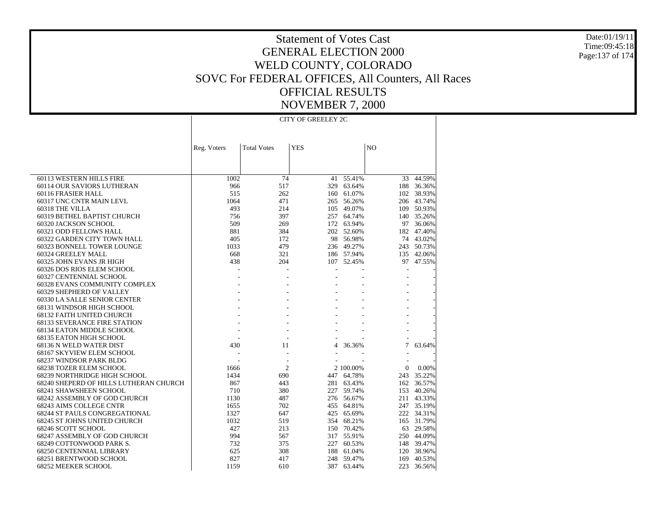Date:01/19/11Time:09:45:18Page:137 of 174

# Statement of Votes CastGENERAL ELECTION 2000WELD COUNTY, COLORADO SOVC For FEDERAL OFFICES, All Counters, All Races OFFICIAL RESULTSNOVEMBER 7, 2000

 60113 WESTERN HILLS FIRE 60114 OUR SAVIORS LUTHERAN 60116 FRASIER HALL 60317 UNC CNTR MAIN LEVL 60318 THE VILLA 60319 BETHEL BAPTIST CHURCH 60320 JACKSON SCHOOL 60321 ODD FELLOWS HALL 60322 GARDEN CITY TOWN HALL 60323 BONNELL TOWER LOUNGE 60324 GREELEY MALL 60325 JOHN EVANS JR HIGH 60326 DOS RIOS ELEM SCHOOL 60327 CENTENNIAL SCHOOL 60328 EVANS COMMUNITY COMPLEX 60329 SHEPHERD OF VALLEY 60330 LA SALLE SENIOR CENTER 68131 WINDSOR HIGH SCHOOL 68132 FAITH UNITED CHURCH 68133 SEVERANCE FIRE STATION 68134 EATON MIDDLE SCHOOL 68135 EATON HIGH SCHOOL 68136 N WELD WATER DIST 68167 SKYVIEW ELEM SCHOOL 68237 WINDSOR PARK BLDG 68238 TOZER ELEM SCHOOL 68239 NORTHRIDGE HIGH SCHOOL 68240 SHEPERD OF HILLS LUTHERAN CHURCH 68241 SHAWSHEEN SCHOOL 68242 ASSEMBLY OF GOD CHURCH 68243 AIMS COLLEGE CNTR 68244 ST PAULS CONGREGATIONAL 68245 ST JOHNS UNITED CHURCH 68246 SCOTT SCHOOL 68247 ASSEMBLY OF GOD CHURCH 68249 COTTONWOOD PARK S. 68250 CENTENNIAL LIBRARY 68251 BRENTWOOD SCHOOL 68252 MEEKER SCHOOL Reg. Voters | Total Votes | YES | NO CITY OF GREELEY 2C1002 $\overline{74}$   $\overline{41}$   $\overline{55.41\%}$  33 44.59% 966 517 329 63.64% 188 36.36% 515 262 160 61.07% 102 38.93% 1064 471 265 56.26% 206 43.74% 493 214 105 49.07% 109 50.93% 756 397 257 64.74% 140 35.26% 509 269 172 63.94% 97 36.06% 881 384 202 52.60% 182 47.40% 405 172 98 56.98% 74 43.02% 1033 479 236 49.27% 243 50.73% 668 321 186 57.94% 135 42.06% 438 204 107 52.45% 97 47.55% - - - - - - - - - - - - - - - - - - - - - - - - - - - - - - - - - - - - - - - - - - - - - - - - - - - - 430 11 4 36.36% 7 63.64% - - - - - - - - - - 1666 2 2 100.00% 0 0.00% 1434 690 447 64.78% 243 35.22% 867 443 281 63.43% 162 36.57% 710 380 227 59.74% 153 40.26% 1130 487 276 56.67% 211 43.33% 1655 702 455 64.81% 247 35.19% 1327 647 425 65.69% 222 34.31% 1032 519 354 68.21% 165 31.79% 427 213 150 70.42% 63 29.58% 994 567 317 55.91% 250 44.09% 732 375 227 60.53% 148 39.47% 625 308 188 61.04% 120 38.96% 827 417 248 59.47% 169 40.53% 1159 610 387 63.44%223 36.56%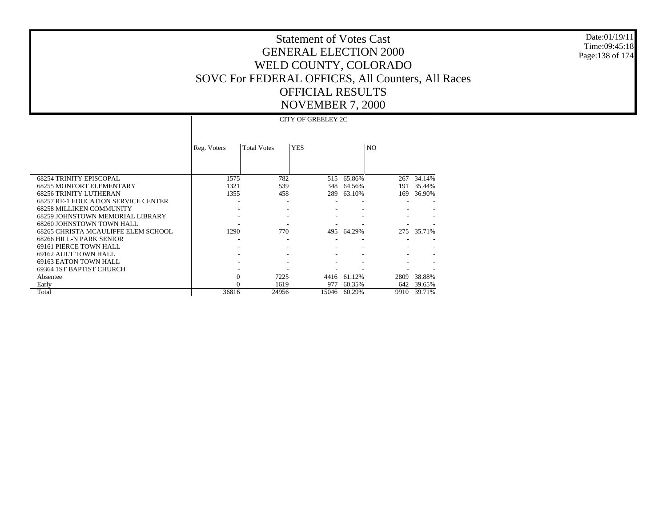Date:01/19/11Time:09:45:18Page:138 of 174

# Statement of Votes CastGENERAL ELECTION 2000WELD COUNTY, COLORADO SOVC For FEDERAL OFFICES, All Counters, All Races OFFICIAL RESULTSNOVEMBER 7, 2000

 68254 TRINITY EPISCOPAL 68255 MONFORT ELEMENTARY 68256 TRINITY LUTHERAN 68257 RE-1 EDUCATION SERVICE CENTER 68258 MILLIKEN COMMUNITY 68259 JOHNSTOWN MEMORIAL LIBRARY 68260 JOHNSTOWN TOWN HALL 68265 CHRISTA MCAULIFFE ELEM SCHOOL 68266 HILL-N PARK SENIOR 69161 PIERCE TOWN HALL 69162 AULT TOWN HALL 69163 EATON TOWN HALL 69364 1ST BAPTIST CHURCH Absentee Early Total Reg. Voters | Total Votes | YES | NO CITY OF GREELEY 2C1575 782 515 65.86% $\sqrt{267}$  34.14% 1321 539 348 64.56% 191 35.44% 1355 458 289 63.10% 169 36.90% - - - - - - - - - - - - - - - - - - - - - - - 1290 770 495 64.29% 275 35.71% - - - - - - - - - - - - - - - - - - - - - - - - - 0 7225 4416 61.12% 2809 38.88% 0 1619 977 60.35% 642 39.65% 36816 24956 15046 60.29%9910 39.71%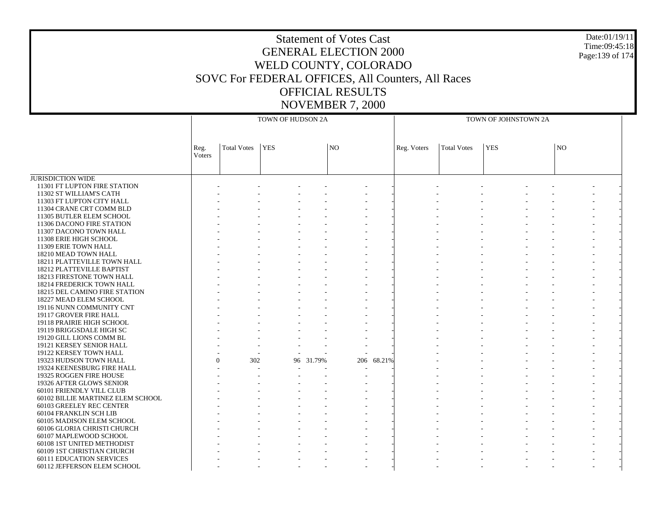## Statement of Votes CastGENERAL ELECTION 2000WELD COUNTY, COLORADO SOVC For FEDERAL OFFICES, All Counters, All Races OFFICIAL RESULTSNOVEMBER 7, 2000

Date:01/19/11Time:09:45:18Page:139 of 174

JURISDICTION WIDE 11301 FT LUPTON FIRE STATION 11302 ST WILLIAM'S CATH 11303 FT LUPTON CITY HALL 11304 CRANE CRT COMM BLD 11305 BUTLER ELEM SCHOOL 11306 DACONO FIRE STATION 11307 DACONO TOWN HALL 11308 ERIE HIGH SCHOOL 11309 ERIE TOWN HALL 18210 MEAD TOWN HALL 18211 PLATTEVILLE TOWN HALL 18212 PLATTEVILLE BAPTIST 18213 FIRESTONE TOWN HALL 18214 FREDERICK TOWN HALL 18215 DEL CAMINO FIRE STATION 18227 MEAD ELEM SCHOOL 19116 NUNN COMMUNITY CNT 19117 GROVER FIRE HALL 19118 PRAIRIE HIGH SCHOOL 19119 BRIGGSDALE HIGH SC 19120 GILL LIONS COMM BL 19121 KERSEY SENIOR HALL 19122 KERSEY TOWN HALL 19323 HUDSON TOWN HALL 19324 KEENESBURG FIRE HALL 19325 ROGGEN FIRE HOUSE 19326 AFTER GLOWS SENIOR 60101 FRIENDLY VILL CLUB 60102 BILLIE MARTINEZ ELEM SCHOOL 60103 GREELEY REC CENTER 60104 FRANKLIN SCH LIB 60105 MADISON ELEM SCHOOL 60106 GLORIA CHRISTI CHURCH 60107 MAPLEWOOD SCHOOL 60108 1ST UNITED METHODIST 60109 1ST CHRISTIAN CHURCH 60111 EDUCATION SERVICES 60112 JEFFERSON ELEM SCHOOL Reg. VotersTotal Votes YES NOTOWN OF HUDSON 2AReg. Voters | Total Votes | YES | NO TOWN OF JOHNSTOWN 2A - - - - - - - - - - - - - - - - - - - - - - - - - - - - - - - - - - - - - - - - - - - - - - - - - - - - - - - - - - - - - - - - - - - - - - - - - - - - - - - - - - - - - - - - - - - - - - - - - - - - - - - - - - - - - - - - - - - - - - - - - - - - - - - - - - - - - - - - - - - - - - - - - - - - - - - - - - - - - - - - - - - - - - - - - - - - - - - - - - - - - - - - - - - - - - - - - - - - - - - - - - - - - - - - - - - - - - - - - - - - - - - - - - - - - - - - - - - - - - - - - - - - - - - - - - - - -  $\Omega$  302 96 31.79%206 68.21% - - - - - - - - - - - - - - - - - - - - - - - - - - - - - - - - - - - - - - - - - - - - - - - - - - - - - - - - - - - - - - - - - - - - - - - - - - - - - - - - - - - - - - - - - - - - - - - - - - - - - - - - - - - - - - - - - - - - - - - - - - - - - - - - - - - - - - - - - - - - - - - - - - - - - - - - - -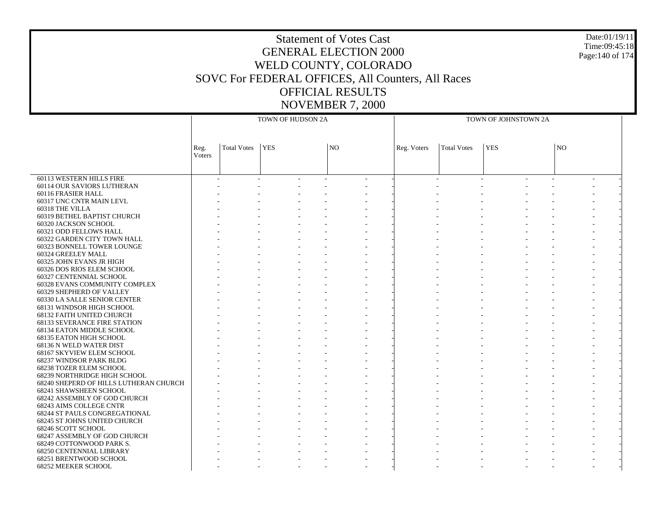# Statement of Votes CastGENERAL ELECTION 2000WELD COUNTY, COLORADO SOVC For FEDERAL OFFICES, All Counters, All Races OFFICIAL RESULTSNOVEMBER 7, 2000

Date:01/19/11Time:09:45:18Page:140 of 174

 60113 WESTERN HILLS FIRE 60114 OUR SAVIORS LUTHERAN 60116 FRASIER HALL 60317 UNC CNTR MAIN LEVL 60318 THE VILLA 60319 BETHEL BAPTIST CHURCH 60320 JACKSON SCHOOL 60321 ODD FELLOWS HALL 60322 GARDEN CITY TOWN HALL 60323 BONNELL TOWER LOUNGE 60324 GREELEY MALL 60325 JOHN EVANS JR HIGH 60326 DOS RIOS ELEM SCHOOL 60327 CENTENNIAL SCHOOL 60328 EVANS COMMUNITY COMPLEX 60329 SHEPHERD OF VALLEY 60330 LA SALLE SENIOR CENTER 68131 WINDSOR HIGH SCHOOL 68132 FAITH UNITED CHURCH 68133 SEVERANCE FIRE STATION 68134 EATON MIDDLE SCHOOL 68135 EATON HIGH SCHOOL 68136 N WELD WATER DIST 68167 SKYVIEW ELEM SCHOOL 68237 WINDSOR PARK BLDG 68238 TOZER ELEM SCHOOL 68239 NORTHRIDGE HIGH SCHOOL 68240 SHEPERD OF HILLS LUTHERAN CHURCH 68241 SHAWSHEEN SCHOOL 68242 ASSEMBLY OF GOD CHURCH 68243 AIMS COLLEGE CNTR 68244 ST PAULS CONGREGATIONAL 68245 ST JOHNS UNITED CHURCH 68246 SCOTT SCHOOL 68247 ASSEMBLY OF GOD CHURCH 68249 COTTONWOOD PARK S. 68250 CENTENNIAL LIBRARY 68251 BRENTWOOD SCHOOL 68252 MEEKER SCHOOL Reg. VotersTotal Votes YES NOTOWN OF HUDSON 2AReg. Voters | Total Votes | YES | NO TOWN OF JOHNSTOWN 2A - - - - - - - - - - - - - - - - - - - - - - - - - - - - - - - - - - - - - - - - - - - - - - - - - - - - - - - - - - - - - - - - - - - - - - - - - - - - - - - - - - - - - - - - - - - - - - - - - - - - - - - - - - - - - - - - - - - - - - - - - - - - - - - - - - - - - - - - - - - - - - - - - - - - - - - - - - - - - - - - - - - - - - - - - - - - - - - - - - - - - - - - - - - - - - - - - - - - - - - - - - - - - - - - - - - - - - - - - - - - - - - - - - - - - - - - - - - - - - - - - - - - - - - - - - - - - - - - - - - - - - - - - - - - - - - - - - - - - - - - - - - - - - - - - - - - - - - - - - - - - - - - - - - - - - - - - - - - - - - - - - - - - - - - - - - - - - - - - - - - - - - - - - - - - - - - - - - - - - - - - - - - - - - - - - - - - - - - - - - - - - - - - - - - - - - - - - - - - - - - - - - - - - - - - - - - - - - - - - - - - - - - - - - - -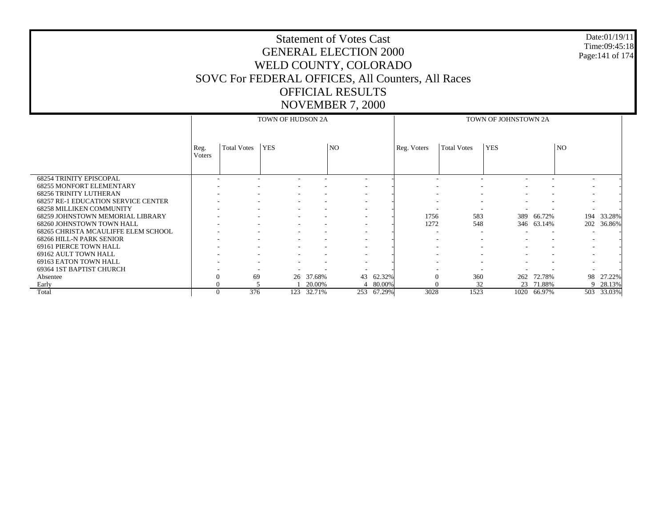# Statement of Votes Cast GENERAL ELECTION 2000 WELD COUNTY, COLORADO SOVC For FEDERAL OFFICES, All Counters, All Races OFFICIAL RESULTS

Date:01/19/11 Time:09:45:18 Page:141 of 174

# NOVEMBER 7, 2000

|                                            |                |                          | TOWN OF HUDSON 2A |        |                          |        | TOWN OF JOHNSTOWN 2A     |                          |                          |                          |                          |        |  |
|--------------------------------------------|----------------|--------------------------|-------------------|--------|--------------------------|--------|--------------------------|--------------------------|--------------------------|--------------------------|--------------------------|--------|--|
|                                            | Reg.<br>Voters | <b>Total Votes</b>       | <b>YES</b>        |        | NO <sub>1</sub>          |        | Reg. Voters              | <b>Total Votes</b>       | <b>YES</b>               |                          | N <sub>O</sub>           |        |  |
| <b>68254 TRINITY EPISCOPAL</b>             |                |                          |                   |        | $\sim$                   |        |                          |                          |                          |                          |                          |        |  |
| <b>68255 MONFORT ELEMENTARY</b>            |                |                          |                   |        | $\overline{\phantom{a}}$ |        |                          |                          |                          |                          |                          |        |  |
| <b>68256 TRINITY LUTHERAN</b>              |                |                          |                   |        | $\overline{\phantom{a}}$ |        |                          |                          |                          |                          |                          |        |  |
| <b>68257 RE-1 EDUCATION SERVICE CENTER</b> |                | ٠                        |                   |        | $\overline{\phantom{a}}$ |        |                          | $\overline{\phantom{a}}$ |                          | $\overline{\phantom{a}}$ |                          |        |  |
| <b>68258 MILLIKEN COMMUNITY</b>            |                |                          |                   |        | $\overline{\phantom{a}}$ |        | $\overline{\phantom{a}}$ |                          |                          |                          |                          |        |  |
| 68259 JOHNSTOWN MEMORIAL LIBRARY           |                |                          |                   |        | $\overline{\phantom{a}}$ |        | 1756                     | 583                      |                          | 389 66.72%               | 194                      | 33.28% |  |
| 68260 JOHNSTOWN TOWN HALL                  |                |                          |                   |        |                          |        | 1272                     | 548                      |                          | 346 63.14%               | 202                      | 36.86% |  |
| 68265 CHRISTA MCAULIFFE ELEM SCHOOL        |                |                          |                   |        | $\overline{\phantom{a}}$ |        | $\overline{\phantom{a}}$ | $\sim$                   |                          | $\overline{\phantom{a}}$ |                          |        |  |
| 68266 HILL-N PARK SENIOR                   |                |                          |                   |        | $\overline{\phantom{a}}$ |        |                          |                          |                          |                          |                          |        |  |
| 69161 PIERCE TOWN HALL                     |                | $\overline{\phantom{a}}$ |                   |        | $\overline{\phantom{a}}$ |        | $\overline{\phantom{a}}$ |                          | $\overline{\phantom{a}}$ | $\overline{\phantom{a}}$ | $\overline{\phantom{a}}$ |        |  |
| 69162 AULT TOWN HALL                       |                |                          |                   |        |                          |        |                          |                          |                          |                          |                          |        |  |
| 69163 EATON TOWN HALL                      |                |                          |                   |        |                          |        |                          |                          |                          |                          |                          |        |  |
| 69364 1ST BAPTIST CHURCH                   |                |                          |                   |        |                          |        |                          |                          |                          |                          |                          |        |  |
| Absentee                                   |                | 69                       | 26                | 37.68% | 43                       | 62.32% | 0                        | 360                      | 262                      | 72.78%                   | 98                       | 27.22% |  |
| Early                                      |                |                          |                   | 20.00% | Δ                        | 80.00% |                          | 32                       | 23                       | 71.88%                   | 9                        | 28.13% |  |
| Total                                      | $\theta$       | 376                      | 123               | 32.71% | 253                      | 67.29% | 3028                     | 1523                     | 1020                     | 66.97%                   | 503                      | 33.03% |  |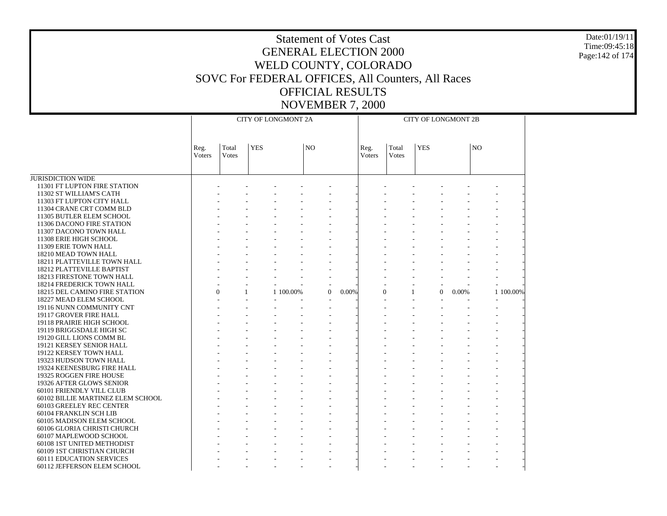#### Date:01/19/11 Time:09:45:18 Page:142 of 174

| Total<br><b>YES</b><br>Total<br><b>YES</b><br>N <sub>O</sub><br>N <sub>O</sub><br>Reg.<br>Reg.<br>Voters<br><b>Votes</b><br>Voters<br>Votes<br><b>JURISDICTION WIDE</b><br>11301 FT LUPTON FIRE STATION<br>11302 ST WILLIAM'S CATH<br>11303 FT LUPTON CITY HALL<br>11304 CRANE CRT COMM BLD<br>11305 BUTLER ELEM SCHOOL<br>11306 DACONO FIRE STATION<br>11307 DACONO TOWN HALL<br>11308 ERIE HIGH SCHOOL<br>11309 ERIE TOWN HALL<br>18210 MEAD TOWN HALL<br>18211 PLATTEVILLE TOWN HALL<br>18212 PLATTEVILLE BAPTIST<br>18213 FIRESTONE TOWN HALL<br>18214 FREDERICK TOWN HALL<br>$\Omega$<br>1 100,00%<br>18215 DEL CAMINO FIRE STATION<br>$\mathbf{1}$<br>1 100.00%<br>0.00%<br>$\mathbf{1}$<br>$\Omega$<br>0.00%<br>$\Omega$<br>18227 MEAD ELEM SCHOOL<br>19116 NUNN COMMUNITY CNT<br>19117 GROVER FIRE HALL<br>19118 PRAIRIE HIGH SCHOOL<br>19119 BRIGGSDALE HIGH SC<br>19120 GILL LIONS COMM BL<br>19121 KERSEY SENIOR HALL<br>19122 KERSEY TOWN HALL<br>19323 HUDSON TOWN HALL<br>19324 KEENESBURG FIRE HALL<br>19325 ROGGEN FIRE HOUSE<br>19326 AFTER GLOWS SENIOR<br>60101 FRIENDLY VILL CLUB<br>60102 BILLIE MARTINEZ ELEM SCHOOL<br>60103 GREELEY REC CENTER<br>60104 FRANKLIN SCH LIB<br>60105 MADISON ELEM SCHOOL<br>60106 GLORIA CHRISTI CHURCH<br>60107 MAPLEWOOD SCHOOL<br>60108 1ST UNITED METHODIST<br>60109 1ST CHRISTIAN CHURCH<br><b>60111 EDUCATION SERVICES</b><br>60112 JEFFERSON ELEM SCHOOL |  | <b>CITY OF LONGMONT 2A</b> |  |  |  | <b>CITY OF LONGMONT 2B</b> |  |  |
|----------------------------------------------------------------------------------------------------------------------------------------------------------------------------------------------------------------------------------------------------------------------------------------------------------------------------------------------------------------------------------------------------------------------------------------------------------------------------------------------------------------------------------------------------------------------------------------------------------------------------------------------------------------------------------------------------------------------------------------------------------------------------------------------------------------------------------------------------------------------------------------------------------------------------------------------------------------------------------------------------------------------------------------------------------------------------------------------------------------------------------------------------------------------------------------------------------------------------------------------------------------------------------------------------------------------------------------------------------------------------------------------------------------------|--|----------------------------|--|--|--|----------------------------|--|--|
|                                                                                                                                                                                                                                                                                                                                                                                                                                                                                                                                                                                                                                                                                                                                                                                                                                                                                                                                                                                                                                                                                                                                                                                                                                                                                                                                                                                                                      |  |                            |  |  |  |                            |  |  |
|                                                                                                                                                                                                                                                                                                                                                                                                                                                                                                                                                                                                                                                                                                                                                                                                                                                                                                                                                                                                                                                                                                                                                                                                                                                                                                                                                                                                                      |  |                            |  |  |  |                            |  |  |
|                                                                                                                                                                                                                                                                                                                                                                                                                                                                                                                                                                                                                                                                                                                                                                                                                                                                                                                                                                                                                                                                                                                                                                                                                                                                                                                                                                                                                      |  |                            |  |  |  |                            |  |  |
|                                                                                                                                                                                                                                                                                                                                                                                                                                                                                                                                                                                                                                                                                                                                                                                                                                                                                                                                                                                                                                                                                                                                                                                                                                                                                                                                                                                                                      |  |                            |  |  |  |                            |  |  |
|                                                                                                                                                                                                                                                                                                                                                                                                                                                                                                                                                                                                                                                                                                                                                                                                                                                                                                                                                                                                                                                                                                                                                                                                                                                                                                                                                                                                                      |  |                            |  |  |  |                            |  |  |
|                                                                                                                                                                                                                                                                                                                                                                                                                                                                                                                                                                                                                                                                                                                                                                                                                                                                                                                                                                                                                                                                                                                                                                                                                                                                                                                                                                                                                      |  |                            |  |  |  |                            |  |  |
|                                                                                                                                                                                                                                                                                                                                                                                                                                                                                                                                                                                                                                                                                                                                                                                                                                                                                                                                                                                                                                                                                                                                                                                                                                                                                                                                                                                                                      |  |                            |  |  |  |                            |  |  |
|                                                                                                                                                                                                                                                                                                                                                                                                                                                                                                                                                                                                                                                                                                                                                                                                                                                                                                                                                                                                                                                                                                                                                                                                                                                                                                                                                                                                                      |  |                            |  |  |  |                            |  |  |
|                                                                                                                                                                                                                                                                                                                                                                                                                                                                                                                                                                                                                                                                                                                                                                                                                                                                                                                                                                                                                                                                                                                                                                                                                                                                                                                                                                                                                      |  |                            |  |  |  |                            |  |  |
|                                                                                                                                                                                                                                                                                                                                                                                                                                                                                                                                                                                                                                                                                                                                                                                                                                                                                                                                                                                                                                                                                                                                                                                                                                                                                                                                                                                                                      |  |                            |  |  |  |                            |  |  |
|                                                                                                                                                                                                                                                                                                                                                                                                                                                                                                                                                                                                                                                                                                                                                                                                                                                                                                                                                                                                                                                                                                                                                                                                                                                                                                                                                                                                                      |  |                            |  |  |  |                            |  |  |
|                                                                                                                                                                                                                                                                                                                                                                                                                                                                                                                                                                                                                                                                                                                                                                                                                                                                                                                                                                                                                                                                                                                                                                                                                                                                                                                                                                                                                      |  |                            |  |  |  |                            |  |  |
|                                                                                                                                                                                                                                                                                                                                                                                                                                                                                                                                                                                                                                                                                                                                                                                                                                                                                                                                                                                                                                                                                                                                                                                                                                                                                                                                                                                                                      |  |                            |  |  |  |                            |  |  |
|                                                                                                                                                                                                                                                                                                                                                                                                                                                                                                                                                                                                                                                                                                                                                                                                                                                                                                                                                                                                                                                                                                                                                                                                                                                                                                                                                                                                                      |  |                            |  |  |  |                            |  |  |
|                                                                                                                                                                                                                                                                                                                                                                                                                                                                                                                                                                                                                                                                                                                                                                                                                                                                                                                                                                                                                                                                                                                                                                                                                                                                                                                                                                                                                      |  |                            |  |  |  |                            |  |  |
|                                                                                                                                                                                                                                                                                                                                                                                                                                                                                                                                                                                                                                                                                                                                                                                                                                                                                                                                                                                                                                                                                                                                                                                                                                                                                                                                                                                                                      |  |                            |  |  |  |                            |  |  |
|                                                                                                                                                                                                                                                                                                                                                                                                                                                                                                                                                                                                                                                                                                                                                                                                                                                                                                                                                                                                                                                                                                                                                                                                                                                                                                                                                                                                                      |  |                            |  |  |  |                            |  |  |
|                                                                                                                                                                                                                                                                                                                                                                                                                                                                                                                                                                                                                                                                                                                                                                                                                                                                                                                                                                                                                                                                                                                                                                                                                                                                                                                                                                                                                      |  |                            |  |  |  |                            |  |  |
|                                                                                                                                                                                                                                                                                                                                                                                                                                                                                                                                                                                                                                                                                                                                                                                                                                                                                                                                                                                                                                                                                                                                                                                                                                                                                                                                                                                                                      |  |                            |  |  |  |                            |  |  |
|                                                                                                                                                                                                                                                                                                                                                                                                                                                                                                                                                                                                                                                                                                                                                                                                                                                                                                                                                                                                                                                                                                                                                                                                                                                                                                                                                                                                                      |  |                            |  |  |  |                            |  |  |
|                                                                                                                                                                                                                                                                                                                                                                                                                                                                                                                                                                                                                                                                                                                                                                                                                                                                                                                                                                                                                                                                                                                                                                                                                                                                                                                                                                                                                      |  |                            |  |  |  |                            |  |  |
|                                                                                                                                                                                                                                                                                                                                                                                                                                                                                                                                                                                                                                                                                                                                                                                                                                                                                                                                                                                                                                                                                                                                                                                                                                                                                                                                                                                                                      |  |                            |  |  |  |                            |  |  |
|                                                                                                                                                                                                                                                                                                                                                                                                                                                                                                                                                                                                                                                                                                                                                                                                                                                                                                                                                                                                                                                                                                                                                                                                                                                                                                                                                                                                                      |  |                            |  |  |  |                            |  |  |
|                                                                                                                                                                                                                                                                                                                                                                                                                                                                                                                                                                                                                                                                                                                                                                                                                                                                                                                                                                                                                                                                                                                                                                                                                                                                                                                                                                                                                      |  |                            |  |  |  |                            |  |  |
|                                                                                                                                                                                                                                                                                                                                                                                                                                                                                                                                                                                                                                                                                                                                                                                                                                                                                                                                                                                                                                                                                                                                                                                                                                                                                                                                                                                                                      |  |                            |  |  |  |                            |  |  |
|                                                                                                                                                                                                                                                                                                                                                                                                                                                                                                                                                                                                                                                                                                                                                                                                                                                                                                                                                                                                                                                                                                                                                                                                                                                                                                                                                                                                                      |  |                            |  |  |  |                            |  |  |
|                                                                                                                                                                                                                                                                                                                                                                                                                                                                                                                                                                                                                                                                                                                                                                                                                                                                                                                                                                                                                                                                                                                                                                                                                                                                                                                                                                                                                      |  |                            |  |  |  |                            |  |  |
|                                                                                                                                                                                                                                                                                                                                                                                                                                                                                                                                                                                                                                                                                                                                                                                                                                                                                                                                                                                                                                                                                                                                                                                                                                                                                                                                                                                                                      |  |                            |  |  |  |                            |  |  |
|                                                                                                                                                                                                                                                                                                                                                                                                                                                                                                                                                                                                                                                                                                                                                                                                                                                                                                                                                                                                                                                                                                                                                                                                                                                                                                                                                                                                                      |  |                            |  |  |  |                            |  |  |
|                                                                                                                                                                                                                                                                                                                                                                                                                                                                                                                                                                                                                                                                                                                                                                                                                                                                                                                                                                                                                                                                                                                                                                                                                                                                                                                                                                                                                      |  |                            |  |  |  |                            |  |  |
|                                                                                                                                                                                                                                                                                                                                                                                                                                                                                                                                                                                                                                                                                                                                                                                                                                                                                                                                                                                                                                                                                                                                                                                                                                                                                                                                                                                                                      |  |                            |  |  |  |                            |  |  |
|                                                                                                                                                                                                                                                                                                                                                                                                                                                                                                                                                                                                                                                                                                                                                                                                                                                                                                                                                                                                                                                                                                                                                                                                                                                                                                                                                                                                                      |  |                            |  |  |  |                            |  |  |
|                                                                                                                                                                                                                                                                                                                                                                                                                                                                                                                                                                                                                                                                                                                                                                                                                                                                                                                                                                                                                                                                                                                                                                                                                                                                                                                                                                                                                      |  |                            |  |  |  |                            |  |  |
|                                                                                                                                                                                                                                                                                                                                                                                                                                                                                                                                                                                                                                                                                                                                                                                                                                                                                                                                                                                                                                                                                                                                                                                                                                                                                                                                                                                                                      |  |                            |  |  |  |                            |  |  |
|                                                                                                                                                                                                                                                                                                                                                                                                                                                                                                                                                                                                                                                                                                                                                                                                                                                                                                                                                                                                                                                                                                                                                                                                                                                                                                                                                                                                                      |  |                            |  |  |  |                            |  |  |
|                                                                                                                                                                                                                                                                                                                                                                                                                                                                                                                                                                                                                                                                                                                                                                                                                                                                                                                                                                                                                                                                                                                                                                                                                                                                                                                                                                                                                      |  |                            |  |  |  |                            |  |  |
|                                                                                                                                                                                                                                                                                                                                                                                                                                                                                                                                                                                                                                                                                                                                                                                                                                                                                                                                                                                                                                                                                                                                                                                                                                                                                                                                                                                                                      |  |                            |  |  |  |                            |  |  |
|                                                                                                                                                                                                                                                                                                                                                                                                                                                                                                                                                                                                                                                                                                                                                                                                                                                                                                                                                                                                                                                                                                                                                                                                                                                                                                                                                                                                                      |  |                            |  |  |  |                            |  |  |
|                                                                                                                                                                                                                                                                                                                                                                                                                                                                                                                                                                                                                                                                                                                                                                                                                                                                                                                                                                                                                                                                                                                                                                                                                                                                                                                                                                                                                      |  |                            |  |  |  |                            |  |  |
|                                                                                                                                                                                                                                                                                                                                                                                                                                                                                                                                                                                                                                                                                                                                                                                                                                                                                                                                                                                                                                                                                                                                                                                                                                                                                                                                                                                                                      |  |                            |  |  |  |                            |  |  |
|                                                                                                                                                                                                                                                                                                                                                                                                                                                                                                                                                                                                                                                                                                                                                                                                                                                                                                                                                                                                                                                                                                                                                                                                                                                                                                                                                                                                                      |  |                            |  |  |  |                            |  |  |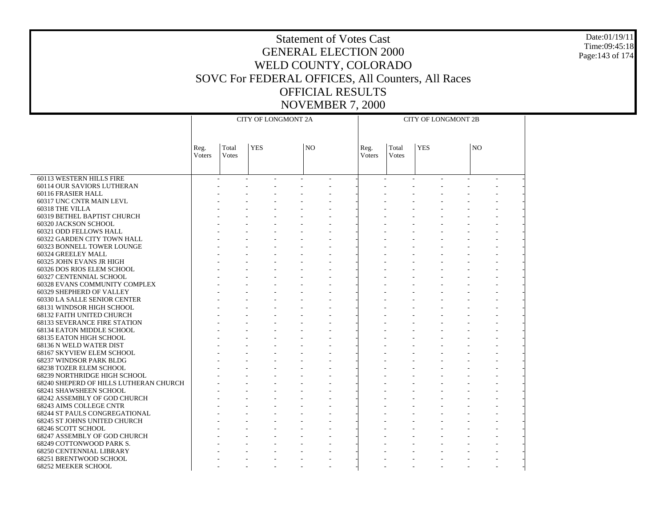Date:01/19/11 Time:09:45:18 Page:143 of 174

|                                        |                       |                | <b>CITY OF LONGMONT 2A</b> |                |                | <b>CITY OF LONGMONT 2B</b> |            |  |                |  |  |  |
|----------------------------------------|-----------------------|----------------|----------------------------|----------------|----------------|----------------------------|------------|--|----------------|--|--|--|
|                                        |                       |                |                            |                |                |                            |            |  |                |  |  |  |
|                                        | Reg.<br><b>Voters</b> | Total<br>Votes | <b>YES</b>                 | N <sub>O</sub> | Reg.<br>Voters | Total<br><b>Votes</b>      | <b>YES</b> |  | N <sub>O</sub> |  |  |  |
|                                        |                       |                |                            |                |                |                            |            |  |                |  |  |  |
| 60113 WESTERN HILLS FIRE               |                       |                |                            |                |                |                            |            |  |                |  |  |  |
| 60114 OUR SAVIORS LUTHERAN             |                       |                |                            |                |                |                            |            |  |                |  |  |  |
| 60116 FRASIER HALL                     |                       |                |                            |                |                |                            |            |  |                |  |  |  |
| 60317 UNC CNTR MAIN LEVL               |                       |                |                            |                |                |                            |            |  |                |  |  |  |
| 60318 THE VILLA                        |                       |                |                            |                |                |                            |            |  |                |  |  |  |
| 60319 BETHEL BAPTIST CHURCH            |                       |                |                            |                |                |                            |            |  |                |  |  |  |
| 60320 JACKSON SCHOOL                   |                       |                |                            |                |                |                            |            |  |                |  |  |  |
| 60321 ODD FELLOWS HALL                 |                       |                |                            |                |                |                            |            |  |                |  |  |  |
| 60322 GARDEN CITY TOWN HALL            |                       |                |                            |                |                |                            |            |  |                |  |  |  |
| 60323 BONNELL TOWER LOUNGE             |                       |                |                            |                |                |                            |            |  |                |  |  |  |
| 60324 GREELEY MALL                     |                       |                |                            |                |                |                            |            |  |                |  |  |  |
| 60325 JOHN EVANS JR HIGH               |                       |                |                            |                |                |                            |            |  |                |  |  |  |
| 60326 DOS RIOS ELEM SCHOOL             |                       |                |                            |                |                |                            |            |  |                |  |  |  |
| 60327 CENTENNIAL SCHOOL                |                       |                |                            |                |                |                            |            |  |                |  |  |  |
| 60328 EVANS COMMUNITY COMPLEX          |                       |                |                            |                |                |                            |            |  |                |  |  |  |
| 60329 SHEPHERD OF VALLEY               |                       |                |                            |                |                |                            |            |  |                |  |  |  |
| 60330 LA SALLE SENIOR CENTER           |                       |                |                            |                |                |                            |            |  |                |  |  |  |
| 68131 WINDSOR HIGH SCHOOL              |                       |                |                            |                |                |                            |            |  |                |  |  |  |
| 68132 FAITH UNITED CHURCH              |                       |                |                            |                |                |                            |            |  |                |  |  |  |
| <b>68133 SEVERANCE FIRE STATION</b>    |                       |                |                            |                |                |                            |            |  |                |  |  |  |
| 68134 EATON MIDDLE SCHOOL              |                       |                |                            |                |                |                            |            |  |                |  |  |  |
| 68135 EATON HIGH SCHOOL                |                       |                |                            |                |                |                            |            |  |                |  |  |  |
| 68136 N WELD WATER DIST                |                       |                |                            |                |                |                            |            |  |                |  |  |  |
| 68167 SKYVIEW ELEM SCHOOL              |                       |                |                            |                |                |                            |            |  |                |  |  |  |
| 68237 WINDSOR PARK BLDG                |                       |                |                            |                |                |                            |            |  |                |  |  |  |
| 68238 TOZER ELEM SCHOOL                |                       |                |                            |                |                |                            |            |  |                |  |  |  |
| 68239 NORTHRIDGE HIGH SCHOOL           |                       |                |                            |                |                |                            |            |  |                |  |  |  |
| 68240 SHEPERD OF HILLS LUTHERAN CHURCH |                       |                |                            |                |                |                            |            |  |                |  |  |  |
| 68241 SHAWSHEEN SCHOOL                 |                       |                |                            |                |                |                            |            |  |                |  |  |  |
| 68242 ASSEMBLY OF GOD CHURCH           |                       |                |                            |                |                |                            |            |  |                |  |  |  |
| 68243 AIMS COLLEGE CNTR                |                       |                |                            |                |                |                            |            |  |                |  |  |  |
| <b>68244 ST PAULS CONGREGATIONAL</b>   |                       |                |                            |                |                |                            |            |  |                |  |  |  |
| 68245 ST JOHNS UNITED CHURCH           |                       |                |                            |                |                |                            |            |  |                |  |  |  |
| 68246 SCOTT SCHOOL                     |                       |                |                            |                |                |                            |            |  |                |  |  |  |
| 68247 ASSEMBLY OF GOD CHURCH           |                       |                |                            |                |                |                            |            |  |                |  |  |  |
| 68249 COTTONWOOD PARK S.               |                       |                |                            |                |                |                            |            |  |                |  |  |  |
| <b>68250 CENTENNIAL LIBRARY</b>        |                       |                |                            |                |                |                            |            |  |                |  |  |  |
| 68251 BRENTWOOD SCHOOL                 |                       |                |                            |                |                |                            |            |  |                |  |  |  |
| <b>68252 MEEKER SCHOOL</b>             |                       |                |                            |                |                |                            |            |  |                |  |  |  |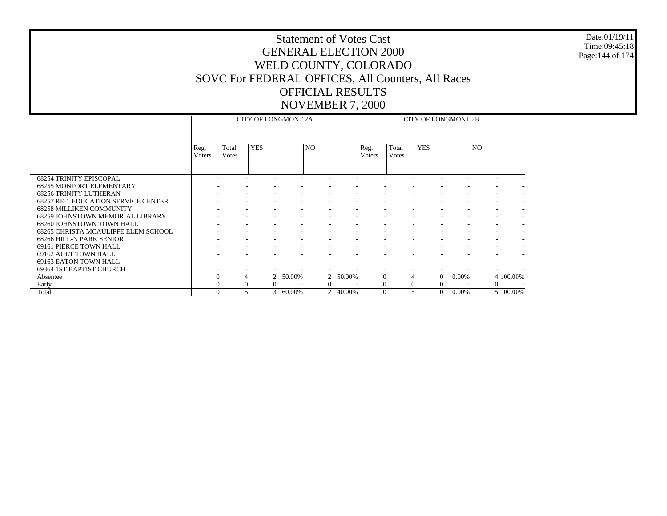#### Date:01/19/11 Time:09:45:18 Page:144 of 174

|                                                   |                        |                        | <b>CITY OF LONGMONT 2A</b> |        |                          |        |                |                        | <b>CITY OF LONGMONT 2B</b> |       |     |                          |
|---------------------------------------------------|------------------------|------------------------|----------------------------|--------|--------------------------|--------|----------------|------------------------|----------------------------|-------|-----|--------------------------|
|                                                   | Reg.<br><b>V</b> oters | Total<br><b>V</b> otes | <b>YES</b>                 |        | N <sub>O</sub>           |        | Reg.<br>Voters | Total<br><b>V</b> otes | <b>YES</b>                 |       | NO. |                          |
| <b>68254 TRINITY EPISCOPAL</b>                    |                        |                        |                            |        |                          |        |                |                        |                            |       |     |                          |
| <b>68255 MONFORT ELEMENTARY</b>                   |                        |                        |                            |        |                          |        |                |                        |                            |       |     |                          |
| <b>68256 TRINITY LUTHERAN</b>                     |                        |                        |                            |        | ٠                        |        |                | ۰                      | ٠                          |       |     | $\overline{\phantom{a}}$ |
| <b>68257 RE-1 EDUCATION SERVICE CENTER</b>        |                        |                        |                            |        |                          |        |                | ۰<br>٠                 |                            |       |     | $\overline{\phantom{a}}$ |
| <b>68258 MILLIKEN COMMUNITY</b>                   |                        |                        |                            |        |                          |        |                |                        |                            |       |     | $\overline{\phantom{a}}$ |
| <b>68259 JOHNSTOWN MEMORIAL LIBRARY</b>           |                        |                        |                            |        | $\overline{\phantom{a}}$ |        | ۰              |                        |                            |       |     | $\overline{\phantom{a}}$ |
| 68260 JOHNSTOWN TOWN HALL                         |                        |                        |                            |        |                          |        |                |                        |                            |       |     |                          |
| 68265 CHRISTA MCAULIFFE ELEM SCHOOL               |                        |                        |                            |        |                          |        | ٠              |                        |                            |       |     |                          |
| 68266 HILL-N PARK SENIOR                          |                        |                        |                            |        |                          |        |                |                        |                            |       |     |                          |
| 69161 PIERCE TOWN HALL                            |                        |                        |                            |        |                          |        |                | ۰                      |                            |       |     | $\overline{\phantom{a}}$ |
| 69162 AULT TOWN HALL                              |                        |                        |                            |        |                          |        |                |                        |                            |       |     |                          |
| 69163 EATON TOWN HALL<br>69364 1ST BAPTIST CHURCH |                        |                        |                            |        |                          |        |                |                        |                            |       |     | $\overline{\phantom{a}}$ |
| Absentee                                          | $\overline{0}$         | 4                      | $\mathcal{L}$              | 50.00% | $\overline{2}$           | 50.00% | $\Omega$       | 4                      | $\Omega$                   | 0.00% |     | 4 100.00%                |
| Early                                             | $\overline{0}$         | $\mathbf{0}$           | $\Omega$                   |        | $\mathbf{0}$             |        | $\Omega$       | $\Omega$               | $\Omega$                   |       |     | $\mathbf{0}$             |
| Total                                             | $\Omega$               | 5                      | $\mathbf{3}$               | 60.00% | $\overline{2}$           | 40.00% | $\theta$       | 5                      | $\overline{0}$             | 0.00% |     | 5 100.00%                |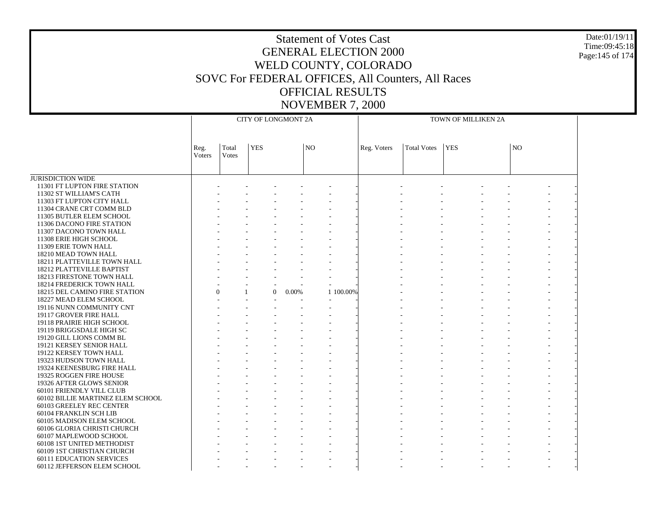JURISDICTION WIDE 11301 FT LUPTON FIRE STATION 11302 ST WILLIAM'S CATH 11303 FT LUPTON CITY HALL 11304 CRANE CRT COMM BLD 11305 BUTLER ELEM SCHOOL 11306 DACONO FIRE STATION 11307 DACONO TOWN HALL 11308 ERIE HIGH SCHOOL 11309 ERIE TOWN HALL 18210 MEAD TOWN HALL 18211 PLATTEVILLE TOWN HALL 18212 PLATTEVILLE BAPTIST 18213 FIRESTONE TOWN HALL 18214 FREDERICK TOWN HALL 18215 DEL CAMINO FIRE STATION 18227 MEAD ELEM SCHOOL 19116 NUNN COMMUNITY CNT 19117 GROVER FIRE HALL 19118 PRAIRIE HIGH SCHOOL 19119 BRIGGSDALE HIGH SC 19120 GILL LIONS COMM BL 19121 KERSEY SENIOR HALL 19122 KERSEY TOWN HALL 19323 HUDSON TOWN HALL 19324 KEENESBURG FIRE HALL 19325 ROGGEN FIRE HOUSE 19326 AFTER GLOWS SENIOR 60101 FRIENDLY VILL CLUB 60102 BILLIE MARTINEZ ELEM SCHOOL 60103 GREELEY REC CENTER 60104 FRANKLIN SCH LIB 60105 MADISON ELEM SCHOOL 60106 GLORIA CHRISTI CHURCH 60107 MAPLEWOOD SCHOOL 60108 1ST UNITED METHODIST 60109 1ST CHRISTIAN CHURCH 60111 EDUCATION SERVICES 60112 JEFFERSON ELEM SCHOOL Reg. VotersTotal VotesYES NOCITY OF LONGMONT 2AReg. Voters | Total Votes | YES | NO TOWN OF MILLIKEN 2A - - - - - - - - - - - - - - - - - - - - - - - - - - - - - - - - - - - - - - - - - - - - - - - - - - - - - - - - - - - - - - - - - - - - - - - - - - - - - - - - - - - - - - - - - - - - - - - - - - - - - - - - - - - - - - - - - - - - - - - - - - - - - - - - - - - - - - - - - - - - - - - - - - - - - - - - - - 0 $0 \quad 0.00\%$  $\%$  1 100.00% - - - - - - - - - - - - - - - - - - - - - - - - - - - - - - - - - - - - - - - - - - - - - - - - - - - - - - - - - - - - - - - - - - - - - - - - - - - - - - - - - - - - - - - - - - - - - - - - - - - - - - - - - - - - - - - - - - - - - - - - - - - - - - - - - - - - - - - - - - - - - - - - - - - - - - - - - - - - - - - - - - - - - - - - - - - - - - - - - - - - - - - - - - - - - - - - - - - - - - - - - - - - - - - - - - - - - - - - - - - - - - - - - - - - - - - - - - - - - - - - - - - - - - - - - - - - - - - - - - - - - - - - - -

Date:01/19/11Time:09:45:18Page:145 of 174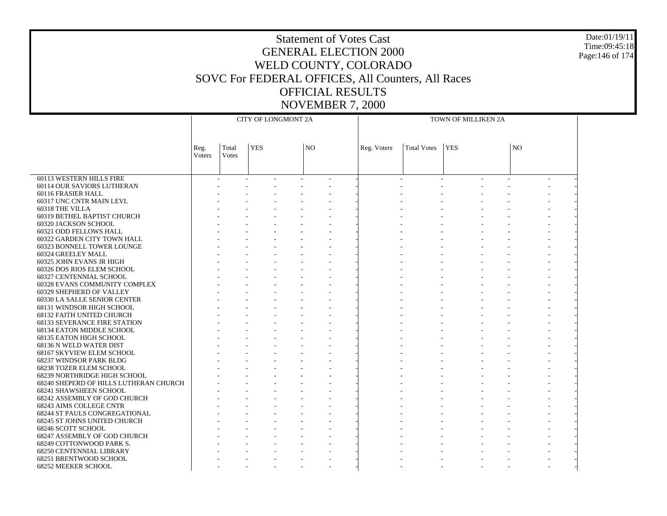#### Date:01/19/11 Time:09:45:18 Page:146 of 174

| <b>YES</b><br>Total<br>N <sub>O</sub><br><b>Total Votes</b><br><b>YES</b><br> NO<br>Reg. Voters<br>Reg.<br>Voters<br>Votes<br>60113 WESTERN HILLS FIRE<br>60114 OUR SAVIORS LUTHERAN<br>60116 FRASIER HALL<br>60317 UNC CNTR MAIN LEVL<br>60318 THE VILLA<br>60319 BETHEL BAPTIST CHURCH<br>60320 JACKSON SCHOOL<br>60321 ODD FELLOWS HALL<br>60322 GARDEN CITY TOWN HALL<br>60323 BONNELL TOWER LOUNGE<br>60324 GREELEY MALL<br>60325 JOHN EVANS JR HIGH<br>60326 DOS RIOS ELEM SCHOOL<br>60327 CENTENNIAL SCHOOL<br>60328 EVANS COMMUNITY COMPLEX<br>60329 SHEPHERD OF VALLEY<br>60330 LA SALLE SENIOR CENTER<br>68131 WINDSOR HIGH SCHOOL<br>68132 FAITH UNITED CHURCH<br><b>68133 SEVERANCE FIRE STATION</b><br>68134 EATON MIDDLE SCHOOL<br>68135 EATON HIGH SCHOOL<br>68136 N WELD WATER DIST<br>68167 SKYVIEW ELEM SCHOOL<br>68237 WINDSOR PARK BLDG<br>68238 TOZER ELEM SCHOOL<br>68239 NORTHRIDGE HIGH SCHOOL<br>68240 SHEPERD OF HILLS LUTHERAN CHURCH<br>68241 SHAWSHEEN SCHOOL |  | CITY OF LONGMONT 2A |  |  | TOWN OF MILLIKEN 2A |  |  |
|--------------------------------------------------------------------------------------------------------------------------------------------------------------------------------------------------------------------------------------------------------------------------------------------------------------------------------------------------------------------------------------------------------------------------------------------------------------------------------------------------------------------------------------------------------------------------------------------------------------------------------------------------------------------------------------------------------------------------------------------------------------------------------------------------------------------------------------------------------------------------------------------------------------------------------------------------------------------------------------------|--|---------------------|--|--|---------------------|--|--|
|                                                                                                                                                                                                                                                                                                                                                                                                                                                                                                                                                                                                                                                                                                                                                                                                                                                                                                                                                                                            |  |                     |  |  |                     |  |  |
|                                                                                                                                                                                                                                                                                                                                                                                                                                                                                                                                                                                                                                                                                                                                                                                                                                                                                                                                                                                            |  |                     |  |  |                     |  |  |
|                                                                                                                                                                                                                                                                                                                                                                                                                                                                                                                                                                                                                                                                                                                                                                                                                                                                                                                                                                                            |  |                     |  |  |                     |  |  |
|                                                                                                                                                                                                                                                                                                                                                                                                                                                                                                                                                                                                                                                                                                                                                                                                                                                                                                                                                                                            |  |                     |  |  |                     |  |  |
|                                                                                                                                                                                                                                                                                                                                                                                                                                                                                                                                                                                                                                                                                                                                                                                                                                                                                                                                                                                            |  |                     |  |  |                     |  |  |
|                                                                                                                                                                                                                                                                                                                                                                                                                                                                                                                                                                                                                                                                                                                                                                                                                                                                                                                                                                                            |  |                     |  |  |                     |  |  |
|                                                                                                                                                                                                                                                                                                                                                                                                                                                                                                                                                                                                                                                                                                                                                                                                                                                                                                                                                                                            |  |                     |  |  |                     |  |  |
|                                                                                                                                                                                                                                                                                                                                                                                                                                                                                                                                                                                                                                                                                                                                                                                                                                                                                                                                                                                            |  |                     |  |  |                     |  |  |
|                                                                                                                                                                                                                                                                                                                                                                                                                                                                                                                                                                                                                                                                                                                                                                                                                                                                                                                                                                                            |  |                     |  |  |                     |  |  |
|                                                                                                                                                                                                                                                                                                                                                                                                                                                                                                                                                                                                                                                                                                                                                                                                                                                                                                                                                                                            |  |                     |  |  |                     |  |  |
|                                                                                                                                                                                                                                                                                                                                                                                                                                                                                                                                                                                                                                                                                                                                                                                                                                                                                                                                                                                            |  |                     |  |  |                     |  |  |
|                                                                                                                                                                                                                                                                                                                                                                                                                                                                                                                                                                                                                                                                                                                                                                                                                                                                                                                                                                                            |  |                     |  |  |                     |  |  |
|                                                                                                                                                                                                                                                                                                                                                                                                                                                                                                                                                                                                                                                                                                                                                                                                                                                                                                                                                                                            |  |                     |  |  |                     |  |  |
|                                                                                                                                                                                                                                                                                                                                                                                                                                                                                                                                                                                                                                                                                                                                                                                                                                                                                                                                                                                            |  |                     |  |  |                     |  |  |
|                                                                                                                                                                                                                                                                                                                                                                                                                                                                                                                                                                                                                                                                                                                                                                                                                                                                                                                                                                                            |  |                     |  |  |                     |  |  |
|                                                                                                                                                                                                                                                                                                                                                                                                                                                                                                                                                                                                                                                                                                                                                                                                                                                                                                                                                                                            |  |                     |  |  |                     |  |  |
|                                                                                                                                                                                                                                                                                                                                                                                                                                                                                                                                                                                                                                                                                                                                                                                                                                                                                                                                                                                            |  |                     |  |  |                     |  |  |
|                                                                                                                                                                                                                                                                                                                                                                                                                                                                                                                                                                                                                                                                                                                                                                                                                                                                                                                                                                                            |  |                     |  |  |                     |  |  |
|                                                                                                                                                                                                                                                                                                                                                                                                                                                                                                                                                                                                                                                                                                                                                                                                                                                                                                                                                                                            |  |                     |  |  |                     |  |  |
|                                                                                                                                                                                                                                                                                                                                                                                                                                                                                                                                                                                                                                                                                                                                                                                                                                                                                                                                                                                            |  |                     |  |  |                     |  |  |
|                                                                                                                                                                                                                                                                                                                                                                                                                                                                                                                                                                                                                                                                                                                                                                                                                                                                                                                                                                                            |  |                     |  |  |                     |  |  |
|                                                                                                                                                                                                                                                                                                                                                                                                                                                                                                                                                                                                                                                                                                                                                                                                                                                                                                                                                                                            |  |                     |  |  |                     |  |  |
|                                                                                                                                                                                                                                                                                                                                                                                                                                                                                                                                                                                                                                                                                                                                                                                                                                                                                                                                                                                            |  |                     |  |  |                     |  |  |
|                                                                                                                                                                                                                                                                                                                                                                                                                                                                                                                                                                                                                                                                                                                                                                                                                                                                                                                                                                                            |  |                     |  |  |                     |  |  |
|                                                                                                                                                                                                                                                                                                                                                                                                                                                                                                                                                                                                                                                                                                                                                                                                                                                                                                                                                                                            |  |                     |  |  |                     |  |  |
|                                                                                                                                                                                                                                                                                                                                                                                                                                                                                                                                                                                                                                                                                                                                                                                                                                                                                                                                                                                            |  |                     |  |  |                     |  |  |
|                                                                                                                                                                                                                                                                                                                                                                                                                                                                                                                                                                                                                                                                                                                                                                                                                                                                                                                                                                                            |  |                     |  |  |                     |  |  |
|                                                                                                                                                                                                                                                                                                                                                                                                                                                                                                                                                                                                                                                                                                                                                                                                                                                                                                                                                                                            |  |                     |  |  |                     |  |  |
|                                                                                                                                                                                                                                                                                                                                                                                                                                                                                                                                                                                                                                                                                                                                                                                                                                                                                                                                                                                            |  |                     |  |  |                     |  |  |
|                                                                                                                                                                                                                                                                                                                                                                                                                                                                                                                                                                                                                                                                                                                                                                                                                                                                                                                                                                                            |  |                     |  |  |                     |  |  |
|                                                                                                                                                                                                                                                                                                                                                                                                                                                                                                                                                                                                                                                                                                                                                                                                                                                                                                                                                                                            |  |                     |  |  |                     |  |  |
|                                                                                                                                                                                                                                                                                                                                                                                                                                                                                                                                                                                                                                                                                                                                                                                                                                                                                                                                                                                            |  |                     |  |  |                     |  |  |
|                                                                                                                                                                                                                                                                                                                                                                                                                                                                                                                                                                                                                                                                                                                                                                                                                                                                                                                                                                                            |  |                     |  |  |                     |  |  |
|                                                                                                                                                                                                                                                                                                                                                                                                                                                                                                                                                                                                                                                                                                                                                                                                                                                                                                                                                                                            |  |                     |  |  |                     |  |  |
|                                                                                                                                                                                                                                                                                                                                                                                                                                                                                                                                                                                                                                                                                                                                                                                                                                                                                                                                                                                            |  |                     |  |  |                     |  |  |
| 68242 ASSEMBLY OF GOD CHURCH<br>68243 AIMS COLLEGE CNTR                                                                                                                                                                                                                                                                                                                                                                                                                                                                                                                                                                                                                                                                                                                                                                                                                                                                                                                                    |  |                     |  |  |                     |  |  |
|                                                                                                                                                                                                                                                                                                                                                                                                                                                                                                                                                                                                                                                                                                                                                                                                                                                                                                                                                                                            |  |                     |  |  |                     |  |  |
| <b>68244 ST PAULS CONGREGATIONAL</b><br>68245 ST JOHNS UNITED CHURCH                                                                                                                                                                                                                                                                                                                                                                                                                                                                                                                                                                                                                                                                                                                                                                                                                                                                                                                       |  |                     |  |  |                     |  |  |
| 68246 SCOTT SCHOOL                                                                                                                                                                                                                                                                                                                                                                                                                                                                                                                                                                                                                                                                                                                                                                                                                                                                                                                                                                         |  |                     |  |  |                     |  |  |
| 68247 ASSEMBLY OF GOD CHURCH                                                                                                                                                                                                                                                                                                                                                                                                                                                                                                                                                                                                                                                                                                                                                                                                                                                                                                                                                               |  |                     |  |  |                     |  |  |
| 68249 COTTONWOOD PARK S.                                                                                                                                                                                                                                                                                                                                                                                                                                                                                                                                                                                                                                                                                                                                                                                                                                                                                                                                                                   |  |                     |  |  |                     |  |  |
| <b>68250 CENTENNIAL LIBRARY</b>                                                                                                                                                                                                                                                                                                                                                                                                                                                                                                                                                                                                                                                                                                                                                                                                                                                                                                                                                            |  |                     |  |  |                     |  |  |
| 68251 BRENTWOOD SCHOOL                                                                                                                                                                                                                                                                                                                                                                                                                                                                                                                                                                                                                                                                                                                                                                                                                                                                                                                                                                     |  |                     |  |  |                     |  |  |
| <b>68252 MEEKER SCHOOL</b>                                                                                                                                                                                                                                                                                                                                                                                                                                                                                                                                                                                                                                                                                                                                                                                                                                                                                                                                                                 |  |                     |  |  |                     |  |  |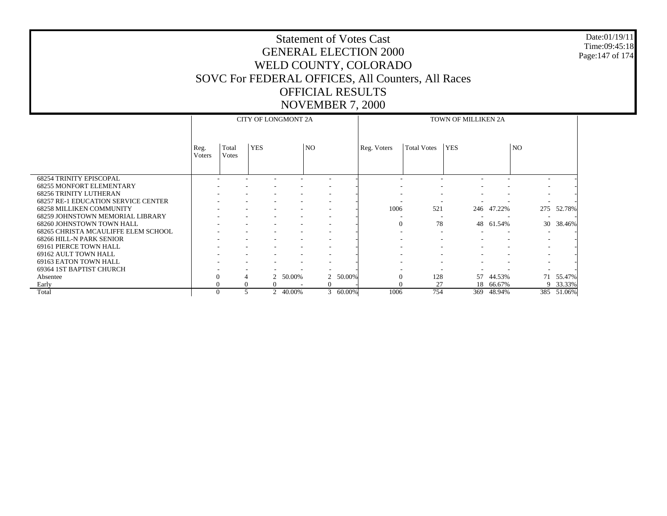#### Date:01/19/11 Time:09:45:18 Page:147 of 174

|                                            |                |                        | <b>CITY OF LONGMONT 2A</b> |                          |           |                          |             |                |                    | TOWN OF MILLIKEN 2A |                          |                          |            |
|--------------------------------------------|----------------|------------------------|----------------------------|--------------------------|-----------|--------------------------|-------------|----------------|--------------------|---------------------|--------------------------|--------------------------|------------|
|                                            | Reg.<br>Voters | Total<br><b>V</b> otes | <b>YES</b>                 |                          | <b>NO</b> |                          | Reg. Voters |                | <b>Total Votes</b> | <b>YES</b>          |                          | <b>NO</b>                |            |
| <b>68254 TRINITY EPISCOPAL</b>             |                |                        |                            |                          |           |                          |             |                |                    |                     |                          | ۰                        |            |
| <b>68255 MONFORT ELEMENTARY</b>            |                |                        |                            |                          |           |                          |             |                |                    |                     |                          |                          |            |
| <b>68256 TRINITY LUTHERAN</b>              |                |                        |                            |                          |           |                          |             |                |                    |                     |                          | ٠                        |            |
| <b>68257 RE-1 EDUCATION SERVICE CENTER</b> |                |                        |                            |                          |           |                          |             |                | -                  |                     |                          | $\overline{\phantom{a}}$ |            |
| <b>68258 MILLIKEN COMMUNITY</b>            |                |                        |                            |                          |           |                          |             | 1006           | 521                | 246                 | 47.22%                   |                          | 275 52.78% |
| <b>68259 JOHNSTOWN MEMORIAL LIBRARY</b>    |                |                        |                            |                          |           |                          |             |                |                    |                     |                          | ٠                        |            |
| 68260 JOHNSTOWN TOWN HALL                  |                |                        |                            |                          |           |                          |             | $\overline{0}$ | 78                 | 48                  | 61.54%                   | 30                       | 38.46%     |
| 68265 CHRISTA MCAULIFFE ELEM SCHOOL        |                |                        |                            |                          |           |                          |             | ۰              | ٠                  |                     | $\overline{\phantom{a}}$ | ۰                        |            |
| 68266 HILL-N PARK SENIOR                   |                |                        |                            |                          |           |                          |             |                |                    |                     |                          |                          |            |
| 69161 PIERCE TOWN HALL                     |                |                        |                            |                          |           | $\overline{\phantom{a}}$ |             |                | ٠                  | ۰                   | ٠                        | ۰                        |            |
| 69162 AULT TOWN HALL                       |                |                        |                            |                          |           |                          |             |                |                    |                     |                          |                          |            |
| 69163 EATON TOWN HALL                      |                |                        |                            |                          |           | $\overline{\phantom{a}}$ |             |                |                    |                     |                          |                          |            |
| 69364 1ST BAPTIST CHURCH                   |                |                        |                            |                          |           |                          |             |                |                    |                     |                          |                          |            |
| Absentee                                   | $\Omega$       |                        |                            | 50.00%                   |           | 50.00%<br>$\overline{2}$ |             | $\Omega$       | 128                | 57                  | 44.53%                   | 71                       | 55.47%     |
| Early                                      |                | $\Omega$               |                            | $\Omega$                 |           | $\overline{0}$           |             |                | 27                 | 18                  | 66.67%                   |                          | 9 33.33%   |
| Total                                      | $\Omega$       | 5                      |                            | 40.00%<br>$\overline{2}$ |           | 3 60.00%                 |             | 1006           | 754                | 369                 | 48.94%                   |                          | 385 51.06% |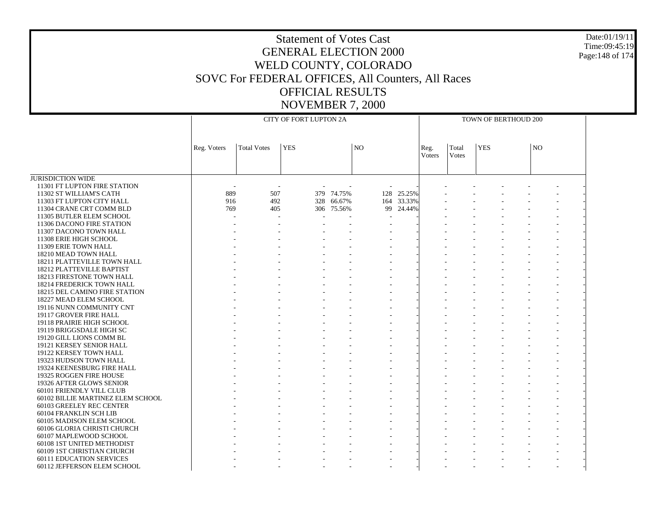#### Date:01/19/11 Time:09:45:19 Page:148 of 174

|                                   |             |                    | CITY OF FORT LUPTON 2A |            |                |            |                       |                       | TOWN OF BERTHOUD 200 |    |  |
|-----------------------------------|-------------|--------------------|------------------------|------------|----------------|------------|-----------------------|-----------------------|----------------------|----|--|
|                                   | Reg. Voters | <b>Total Votes</b> | <b>YES</b>             |            | N <sub>O</sub> |            | Reg.<br><b>Voters</b> | Total<br><b>Votes</b> | <b>YES</b>           | NO |  |
| <b>JURISDICTION WIDE</b>          |             |                    |                        |            |                |            |                       |                       |                      |    |  |
|                                   |             |                    |                        |            |                |            |                       |                       |                      |    |  |
| 11301 FT LUPTON FIRE STATION      |             |                    |                        |            |                |            |                       |                       |                      |    |  |
| 11302 ST WILLIAM'S CATH           | 889         | 507                |                        | 379 74.75% | 128            | 25.25%     |                       |                       |                      |    |  |
| 11303 FT LUPTON CITY HALL         | 916         | 492                |                        | 328 66.67% |                | 164 33.33% |                       |                       |                      |    |  |
| 11304 CRANE CRT COMM BLD          | 769         | 405                |                        | 306 75.56% | 99             | 24.44%     |                       |                       |                      |    |  |
| 11305 BUTLER ELEM SCHOOL          |             |                    |                        |            |                |            |                       |                       |                      |    |  |
| 11306 DACONO FIRE STATION         |             |                    |                        |            |                |            |                       |                       |                      |    |  |
| 11307 DACONO TOWN HALL            |             |                    |                        |            |                |            |                       |                       |                      |    |  |
| 11308 ERIE HIGH SCHOOL            |             |                    |                        |            |                |            |                       |                       |                      |    |  |
| 11309 ERIE TOWN HALL              |             |                    |                        |            |                |            |                       |                       |                      |    |  |
| 18210 MEAD TOWN HALL              |             |                    |                        |            |                |            |                       |                       |                      |    |  |
| 18211 PLATTEVILLE TOWN HALL       |             |                    |                        |            |                |            |                       |                       |                      |    |  |
| 18212 PLATTEVILLE BAPTIST         |             |                    |                        |            |                |            |                       |                       |                      |    |  |
| 18213 FIRESTONE TOWN HALL         |             |                    |                        |            |                |            |                       |                       |                      |    |  |
| 18214 FREDERICK TOWN HALL         |             |                    |                        |            |                |            |                       |                       |                      |    |  |
| 18215 DEL CAMINO FIRE STATION     |             |                    |                        |            |                |            |                       |                       |                      |    |  |
| 18227 MEAD ELEM SCHOOL            |             |                    |                        |            |                |            |                       |                       |                      |    |  |
| 19116 NUNN COMMUNITY CNT          |             |                    |                        |            |                |            |                       |                       |                      |    |  |
| 19117 GROVER FIRE HALL            |             |                    |                        |            |                |            |                       |                       |                      |    |  |
| 19118 PRAIRIE HIGH SCHOOL         |             |                    |                        |            |                |            |                       |                       |                      |    |  |
| 19119 BRIGGSDALE HIGH SC          |             |                    |                        |            |                |            |                       |                       |                      |    |  |
| 19120 GILL LIONS COMM BL          |             |                    |                        |            |                |            |                       |                       |                      |    |  |
| 19121 KERSEY SENIOR HALL          |             |                    |                        |            |                |            |                       |                       |                      |    |  |
| 19122 KERSEY TOWN HALL            |             |                    |                        |            |                |            |                       |                       |                      |    |  |
| 19323 HUDSON TOWN HALL            |             |                    |                        |            |                |            |                       |                       |                      |    |  |
| 19324 KEENESBURG FIRE HALL        |             |                    |                        |            |                |            |                       |                       |                      |    |  |
| 19325 ROGGEN FIRE HOUSE           |             |                    |                        |            |                |            |                       |                       |                      |    |  |
| 19326 AFTER GLOWS SENIOR          |             |                    |                        |            |                |            |                       |                       |                      |    |  |
| 60101 FRIENDLY VILL CLUB          |             |                    |                        |            |                |            |                       |                       |                      |    |  |
| 60102 BILLIE MARTINEZ ELEM SCHOOL |             |                    |                        |            |                |            |                       |                       |                      |    |  |
| 60103 GREELEY REC CENTER          |             |                    |                        |            |                |            |                       |                       |                      |    |  |
| 60104 FRANKLIN SCH LIB            |             |                    |                        |            |                |            |                       |                       |                      |    |  |
| 60105 MADISON ELEM SCHOOL         |             |                    |                        |            |                |            |                       |                       |                      |    |  |
| 60106 GLORIA CHRISTI CHURCH       |             |                    |                        |            |                |            |                       |                       |                      |    |  |
| 60107 MAPLEWOOD SCHOOL            |             |                    |                        |            |                |            |                       |                       |                      |    |  |
| 60108 1ST UNITED METHODIST        |             |                    |                        |            |                |            |                       |                       |                      |    |  |
| 60109 1ST CHRISTIAN CHURCH        |             |                    |                        |            |                |            |                       |                       |                      |    |  |
| <b>60111 EDUCATION SERVICES</b>   |             |                    |                        |            |                |            |                       |                       |                      |    |  |
| 60112 JEFFERSON ELEM SCHOOL       |             |                    |                        |            |                |            |                       |                       |                      |    |  |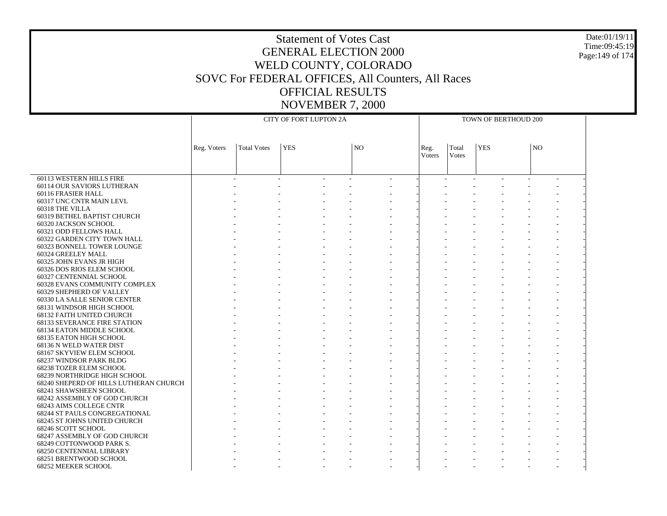#### Date:01/19/11 Time:09:45:19 Page:149 of 174

|                                                        |             |                    | CITY OF FORT LUPTON 2A |                |        |       | TOWN OF BERTHOUD 200 |                |                |  |
|--------------------------------------------------------|-------------|--------------------|------------------------|----------------|--------|-------|----------------------|----------------|----------------|--|
|                                                        |             |                    |                        |                |        |       |                      |                |                |  |
|                                                        |             |                    |                        |                |        |       |                      |                |                |  |
|                                                        | Reg. Voters | <b>Total Votes</b> | <b>YES</b>             | N <sub>O</sub> | Reg.   | Total | <b>YES</b>           | N <sub>O</sub> |                |  |
|                                                        |             |                    |                        |                | Voters | Votes |                      |                |                |  |
|                                                        |             |                    |                        |                |        |       |                      |                |                |  |
| 60113 WESTERN HILLS FIRE                               |             |                    |                        |                |        |       |                      |                |                |  |
| 60114 OUR SAVIORS LUTHERAN                             |             |                    |                        |                |        |       |                      |                |                |  |
| 60116 FRASIER HALL                                     |             |                    |                        |                |        |       |                      |                |                |  |
| 60317 UNC CNTR MAIN LEVL                               |             |                    |                        |                |        |       |                      |                |                |  |
| 60318 THE VILLA                                        |             |                    |                        |                |        |       |                      |                |                |  |
| 60319 BETHEL BAPTIST CHURCH                            |             |                    |                        |                |        |       |                      |                |                |  |
| 60320 JACKSON SCHOOL                                   |             |                    |                        |                |        |       |                      |                |                |  |
| 60321 ODD FELLOWS HALL                                 |             |                    |                        |                |        |       |                      |                |                |  |
| 60322 GARDEN CITY TOWN HALL                            |             |                    |                        |                |        |       |                      |                |                |  |
| 60323 BONNELL TOWER LOUNGE                             |             |                    |                        |                |        |       |                      |                |                |  |
| 60324 GREELEY MALL                                     |             |                    |                        |                |        |       |                      |                |                |  |
| 60325 JOHN EVANS JR HIGH                               |             |                    |                        |                |        |       |                      |                |                |  |
| 60326 DOS RIOS ELEM SCHOOL                             |             |                    |                        |                |        |       |                      |                |                |  |
| 60327 CENTENNIAL SCHOOL                                |             |                    |                        |                |        |       |                      |                |                |  |
| 60328 EVANS COMMUNITY COMPLEX                          |             |                    |                        |                |        |       |                      |                |                |  |
| 60329 SHEPHERD OF VALLEY                               |             |                    |                        |                |        |       |                      |                |                |  |
| 60330 LA SALLE SENIOR CENTER                           |             |                    |                        |                |        |       |                      |                |                |  |
| 68131 WINDSOR HIGH SCHOOL                              |             |                    |                        |                |        |       |                      |                |                |  |
| 68132 FAITH UNITED CHURCH                              |             |                    |                        |                |        |       |                      |                |                |  |
| <b>68133 SEVERANCE FIRE STATION</b>                    |             |                    |                        |                |        |       |                      |                |                |  |
| 68134 EATON MIDDLE SCHOOL                              |             |                    |                        |                |        |       |                      |                |                |  |
| 68135 EATON HIGH SCHOOL                                |             |                    |                        |                |        |       |                      |                |                |  |
| 68136 N WELD WATER DIST                                |             |                    |                        |                |        |       |                      |                |                |  |
| 68167 SKYVIEW ELEM SCHOOL                              |             |                    |                        |                |        |       |                      |                |                |  |
| 68237 WINDSOR PARK BLDG                                |             |                    |                        |                |        |       |                      |                |                |  |
| 68238 TOZER ELEM SCHOOL                                |             |                    |                        |                |        |       |                      |                |                |  |
| 68239 NORTHRIDGE HIGH SCHOOL                           |             |                    |                        |                |        |       |                      |                |                |  |
| 68240 SHEPERD OF HILLS LUTHERAN CHURCH                 |             |                    |                        |                |        |       |                      |                |                |  |
| 68241 SHAWSHEEN SCHOOL<br>68242 ASSEMBLY OF GOD CHURCH |             |                    |                        |                |        |       |                      |                |                |  |
| 68243 AIMS COLLEGE CNTR                                |             |                    |                        |                |        |       |                      |                |                |  |
| <b>68244 ST PAULS CONGREGATIONAL</b>                   |             |                    |                        |                |        |       |                      |                |                |  |
| 68245 ST JOHNS UNITED CHURCH                           |             |                    |                        |                |        |       |                      |                |                |  |
| 68246 SCOTT SCHOOL                                     |             |                    |                        |                |        |       |                      |                |                |  |
| 68247 ASSEMBLY OF GOD CHURCH                           |             |                    |                        |                |        |       |                      |                | $\overline{a}$ |  |
| 68249 COTTONWOOD PARK S.                               |             |                    |                        |                |        |       |                      |                |                |  |
| 68250 CENTENNIAL LIBRARY                               |             |                    |                        |                |        |       |                      |                |                |  |
| 68251 BRENTWOOD SCHOOL                                 |             |                    |                        |                |        |       |                      |                |                |  |
| 68252 MEEKER SCHOOL                                    |             |                    |                        |                |        |       |                      |                |                |  |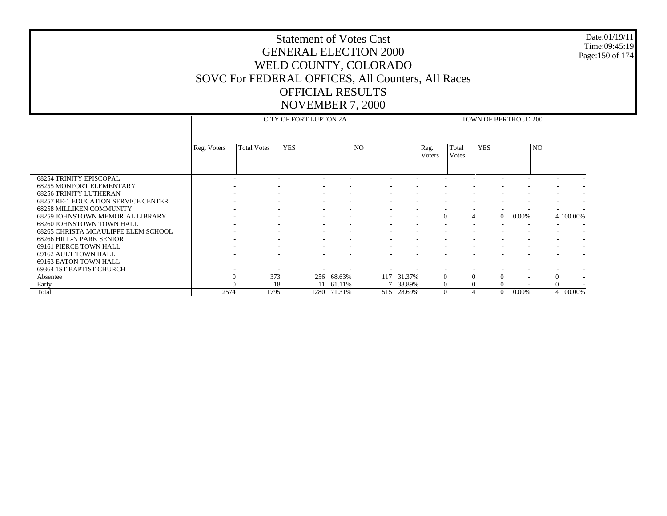#### Date:01/19/11 Time:09:45:19 Page:150 of 174

|                                                    |             |                    | <b>CITY OF FORT LUPTON 2A</b> |                          |                          |        |                        |                       | TOWN OF BERTHOUD 200 |                      |    |              |
|----------------------------------------------------|-------------|--------------------|-------------------------------|--------------------------|--------------------------|--------|------------------------|-----------------------|----------------------|----------------------|----|--------------|
|                                                    | Reg. Voters | <b>Total Votes</b> | <b>YES</b>                    |                          | NO                       |        | Reg.<br><b>V</b> oters | Total<br><b>Votes</b> | <b>YES</b>           |                      | NO |              |
| <b>68254 TRINITY EPISCOPAL</b>                     |             |                    |                               |                          | $\sim$                   |        |                        |                       |                      |                      |    |              |
| <b>68255 MONFORT ELEMENTARY</b>                    |             |                    |                               | $\overline{\phantom{a}}$ | $\overline{\phantom{a}}$ |        |                        |                       |                      |                      |    |              |
| <b>68256 TRINITY LUTHERAN</b>                      |             |                    |                               |                          | $\overline{\phantom{a}}$ |        |                        |                       |                      |                      |    |              |
| <b>68257 RE-1 EDUCATION SERVICE CENTER</b>         |             |                    |                               |                          | $\overline{\phantom{a}}$ |        |                        |                       |                      |                      |    |              |
| <b>68258 MILLIKEN COMMUNITY</b>                    |             |                    |                               |                          | $\overline{\phantom{a}}$ |        |                        |                       |                      |                      |    |              |
| 68259 JOHNSTOWN MEMORIAL LIBRARY                   |             |                    |                               |                          | $\overline{\phantom{a}}$ |        | $\overline{0}$         |                       | 4                    | $0.00\%$<br>$\Omega$ |    | 4 100.00%    |
| 68260 JOHNSTOWN TOWN HALL                          |             |                    |                               |                          |                          |        |                        |                       |                      |                      |    |              |
| 68265 CHRISTA MCAULIFFE ELEM SCHOOL                |             |                    |                               |                          | $\overline{\phantom{a}}$ |        |                        |                       |                      |                      |    |              |
| 68266 HILL-N PARK SENIOR<br>69161 PIERCE TOWN HALL |             |                    |                               |                          | $\overline{\phantom{a}}$ |        |                        |                       |                      |                      |    |              |
| 69162 AULT TOWN HALL                               |             |                    |                               |                          | $\overline{\phantom{a}}$ |        |                        |                       |                      |                      |    |              |
| 69163 EATON TOWN HALL                              |             |                    |                               |                          | $\overline{\phantom{a}}$ |        |                        |                       |                      |                      |    |              |
| 69364 1ST BAPTIST CHURCH                           |             |                    |                               |                          |                          |        |                        |                       |                      |                      |    |              |
| Absentee                                           |             | 373                | 256                           | 68.63%                   | 117                      | 31.37% | $\Omega$               |                       | $\Omega$             | $\Omega$             |    | $\mathbf{0}$ |
| Early                                              |             | 18                 | 11                            | 61.11%                   |                          | 38.89% | $\Omega$               |                       | $\Omega$             | $\Omega$             |    | $\Omega$     |
| Total                                              | 2574        | 1795               | 1280                          | 71.31%                   | 515                      | 28.69% | $\Omega$               |                       |                      | $\Omega$<br>0.00%    |    | 4 100.00%    |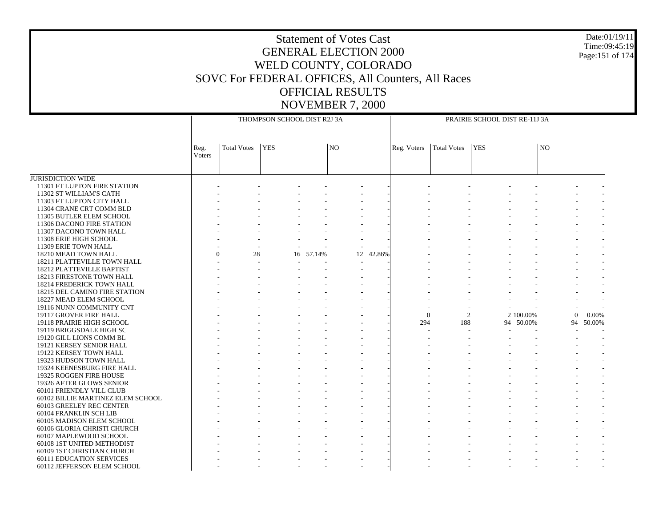Date:01/19/11Time:09:45:19Page:151 of 174

JURISDICTION WIDE 11301 FT LUPTON FIRE STATION 11302 ST WILLIAM'S CATH 11303 FT LUPTON CITY HALL 11304 CRANE CRT COMM BLD 11305 BUTLER ELEM SCHOOL 11306 DACONO FIRE STATION 11307 DACONO TOWN HALL 11308 ERIE HIGH SCHOOL 11309 ERIE TOWN HALL 18210 MEAD TOWN HALL 18211 PLATTEVILLE TOWN HALL 18212 PLATTEVILLE BAPTIST 18213 FIRESTONE TOWN HALL 18214 FREDERICK TOWN HALL 18215 DEL CAMINO FIRE STATION 18227 MEAD ELEM SCHOOL 19116 NUNN COMMUNITY CNT 19117 GROVER FIRE HALL 19118 PRAIRIE HIGH SCHOOL 19119 BRIGGSDALE HIGH SC 19120 GILL LIONS COMM BL 19121 KERSEY SENIOR HALL 19122 KERSEY TOWN HALL 19323 HUDSON TOWN HALL 19324 KEENESBURG FIRE HALL 19325 ROGGEN FIRE HOUSE 19326 AFTER GLOWS SENIOR 60101 FRIENDLY VILL CLUB 60102 BILLIE MARTINEZ ELEM SCHOOL 60103 GREELEY REC CENTER 60104 FRANKLIN SCH LIB 60105 MADISON ELEM SCHOOL 60106 GLORIA CHRISTI CHURCH 60107 MAPLEWOOD SCHOOL 60108 1ST UNITED METHODIST 60109 1ST CHRISTIAN CHURCH 60111 EDUCATION SERVICES 60112 JEFFERSON ELEM SCHOOL Reg. VotersTotal Votes YES NOTHOMPSON SCHOOL DIST R2J 3AReg. Voters | Total Votes | YES | NO PRAIRIE SCHOOL DIST RE-11J 3A - - - - - - - - - - - - - - - - - - - - - - - - - - - - - - - - - - - - - - - - - - - - - - - - - - - - - - - - - - - - - - - - - - - - - - - - - - - - - - - - - - - - - - - - - - - - - - - - - - - -  $\theta$  28 16 57.14%12 42.86% - - - - - - - - - - - - - - - - - - - - - - - - - - - - - - - - - - - - - - - - - - - - - - - - - - - - - - - - - - - - - - - - - - - - - - - - - - - - - - - - - - - - - - - - 0 2 2 100.00% 0 0.00% - - - - - 294 188 94 50.00% 94 50.00% - - - - - - - - - - - - - - - - - - - - - - - - - - - - - - - - - - - - - - - - - - - - - - - - - - - - - - - - - - - - - - - - - - - - - - - - - - - - - - - - - - - - - - - - - - - - - - - - - - - - - - - - - - - - - - - - - - - - - - - - - - - - - - - - - - - - - - - - - - - - - - - - - - - - - - - - - - - - - - - - - - - - - - - - - - - - - - - - - - - - - - - - - - - - - - - - - - - - - - - - - - - - - - - - -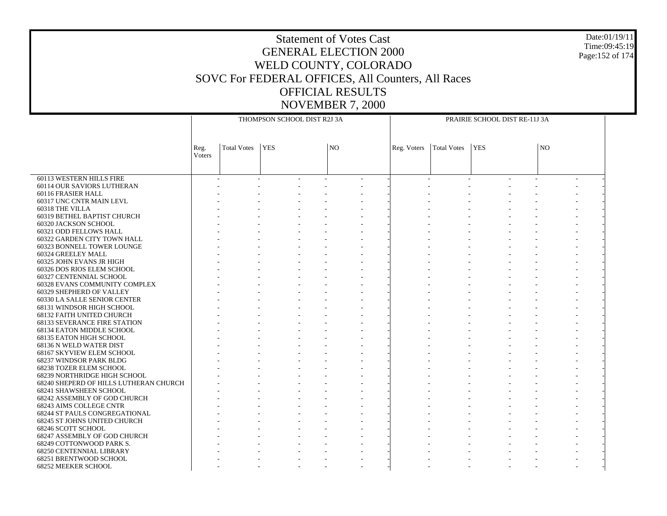#### Date:01/19/11 Time:09:45:19 Page:152 of 174

|                                                           |                       |                    | THOMPSON SCHOOL DIST R2J 3A |    |             |             | PRAIRIE SCHOOL DIST RE-11J 3A |    |  |
|-----------------------------------------------------------|-----------------------|--------------------|-----------------------------|----|-------------|-------------|-------------------------------|----|--|
|                                                           |                       |                    |                             |    |             |             |                               |    |  |
|                                                           | Reg.<br><b>Voters</b> | <b>Total Votes</b> | <b>YES</b>                  | NO | Reg. Voters | Total Votes | <b>YES</b>                    | NO |  |
|                                                           |                       |                    |                             |    |             |             |                               |    |  |
| 60113 WESTERN HILLS FIRE                                  |                       |                    |                             |    |             |             |                               |    |  |
| 60114 OUR SAVIORS LUTHERAN                                |                       |                    |                             |    |             |             |                               |    |  |
| 60116 FRASIER HALL                                        |                       |                    |                             |    |             |             |                               |    |  |
| 60317 UNC CNTR MAIN LEVL                                  |                       |                    |                             |    |             |             |                               |    |  |
| 60318 THE VILLA                                           |                       |                    |                             |    |             |             |                               |    |  |
| 60319 BETHEL BAPTIST CHURCH                               |                       |                    |                             |    |             |             |                               |    |  |
| 60320 JACKSON SCHOOL                                      |                       |                    |                             |    |             |             |                               |    |  |
| 60321 ODD FELLOWS HALL                                    |                       |                    |                             |    |             |             |                               |    |  |
| 60322 GARDEN CITY TOWN HALL                               |                       |                    |                             |    |             |             |                               |    |  |
| 60323 BONNELL TOWER LOUNGE                                |                       |                    |                             |    |             |             |                               |    |  |
| 60324 GREELEY MALL                                        |                       |                    |                             |    |             |             |                               |    |  |
| 60325 JOHN EVANS JR HIGH                                  |                       |                    |                             |    |             |             |                               |    |  |
| 60326 DOS RIOS ELEM SCHOOL                                |                       |                    |                             |    |             |             |                               |    |  |
| 60327 CENTENNIAL SCHOOL                                   |                       |                    |                             |    |             |             |                               |    |  |
| 60328 EVANS COMMUNITY COMPLEX                             |                       |                    |                             |    |             |             |                               |    |  |
| 60329 SHEPHERD OF VALLEY                                  |                       |                    |                             |    |             |             |                               |    |  |
| 60330 LA SALLE SENIOR CENTER                              |                       |                    |                             |    |             |             |                               |    |  |
| 68131 WINDSOR HIGH SCHOOL                                 |                       |                    |                             |    |             |             |                               |    |  |
| 68132 FAITH UNITED CHURCH                                 |                       |                    |                             |    |             |             |                               |    |  |
| <b>68133 SEVERANCE FIRE STATION</b>                       |                       |                    |                             |    |             |             |                               |    |  |
| 68134 EATON MIDDLE SCHOOL                                 |                       |                    |                             |    |             |             |                               |    |  |
| 68135 EATON HIGH SCHOOL                                   |                       |                    |                             |    |             |             |                               |    |  |
| 68136 N WELD WATER DIST                                   |                       |                    |                             |    |             |             |                               |    |  |
| 68167 SKYVIEW ELEM SCHOOL                                 |                       |                    |                             |    |             |             |                               |    |  |
| 68237 WINDSOR PARK BLDG<br><b>68238 TOZER ELEM SCHOOL</b> |                       |                    |                             |    |             |             |                               |    |  |
|                                                           |                       |                    |                             |    |             |             |                               |    |  |
| 68239 NORTHRIDGE HIGH SCHOOL                              |                       |                    |                             |    |             |             |                               |    |  |
| 68240 SHEPERD OF HILLS LUTHERAN CHURCH                    |                       |                    |                             |    |             |             |                               |    |  |
| 68241 SHAWSHEEN SCHOOL                                    |                       |                    |                             |    |             |             |                               |    |  |
| 68242 ASSEMBLY OF GOD CHURCH<br>68243 AIMS COLLEGE CNTR   |                       |                    |                             |    |             |             |                               |    |  |
| <b>68244 ST PAULS CONGREGATIONAL</b>                      |                       |                    |                             |    |             |             |                               |    |  |
|                                                           |                       |                    |                             |    |             |             |                               |    |  |
| 68245 ST JOHNS UNITED CHURCH                              |                       |                    |                             |    |             |             |                               |    |  |
| 68246 SCOTT SCHOOL                                        |                       |                    |                             |    |             |             |                               |    |  |
| 68247 ASSEMBLY OF GOD CHURCH<br>68249 COTTONWOOD PARK S.  |                       |                    |                             |    |             |             |                               |    |  |
| <b>68250 CENTENNIAL LIBRARY</b>                           |                       |                    |                             |    |             |             |                               |    |  |
| 68251 BRENTWOOD SCHOOL                                    |                       |                    |                             |    |             |             |                               |    |  |
|                                                           |                       |                    |                             |    |             |             |                               |    |  |
| 68252 MEEKER SCHOOL                                       |                       |                    |                             |    |             |             |                               |    |  |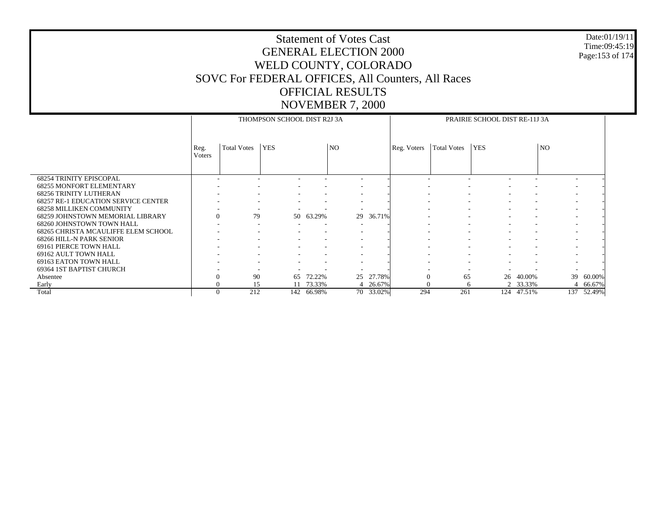#### Date:01/19/11 Time:09:45:19 Page:153 of 174

|                                                                             |                          |                          | THOMPSON SCHOOL DIST R2J 3A |            |                          |           |             |                    | PRAIRIE SCHOOL DIST RE-11J 3A |                          |                          |            |
|-----------------------------------------------------------------------------|--------------------------|--------------------------|-----------------------------|------------|--------------------------|-----------|-------------|--------------------|-------------------------------|--------------------------|--------------------------|------------|
|                                                                             | Reg.<br>Voters           | <b>Total Votes</b>       | <b>YES</b>                  |            | N <sub>O</sub>           |           | Reg. Voters | <b>Total Votes</b> | <b>YES</b>                    |                          | N <sub>O</sub>           |            |
| <b>68254 TRINITY EPISCOPAL</b>                                              | ۰                        |                          |                             |            |                          |           |             |                    |                               |                          | ٠                        |            |
| <b>68255 MONFORT ELEMENTARY</b>                                             |                          |                          |                             |            |                          |           |             |                    |                               |                          |                          |            |
| <b>68256 TRINITY LUTHERAN</b><br><b>68257 RE-1 EDUCATION SERVICE CENTER</b> |                          | $\overline{\phantom{a}}$ |                             |            | $\overline{\phantom{a}}$ |           |             |                    |                               |                          | $\overline{\phantom{a}}$ |            |
| <b>68258 MILLIKEN COMMUNITY</b>                                             |                          |                          |                             |            |                          |           |             |                    |                               |                          |                          |            |
| <b>68259 JOHNSTOWN MEMORIAL LIBRARY</b>                                     | $\mathbf{0}$             | 79                       |                             | 50 63.29%  |                          | 29 36.71% |             |                    | $\sim$                        | $\overline{\phantom{a}}$ | $\overline{\phantom{a}}$ |            |
| 68260 JOHNSTOWN TOWN HALL                                                   | $\overline{\phantom{a}}$ | $\overline{\phantom{a}}$ |                             |            |                          |           |             |                    |                               |                          | $\overline{\phantom{a}}$ |            |
| 68265 CHRISTA MCAULIFFE ELEM SCHOOL                                         |                          | $\overline{\phantom{a}}$ |                             |            |                          |           |             |                    |                               |                          | $\overline{\phantom{a}}$ |            |
| 68266 HILL-N PARK SENIOR                                                    |                          | $\overline{\phantom{a}}$ |                             |            |                          |           |             |                    |                               |                          | $\overline{\phantom{a}}$ |            |
| 69161 PIERCE TOWN HALL                                                      |                          |                          |                             |            |                          |           |             |                    |                               |                          | $\overline{\phantom{a}}$ |            |
| 69162 AULT TOWN HALL                                                        |                          |                          |                             |            |                          |           |             |                    |                               |                          |                          |            |
| 69163 EATON TOWN HALL                                                       |                          | $\overline{\phantom{a}}$ |                             |            | $\overline{\phantom{a}}$ |           |             |                    |                               |                          | $\overline{\phantom{a}}$ |            |
| 69364 1ST BAPTIST CHURCH                                                    |                          |                          |                             |            |                          |           |             |                    |                               |                          |                          |            |
| Absentee                                                                    | $\Omega$                 | 90                       | 65                          | 72.22%     | 25                       | 27.78%    | $\Omega$    | 65                 | 26                            | 40.00%                   | 39                       | 60.00%     |
| Early                                                                       | $\theta$                 | 15                       |                             | 73.33%     |                          | 4 26.67%  | $\Omega$    | 6                  |                               | 2 33.33%                 |                          | 4 66.67%   |
| Total                                                                       | $\Omega$                 | 212                      |                             | 142 66.98% |                          | 70 33.02% | 294         | 261                |                               | 124 47.51%               |                          | 137 52.49% |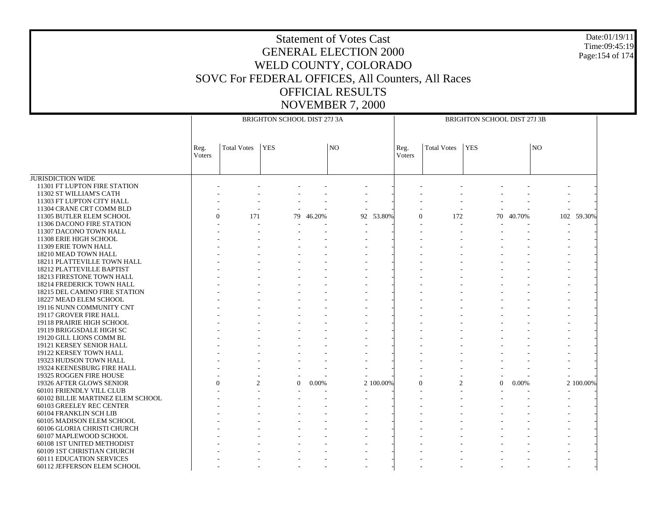#### Date:01/19/11 Time:09:45:19 Page:154 of 174

|                                   |                |                            | BRIGHTON SCHOOL DIST 27J 3A |        |                |           |                |                    | BRIGHTON SCHOOL DIST 27J 3B |        |                |            |
|-----------------------------------|----------------|----------------------------|-----------------------------|--------|----------------|-----------|----------------|--------------------|-----------------------------|--------|----------------|------------|
|                                   | Reg.<br>Voters | <b>Total Votes</b>         | <b>YES</b>                  |        | N <sub>O</sub> |           | Reg.<br>Voters | <b>Total Votes</b> | <b>YES</b>                  |        | N <sub>O</sub> |            |
| <b>JURISDICTION WIDE</b>          |                |                            |                             |        |                |           |                |                    |                             |        |                |            |
| 11301 FT LUPTON FIRE STATION      |                |                            |                             |        |                |           |                |                    |                             |        |                |            |
| 11302 ST WILLIAM'S CATH           |                |                            |                             |        |                |           |                |                    |                             |        |                |            |
| 11303 FT LUPTON CITY HALL         |                |                            |                             |        |                |           |                |                    |                             |        |                |            |
| 11304 CRANE CRT COMM BLD          |                |                            |                             |        |                |           |                |                    |                             |        |                |            |
| 11305 BUTLER ELEM SCHOOL          |                | 171<br>$\theta$            | 79                          | 46.20% |                | 92 53.80% | $\Omega$       | 172                | 70                          | 40.70% |                | 102 59.30% |
| 11306 DACONO FIRE STATION         |                |                            |                             |        |                |           |                |                    |                             |        |                |            |
| 11307 DACONO TOWN HALL            |                |                            |                             |        |                |           |                |                    |                             |        |                |            |
| 11308 ERIE HIGH SCHOOL            |                |                            |                             |        |                |           |                |                    |                             |        |                |            |
| 11309 ERIE TOWN HALL              |                |                            |                             |        |                |           |                |                    |                             |        |                |            |
| 18210 MEAD TOWN HALL              |                |                            |                             |        |                |           |                |                    |                             |        |                |            |
| 18211 PLATTEVILLE TOWN HALL       |                |                            |                             |        |                |           |                |                    |                             |        |                |            |
| 18212 PLATTEVILLE BAPTIST         |                |                            |                             |        |                |           |                |                    |                             |        |                |            |
| 18213 FIRESTONE TOWN HALL         |                |                            |                             |        |                |           |                |                    |                             |        |                |            |
| 18214 FREDERICK TOWN HALL         |                |                            |                             |        |                |           |                |                    |                             |        |                |            |
| 18215 DEL CAMINO FIRE STATION     |                |                            |                             |        |                |           |                |                    |                             |        |                |            |
| 18227 MEAD ELEM SCHOOL            |                |                            |                             |        |                |           |                |                    |                             |        |                |            |
| 19116 NUNN COMMUNITY CNT          |                |                            |                             |        |                |           |                |                    |                             |        |                |            |
| 19117 GROVER FIRE HALL            |                |                            |                             |        |                |           |                |                    |                             |        |                |            |
| 19118 PRAIRIE HIGH SCHOOL         |                |                            |                             |        |                |           |                |                    |                             |        |                |            |
| 19119 BRIGGSDALE HIGH SC          |                |                            |                             |        |                |           |                |                    |                             |        |                |            |
| 19120 GILL LIONS COMM BL          |                |                            |                             |        |                |           |                |                    |                             |        |                |            |
| 19121 KERSEY SENIOR HALL          |                |                            |                             |        |                |           |                |                    |                             |        |                |            |
| 19122 KERSEY TOWN HALL            |                |                            |                             |        |                |           |                |                    |                             |        |                |            |
| 19323 HUDSON TOWN HALL            |                |                            |                             |        |                |           |                |                    |                             |        |                |            |
| 19324 KEENESBURG FIRE HALL        |                |                            |                             |        |                |           |                |                    |                             |        |                |            |
| 19325 ROGGEN FIRE HOUSE           |                |                            |                             |        |                |           |                |                    |                             |        |                |            |
| 19326 AFTER GLOWS SENIOR          |                | $\Omega$<br>$\overline{2}$ | $\Omega$                    | 0.00%  |                | 2 100.00% | $\Omega$       | $\overline{c}$     | $\Omega$                    | 0.00%  |                | 2 100.00%  |
| 60101 FRIENDLY VILL CLUB          |                |                            |                             |        |                |           |                |                    |                             |        |                |            |
| 60102 BILLIE MARTINEZ ELEM SCHOOL |                |                            |                             |        |                |           |                |                    |                             |        |                |            |
| 60103 GREELEY REC CENTER          |                |                            |                             |        |                |           |                |                    |                             |        |                |            |
| 60104 FRANKLIN SCH LIB            |                |                            |                             |        |                |           |                |                    |                             |        |                |            |
| 60105 MADISON ELEM SCHOOL         |                |                            |                             |        |                |           |                |                    |                             |        |                |            |
| 60106 GLORIA CHRISTI CHURCH       |                |                            |                             |        |                |           |                |                    |                             |        |                |            |
| 60107 MAPLEWOOD SCHOOL            |                |                            |                             |        |                |           |                |                    |                             |        |                |            |
| 60108 1ST UNITED METHODIST        |                |                            |                             |        |                |           |                |                    |                             |        |                |            |
| 60109 1ST CHRISTIAN CHURCH        |                |                            |                             |        |                |           |                |                    |                             |        |                |            |
| <b>60111 EDUCATION SERVICES</b>   |                |                            |                             |        |                |           |                |                    |                             |        |                |            |
| 60112 JEFFERSON ELEM SCHOOL       |                |                            |                             |        |                |           |                |                    |                             |        |                |            |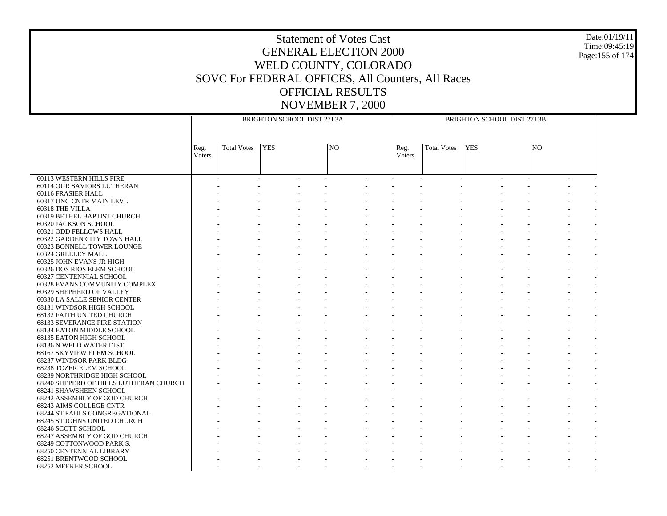#### Date:01/19/11 Time:09:45:19 Page:155 of 174

|                                                          |                |                    | BRIGHTON SCHOOL DIST 27J 3A |     |                       |                    | BRIGHTON SCHOOL DIST 27J 3B |                |  |
|----------------------------------------------------------|----------------|--------------------|-----------------------------|-----|-----------------------|--------------------|-----------------------------|----------------|--|
|                                                          | Reg.<br>Voters | <b>Total Votes</b> | $ {\rm \,}$ YES             | NO. | Reg.<br><b>Voters</b> | <b>Total Votes</b> | <b>YES</b>                  | N <sub>O</sub> |  |
| 60113 WESTERN HILLS FIRE                                 |                |                    |                             |     |                       |                    |                             |                |  |
| 60114 OUR SAVIORS LUTHERAN                               |                |                    |                             |     |                       |                    |                             |                |  |
| 60116 FRASIER HALL                                       |                |                    |                             |     |                       |                    |                             |                |  |
| 60317 UNC CNTR MAIN LEVL                                 |                |                    |                             |     |                       |                    |                             |                |  |
| 60318 THE VILLA                                          |                |                    |                             |     |                       |                    |                             |                |  |
| 60319 BETHEL BAPTIST CHURCH                              |                |                    |                             |     |                       |                    |                             |                |  |
| 60320 JACKSON SCHOOL                                     |                |                    |                             |     |                       |                    |                             |                |  |
| 60321 ODD FELLOWS HALL                                   |                |                    |                             |     |                       |                    |                             |                |  |
| 60322 GARDEN CITY TOWN HALL                              |                |                    |                             |     |                       |                    |                             |                |  |
| 60323 BONNELL TOWER LOUNGE                               |                |                    |                             |     |                       |                    |                             |                |  |
| 60324 GREELEY MALL                                       |                |                    |                             |     |                       |                    |                             |                |  |
| 60325 JOHN EVANS JR HIGH                                 |                |                    |                             |     |                       |                    |                             |                |  |
| 60326 DOS RIOS ELEM SCHOOL                               |                |                    |                             |     |                       |                    |                             |                |  |
| <b>60327 CENTENNIAL SCHOOL</b>                           |                |                    |                             |     |                       |                    |                             |                |  |
|                                                          |                |                    |                             |     |                       |                    |                             |                |  |
| 60328 EVANS COMMUNITY COMPLEX                            |                |                    |                             |     |                       |                    |                             |                |  |
| 60329 SHEPHERD OF VALLEY<br>60330 LA SALLE SENIOR CENTER |                |                    |                             |     |                       |                    |                             |                |  |
|                                                          |                |                    |                             |     |                       |                    |                             |                |  |
| 68131 WINDSOR HIGH SCHOOL                                |                |                    |                             |     |                       |                    |                             |                |  |
| 68132 FAITH UNITED CHURCH                                |                |                    |                             |     |                       |                    |                             |                |  |
| <b>68133 SEVERANCE FIRE STATION</b>                      |                |                    |                             |     |                       |                    |                             |                |  |
| 68134 EATON MIDDLE SCHOOL                                |                |                    |                             |     |                       |                    |                             |                |  |
| 68135 EATON HIGH SCHOOL                                  |                |                    |                             |     |                       |                    |                             |                |  |
| 68136 N WELD WATER DIST                                  |                |                    |                             |     |                       |                    |                             |                |  |
| 68167 SKYVIEW ELEM SCHOOL                                |                |                    |                             |     |                       |                    |                             |                |  |
| 68237 WINDSOR PARK BLDG                                  |                |                    |                             |     |                       |                    |                             |                |  |
| 68238 TOZER ELEM SCHOOL                                  |                |                    |                             |     |                       |                    |                             |                |  |
| 68239 NORTHRIDGE HIGH SCHOOL                             |                |                    |                             |     |                       |                    |                             |                |  |
| 68240 SHEPERD OF HILLS LUTHERAN CHURCH                   |                |                    |                             |     |                       |                    |                             |                |  |
| 68241 SHAWSHEEN SCHOOL                                   |                |                    |                             |     |                       |                    |                             |                |  |
| 68242 ASSEMBLY OF GOD CHURCH                             |                |                    |                             |     |                       |                    |                             |                |  |
| 68243 AIMS COLLEGE CNTR                                  |                |                    |                             |     |                       |                    |                             |                |  |
| <b>68244 ST PAULS CONGREGATIONAL</b>                     |                |                    |                             |     |                       |                    |                             |                |  |
| 68245 ST JOHNS UNITED CHURCH                             |                |                    |                             |     |                       |                    |                             |                |  |
| 68246 SCOTT SCHOOL                                       |                |                    |                             |     |                       |                    |                             |                |  |
| 68247 ASSEMBLY OF GOD CHURCH                             |                |                    |                             |     |                       |                    |                             |                |  |
| 68249 COTTONWOOD PARK S.                                 |                |                    |                             |     |                       |                    |                             |                |  |
| <b>68250 CENTENNIAL LIBRARY</b>                          |                |                    |                             |     |                       |                    |                             |                |  |
| 68251 BRENTWOOD SCHOOL                                   |                |                    |                             |     |                       |                    |                             |                |  |
| 68252 MEEKER SCHOOL                                      |                |                    |                             |     |                       |                    |                             |                |  |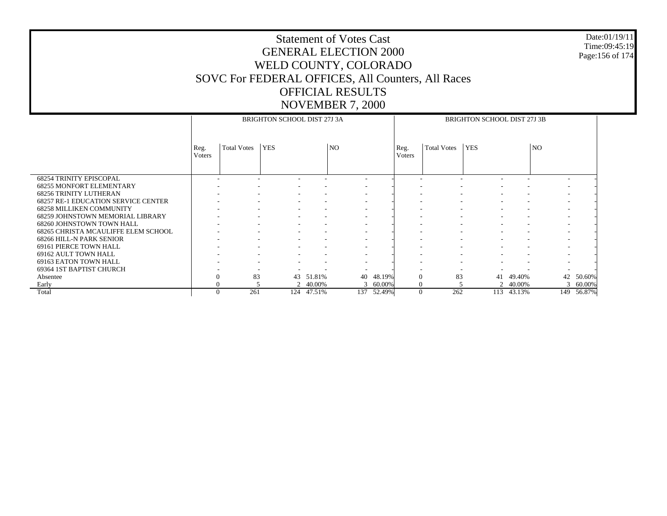#### Date:01/19/11 Time:09:45:19 Page:156 of 174

|                                            |                          |                    | BRIGHTON SCHOOL DIST 27J 3A |          |                          |        |               |                          | BRIGHTON SCHOOL DIST 27J 3B |        |                          |        |
|--------------------------------------------|--------------------------|--------------------|-----------------------------|----------|--------------------------|--------|---------------|--------------------------|-----------------------------|--------|--------------------------|--------|
|                                            | Reg.                     | <b>Total Votes</b> | <b>YES</b>                  |          | NO.                      |        | Reg.          | <b>Total Votes</b>       | <b>YES</b>                  |        | N <sub>O</sub>           |        |
|                                            | <b>V</b> oters           |                    |                             |          |                          |        | <b>Voters</b> |                          |                             |        |                          |        |
|                                            |                          |                    |                             |          |                          |        |               |                          |                             |        |                          |        |
| <b>68254 TRINITY EPISCOPAL</b>             | $\overline{\phantom{a}}$ |                    |                             |          |                          |        |               |                          |                             |        |                          |        |
| <b>68255 MONFORT ELEMENTARY</b>            |                          |                    |                             |          |                          |        |               |                          |                             |        |                          |        |
| <b>68256 TRINITY LUTHERAN</b>              |                          |                    |                             |          |                          |        |               |                          |                             |        |                          |        |
| <b>68257 RE-1 EDUCATION SERVICE CENTER</b> |                          |                    |                             |          | $\overline{\phantom{a}}$ |        |               |                          | $\overline{\phantom{a}}$    |        | $\overline{\phantom{a}}$ |        |
| <b>68258 MILLIKEN COMMUNITY</b>            | $\overline{\phantom{a}}$ |                    |                             |          | $\overline{\phantom{a}}$ |        |               |                          |                             |        | $\overline{\phantom{a}}$ |        |
| <b>68259 JOHNSTOWN MEMORIAL LIBRARY</b>    |                          |                    | $\overline{\phantom{a}}$    |          | $\overline{\phantom{a}}$ |        |               | $\overline{\phantom{a}}$ | $\overline{\phantom{a}}$    |        | $\overline{\phantom{a}}$ |        |
| 68260 JOHNSTOWN TOWN HALL                  |                          |                    |                             |          |                          |        |               |                          |                             |        |                          |        |
| 68265 CHRISTA MCAULIFFE ELEM SCHOOL        |                          |                    |                             |          |                          |        |               |                          |                             |        | $\overline{\phantom{a}}$ |        |
| 68266 HILL-N PARK SENIOR                   |                          |                    |                             |          |                          |        |               |                          |                             |        |                          |        |
| 69161 PIERCE TOWN HALL                     |                          |                    |                             |          | $\overline{\phantom{a}}$ |        |               |                          | $\overline{\phantom{a}}$    |        | $\overline{\phantom{a}}$ |        |
| 69162 AULT TOWN HALL                       |                          |                    |                             |          |                          |        |               |                          |                             |        |                          |        |
| 69163 EATON TOWN HALL                      |                          |                    |                             |          |                          |        |               |                          |                             |        |                          |        |
| 69364 1ST BAPTIST CHURCH                   |                          |                    |                             |          |                          |        |               |                          |                             |        |                          |        |
| Absentee                                   | $\overline{0}$           | 83                 | 43                          | 51.81%   | 40                       | 48.19% | $\Omega$      | 83                       | 41                          | 49.40% | 42                       | 50.60% |
| Early                                      | $\Omega$                 |                    |                             | 2 40.00% | 3                        | 60.00% | $\theta$      |                          | 2                           | 40.00% | 3                        | 60.00% |
| Total                                      | $\Omega$                 | 261                | 124                         | 47.51%   | 137                      | 52.49% | $\theta$      | 262                      | 113                         | 43.13% | 149                      | 56.87% |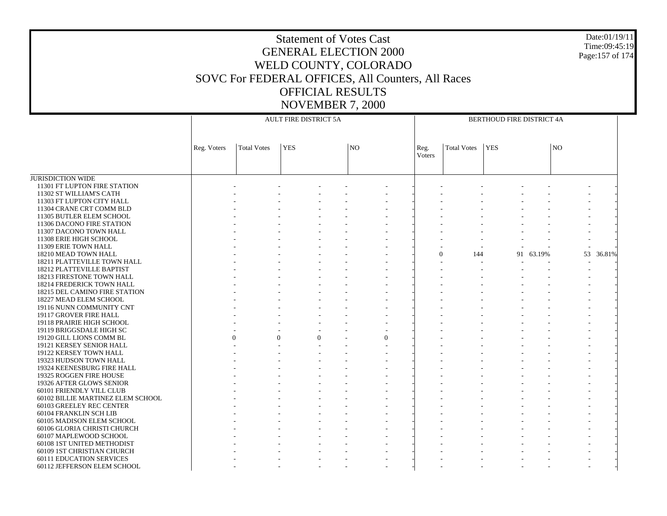Date:01/19/11Time:09:45:19Page:157 of 174

JURISDICTION WIDE 11301 FT LUPTON FIRE STATION 11302 ST WILLIAM'S CATH 11303 FT LUPTON CITY HALL 11304 CRANE CRT COMM BLD 11305 BUTLER ELEM SCHOOL 11306 DACONO FIRE STATION 11307 DACONO TOWN HALL 11308 ERIE HIGH SCHOOL 11309 ERIE TOWN HALL 18210 MEAD TOWN HALL 18211 PLATTEVILLE TOWN HALL 18212 PLATTEVILLE BAPTIST 18213 FIRESTONE TOWN HALL 18214 FREDERICK TOWN HALL 18215 DEL CAMINO FIRE STATION 18227 MEAD ELEM SCHOOL 19116 NUNN COMMUNITY CNT 19117 GROVER FIRE HALL 19118 PRAIRIE HIGH SCHOOL 19119 BRIGGSDALE HIGH SC 19120 GILL LIONS COMM BL 19121 KERSEY SENIOR HALL 19122 KERSEY TOWN HALL 19323 HUDSON TOWN HALL 19324 KEENESBURG FIRE HALL 19325 ROGGEN FIRE HOUSE 19326 AFTER GLOWS SENIOR 60101 FRIENDLY VILL CLUB 60102 BILLIE MARTINEZ ELEM SCHOOL 60103 GREELEY REC CENTER 60104 FRANKLIN SCH LIB 60105 MADISON ELEM SCHOOL 60106 GLORIA CHRISTI CHURCH 60107 MAPLEWOOD SCHOOL 60108 1ST UNITED METHODIST 60109 1ST CHRISTIAN CHURCH 60111 EDUCATION SERVICES 60112 JEFFERSON ELEM SCHOOL Reg. Voters | Total Votes | YES | NO AULT FIRE DISTRICT 5AReg. VotersTotal Votes YES NOBERTHOUD FIRE DISTRICT 4A - - - - - - - - - - - - - - - - - - - - - - - - - - - - - - - - - - - - - - - - - - - - - - - - - - - - - - - - - - - - - - - - - - - - - - - - - - - - - - - - - - - - - - - - - - - - - - - - - - - - - - - - - - - - - 0 144 91 63.19% 53 36.81% - - - - - - - - - - - - - - - - - - - - - - - - - - - - - - - - - - - - - - - - - - - - - - - - - - - - - - - - - - - - - - - - - - - - - - - - - - - - - - - - - - - - - - - - - - - - - - - - - - - - - - - - - - - - - -  $\theta$  $0$  0 0 - 0 - - - - - - - - - - - - - - - - - - - - - - - - - - - - - - - - - - - - - - - - - - - - - - - - - - - - - - - - - - - - - - - - - - - - - - - - - - - - - - - - - - - - - - - - - - - - - - - - - - - - - - - - - - - - - - - - - - - - - - - - - - - - - - - - - - - - - - - - - - - - - - - - - - - - - - - - - - - - - - - - - - - - - - - - - - - - - - - - - - - - - - - - - - - - - - - - - - - -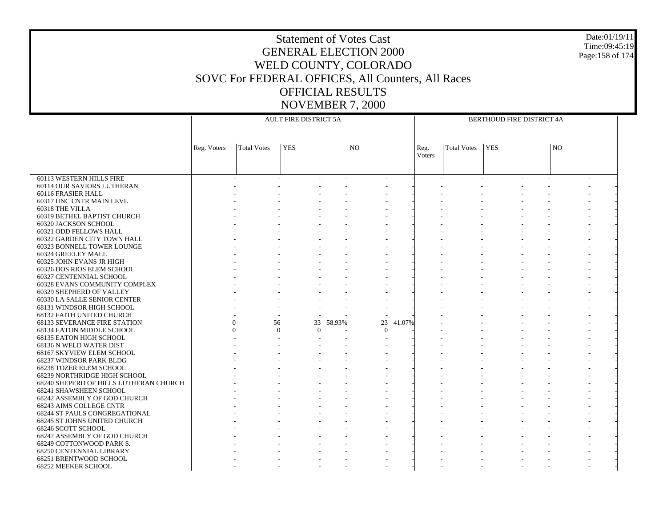Date:01/19/11Time:09:45:19Page:158 of 174

 60113 WESTERN HILLS FIRE 60114 OUR SAVIORS LUTHERAN 60116 FRASIER HALL 60317 UNC CNTR MAIN LEVL 60318 THE VILLA 60319 BETHEL BAPTIST CHURCH 60320 JACKSON SCHOOL 60321 ODD FELLOWS HALL 60322 GARDEN CITY TOWN HALL 60323 BONNELL TOWER LOUNGE 60324 GREELEY MALL 60325 JOHN EVANS JR HIGH 60326 DOS RIOS ELEM SCHOOL 60327 CENTENNIAL SCHOOL 60328 EVANS COMMUNITY COMPLEX 60329 SHEPHERD OF VALLEY 60330 LA SALLE SENIOR CENTER 68131 WINDSOR HIGH SCHOOL 68132 FAITH UNITED CHURCH 68133 SEVERANCE FIRE STATION 68134 EATON MIDDLE SCHOOL 68135 EATON HIGH SCHOOL 68136 N WELD WATER DIST 68167 SKYVIEW ELEM SCHOOL 68237 WINDSOR PARK BLDG 68238 TOZER ELEM SCHOOL 68239 NORTHRIDGE HIGH SCHOOL 68240 SHEPERD OF HILLS LUTHERAN CHURCH 68241 SHAWSHEEN SCHOOL 68242 ASSEMBLY OF GOD CHURCH 68243 AIMS COLLEGE CNTR 68244 ST PAULS CONGREGATIONAL 68245 ST JOHNS UNITED CHURCH 68246 SCOTT SCHOOL 68247 ASSEMBLY OF GOD CHURCH 68249 COTTONWOOD PARK S. 68250 CENTENNIAL LIBRARY 68251 BRENTWOOD SCHOOL 68252 MEEKER SCHOOL Reg. Voters | Total Votes | YES | NO AULT FIRE DISTRICT 5AReg. VotersTotal Votes YES NOBERTHOUD FIRE DISTRICT 4A - - - - - - - - - - - - - - - - - - - - - - - - - - - - - - - - - - - - - - - - - - - - - - - - - - - - - - - - - - - - - - - - - - - - - - - - - - - - - - - - - - - - - - - - - - - - - - - - - - - - - - - - - - - - - - - - - - - - - - - - - - - - - - - - - - - - - - - - - - - - - - - - - - - - - - - - - - - - - - - - - - - - - - - - - - - - - - - - - - - - - - - - - - - - - - - - - - - - - - - - - - - - - - - - - 0 56 33 58.93% $\%$  23 41.07% - - - - - - - - - -0 $0$  0 0 - 0 - - - - - - - - - - - - - - - - - - - - - - - - - - - - - - - - - - - - - - - - - - - - - - - - - - - - - - - - - - - - - - - - - - - - - - - - - - - - - - - - - - - - - - - - - - - - - - - - - - - - - - - - - - - - - - - - - - - - - - - - - - - - - - - - - - - - - - - - - - - - - - - - - - - - - - - - - - - - - - - - - - - - - - - - - - - - - - - - - - - - - - - - - - - - - - - - - - - - - - - - - - - - - - -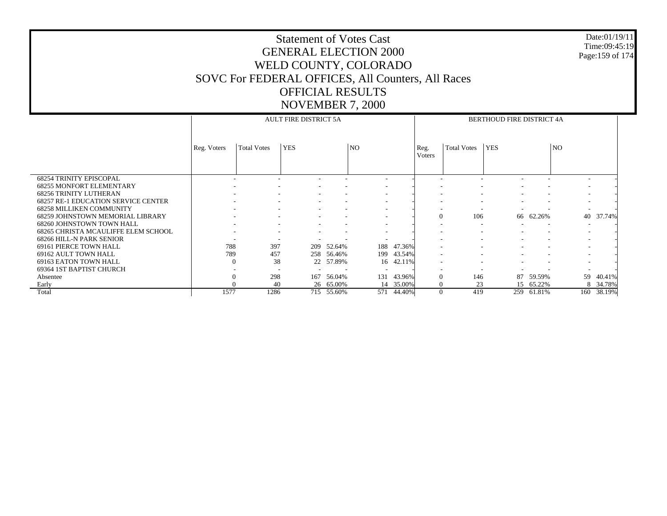#### Date:01/19/11 Time:09:45:19 Page:159 of 174

|                                                                   |             |                          | <b>AULT FIRE DISTRICT 5A</b> |            |                          |            |                |                          | BERTHOUD FIRE DISTRICT 4A |                          |                          |        |
|-------------------------------------------------------------------|-------------|--------------------------|------------------------------|------------|--------------------------|------------|----------------|--------------------------|---------------------------|--------------------------|--------------------------|--------|
|                                                                   |             |                          |                              |            |                          |            |                |                          |                           |                          |                          |        |
|                                                                   |             |                          |                              |            |                          |            |                |                          |                           |                          |                          |        |
|                                                                   | Reg. Voters | <b>Total Votes</b>       | <b>YES</b>                   |            | NO.                      |            | Reg.           | <b>Total Votes</b>       | <b>YES</b>                |                          | N <sub>O</sub>           |        |
|                                                                   |             |                          |                              |            |                          |            | Voters         |                          |                           |                          |                          |        |
|                                                                   |             |                          |                              |            |                          |            |                |                          |                           |                          |                          |        |
|                                                                   |             |                          |                              |            |                          |            |                |                          |                           |                          |                          |        |
| <b>68254 TRINITY EPISCOPAL</b><br><b>68255 MONFORT ELEMENTARY</b> |             |                          | ٠                            |            |                          |            |                |                          |                           |                          | $\overline{\phantom{a}}$ |        |
| 68256 TRINITY LUTHERAN                                            |             |                          |                              |            |                          |            |                |                          |                           |                          |                          |        |
| <b>68257 RE-1 EDUCATION SERVICE CENTER</b>                        |             | $\overline{\phantom{a}}$ | $\overline{\phantom{a}}$     |            |                          |            |                | $\overline{\phantom{a}}$ |                           | ٠                        | $\overline{\phantom{a}}$ |        |
| <b>68258 MILLIKEN COMMUNITY</b>                                   |             |                          |                              |            |                          |            |                |                          |                           |                          |                          |        |
| 68259 JOHNSTOWN MEMORIAL LIBRARY                                  |             |                          | $\overline{\phantom{a}}$     |            |                          |            | $\overline{0}$ | 106                      |                           | 66 62.26%                | 40                       | 37.74% |
| 68260 JOHNSTOWN TOWN HALL                                         |             | $\overline{\phantom{a}}$ |                              |            |                          |            |                | $\overline{\phantom{a}}$ |                           | $\overline{\phantom{a}}$ | $\overline{\phantom{a}}$ |        |
| 68265 CHRISTA MCAULIFFE ELEM SCHOOL                               |             |                          |                              |            |                          |            |                |                          |                           |                          | $\overline{\phantom{a}}$ |        |
| 68266 HILL-N PARK SENIOR                                          |             |                          |                              |            |                          |            |                |                          |                           |                          | $\overline{\phantom{a}}$ |        |
| 69161 PIERCE TOWN HALL                                            | 788         | 397                      | 209                          | 52.64%     | 188                      | 47.36%     |                |                          |                           | $\overline{\phantom{a}}$ | $\overline{\phantom{a}}$ |        |
| 69162 AULT TOWN HALL                                              | 789         | 457                      | 258                          | 56.46%     | 199                      | 43.54%     |                |                          |                           |                          |                          |        |
| 69163 EATON TOWN HALL                                             | $\Omega$    | 38                       |                              | 22 57.89%  |                          | 16 42.11%  |                |                          |                           |                          |                          |        |
| 69364 1ST BAPTIST CHURCH                                          |             | $\overline{\phantom{0}}$ |                              |            | $\overline{\phantom{a}}$ |            |                |                          |                           |                          |                          |        |
| Absentee                                                          |             | 298                      | 167                          | 56.04%     | 131                      | 43.96%     | $\Omega$       | 146                      | 87                        | 59.59%                   | 59                       | 40.41% |
| Early                                                             |             | 40                       |                              | 26 65.00%  | 14                       | 35.00%     |                | 23                       | 15                        | 65.22%                   | 8                        | 34.78% |
| Total                                                             | 1577        | 1286                     |                              | 715 55.60% |                          | 571 44.40% | $\overline{0}$ | 419                      | 259                       | 61.81%                   | 160                      | 38.19% |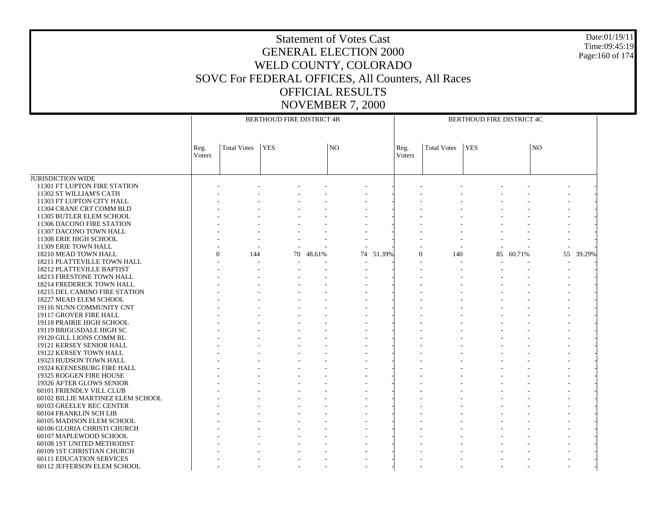#### Date:01/19/11 Time:09:45:19 Page:160 of 174

|                                      |                |                    | <b>BERTHOUD FIRE DISTRICT 4B</b> |        |                |           |                |                    | BERTHOUD FIRE DISTRICT 4C |           |                |        |
|--------------------------------------|----------------|--------------------|----------------------------------|--------|----------------|-----------|----------------|--------------------|---------------------------|-----------|----------------|--------|
|                                      | Reg.<br>Voters | <b>Total Votes</b> | <b>YES</b>                       |        | N <sub>O</sub> |           | Reg.<br>Voters | <b>Total Votes</b> | <b>YES</b>                |           | N <sub>O</sub> |        |
| <b>JURISDICTION WIDE</b>             |                |                    |                                  |        |                |           |                |                    |                           |           |                |        |
| 11301 FT LUPTON FIRE STATION         |                |                    |                                  |        |                |           |                |                    |                           |           |                |        |
| 11302 ST WILLIAM'S CATH              |                |                    |                                  |        |                |           |                |                    |                           |           |                |        |
| 11303 FT LUPTON CITY HALL            |                |                    |                                  |        |                |           |                |                    |                           |           |                |        |
| 11304 CRANE CRT COMM BLD             |                |                    |                                  |        |                |           |                |                    |                           |           |                |        |
| 11305 BUTLER ELEM SCHOOL             |                |                    |                                  |        |                |           |                |                    |                           |           |                |        |
| 11306 DACONO FIRE STATION            |                |                    |                                  |        |                |           |                |                    |                           |           |                |        |
| 11307 DACONO TOWN HALL               |                |                    |                                  |        |                |           |                |                    |                           |           |                |        |
| 11308 ERIE HIGH SCHOOL               |                |                    |                                  |        |                |           |                |                    |                           |           |                |        |
| 11309 ERIE TOWN HALL                 |                |                    |                                  |        |                |           |                |                    |                           |           |                |        |
| 18210 MEAD TOWN HALL                 |                | 144                |                                  | 48.61% |                | 74 51.39% | $\theta$       | 140                |                           | 85 60.71% | 55             | 39.29% |
| 18211 PLATTEVILLE TOWN HALL          |                |                    | 70                               |        |                |           |                |                    |                           |           |                |        |
|                                      |                |                    |                                  |        | - 11           |           |                |                    |                           |           | $\overline{a}$ |        |
| 18212 PLATTEVILLE BAPTIST            |                |                    |                                  |        |                |           |                |                    |                           |           |                |        |
| 18213 FIRESTONE TOWN HALL            |                |                    |                                  |        |                |           |                |                    |                           |           |                |        |
| 18214 FREDERICK TOWN HALL            |                |                    |                                  |        |                |           |                |                    |                           |           |                |        |
| <b>18215 DEL CAMINO FIRE STATION</b> |                |                    |                                  |        |                |           |                |                    |                           |           |                |        |
| 18227 MEAD ELEM SCHOOL               |                |                    |                                  |        |                |           |                |                    |                           |           |                |        |
| 19116 NUNN COMMUNITY CNT             |                |                    |                                  |        |                |           |                |                    |                           |           |                |        |
| 19117 GROVER FIRE HALL               |                |                    |                                  |        |                |           |                |                    |                           |           |                |        |
| 19118 PRAIRIE HIGH SCHOOL            |                |                    |                                  |        |                |           |                |                    |                           |           |                |        |
| 19119 BRIGGSDALE HIGH SC             |                |                    |                                  |        |                |           |                |                    |                           |           |                |        |
| 19120 GILL LIONS COMM BL             |                |                    |                                  |        |                |           |                |                    |                           |           |                |        |
| 19121 KERSEY SENIOR HALL             |                |                    |                                  |        |                |           |                |                    |                           |           |                |        |
| 19122 KERSEY TOWN HALL               |                |                    |                                  |        |                |           |                |                    |                           |           |                |        |
| 19323 HUDSON TOWN HALL               |                |                    |                                  |        |                |           |                |                    |                           |           |                |        |
| 19324 KEENESBURG FIRE HALL           |                |                    |                                  |        |                |           |                |                    |                           |           |                |        |
| 19325 ROGGEN FIRE HOUSE              |                |                    |                                  |        |                |           |                |                    |                           |           |                |        |
| 19326 AFTER GLOWS SENIOR             |                |                    |                                  |        |                |           |                |                    |                           |           |                |        |
| 60101 FRIENDLY VILL CLUB             |                |                    |                                  |        |                |           |                |                    |                           |           |                |        |
| 60102 BILLIE MARTINEZ ELEM SCHOOL    |                |                    |                                  |        |                |           |                |                    |                           |           |                |        |
| 60103 GREELEY REC CENTER             |                |                    |                                  |        |                |           |                |                    |                           |           |                |        |
| 60104 FRANKLIN SCH LIB               |                |                    |                                  |        |                |           |                |                    |                           |           |                |        |
| 60105 MADISON ELEM SCHOOL            |                |                    |                                  |        |                |           |                |                    |                           |           |                |        |
| 60106 GLORIA CHRISTI CHURCH          |                |                    |                                  |        |                |           |                |                    |                           |           |                |        |
| 60107 MAPLEWOOD SCHOOL               |                |                    |                                  |        |                |           |                |                    |                           |           |                |        |
| 60108 1ST UNITED METHODIST           |                |                    |                                  |        |                |           |                |                    |                           |           |                |        |
| 60109 1ST CHRISTIAN CHURCH           |                |                    |                                  |        |                |           |                |                    |                           |           |                |        |
| <b>60111 EDUCATION SERVICES</b>      |                |                    |                                  |        |                |           |                |                    |                           |           |                |        |
| 60112 JEFFERSON ELEM SCHOOL          |                |                    |                                  |        |                |           |                |                    |                           |           |                |        |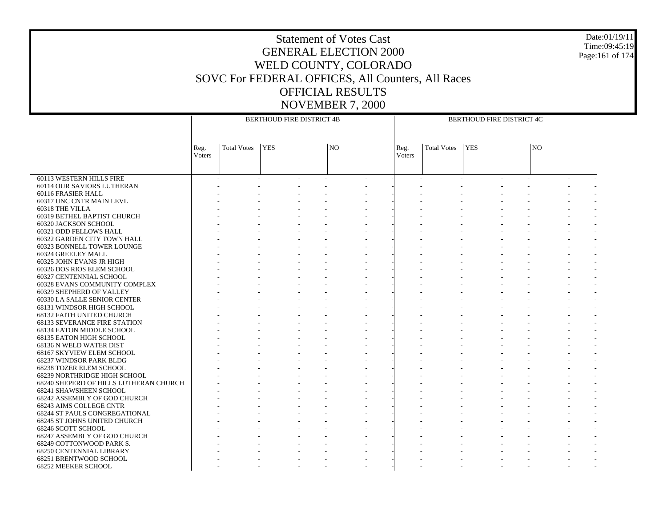#### Date:01/19/11 Time:09:45:19 Page:161 of 174

|                                        | <b>BERTHOUD FIRE DISTRICT 4B</b> |                    |            |  |                |  |                | BERTHOUD FIRE DISTRICT 4C |            |  |    |  |  |  |
|----------------------------------------|----------------------------------|--------------------|------------|--|----------------|--|----------------|---------------------------|------------|--|----|--|--|--|
|                                        |                                  |                    |            |  |                |  |                |                           |            |  |    |  |  |  |
|                                        | Reg.<br>Voters                   | <b>Total Votes</b> | <b>YES</b> |  | N <sub>O</sub> |  | Reg.<br>Voters | <b>Total Votes</b>        | <b>YES</b> |  | NO |  |  |  |
|                                        |                                  |                    |            |  |                |  |                |                           |            |  |    |  |  |  |
|                                        |                                  |                    |            |  |                |  |                |                           |            |  |    |  |  |  |
| 60113 WESTERN HILLS FIRE               |                                  |                    |            |  |                |  |                |                           |            |  |    |  |  |  |
| 60114 OUR SAVIORS LUTHERAN             |                                  |                    |            |  |                |  |                |                           |            |  |    |  |  |  |
| 60116 FRASIER HALL                     |                                  |                    |            |  |                |  |                |                           |            |  |    |  |  |  |
| 60317 UNC CNTR MAIN LEVL               |                                  |                    |            |  |                |  |                |                           |            |  |    |  |  |  |
| 60318 THE VILLA                        |                                  |                    |            |  |                |  |                |                           |            |  |    |  |  |  |
| 60319 BETHEL BAPTIST CHURCH            |                                  |                    |            |  |                |  |                |                           |            |  |    |  |  |  |
| 60320 JACKSON SCHOOL                   |                                  |                    |            |  |                |  |                |                           |            |  |    |  |  |  |
| 60321 ODD FELLOWS HALL                 |                                  |                    |            |  |                |  |                |                           |            |  |    |  |  |  |
| 60322 GARDEN CITY TOWN HALL            |                                  |                    |            |  |                |  |                |                           |            |  |    |  |  |  |
| <b>60323 BONNELL TOWER LOUNGE</b>      |                                  |                    |            |  |                |  |                |                           |            |  |    |  |  |  |
| 60324 GREELEY MALL                     |                                  |                    |            |  |                |  |                |                           |            |  |    |  |  |  |
| 60325 JOHN EVANS JR HIGH               |                                  |                    |            |  |                |  |                |                           |            |  |    |  |  |  |
| 60326 DOS RIOS ELEM SCHOOL             |                                  |                    |            |  |                |  |                |                           |            |  |    |  |  |  |
| 60327 CENTENNIAL SCHOOL                |                                  |                    |            |  |                |  |                |                           |            |  |    |  |  |  |
| 60328 EVANS COMMUNITY COMPLEX          |                                  |                    |            |  |                |  |                |                           |            |  |    |  |  |  |
| 60329 SHEPHERD OF VALLEY               |                                  |                    |            |  |                |  |                |                           |            |  |    |  |  |  |
| 60330 LA SALLE SENIOR CENTER           |                                  |                    |            |  |                |  |                |                           |            |  |    |  |  |  |
| 68131 WINDSOR HIGH SCHOOL              |                                  |                    |            |  |                |  |                |                           |            |  |    |  |  |  |
| 68132 FAITH UNITED CHURCH              |                                  |                    |            |  |                |  |                |                           |            |  |    |  |  |  |
| <b>68133 SEVERANCE FIRE STATION</b>    |                                  |                    |            |  |                |  |                |                           |            |  |    |  |  |  |
| 68134 EATON MIDDLE SCHOOL              |                                  |                    |            |  |                |  |                |                           |            |  |    |  |  |  |
| 68135 EATON HIGH SCHOOL                |                                  |                    |            |  |                |  |                |                           |            |  |    |  |  |  |
| 68136 N WELD WATER DIST                |                                  |                    |            |  |                |  |                |                           |            |  |    |  |  |  |
| 68167 SKYVIEW ELEM SCHOOL              |                                  |                    |            |  |                |  |                |                           |            |  |    |  |  |  |
| 68237 WINDSOR PARK BLDG                |                                  |                    |            |  |                |  |                |                           |            |  |    |  |  |  |
| 68238 TOZER ELEM SCHOOL                |                                  |                    |            |  |                |  |                |                           |            |  |    |  |  |  |
| 68239 NORTHRIDGE HIGH SCHOOL           |                                  |                    |            |  |                |  |                |                           |            |  |    |  |  |  |
| 68240 SHEPERD OF HILLS LUTHERAN CHURCH |                                  |                    |            |  |                |  |                |                           |            |  |    |  |  |  |
| 68241 SHAWSHEEN SCHOOL                 |                                  |                    |            |  |                |  |                |                           |            |  |    |  |  |  |
| 68242 ASSEMBLY OF GOD CHURCH           |                                  |                    |            |  |                |  |                |                           |            |  |    |  |  |  |
| 68243 AIMS COLLEGE CNTR                |                                  |                    |            |  |                |  |                |                           |            |  |    |  |  |  |
| 68244 ST PAULS CONGREGATIONAL          |                                  |                    |            |  |                |  |                |                           |            |  |    |  |  |  |
| 68245 ST JOHNS UNITED CHURCH           |                                  |                    |            |  |                |  |                |                           |            |  |    |  |  |  |
| 68246 SCOTT SCHOOL                     |                                  |                    |            |  |                |  |                |                           |            |  |    |  |  |  |
| 68247 ASSEMBLY OF GOD CHURCH           |                                  |                    |            |  |                |  |                |                           |            |  |    |  |  |  |
| 68249 COTTONWOOD PARK S.               |                                  |                    |            |  |                |  |                |                           |            |  |    |  |  |  |
| <b>68250 CENTENNIAL LIBRARY</b>        |                                  |                    |            |  |                |  |                |                           |            |  |    |  |  |  |
| 68251 BRENTWOOD SCHOOL                 |                                  |                    |            |  |                |  |                |                           |            |  |    |  |  |  |
| 68252 MEEKER SCHOOL                    |                                  |                    |            |  |                |  |                |                           |            |  |    |  |  |  |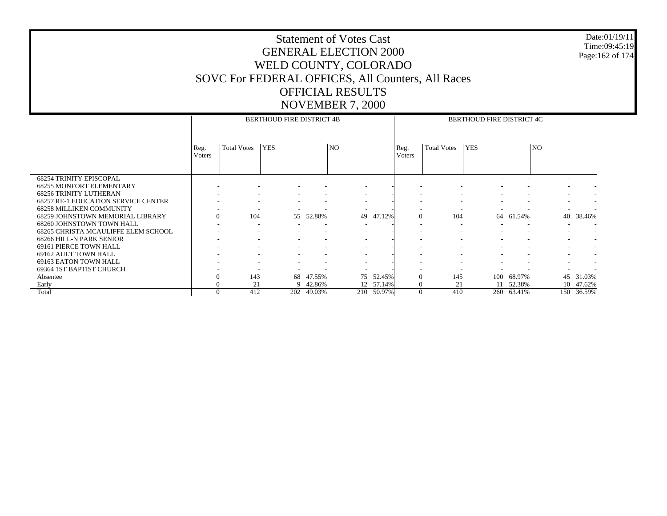#### Date:01/19/11 Time:09:45:19 Page:162 of 174

|                                            |                  |                    | <b>BERTHOUD FIRE DISTRICT 4B</b> |                          |                          |        | BERTHOUD FIRE DISTRICT 4C |                               |            |        |                          |        |  |  |
|--------------------------------------------|------------------|--------------------|----------------------------------|--------------------------|--------------------------|--------|---------------------------|-------------------------------|------------|--------|--------------------------|--------|--|--|
|                                            | Reg.<br>Voters   | <b>Total Votes</b> | <b>YES</b>                       |                          | <b>NO</b>                |        | Reg.<br>Voters            | <b>Total Votes</b>            | <b>YES</b> |        | N <sub>O</sub>           |        |  |  |
| <b>68254 TRINITY EPISCOPAL</b>             |                  |                    |                                  |                          |                          |        |                           |                               |            |        |                          |        |  |  |
| <b>68255 MONFORT ELEMENTARY</b>            |                  |                    |                                  |                          |                          |        |                           |                               |            |        |                          |        |  |  |
| <b>68256 TRINITY LUTHERAN</b>              |                  |                    |                                  |                          | $\overline{\phantom{a}}$ |        |                           |                               |            |        | $\overline{\phantom{a}}$ |        |  |  |
| <b>68257 RE-1 EDUCATION SERVICE CENTER</b> |                  |                    | $\overline{\phantom{a}}$         | $\overline{\phantom{a}}$ | $\overline{\phantom{a}}$ |        |                           | $\overline{\phantom{a}}$      | ٠          |        | $\overline{\phantom{a}}$ |        |  |  |
| <b>68258 MILLIKEN COMMUNITY</b>            |                  |                    |                                  |                          |                          |        |                           |                               |            |        | $\overline{\phantom{a}}$ |        |  |  |
| <b>68259 JOHNSTOWN MEMORIAL LIBRARY</b>    | $\boldsymbol{0}$ | 104                | 55                               | 52.88%                   | 49                       | 47.12% | $\Omega$                  | 104                           | 64         | 61.54% | 40                       | 38.46% |  |  |
| 68260 JOHNSTOWN TOWN HALL                  | ٠                |                    |                                  |                          |                          |        |                           | $\overline{\phantom{a}}$      |            |        | $\overline{\phantom{a}}$ |        |  |  |
| 68265 CHRISTA MCAULIFFE ELEM SCHOOL        |                  |                    |                                  |                          |                          |        |                           | $\overline{\phantom{a}}$<br>۰ |            |        | $\overline{\phantom{a}}$ |        |  |  |
| 68266 HILL-N PARK SENIOR                   |                  |                    |                                  |                          | $\overline{\phantom{a}}$ |        |                           |                               |            |        | $\overline{\phantom{a}}$ |        |  |  |
| 69161 PIERCE TOWN HALL                     |                  |                    |                                  |                          | $\overline{\phantom{a}}$ |        |                           |                               |            |        | $\overline{\phantom{a}}$ |        |  |  |
| 69162 AULT TOWN HALL                       |                  |                    |                                  |                          |                          |        |                           |                               |            |        |                          |        |  |  |
| 69163 EATON TOWN HALL                      |                  |                    |                                  |                          |                          |        |                           |                               |            |        |                          |        |  |  |
| 69364 1ST BAPTIST CHURCH                   |                  |                    |                                  |                          |                          |        |                           |                               |            |        |                          |        |  |  |
| Absentee                                   | $\overline{0}$   | 143                | 68                               | 47.55%                   | 75                       | 52.45% |                           | 145                           | 100        | 68.97% | 45                       | 31.03% |  |  |
| Early                                      | $\theta$         | 21                 | 9                                | 42.86%                   | 12                       | 57.14% | $\Omega$                  | 21                            | 11         | 52.38% | 10                       | 47.62% |  |  |
| Total                                      | $\Omega$         | 412                | 202                              | 49.03%                   | 210                      | 50.97% | $\Omega$                  | 410                           | 260        | 63.41% | 150                      | 36.59% |  |  |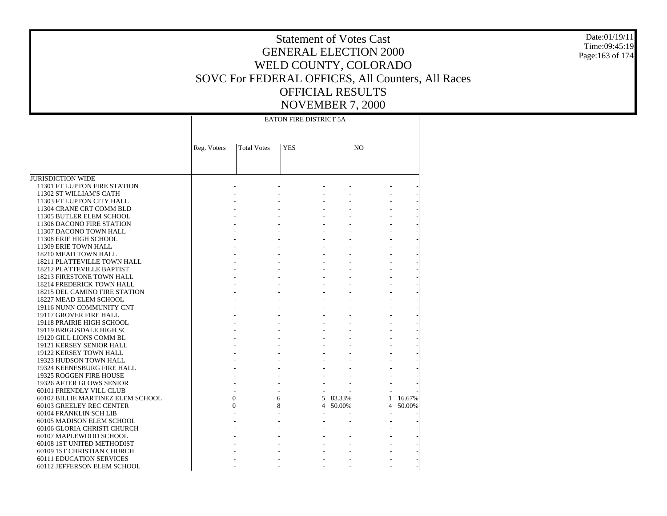JURISDICTION WIDE 11301 FT LUPTON FIRE STATION 11302 ST WILLIAM'S CATH 11303 FT LUPTON CITY HALL 11304 CRANE CRT COMM BLD 11305 BUTLER ELEM SCHOOL 11306 DACONO FIRE STATION 11307 DACONO TOWN HALL 11308 ERIE HIGH SCHOOL 11309 ERIE TOWN HALL 18210 MEAD TOWN HALL 18211 PLATTEVILLE TOWN HALL 18212 PLATTEVILLE BAPTIST 18213 FIRESTONE TOWN HALL 18214 FREDERICK TOWN HALL 18215 DEL CAMINO FIRE STATION 18227 MEAD ELEM SCHOOL 19116 NUNN COMMUNITY CNT 19117 GROVER FIRE HALL 19118 PRAIRIE HIGH SCHOOL 19119 BRIGGSDALE HIGH SC 19120 GILL LIONS COMM BL 19121 KERSEY SENIOR HALL 19122 KERSEY TOWN HALL 19323 HUDSON TOWN HALL 19324 KEENESBURG FIRE HALL 19325 ROGGEN FIRE HOUSE 19326 AFTER GLOWS SENIOR 60101 FRIENDLY VILL CLUB 60102 BILLIE MARTINEZ ELEM SCHOOL 60103 GREELEY REC CENTER 60104 FRANKLIN SCH LIB 60105 MADISON ELEM SCHOOL 60106 GLORIA CHRISTI CHURCH 60107 MAPLEWOOD SCHOOL 60108 1ST UNITED METHODIST 60109 1ST CHRISTIAN CHURCH 60111 EDUCATION SERVICES 60112 JEFFERSON ELEM SCHOOL Reg. Voters | Total Votes | YES | NO EATON FIRE DISTRICT 5A - - - - - - - - - - - - - - - - - - - - - - - - - - - - - - - - - - - - - - - - - - - - - - - - - - - - - - - - - - - - - - - - - - - - - - - - - - - - - - - - - - - - - - - - - - - - - - - - - - - - - - - - - - - - - - - - - - - - - - - - - - - - - - - - - - - - - - - - - - - - 0 6 5 83.33% 1 16.67% 0 8 4 50.00% 4 50.00% - - - - - - - - - - - - - - - - - - - - - - - - - - - - - - - - - - - - - - - -

Date:01/19/11Time:09:45:19Page:163 of 174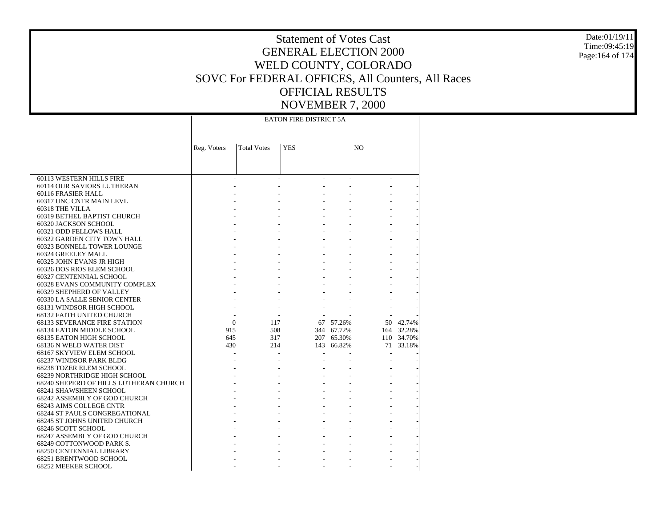Date:01/19/11Time:09:45:19Page:164 of 174

# Statement of Votes CastGENERAL ELECTION 2000WELD COUNTY, COLORADO SOVC For FEDERAL OFFICES, All Counters, All Races OFFICIAL RESULTSNOVEMBER 7, 2000

- - - - -

 60113 WESTERN HILLS FIRE 60114 OUR SAVIORS LUTHERAN 60116 FRASIER HALL 60317 UNC CNTR MAIN LEVL 60318 THE VILLA 60319 BETHEL BAPTIST CHURCH 60320 JACKSON SCHOOL 60321 ODD FELLOWS HALL 60322 GARDEN CITY TOWN HALL 60323 BONNELL TOWER LOUNGE 60324 GREELEY MALL 60325 JOHN EVANS JR HIGH 60326 DOS RIOS ELEM SCHOOL 60327 CENTENNIAL SCHOOL 60328 EVANS COMMUNITY COMPLEX 60329 SHEPHERD OF VALLEY 60330 LA SALLE SENIOR CENTER 68131 WINDSOR HIGH SCHOOL 68132 FAITH UNITED CHURCH 68133 SEVERANCE FIRE STATION 68134 EATON MIDDLE SCHOOL 68135 EATON HIGH SCHOOL 68136 N WELD WATER DIST 68167 SKYVIEW ELEM SCHOOL 68237 WINDSOR PARK BLDG 68238 TOZER ELEM SCHOOL 68239 NORTHRIDGE HIGH SCHOOL 68240 SHEPERD OF HILLS LUTHERAN CHURCH 68241 SHAWSHEEN SCHOOL 68242 ASSEMBLY OF GOD CHURCH 68243 AIMS COLLEGE CNTR 68244 ST PAULS CONGREGATIONAL 68245 ST JOHNS UNITED CHURCH 68246 SCOTT SCHOOL 68247 ASSEMBLY OF GOD CHURCH 68249 COTTONWOOD PARK S. 68250 CENTENNIAL LIBRARY 68251 BRENTWOOD SCHOOL 68252 MEEKER SCHOOL Reg. Voters | Total Votes | YES | NO EATON FIRE DISTRICT 5A - - - - - - - - - - - - - - - - - - - - - - - - - - - - - - - - - - - - - - - - - - - - - - - - - - - - - - - - - - - - - - - - - - - - - - - - - - - - - - - - - - - - - - - - - - - - - - - 0 117 67 57.26% 50 42.74% 915 508 344 67.72% 164 32.28% 645 317 207 65.30% 110 34.70% 430 214 143 66.82% 71 33.18% - - - - - - - - - - - - - - - - - - - - - - - - - - - - - - - - - - - - - - - - - - - - - - - - - - - - - - - - - - - - - - - - - - - - - - - - - - - -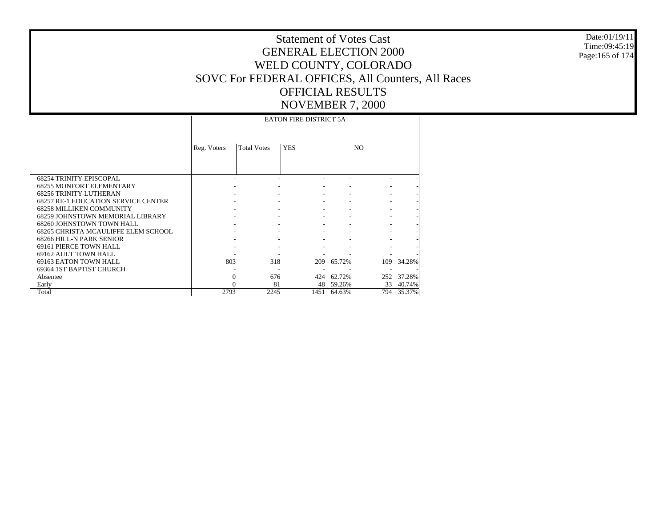Date:01/19/11 Time:09:45:19 Page:165 of 174

|                                                                   |             |                    | <b>EATON FIRE DISTRICT 5A</b> |             |                |            |
|-------------------------------------------------------------------|-------------|--------------------|-------------------------------|-------------|----------------|------------|
|                                                                   | Reg. Voters | <b>Total Votes</b> | <b>YES</b>                    |             | N <sub>O</sub> |            |
|                                                                   |             |                    |                               |             |                |            |
| <b>68254 TRINITY EPISCOPAL</b><br><b>68255 MONFORT ELEMENTARY</b> |             |                    |                               |             |                |            |
| <b>68256 TRINITY LUTHERAN</b>                                     |             |                    |                               |             |                |            |
| <b>68257 RE-1 EDUCATION SERVICE CENTER</b>                        |             |                    |                               |             |                |            |
| <b>68258 MILLIKEN COMMUNITY</b>                                   |             |                    |                               |             |                |            |
| <b>68259 JOHNSTOWN MEMORIAL LIBRARY</b>                           |             |                    |                               |             |                |            |
| 68260 JOHNSTOWN TOWN HALL                                         |             |                    |                               |             |                |            |
| 68265 CHRISTA MCAULIFFE ELEM SCHOOL                               |             |                    |                               |             |                |            |
| 68266 HILL-N PARK SENIOR                                          |             |                    |                               |             |                |            |
| 69161 PIERCE TOWN HALL                                            |             |                    |                               |             |                |            |
| 69162 AULT TOWN HALL                                              |             |                    |                               |             |                |            |
| 69163 EATON TOWN HALL                                             | 803         | 318                | 209                           | 65.72%      |                | 109 34.28% |
| 69364 IST BAPTIST CHURCH                                          |             | ۰                  |                               |             |                |            |
| Absentee                                                          | $\Omega$    | 676                |                               | 424 62.72%  |                | 252 37.28% |
| Early                                                             | 0           | 81                 |                               | 48 59.26%   | 33             | 40.74%     |
| Total                                                             | 2793        | 2245               |                               | 1451 64.63% | 794            | 35.37%     |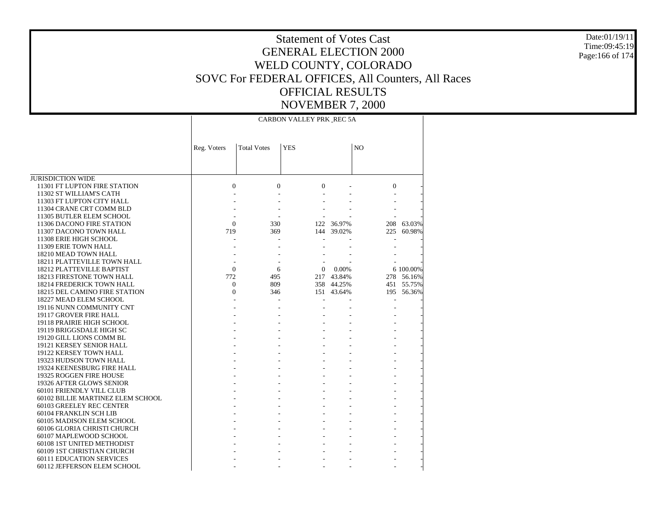Date:01/19/11Time:09:45:19Page:166 of 174

# Statement of Votes CastGENERAL ELECTION 2000WELD COUNTY, COLORADO SOVC For FEDERAL OFFICES, All Counters, All Races OFFICIAL RESULTSNOVEMBER 7, 2000

- - - - -

JURISDICTION WIDE 11301 FT LUPTON FIRE STATION 11302 ST WILLIAM'S CATH 11303 FT LUPTON CITY HALL 11304 CRANE CRT COMM BLD 11305 BUTLER ELEM SCHOOL 11306 DACONO FIRE STATION 11307 DACONO TOWN HALL 11308 ERIE HIGH SCHOOL 11309 ERIE TOWN HALL 18210 MEAD TOWN HALL 18211 PLATTEVILLE TOWN HALL 18212 PLATTEVILLE BAPTIST 18213 FIRESTONE TOWN HALL 18214 FREDERICK TOWN HALL 18215 DEL CAMINO FIRE STATION 18227 MEAD ELEM SCHOOL 19116 NUNN COMMUNITY CNT 19117 GROVER FIRE HALL 19118 PRAIRIE HIGH SCHOOL 19119 BRIGGSDALE HIGH SC 19120 GILL LIONS COMM BL 19121 KERSEY SENIOR HALL 19122 KERSEY TOWN HALL 19323 HUDSON TOWN HALL 19324 KEENESBURG FIRE HALL 19325 ROGGEN FIRE HOUSE 19326 AFTER GLOWS SENIOR 60101 FRIENDLY VILL CLUB 60102 BILLIE MARTINEZ ELEM SCHOOL 60103 GREELEY REC CENTER 60104 FRANKLIN SCH LIB 60105 MADISON ELEM SCHOOL 60106 GLORIA CHRISTI CHURCH 60107 MAPLEWOOD SCHOOL 60108 1ST UNITED METHODIST 60109 1ST CHRISTIAN CHURCH 60111 EDUCATION SERVICESReg. Voters | Total Votes | YES | NO CARBON VALLEY PRK REC 5A0 $0 \qquad \qquad 0 \qquad \qquad 0 \qquad \qquad -$  - - - - - - - - - - - - - - - - - - - -  $\Omega$  330 122 36.97% 208 63.03% 719 369 144 39.02% 225 60.98% - - - - - - - - - - - - - - - - - - - - - 0 6 0 0.00% 6 100.00% 772 495 217 43.84% 278 56.16% 0 809 358 44.25% 451 55.75%  $\Omega$  346 151 43.64% 195 56.36% - - - - - - - - - - - - - - - - - - - - - - - - - - - - - - - - - - - - - - - - - - - - - - - - - - - - - - - - - - - - - - - - - - - - - - - - - - - - - - - - - - - - - - - - - - - - - - - - - - - - - - - - - - - - - -

60112 JEFFERSON ELEM SCHOOL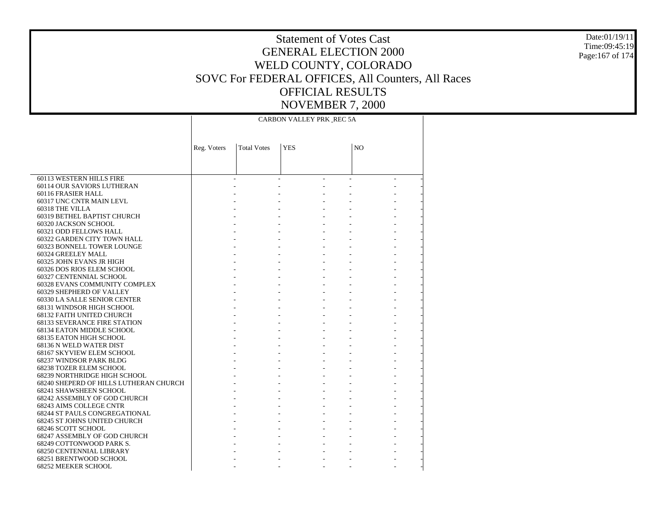Date:01/19/11Time:09:45:19Page:167 of 174

# Statement of Votes CastGENERAL ELECTION 2000WELD COUNTY, COLORADO SOVC For FEDERAL OFFICES, All Counters, All Races OFFICIAL RESULTSNOVEMBER 7, 2000

- - - - -

 60113 WESTERN HILLS FIRE 60114 OUR SAVIORS LUTHERAN 60116 FRASIER HALL 60317 UNC CNTR MAIN LEVL 60318 THE VILLA 60319 BETHEL BAPTIST CHURCH 60320 JACKSON SCHOOL 60321 ODD FELLOWS HALL 60322 GARDEN CITY TOWN HALL 60323 BONNELL TOWER LOUNGE 60324 GREELEY MALL 60325 JOHN EVANS JR HIGH 60326 DOS RIOS ELEM SCHOOL 60327 CENTENNIAL SCHOOL 60328 EVANS COMMUNITY COMPLEX 60329 SHEPHERD OF VALLEY 60330 LA SALLE SENIOR CENTER 68131 WINDSOR HIGH SCHOOL 68132 FAITH UNITED CHURCH 68133 SEVERANCE FIRE STATION 68134 EATON MIDDLE SCHOOL 68135 EATON HIGH SCHOOL 68136 N WELD WATER DIST 68167 SKYVIEW ELEM SCHOOL 68237 WINDSOR PARK BLDG 68238 TOZER ELEM SCHOOL 68239 NORTHRIDGE HIGH SCHOOL 68240 SHEPERD OF HILLS LUTHERAN CHURCH 68241 SHAWSHEEN SCHOOL 68242 ASSEMBLY OF GOD CHURCH 68243 AIMS COLLEGE CNTR 68244 ST PAULS CONGREGATIONAL 68245 ST JOHNS UNITED CHURCH 68246 SCOTT SCHOOL 68247 ASSEMBLY OF GOD CHURCH 68249 COTTONWOOD PARK S. 68250 CENTENNIAL LIBRARY 68251 BRENTWOOD SCHOOL 68252 MEEKER SCHOOL Reg. Voters | Total Votes | YES | NO CARBON VALLEY PRK REC 5A - - - - - - - - - - - - - - - - - - - - - - - - - - - - - - - - - - - - - - - - - - - - - - - - - - - - - - - - - - - - - - - - - - - - - - - - - - - - - - - - - - - - - - - - - - - - - - - - - - - - - - - - - - - - - - - - - - - - - - - - - - - - - - - - - - - - - - - - - - - - - - - - - - - - - - - - - - - - - - - - - - - - - - - - - - - - - - - - - - - - - - - - - - - - - -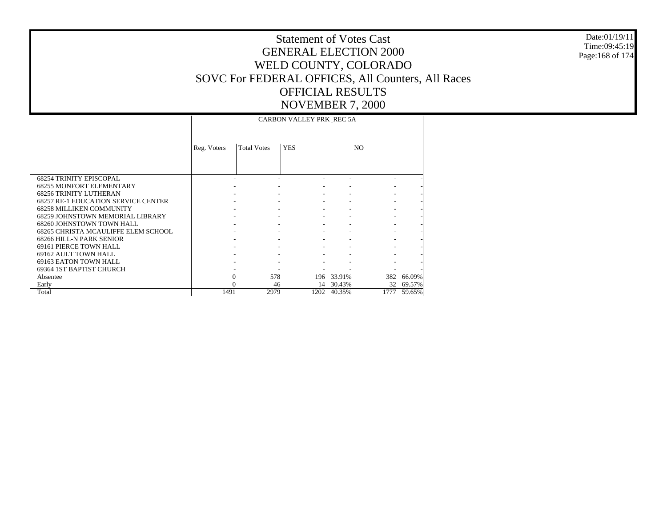Date:01/19/11 Time:09:45:19 Page:168 of 174

|                                            |             |                    | CARBON VALLEY PRK REC 5A |            |                |        |
|--------------------------------------------|-------------|--------------------|--------------------------|------------|----------------|--------|
|                                            | Reg. Voters | <b>Total Votes</b> | <b>YES</b>               |            | N <sub>O</sub> |        |
|                                            |             |                    |                          |            |                |        |
| <b>68254 TRINITY EPISCOPAL</b>             |             |                    |                          |            |                |        |
| <b>68255 MONFORT ELEMENTARY</b>            |             |                    |                          |            |                |        |
| <b>68256 TRINITY LUTHERAN</b>              |             |                    |                          |            |                |        |
| <b>68257 RE-1 EDUCATION SERVICE CENTER</b> |             |                    |                          |            |                |        |
| <b>68258 MILLIKEN COMMUNITY</b>            |             |                    |                          |            |                |        |
| 68259 JOHNSTOWN MEMORIAL LIBRARY           |             |                    |                          |            |                |        |
| 68260 JOHNSTOWN TOWN HALL                  |             |                    |                          |            |                |        |
| 68265 CHRISTA MCAULIFFE ELEM SCHOOL        |             |                    |                          |            |                |        |
| 68266 HILL-N PARK SENIOR                   |             |                    |                          |            |                |        |
| 69161 PIERCE TOWN HALL                     |             |                    |                          |            |                |        |
| 69162 AULT TOWN HALL                       |             |                    |                          |            |                |        |
| 69163 EATON TOWN HALL                      |             |                    |                          |            |                |        |
| 69364 IST BAPTIST CHURCH                   |             |                    |                          |            |                |        |
| Absentee                                   | $\Omega$    | 578                |                          | 196 33.91% | 382            | 66.09% |
| Early                                      | $\Omega$    | 46                 | 14                       | 30.43%     | 32             | 69.57% |
| Total                                      | 1491        | 2979               | 1202                     | 40.35%     | 1777           | 59.65% |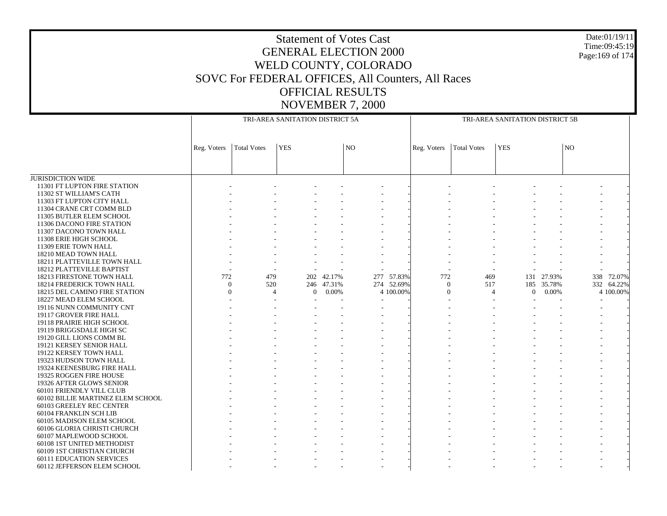Date:01/19/11 Time:09:45:19 Page:169 of 174

|                                   |             |                    | TRI-AREA SANITATION DISTRICT 5A  |            |     |            |             |                                  | TRI-AREA SANITATION DISTRICT 5B |            |    |            |
|-----------------------------------|-------------|--------------------|----------------------------------|------------|-----|------------|-------------|----------------------------------|---------------------------------|------------|----|------------|
|                                   | Reg. Voters | <b>Total Votes</b> | <b>YES</b>                       |            | NO  |            | Reg. Voters | <b>Total Votes</b>               | <b>YES</b>                      |            | NO |            |
|                                   |             |                    |                                  |            |     |            |             |                                  |                                 |            |    |            |
| <b>JURISDICTION WIDE</b>          |             |                    |                                  |            |     |            |             |                                  |                                 |            |    |            |
| 11301 FT LUPTON FIRE STATION      |             |                    |                                  |            |     |            |             |                                  |                                 |            |    |            |
| 11302 ST WILLIAM'S CATH           |             |                    |                                  |            |     |            |             |                                  |                                 |            |    |            |
| 11303 FT LUPTON CITY HALL         |             |                    |                                  |            |     |            |             |                                  |                                 |            |    |            |
| 11304 CRANE CRT COMM BLD          |             |                    |                                  |            |     |            |             |                                  |                                 |            |    |            |
| 11305 BUTLER ELEM SCHOOL          |             |                    |                                  |            |     |            |             |                                  |                                 |            |    |            |
| 11306 DACONO FIRE STATION         |             |                    |                                  |            |     |            |             |                                  |                                 |            |    |            |
| 11307 DACONO TOWN HALL            |             |                    |                                  |            |     |            |             |                                  |                                 |            |    |            |
| 11308 ERIE HIGH SCHOOL            |             |                    |                                  |            |     |            |             |                                  |                                 |            |    |            |
| 11309 ERIE TOWN HALL              |             |                    |                                  |            |     |            |             |                                  |                                 |            |    |            |
| 18210 MEAD TOWN HALL              |             |                    |                                  |            |     |            |             |                                  |                                 |            |    |            |
| 18211 PLATTEVILLE TOWN HALL       |             |                    |                                  |            |     |            |             |                                  |                                 |            |    |            |
| <b>18212 PLATTEVILLE BAPTIST</b>  |             |                    |                                  |            |     |            |             |                                  |                                 |            |    |            |
| 18213 FIRESTONE TOWN HALL         | 772         | 479                |                                  | 202 42.17% | 277 | 57.83%     | 772         | 469                              |                                 | 131 27.93% |    | 338 72.07% |
| 18214 FREDERICK TOWN HALL         | $\theta$    | 520                |                                  | 246 47.31% |     | 274 52.69% |             | 517<br>$\mathbf{0}$              |                                 | 185 35.78% |    | 332 64.22% |
| 18215 DEL CAMINO FIRE STATION     | $\theta$    |                    | $\overline{4}$<br>$\overline{0}$ | 0.00%      |     | 4 100.00%  |             | $\overline{0}$<br>$\overline{4}$ | $\overline{0}$                  | 0.00%      |    | 4 100.00%  |
| 18227 MEAD ELEM SCHOOL            |             |                    |                                  |            |     |            |             |                                  |                                 |            |    |            |
| 19116 NUNN COMMUNITY CNT          |             |                    |                                  |            |     |            |             |                                  |                                 |            |    |            |
| 19117 GROVER FIRE HALL            |             |                    |                                  |            |     |            |             |                                  |                                 |            |    |            |
| 19118 PRAIRIE HIGH SCHOOL         |             |                    |                                  |            |     |            |             |                                  |                                 |            |    |            |
| 19119 BRIGGSDALE HIGH SC          |             |                    |                                  |            |     |            |             |                                  |                                 |            |    |            |
| 19120 GILL LIONS COMM BL          |             |                    |                                  |            |     |            |             |                                  |                                 |            |    |            |
| 19121 KERSEY SENIOR HALL          |             |                    |                                  |            |     |            |             |                                  |                                 |            |    |            |
| 19122 KERSEY TOWN HALL            |             |                    |                                  |            |     |            |             |                                  |                                 |            |    |            |
| 19323 HUDSON TOWN HALL            |             |                    |                                  |            |     |            |             |                                  |                                 |            |    |            |
| 19324 KEENESBURG FIRE HALL        |             |                    |                                  |            |     |            |             |                                  |                                 |            |    |            |
| 19325 ROGGEN FIRE HOUSE           |             |                    |                                  |            |     |            |             |                                  |                                 |            |    |            |
| 19326 AFTER GLOWS SENIOR          |             |                    |                                  |            |     |            |             |                                  |                                 |            |    |            |
| 60101 FRIENDLY VILL CLUB          |             |                    |                                  |            |     |            |             |                                  |                                 |            |    |            |
| 60102 BILLIE MARTINEZ ELEM SCHOOL |             |                    |                                  |            |     |            |             |                                  |                                 |            |    |            |
| 60103 GREELEY REC CENTER          |             |                    |                                  |            |     |            |             |                                  |                                 |            |    |            |
| 60104 FRANKLIN SCH LIB            |             |                    |                                  |            |     |            |             |                                  |                                 |            |    |            |
| 60105 MADISON ELEM SCHOOL         |             |                    |                                  |            |     |            |             |                                  |                                 |            |    |            |
| 60106 GLORIA CHRISTI CHURCH       |             |                    |                                  |            |     |            |             |                                  |                                 |            |    |            |
| 60107 MAPLEWOOD SCHOOL            |             |                    |                                  |            |     |            |             |                                  |                                 |            |    |            |
| 60108 1ST UNITED METHODIST        |             |                    |                                  |            |     |            |             |                                  |                                 |            |    |            |
| 60109 1ST CHRISTIAN CHURCH        |             |                    |                                  |            |     |            |             |                                  |                                 |            |    |            |
| <b>60111 EDUCATION SERVICES</b>   |             |                    |                                  |            |     |            |             |                                  |                                 |            |    |            |
| 60112 JEFFERSON ELEM SCHOOL       |             |                    |                                  |            |     |            |             |                                  |                                 |            |    |            |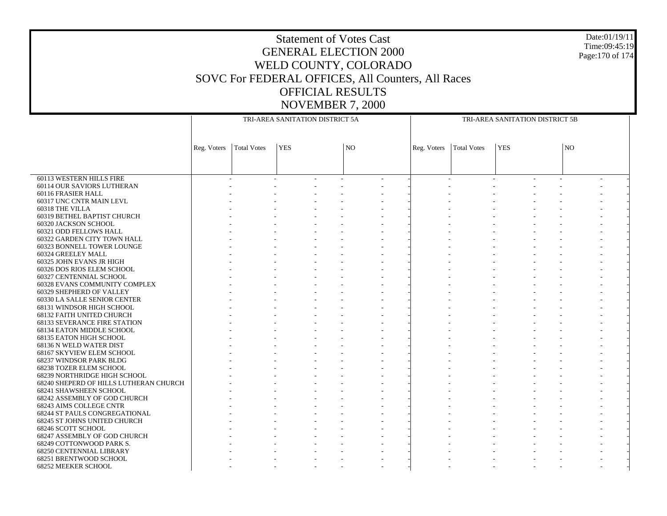Date:01/19/11 Time:09:45:19 Page:170 of 174

|                                                      |             |                    | TRI-AREA SANITATION DISTRICT 5A |                 | TRI-AREA SANITATION DISTRICT 5B |                    |            |  |           |  |  |  |
|------------------------------------------------------|-------------|--------------------|---------------------------------|-----------------|---------------------------------|--------------------|------------|--|-----------|--|--|--|
|                                                      |             |                    |                                 |                 |                                 |                    |            |  |           |  |  |  |
|                                                      | Reg. Voters | <b>Total Votes</b> | <b>YES</b>                      | NO <sub>1</sub> | Reg. Voters                     | <b>Total Votes</b> | <b>YES</b> |  | <b>NO</b> |  |  |  |
|                                                      |             |                    |                                 |                 |                                 |                    |            |  |           |  |  |  |
| 60113 WESTERN HILLS FIRE                             |             |                    |                                 |                 |                                 |                    |            |  |           |  |  |  |
| 60114 OUR SAVIORS LUTHERAN                           |             |                    |                                 |                 |                                 |                    |            |  |           |  |  |  |
| 60116 FRASIER HALL                                   |             |                    |                                 |                 |                                 |                    |            |  |           |  |  |  |
| 60317 UNC CNTR MAIN LEVL                             |             |                    |                                 |                 |                                 |                    |            |  |           |  |  |  |
| 60318 THE VILLA                                      |             |                    |                                 |                 |                                 |                    |            |  |           |  |  |  |
| 60319 BETHEL BAPTIST CHURCH                          |             |                    |                                 |                 |                                 |                    |            |  |           |  |  |  |
| 60320 JACKSON SCHOOL                                 |             |                    |                                 |                 |                                 |                    |            |  |           |  |  |  |
| 60321 ODD FELLOWS HALL                               |             |                    |                                 |                 |                                 |                    |            |  |           |  |  |  |
| 60322 GARDEN CITY TOWN HALL                          |             |                    |                                 |                 |                                 |                    |            |  |           |  |  |  |
| 60323 BONNELL TOWER LOUNGE                           |             |                    |                                 |                 |                                 |                    |            |  |           |  |  |  |
| 60324 GREELEY MALL                                   |             |                    |                                 |                 |                                 |                    |            |  |           |  |  |  |
| 60325 JOHN EVANS JR HIGH                             |             |                    |                                 |                 |                                 |                    |            |  |           |  |  |  |
| 60326 DOS RIOS ELEM SCHOOL                           |             |                    |                                 |                 |                                 |                    |            |  |           |  |  |  |
| 60327 CENTENNIAL SCHOOL                              |             |                    |                                 |                 |                                 |                    |            |  |           |  |  |  |
| 60328 EVANS COMMUNITY COMPLEX                        |             |                    |                                 |                 |                                 |                    |            |  |           |  |  |  |
| 60329 SHEPHERD OF VALLEY                             |             |                    |                                 |                 |                                 |                    |            |  |           |  |  |  |
| 60330 LA SALLE SENIOR CENTER                         |             |                    |                                 |                 |                                 |                    |            |  |           |  |  |  |
| 68131 WINDSOR HIGH SCHOOL                            |             |                    |                                 |                 |                                 |                    |            |  |           |  |  |  |
| 68132 FAITH UNITED CHURCH                            |             |                    |                                 |                 |                                 |                    |            |  |           |  |  |  |
| <b>68133 SEVERANCE FIRE STATION</b>                  |             |                    |                                 |                 |                                 |                    |            |  |           |  |  |  |
| 68134 EATON MIDDLE SCHOOL<br>68135 EATON HIGH SCHOOL |             |                    |                                 |                 |                                 |                    |            |  |           |  |  |  |
| 68136 N WELD WATER DIST                              |             |                    |                                 |                 |                                 |                    |            |  |           |  |  |  |
| 68167 SKYVIEW ELEM SCHOOL                            |             |                    |                                 |                 |                                 |                    |            |  |           |  |  |  |
| 68237 WINDSOR PARK BLDG                              |             |                    |                                 |                 |                                 |                    |            |  |           |  |  |  |
| 68238 TOZER ELEM SCHOOL                              |             |                    |                                 |                 |                                 |                    |            |  |           |  |  |  |
| 68239 NORTHRIDGE HIGH SCHOOL                         |             |                    |                                 |                 |                                 |                    |            |  |           |  |  |  |
| 68240 SHEPERD OF HILLS LUTHERAN CHURCH               |             |                    |                                 |                 |                                 |                    |            |  |           |  |  |  |
| 68241 SHAWSHEEN SCHOOL                               |             |                    |                                 |                 |                                 |                    |            |  |           |  |  |  |
| 68242 ASSEMBLY OF GOD CHURCH                         |             |                    |                                 |                 |                                 |                    |            |  |           |  |  |  |
| 68243 AIMS COLLEGE CNTR                              |             |                    |                                 |                 |                                 |                    |            |  |           |  |  |  |
| 68244 ST PAULS CONGREGATIONAL                        |             |                    |                                 |                 |                                 |                    |            |  |           |  |  |  |
| 68245 ST JOHNS UNITED CHURCH                         |             |                    |                                 |                 |                                 |                    |            |  |           |  |  |  |
| 68246 SCOTT SCHOOL                                   |             |                    |                                 |                 |                                 |                    |            |  |           |  |  |  |
| 68247 ASSEMBLY OF GOD CHURCH                         |             |                    |                                 |                 |                                 |                    |            |  |           |  |  |  |
| 68249 COTTONWOOD PARK S.                             |             |                    |                                 |                 |                                 |                    |            |  |           |  |  |  |
| <b>68250 CENTENNIAL LIBRARY</b>                      |             |                    |                                 |                 |                                 |                    |            |  |           |  |  |  |
| 68251 BRENTWOOD SCHOOL                               |             |                    |                                 |                 |                                 |                    |            |  |           |  |  |  |
| 68252 MEEKER SCHOOL                                  |             |                    |                                 |                 |                                 |                    |            |  |           |  |  |  |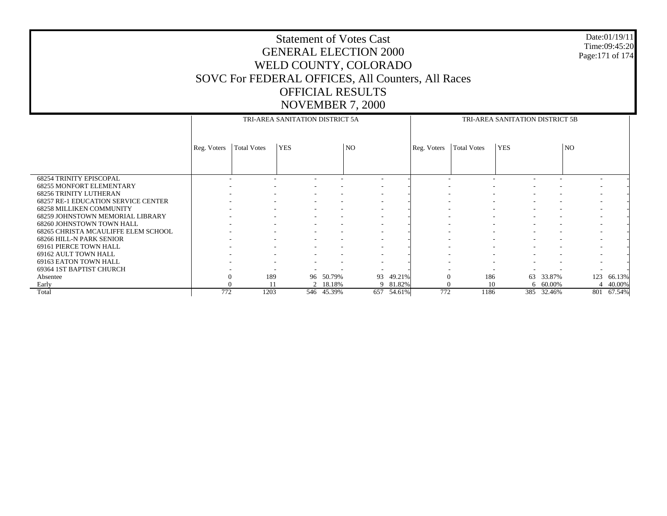Date:01/19/11 Time:09:45:20 Page:171 of 174

|                                            |             |                          | TRI-AREA SANITATION DISTRICT 5A |            |                          |        |             |                    | TRI-AREA SANITATION DISTRICT 5B |            |     |          |
|--------------------------------------------|-------------|--------------------------|---------------------------------|------------|--------------------------|--------|-------------|--------------------|---------------------------------|------------|-----|----------|
|                                            |             |                          |                                 |            |                          |        |             |                    |                                 |            |     |          |
|                                            |             |                          |                                 |            |                          |        |             |                    |                                 |            |     |          |
|                                            |             |                          |                                 |            |                          |        |             |                    |                                 |            |     |          |
|                                            | Reg. Voters | <b>Total Votes</b>       | <b>YES</b>                      |            | N <sub>O</sub>           |        | Reg. Voters | <b>Total Votes</b> | <b>YES</b>                      |            | NO  |          |
|                                            |             |                          |                                 |            |                          |        |             |                    |                                 |            |     |          |
|                                            |             |                          |                                 |            |                          |        |             |                    |                                 |            |     |          |
| <b>68254 TRINITY EPISCOPAL</b>             |             | ۰                        |                                 |            |                          |        |             |                    |                                 |            |     |          |
| <b>68255 MONFORT ELEMENTARY</b>            |             | ٠                        | ۰                               |            | $\sim$                   |        |             |                    |                                 |            |     |          |
| <b>68256 TRINITY LUTHERAN</b>              |             |                          |                                 |            |                          |        |             |                    |                                 |            |     |          |
| <b>68257 RE-1 EDUCATION SERVICE CENTER</b> |             |                          |                                 |            | $\overline{\phantom{a}}$ |        |             |                    |                                 |            |     |          |
| <b>68258 MILLIKEN COMMUNITY</b>            |             |                          |                                 |            |                          |        |             |                    |                                 |            |     |          |
| <b>68259 JOHNSTOWN MEMORIAL LIBRARY</b>    |             |                          |                                 |            | $\overline{\phantom{a}}$ |        |             |                    |                                 |            |     |          |
| 68260 JOHNSTOWN TOWN HALL                  |             |                          |                                 |            |                          |        |             |                    |                                 |            |     |          |
| 68265 CHRISTA MCAULIFFE ELEM SCHOOL        |             |                          | ٠<br>$\overline{\phantom{a}}$   |            | $\sim$                   |        |             |                    |                                 |            |     |          |
| 68266 HILL-N PARK SENIOR                   |             |                          |                                 |            |                          |        |             |                    |                                 |            |     |          |
| 69161 PIERCE TOWN HALL                     |             |                          | ۰<br>$\overline{\phantom{a}}$   |            | $\sim$                   |        |             |                    |                                 |            |     |          |
| 69162 AULT TOWN HALL                       |             |                          |                                 |            |                          |        |             |                    |                                 |            |     |          |
| 69163 EATON TOWN HALL                      |             | $\sim$                   | ۰                               |            | $\overline{\phantom{a}}$ |        |             |                    |                                 |            |     |          |
| 69364 1ST BAPTIST CHURCH                   |             | $\overline{\phantom{a}}$ |                                 |            |                          |        |             |                    |                                 |            |     |          |
| Absentee                                   | $\theta$    | 189                      |                                 | 96 50.79%  | 93                       | 49.21% |             | 186                | 63                              | 33.87%     | 123 | 66.13%   |
| Early                                      |             | 11                       | $\overline{2}$                  | 18.18%     | 9                        | 81.82% |             | 10                 |                                 | 6 60.00%   |     | 4 40.00% |
| Total                                      | 772         | 1203                     |                                 | 546 45.39% | 657                      | 54.61% | 772         | 1186               |                                 | 385 32.46% | 801 | 67.54%   |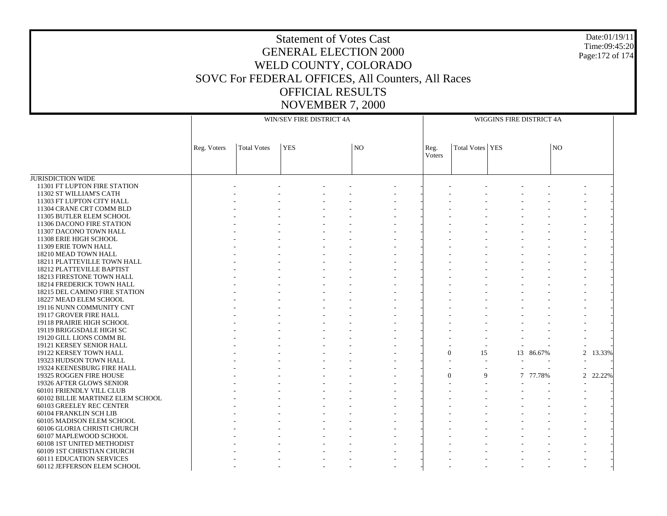Date:01/19/11Time:09:45:20Page:172 of 174

JURISDICTION WIDE 11301 FT LUPTON FIRE STATION 11302 ST WILLIAM'S CATH 11303 FT LUPTON CITY HALL 11304 CRANE CRT COMM BLD 11305 BUTLER ELEM SCHOOL 11306 DACONO FIRE STATION 11307 DACONO TOWN HALL 11308 ERIE HIGH SCHOOL 11309 ERIE TOWN HALL 18210 MEAD TOWN HALL 18211 PLATTEVILLE TOWN HALL 18212 PLATTEVILLE BAPTIST 18213 FIRESTONE TOWN HALL 18214 FREDERICK TOWN HALL 18215 DEL CAMINO FIRE STATION 18227 MEAD ELEM SCHOOL 19116 NUNN COMMUNITY CNT 19117 GROVER FIRE HALL 19118 PRAIRIE HIGH SCHOOL 19119 BRIGGSDALE HIGH SC 19120 GILL LIONS COMM BL 19121 KERSEY SENIOR HALL 19122 KERSEY TOWN HALL 19323 HUDSON TOWN HALL 19324 KEENESBURG FIRE HALL 19325 ROGGEN FIRE HOUSE 19326 AFTER GLOWS SENIOR 60101 FRIENDLY VILL CLUB 60102 BILLIE MARTINEZ ELEM SCHOOL 60103 GREELEY REC CENTER 60104 FRANKLIN SCH LIB 60105 MADISON ELEM SCHOOL 60106 GLORIA CHRISTI CHURCH 60107 MAPLEWOOD SCHOOL 60108 1ST UNITED METHODIST 60109 1ST CHRISTIAN CHURCH 60111 EDUCATION SERVICES 60112 JEFFERSON ELEM SCHOOL Reg. Voters | Total Votes | YES | NO WIN/SEV FIRE DISTRICT 4AReg. VotersTotal Votes YES NOWIGGINS FIRE DISTRICT 4A - - - - - - - - - - - - - - - - - - - - - - - - - - - - - - - - - - - - - - - - - - - - - - - - - - - - - - - - - - - - - - - - - - - - - - - - - - - - - - - - - - - - - - - - - - - - - - - - - - - - - - - - - - - - - - - - - - - - - - - - - - - - - - - - - - - - - - - - - - - - - - - - - - - - - - - - - - - - - - - - - - - - - - - - - - - - - - - - - - - - - - - - - - - - - - - - - - - - - - - - - - - - - - - - - - - - - - - - - - - - - - - - - - - - - - - - - - - - - - - - - - - - - - - - - - - - -  $-$  0 15 13 86.67% 2 13.33% - - - - - - - - - - - - - - - - - - - - - - - - - - - - - - - - -  $-$  0 9 7 77.78% 2 22.22% - - - - - - - - - - - - - - - - - - - - - - - - - - - - - - - - - - - - - - - - - - - - - - - - - - - - - - - - - - - - - - - - - - - - - - - - - - - - - - - - - - - - - - - - - - - - - - - - - - - - - - - - - - - - - - - - - - - - - - - - - - - - - - - - - - - -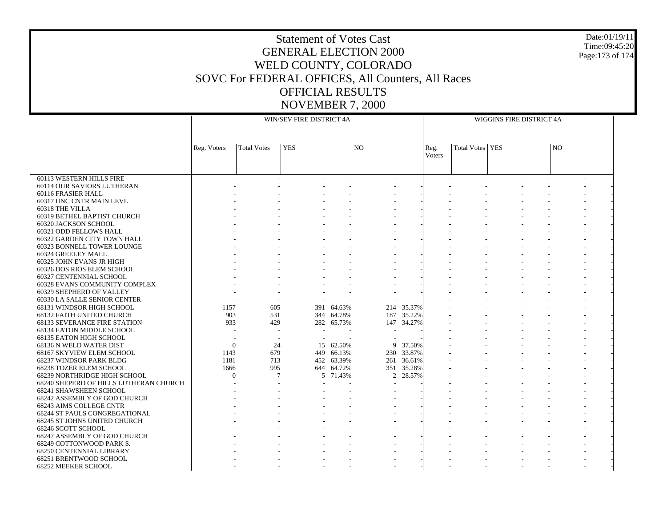### Date:01/19/11 Time:09:45:20 Page:173 of 174

|                                                      |                        | WIN/SEV FIRE DISTRICT 4A | WIGGINS FIRE DISTRICT 4A |                      |                |                      |                |                   |  |  |           |  |  |
|------------------------------------------------------|------------------------|--------------------------|--------------------------|----------------------|----------------|----------------------|----------------|-------------------|--|--|-----------|--|--|
|                                                      |                        |                          |                          |                      |                |                      |                |                   |  |  |           |  |  |
|                                                      | Reg. Voters            | <b>Total Votes</b>       | <b>YES</b>               |                      | N <sub>O</sub> |                      | Reg.<br>Voters | Total Votes   YES |  |  | <b>NO</b> |  |  |
|                                                      |                        |                          |                          |                      |                |                      |                |                   |  |  |           |  |  |
|                                                      |                        |                          |                          |                      |                |                      |                |                   |  |  |           |  |  |
| 60113 WESTERN HILLS FIRE                             |                        |                          |                          |                      |                |                      |                |                   |  |  |           |  |  |
| 60114 OUR SAVIORS LUTHERAN                           |                        |                          |                          |                      |                |                      |                |                   |  |  |           |  |  |
| 60116 FRASIER HALL                                   |                        |                          |                          |                      |                |                      |                |                   |  |  |           |  |  |
| 60317 UNC CNTR MAIN LEVL                             |                        |                          |                          |                      |                |                      |                |                   |  |  |           |  |  |
| 60318 THE VILLA                                      |                        |                          |                          |                      |                |                      |                |                   |  |  |           |  |  |
| 60319 BETHEL BAPTIST CHURCH                          |                        |                          |                          |                      |                |                      |                |                   |  |  |           |  |  |
| 60320 JACKSON SCHOOL                                 |                        |                          |                          |                      |                |                      |                |                   |  |  |           |  |  |
| 60321 ODD FELLOWS HALL                               |                        |                          |                          |                      |                |                      |                |                   |  |  |           |  |  |
| 60322 GARDEN CITY TOWN HALL                          |                        |                          |                          |                      |                |                      |                |                   |  |  |           |  |  |
| 60323 BONNELL TOWER LOUNGE                           |                        |                          |                          |                      |                |                      |                |                   |  |  |           |  |  |
| 60324 GREELEY MALL                                   |                        |                          |                          |                      |                |                      |                |                   |  |  |           |  |  |
| 60325 JOHN EVANS JR HIGH                             |                        |                          |                          |                      |                |                      |                |                   |  |  |           |  |  |
| 60326 DOS RIOS ELEM SCHOOL                           |                        |                          |                          |                      |                |                      |                |                   |  |  |           |  |  |
| 60327 CENTENNIAL SCHOOL                              |                        |                          |                          |                      |                |                      |                |                   |  |  |           |  |  |
| 60328 EVANS COMMUNITY COMPLEX                        |                        |                          |                          |                      |                |                      |                |                   |  |  |           |  |  |
| 60329 SHEPHERD OF VALLEY                             |                        |                          |                          |                      |                |                      |                |                   |  |  |           |  |  |
| 60330 LA SALLE SENIOR CENTER                         |                        |                          |                          |                      |                |                      |                |                   |  |  |           |  |  |
| 68131 WINDSOR HIGH SCHOOL                            | 1157                   | 605                      | 391                      | 64.63%               | 214            | 35.37%               |                |                   |  |  |           |  |  |
| 68132 FAITH UNITED CHURCH                            | 903                    | 531                      |                          | 344 64.78%           | 187            | 35.22%               |                |                   |  |  |           |  |  |
| <b>68133 SEVERANCE FIRE STATION</b>                  | 933                    | 429                      |                          | 282 65.73%           | 147            | 34.27%               |                |                   |  |  |           |  |  |
| 68134 EATON MIDDLE SCHOOL                            |                        |                          |                          |                      | $\sim$         |                      |                |                   |  |  |           |  |  |
| 68135 EATON HIGH SCHOOL                              |                        |                          |                          |                      |                |                      |                |                   |  |  |           |  |  |
| 68136 N WELD WATER DIST<br>68167 SKYVIEW ELEM SCHOOL | $\overline{0}$<br>1143 | 24<br>679                | 15                       | 62.50%<br>449 66.13% | 9              | 37.50%<br>230 33.87% |                |                   |  |  |           |  |  |
| 68237 WINDSOR PARK BLDG                              | 1181                   | 713                      |                          | 452 63.39%           | 261            | 36.61%               |                |                   |  |  |           |  |  |
| <b>68238 TOZER ELEM SCHOOL</b>                       | 1666                   | 995                      |                          | 644 64.72%           |                | 351 35.28%           |                |                   |  |  |           |  |  |
| 68239 NORTHRIDGE HIGH SCHOOL                         | $\Omega$               | 7                        |                          | 5 71.43%             | $\overline{2}$ | 28.57%               |                |                   |  |  |           |  |  |
| 68240 SHEPERD OF HILLS LUTHERAN CHURCH               |                        |                          |                          |                      |                |                      |                |                   |  |  |           |  |  |
| <b>68241 SHAWSHEEN SCHOOL</b>                        |                        |                          |                          |                      |                |                      |                |                   |  |  |           |  |  |
| 68242 ASSEMBLY OF GOD CHURCH                         |                        |                          |                          |                      |                |                      |                |                   |  |  |           |  |  |
| 68243 AIMS COLLEGE CNTR                              |                        |                          |                          |                      |                |                      |                |                   |  |  |           |  |  |
| <b>68244 ST PAULS CONGREGATIONAL</b>                 |                        |                          |                          |                      |                |                      |                |                   |  |  |           |  |  |
| 68245 ST JOHNS UNITED CHURCH                         |                        |                          |                          |                      |                |                      |                |                   |  |  |           |  |  |
| 68246 SCOTT SCHOOL                                   |                        |                          |                          |                      |                |                      |                |                   |  |  |           |  |  |
| 68247 ASSEMBLY OF GOD CHURCH                         |                        |                          |                          |                      |                |                      |                |                   |  |  |           |  |  |
| 68249 COTTONWOOD PARK S.                             |                        |                          |                          |                      |                |                      |                |                   |  |  |           |  |  |
| 68250 CENTENNIAL LIBRARY                             |                        |                          |                          |                      |                |                      |                |                   |  |  |           |  |  |
| 68251 BRENTWOOD SCHOOL                               |                        |                          |                          |                      |                |                      |                |                   |  |  |           |  |  |
| 68252 MEEKER SCHOOL                                  |                        |                          |                          |                      |                |                      |                |                   |  |  |           |  |  |